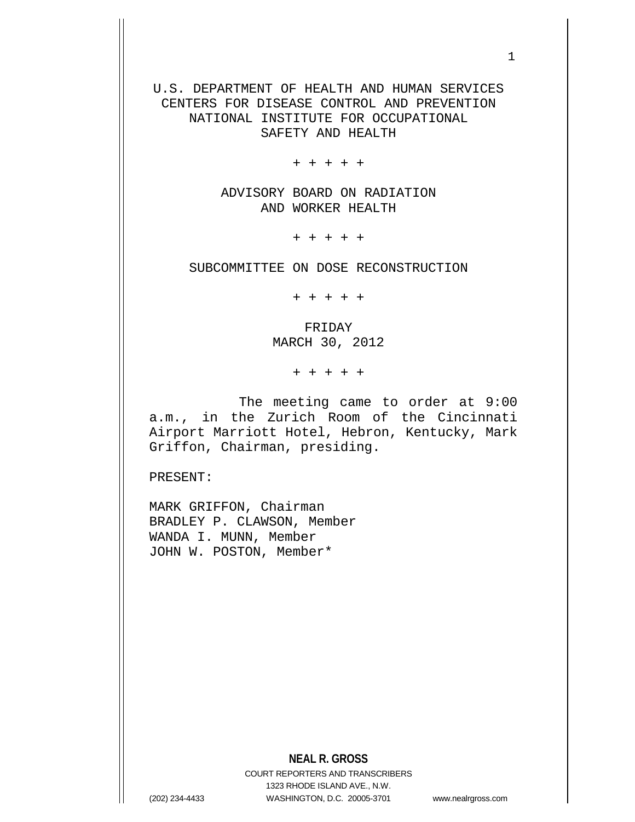U.S. DEPARTMENT OF HEALTH AND HUMAN SERVICES CENTERS FOR DISEASE CONTROL AND PREVENTION NATIONAL INSTITUTE FOR OCCUPATIONAL SAFETY AND HEALTH

+ + + + +

ADVISORY BOARD ON RADIATION AND WORKER HEALTH

+ + + + +

SUBCOMMITTEE ON DOSE RECONSTRUCTION

+ + + + +

FRIDAY MARCH 30, 2012

+ + + + +

The meeting came to order at 9:00 a.m., in the Zurich Room of the Cincinnati Airport Marriott Hotel, Hebron, Kentucky, Mark Griffon, Chairman, presiding.

PRESENT:

MARK GRIFFON, Chairman BRADLEY P. CLAWSON, Member WANDA I. MUNN, Member JOHN W. POSTON, Member\*

**NEAL R. GROSS**

COURT REPORTERS AND TRANSCRIBERS 1323 RHODE ISLAND AVE., N.W. (202) 234-4433 WASHINGTON, D.C. 20005-3701 www.nealrgross.com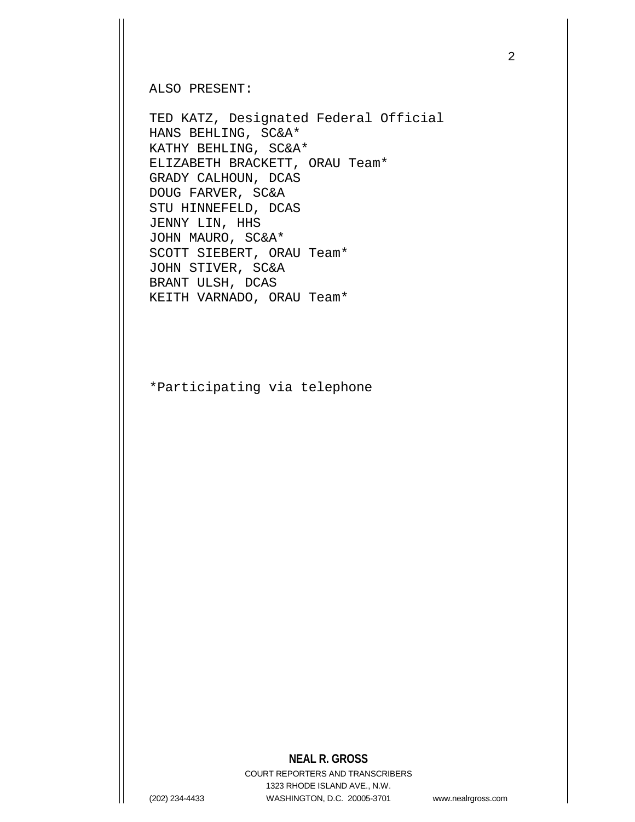ALSO PRESENT:

TED KATZ, Designated Federal Official HANS BEHLING, SC&A\* KATHY BEHLING, SC&A\* ELIZABETH BRACKETT, ORAU Team\* GRADY CALHOUN, DCAS DOUG FARVER, SC&A STU HINNEFELD, DCAS JENNY LIN, HHS JOHN MAURO, SC&A\* SCOTT SIEBERT, ORAU Team\* JOHN STIVER, SC&A BRANT ULSH, DCAS KEITH VARNADO, ORAU Team\*

\*Participating via telephone

## **NEAL R. GROSS**

COURT REPORTERS AND TRANSCRIBERS 1323 RHODE ISLAND AVE., N.W. (202) 234-4433 WASHINGTON, D.C. 20005-3701 www.nealrgross.com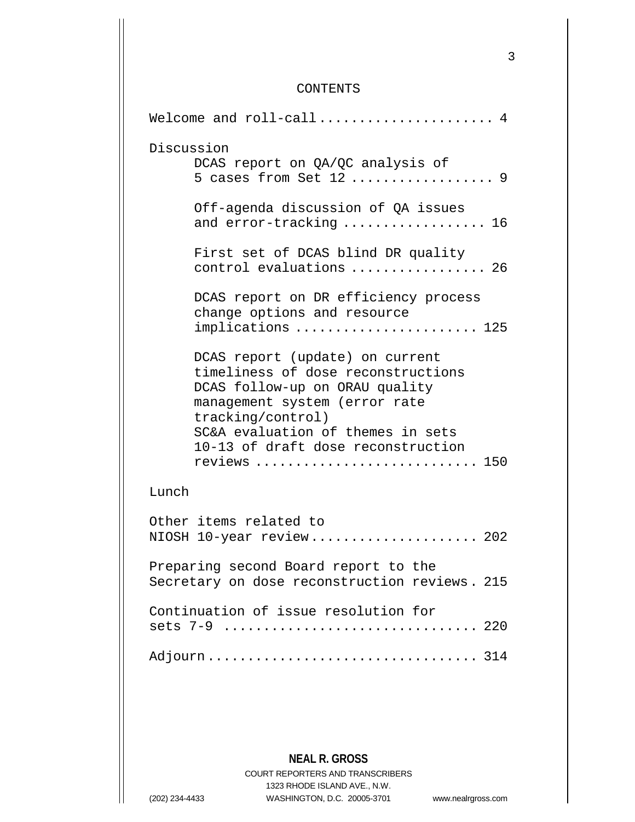## CONTENTS

| Welcome and $roll-call$ 4                                                                                                                                                                                                                                |
|----------------------------------------------------------------------------------------------------------------------------------------------------------------------------------------------------------------------------------------------------------|
| Discussion<br>DCAS report on QA/QC analysis of<br>5 cases from Set $12$ 9                                                                                                                                                                                |
| Off-agenda discussion of QA issues<br>and error-tracking  16                                                                                                                                                                                             |
| First set of DCAS blind DR quality<br>control evaluations  26                                                                                                                                                                                            |
| DCAS report on DR efficiency process<br>change options and resource<br>implications  125                                                                                                                                                                 |
| DCAS report (update) on current<br>timeliness of dose reconstructions<br>DCAS follow-up on ORAU quality<br>management system (error rate<br>tracking/control)<br>SC&A evaluation of themes in sets<br>10-13 of draft dose reconstruction<br>reviews  150 |
| Lunch                                                                                                                                                                                                                                                    |
| Other items related to<br>NIOSH 10-year review 202                                                                                                                                                                                                       |
| Preparing second Board report to the<br>Secretary on dose reconstruction reviews. 215                                                                                                                                                                    |
| Continuation of issue resolution for<br>sets 7-9  220                                                                                                                                                                                                    |
|                                                                                                                                                                                                                                                          |

**NEAL R. GROSS**

COURT REPORTERS AND TRANSCRIBERS 1323 RHODE ISLAND AVE., N.W. (202) 234-4433 WASHINGTON, D.C. 20005-3701 www.nealrgross.com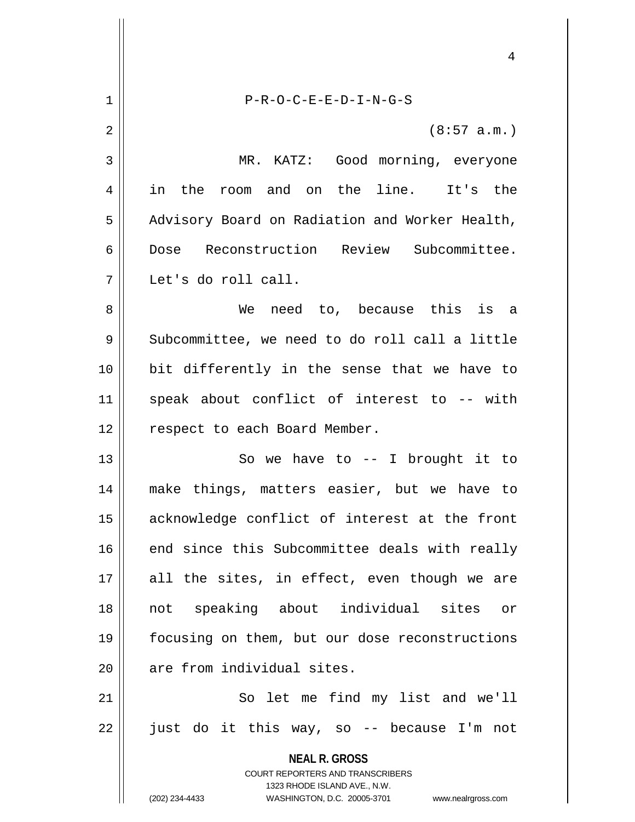|             | 4                                                                                                                                                               |
|-------------|-----------------------------------------------------------------------------------------------------------------------------------------------------------------|
| $\mathbf 1$ | $P-R-O-C-E-E-D-I-N-G-S$                                                                                                                                         |
| 2           | (8:57 a.m.)                                                                                                                                                     |
| 3           | MR. KATZ: Good morning, everyone                                                                                                                                |
| 4           | in<br>and on the line. It's the<br>the<br>room                                                                                                                  |
| 5           | Advisory Board on Radiation and Worker Health,                                                                                                                  |
| 6           | Reconstruction Review Subcommittee.<br>Dose                                                                                                                     |
| 7           | Let's do roll call.                                                                                                                                             |
| 8           | need to, because this is a<br>We                                                                                                                                |
| 9           | Subcommittee, we need to do roll call a little                                                                                                                  |
| 10          | bit differently in the sense that we have to                                                                                                                    |
| 11          | speak about conflict of interest to -- with                                                                                                                     |
| 12          | respect to each Board Member.                                                                                                                                   |
| 13          | So we have to $-$ - I brought it to                                                                                                                             |
| 14          | make things, matters easier, but we have to                                                                                                                     |
| 15          | acknowledge conflict of interest at the front                                                                                                                   |
| 16          | end since this Subcommittee deals with really                                                                                                                   |
| 17          | all the sites, in effect, even though we are                                                                                                                    |
| 18          | speaking about individual<br>sites<br>not<br>or                                                                                                                 |
| 19          | focusing on them, but our dose reconstructions                                                                                                                  |
| 20          | are from individual sites.                                                                                                                                      |
| 21          | So let me find my list and we'll                                                                                                                                |
| 22          | just do it this way, so -- because I'm not                                                                                                                      |
|             | <b>NEAL R. GROSS</b><br>COURT REPORTERS AND TRANSCRIBERS<br>1323 RHODE ISLAND AVE., N.W.<br>(202) 234-4433<br>WASHINGTON, D.C. 20005-3701<br>www.nealrgross.com |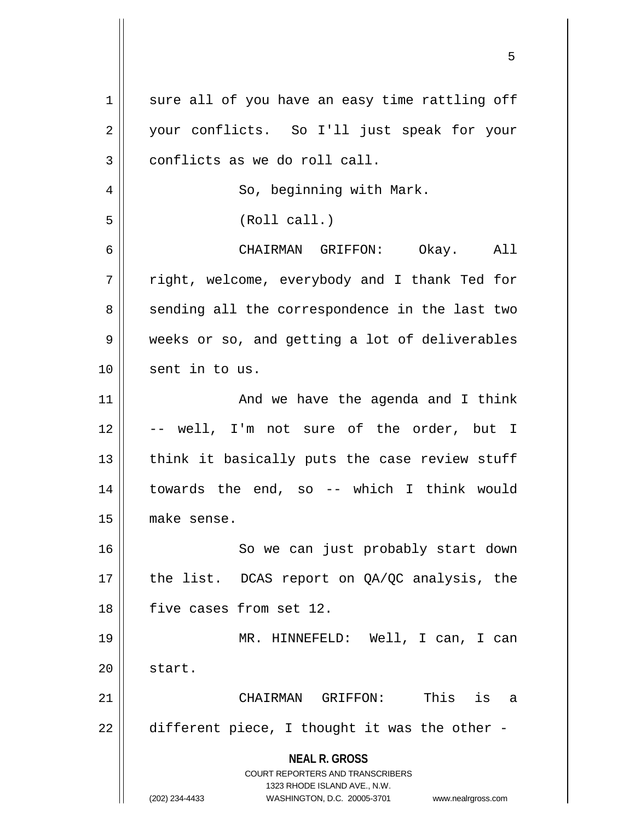| 1  | sure all of you have an easy time rattling off                      |
|----|---------------------------------------------------------------------|
| 2  | your conflicts. So I'll just speak for your                         |
| 3  | conflicts as we do roll call.                                       |
| 4  | So, beginning with Mark.                                            |
| 5  | (Roll call.)                                                        |
| 6  | CHAIRMAN GRIFFON: Okay. All                                         |
| 7  | right, welcome, everybody and I thank Ted for                       |
| 8  | sending all the correspondence in the last two                      |
| 9  | weeks or so, and getting a lot of deliverables                      |
| 10 | sent in to us.                                                      |
| 11 | And we have the agenda and I think                                  |
| 12 | -- well, I'm not sure of the order, but I                           |
| 13 | think it basically puts the case review stuff                       |
| 14 | towards the end, so -- which I think would                          |
| 15 | make sense.                                                         |
| 16 | So we can just probably start down                                  |
| 17 | the list. DCAS report on QA/QC analysis, the                        |
| 18 | five cases from set 12.                                             |
| 19 | MR. HINNEFELD: Well, I can, I can                                   |
| 20 | start.                                                              |
| 21 | CHAIRMAN GRIFFON: This is a                                         |
| 22 | different piece, I thought it was the other -                       |
|    |                                                                     |
|    | <b>NEAL R. GROSS</b><br><b>COURT REPORTERS AND TRANSCRIBERS</b>     |
|    | 1323 RHODE ISLAND AVE., N.W.                                        |
|    | (202) 234-4433<br>WASHINGTON, D.C. 20005-3701<br>www.nealrgross.com |

 $\mathsf{I}$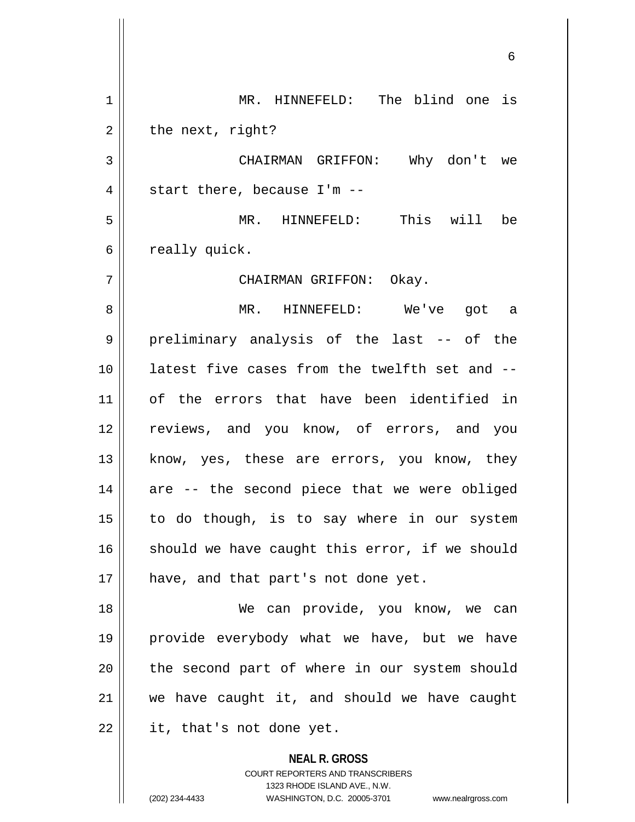**NEAL R. GROSS** COURT REPORTERS AND TRANSCRIBERS 1 || MR. HINNEFELD: The blind one is  $2 \parallel$  the next, right? CHAIRMAN GRIFFON: Why don't we  $4 \parallel$  start there, because I'm -- MR. HINNEFELD: This will be  $6 \parallel$  really quick. CHAIRMAN GRIFFON: Okay. MR. HINNEFELD: We've got a preliminary analysis of the last -- of the latest five cases from the twelfth set and -- of the errors that have been identified in reviews, and you know, of errors, and you 13 || know, yes, these are errors, you know, they are  $-$  the second piece that we were obliged to do though, is to say where in our system should we have caught this error, if we should 17 || have, and that part's not done yet. We can provide, you know, we can provide everybody what we have, but we have 20 || the second part of where in our system should we have caught it, and should we have caught || it, that's not done yet.

1323 RHODE ISLAND AVE., N.W.

(202) 234-4433 WASHINGTON, D.C. 20005-3701 www.nealrgross.com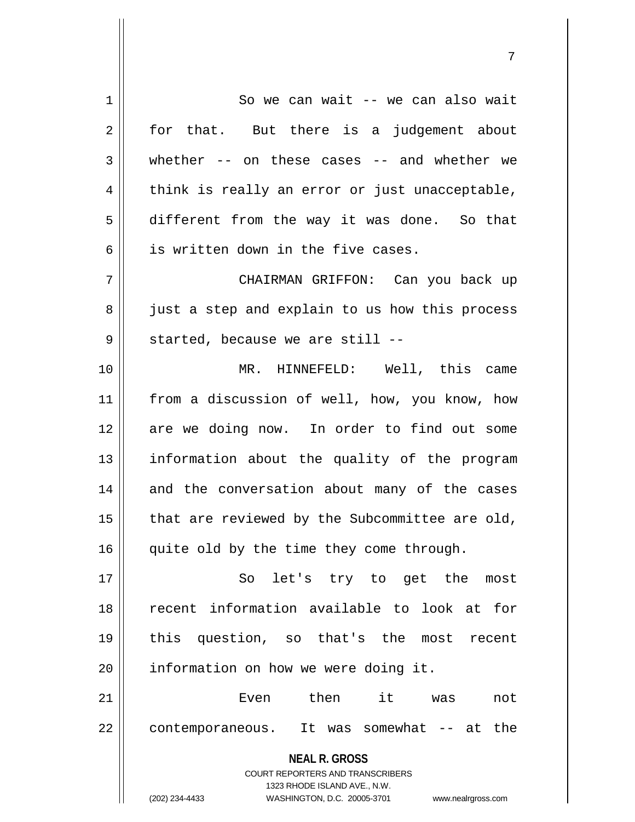**NEAL R. GROSS** COURT REPORTERS AND TRANSCRIBERS 1323 RHODE ISLAND AVE., N.W. (202) 234-4433 WASHINGTON, D.C. 20005-3701 www.nealrgross.com 1 || So we can wait -- we can also wait  $2 \parallel$  for that. But there is a judgement about 3 whether -- on these cases -- and whether we  $4 \parallel$  think is really an error or just unacceptable, 5 different from the way it was done. So that 6 | is written down in the five cases. 7 CHAIRMAN GRIFFON: Can you back up 8 just a step and explain to us how this process  $9 \parallel$  started, because we are still --10 MR. HINNEFELD: Well, this came 11 from a discussion of well, how, you know, how 12 || are we doing now. In order to find out some 13 || information about the quality of the program 14 and the conversation about many of the cases  $15$  | that are reviewed by the Subcommittee are old, 16 || quite old by the time they come through. 17 || So let's try to get the most 18 recent information available to look at for 19 this question, so that's the most recent  $20$  | information on how we were doing it. 21 Even then it was not 22 | contemporaneous. It was somewhat -- at the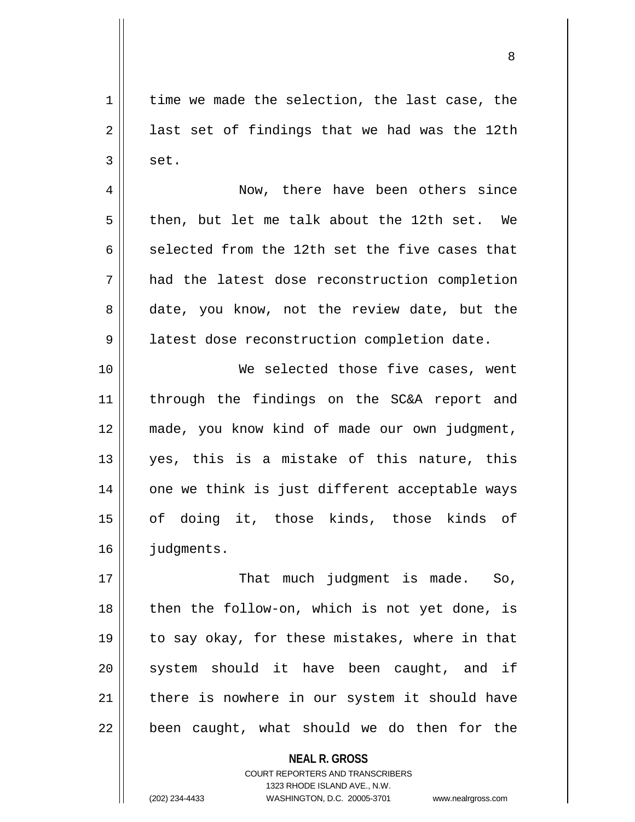$1 \parallel$  time we made the selection, the last case, the  $2 \parallel$  last set of findings that we had was the 12th  $3 \parallel$  set.

4 | Now, there have been others since  $5 \parallel$  then, but let me talk about the 12th set. We 6 selected from the 12th set the five cases that 7 had the latest dose reconstruction completion 8 date, you know, not the review date, but the 9 | latest dose reconstruction completion date.

10 We selected those five cases, went 11 || through the findings on the SC&A report and 12 made, you know kind of made our own judgment, 13 yes, this is a mistake of this nature, this 14 || one we think is just different acceptable ways 15 of doing it, those kinds, those kinds of 16 | judgments.

 That much judgment is made. So, || then the follow-on, which is not yet done, is to say okay, for these mistakes, where in that 20 || system should it have been caught, and if 21 there is nowhere in our system it should have || been caught, what should we do then for the

> **NEAL R. GROSS** COURT REPORTERS AND TRANSCRIBERS 1323 RHODE ISLAND AVE., N.W. (202) 234-4433 WASHINGTON, D.C. 20005-3701 www.nealrgross.com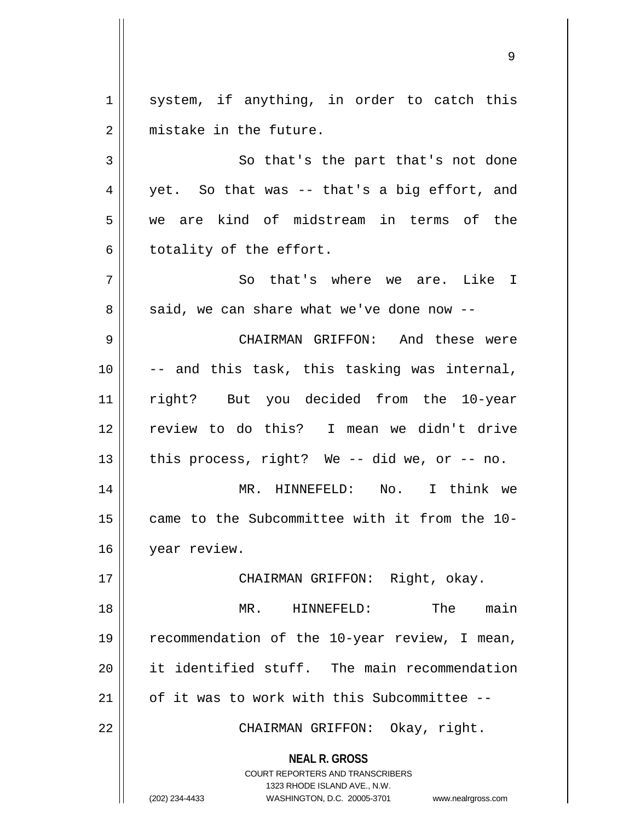$1 \parallel$  system, if anything, in order to catch this 2 mistake in the future. 3 So that's the part that's not done  $4 \parallel$  yet. So that was -- that's a big effort, and 5 we are kind of midstream in terms of the  $6 \parallel$  totality of the effort. 7 || So that's where we are. Like I  $8 \parallel$  said, we can share what we've done now --9 CHAIRMAN GRIFFON: And these were

  $\vert$  -- and this task, this tasking was internal, right? But you decided from the 10-year review to do this? I mean we didn't drive  $\parallel$  this process, right? We -- did we, or -- no. MR. HINNEFELD: No. I think we came to the Subcommittee with it from the 10-

16 | year review.

17 CHAIRMAN GRIFFON: Right, okay.

18 MR. HINNEFELD: The main 19 || recommendation of the 10-year review, I mean, 20 || it identified stuff. The main recommendation 21  $\parallel$  of it was to work with this Subcommittee --

22 || CHAIRMAN GRIFFON: Okay, right.

**NEAL R. GROSS** COURT REPORTERS AND TRANSCRIBERS

1323 RHODE ISLAND AVE., N.W. (202) 234-4433 WASHINGTON, D.C. 20005-3701 www.nealrgross.com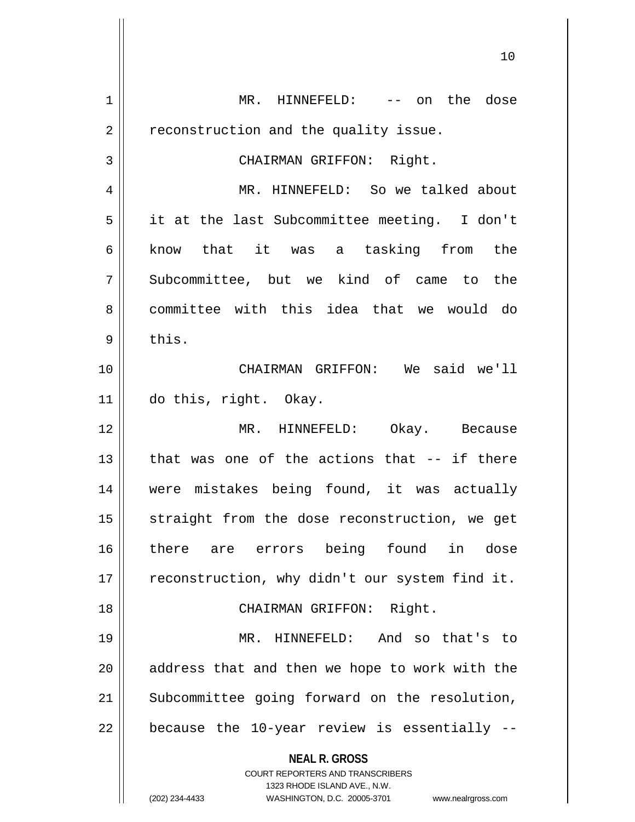| 1              | MR. HINNEFELD: -- on the dose                                           |
|----------------|-------------------------------------------------------------------------|
| 2              | reconstruction and the quality issue.                                   |
| 3              | CHAIRMAN GRIFFON: Right.                                                |
| $\overline{4}$ | MR. HINNEFELD: So we talked about                                       |
| 5              | it at the last Subcommittee meeting. I don't                            |
| 6              | know that it was a tasking from the                                     |
| 7              | Subcommittee, but we kind of came to the                                |
| 8              | committee with this idea that we would do                               |
| 9              | this.                                                                   |
| 10             | CHAIRMAN GRIFFON: We said we'll                                         |
| 11             | do this, right. Okay.                                                   |
| 12             | MR. HINNEFELD: Okay. Because                                            |
| 13             | that was one of the actions that -- if there                            |
| 14             | were mistakes being found, it was actually                              |
| 15             | straight from the dose reconstruction, we get                           |
| 16             | there are errors being found<br>in dose                                 |
| 17             | reconstruction, why didn't our system find it.                          |
| 18             | CHAIRMAN GRIFFON: Right.                                                |
| 19             | MR. HINNEFELD: And so that's to                                         |
| 20             | address that and then we hope to work with the                          |
| 21             | Subcommittee going forward on the resolution,                           |
|                |                                                                         |
| 22             | because the 10-year review is essentially --                            |
|                | <b>NEAL R. GROSS</b>                                                    |
|                | <b>COURT REPORTERS AND TRANSCRIBERS</b><br>1323 RHODE ISLAND AVE., N.W. |
|                | (202) 234-4433<br>WASHINGTON, D.C. 20005-3701<br>www.nealrgross.com     |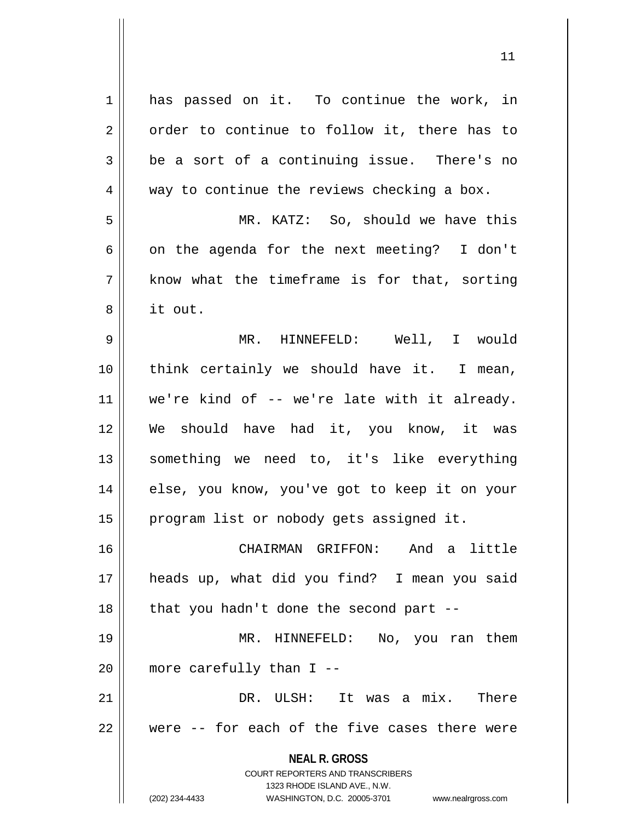**NEAL R. GROSS** COURT REPORTERS AND TRANSCRIBERS 1323 RHODE ISLAND AVE., N.W. (202) 234-4433 WASHINGTON, D.C. 20005-3701 www.nealrgross.com 1 has passed on it. To continue the work, in  $2 \parallel$  order to continue to follow it, there has to  $3 \parallel$  be a sort of a continuing issue. There's no  $4 \parallel$  way to continue the reviews checking a box. 5 MR. KATZ: So, should we have this 6 | on the agenda for the next meeting? I don't  $7 \parallel$  know what the timeframe is for that, sorting 8 it out. 9 MR. HINNEFELD: Well, I would 10 think certainly we should have it. I mean,  $11$  we're kind of -- we're late with it already. 12 We should have had it, you know, it was 13 || something we need to, it's like everything 14 || else, you know, you've got to keep it on your 15 || program list or nobody gets assigned it. 16 CHAIRMAN GRIFFON: And a little 17 heads up, what did you find? I mean you said  $18$  || that you hadn't done the second part --19 MR. HINNEFELD: No, you ran them  $20$  || more carefully than I --21 DR. ULSH: It was a mix. There 22 || were -- for each of the five cases there were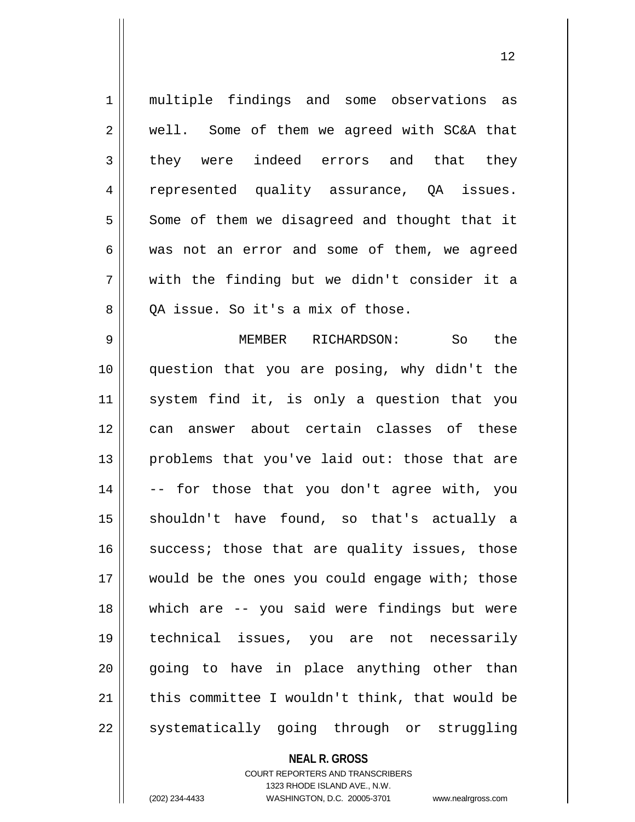1 multiple findings and some observations as 2 | well. Some of them we agreed with SC&A that 3 || they were indeed errors and that they 4 || represented quality assurance, QA issues.  $5 \parallel$  Some of them we disagreed and thought that it 6 was not an error and some of them, we agreed  $7 \parallel$  with the finding but we didn't consider it a  $8 \parallel$  OA issue. So it's a mix of those. 9 MEMBER RICHARDSON: So the 10 question that you are posing, why didn't the 11 system find it, is only a question that you 12 can answer about certain classes of these 13 || problems that you've laid out: those that are  $14$   $\vert$  -- for those that you don't agree with, you 15 shouldn't have found, so that's actually a  $16$  success; those that are quality issues, those 17 would be the ones you could engage with; those 18 which are -- you said were findings but were 19 technical issues, you are not necessarily  $20$  || going to have in place anything other than  $21$  | this committee I wouldn't think, that would be 22 || systematically going through or struggling

> **NEAL R. GROSS** COURT REPORTERS AND TRANSCRIBERS

1323 RHODE ISLAND AVE., N.W. (202) 234-4433 WASHINGTON, D.C. 20005-3701 www.nealrgross.com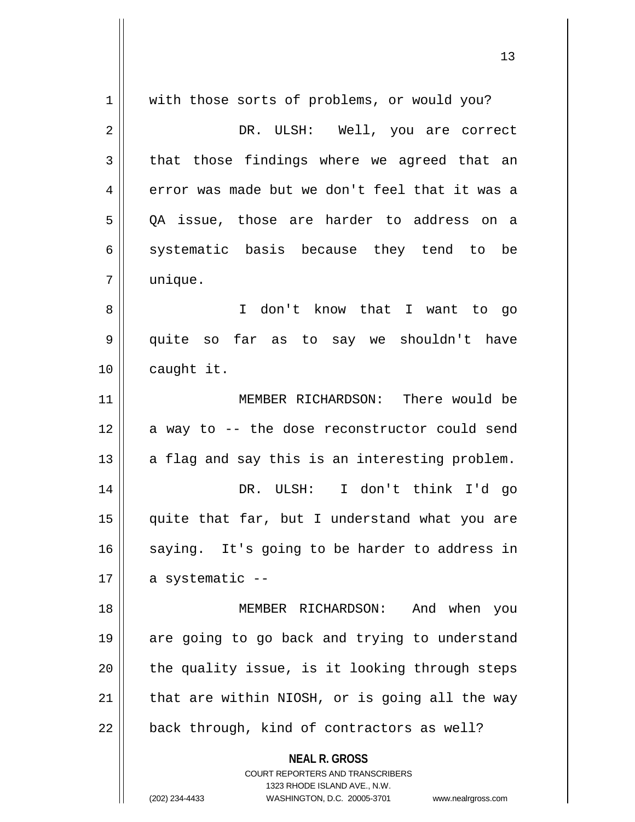| $\mathbf 1$ | with those sorts of problems, or would you?                         |
|-------------|---------------------------------------------------------------------|
| 2           | DR. ULSH: Well, you are correct                                     |
| 3           | that those findings where we agreed that an                         |
| 4           | error was made but we don't feel that it was a                      |
| 5           | QA issue, those are harder to address on a                          |
| 6           | systematic basis because they tend to be                            |
| 7           | unique.                                                             |
| 8           | I don't know that I want to go                                      |
| 9           | quite so far as to say we shouldn't have                            |
| 10          | caught it.                                                          |
| 11          | MEMBER RICHARDSON: There would be                                   |
| 12          | a way to -- the dose reconstructor could send                       |
| 13          | a flag and say this is an interesting problem.                      |
| 14          | DR. ULSH: I don't think I'd go                                      |
| 15          | quite that far, but I understand what you are                       |
| 16          | saying. It's going to be harder to address in                       |
| 17          | a systematic --                                                     |
| 18          | MEMBER RICHARDSON: And when you                                     |
| 19          | are going to go back and trying to understand                       |
| 20          | the quality issue, is it looking through steps                      |
| 21          | that are within NIOSH, or is going all the way                      |
| 22          | back through, kind of contractors as well?                          |
|             |                                                                     |
|             | <b>NEAL R. GROSS</b><br><b>COURT REPORTERS AND TRANSCRIBERS</b>     |
|             | 1323 RHODE ISLAND AVE., N.W.                                        |
|             | (202) 234-4433<br>WASHINGTON, D.C. 20005-3701<br>www.nealrgross.com |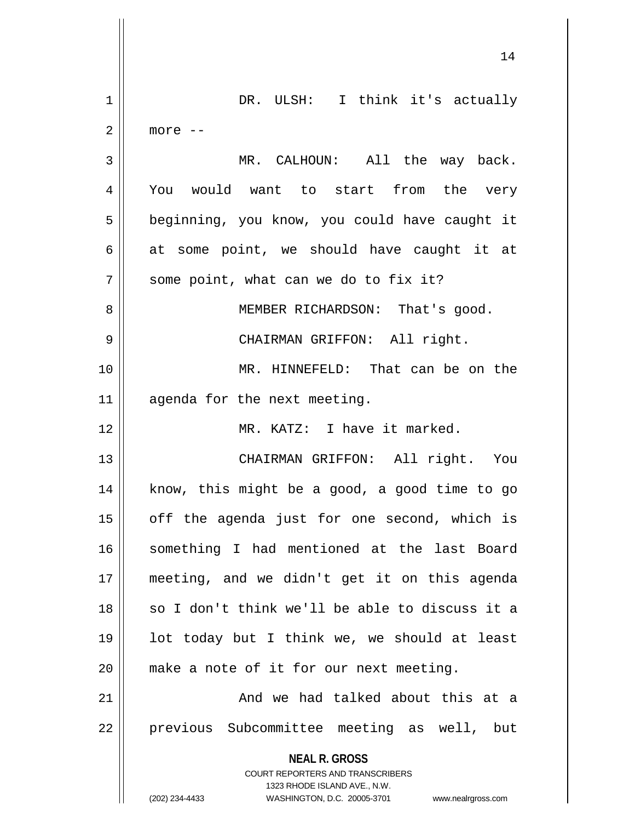|             | 14                                                                  |
|-------------|---------------------------------------------------------------------|
| $\mathbf 1$ | DR. ULSH: I think it's actually                                     |
| 2           | more --                                                             |
| 3           | MR. CALHOUN: All the way back.                                      |
| 4           | You would want to start from the very                               |
| 5           | beginning, you know, you could have caught it                       |
| 6           | at some point, we should have caught it at                          |
| 7           | some point, what can we do to fix it?                               |
| 8           | MEMBER RICHARDSON: That's good.                                     |
| 9           | CHAIRMAN GRIFFON: All right.                                        |
| 10          | MR. HINNEFELD: That can be on the                                   |
| 11          | agenda for the next meeting.                                        |
| 12          | MR. KATZ: I have it marked.                                         |
| 13          | CHAIRMAN GRIFFON: All right. You                                    |
| 14          | know, this might be a good, a good time to go                       |
| 15          | off the agenda just for one second, which is                        |
| 16          | something I had mentioned at the last Board                         |
| 17          | meeting, and we didn't get it on this agenda                        |
| 18          | so I don't think we'll be able to discuss it a                      |
| 19          | lot today but I think we, we should at least                        |
| 20          | make a note of it for our next meeting.                             |
| 21          | And we had talked about this at a                                   |
| 22          | previous Subcommittee meeting as well, but                          |
|             | <b>NEAL R. GROSS</b>                                                |
|             | COURT REPORTERS AND TRANSCRIBERS<br>1323 RHODE ISLAND AVE., N.W.    |
|             | (202) 234-4433<br>WASHINGTON, D.C. 20005-3701<br>www.nealrgross.com |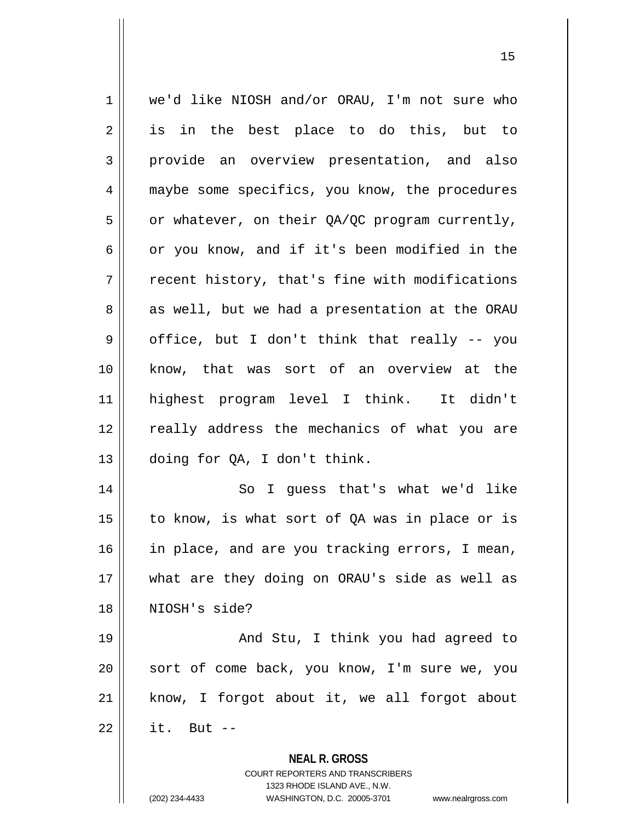| $\mathbf 1$ | we'd like NIOSH and/or ORAU, I'm not sure who                                                       |
|-------------|-----------------------------------------------------------------------------------------------------|
| 2           | is in the best place to do this, but to                                                             |
| 3           | provide an overview presentation, and also                                                          |
| 4           | maybe some specifics, you know, the procedures                                                      |
| 5           | or whatever, on their QA/QC program currently,                                                      |
| 6           | or you know, and if it's been modified in the                                                       |
| 7           | recent history, that's fine with modifications                                                      |
| 8           | as well, but we had a presentation at the ORAU                                                      |
| 9           | office, but I don't think that really -- you                                                        |
| 10          | know, that was sort of an overview at the                                                           |
| 11          | highest program level I think. It didn't                                                            |
| 12          | really address the mechanics of what you are                                                        |
| 13          | doing for QA, I don't think.                                                                        |
| 14          | So I guess that's what we'd like                                                                    |
| 15          | to know, is what sort of QA was in place or is                                                      |
| 16          | in place, and are you tracking errors, I mean,                                                      |
| 17          | what are they doing on ORAU's side as well as                                                       |
| 18          | NIOSH's side?                                                                                       |
| 19          | And Stu, I think you had agreed to                                                                  |
| 20          | sort of come back, you know, I'm sure we, you                                                       |
| 21          | know, I forgot about it, we all forgot about                                                        |
| 22          | it. But $--$                                                                                        |
|             | <b>NEAL R. GROSS</b>                                                                                |
|             | <b>COURT REPORTERS AND TRANSCRIBERS</b>                                                             |
|             | 1323 RHODE ISLAND AVE., N.W.<br>(202) 234-4433<br>WASHINGTON, D.C. 20005-3701<br>www.nealrgross.com |
|             |                                                                                                     |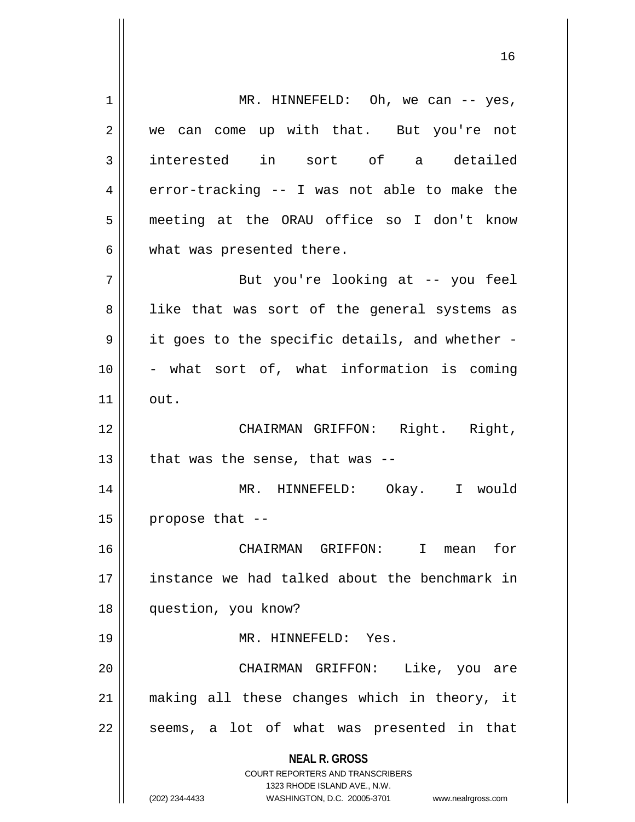**NEAL R. GROSS** COURT REPORTERS AND TRANSCRIBERS 1323 RHODE ISLAND AVE., N.W. (202) 234-4433 WASHINGTON, D.C. 20005-3701 www.nealrgross.com 1 || MR. HINNEFELD: Oh, we can -- yes, 2 we can come up with that. But you're not 3 interested in sort of a detailed  $4 \parallel$  error-tracking -- I was not able to make the 5 meeting at the ORAU office so I don't know  $6 \parallel$  what was presented there. 7 || But you're looking at -- you feel 8 || like that was sort of the general systems as  $9 \parallel$  it goes to the specific details, and whether - $10$  | - what sort of, what information is coming  $11$  out. 12 CHAIRMAN GRIFFON: Right. Right,  $13$  | that was the sense, that was --14 MR. HINNEFELD: Okay. I would  $15$  | propose that  $-$ 16 CHAIRMAN GRIFFON: I mean for 17 instance we had talked about the benchmark in 18 question, you know? 19 MR. HINNEFELD: Yes. 20 CHAIRMAN GRIFFON: Like, you are 21 making all these changes which in theory, it  $22$  || seems, a lot of what was presented in that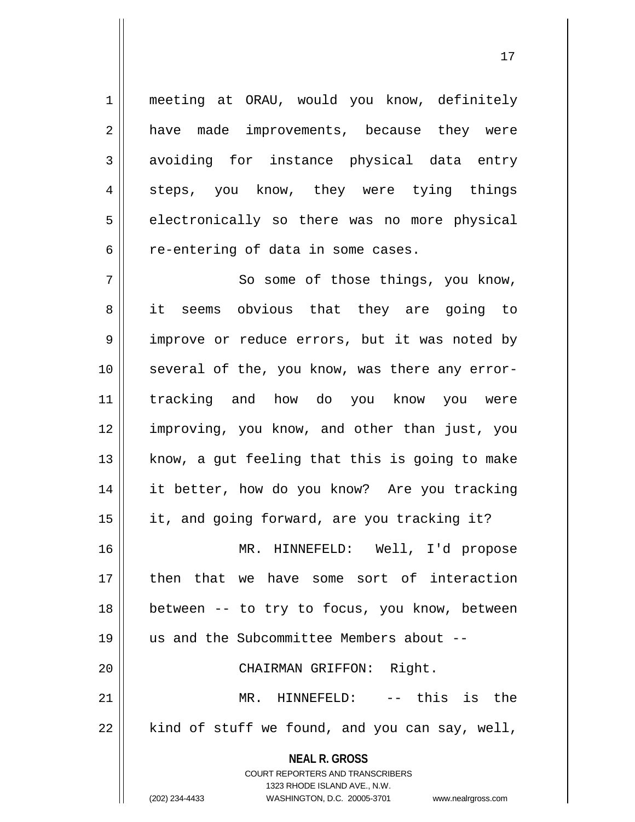1 || meeting at ORAU, would you know, definitely 2 || have made improvements, because they were 3 avoiding for instance physical data entry 4 steps, you know, they were tying things 5 | electronically so there was no more physical 6 | re-entering of data in some cases.

**NEAL R. GROSS** COURT REPORTERS AND TRANSCRIBERS 7 || So some of those things, you know, 8 || it seems obvious that they are going to 9 || improve or reduce errors, but it was noted by 10 several of the, you know, was there any error-11 tracking and how do you know you were 12 improving, you know, and other than just, you  $13$  know, a gut feeling that this is going to make 14 it better, how do you know? Are you tracking 15 | it, and going forward, are you tracking it? 16 MR. HINNEFELD: Well, I'd propose 17 then that we have some sort of interaction 18 || between -- to try to focus, you know, between 19 us and the Subcommittee Members about -- 20 || CHAIRMAN GRIFFON: Right. 21 || MR. HINNEFELD: -- this is the  $22$  | kind of stuff we found, and you can say, well,

> 1323 RHODE ISLAND AVE., N.W. (202) 234-4433 WASHINGTON, D.C. 20005-3701 www.nealrgross.com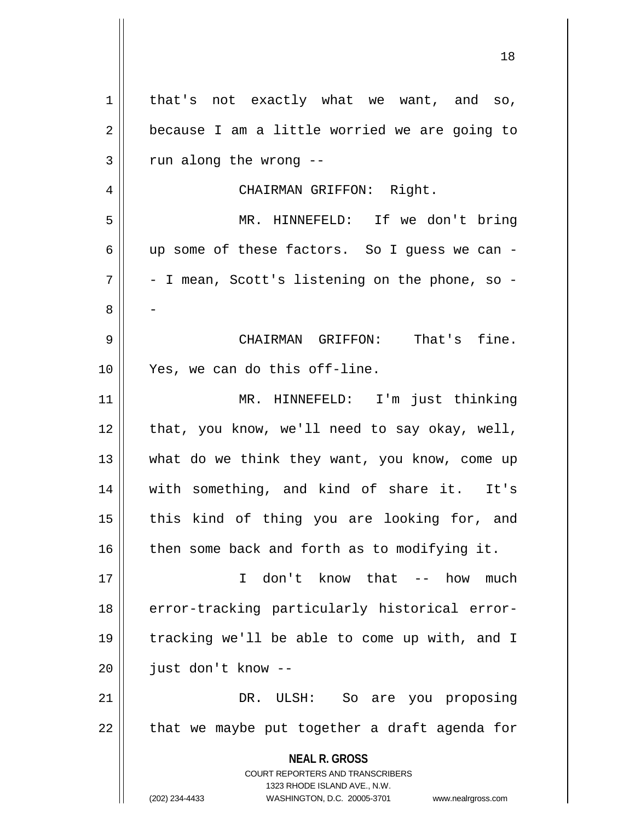**NEAL R. GROSS** COURT REPORTERS AND TRANSCRIBERS 1323 RHODE ISLAND AVE., N.W. (202) 234-4433 WASHINGTON, D.C. 20005-3701 www.nealrgross.com 1 | that's not exactly what we want, and so,  $2 \parallel$  because I am a little worried we are going to  $3$  | run along the wrong  $-$ 4 CHAIRMAN GRIFFON: Right. 5 MR. HINNEFELD: If we don't bring 6 up some of these factors. So I guess we can -  $7 \parallel$  - I mean, Scott's listening on the phone, so -8 - 9 CHAIRMAN GRIFFON: That's fine. 10 Yes, we can do this off-line. 11 MR. HINNEFELD: I'm just thinking 12 || that, you know, we'll need to say okay, well, 13 || what do we think they want, you know, come up 14 with something, and kind of share it. It's 15 || this kind of thing you are looking for, and  $16$  | then some back and forth as to modifying it. 17 I don't know that -- how much 18 error-tracking particularly historical error-19 tracking we'll be able to come up with, and I  $20$  | just don't know --21 DR. ULSH: So are you proposing  $22$  || that we maybe put together a draft agenda for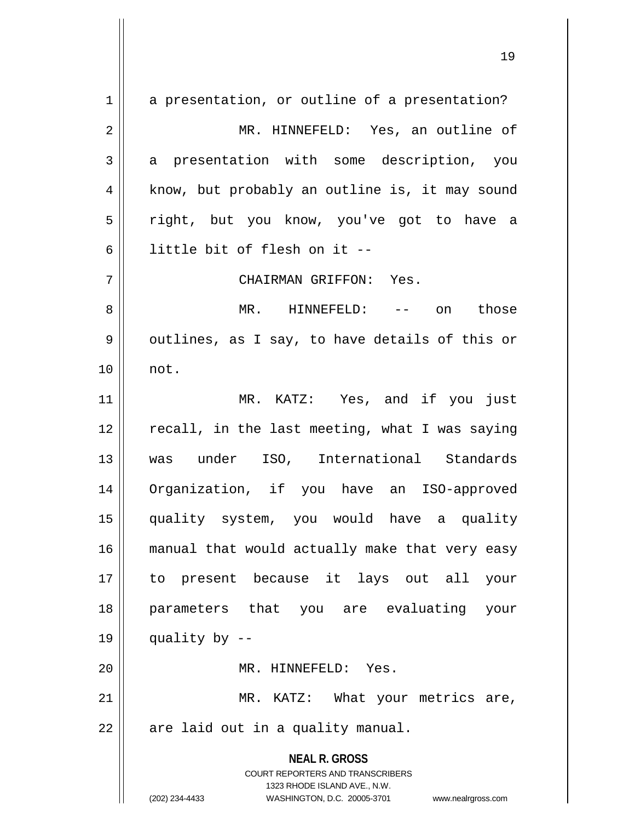**NEAL R. GROSS** COURT REPORTERS AND TRANSCRIBERS 1323 RHODE ISLAND AVE., N.W. (202) 234-4433 WASHINGTON, D.C. 20005-3701 www.nealrgross.com  $1 \parallel$  a presentation, or outline of a presentation? 2 || MR. HINNEFELD: Yes, an outline of 3 a presentation with some description, you 4 || know, but probably an outline is, it may sound 5 || right, but you know, you've got to have a 6 little bit of flesh on it -- 7 CHAIRMAN GRIFFON: Yes. 8 MR. HINNEFELD: -- on those  $9 \parallel$  outlines, as I say, to have details of this or 10 not. 11 MR. KATZ: Yes, and if you just  $12$   $\parallel$  recall, in the last meeting, what I was saying 13 was under ISO, International Standards 14 Organization, if you have an ISO-approved 15 quality system, you would have a quality 16 || manual that would actually make that very easy 17 to present because it lays out all your 18 parameters that you are evaluating your 19  $\parallel$  quality by --20 || MR. HINNEFELD: Yes. 21 || MR. KATZ: What your metrics are,  $22$  | are laid out in a quality manual.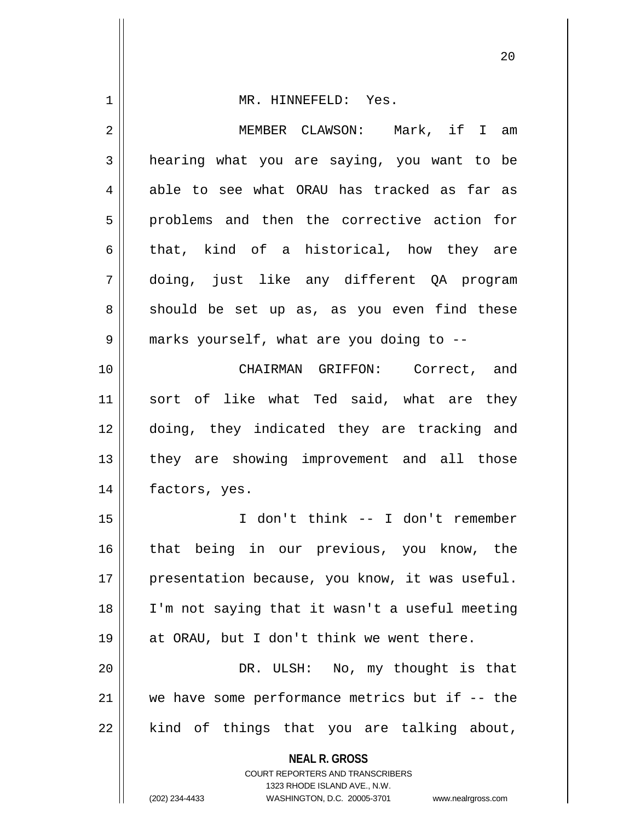| 1  | MR. HINNEFELD: Yes.                                              |
|----|------------------------------------------------------------------|
| 2  | MEMBER CLAWSON: Mark, if I am                                    |
| 3  | hearing what you are saying, you want to be                      |
| 4  | able to see what ORAU has tracked as far as                      |
| 5  | problems and then the corrective action for                      |
| 6  | that, kind of a historical, how they are                         |
| 7  | doing, just like any different QA program                        |
| 8  | should be set up as, as you even find these                      |
| 9  | marks yourself, what are you doing to --                         |
| 10 | CHAIRMAN GRIFFON: Correct, and                                   |
| 11 | sort of like what Ted said, what are they                        |
| 12 | doing, they indicated they are tracking and                      |
| 13 | they are showing improvement and all those                       |
| 14 | factors, yes.                                                    |
| 15 | I don't think -- I don't remember                                |
| 16 | that being in our previous, you know, the                        |
| 17 | presentation because, you know, it was useful.                   |
| 18 | I'm not saying that it wasn't a useful meeting                   |
| 19 | at ORAU, but I don't think we went there.                        |
| 20 | DR. ULSH: No, my thought is that                                 |
| 21 | we have some performance metrics but if $-$ - the                |
| 22 | kind of things that you are talking about,                       |
|    | <b>NEAL R. GROSS</b><br><b>COURT REPORTERS AND TRANSCRIBERS</b>  |
|    | 1323 RHODE ISLAND AVE., N.W.                                     |
|    | (202) 234-4433<br>WASHINGTON, D.C. 20005-3701 www.nealrgross.com |

 $\mathsf{I}$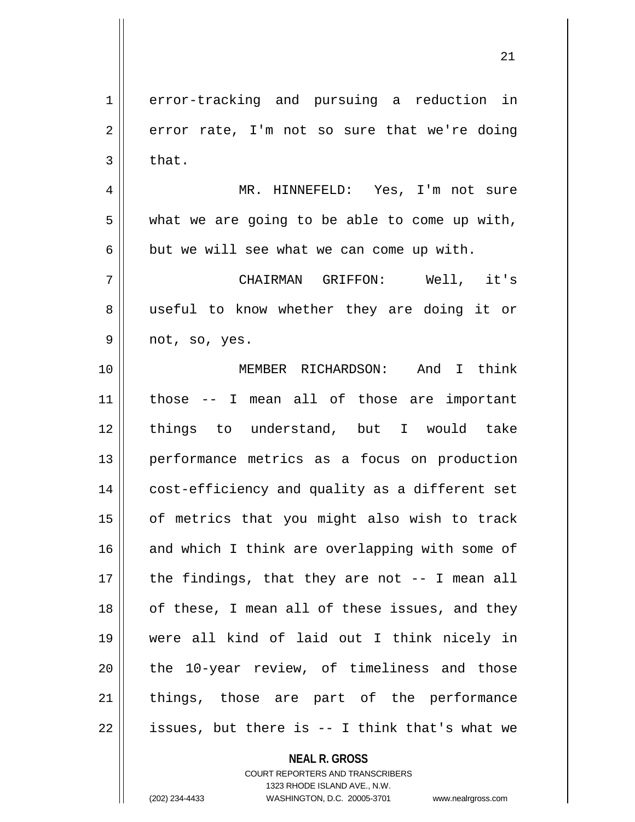1 error-tracking and pursuing a reduction in  $2 \parallel$  error rate, I'm not so sure that we're doing  $3 \parallel$  that. 4 MR. HINNEFELD: Yes, I'm not sure  $5 \parallel$  what we are going to be able to come up with,  $6 \parallel$  but we will see what we can come up with. 7 CHAIRMAN GRIFFON: Well, it's 8 || useful to know whether they are doing it or  $9 \parallel$  not, so, yes. 10 MEMBER RICHARDSON: And I think 11 those -- I mean all of those are important 12 things to understand, but I would take 13 performance metrics as a focus on production 14 || cost-efficiency and quality as a different set 15 || of metrics that you might also wish to track 16 and which I think are overlapping with some of  $17$  || the findings, that they are not  $-$ - I mean all 18 || of these, I mean all of these issues, and they 19 were all kind of laid out I think nicely in 20 || the 10-year review, of timeliness and those 21 || things, those are part of the performance

 $22 \parallel$  issues, but there is -- I think that's what we

**NEAL R. GROSS**

COURT REPORTERS AND TRANSCRIBERS 1323 RHODE ISLAND AVE., N.W. (202) 234-4433 WASHINGTON, D.C. 20005-3701 www.nealrgross.com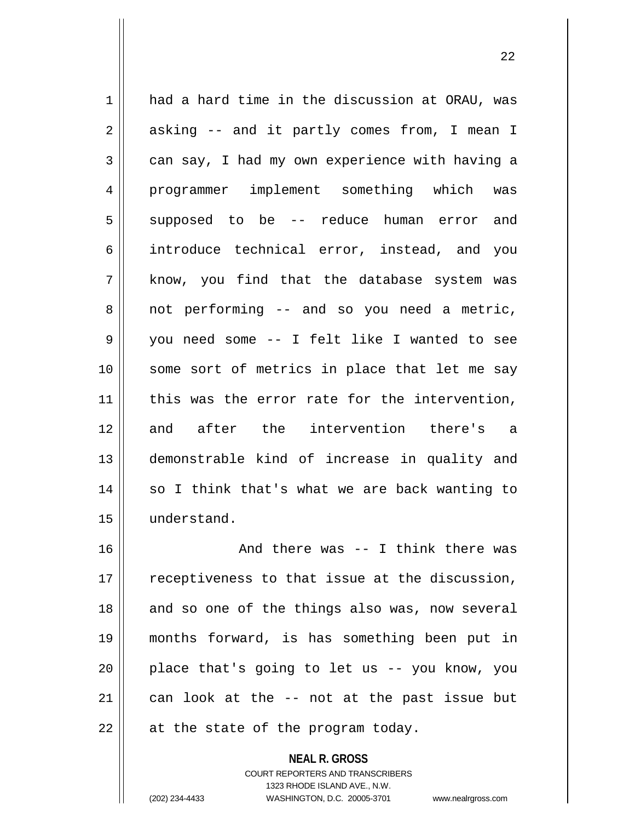1 had a hard time in the discussion at ORAU, was  $2 \parallel$  asking -- and it partly comes from, I mean I  $3 \parallel$  can say, I had my own experience with having a 4 programmer implement something which was 5 supposed to be -- reduce human error and 6 introduce technical error, instead, and you  $7 \parallel$  know, you find that the database system was  $8 \parallel$  not performing -- and so you need a metric, 9 you need some -- I felt like I wanted to see 10 || some sort of metrics in place that let me say 11 || this was the error rate for the intervention, 12 and after the intervention there's a 13 demonstrable kind of increase in quality and 14 || so I think that's what we are back wanting to 15 understand. 16 And there was -- I think there was  $17$   $\parallel$  receptiveness to that issue at the discussion, 18 || and so one of the things also was, now several 19 months forward, is has something been put in  $20$  || place that's going to let us  $-$ - you know, you  $21$  can look at the  $-$  not at the past issue but  $22$  || at the state of the program today.

> COURT REPORTERS AND TRANSCRIBERS 1323 RHODE ISLAND AVE., N.W. (202) 234-4433 WASHINGTON, D.C. 20005-3701 www.nealrgross.com

**NEAL R. GROSS**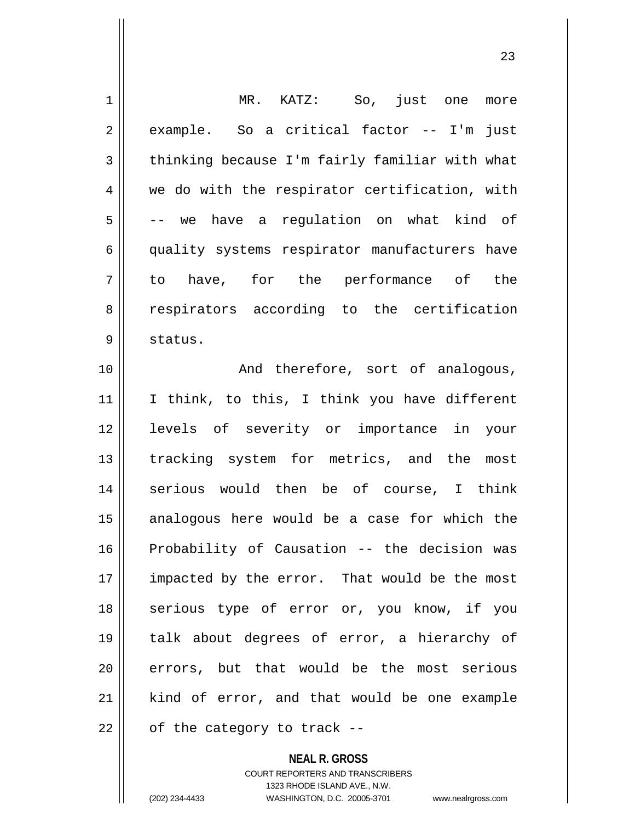| 1  | MR. KATZ: So, just one<br>more                 |
|----|------------------------------------------------|
| 2  | example. So a critical factor -- I'm<br>just   |
| 3  | thinking because I'm fairly familiar with what |
| 4  | we do with the respirator certification, with  |
| 5  | -- we have a regulation on what kind of        |
| 6  | quality systems respirator manufacturers have  |
| 7  | to have, for the performance of the            |
| 8  | respirators according to the certification     |
| 9  | status.                                        |
| 10 | And therefore, sort of analogous,              |
| 11 | I think, to this, I think you have different   |
| 12 | levels of severity or importance in your       |
| 13 | tracking system for metrics, and the<br>most   |
| 14 | serious would then be of course, I think       |
| 15 | analogous here would be a case for which the   |
| 16 | Probability of Causation -- the decision was   |
| 17 | impacted by the error. That would be the most  |
| 18 | serious type of error or, you know, if you     |
| 19 | talk about degrees of error, a hierarchy of    |
| 20 | errors, but that would be the most serious     |
| 21 | kind of error, and that would be one example   |
| 22 | of the category to track --                    |
|    |                                                |

**NEAL R. GROSS**

COURT REPORTERS AND TRANSCRIBERS 1323 RHODE ISLAND AVE., N.W. (202) 234-4433 WASHINGTON, D.C. 20005-3701 www.nealrgross.com

 $\mathsf{II}$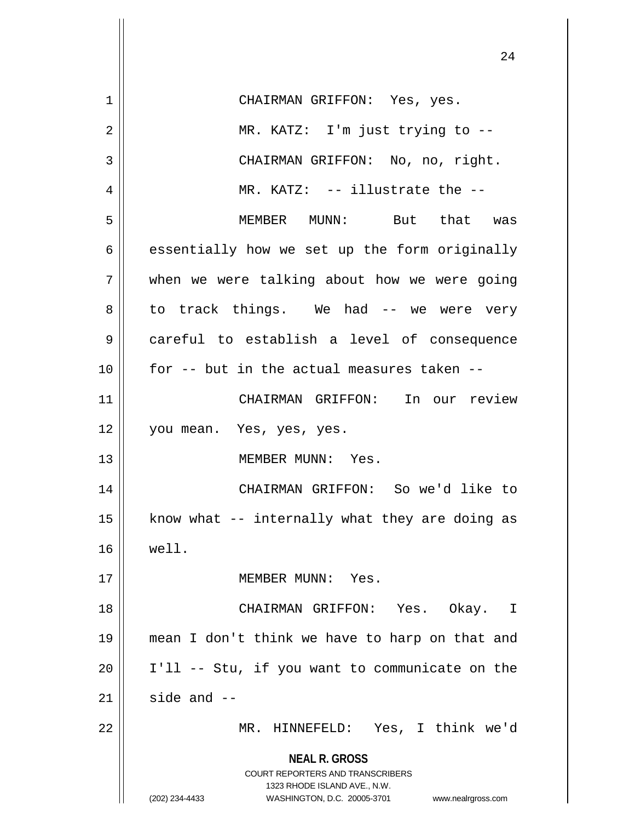| 1  | CHAIRMAN GRIFFON: Yes, yes.                                                                                                                                            |
|----|------------------------------------------------------------------------------------------------------------------------------------------------------------------------|
| 2  | MR. KATZ: I'm just trying to --                                                                                                                                        |
| 3  | CHAIRMAN GRIFFON: No, no, right.                                                                                                                                       |
| 4  | MR. KATZ: -- illustrate the --                                                                                                                                         |
| 5  | MEMBER MUNN: But that was                                                                                                                                              |
| 6  | essentially how we set up the form originally                                                                                                                          |
| 7  | when we were talking about how we were going                                                                                                                           |
| 8  | to track things. We had -- we were very                                                                                                                                |
| 9  | careful to establish a level of consequence                                                                                                                            |
| 10 | for -- but in the actual measures taken --                                                                                                                             |
| 11 | CHAIRMAN GRIFFON: In our review                                                                                                                                        |
| 12 | you mean. Yes, yes, yes.                                                                                                                                               |
| 13 | MEMBER MUNN: Yes.                                                                                                                                                      |
| 14 | CHAIRMAN GRIFFON: So we'd like to                                                                                                                                      |
| 15 | know what -- internally what they are doing as                                                                                                                         |
| 16 | well.                                                                                                                                                                  |
| 17 | MEMBER MUNN: Yes.                                                                                                                                                      |
| 18 | CHAIRMAN GRIFFON: Yes. Okay. I                                                                                                                                         |
| 19 | mean I don't think we have to harp on that and                                                                                                                         |
| 20 | I'll -- Stu, if you want to communicate on the                                                                                                                         |
| 21 | side and $-$                                                                                                                                                           |
| 22 | MR. HINNEFELD: Yes, I think we'd                                                                                                                                       |
|    | <b>NEAL R. GROSS</b><br><b>COURT REPORTERS AND TRANSCRIBERS</b><br>1323 RHODE ISLAND AVE., N.W.<br>(202) 234-4433<br>WASHINGTON, D.C. 20005-3701<br>www.nealrgross.com |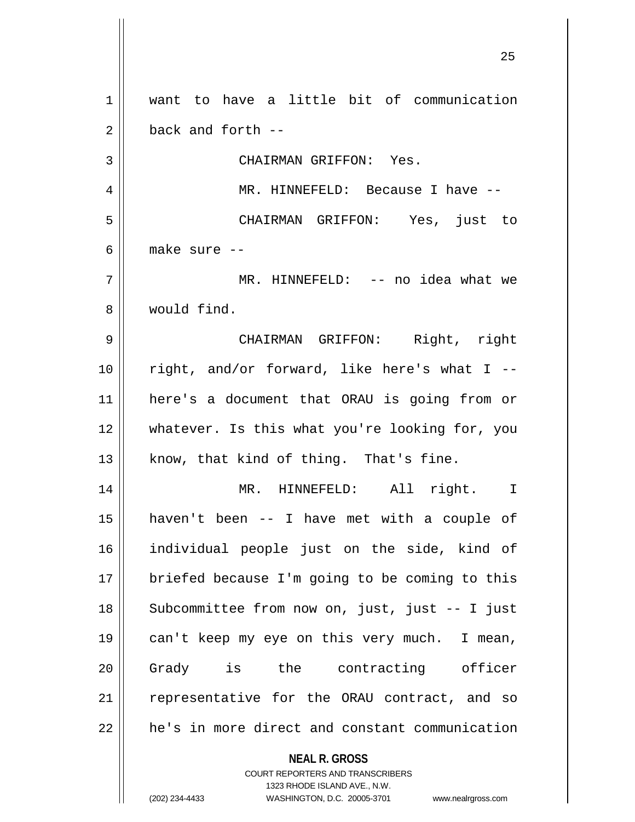**NEAL R. GROSS** COURT REPORTERS AND TRANSCRIBERS 1323 RHODE ISLAND AVE., N.W. want to have a little bit of communication  $2 \parallel$  back and forth  $-$  CHAIRMAN GRIFFON: Yes. MR. HINNEFELD: Because I have -- CHAIRMAN GRIFFON: Yes, just to make sure -- MR. HINNEFELD: -- no idea what we would find. CHAIRMAN GRIFFON: Right, right || right, and/or forward, like here's what I -- here's a document that ORAU is going from or whatever. Is this what you're looking for, you know, that kind of thing. That's fine. MR. HINNEFELD: All right. I haven't been -- I have met with a couple of individual people just on the side, kind of 17 || briefed because I'm going to be coming to this 18 || Subcommittee from now on, just, just -- I just can't keep my eye on this very much. I mean, Grady is the contracting officer 21 || representative for the ORAU contract, and so 22 | he's in more direct and constant communication

(202) 234-4433 WASHINGTON, D.C. 20005-3701 www.nealrgross.com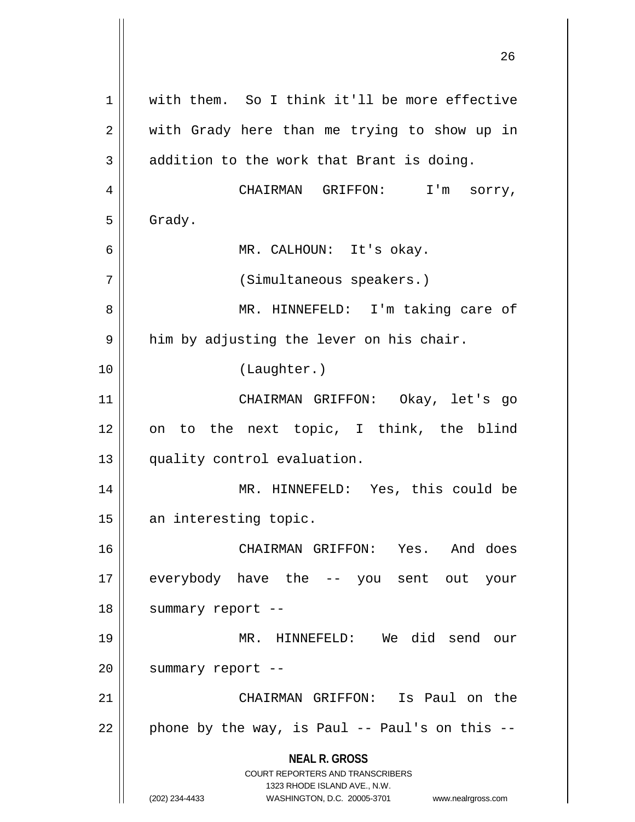**NEAL R. GROSS** COURT REPORTERS AND TRANSCRIBERS 1323 RHODE ISLAND AVE., N.W. (202) 234-4433 WASHINGTON, D.C. 20005-3701 www.nealrgross.com 1 || with them. So I think it'll be more effective 2 with Grady here than me trying to show up in  $3 \parallel$  addition to the work that Brant is doing. 4 | CHAIRMAN GRIFFON: I'm sorry,  $5 \parallel$  Grady. 6 MR. CALHOUN: It's okay. 7 || (Simultaneous speakers.) 8 MR. HINNEFELD: I'm taking care of  $9 \parallel$  him by adjusting the lever on his chair. 10 (Laughter.) 11 CHAIRMAN GRIFFON: Okay, let's go 12 on to the next topic, I think, the blind 13 || quality control evaluation. 14 || MR. HINNEFELD: Yes, this could be 15 || an interesting topic. 16 CHAIRMAN GRIFFON: Yes. And does 17 everybody have the -- you sent out your 18 || summary report --19 MR. HINNEFELD: We did send our  $20$  || summary report --21 CHAIRMAN GRIFFON: Is Paul on the  $22$  | phone by the way, is Paul -- Paul's on this --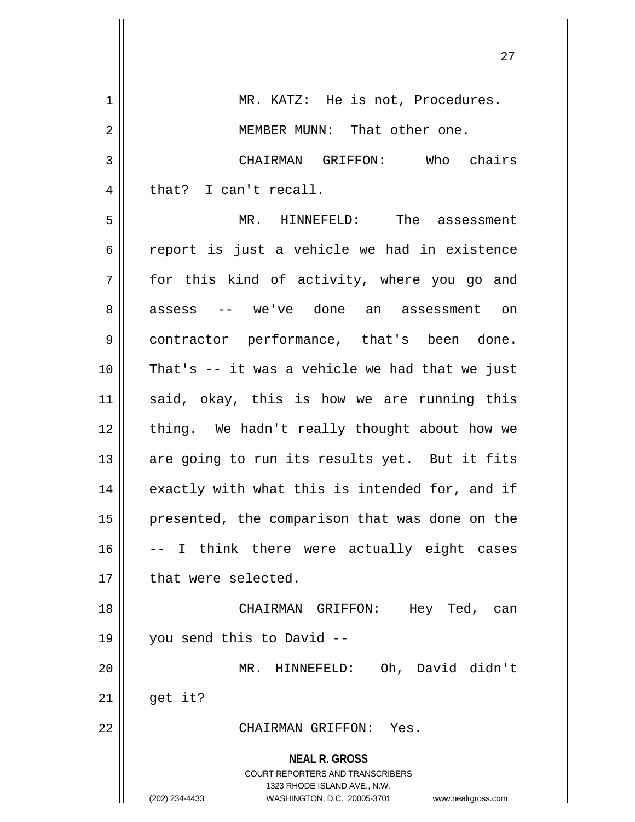| 1              | MR. KATZ: He is not, Procedures.                                    |
|----------------|---------------------------------------------------------------------|
| $\overline{2}$ | MEMBER MUNN: That other one.                                        |
| 3              | CHAIRMAN GRIFFON: Who chairs                                        |
| 4              | that? I can't recall.                                               |
| 5              | MR. HINNEFELD: The assessment                                       |
| 6              | report is just a vehicle we had in existence                        |
| 7              | for this kind of activity, where you go and                         |
| 8              | assess -- we've done an assessment on                               |
| 9              | contractor performance, that's been done.                           |
| 10             | That's -- it was a vehicle we had that we just                      |
| 11             | said, okay, this is how we are running this                         |
| 12             | thing. We hadn't really thought about how we                        |
| 13             | are going to run its results yet. But it fits                       |
| 14             | exactly with what this is intended for, and if                      |
| 15             | presented, the comparison that was done on the                      |
| 16             | -- I think there were actually eight cases                          |
| 17             | that were selected.                                                 |
| 18             | CHAIRMAN GRIFFON:<br>Hey Ted,<br>can                                |
| 19             | you send this to David --                                           |
| 20             | Oh, David didn't<br>MR. HINNEFELD:                                  |
| 21             | get it?                                                             |
| 22             | CHAIRMAN GRIFFON: Yes.                                              |
|                | <b>NEAL R. GROSS</b><br><b>COURT REPORTERS AND TRANSCRIBERS</b>     |
|                | 1323 RHODE ISLAND AVE., N.W.                                        |
|                | (202) 234-4433<br>WASHINGTON, D.C. 20005-3701<br>www.nealrgross.com |

 $\overline{\mathbf{1}}$ 

 $\mathsf{I}$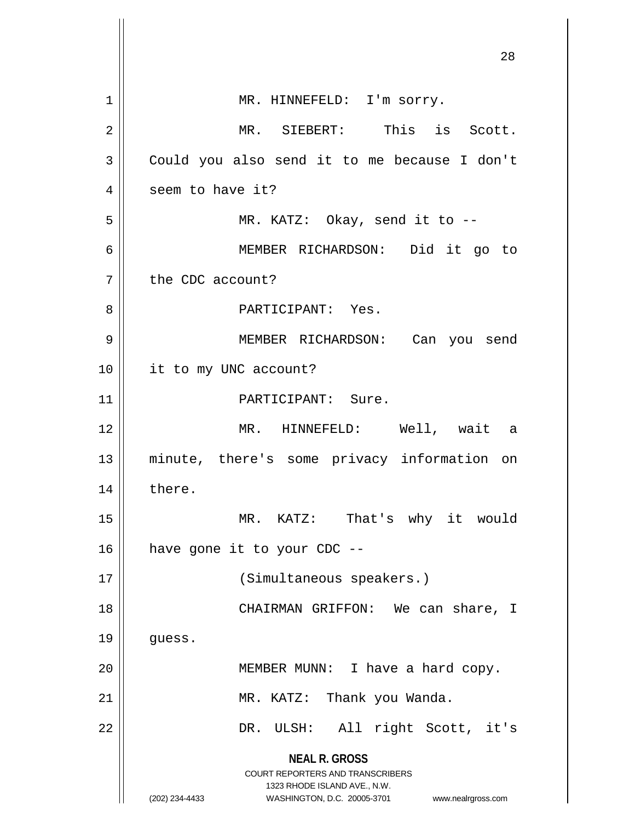|                | 28                                                                                                                                                                     |
|----------------|------------------------------------------------------------------------------------------------------------------------------------------------------------------------|
|                |                                                                                                                                                                        |
| 1              | MR. HINNEFELD: I'm sorry.                                                                                                                                              |
| $\overline{2}$ | MR. SIEBERT: This is Scott.                                                                                                                                            |
| 3              | Could you also send it to me because I don't                                                                                                                           |
| 4              | seem to have it?                                                                                                                                                       |
| 5              | MR. KATZ: Okay, send it to $-$                                                                                                                                         |
| 6              | MEMBER RICHARDSON: Did it go to                                                                                                                                        |
| 7              | the CDC account?                                                                                                                                                       |
| 8              | PARTICIPANT: Yes.                                                                                                                                                      |
| 9              | MEMBER RICHARDSON: Can you send                                                                                                                                        |
| 10             | it to my UNC account?                                                                                                                                                  |
| 11             | PARTICIPANT: Sure.                                                                                                                                                     |
| 12             | MR. HINNEFELD: Well, wait a                                                                                                                                            |
| 13             | minute, there's some privacy information on                                                                                                                            |
| 14             | there.                                                                                                                                                                 |
| 15             | MR. KATZ: That's why it would                                                                                                                                          |
| 16             | have gone it to your CDC --                                                                                                                                            |
| 17             | (Simultaneous speakers.)                                                                                                                                               |
| 18             | CHAIRMAN GRIFFON: We can share, I                                                                                                                                      |
| 19             | guess.                                                                                                                                                                 |
| 20             | MEMBER MUNN: I have a hard copy.                                                                                                                                       |
| 21             | MR. KATZ: Thank you Wanda.                                                                                                                                             |
| 22             | All right Scott, it's<br>DR. ULSH:                                                                                                                                     |
|                | <b>NEAL R. GROSS</b><br><b>COURT REPORTERS AND TRANSCRIBERS</b><br>1323 RHODE ISLAND AVE., N.W.<br>WASHINGTON, D.C. 20005-3701<br>(202) 234-4433<br>www.nealrgross.com |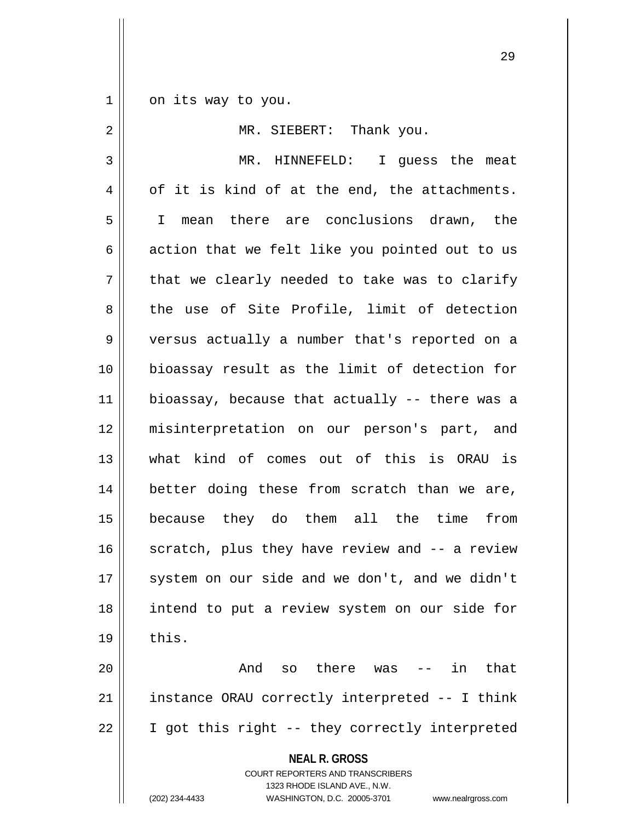$1 \parallel$  on its way to you.

| 2  | MR. SIEBERT: Thank you.                                                                                                                                                |
|----|------------------------------------------------------------------------------------------------------------------------------------------------------------------------|
| 3  | MR. HINNEFELD: I guess the meat                                                                                                                                        |
| 4  | of it is kind of at the end, the attachments.                                                                                                                          |
| 5  | I mean there are conclusions drawn, the                                                                                                                                |
| 6  | action that we felt like you pointed out to us                                                                                                                         |
| 7  | that we clearly needed to take was to clarify                                                                                                                          |
| 8  | the use of Site Profile, limit of detection                                                                                                                            |
| 9  | versus actually a number that's reported on a                                                                                                                          |
| 10 | bioassay result as the limit of detection for                                                                                                                          |
| 11 | bioassay, because that actually -- there was a                                                                                                                         |
| 12 | misinterpretation on our person's part, and                                                                                                                            |
| 13 | what kind of comes out of this is ORAU is                                                                                                                              |
| 14 | better doing these from scratch than we are,                                                                                                                           |
| 15 | because they do them all the time<br>from                                                                                                                              |
| 16 | scratch, plus they have review and -- a review                                                                                                                         |
| 17 | system on our side and we don't, and we didn't                                                                                                                         |
| 18 | intend to put a review system on our side for                                                                                                                          |
| 19 | this.                                                                                                                                                                  |
| 20 | And so there was<br>-- in<br>that                                                                                                                                      |
| 21 | instance ORAU correctly interpreted -- I think                                                                                                                         |
| 22 | I got this right -- they correctly interpreted                                                                                                                         |
|    | <b>NEAL R. GROSS</b><br><b>COURT REPORTERS AND TRANSCRIBERS</b><br>1323 RHODE ISLAND AVE., N.W.<br>(202) 234-4433<br>WASHINGTON, D.C. 20005-3701<br>www.nealrgross.com |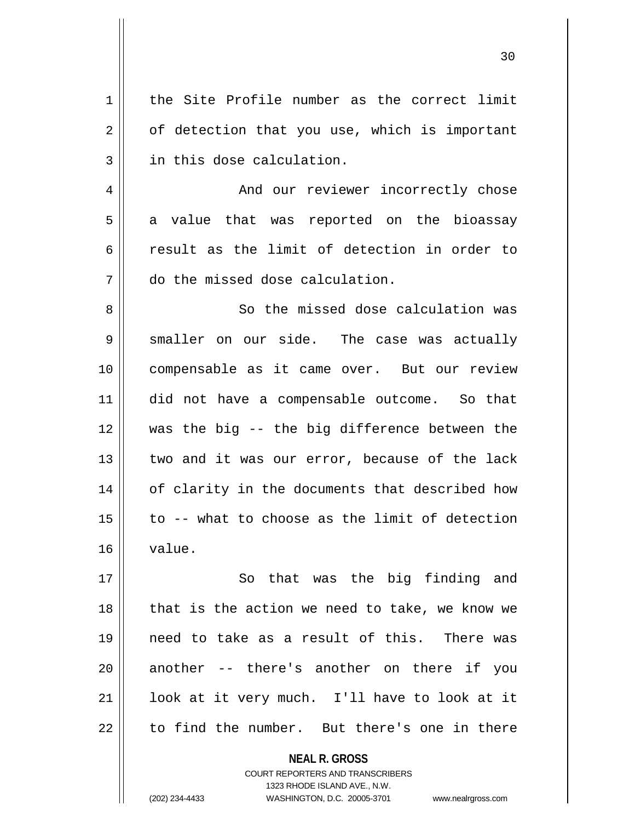1 | the Site Profile number as the correct limit  $2 \parallel$  of detection that you use, which is important 3 || in this dose calculation.

4 | And our reviewer incorrectly chose  $5 \parallel$  a value that was reported on the bioassay 6 result as the limit of detection in order to 7 do the missed dose calculation.

8 So the missed dose calculation was  $9 \parallel$  smaller on our side. The case was actually 10 compensable as it came over. But our review 11 did not have a compensable outcome. So that 12 was the big -- the big difference between the 13 || two and it was our error, because of the lack 14 || of clarity in the documents that described how  $15$  | to -- what to choose as the limit of detection 16 value.

17 || So that was the big finding and  $18$  | that is the action we need to take, we know we 19 need to take as a result of this. There was 20 || another -- there's another on there if you 21 || look at it very much. I'll have to look at it  $22 \parallel$  to find the number. But there's one in there

> **NEAL R. GROSS** COURT REPORTERS AND TRANSCRIBERS 1323 RHODE ISLAND AVE., N.W. (202) 234-4433 WASHINGTON, D.C. 20005-3701 www.nealrgross.com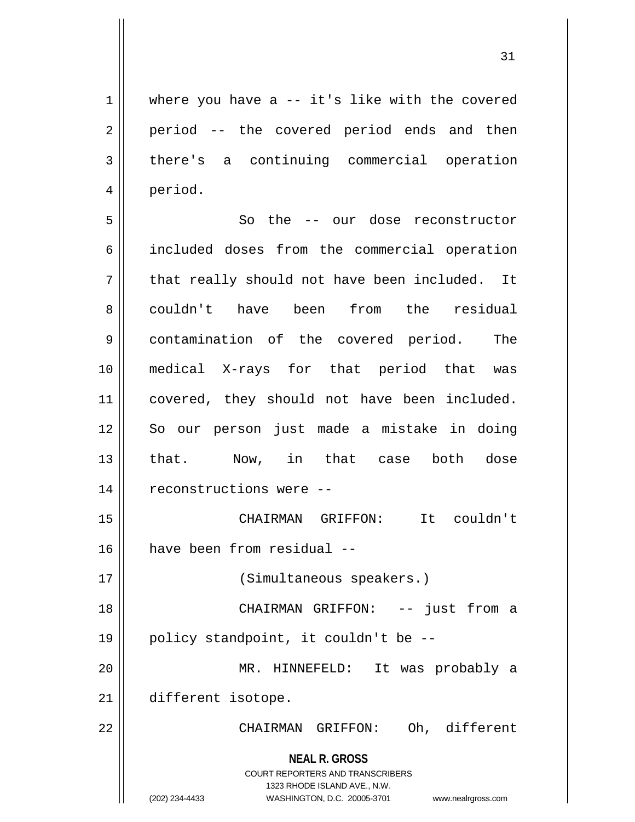$1 \parallel$  where you have a -- it's like with the covered 2 || period -- the covered period ends and then 3 there's a continuing commercial operation 4 period.

5 So the -- our dose reconstructor included doses from the commercial operation  $7 \parallel$  that really should not have been included. It couldn't have been from the residual contamination of the covered period. The medical X-rays for that period that was 11 || covered, they should not have been included. So our person just made a mistake in doing that. Now, in that case both dose 14 | reconstructions were -- CHAIRMAN GRIFFON: It couldn't have been from residual -- 17 || (Simultaneous speakers.) 18 || CHAIRMAN GRIFFON: -- just from a  $\parallel$  policy standpoint, it couldn't be --MR. HINNEFELD: It was probably a

21 different isotope.

22 CHAIRMAN GRIFFON: Oh, different

**NEAL R. GROSS** COURT REPORTERS AND TRANSCRIBERS

1323 RHODE ISLAND AVE., N.W.

<sup>(202) 234-4433</sup> WASHINGTON, D.C. 20005-3701 www.nealrgross.com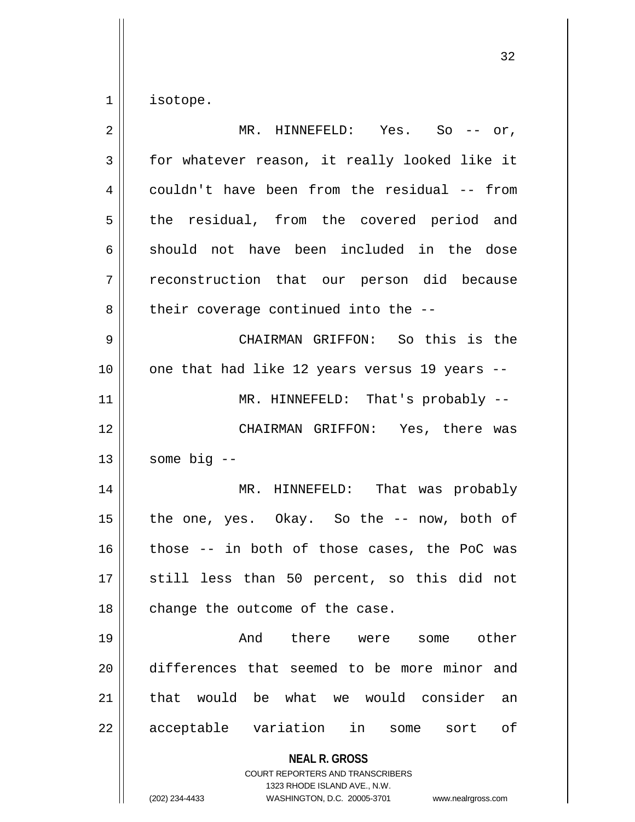$1 \parallel$  isotope.

| $\overline{2}$ | MR. HINNEFELD: Yes. So -- or,                                                                                                                                          |
|----------------|------------------------------------------------------------------------------------------------------------------------------------------------------------------------|
| 3              | for whatever reason, it really looked like it                                                                                                                          |
| 4              | couldn't have been from the residual -- from                                                                                                                           |
| 5              | the residual, from the covered period and                                                                                                                              |
| 6              | should not have been included in the dose                                                                                                                              |
| 7              | reconstruction that our person did because                                                                                                                             |
| 8              | their coverage continued into the --                                                                                                                                   |
| $\mathsf 9$    | CHAIRMAN GRIFFON: So this is the                                                                                                                                       |
| 10             | one that had like 12 years versus 19 years --                                                                                                                          |
| 11             | MR. HINNEFELD: That's probably --                                                                                                                                      |
| 12             | CHAIRMAN GRIFFON: Yes, there was                                                                                                                                       |
| 13             | some big --                                                                                                                                                            |
| 14             | MR. HINNEFELD: That was probably                                                                                                                                       |
| 15             | the one, yes. Okay. So the -- now, both of                                                                                                                             |
| 16             | those -- in both of those cases, the PoC was                                                                                                                           |
| 17             | still less than 50 percent, so this did not                                                                                                                            |
| 18             | change the outcome of the case.                                                                                                                                        |
| 19             | there were<br>And<br>other<br>some                                                                                                                                     |
| 20             | differences that seemed to be more minor and                                                                                                                           |
| 21             | would<br>be what we would consider<br>that<br>an                                                                                                                       |
| 22             | acceptable variation<br>in<br>оf<br>some<br>sort                                                                                                                       |
|                | <b>NEAL R. GROSS</b><br><b>COURT REPORTERS AND TRANSCRIBERS</b><br>1323 RHODE ISLAND AVE., N.W.<br>(202) 234-4433<br>WASHINGTON, D.C. 20005-3701<br>www.nealrgross.com |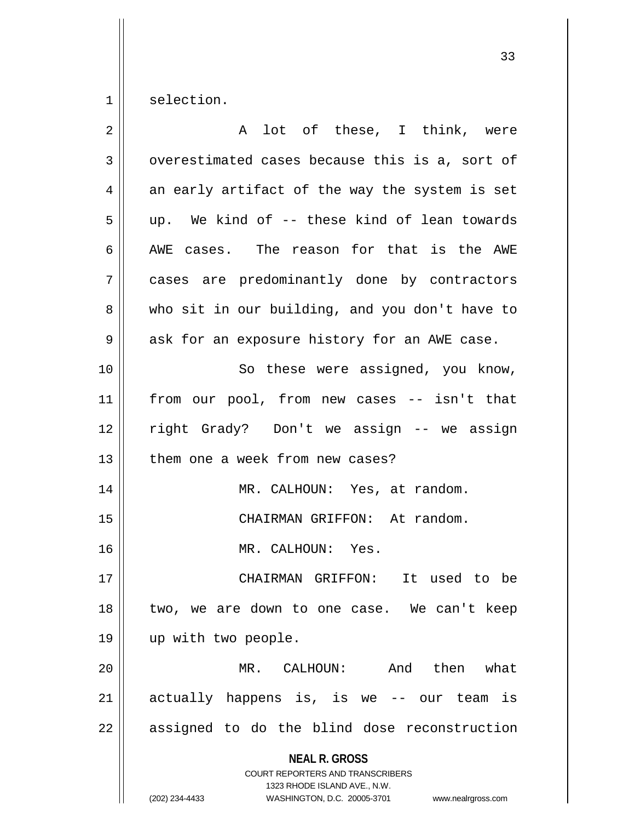$1 \parallel$  selection.

| $\overline{2}$ | A lot of these, I think, were                                                                                                                                          |
|----------------|------------------------------------------------------------------------------------------------------------------------------------------------------------------------|
| 3              | overestimated cases because this is a, sort of                                                                                                                         |
| 4              | an early artifact of the way the system is set                                                                                                                         |
| 5              | up. We kind of -- these kind of lean towards                                                                                                                           |
| 6              | AWE cases. The reason for that is the AWE                                                                                                                              |
| 7              | cases are predominantly done by contractors                                                                                                                            |
| 8              | who sit in our building, and you don't have to                                                                                                                         |
| 9              | ask for an exposure history for an AWE case.                                                                                                                           |
| 10             | So these were assigned, you know,                                                                                                                                      |
| 11             | from our pool, from new cases -- isn't that                                                                                                                            |
| 12             | right Grady? Don't we assign -- we assign                                                                                                                              |
| 13             | them one a week from new cases?                                                                                                                                        |
| 14             | MR. CALHOUN: Yes, at random.                                                                                                                                           |
| 15             | CHAIRMAN GRIFFON: At random.                                                                                                                                           |
| 16             | MR. CALHOUN: Yes.                                                                                                                                                      |
| 17             | CHAIRMAN GRIFFON: It used to be                                                                                                                                        |
| 18             | two, we are down to one case. We can't keep                                                                                                                            |
| 19             | up with two people.                                                                                                                                                    |
| 20             | CALHOUN:<br>And then what<br>MR.                                                                                                                                       |
| 21             | actually happens is, is we -- our team is                                                                                                                              |
| 22             | assigned to do the blind dose reconstruction                                                                                                                           |
|                | <b>NEAL R. GROSS</b><br><b>COURT REPORTERS AND TRANSCRIBERS</b><br>1323 RHODE ISLAND AVE., N.W.<br>(202) 234-4433<br>WASHINGTON, D.C. 20005-3701<br>www.nealrgross.com |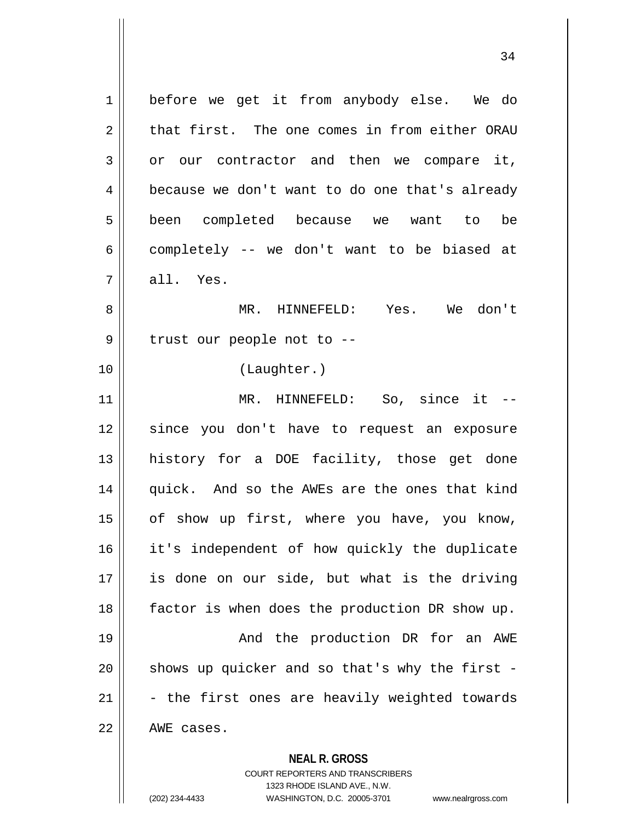**NEAL R. GROSS** COURT REPORTERS AND TRANSCRIBERS 1 | before we get it from anybody else. We do 2 that first. The one comes in from either ORAU  $3 \parallel$  or our contractor and then we compare it, 4 | because we don't want to do one that's already 5 || been completed because we want to be  $6 \parallel$  completely -- we don't want to be biased at  $7 \parallel$  all. Yes. 8 MR. HINNEFELD: Yes. We don't  $9$  || trust our people not to  $-$ 10 (Laughter.) 11 || MR. HINNEFELD: So, since it --12 since you don't have to request an exposure 13 history for a DOE facility, those get done 14 quick. And so the AWEs are the ones that kind 15 || of show up first, where you have, you know, 16 it's independent of how quickly the duplicate 17 is done on our side, but what is the driving 18 factor is when does the production DR show up. 19 And the production DR for an AWE  $20$  || shows up quicker and so that's why the first - $21$   $\parallel$  - the first ones are heavily weighted towards  $22$  |  $72$  AWE cases.

1323 RHODE ISLAND AVE., N.W.

(202) 234-4433 WASHINGTON, D.C. 20005-3701 www.nealrgross.com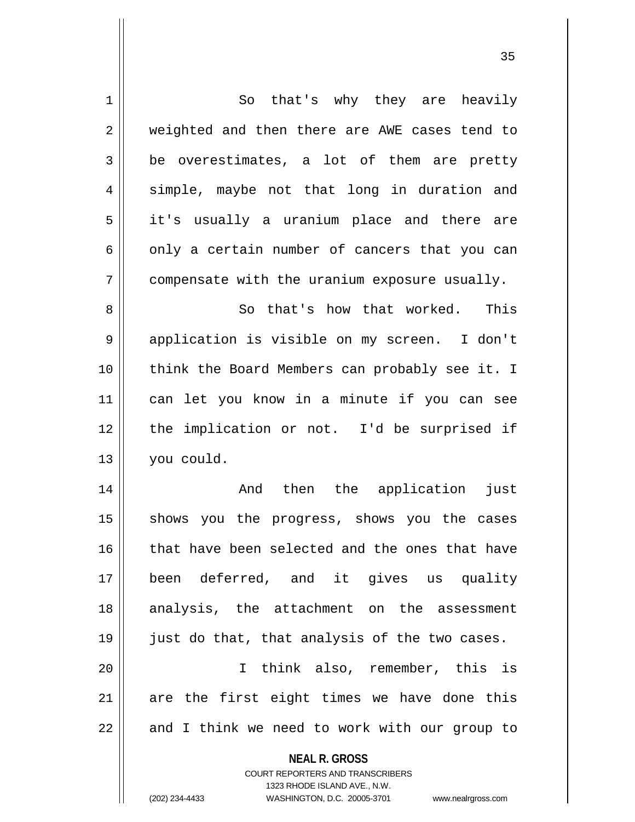| $\mathbf 1$ | So that's why they are heavily                                                                      |
|-------------|-----------------------------------------------------------------------------------------------------|
| 2           | weighted and then there are AWE cases tend to                                                       |
| 3           | be overestimates, a lot of them are pretty                                                          |
| 4           | simple, maybe not that long in duration and                                                         |
| 5           | it's usually a uranium place and there are                                                          |
| 6           | only a certain number of cancers that you can                                                       |
| 7           | compensate with the uranium exposure usually.                                                       |
| 8           | So that's how that worked.<br>This                                                                  |
| 9           | application is visible on my screen.<br>I don't                                                     |
| 10          | think the Board Members can probably see it. I                                                      |
| 11          | can let you know in a minute if you can see                                                         |
| 12          | the implication or not. I'd be surprised if                                                         |
| 13          | you could.                                                                                          |
| 14          | And then the application<br>just                                                                    |
| 15          | shows you the progress, shows you the cases                                                         |
| 16          | that have been selected and the ones that have                                                      |
| 17          | been deferred, and it gives us quality                                                              |
| 18          | analysis, the attachment on the assessment                                                          |
| 19          | just do that, that analysis of the two cases.                                                       |
| 20          | I think also, remember, this is                                                                     |
| 21          | are the first eight times we have done this                                                         |
| 22          | and I think we need to work with our group to                                                       |
|             | <b>NEAL R. GROSS</b>                                                                                |
|             | <b>COURT REPORTERS AND TRANSCRIBERS</b>                                                             |
|             | 1323 RHODE ISLAND AVE., N.W.<br>(202) 234-4433<br>WASHINGTON, D.C. 20005-3701<br>www.nealrgross.com |
|             |                                                                                                     |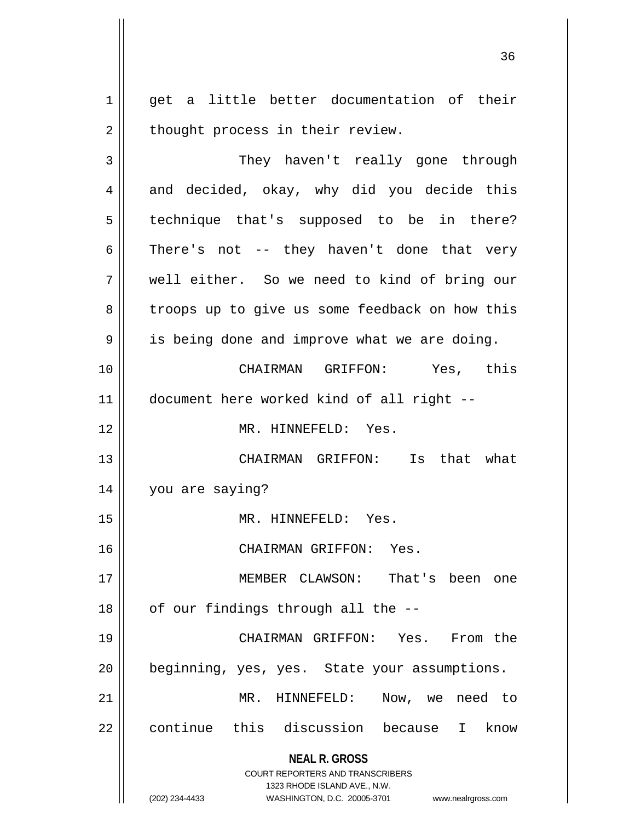1 || get a little better documentation of their  $2 \parallel$  thought process in their review.

**NEAL R. GROSS** COURT REPORTERS AND TRANSCRIBERS 1323 RHODE ISLAND AVE., N.W. (202) 234-4433 WASHINGTON, D.C. 20005-3701 www.nealrgross.com 3 | They haven't really gone through  $4 \parallel$  and decided, okay, why did you decide this 5 || technique that's supposed to be in there?  $6 \parallel$  There's not -- they haven't done that very 7 well either. So we need to kind of bring our 8 | troops up to give us some feedback on how this  $9 \parallel$  is being done and improve what we are doing. 10 CHAIRMAN GRIFFON: Yes, this 11 document here worked kind of all right -- 12 MR. HINNEFELD: Yes. 13 CHAIRMAN GRIFFON: Is that what 14 you are saying? 15 MR. HINNEFELD: Yes. 16 CHAIRMAN GRIFFON: Yes. 17 MEMBER CLAWSON: That's been one  $18$  | of our findings through all the  $-$ -19 CHAIRMAN GRIFFON: Yes. From the 20 beginning, yes, yes. State your assumptions. 21 MR. HINNEFELD: Now, we need to 22 continue this discussion because I know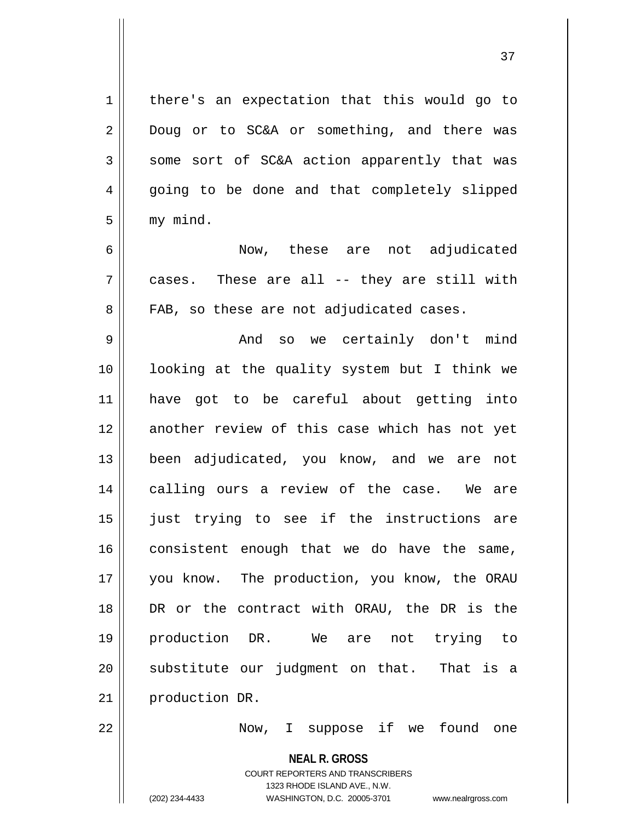1 | there's an expectation that this would go to 2 Doug or to SC&A or something, and there was  $3 \parallel$  some sort of SC&A action apparently that was 4 || going to be done and that completely slipped  $5 \parallel$  my mind.

6 Now, these are not adjudicated  $7 \parallel$  cases. These are all -- they are still with 8 || FAB, so these are not adjudicated cases.

 And so we certainly don't mind looking at the quality system but I think we have got to be careful about getting into 12 another review of this case which has not yet been adjudicated, you know, and we are not 14 || calling ours a review of the case. We are just trying to see if the instructions are 16 consistent enough that we do have the same, 17 || you know. The production, you know, the ORAU DR or the contract with ORAU, the DR is the production DR. We are not trying to substitute our judgment on that. That is a 21 | production DR.

22 Now, I suppose if we found one

**NEAL R. GROSS**

COURT REPORTERS AND TRANSCRIBERS 1323 RHODE ISLAND AVE., N.W. (202) 234-4433 WASHINGTON, D.C. 20005-3701 www.nealrgross.com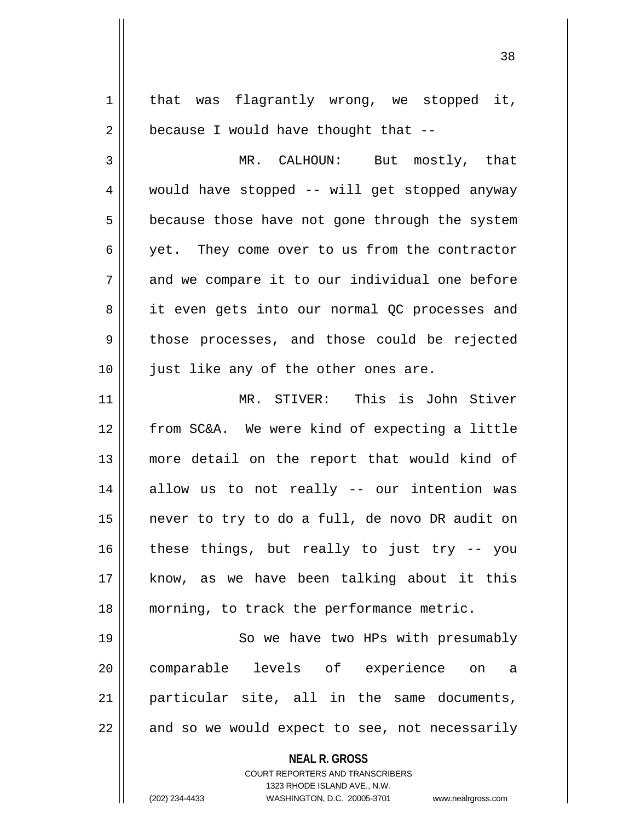**NEAL R. GROSS** COURT REPORTERS AND TRANSCRIBERS 1323 RHODE ISLAND AVE., N.W.  $1$  that was flagrantly wrong, we stopped it,  $2 \parallel$  because I would have thought that --3 || MR. CALHOUN: But mostly, that 4 would have stopped -- will get stopped anyway  $5 \parallel$  because those have not gone through the system 6 yet. They come over to us from the contractor  $7 \parallel$  and we compare it to our individual one before 8 || it even gets into our normal QC processes and 9 || those processes, and those could be rejected 10 || just like any of the other ones are. 11 MR. STIVER: This is John Stiver 12 from SC&A. We were kind of expecting a little 13 more detail on the report that would kind of 14 allow us to not really -- our intention was 15 never to try to do a full, de novo DR audit on  $16$  these things, but really to just try -- you 17 know, as we have been talking about it this 18 morning, to track the performance metric. 19 || So we have two HPs with presumably 20 comparable levels of experience on a 21 particular site, all in the same documents,  $22$  || and so we would expect to see, not necessarily

(202) 234-4433 WASHINGTON, D.C. 20005-3701 www.nealrgross.com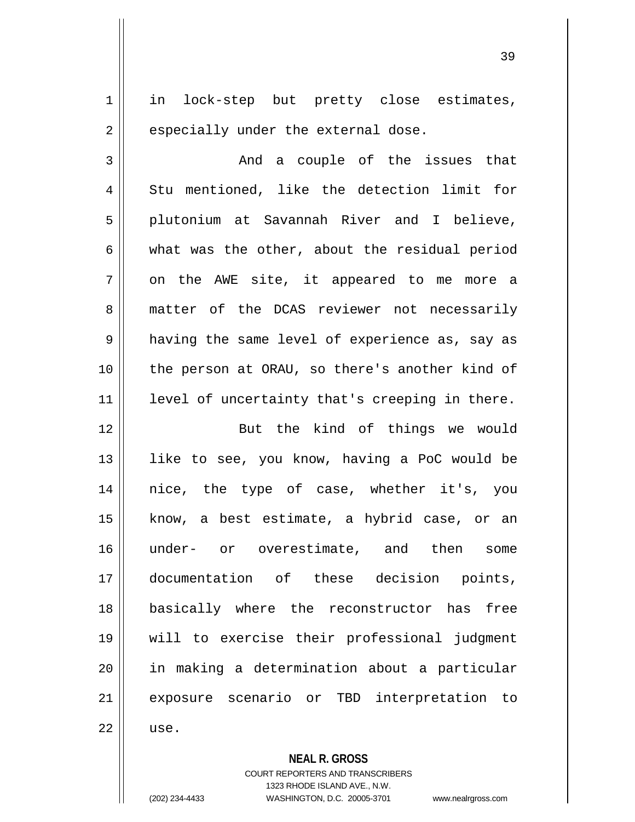1 || in lock-step but pretty close estimates,  $2 \parallel$  especially under the external dose.  $3 \parallel$  and a couple of the issues that 4 || Stu mentioned, like the detection limit for 5 || plutonium at Savannah River and I believe,  $6 \parallel$  what was the other, about the residual period  $7 \parallel$  on the AWE site, it appeared to me more a 8 matter of the DCAS reviewer not necessarily  $9 \parallel$  having the same level of experience as, say as 10 || the person at ORAU, so there's another kind of 11 || level of uncertainty that's creeping in there. 12 || But the kind of things we would 13 || like to see, you know, having a PoC would be 14 nice, the type of case, whether it's, you 15 know, a best estimate, a hybrid case, or an

 under- or overestimate, and then some documentation of these decision points, basically where the reconstructor has free will to exercise their professional judgment in making a determination about a particular 21 || exposure scenario or TBD interpretation to 22 use.

> **NEAL R. GROSS** COURT REPORTERS AND TRANSCRIBERS 1323 RHODE ISLAND AVE., N.W. (202) 234-4433 WASHINGTON, D.C. 20005-3701 www.nealrgross.com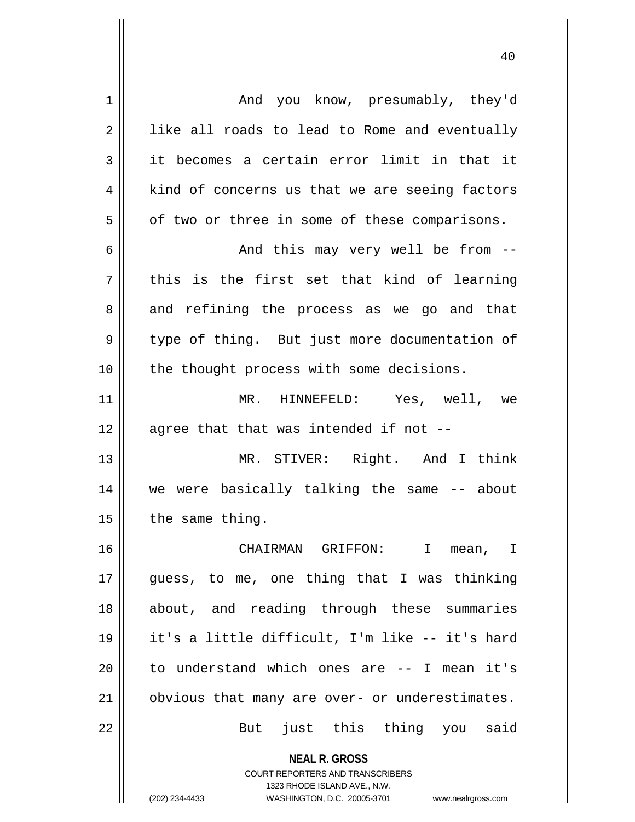| $\mathbf 1$ | And you know, presumably, they'd                                 |
|-------------|------------------------------------------------------------------|
| 2           | like all roads to lead to Rome and eventually                    |
| 3           | it becomes a certain error limit in that it                      |
| 4           | kind of concerns us that we are seeing factors                   |
| 5           | of two or three in some of these comparisons.                    |
| 6           | And this may very well be from --                                |
| 7           | this is the first set that kind of learning                      |
| 8           | and refining the process as we go and that                       |
| 9           | type of thing. But just more documentation of                    |
| 10          | the thought process with some decisions.                         |
| 11          | MR. HINNEFELD: Yes, well, we                                     |
| 12          | agree that that was intended if not --                           |
| 13          | MR. STIVER: Right. And I think                                   |
| 14          | we were basically talking the same -- about                      |
| 15          | the same thing.                                                  |
| 16          | CHAIRMAN GRIFFON:<br>$\mathbf{I}$<br>$\mathbb{I}$<br>mean,       |
| 17          | guess, to me, one thing that I was thinking                      |
| 18          | about, and reading through these summaries                       |
| 19          | it's a little difficult, I'm like -- it's hard                   |
| 20          | to understand which ones are -- I mean it's                      |
| 21          | obvious that many are over- or underestimates.                   |
| 22          | But just this thing you said                                     |
|             |                                                                  |
|             | <b>NEAL R. GROSS</b><br><b>COURT REPORTERS AND TRANSCRIBERS</b>  |
|             | 1323 RHODE ISLAND AVE., N.W.                                     |
|             | (202) 234-4433<br>WASHINGTON, D.C. 20005-3701 www.nealrgross.com |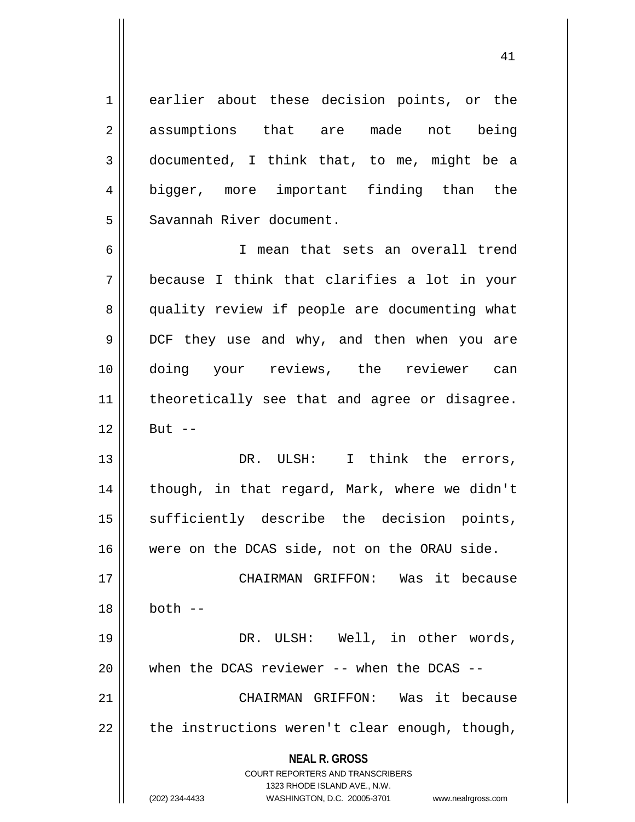1 earlier about these decision points, or the 2 assumptions that are made not being 3 documented, I think that, to me, might be a 4 bigger, more important finding than the 5 Savannah River document.

6 I mean that sets an overall trend 7 because I think that clarifies a lot in your 8 || quality review if people are documenting what 9 || DCF they use and why, and then when you are 10 doing your reviews, the reviewer can 11 || theoretically see that and agree or disagree.  $12 \parallel$  But  $-$ 

13 DR. ULSH: I think the errors, 14 || though, in that regard, Mark, where we didn't 15 || sufficiently describe the decision points, 16 were on the DCAS side, not on the ORAU side.

17 || CHAIRMAN GRIFFON: Was it because 18 both -- 19 DR. ULSH: Well, in other words,  $20$  || when the DCAS reviewer -- when the DCAS --

21 CHAIRMAN GRIFFON: Was it because  $22 \parallel$  the instructions weren't clear enough, though,

> **NEAL R. GROSS** COURT REPORTERS AND TRANSCRIBERS

> > 1323 RHODE ISLAND AVE., N.W.

(202) 234-4433 WASHINGTON, D.C. 20005-3701 www.nealrgross.com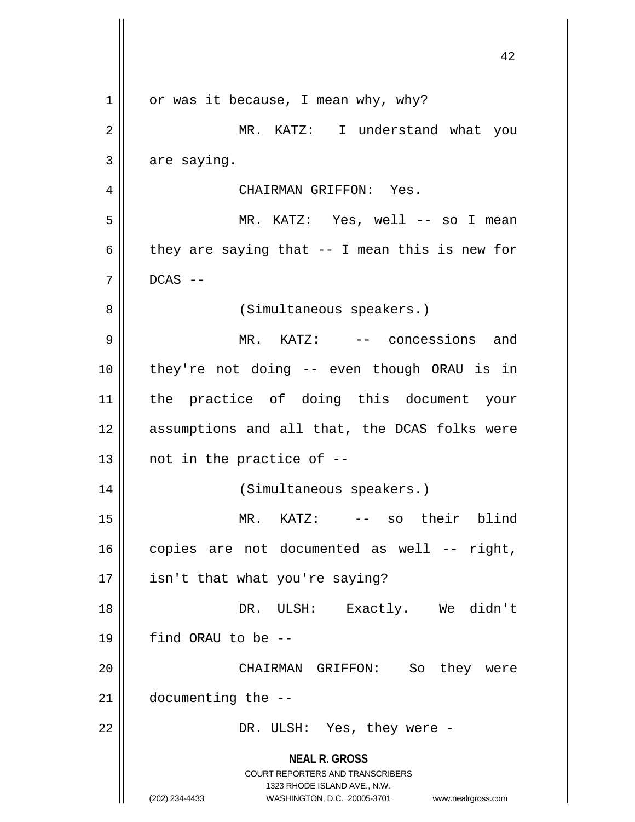**NEAL R. GROSS** COURT REPORTERS AND TRANSCRIBERS 1323 RHODE ISLAND AVE., N.W. (202) 234-4433 WASHINGTON, D.C. 20005-3701 www.nealrgross.com  $1 \parallel$  or was it because, I mean why, why? 2 MR. KATZ: I understand what you  $3 \parallel$  are saying. 4 CHAIRMAN GRIFFON: Yes. 5 MR. KATZ: Yes, well -- so I mean 6 they are saying that  $-$  I mean this is new for  $7 \parallel$  DCAS --8 || (Simultaneous speakers.) 9 || MR. KATZ: -- concessions and 10 they're not doing -- even though ORAU is in 11 the practice of doing this document your 12 || assumptions and all that, the DCAS folks were  $13$  | not in the practice of  $-$ 14 || (Simultaneous speakers.) 15 || MR. KATZ: -- so their blind  $16$  copies are not documented as well -- right,  $17 \parallel$  isn't that what you're saying? 18 DR. ULSH: Exactly. We didn't  $19$  || find ORAU to be  $-$ 20 CHAIRMAN GRIFFON: So they were  $21$  | documenting the  $-$ -22 DR. ULSH: Yes, they were -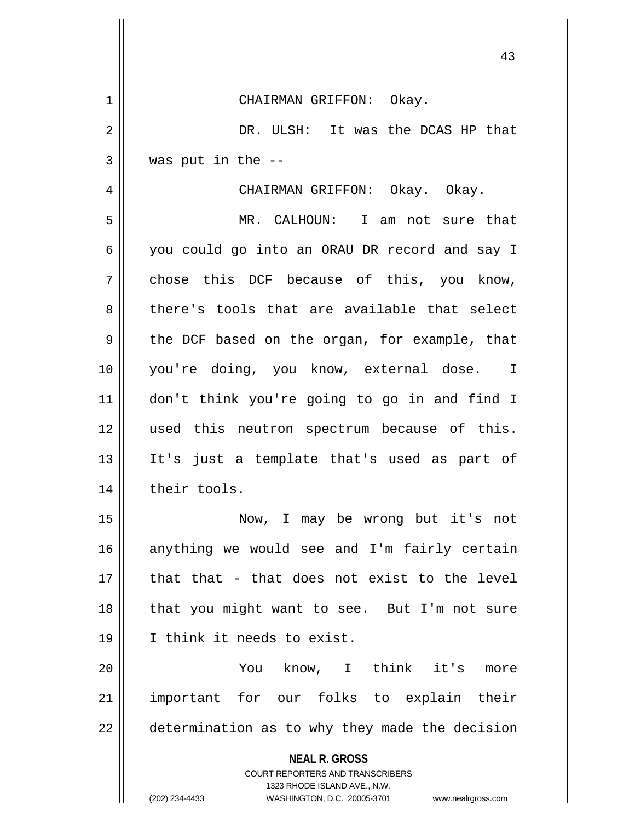**NEAL R. GROSS** COURT REPORTERS AND TRANSCRIBERS 1323 RHODE ISLAND AVE., N.W. (202) 234-4433 WASHINGTON, D.C. 20005-3701 www.nealrgross.com 1 CHAIRMAN GRIFFON: Okay. 2 DR. ULSH: It was the DCAS HP that  $3 \parallel$  was put in the  $-$ 4 CHAIRMAN GRIFFON: Okay. Okay. 5 MR. CALHOUN: I am not sure that 6 you could go into an ORAU DR record and say I  $7 \parallel$  chose this DCF because of this, you know, 8 there's tools that are available that select  $9 \parallel$  the DCF based on the organ, for example, that 10 you're doing, you know, external dose. I 11 don't think you're going to go in and find I 12 || used this neutron spectrum because of this. 13 It's just a template that's used as part of 14 | their tools. 15 Now, I may be wrong but it's not 16 anything we would see and I'm fairly certain  $17$   $\parallel$  that that - that does not exist to the level 18 || that you might want to see. But I'm not sure 19 I think it needs to exist. 20 || You know, I think it's more 21 important for our folks to explain their  $22$   $\parallel$  determination as to why they made the decision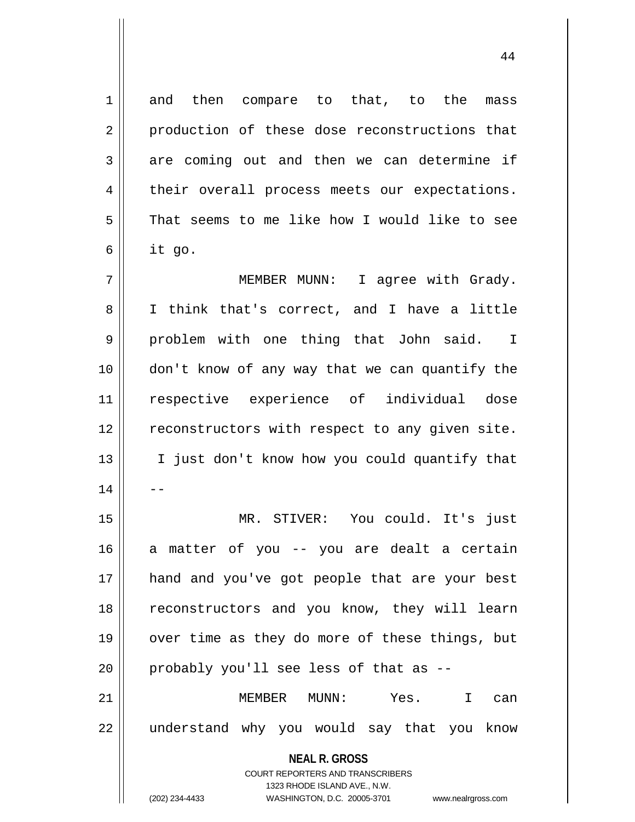**NEAL R. GROSS** COURT REPORTERS AND TRANSCRIBERS 1323 RHODE ISLAND AVE., N.W. 1 and then compare to that, to the mass 2 | production of these dose reconstructions that  $3 \parallel$  are coming out and then we can determine if 4 | their overall process meets our expectations. 5 That seems to me like how I would like to see  $6 \parallel$  it go. 7 MEMBER MUNN: I agree with Grady. 8 I think that's correct, and I have a little 9 problem with one thing that John said. I 10 don't know of any way that we can quantify the 11 respective experience of individual dose 12 || reconstructors with respect to any given site. 13 || I just don't know how you could quantify that  $14$ 15 MR. STIVER: You could. It's just 16 || a matter of you -- you are dealt a certain 17 || hand and you've got people that are your best 18 || reconstructors and you know, they will learn 19 || over time as they do more of these things, but  $20$  || probably you'll see less of that as  $-$ -21 MEMBER MUNN: Yes. I can 22 || understand why you would say that you know

(202) 234-4433 WASHINGTON, D.C. 20005-3701 www.nealrgross.com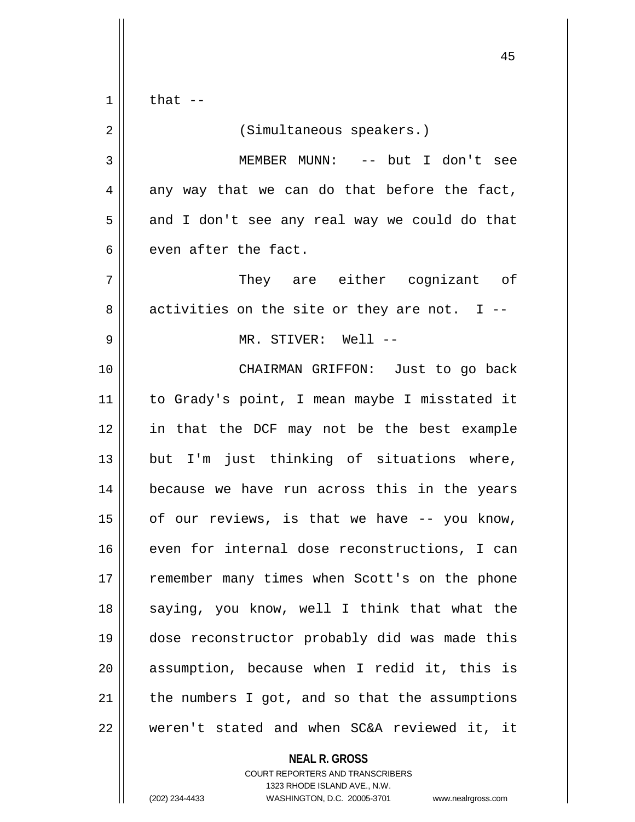$1 \parallel$  that  $-$ 

2 | (Simultaneous speakers.) 3 MEMBER MUNN: -- but I don't see  $4 \parallel$  any way that we can do that before the fact,  $5 \parallel$  and I don't see any real way we could do that  $6 \parallel$  even after the fact. 7 They are either cognizant of  $8 \parallel$  activities on the site or they are not. I --9 MR. STIVER: Well -- 10 CHAIRMAN GRIFFON: Just to go back 11 to Grady's point, I mean maybe I misstated it 12 in that the DCF may not be the best example 13 || but I'm just thinking of situations where, 14 because we have run across this in the years  $15$  | of our reviews, is that we have  $-$ - you know, 16 even for internal dose reconstructions, I can 17 || remember many times when Scott's on the phone

18 || saying, you know, well I think that what the

19 dose reconstructor probably did was made this

 $20$  || assumption, because when I redid it, this is

 $21$  | the numbers I got, and so that the assumptions

22 weren't stated and when SC&A reviewed it, it

**NEAL R. GROSS**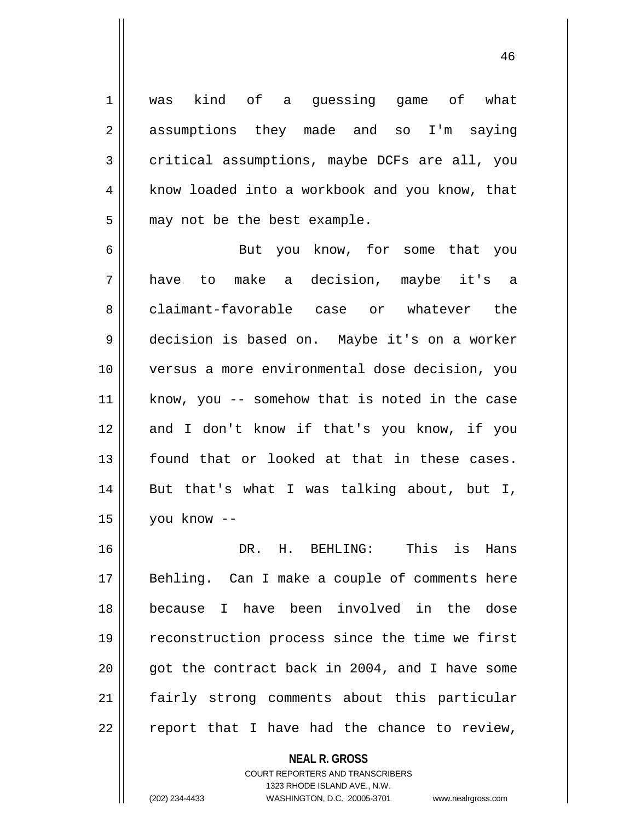1 || was kind of a guessing game of what 2 assumptions they made and so I'm saying  $3 \parallel$  critical assumptions, maybe DCFs are all, you 4 | know loaded into a workbook and you know, that  $5$  || may not be the best example.

6 || But you know, for some that you 7 have to make a decision, maybe it's a 8 claimant-favorable case or whatever the 9 decision is based on. Maybe it's on a worker 10 versus a more environmental dose decision, you 11 || know, you -- somehow that is noted in the case 12 and I don't know if that's you know, if you 13 found that or looked at that in these cases. 14 But that's what I was talking about, but I, 15 you know --

16 DR. H. BEHLING: This is Hans 17 || Behling. Can I make a couple of comments here 18 because I have been involved in the dose 19 || reconstruction process since the time we first 20  $\parallel$  qot the contract back in 2004, and I have some 21 || fairly strong comments about this particular  $22$  | report that I have had the chance to review,

> **NEAL R. GROSS** COURT REPORTERS AND TRANSCRIBERS 1323 RHODE ISLAND AVE., N.W. (202) 234-4433 WASHINGTON, D.C. 20005-3701 www.nealrgross.com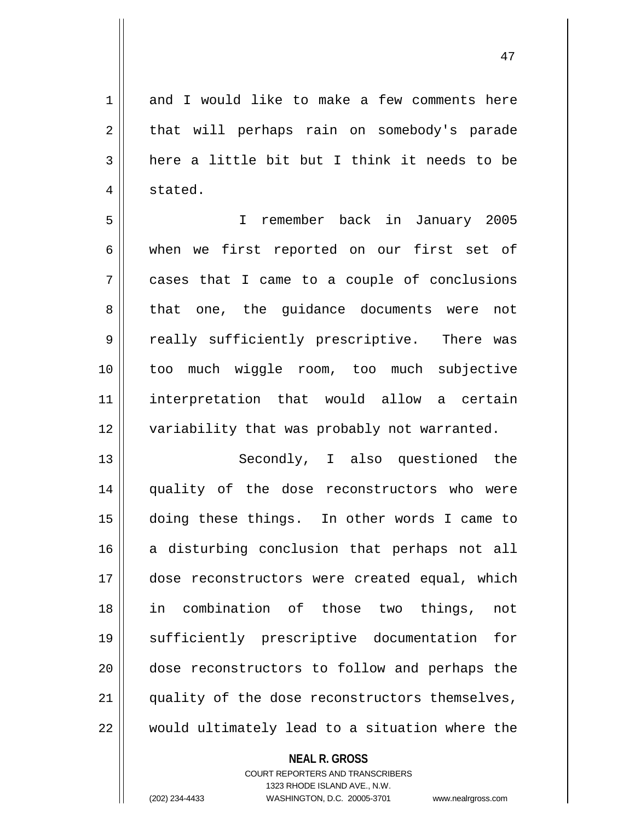1 and I would like to make a few comments here 2 || that will perhaps rain on somebody's parade  $3 \parallel$  here a little bit but I think it needs to be 4 | stated.

5 I remember back in January 2005 6 when we first reported on our first set of 7 cases that I came to a couple of conclusions 8 || that one, the guidance documents were not 9 || really sufficiently prescriptive. There was 10 too much wiggle room, too much subjective 11 interpretation that would allow a certain 12 || variability that was probably not warranted.

13 || Secondly, I also questioned the 14 quality of the dose reconstructors who were 15 doing these things. In other words I came to 16 a disturbing conclusion that perhaps not all 17 dose reconstructors were created equal, which 18 in combination of those two things, not 19 sufficiently prescriptive documentation for 20 dose reconstructors to follow and perhaps the 21 || quality of the dose reconstructors themselves, 22 would ultimately lead to a situation where the

> **NEAL R. GROSS** COURT REPORTERS AND TRANSCRIBERS 1323 RHODE ISLAND AVE., N.W. (202) 234-4433 WASHINGTON, D.C. 20005-3701 www.nealrgross.com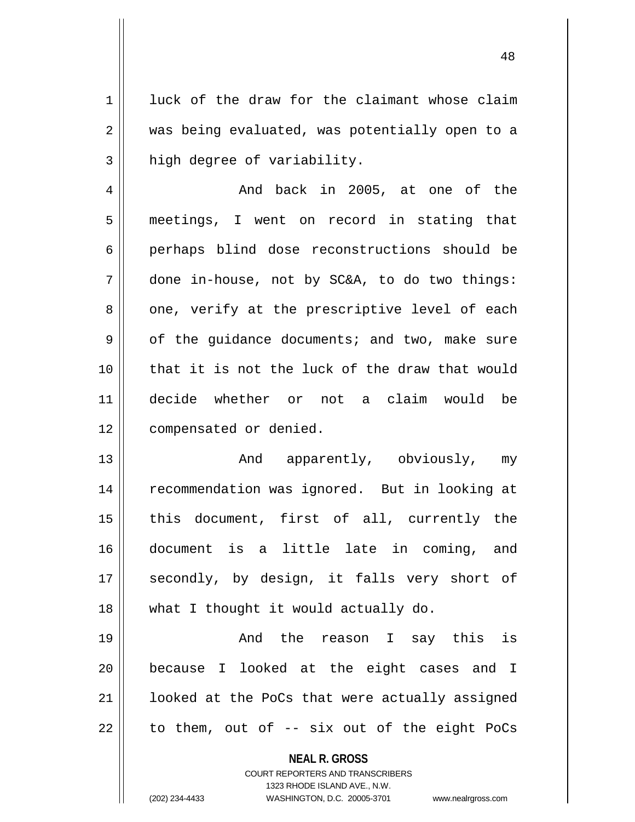1 | luck of the draw for the claimant whose claim 2 || was being evaluated, was potentially open to a  $3$  high degree of variability.

 And back in 2005, at one of the meetings, I went on record in stating that perhaps blind dose reconstructions should be done in-house, not by SC&A, to do two things:  $8 \parallel$  one, verify at the prescriptive level of each  $9 \parallel$  of the quidance documents; and two, make sure that it is not the luck of the draw that would decide whether or not a claim would be 12 | compensated or denied.

13 || The Contract And apparently, obviously, my 14 || recommendation was ignored. But in looking at 15 || this document, first of all, currently the 16 document is a little late in coming, and 17 || secondly, by design, it falls very short of 18 || what I thought it would actually do.

 And the reason I say this is because I looked at the eight cases and I 21 || looked at the PoCs that were actually assigned || to them, out of -- six out of the eight PoCs

**NEAL R. GROSS**

COURT REPORTERS AND TRANSCRIBERS 1323 RHODE ISLAND AVE., N.W. (202) 234-4433 WASHINGTON, D.C. 20005-3701 www.nealrgross.com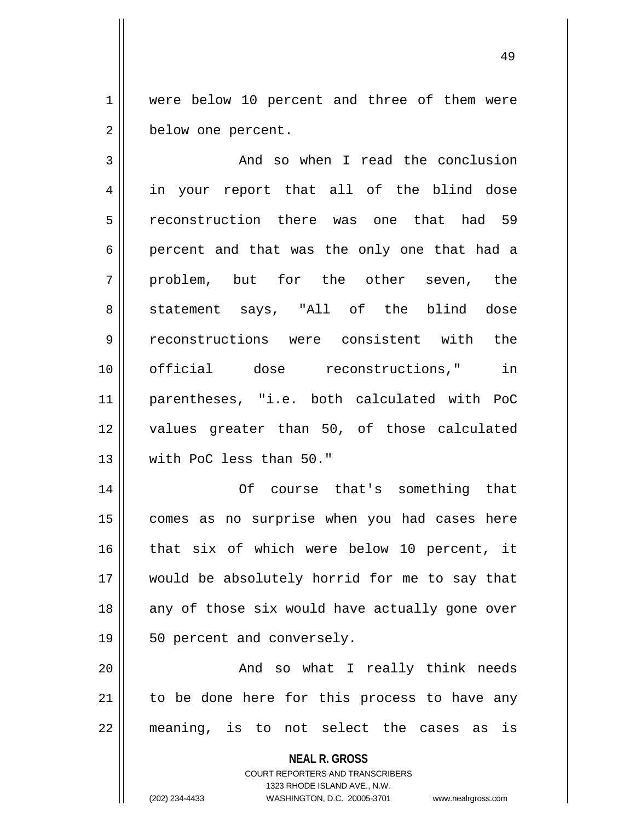1 || were below 10 percent and three of them were 2 | below one percent.

 And so when I read the conclusion 4 || in your report that all of the blind dose reconstruction there was one that had 59 6 percent and that was the only one that had a 7 || problem, but for the other seven, the 8 || statement says, "All of the blind dose reconstructions were consistent with the official dose reconstructions," in parentheses, "i.e. both calculated with PoC values greater than 50, of those calculated with PoC less than 50."

 Of course that's something that 15 || comes as no surprise when you had cases here that six of which were below 10 percent, it would be absolutely horrid for me to say that any of those six would have actually gone over 19 || 50 percent and conversely.

20 || And so what I really think needs  $21$  to be done here for this process to have any 22 meaning, is to not select the cases as is

**NEAL R. GROSS**

COURT REPORTERS AND TRANSCRIBERS 1323 RHODE ISLAND AVE., N.W. (202) 234-4433 WASHINGTON, D.C. 20005-3701 www.nealrgross.com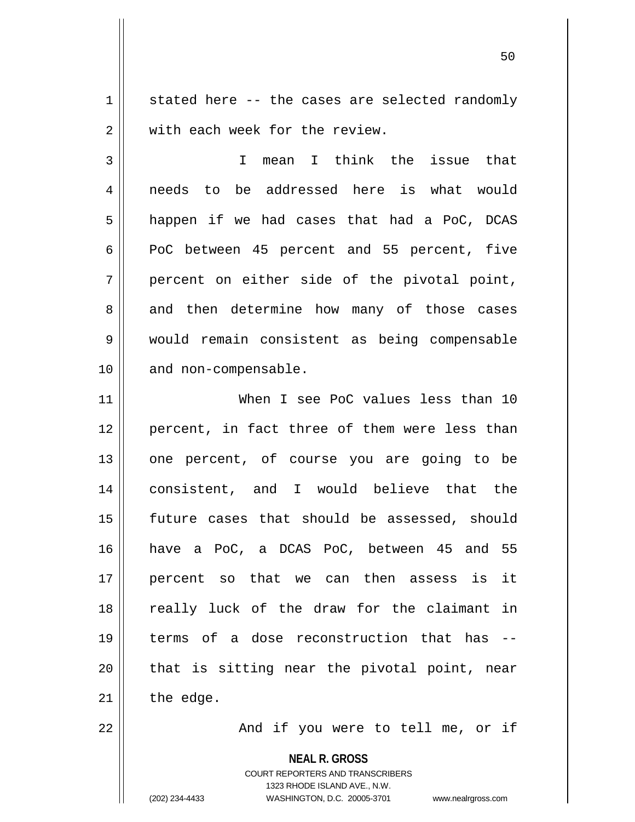$1 \parallel$  stated here -- the cases are selected randomly 2 W with each week for the review.

3 I mean I think the issue that 4 needs to be addressed here is what would  $5 \parallel$  happen if we had cases that had a PoC, DCAS  $6 \parallel$  PoC between 45 percent and 55 percent, five  $7 \parallel$  percent on either side of the pivotal point, 8 and then determine how many of those cases 9 would remain consistent as being compensable 10 || and non-compensable.

 When I see PoC values less than 10 12 || percent, in fact three of them were less than 13 || one percent, of course you are going to be consistent, and I would believe that the future cases that should be assessed, should have a PoC, a DCAS PoC, between 45 and 55 percent so that we can then assess is it 18 || really luck of the draw for the claimant in terms of a dose reconstruction that has -- || that is sitting near the pivotal point, near the edge.

22 || The Monduit you were to tell me, or if

**NEAL R. GROSS**

COURT REPORTERS AND TRANSCRIBERS 1323 RHODE ISLAND AVE., N.W. (202) 234-4433 WASHINGTON, D.C. 20005-3701 www.nealrgross.com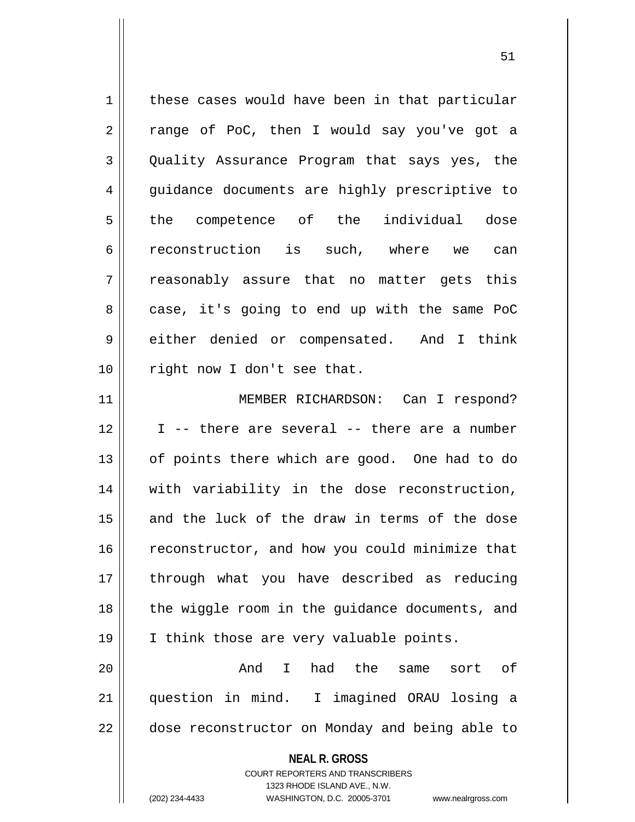| $\mathbf 1$ | these cases would have been in that particular                      |
|-------------|---------------------------------------------------------------------|
| 2           | range of PoC, then I would say you've got a                         |
| 3           | Quality Assurance Program that says yes, the                        |
| 4           | guidance documents are highly prescriptive to                       |
| 5           | the competence of the individual dose                               |
| 6           | reconstruction is such, where we can                                |
| 7           | reasonably assure that no matter gets this                          |
| 8           | case, it's going to end up with the same PoC                        |
| 9           | either denied or compensated. And I think                           |
| 10          | right now I don't see that.                                         |
| 11          | MEMBER RICHARDSON: Can I respond?                                   |
| 12          | I -- there are several -- there are a number                        |
| 13          | of points there which are good. One had to do                       |
| 14          | with variability in the dose reconstruction,                        |
| 15          | and the luck of the draw in terms of the dose                       |
| 16          | reconstructor, and how you could minimize that                      |
| 17          | through what you have described as reducing                         |
| 18          | the wiggle room in the guidance documents, and                      |
| 19          | I think those are very valuable points.                             |
| 20          | And<br>I had the same<br>sort of                                    |
| 21          | question in mind. I imagined ORAU losing a                          |
| 22          | dose reconstructor on Monday and being able to                      |
|             | <b>NEAL R. GROSS</b>                                                |
|             | <b>COURT REPORTERS AND TRANSCRIBERS</b>                             |
|             | 1323 RHODE ISLAND AVE., N.W.                                        |
|             | (202) 234-4433<br>WASHINGTON, D.C. 20005-3701<br>www.nealrgross.com |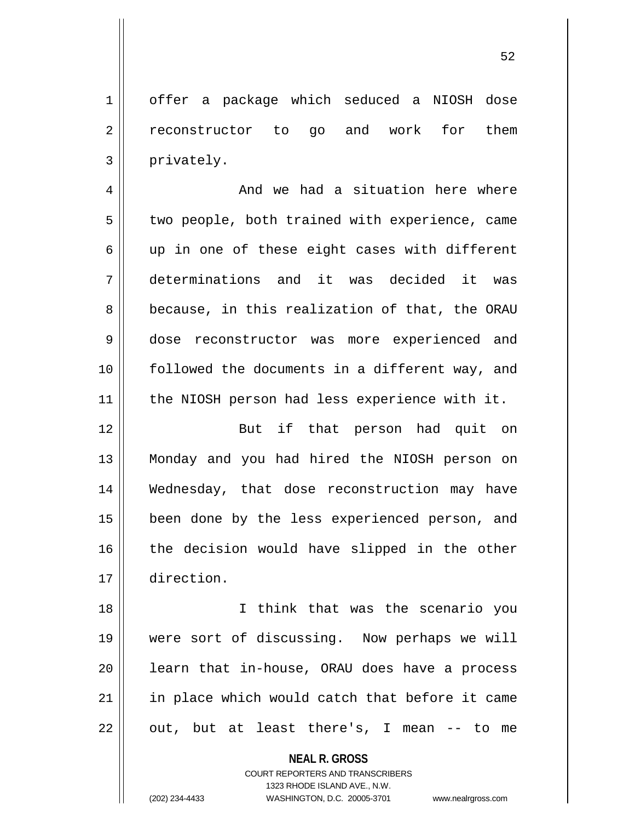1 | offer a package which seduced a NIOSH dose 2 || reconstructor to go and work for them  $3 \parallel$  privately.

4 And we had a situation here where  $5 \parallel$  two people, both trained with experience, came  $6 \parallel$  up in one of these eight cases with different 7 determinations and it was decided it was 8 because, in this realization of that, the ORAU 9 dose reconstructor was more experienced and 10 || followed the documents in a different way, and 11 || the NIOSH person had less experience with it.

12 || But if that person had quit on 13 Monday and you had hired the NIOSH person on 14 Wednesday, that dose reconstruction may have 15 || been done by the less experienced person, and 16 the decision would have slipped in the other 17 direction.

18 I think that was the scenario you 19 were sort of discussing. Now perhaps we will  $20$  || learn that in-house, ORAU does have a process 21 || in place which would catch that before it came  $22 \parallel$  out, but at least there's, I mean -- to me

**NEAL R. GROSS**

COURT REPORTERS AND TRANSCRIBERS 1323 RHODE ISLAND AVE., N.W. (202) 234-4433 WASHINGTON, D.C. 20005-3701 www.nealrgross.com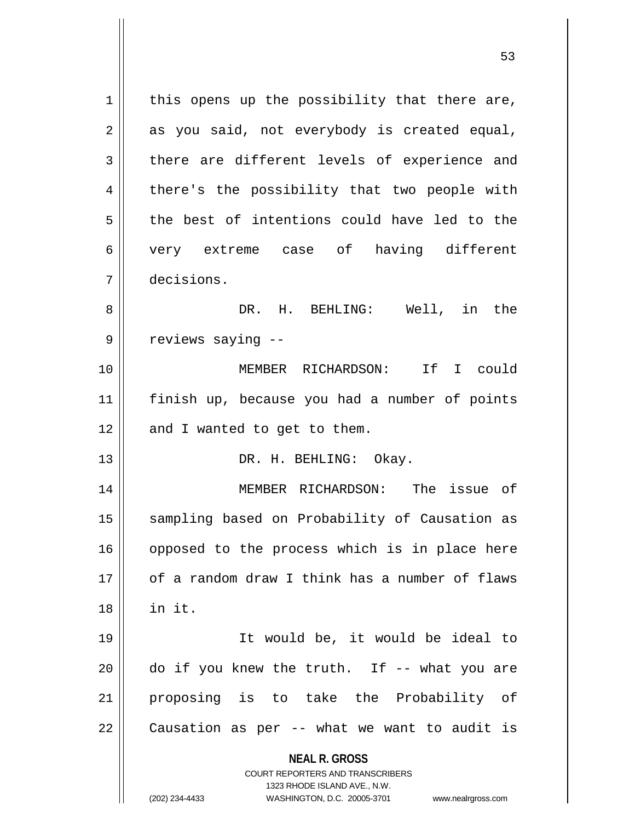**NEAL R. GROSS** COURT REPORTERS AND TRANSCRIBERS 1323 RHODE ISLAND AVE., N.W. (202) 234-4433 WASHINGTON, D.C. 20005-3701 www.nealrgross.com  $1$  this opens up the possibility that there are,  $2 \parallel$  as you said, not everybody is created equal,  $3$  there are different levels of experience and 4 || there's the possibility that two people with  $5 \parallel$  the best of intentions could have led to the 6 very extreme case of having different 7 decisions. 8 DR. H. BEHLING: Well, in the 9 | reviews saying --10 MEMBER RICHARDSON: If I could 11 finish up, because you had a number of points  $12$  | and I wanted to get to them. 13 || DR. H. BEHLING: Okay. 14 MEMBER RICHARDSON: The issue of 15 || sampling based on Probability of Causation as 16 || opposed to the process which is in place here 17 of a random draw I think has a number of flaws 18 in it. 19 It would be, it would be ideal to  $20$  || do if you knew the truth. If  $-$  what you are 21 proposing is to take the Probability of  $22 \parallel$  Causation as per -- what we want to audit is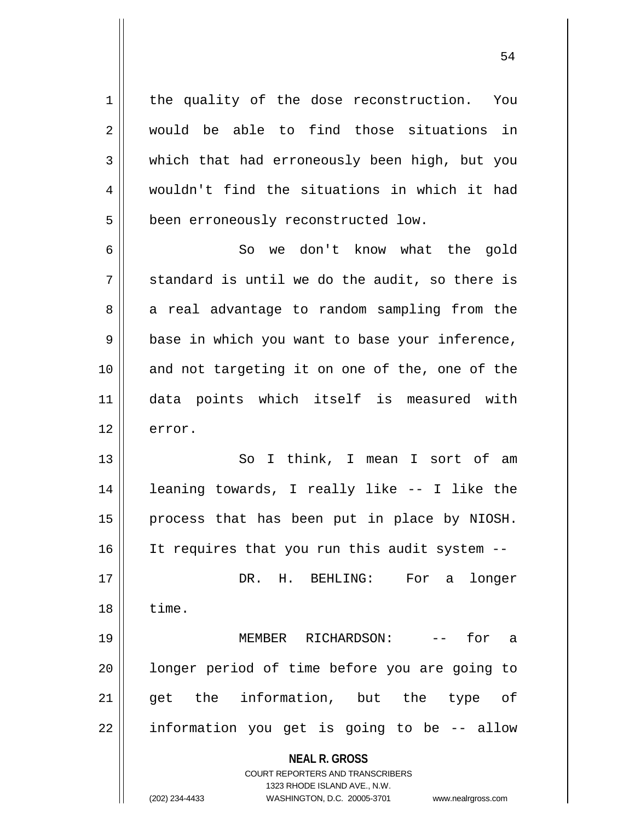1 | the quality of the dose reconstruction. You 2 || would be able to find those situations in 3 which that had erroneously been high, but you 4 wouldn't find the situations in which it had 5 | been erroneously reconstructed low.

6 So we don't know what the gold  $7 \parallel$  standard is until we do the audit, so there is 8 a real advantage to random sampling from the 9 || base in which you want to base your inference, 10 and not targeting it on one of the, one of the 11 data points which itself is measured with  $12 \parallel$  error.

13 || So I think, I mean I sort of am 14 leaning towards, I really like -- I like the  $15$  | process that has been put in place by NIOSH. 16 || It requires that you run this audit system --17 DR. H. BEHLING: For a longer  $18 \parallel$  time. 19 MEMBER RICHARDSON: -- for a 20 || longer period of time before you are going to 21 || get the information, but the type of

22 || information you get is going to be -- allow

**NEAL R. GROSS**

COURT REPORTERS AND TRANSCRIBERS 1323 RHODE ISLAND AVE., N.W. (202) 234-4433 WASHINGTON, D.C. 20005-3701 www.nealrgross.com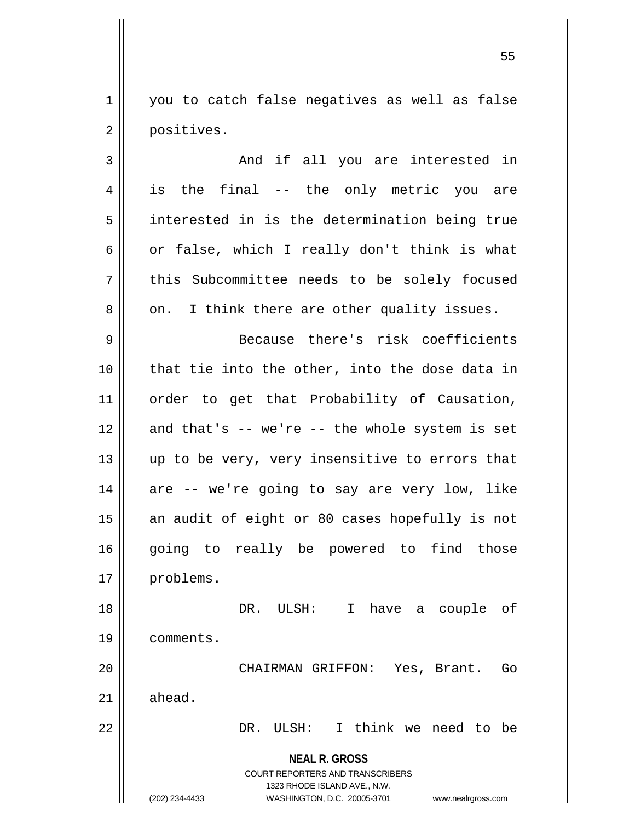1 || you to catch false negatives as well as false 2 | positives.

3 And if all you are interested in 4 || is the final -- the only metric you are 5 || interested in is the determination being true 6  $\vert$  or false, which I really don't think is what 7 || this Subcommittee needs to be solely focused  $8 \parallel$  on. I think there are other quality issues. 9 || Because there's risk coefficients 10 || that tie into the other, into the dose data in 11 || order to get that Probability of Causation,  $12$  and that's  $-$ - we're  $-$ - the whole system is set  $13$  || up to be very, very insensitive to errors that 14 are -- we're going to say are very low, like 15 || an audit of eight or 80 cases hopefully is not 16 || going to really be powered to find those 17 | problems. 18 DR. ULSH: I have a couple of

19 comments.

20 || CHAIRMAN GRIFFON: Yes, Brant. Go  $21 \parallel$  ahead.

22 DR. ULSH: I think we need to be

**NEAL R. GROSS** COURT REPORTERS AND TRANSCRIBERS

1323 RHODE ISLAND AVE., N.W.

(202) 234-4433 WASHINGTON, D.C. 20005-3701 www.nealrgross.com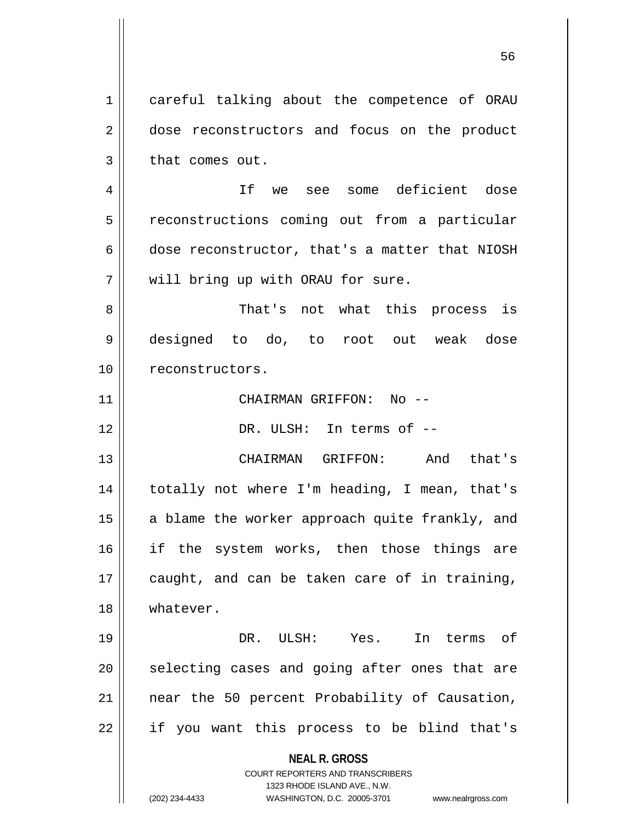**NEAL R. GROSS** COURT REPORTERS AND TRANSCRIBERS 1323 RHODE ISLAND AVE., N.W. (202) 234-4433 WASHINGTON, D.C. 20005-3701 www.nealrgross.com 1 careful talking about the competence of ORAU 2 dose reconstructors and focus on the product  $3 \parallel$  that comes out. 4 If we see some deficient dose 5 | reconstructions coming out from a particular 6 dose reconstructor, that's a matter that NIOSH 7 || will bring up with ORAU for sure. 8 That's not what this process is 9 designed to do, to root out weak dose 10 | reconstructors. 11 CHAIRMAN GRIFFON: No -- 12 DR. ULSH: In terms of -- 13 CHAIRMAN GRIFFON: And that's 14 || totally not where I'm heading, I mean, that's 15  $\parallel$  a blame the worker approach quite frankly, and 16 || if the system works, then those things are  $17$  | caught, and can be taken care of in training, 18 whatever. 19 DR. ULSH: Yes. In terms of  $20$  || selecting cases and going after ones that are 21 || near the 50 percent Probability of Causation,  $22$  || if you want this process to be blind that's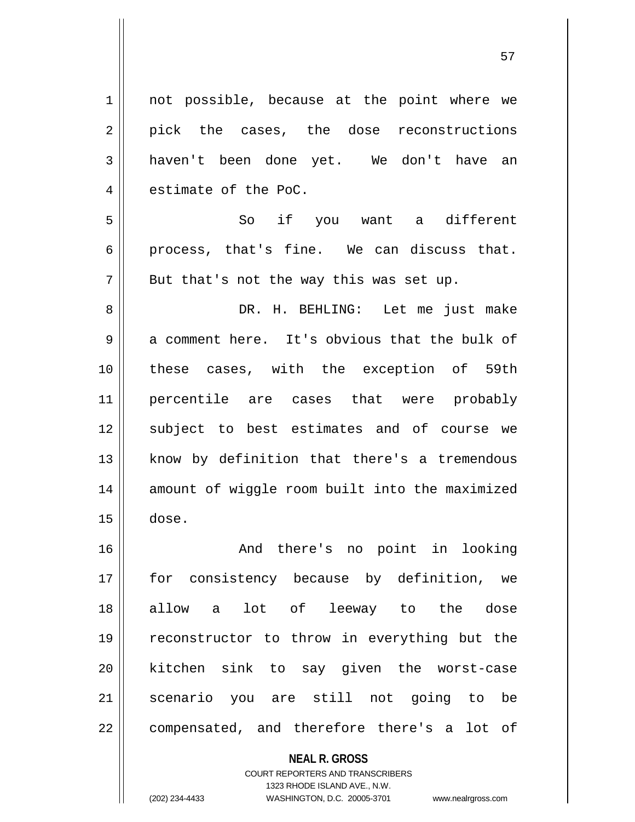1 || not possible, because at the point where we 2 || pick the cases, the dose reconstructions 3 || haven't been done yet. We don't have an  $4 \parallel$  estimate of the PoC. 5 So if you want a different  $6 \parallel$  process, that's fine. We can discuss that.  $7 \parallel$  But that's not the way this was set up. 8 DR. H. BEHLING: Let me just make  $9 \parallel$  a comment here. It's obvious that the bulk of 10 these cases, with the exception of 59th 11 percentile are cases that were probably 12 || subject to best estimates and of course we  $13$  know by definition that there's a tremendous 14 || amount of wiggle room built into the maximized  $15$   $\vert$  dose. 16 || The Rand there's no point in looking 17 for consistency because by definition, we 18 allow a lot of leeway to the dose

> **NEAL R. GROSS** COURT REPORTERS AND TRANSCRIBERS 1323 RHODE ISLAND AVE., N.W. (202) 234-4433 WASHINGTON, D.C. 20005-3701 www.nealrgross.com

19 reconstructor to throw in everything but the

20 kitchen sink to say given the worst-case

21 scenario you are still not going to be

 $22$  || compensated, and therefore there's a lot of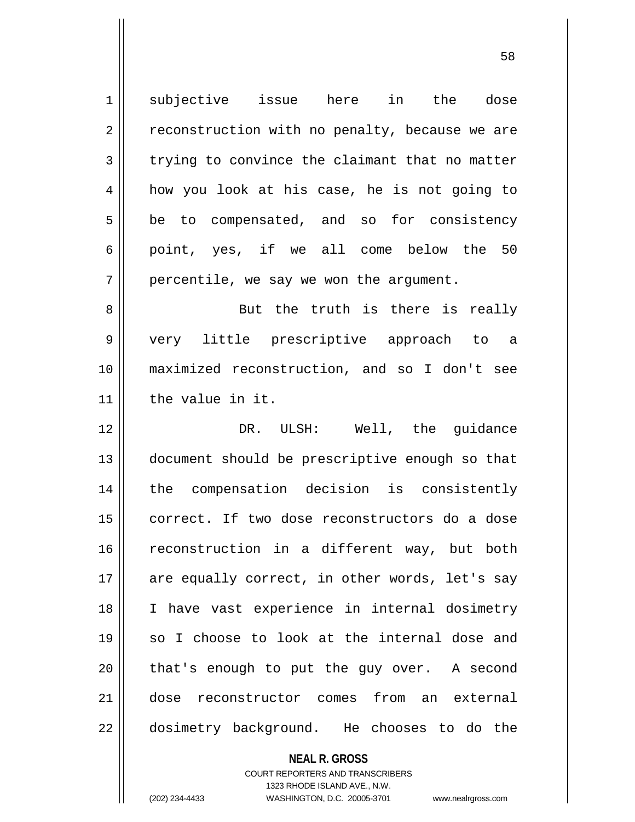1 subjective issue here in the dose  $2 \parallel$  reconstruction with no penalty, because we are  $3 \parallel$  trying to convince the claimant that no matter 4 | how you look at his case, he is not going to  $5 \parallel$  be to compensated, and so for consistency  $6 \parallel$  point, yes, if we all come below the 50  $7 \parallel$  percentile, we say we won the argument. 8 || But the truth is there is really 9 very little prescriptive approach to a 10 maximized reconstruction, and so I don't see 11 || the value in it. 12 DR. ULSH: Well, the guidance 13 document should be prescriptive enough so that 14 the compensation decision is consistently 15 || correct. If two dose reconstructors do a dose 16 || reconstruction in a different way, but both  $17$  are equally correct, in other words, let's say 18 I have vast experience in internal dosimetry 19 || so I choose to look at the internal dose and  $20$  || that's enough to put the guy over. A second 21 dose reconstructor comes from an external 22 || dosimetry background. He chooses to do the

> **NEAL R. GROSS** COURT REPORTERS AND TRANSCRIBERS 1323 RHODE ISLAND AVE., N.W.

(202) 234-4433 WASHINGTON, D.C. 20005-3701 www.nealrgross.com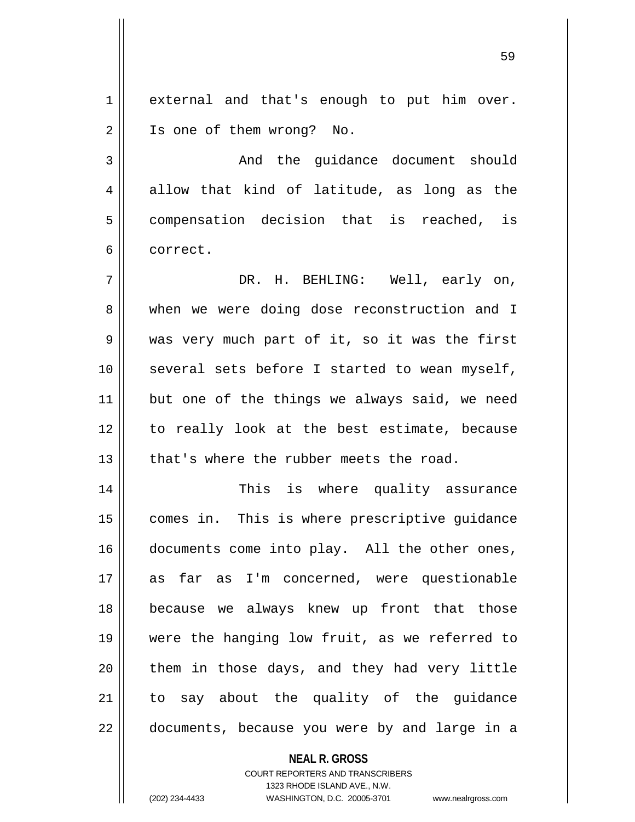1 || external and that's enough to put him over. 2 || Is one of them wrong? No.

3 And the guidance document should  $4 \parallel$  allow that kind of latitude, as long as the 5 || compensation decision that is reached, is 6 correct.

 DR. H. BEHLING: Well, early on, 8 when we were doing dose reconstruction and I was very much part of it, so it was the first several sets before I started to wean myself, but one of the things we always said, we need 12 || to really look at the best estimate, because  $\parallel$  that's where the rubber meets the road.

14 This is where quality assurance 15 || comes in. This is where prescriptive guidance 16 documents come into play. All the other ones, 17 as far as I'm concerned, were questionable 18 because we always knew up front that those 19 were the hanging low fruit, as we referred to 20 || them in those days, and they had very little 21 || to say about the quality of the quidance 22 || documents, because you were by and large in a

## **NEAL R. GROSS**

COURT REPORTERS AND TRANSCRIBERS 1323 RHODE ISLAND AVE., N.W. (202) 234-4433 WASHINGTON, D.C. 20005-3701 www.nealrgross.com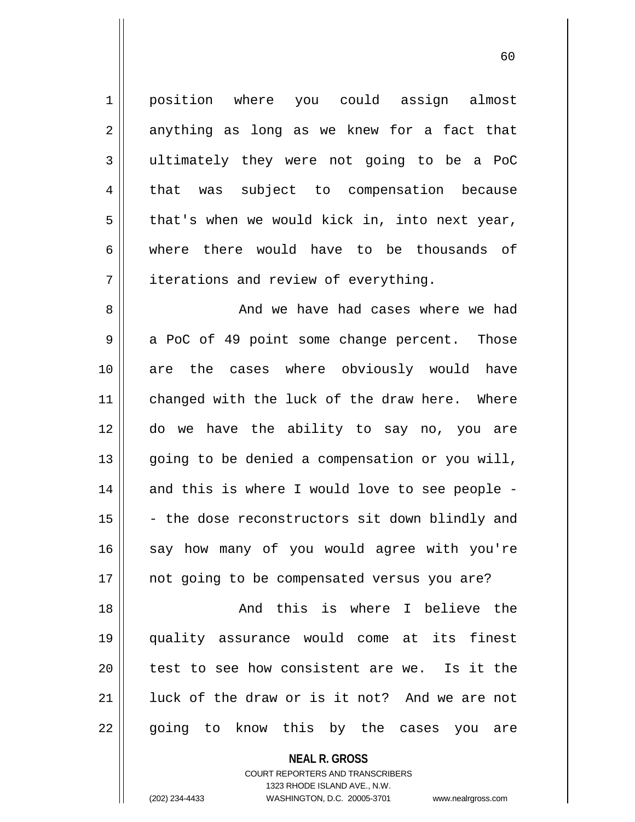1 || position where you could assign almost  $2 \parallel$  anything as long as we knew for a fact that 3 ultimately they were not going to be a PoC 4 || that was subject to compensation because  $5 \parallel$  that's when we would kick in, into next year, 6 where there would have to be thousands of  $7 \parallel$  iterations and review of everything. 8 And we have had cases where we had  $9 \parallel$  a PoC of 49 point some change percent. Those 10 are the cases where obviously would have 11 || changed with the luck of the draw here. Where 12 do we have the ability to say no, you are  $13$  || going to be denied a compensation or you will, 14 || and this is where I would love to see people - $15$  - the dose reconstructors sit down blindly and 16 || say how many of you would agree with you're 17 || not going to be compensated versus you are? 18 And this is where I believe the 19 quality assurance would come at its finest  $20$  || test to see how consistent are we. Is it the 21 Iuck of the draw or is it not? And we are not 22 || going to know this by the cases you are

**NEAL R. GROSS**

COURT REPORTERS AND TRANSCRIBERS 1323 RHODE ISLAND AVE., N.W. (202) 234-4433 WASHINGTON, D.C. 20005-3701 www.nealrgross.com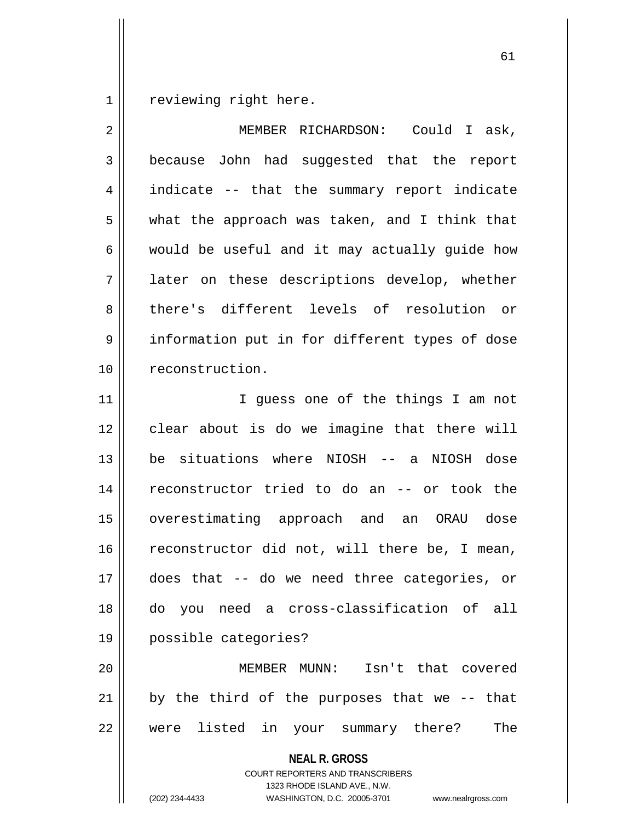reviewing right here.

| 2  | MEMBER RICHARDSON: Could I ask,                                                                                                                                        |
|----|------------------------------------------------------------------------------------------------------------------------------------------------------------------------|
| 3  | because John had suggested that the report                                                                                                                             |
| 4  | indicate -- that the summary report indicate                                                                                                                           |
| 5  | what the approach was taken, and I think that                                                                                                                          |
| 6  | would be useful and it may actually guide how                                                                                                                          |
| 7  | later on these descriptions develop, whether                                                                                                                           |
| 8  | there's different levels of resolution or                                                                                                                              |
| 9  | information put in for different types of dose                                                                                                                         |
| 10 | reconstruction.                                                                                                                                                        |
| 11 | I guess one of the things I am not                                                                                                                                     |
| 12 | clear about is do we imagine that there will                                                                                                                           |
| 13 | be situations where NIOSH -- a NIOSH dose                                                                                                                              |
| 14 | reconstructor tried to do an -- or took the                                                                                                                            |
| 15 | overestimating approach and an ORAU dose                                                                                                                               |
| 16 | reconstructor did not, will there be, I mean,                                                                                                                          |
| 17 | does that -- do we need three categories, or                                                                                                                           |
| 18 | you need a cross-classification of all<br>do                                                                                                                           |
| 19 | possible categories?                                                                                                                                                   |
| 20 | MEMBER MUNN: Isn't that covered                                                                                                                                        |
| 21 | by the third of the purposes that we -- that                                                                                                                           |
| 22 | were listed in<br>your summary there?<br>The                                                                                                                           |
|    | <b>NEAL R. GROSS</b><br><b>COURT REPORTERS AND TRANSCRIBERS</b><br>1323 RHODE ISLAND AVE., N.W.<br>(202) 234-4433<br>WASHINGTON, D.C. 20005-3701<br>www.nealrgross.com |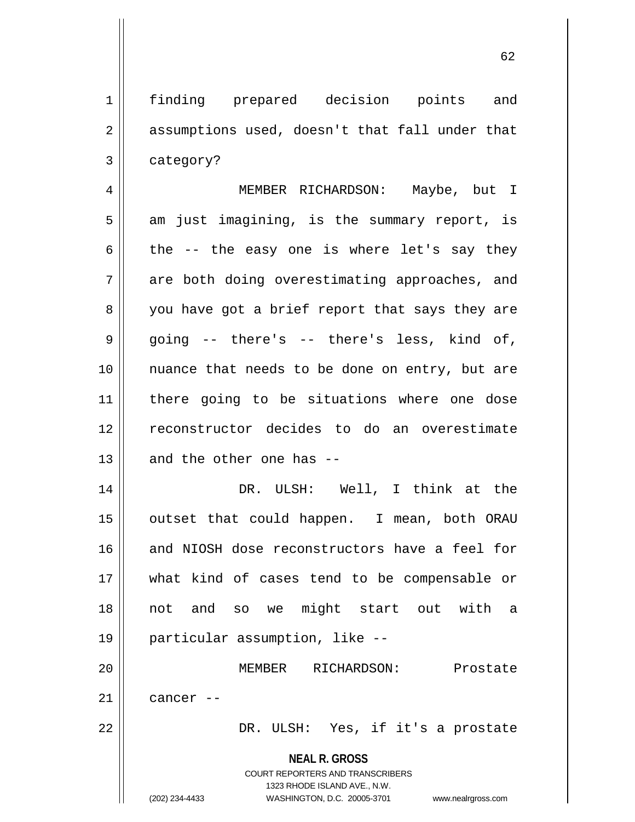1 || finding prepared decision points and  $2 \parallel$  assumptions used, doesn't that fall under that  $3 \parallel$  category? 4 MEMBER RICHARDSON: Maybe, but I  $5 \parallel$  am just imagining, is the summary report, is 6 the  $-$  the easy one is where let's say they  $7 \parallel$  are both doing overestimating approaches, and 8 || you have got a brief report that says they are 9 going -- there's -- there's less, kind of, 10 nuance that needs to be done on entry, but are 11 there going to be situations where one dose 12 reconstructor decides to do an overestimate  $13$  || and the other one has --14 DR. ULSH: Well, I think at the 15 || outset that could happen. I mean, both ORAU 16 and NIOSH dose reconstructors have a feel for 17 what kind of cases tend to be compensable or 18 not and so we might start out with a 19 particular assumption, like --

20 MEMBER RICHARDSON: Prostate  $21$  cancer  $-$ 

22 DR. ULSH: Yes, if it's a prostate

**NEAL R. GROSS**

COURT REPORTERS AND TRANSCRIBERS 1323 RHODE ISLAND AVE., N.W. (202) 234-4433 WASHINGTON, D.C. 20005-3701 www.nealrgross.com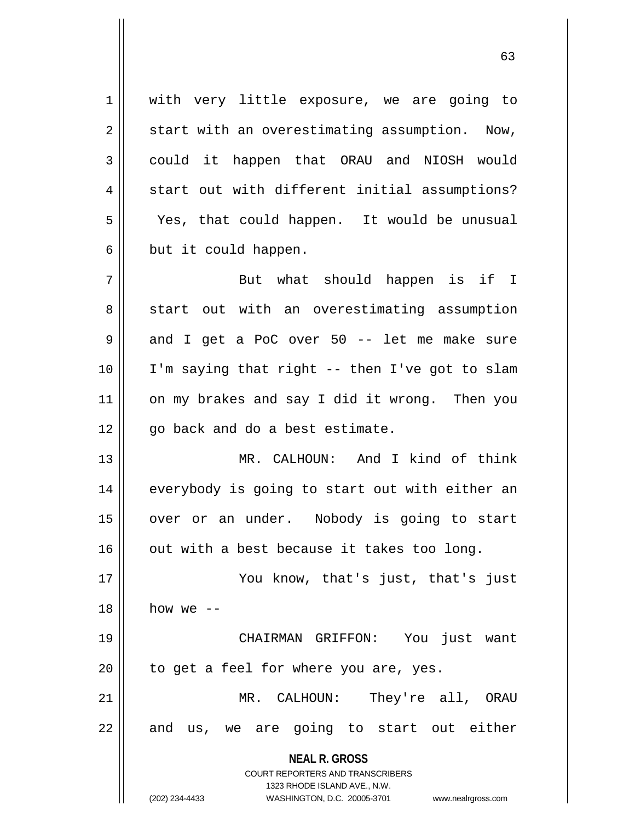**NEAL R. GROSS** COURT REPORTERS AND TRANSCRIBERS 1323 RHODE ISLAND AVE., N.W. (202) 234-4433 WASHINGTON, D.C. 20005-3701 www.nealrgross.com 1 || with very little exposure, we are going to  $2 \parallel$  start with an overestimating assumption. Now, 3 could it happen that ORAU and NIOSH would 4 || start out with different initial assumptions? 5 Yes, that could happen. It would be unusual  $6 \parallel$  but it could happen. 7 || But what should happen is if I 8 start out with an overestimating assumption  $9 \parallel$  and I get a PoC over 50 -- let me make sure 10 I'm saying that right -- then I've got to slam 11 || on my brakes and say I did it wrong. Then you  $12 \parallel$  go back and do a best estimate. 13 MR. CALHOUN: And I kind of think 14 || everybody is going to start out with either an 15 || over or an under. Nobody is going to start  $16$  | out with a best because it takes too long. 17 You know, that's just, that's just  $18$  how we  $-$ 19 CHAIRMAN GRIFFON: You just want  $20$  || to get a feel for where you are, yes. 21 MR. CALHOUN: They're all, ORAU  $22 \parallel$  and us, we are going to start out either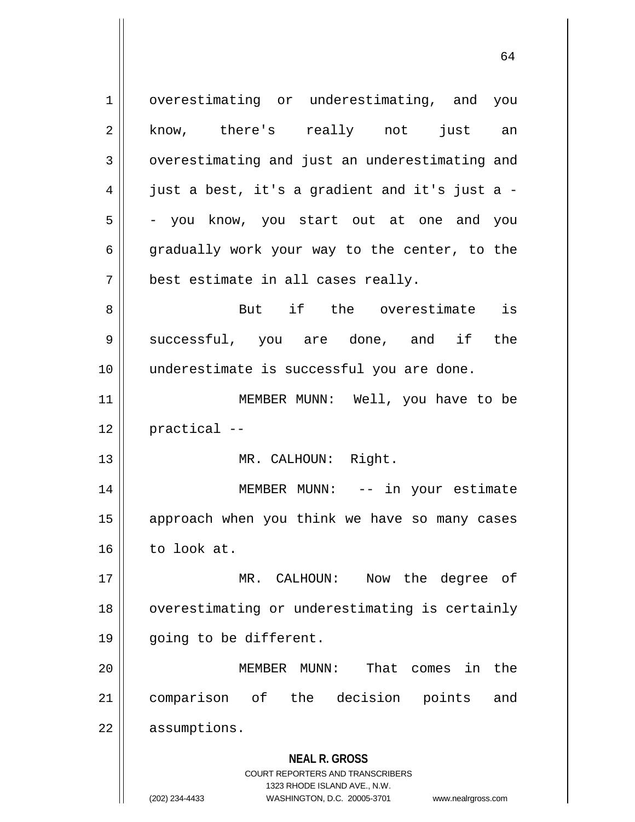**NEAL R. GROSS** COURT REPORTERS AND TRANSCRIBERS 1323 RHODE ISLAND AVE., N.W. (202) 234-4433 WASHINGTON, D.C. 20005-3701 www.nealrgross.com 1 | overestimating or underestimating, and you 2 || know, there's really not just an 3 | overestimating and just an underestimating and  $4 \parallel$  just a best, it's a gradient and it's just a - $5 \parallel$  - you know, you start out at one and you 6 || gradually work your way to the center, to the 7 | best estimate in all cases really. 8 But if the overestimate is 9 Successful, you are done, and if the 10 || underestimate is successful you are done. 11 || MEMBER MUNN: Well, you have to be  $12$  | practical  $-$ 13 || MR. CALHOUN: Right. 14 MEMBER MUNN: -- in your estimate 15 || approach when you think we have so many cases  $16 \parallel$  to look at. 17 MR. CALHOUN: Now the degree of 18 | overestimating or underestimating is certainly 19 || going to be different. 20 MEMBER MUNN: That comes in the 21 comparison of the decision points and 22 | assumptions.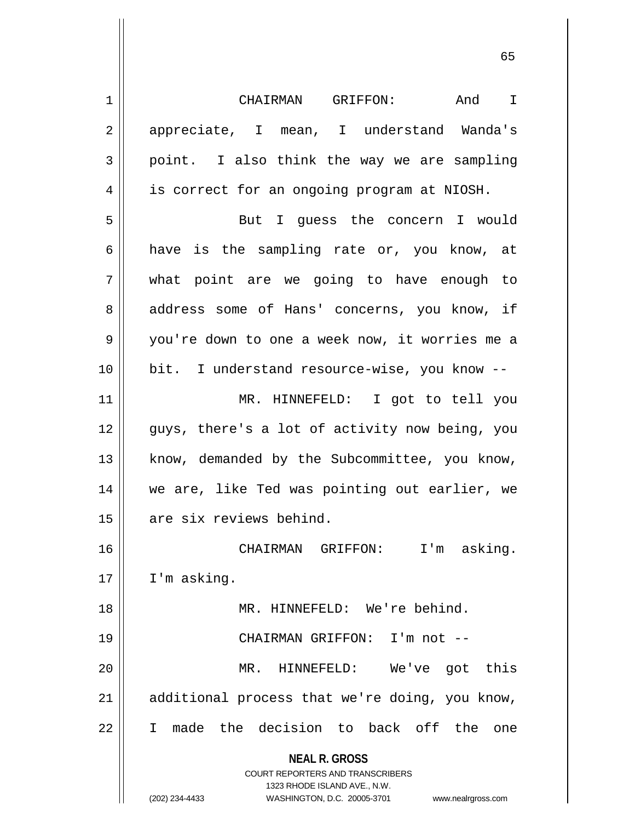| $\mathbf 1$    | CHAIRMAN GRIFFON:<br>And<br>$\mathbf I$                                                             |
|----------------|-----------------------------------------------------------------------------------------------------|
| $\sqrt{2}$     | appreciate, I mean, I understand Wanda's                                                            |
| $\mathfrak{Z}$ | point. I also think the way we are sampling                                                         |
| 4              | is correct for an ongoing program at NIOSH.                                                         |
| 5              | But I guess the concern I would                                                                     |
| 6              | have is the sampling rate or, you know, at                                                          |
| 7              | what point are we going to have enough to                                                           |
| 8              | address some of Hans' concerns, you know, if                                                        |
| 9              | you're down to one a week now, it worries me a                                                      |
| 10             | bit. I understand resource-wise, you know --                                                        |
| 11             | MR. HINNEFELD: I got to tell you                                                                    |
| 12             | guys, there's a lot of activity now being, you                                                      |
| 13             | know, demanded by the Subcommittee, you know,                                                       |
| 14             | we are, like Ted was pointing out earlier, we                                                       |
| 15             | are six reviews behind.                                                                             |
| 16             | CHAIRMAN GRIFFON: I'm asking.                                                                       |
| 17             | I'm asking.                                                                                         |
| 18             | MR. HINNEFELD: We're behind.                                                                        |
| 19             | CHAIRMAN GRIFFON: I'm not --                                                                        |
| 20             | $MR$ .<br>HINNEFELD:<br>We've got this                                                              |
| 21             | additional process that we're doing, you know,                                                      |
| 22             | the decision to back off the<br>made<br>I.<br>one                                                   |
|                | <b>NEAL R. GROSS</b>                                                                                |
|                | <b>COURT REPORTERS AND TRANSCRIBERS</b>                                                             |
|                | 1323 RHODE ISLAND AVE., N.W.<br>(202) 234-4433<br>WASHINGTON, D.C. 20005-3701<br>www.nealrgross.com |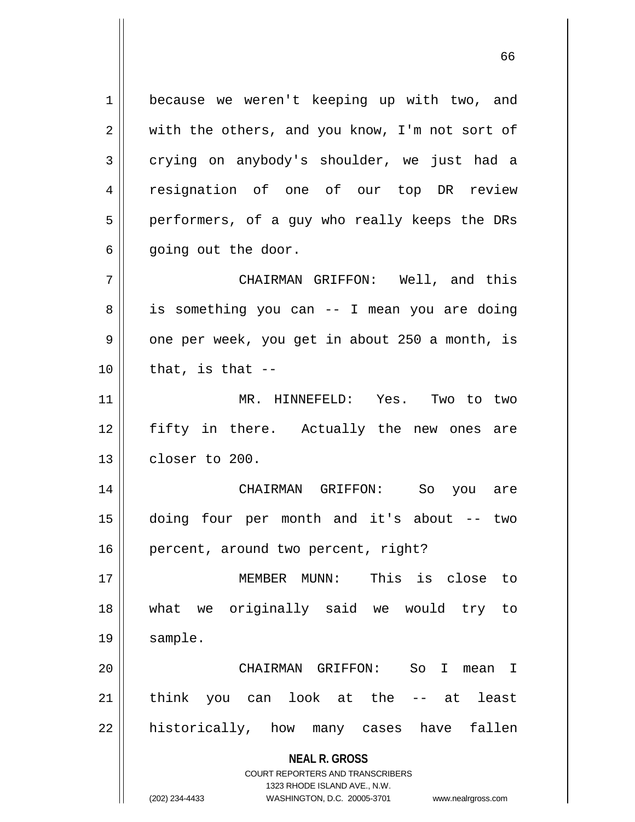**NEAL R. GROSS** 1 | because we weren't keeping up with two, and  $2 \parallel$  with the others, and you know, I'm not sort of 3 crying on anybody's shoulder, we just had a 4 Fesignation of one of our top DR review 5 || performers, of a guy who really keeps the DRs  $6 \parallel$  going out the door. 7 CHAIRMAN GRIFFON: Well, and this 8 || is something you can -- I mean you are doing 9 || one per week, you get in about 250 a month, is  $10$  || that, is that  $-$ 11 MR. HINNEFELD: Yes. Two to two 12 fifty in there. Actually the new ones are  $13$   $\parallel$  closer to 200. 14 CHAIRMAN GRIFFON: So you are 15 doing four per month and it's about -- two 16 | percent, around two percent, right? 17 MEMBER MUNN: This is close to 18 what we originally said we would try to 19 sample. 20 CHAIRMAN GRIFFON: So I mean I 21 || think you can look at the -- at least  $22$  || historically, how many cases have fallen

> COURT REPORTERS AND TRANSCRIBERS 1323 RHODE ISLAND AVE., N.W.

(202) 234-4433 WASHINGTON, D.C. 20005-3701 www.nealrgross.com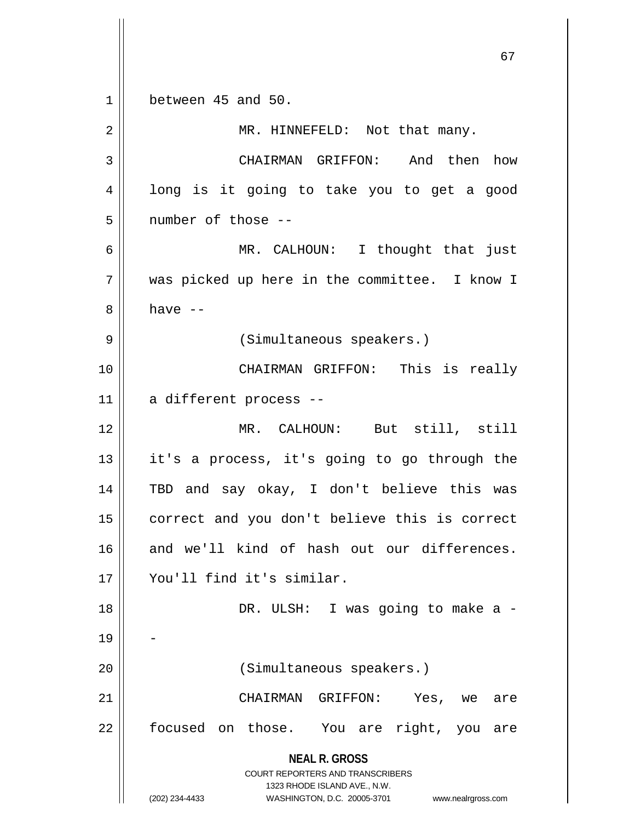**NEAL R. GROSS** COURT REPORTERS AND TRANSCRIBERS 1323 RHODE ISLAND AVE., N.W. (202) 234-4433 WASHINGTON, D.C. 20005-3701 www.nealrgross.com 1 between 45 and 50. 2 || MR. HINNEFELD: Not that many. 3 CHAIRMAN GRIFFON: And then how 4 || long is it going to take you to get a good 5 || number of those --6 MR. CALHOUN: I thought that just 7 || was picked up here in the committee. I know I  $8 \parallel$  have  $-$ 9 || (Simultaneous speakers.) 10 CHAIRMAN GRIFFON: This is really 11 || a different process --12 MR. CALHOUN: But still, still  $13$  || it's a process, it's going to go through the 14 TBD and say okay, I don't believe this was 15 || correct and you don't believe this is correct 16 and we'll kind of hash out our differences. 17 You'll find it's similar. 18 DR. ULSH: I was going to make a - 19 20 || (Simultaneous speakers.) 21 CHAIRMAN GRIFFON: Yes, we are 22 || focused on those. You are right, you are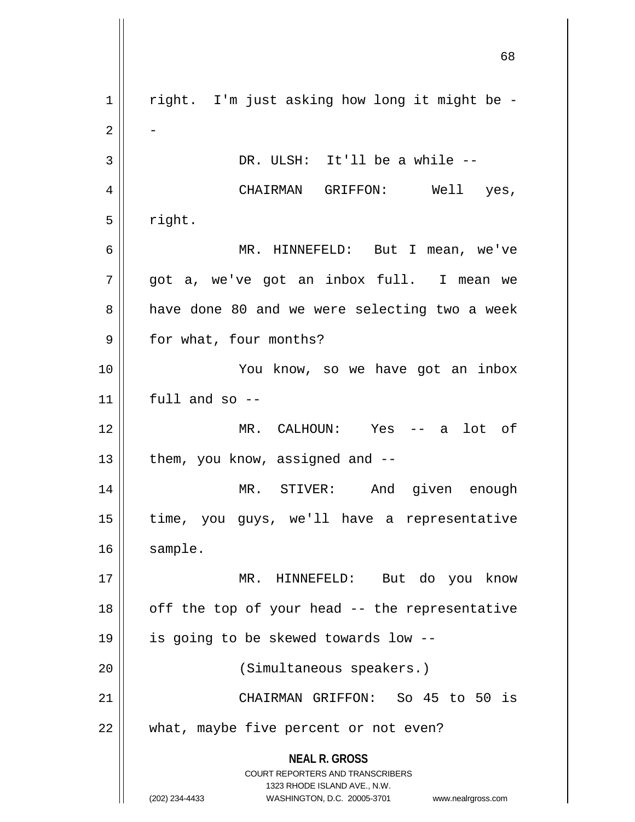**NEAL R. GROSS** COURT REPORTERS AND TRANSCRIBERS 1323 RHODE ISLAND AVE., N.W. (202) 234-4433 WASHINGTON, D.C. 20005-3701 www.nealrgross.com  $1$  | right. I'm just asking how long it might be - $2 \parallel$  - $3 \parallel$  DR. ULSH: It'll be a while  $-$ 4 CHAIRMAN GRIFFON: Well yes,  $5 \parallel$  right. 6 MR. HINNEFELD: But I mean, we've 7 got a, we've got an inbox full. I mean we 8 || have done 80 and we were selecting two a week 9 | for what, four months? 10 You know, so we have got an inbox  $11$  | full and so --12 MR. CALHOUN: Yes -- a lot of  $13$  | them, you know, assigned and  $-$ -14 MR. STIVER: And given enough 15 time, you guys, we'll have a representative 16 | sample. 17 MR. HINNEFELD: But do you know  $18$  || off the top of your head  $-$  the representative 19 is going to be skewed towards low -- 20 || (Simultaneous speakers.) 21 CHAIRMAN GRIFFON: So 45 to 50 is 22 || what, maybe five percent or not even?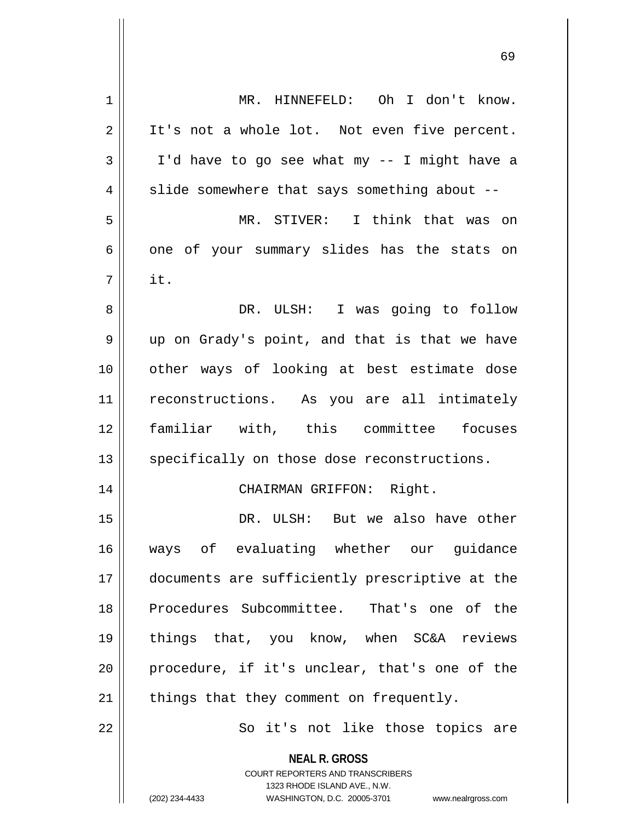| $\mathbf 1$ | MR. HINNEFELD: Oh I don't know.                                                                                                                                 |
|-------------|-----------------------------------------------------------------------------------------------------------------------------------------------------------------|
| 2           | It's not a whole lot. Not even five percent.                                                                                                                    |
| 3           | I'd have to go see what my -- I might have a                                                                                                                    |
| 4           | slide somewhere that says something about --                                                                                                                    |
| 5           | MR. STIVER: I think that was on                                                                                                                                 |
| 6           | one of your summary slides has the stats on                                                                                                                     |
| 7           | it.                                                                                                                                                             |
| 8           | DR. ULSH: I was going to follow                                                                                                                                 |
| 9           | up on Grady's point, and that is that we have                                                                                                                   |
| 10          | other ways of looking at best estimate dose                                                                                                                     |
| 11          | reconstructions. As you are all intimately                                                                                                                      |
| 12          | familiar with, this committee focuses                                                                                                                           |
| 13          | specifically on those dose reconstructions.                                                                                                                     |
| 14          | CHAIRMAN GRIFFON: Right.                                                                                                                                        |
| 15          | DR. ULSH: But we also have other                                                                                                                                |
| 16          | ways of evaluating whether our guidance                                                                                                                         |
| 17          | documents are sufficiently prescriptive at the                                                                                                                  |
| 18          | Procedures Subcommittee. That's one of the                                                                                                                      |
| 19          | things that, you know, when SC&A reviews                                                                                                                        |
| 20          | procedure, if it's unclear, that's one of the                                                                                                                   |
| 21          | things that they comment on frequently.                                                                                                                         |
| 22          | So it's not like those topics are                                                                                                                               |
|             | <b>NEAL R. GROSS</b><br>COURT REPORTERS AND TRANSCRIBERS<br>1323 RHODE ISLAND AVE., N.W.<br>(202) 234-4433<br>WASHINGTON, D.C. 20005-3701<br>www.nealrgross.com |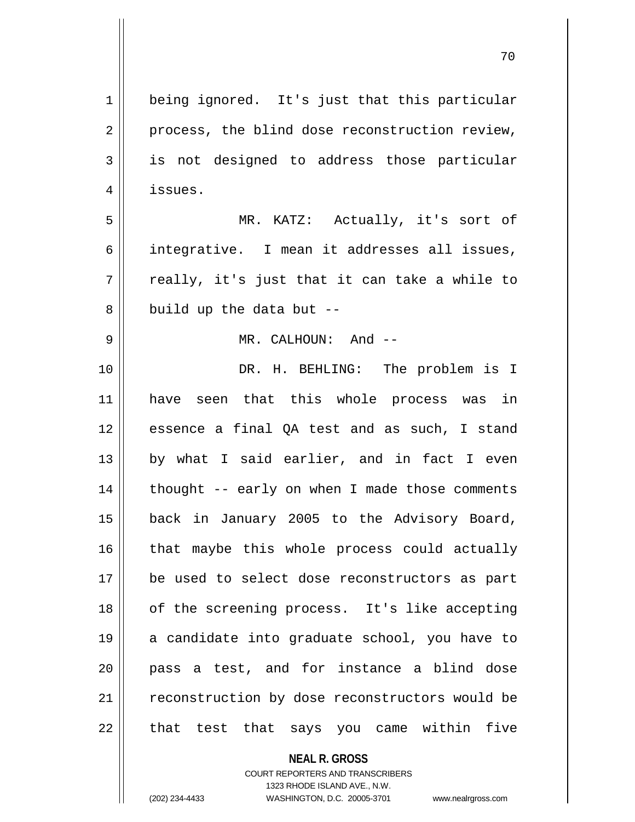**NEAL R. GROSS** 1 | being ignored. It's just that this particular  $2 \parallel$  process, the blind dose reconstruction review, 3 is not designed to address those particular 4 | issues. 5 MR. KATZ: Actually, it's sort of 6 || integrative. I mean it addresses all issues,  $7 \parallel$  really, it's just that it can take a while to  $8 \parallel$  build up the data but --9 MR. CALHOUN: And -- 10 DR. H. BEHLING: The problem is I 11 have seen that this whole process was in 12 || essence a final OA test and as such, I stand  $13$  by what I said earlier, and in fact I even  $14$  | thought -- early on when I made those comments 15 back in January 2005 to the Advisory Board,  $16$  | that maybe this whole process could actually 17 || be used to select dose reconstructors as part 18 || of the screening process. It's like accepting 19 || a candidate into graduate school, you have to 20 pass a test, and for instance a blind dose 21 || reconstruction by dose reconstructors would be  $22$  || that test that says you came within five

> COURT REPORTERS AND TRANSCRIBERS 1323 RHODE ISLAND AVE., N.W.

(202) 234-4433 WASHINGTON, D.C. 20005-3701 www.nealrgross.com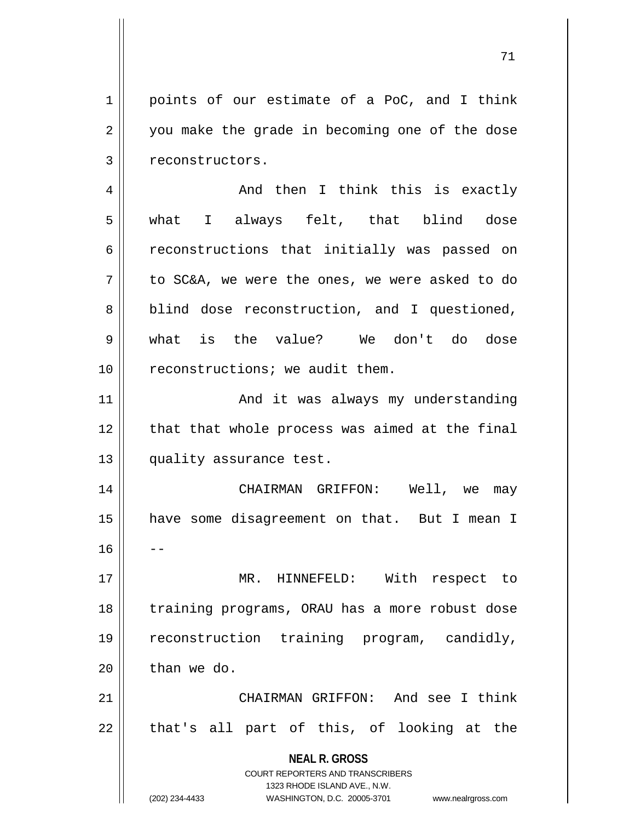$1 \parallel$  points of our estimate of a PoC, and I think  $2 \parallel$  you make the grade in becoming one of the dose 3 | reconstructors.

4 And then I think this is exactly 5 what I always felt, that blind dose 6 ceconstructions that initially was passed on  $7 \parallel$  to SC&A, we were the ones, we were asked to do 8 | blind dose reconstruction, and I questioned, 9 what is the value? We don't do dose  $10$  || reconstructions; we audit them.

11 || And it was always my understanding 12 || that that whole process was aimed at the final 13 | quality assurance test.

14 CHAIRMAN GRIFFON: Well, we may 15 have some disagreement on that. But I mean I  $16$ 17 || MR. HINNEFELD: With respect to

18 || training programs, ORAU has a more robust dose 19 reconstruction training program, candidly,  $20$  | than we do.

21 CHAIRMAN GRIFFON: And see I think  $22 \parallel$  that's all part of this, of looking at the

> **NEAL R. GROSS** COURT REPORTERS AND TRANSCRIBERS 1323 RHODE ISLAND AVE., N.W.

(202) 234-4433 WASHINGTON, D.C. 20005-3701 www.nealrgross.com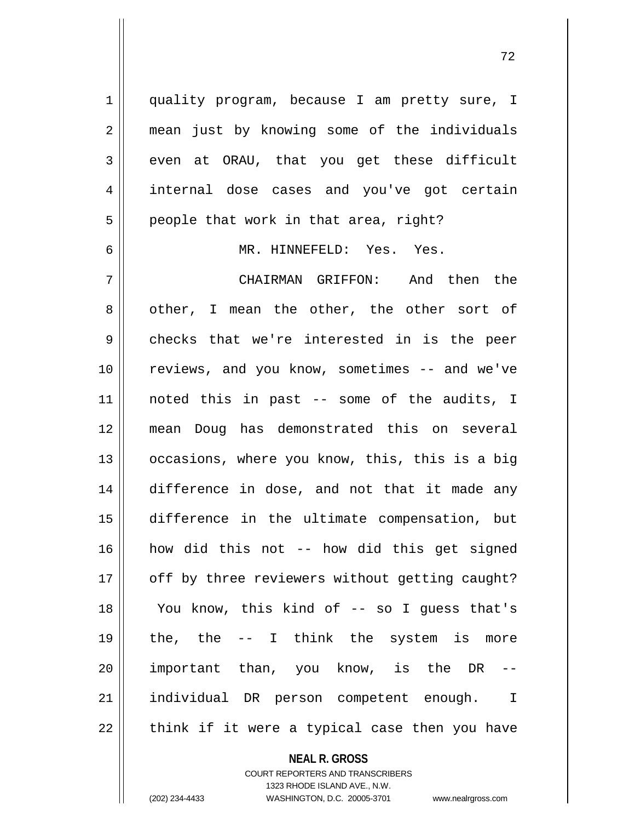1 quality program, because I am pretty sure, I 2 || mean just by knowing some of the individuals  $3 \parallel$  even at ORAU, that you get these difficult 4 || internal dose cases and you've got certain  $5 \parallel$  people that work in that area, right?

6 MR. HINNEFELD: Yes. Yes.

 CHAIRMAN GRIFFON: And then the 8 other, I mean the other, the other sort of 9 checks that we're interested in is the peer 10 || reviews, and you know, sometimes -- and we've noted this in past -- some of the audits, I mean Doug has demonstrated this on several 13 || occasions, where you know, this, this is a big difference in dose, and not that it made any difference in the ultimate compensation, but how did this not -- how did this get signed 17 || off by three reviewers without getting caught? You know, this kind of -- so I guess that's  $\parallel$  the, the  $-$  I think the system is more || important than, you know, is the DR individual DR person competent enough. I || think if it were a typical case then you have

**NEAL R. GROSS**

COURT REPORTERS AND TRANSCRIBERS 1323 RHODE ISLAND AVE., N.W. (202) 234-4433 WASHINGTON, D.C. 20005-3701 www.nealrgross.com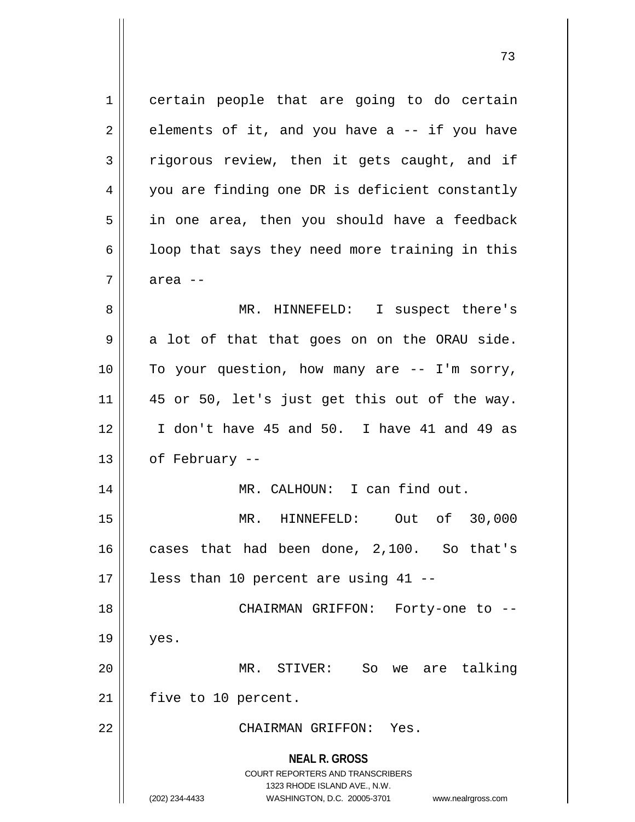**NEAL R. GROSS** COURT REPORTERS AND TRANSCRIBERS 1323 RHODE ISLAND AVE., N.W. 1 certain people that are going to do certain  $2 \parallel$  elements of it, and you have a -- if you have  $3$  rigorous review, then it gets caught, and if 4 || you are finding one DR is deficient constantly  $5 \parallel$  in one area, then you should have a feedback  $6 \parallel$  loop that says they need more training in this 7 area -- 8 || MR. HINNEFELD: I suspect there's  $9 \parallel$  a lot of that that goes on on the ORAU side. 10 || To your question, how many are -- I'm sorry,  $11$  | 45 or 50, let's just get this out of the way. 12 I don't have 45 and 50. I have 41 and 49 as  $13 \parallel$  of February --14 || MR. CALHOUN: I can find out. 15 MR. HINNEFELD: Out of 30,000 16 cases that had been done, 2,100. So that's  $17$  || less than 10 percent are using 41 --18 CHAIRMAN GRIFFON: Forty-one to --  $19$  | yes. 20 MR. STIVER: So we are talking 21 | five to 10 percent. 22 CHAIRMAN GRIFFON: Yes.

(202) 234-4433 WASHINGTON, D.C. 20005-3701 www.nealrgross.com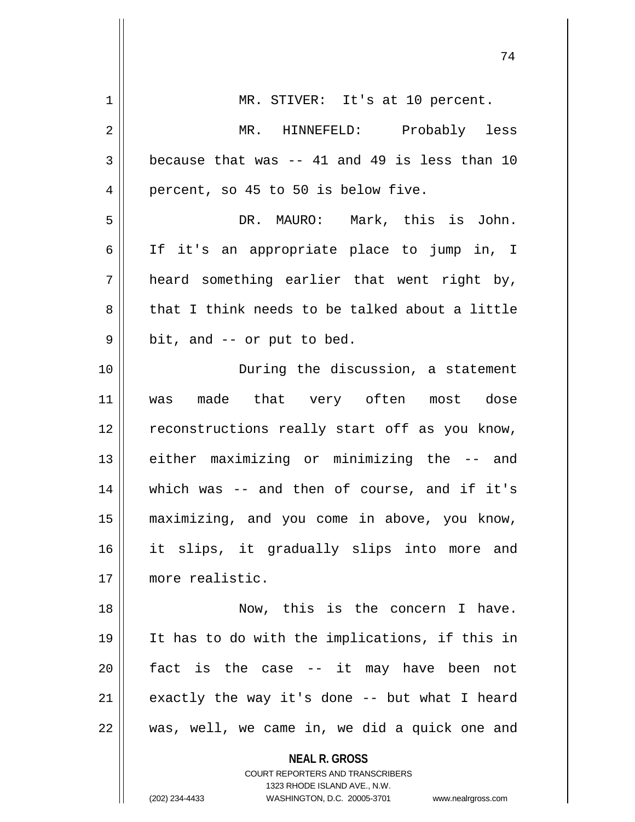| 1  | MR. STIVER: It's at 10 percent.                                     |
|----|---------------------------------------------------------------------|
| 2  | MR. HINNEFELD: Probably less                                        |
| 3  | because that was -- 41 and 49 is less than 10                       |
| 4  | percent, so 45 to 50 is below five.                                 |
| 5  | DR. MAURO: Mark, this is John.                                      |
| 6  | If it's an appropriate place to jump in, I                          |
| 7  | heard something earlier that went right by,                         |
| 8  | that I think needs to be talked about a little                      |
| 9  | bit, and -- or put to bed.                                          |
| 10 | During the discussion, a statement                                  |
| 11 | was made that very often most dose                                  |
| 12 | reconstructions really start off as you know,                       |
| 13 | either maximizing or minimizing the -- and                          |
| 14 | which was $-$ and then of course, and if it's                       |
| 15 | maximizing, and you come in above, you know,                        |
| 16 | it slips, it gradually slips into more and                          |
| 17 | more realistic.                                                     |
| 18 | Now, this is the concern I have.                                    |
| 19 | It has to do with the implications, if this in                      |
| 20 | fact is the case -- it may have been not                            |
| 21 | exactly the way it's done -- but what I heard                       |
| 22 | was, well, we came in, we did a quick one and                       |
|    |                                                                     |
|    | <b>NEAL R. GROSS</b><br><b>COURT REPORTERS AND TRANSCRIBERS</b>     |
|    | 1323 RHODE ISLAND AVE., N.W.                                        |
|    | (202) 234-4433<br>WASHINGTON, D.C. 20005-3701<br>www.nealrgross.com |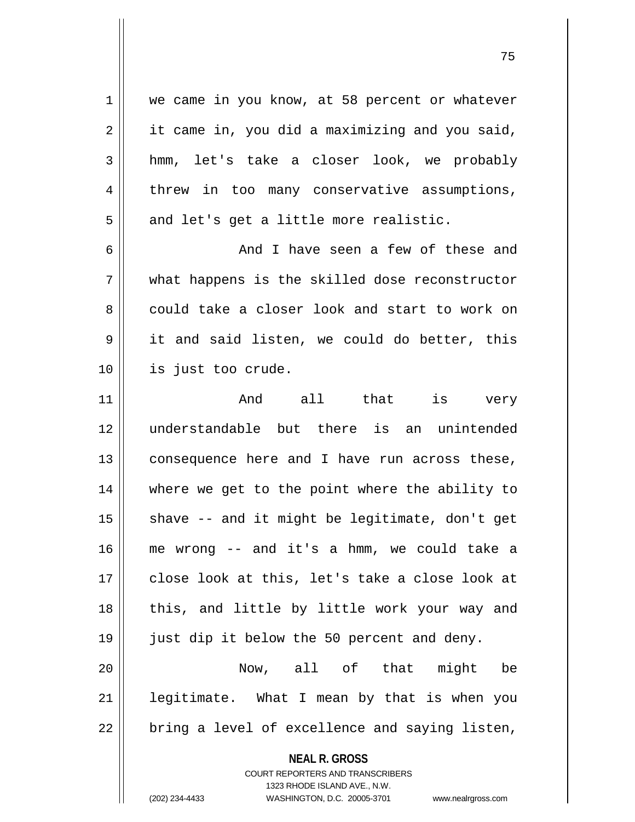**NEAL R. GROSS** COURT REPORTERS AND TRANSCRIBERS 1 | we came in you know, at 58 percent or whatever  $2 \parallel$  it came in, you did a maximizing and you said, 3 hmm, let's take a closer look, we probably 4 threw in too many conservative assumptions,  $5 \parallel$  and let's get a little more realistic. 6 and I have seen a few of these and 7 what happens is the skilled dose reconstructor 8 could take a closer look and start to work on 9 || it and said listen, we could do better, this 10 is just too crude. 11 And all that is very 12 understandable but there is an unintended  $13$  consequence here and I have run across these, 14 where we get to the point where the ability to  $15$  shave  $-$  and it might be legitimate, don't get 16 me wrong -- and it's a hmm, we could take a 17 || close look at this, let's take a close look at 18 || this, and little by little work your way and 19 just dip it below the 50 percent and deny. 20 Now, all of that might be  $21$  | legitimate. What I mean by that is when you  $22$  || bring a level of excellence and saying listen,

1323 RHODE ISLAND AVE., N.W.

(202) 234-4433 WASHINGTON, D.C. 20005-3701 www.nealrgross.com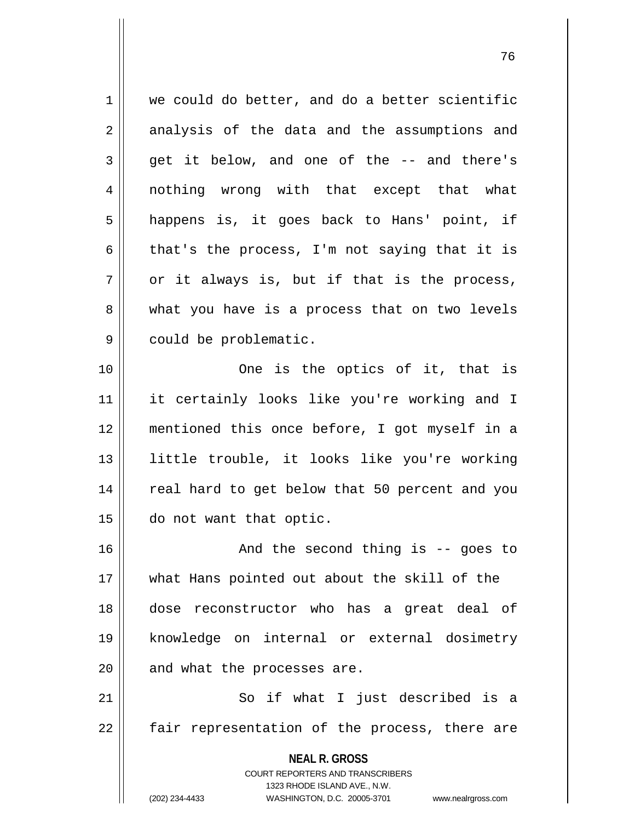1 we could do better, and do a better scientific 2 || analysis of the data and the assumptions and  $3 \parallel$  get it below, and one of the  $-$  and there's 4 || nothing wrong with that except that what 5 || happens is, it goes back to Hans' point, if 6 that's the process, I'm not saying that it is  $7 \parallel$  or it always is, but if that is the process, 8 What you have is a process that on two levels 9 | could be problematic. 10 || One is the optics of it, that is 11 it certainly looks like you're working and I 12 mentioned this once before, I got myself in a

13 little trouble, it looks like you're working 14 || real hard to get below that 50 percent and you 15 do not want that optic.

16 || The Second thing is -- goes to what Hans pointed out about the skill of the dose reconstructor who has a great deal of knowledge on internal or external dosimetry | and what the processes are.

21 || So if what I just described is a  $22$  || fair representation of the process, there are

> **NEAL R. GROSS** COURT REPORTERS AND TRANSCRIBERS 1323 RHODE ISLAND AVE., N.W. (202) 234-4433 WASHINGTON, D.C. 20005-3701 www.nealrgross.com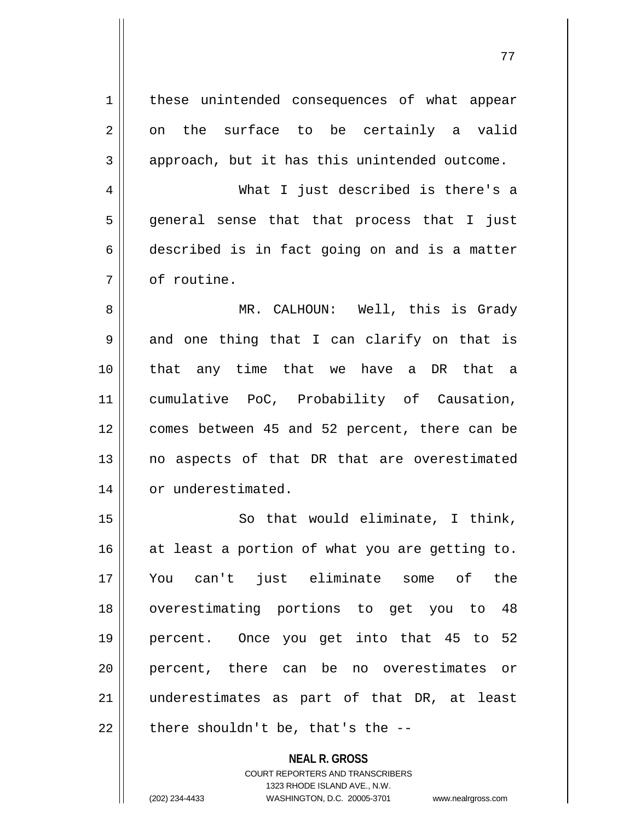| 1              | these unintended consequences of what appear   |
|----------------|------------------------------------------------|
| 2              | on the surface to be certainly a valid         |
| 3              | approach, but it has this unintended outcome.  |
| $\overline{4}$ | What I just described is there's a             |
| 5              | general sense that that process that I just    |
| 6              | described is in fact going on and is a matter  |
| 7              | of routine.                                    |
| 8              | MR. CALHOUN: Well, this is Grady               |
| $\mathsf 9$    | and one thing that I can clarify on that is    |
| 10             | that any time that we have a DR that a         |
| 11             | cumulative PoC, Probability of Causation,      |
| 12             | comes between 45 and 52 percent, there can be  |
| 13             | no aspects of that DR that are overestimated   |
| 14             | or underestimated.                             |
| 15             | So that would eliminate, I think,              |
| 16             | at least a portion of what you are getting to. |
| 17             | You can't just eliminate some of<br>the        |
| 18             | overestimating portions to get you to 48       |
| 19             | percent. Once you get into that 45 to 52       |
| 20             | percent, there can be no overestimates or      |
| 21             | underestimates as part of that DR, at least    |
| 22             | there shouldn't be, that's the --              |

**NEAL R. GROSS** COURT REPORTERS AND TRANSCRIBERS 1323 RHODE ISLAND AVE., N.W. (202) 234-4433 WASHINGTON, D.C. 20005-3701 www.nealrgross.com

 $\mathsf{I}$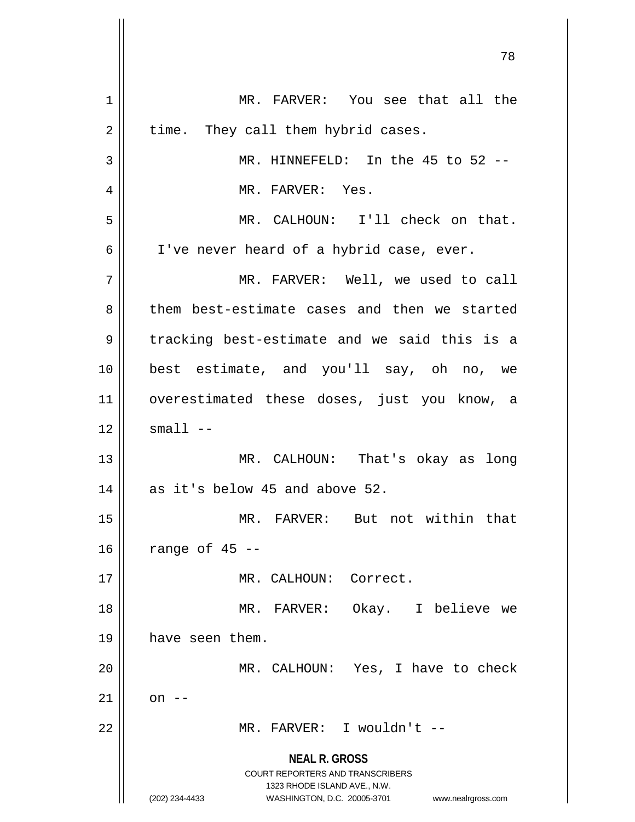**NEAL R. GROSS** COURT REPORTERS AND TRANSCRIBERS 1323 RHODE ISLAND AVE., N.W. (202) 234-4433 WASHINGTON, D.C. 20005-3701 www.nealrgross.com 1 || MR. FARVER: You see that all the  $2 \parallel$  time. They call them hybrid cases. 3 || MR. HINNEFELD: In the 45 to 52 --4 || MR. FARVER: Yes. 5 MR. CALHOUN: I'll check on that. 6 | I've never heard of a hybrid case, ever. 7 MR. FARVER: Well, we used to call 8 them best-estimate cases and then we started  $9 \parallel$  tracking best-estimate and we said this is a 10 best estimate, and you'll say, oh no, we 11 overestimated these doses, just you know, a  $12$   $\parallel$  small  $-$ 13 MR. CALHOUN: That's okay as long 14 || as it's below 45 and above 52. 15 MR. FARVER: But not within that  $16$  | range of 45 --17 MR. CALHOUN: Correct. 18 MR. FARVER: Okay. I believe we 19 | have seen them. 20 || MR. CALHOUN: Yes, I have to check  $21$  || on --22 MR. FARVER: I wouldn't --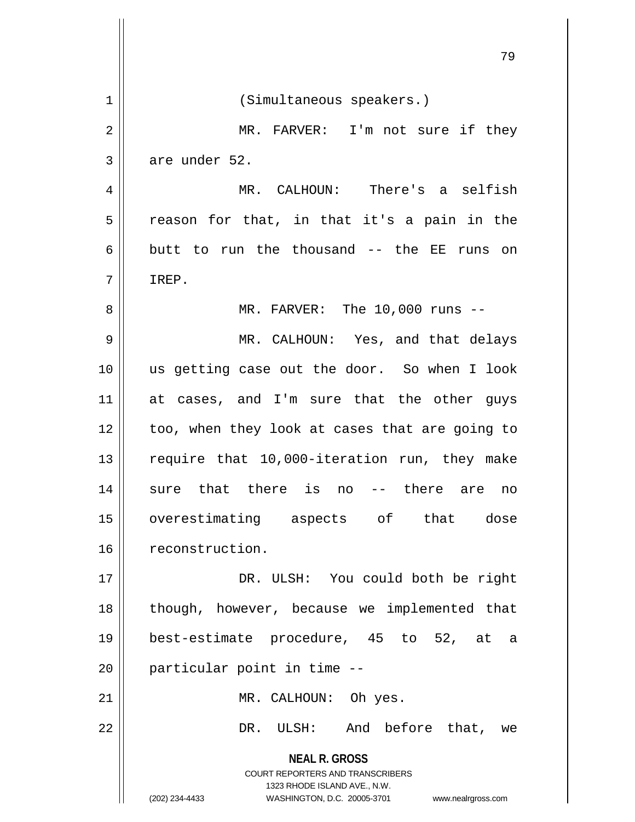|    | 79                                                                                       |
|----|------------------------------------------------------------------------------------------|
| 1  | (Simultaneous speakers.)                                                                 |
| 2  | MR. FARVER: I'm not sure if they                                                         |
| 3  | are under 52.                                                                            |
| 4  | MR. CALHOUN: There's a selfish                                                           |
| 5  | reason for that, in that it's a pain in the                                              |
| 6  | butt to run the thousand -- the EE runs on                                               |
| 7  | IREP.                                                                                    |
| 8  | MR. FARVER: The $10,000$ runs $-$                                                        |
| 9  | MR. CALHOUN: Yes, and that delays                                                        |
| 10 | us getting case out the door. So when I look                                             |
| 11 | at cases, and I'm sure that the other guys                                               |
| 12 | too, when they look at cases that are going to                                           |
| 13 | require that 10,000-iteration run, they make                                             |
| 14 | there<br>sure that<br>there<br>is<br>no<br>are<br>$--$<br>no                             |
| 15 | overestimating aspects of that<br>dose                                                   |
| 16 | reconstruction.                                                                          |
| 17 | DR. ULSH: You could both be right                                                        |
| 18 | though, however, because we implemented that                                             |
| 19 | best-estimate procedure, 45 to 52, at a                                                  |
| 20 | particular point in time --                                                              |
| 21 | MR. CALHOUN: Oh yes.                                                                     |
| 22 | DR. ULSH: And before that, we                                                            |
|    | <b>NEAL R. GROSS</b><br>COURT REPORTERS AND TRANSCRIBERS<br>1323 RHODE ISLAND AVE., N.W. |
|    | (202) 234-4433<br>WASHINGTON, D.C. 20005-3701<br>www.nealrgross.com                      |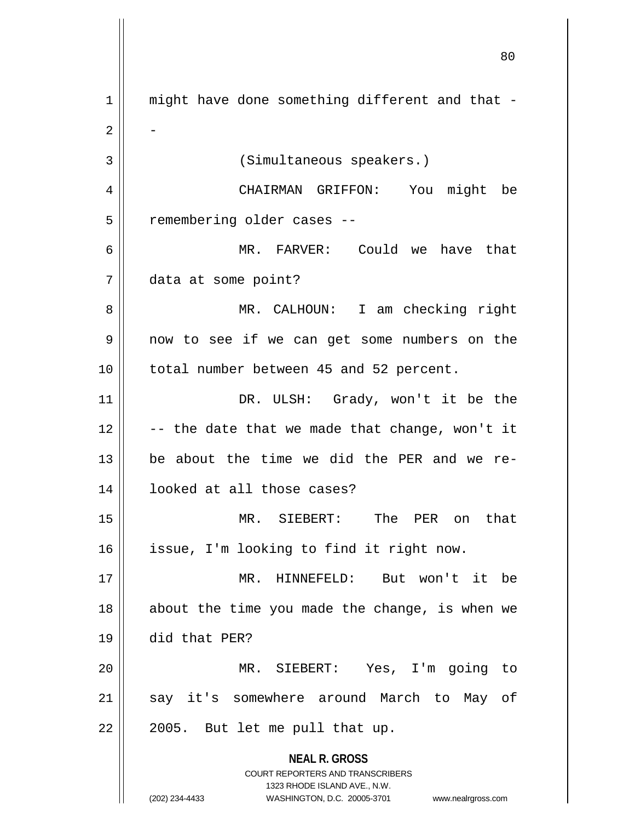**NEAL R. GROSS** COURT REPORTERS AND TRANSCRIBERS 1323 RHODE ISLAND AVE., N.W. (202) 234-4433 WASHINGTON, D.C. 20005-3701 www.nealrgross.com 1 || might have done something different and that - $2 \parallel$  -3 (Simultaneous speakers.) 4 CHAIRMAN GRIFFON: You might be 5 | remembering older cases --6 MR. FARVER: Could we have that 7 data at some point? 8 MR. CALHOUN: I am checking right 9 || now to see if we can get some numbers on the 10 | total number between 45 and 52 percent. 11 || DR. ULSH: Grady, won't it be the  $12$   $\vert$  -- the date that we made that change, won't it 13  $\parallel$  be about the time we did the PER and we re-14 looked at all those cases? 15 MR. SIEBERT: The PER on that 16 issue, I'm looking to find it right now. 17 MR. HINNEFELD: But won't it be 18 || about the time you made the change, is when we 19 did that PER? 20 MR. SIEBERT: Yes, I'm going to 21 || say it's somewhere around March to May of  $22 \parallel 2005$ . But let me pull that up.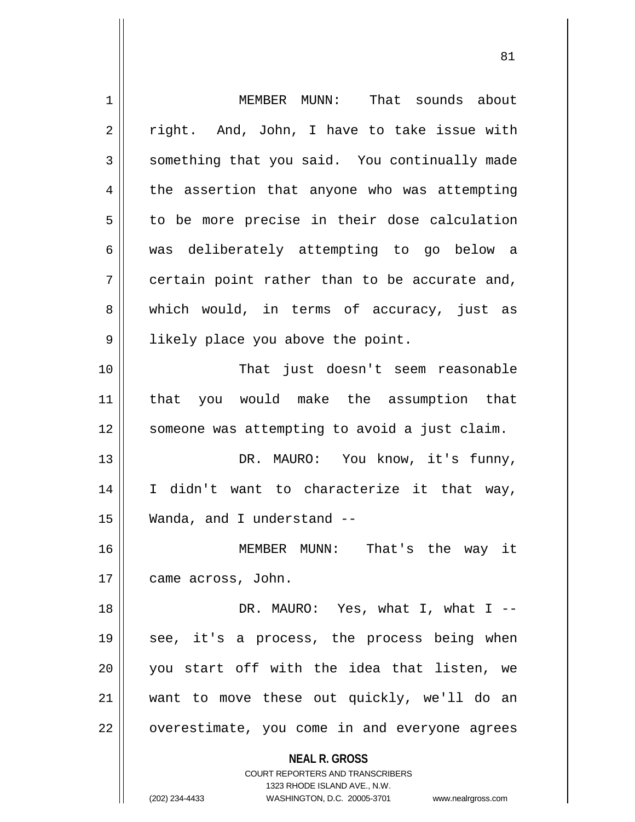| $\mathbf 1$ | MEMBER MUNN: That sounds about                                      |
|-------------|---------------------------------------------------------------------|
| 2           | right. And, John, I have to take issue with                         |
| 3           | something that you said. You continually made                       |
| 4           | the assertion that anyone who was attempting                        |
| 5           | to be more precise in their dose calculation                        |
| 6           | was deliberately attempting to go below a                           |
| 7           | certain point rather than to be accurate and,                       |
| 8           | which would, in terms of accuracy, just as                          |
| 9           | likely place you above the point.                                   |
| 10          | That just doesn't seem reasonable                                   |
| 11          | that you would make the assumption that                             |
| 12          | someone was attempting to avoid a just claim.                       |
| 13          | DR. MAURO: You know, it's funny,                                    |
| 14          | I didn't want to characterize it that way,                          |
| 15          | Wanda, and I understand --                                          |
| 16          | MEMBER MUNN: That's the way it                                      |
| 17          | came across, John.                                                  |
| 18          | DR. MAURO: Yes, what I, what I --                                   |
| 19          | see, it's a process, the process being when                         |
| 20          | you start off with the idea that listen, we                         |
| 21          | want to move these out quickly, we'll do an                         |
| 22          | overestimate, you come in and everyone agrees                       |
|             | <b>NEAL R. GROSS</b>                                                |
|             | <b>COURT REPORTERS AND TRANSCRIBERS</b>                             |
|             | 1323 RHODE ISLAND AVE., N.W.                                        |
|             | (202) 234-4433<br>WASHINGTON, D.C. 20005-3701<br>www.nealrgross.com |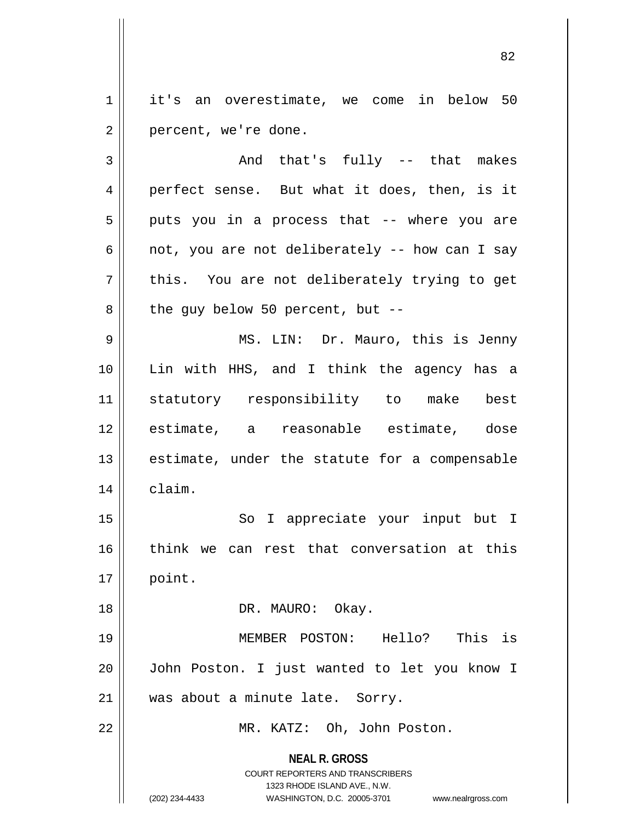1 it's an overestimate, we come in below 50  $2 \parallel$  percent, we're done.

**NEAL R. GROSS** COURT REPORTERS AND TRANSCRIBERS 1323 RHODE ISLAND AVE., N.W.  $3 \parallel$  and that's fully  $-$  that makes 4 perfect sense. But what it does, then, is it  $5 \parallel$  puts you in a process that -- where you are 6 | not, you are not deliberately -- how can I say  $7 \parallel$  this. You are not deliberately trying to get  $8 \parallel$  the guy below 50 percent, but --9 MS. LIN: Dr. Mauro, this is Jenny 10 Lin with HHS, and I think the agency has a 11 statutory responsibility to make best 12 estimate, a reasonable estimate, dose  $13$  || estimate, under the statute for a compensable 14 claim. 15 || So I appreciate your input but I 16 || think we can rest that conversation at this 17 point. 18 || DR. MAURO: Okay. 19 MEMBER POSTON: Hello? This is 20 John Poston. I just wanted to let you know I 21 || was about a minute late. Sorry. 22 MR. KATZ: Oh, John Poston.

(202) 234-4433 WASHINGTON, D.C. 20005-3701 www.nealrgross.com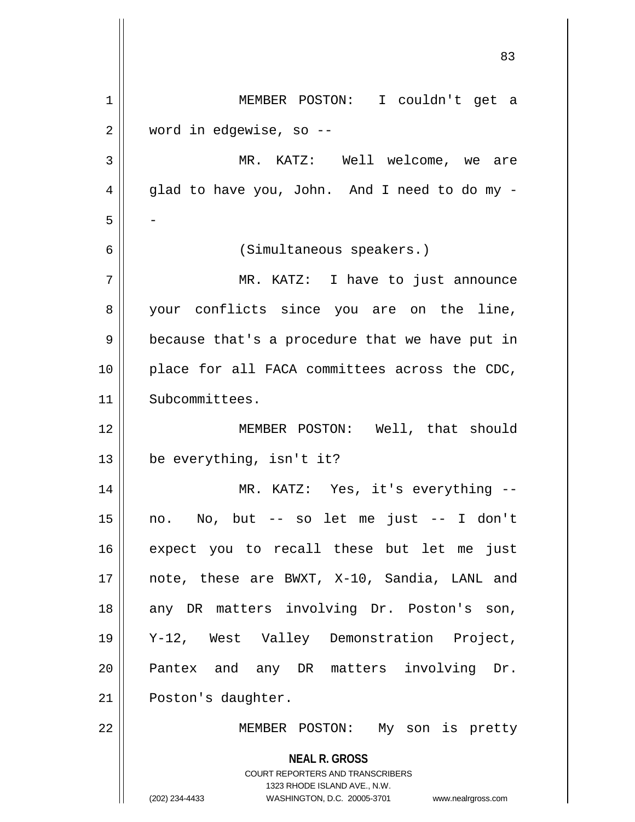| $\mathbf 1$ | MEMBER POSTON: I couldn't get a                                  |
|-------------|------------------------------------------------------------------|
| 2           | word in edgewise, so --                                          |
| 3           | MR. KATZ: Well welcome, we are                                   |
| 4           | glad to have you, John. And I need to do my -                    |
| 5           |                                                                  |
| 6           | (Simultaneous speakers.)                                         |
| 7           | MR. KATZ: I have to just announce                                |
| 8           | your conflicts since you are on the line,                        |
| 9           | because that's a procedure that we have put in                   |
| 10          | place for all FACA committees across the CDC,                    |
| 11          | Subcommittees.                                                   |
| 12          | MEMBER POSTON: Well, that should                                 |
| 13          | be everything, isn't it?                                         |
| 14          | MR. KATZ: Yes, it's everything --                                |
| 15          | no. No, but -- so let me just -- I don't                         |
| 16          | expect you to recall these but let me just                       |
| 17          | note, these are BWXT, X-10, Sandia, LANL and                     |
| 18          | any DR matters involving Dr. Poston's son,                       |
| 19          | Y-12, West Valley Demonstration Project,                         |
| 20          | Pantex and any DR matters involving Dr.                          |
| 21          | Poston's daughter.                                               |
| 22          | MEMBER POSTON: My son is pretty                                  |
|             | <b>NEAL R. GROSS</b><br><b>COURT REPORTERS AND TRANSCRIBERS</b>  |
|             | 1323 RHODE ISLAND AVE., N.W.                                     |
|             | (202) 234-4433<br>WASHINGTON, D.C. 20005-3701 www.nealrgross.com |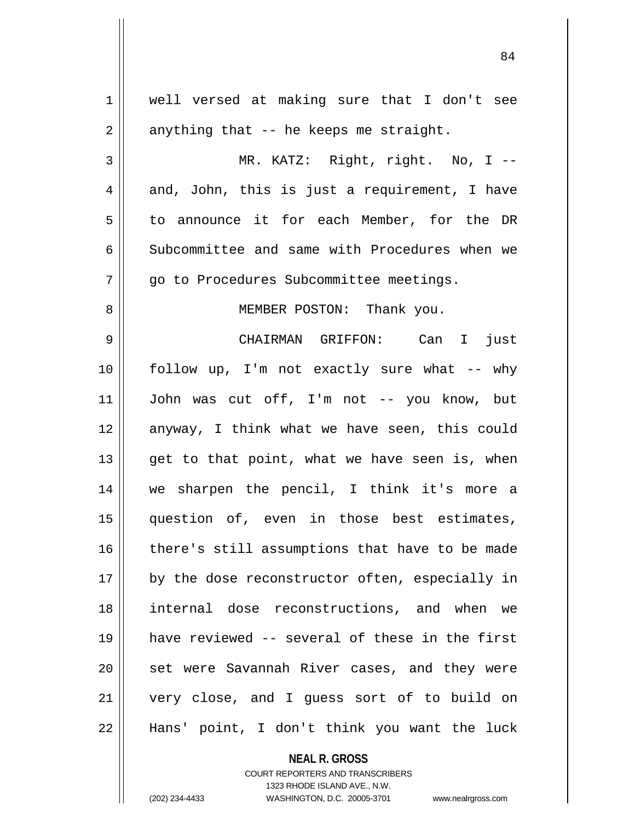| 1  | well versed at making sure that I don't see    |
|----|------------------------------------------------|
| 2  | anything that -- he keeps me straight.         |
| 3  | MR. KATZ: Right, right. No, I --               |
| 4  | and, John, this is just a requirement, I have  |
| 5  | to announce it for each Member, for the DR     |
| 6  | Subcommittee and same with Procedures when we  |
| 7  | go to Procedures Subcommittee meetings.        |
| 8  | MEMBER POSTON: Thank you.                      |
| 9  | CHAIRMAN GRIFFON: Can I just                   |
| 10 | follow up, I'm not exactly sure what -- why    |
| 11 | John was cut off, I'm not -- you know, but     |
| 12 | anyway, I think what we have seen, this could  |
| 13 | get to that point, what we have seen is, when  |
| 14 | we sharpen the pencil, I think it's more a     |
| 15 | question of, even in those best estimates,     |
| 16 | there's still assumptions that have to be made |
| 17 | by the dose reconstructor often, especially in |
| 18 | internal dose reconstructions, and when we     |
| 19 | have reviewed -- several of these in the first |
| 20 | set were Savannah River cases, and they were   |
| 21 | very close, and I guess sort of to build on    |
| 22 | Hans' point, I don't think you want the luck   |
|    |                                                |

COURT REPORTERS AND TRANSCRIBERS 1323 RHODE ISLAND AVE., N.W. (202) 234-4433 WASHINGTON, D.C. 20005-3701 www.nealrgross.com

**NEAL R. GROSS**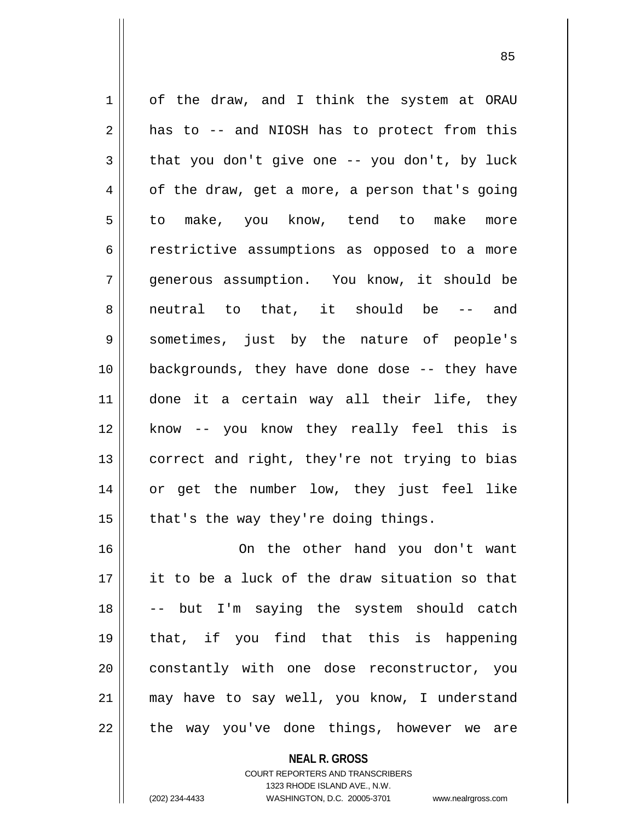1 | of the draw, and I think the system at ORAU  $2 \parallel$  has to -- and NIOSH has to protect from this  $3 \parallel$  that you don't give one -- you don't, by luck  $4 \parallel$  of the draw, get a more, a person that's going 5|| to make, you know, tend to make more 6 contractive assumptions as opposed to a more 7 generous assumption. You know, it should be 8 || neutral to that, it should be -- and 9 sometimes, just by the nature of people's 10 backgrounds, they have done dose -- they have 11 done it a certain way all their life, they 12 know -- you know they really feel this is 13 || correct and right, they're not trying to bias 14 or get the number low, they just feel like 15  $\parallel$  that's the way they're doing things. 16 On the other hand you don't want  $17$  || it to be a luck of the draw situation so that 18 -- but I'm saying the system should catch

 that, if you find that this is happening 20 || constantly with one dose reconstructor, you may have to say well, you know, I understand || the way you've done things, however we are

> **NEAL R. GROSS** COURT REPORTERS AND TRANSCRIBERS 1323 RHODE ISLAND AVE., N.W. (202) 234-4433 WASHINGTON, D.C. 20005-3701 www.nealrgross.com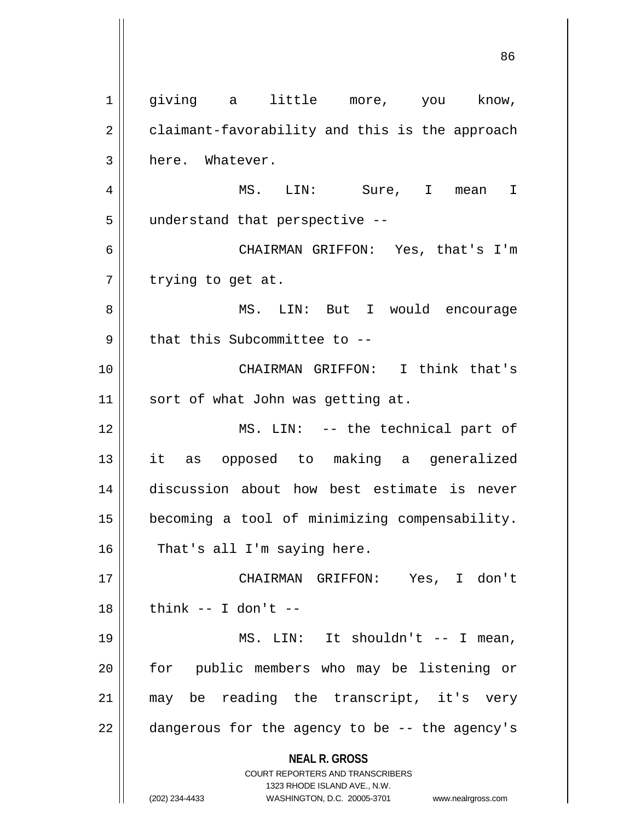**NEAL R. GROSS** COURT REPORTERS AND TRANSCRIBERS 1323 RHODE ISLAND AVE., N.W. (202) 234-4433 WASHINGTON, D.C. 20005-3701 www.nealrgross.com 1 || giving a little more, you know, 2 | claimant-favorability and this is the approach 3 | here. Whatever. 4 MS. LIN: Sure, I mean I 5 | understand that perspective --6 CHAIRMAN GRIFFON: Yes, that's I'm  $7 \parallel$  trying to get at. 8 MS. LIN: But I would encourage  $9$  || that this Subcommittee to  $-$ 10 CHAIRMAN GRIFFON: I think that's 11 || sort of what John was getting at. 12 MS. LIN: -- the technical part of 13 it as opposed to making a generalized 14 discussion about how best estimate is never 15 becoming a tool of minimizing compensability.  $16$  | That's all I'm saying here. 17 CHAIRMAN GRIFFON: Yes, I don't  $18$  | think -- I don't --19 || MS. LIN: It shouldn't -- I mean, 20 || for public members who may be listening or 21 || may be reading the transcript, it's very  $22$  || dangerous for the agency to be  $-$ - the agency's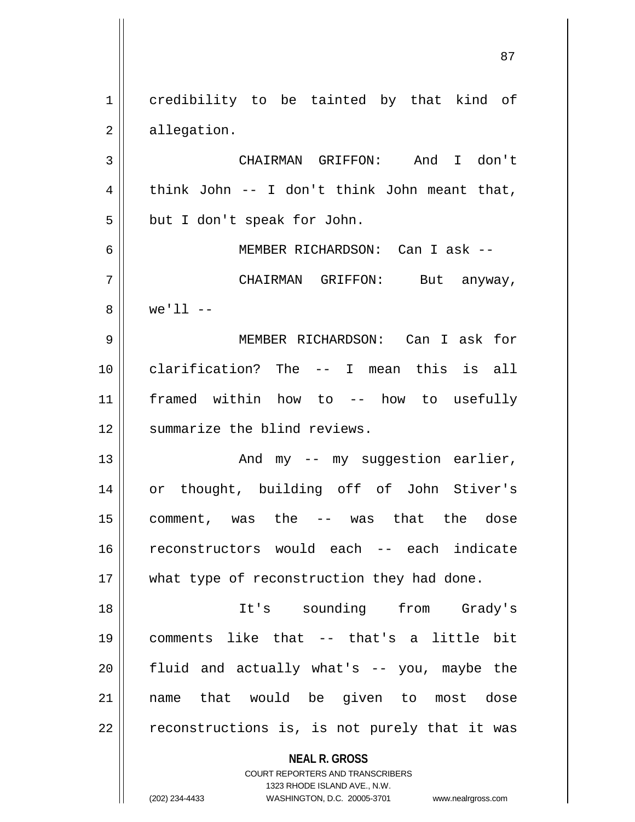**NEAL R. GROSS** COURT REPORTERS AND TRANSCRIBERS 1323 RHODE ISLAND AVE., N.W. 1 credibility to be tainted by that kind of 2 | allegation. 3 CHAIRMAN GRIFFON: And I don't 4 | think John -- I don't think John meant that,  $5 \parallel$  but I don't speak for John. 6 MEMBER RICHARDSON: Can I ask -- 7 CHAIRMAN GRIFFON: But anyway, 8 || we'll --9 MEMBER RICHARDSON: Can I ask for 10 clarification? The -- I mean this is all 11 framed within how to -- how to usefully 12 | summarize the blind reviews. 13 And my -- my suggestion earlier, 14 or thought, building off of John Stiver's  $15$  comment, was the -- was that the dose 16 reconstructors would each -- each indicate 17 || what type of reconstruction they had done. 18 It's sounding from Grady's 19 comments like that -- that's a little bit  $20$  || fluid and actually what's  $-$  you, maybe the 21 name that would be given to most dose  $22$  | reconstructions is, is not purely that it was

(202) 234-4433 WASHINGTON, D.C. 20005-3701 www.nealrgross.com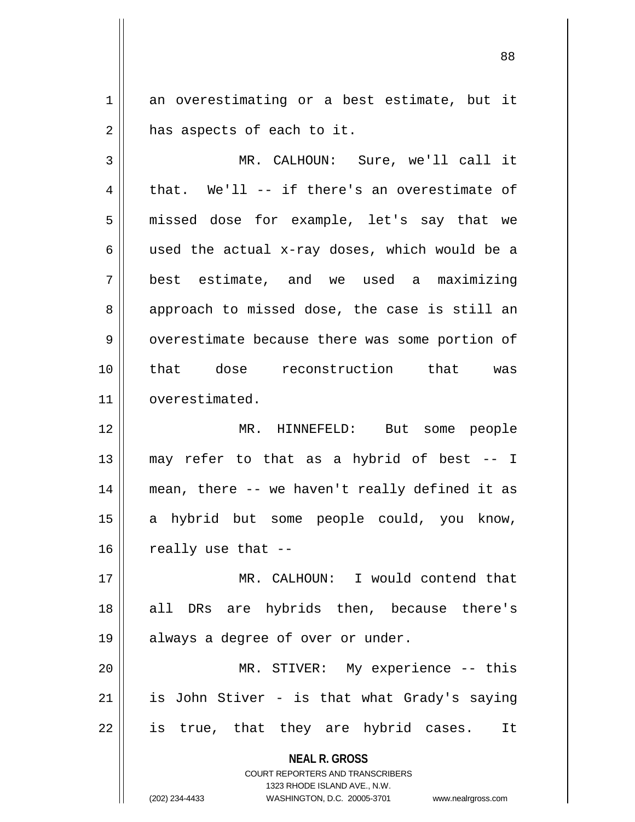1 an overestimating or a best estimate, but it  $2 \parallel$  has aspects of each to it.

3 MR. CALHOUN: Sure, we'll call it  $4 \parallel$  that. We'll -- if there's an overestimate of 5 || missed dose for example, let's say that we 6 || used the actual x-ray doses, which would be a 7 best estimate, and we used a maximizing 8 || approach to missed dose, the case is still an 9 | overestimate because there was some portion of 10 that dose reconstruction that was 11 | overestimated.

 MR. HINNEFELD: But some people  $\parallel$  may refer to that as a hybrid of best -- I mean, there -- we haven't really defined it as a hybrid but some people could, you know, | really use that  $-$ 

17 MR. CALHOUN: I would contend that 18 || all DRs are hybrids then, because there's 19 || always a degree of over or under.

20 MR. STIVER: My experience -- this  $21$  is John Stiver - is that what Grady's saying  $22 \parallel$  is true, that they are hybrid cases. It

**NEAL R. GROSS**

COURT REPORTERS AND TRANSCRIBERS 1323 RHODE ISLAND AVE., N.W. (202) 234-4433 WASHINGTON, D.C. 20005-3701 www.nealrgross.com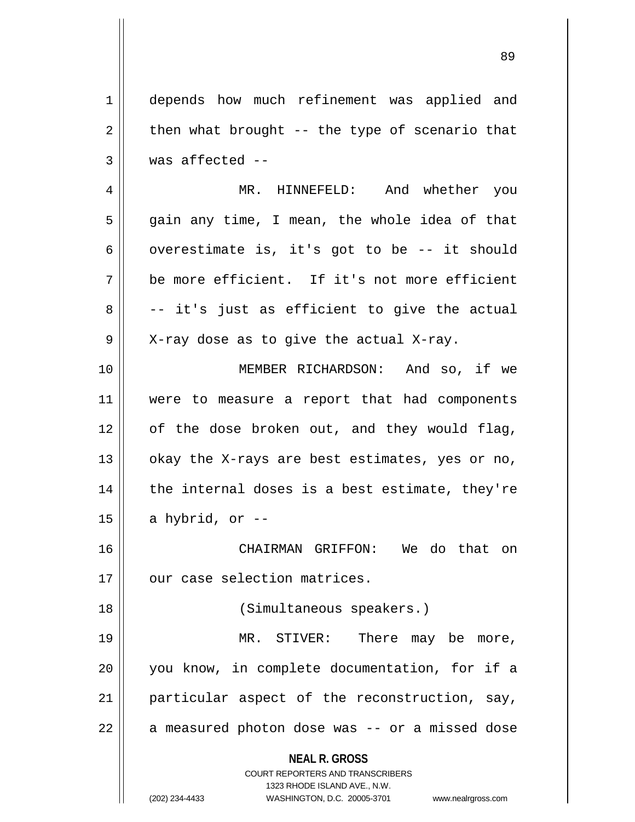**NEAL R. GROSS** COURT REPORTERS AND TRANSCRIBERS 1323 RHODE ISLAND AVE., N.W. 1 | depends how much refinement was applied and  $2 \parallel$  then what brought -- the type of scenario that  $3 \parallel$  was affected --4 MR. HINNEFELD: And whether you  $5 \parallel$  gain any time, I mean, the whole idea of that 6  $\parallel$  overestimate is, it's got to be -- it should 7 be more efficient. If it's not more efficient  $8 \parallel$  -- it's just as efficient to give the actual  $9 \parallel$  X-ray dose as to give the actual X-ray. 10 || MEMBER RICHARDSON: And so, if we 11 were to measure a report that had components  $12$  of the dose broken out, and they would flag, 13  $\vert$  okay the X-rays are best estimates, yes or no,  $14$  || the internal doses is a best estimate, they're 15 | a hybrid, or  $-$ 16 CHAIRMAN GRIFFON: We do that on 17 || our case selection matrices. 18 (Simultaneous speakers.) 19 MR. STIVER: There may be more, 20 you know, in complete documentation, for if a 21 particular aspect of the reconstruction, say,  $22 \parallel$  a measured photon dose was  $-$  or a missed dose

(202) 234-4433 WASHINGTON, D.C. 20005-3701 www.nealrgross.com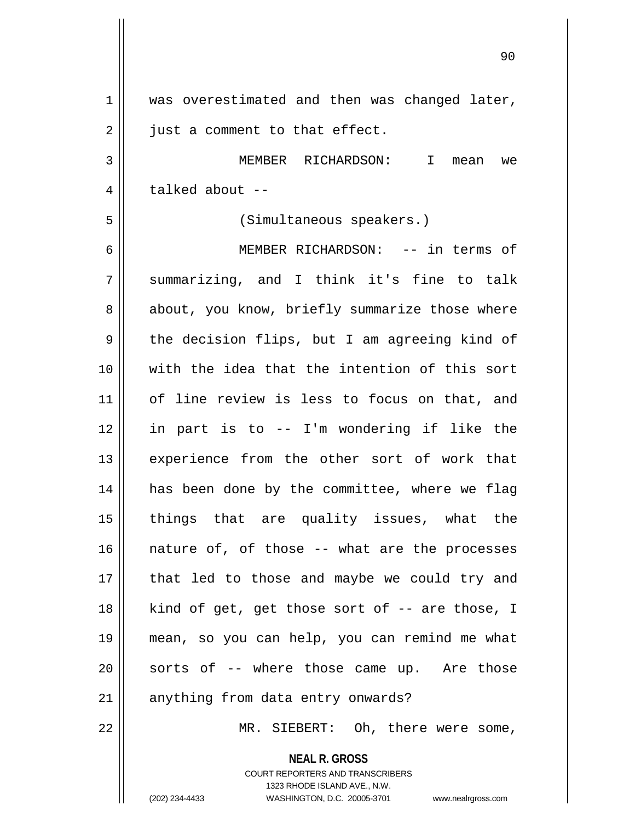| $\mathbf 1$ | was overestimated and then was changed later,                           |
|-------------|-------------------------------------------------------------------------|
| 2           | just a comment to that effect.                                          |
| 3           | MEMBER RICHARDSON: I mean we                                            |
| 4           | talked about --                                                         |
| 5           | (Simultaneous speakers.)                                                |
| 6           | MEMBER RICHARDSON: -- in terms of                                       |
| 7           | summarizing, and I think it's fine to talk                              |
| 8           | about, you know, briefly summarize those where                          |
| 9           | the decision flips, but I am agreeing kind of                           |
| 10          | with the idea that the intention of this sort                           |
| 11          | of line review is less to focus on that, and                            |
| 12          | in part is to -- I'm wondering if like the                              |
| 13          | experience from the other sort of work that                             |
| 14          | has been done by the committee, where we flag                           |
| 15          | things that are quality issues, what the                                |
| 16          | nature of, of those -- what are the processes                           |
| 17          | that led to those and maybe we could try and                            |
| 18          | kind of get, get those sort of -- are those, I                          |
| 19          | mean, so you can help, you can remind me what                           |
|             |                                                                         |
| 20          | sorts of -- where those came up. Are those                              |
| 21          | anything from data entry onwards?                                       |
| 22          | MR. SIEBERT: Oh, there were some,                                       |
|             | <b>NEAL R. GROSS</b>                                                    |
|             | <b>COURT REPORTERS AND TRANSCRIBERS</b><br>1323 RHODE ISLAND AVE., N.W. |
|             | (202) 234-4433<br>WASHINGTON, D.C. 20005-3701<br>www.nealrgross.com     |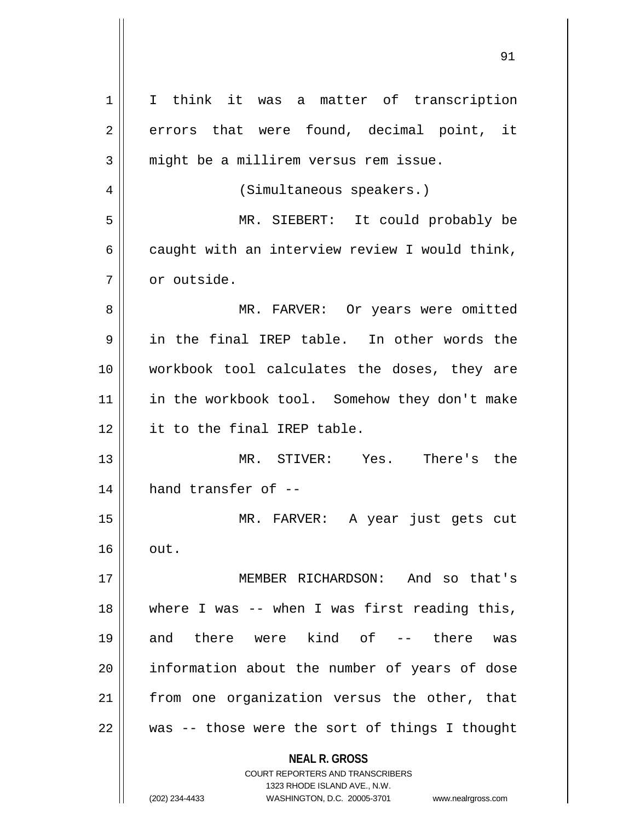| 1  | I think it was a matter of transcription                            |
|----|---------------------------------------------------------------------|
| 2  | errors that were found, decimal point, it                           |
| 3  | might be a millirem versus rem issue.                               |
| 4  | (Simultaneous speakers.)                                            |
| 5  | MR. SIEBERT: It could probably be                                   |
| 6  | caught with an interview review I would think,                      |
| 7  | or outside.                                                         |
| 8  | MR. FARVER: Or years were omitted                                   |
| 9  | in the final IREP table. In other words the                         |
| 10 | workbook tool calculates the doses, they are                        |
| 11 | in the workbook tool. Somehow they don't make                       |
| 12 | it to the final IREP table.                                         |
| 13 | MR. STIVER: Yes. There's the                                        |
| 14 | hand transfer of --                                                 |
| 15 | MR. FARVER: A year just gets cut                                    |
| 16 | out.                                                                |
| 17 | MEMBER RICHARDSON: And so that's                                    |
| 18 | where I was -- when I was first reading this,                       |
| 19 | and there were kind of -- there<br>was                              |
| 20 | information about the number of years of dose                       |
| 21 | from one organization versus the other, that                        |
| 22 | was -- those were the sort of things I thought                      |
|    | <b>NEAL R. GROSS</b>                                                |
|    | <b>COURT REPORTERS AND TRANSCRIBERS</b>                             |
|    | 1323 RHODE ISLAND AVE., N.W.                                        |
|    | (202) 234-4433<br>WASHINGTON, D.C. 20005-3701<br>www.nealrgross.com |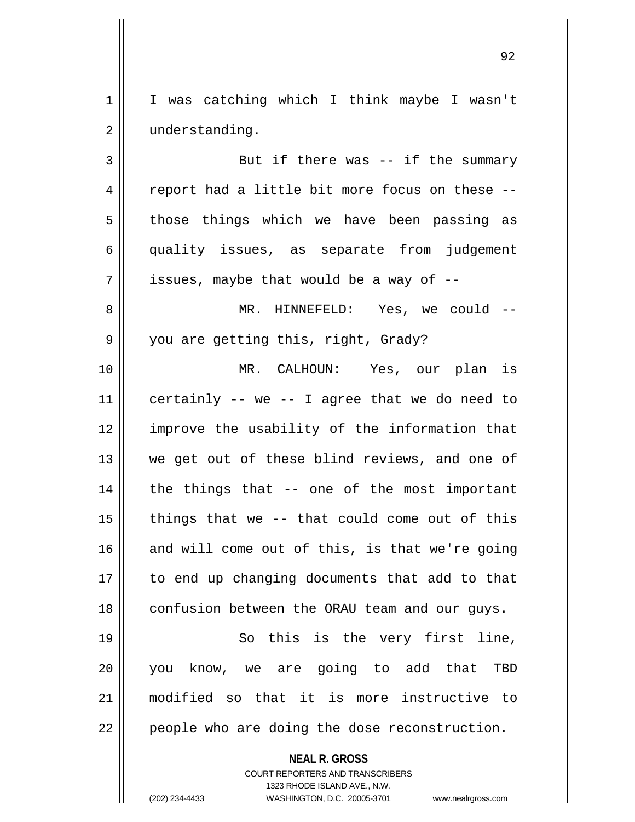1 | I was catching which I think maybe I wasn't 2 | understanding.

3 || But if there was -- if the summary  $4 \parallel$  report had a little bit more focus on these -- $5$  those things which we have been passing as 6 quality issues, as separate from judgement  $7 \parallel$  issues, maybe that would be a way of  $-$ 8 MR. HINNEFELD: Yes, we could -- 9 || you are getting this, right, Grady? 10 MR. CALHOUN: Yes, our plan is 11  $\parallel$  certainly -- we -- I agree that we do need to 12 improve the usability of the information that 13 || we get out of these blind reviews, and one of 14 || the things that -- one of the most important  $15$  || things that we -- that could come out of this 16 and will come out of this, is that we're going 17 to end up changing documents that add to that 18 | confusion between the ORAU team and our guys.

19 || So this is the very first line, you know, we are going to add that TBD modified so that it is more instructive to | people who are doing the dose reconstruction.

**NEAL R. GROSS**

COURT REPORTERS AND TRANSCRIBERS 1323 RHODE ISLAND AVE., N.W. (202) 234-4433 WASHINGTON, D.C. 20005-3701 www.nealrgross.com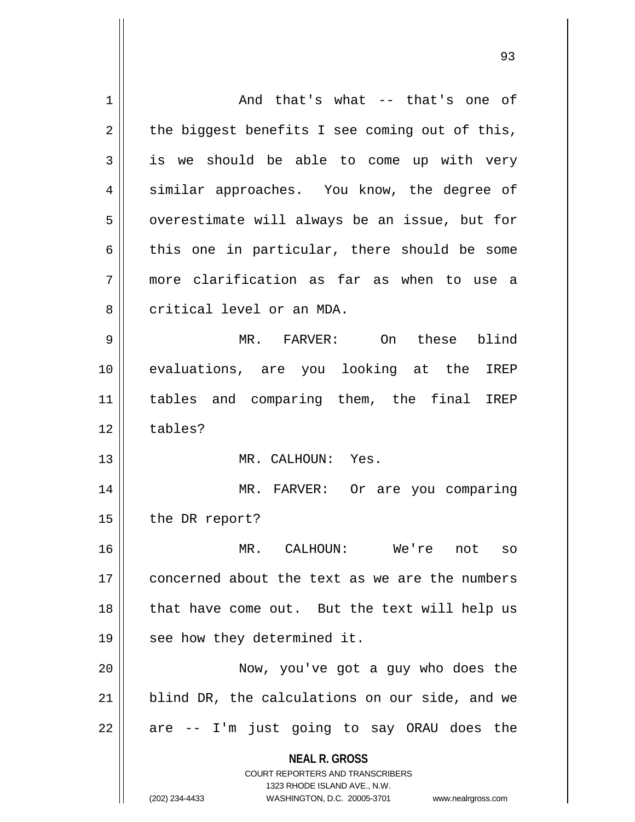| 1  | And that's what -- that's one of                                                                                                                                       |
|----|------------------------------------------------------------------------------------------------------------------------------------------------------------------------|
| 2  | the biggest benefits I see coming out of this,                                                                                                                         |
| 3  | is we should be able to come up with very                                                                                                                              |
| 4  | similar approaches. You know, the degree of                                                                                                                            |
| 5  | overestimate will always be an issue, but for                                                                                                                          |
| 6  | this one in particular, there should be some                                                                                                                           |
| 7  | more clarification as far as when to use a                                                                                                                             |
| 8  | critical level or an MDA.                                                                                                                                              |
| 9  | MR. FARVER: On these blind                                                                                                                                             |
| 10 | evaluations, are you looking at the<br>IREP                                                                                                                            |
| 11 | tables and comparing them, the final IREP                                                                                                                              |
| 12 | tables?                                                                                                                                                                |
| 13 | MR. CALHOUN: Yes.                                                                                                                                                      |
| 14 | MR. FARVER: Or are you comparing                                                                                                                                       |
| 15 | the DR report?                                                                                                                                                         |
| 16 | CALHOUN:<br>MR.<br>We're<br>not<br>SO                                                                                                                                  |
| 17 | concerned about the text as we are the numbers                                                                                                                         |
| 18 | that have come out. But the text will help us                                                                                                                          |
| 19 | see how they determined it.                                                                                                                                            |
| 20 | Now, you've got a guy who does the                                                                                                                                     |
| 21 | blind DR, the calculations on our side, and we                                                                                                                         |
| 22 | are -- I'm just going to say ORAU does the                                                                                                                             |
|    | <b>NEAL R. GROSS</b><br><b>COURT REPORTERS AND TRANSCRIBERS</b><br>1323 RHODE ISLAND AVE., N.W.<br>(202) 234-4433<br>WASHINGTON, D.C. 20005-3701<br>www.nealrgross.com |
|    |                                                                                                                                                                        |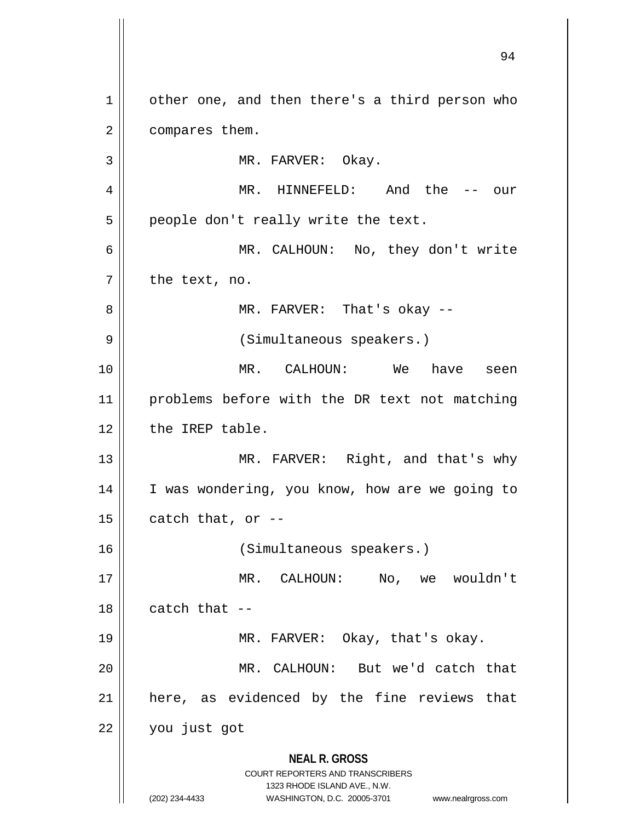**NEAL R. GROSS** COURT REPORTERS AND TRANSCRIBERS 1323 RHODE ISLAND AVE., N.W. (202) 234-4433 WASHINGTON, D.C. 20005-3701 www.nealrgross.com 94 1 | other one, and then there's a third person who 2 | compares them. 3 || MR. FARVER: Okay. 4 MR. HINNEFELD: And the -- our  $5 \parallel$  people don't really write the text. 6 MR. CALHOUN: No, they don't write  $7 \parallel$  the text, no. 8 MR. FARVER: That's okay -- 9 || (Simultaneous speakers.) 10 MR. CALHOUN: We have seen 11 || problems before with the DR text not matching  $12$  | the IREP table. 13 || MR. FARVER: Right, and that's why 14 || I was wondering, you know, how are we going to  $15 \parallel$  catch that, or --16 (Simultaneous speakers.) 17 MR. CALHOUN: No, we wouldn't  $18$  | catch that  $-$ 19 MR. FARVER: Okay, that's okay. 20 MR. CALHOUN: But we'd catch that  $21$  here, as evidenced by the fine reviews that 22 you just got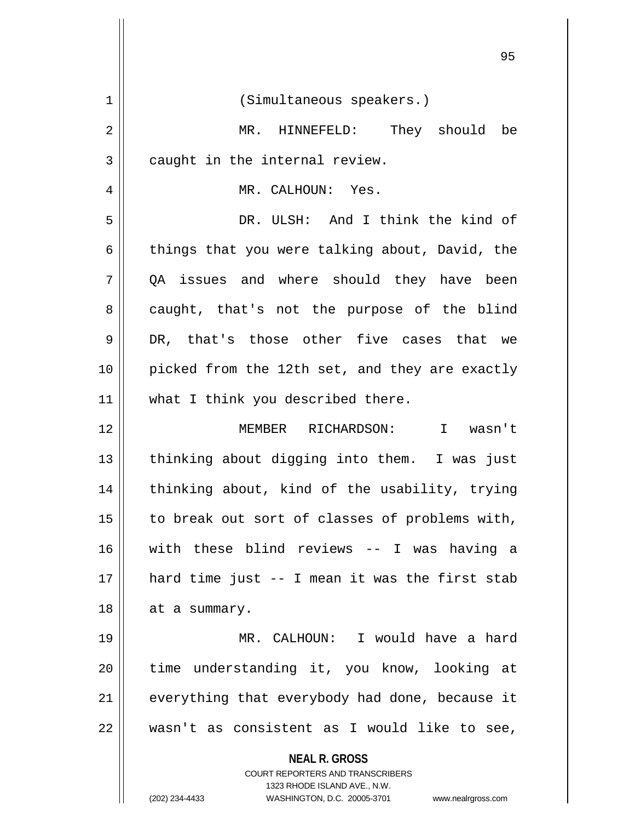| 1  | (Simultaneous speakers.)                                                                                                                                               |
|----|------------------------------------------------------------------------------------------------------------------------------------------------------------------------|
| 2  | MR. HINNEFELD: They should be                                                                                                                                          |
| 3  | caught in the internal review.                                                                                                                                         |
| 4  | MR. CALHOUN: Yes.                                                                                                                                                      |
| 5  | DR. ULSH: And I think the kind of                                                                                                                                      |
| 6  | things that you were talking about, David, the                                                                                                                         |
| 7  | QA issues and where should they have been                                                                                                                              |
| 8  | caught, that's not the purpose of the blind                                                                                                                            |
| 9  | DR, that's those other five cases that we                                                                                                                              |
| 10 | picked from the 12th set, and they are exactly                                                                                                                         |
| 11 | what I think you described there.                                                                                                                                      |
| 12 | MEMBER RICHARDSON: I wasn't                                                                                                                                            |
| 13 | thinking about digging into them. I was just                                                                                                                           |
| 14 | thinking about, kind of the usability, trying                                                                                                                          |
| 15 | to break out sort of classes of problems with,                                                                                                                         |
| 16 | with these blind reviews -- I was having a                                                                                                                             |
| 17 | hard time just -- I mean it was the first stab                                                                                                                         |
| 18 | at a summary.                                                                                                                                                          |
| 19 | MR. CALHOUN: I would have a hard                                                                                                                                       |
| 20 | time understanding it, you know, looking at                                                                                                                            |
| 21 | everything that everybody had done, because it                                                                                                                         |
| 22 | wasn't as consistent as I would like to see,                                                                                                                           |
|    | <b>NEAL R. GROSS</b><br><b>COURT REPORTERS AND TRANSCRIBERS</b><br>1323 RHODE ISLAND AVE., N.W.<br>(202) 234-4433<br>WASHINGTON, D.C. 20005-3701<br>www.nealrgross.com |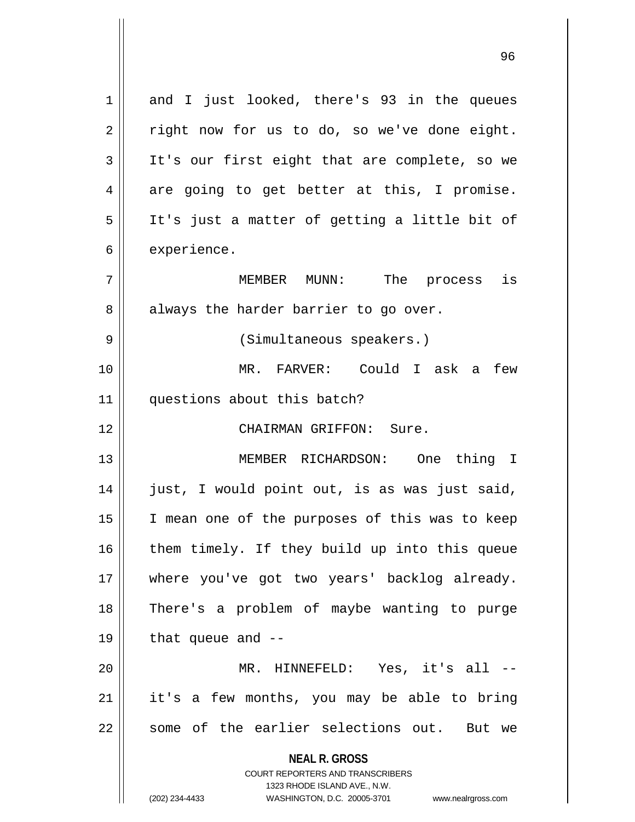**NEAL R. GROSS** COURT REPORTERS AND TRANSCRIBERS 1323 RHODE ISLAND AVE., N.W. (202) 234-4433 WASHINGTON, D.C. 20005-3701 www.nealrgross.com 1 and I just looked, there's 93 in the queues  $2 \parallel$  right now for us to do, so we've done eight. 3 || It's our first eight that are complete, so we  $4 \parallel$  are going to get better at this, I promise. 5 It's just a matter of getting a little bit of  $6 \parallel$  experience. 7 MEMBER MUNN: The process is  $8 \parallel$  always the harder barrier to go over. 9 || (Simultaneous speakers.) 10 MR. FARVER: Could I ask a few 11 || questions about this batch? 12 CHAIRMAN GRIFFON: Sure. 13 || MEMBER RICHARDSON: One thing I 14 || just, I would point out, is as was just said, 15 || I mean one of the purposes of this was to keep 16 || them timely. If they build up into this queue 17 || where you've got two years' backlog already. 18 There's a problem of maybe wanting to purge  $19 \parallel$  that queue and  $-$ 20 MR. HINNEFELD: Yes, it's all -- 21 || it's a few months, you may be able to bring 22 || some of the earlier selections out. But we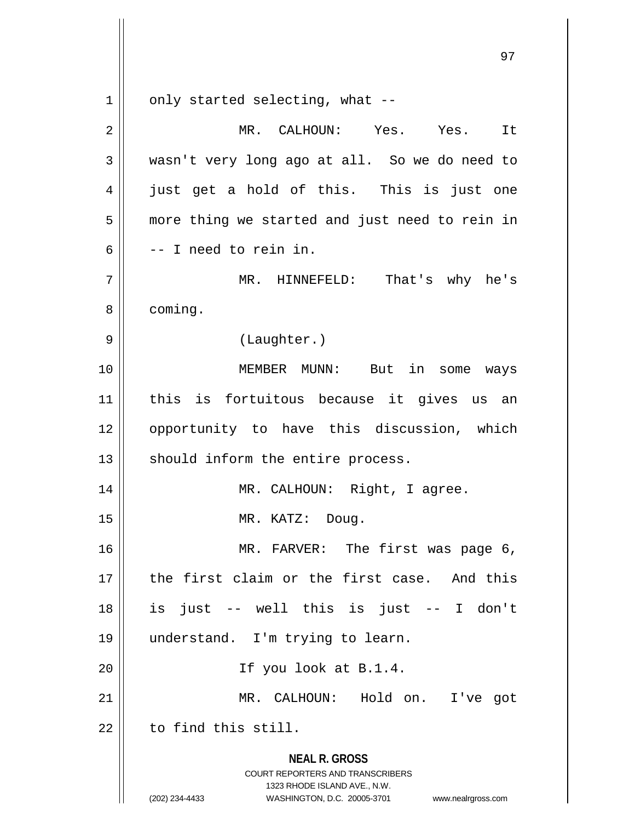$1 \parallel$  only started selecting, what --

| $\overline{2}$ | MR. CALHOUN: Yes. Yes.<br>It                                                                                                                                           |
|----------------|------------------------------------------------------------------------------------------------------------------------------------------------------------------------|
| 3              | wasn't very long ago at all. So we do need to                                                                                                                          |
| 4              | just get a hold of this. This is just one                                                                                                                              |
| 5              | more thing we started and just need to rein in                                                                                                                         |
| 6              | -- I need to rein in.                                                                                                                                                  |
| 7              | That's why he's<br>MR. HINNEFELD:                                                                                                                                      |
| 8              | coming.                                                                                                                                                                |
| 9              | (Laughter.)                                                                                                                                                            |
| 10             | MEMBER MUNN: But in some ways                                                                                                                                          |
| 11             | this is fortuitous because it gives us an                                                                                                                              |
| 12             | opportunity to have this discussion, which                                                                                                                             |
| 13             | should inform the entire process.                                                                                                                                      |
| 14             | MR. CALHOUN: Right, I agree.                                                                                                                                           |
| 15             | MR. KATZ: Doug.                                                                                                                                                        |
| 16             | MR. FARVER: The first was page 6,                                                                                                                                      |
| 17             | the first claim or the first case. And this                                                                                                                            |
| 18             | is just -- well this is just -- I don't                                                                                                                                |
| 19             | understand. I'm trying to learn.                                                                                                                                       |
| 20             | If you look at B.1.4.                                                                                                                                                  |
| 21             | MR. CALHOUN: Hold on. I've got                                                                                                                                         |
| 22             | to find this still.                                                                                                                                                    |
|                | <b>NEAL R. GROSS</b><br><b>COURT REPORTERS AND TRANSCRIBERS</b><br>1323 RHODE ISLAND AVE., N.W.<br>(202) 234-4433<br>WASHINGTON, D.C. 20005-3701<br>www.nealrgross.com |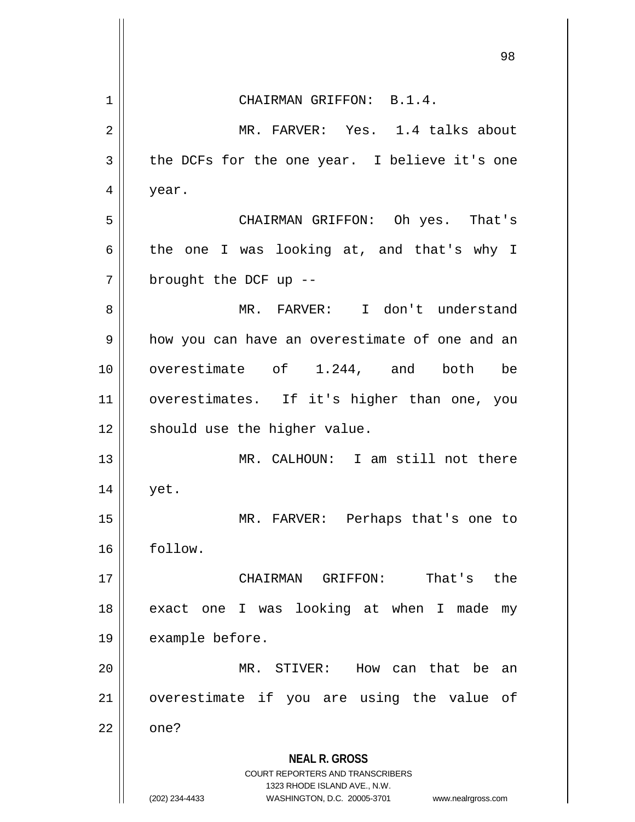|                | 98                                                                  |
|----------------|---------------------------------------------------------------------|
| 1              | CHAIRMAN GRIFFON: B.1.4.                                            |
| $\overline{2}$ | MR. FARVER: Yes. 1.4 talks about                                    |
| 3              | the DCFs for the one year. I believe it's one                       |
| 4              | year.                                                               |
| 5              | CHAIRMAN GRIFFON: Oh yes. That's                                    |
| 6              | the one I was looking at, and that's why I                          |
| 7              | brought the DCF up --                                               |
| 8              | MR. FARVER: I don't understand                                      |
| 9              | how you can have an overestimate of one and an                      |
| 10             | overestimate of 1.244, and both be                                  |
| 11             | overestimates. If it's higher than one, you                         |
| 12             | should use the higher value.                                        |
| 13             | MR. CALHOUN: I am still not there                                   |
| 14             | yet.                                                                |
| 15             | MR. FARVER: Perhaps that's one to                                   |
| 16             | follow.                                                             |
| 17             | GRIFFON:<br>That's<br>the<br>CHAIRMAN                               |
| 18             | exact one I was looking at when I made<br>my                        |
| 19             | example before.                                                     |
| 20             | MR. STIVER:<br>How can that be an                                   |
| 21             | overestimate if you are using the value of                          |
| 22             | one?                                                                |
|                | <b>NEAL R. GROSS</b><br><b>COURT REPORTERS AND TRANSCRIBERS</b>     |
|                | 1323 RHODE ISLAND AVE., N.W.                                        |
|                | (202) 234-4433<br>WASHINGTON, D.C. 20005-3701<br>www.nealrgross.com |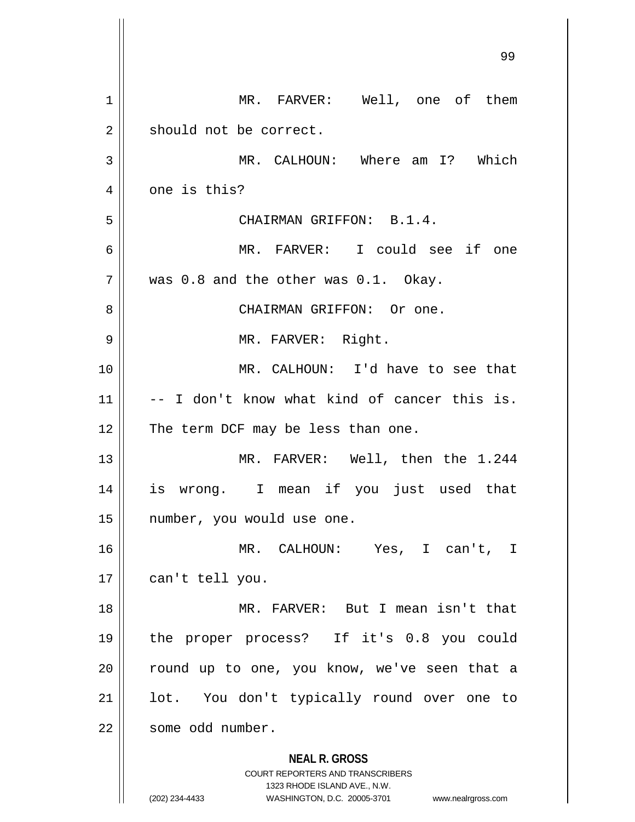| 1  | MR. FARVER: Well, one of them                                                                                                                                          |
|----|------------------------------------------------------------------------------------------------------------------------------------------------------------------------|
| 2  | should not be correct.                                                                                                                                                 |
| 3  | MR. CALHOUN: Where am I? Which                                                                                                                                         |
| 4  | one is this?                                                                                                                                                           |
| 5  | CHAIRMAN GRIFFON: B.1.4.                                                                                                                                               |
| 6  | MR. FARVER: I could see if one                                                                                                                                         |
| 7  | was 0.8 and the other was 0.1. Okay.                                                                                                                                   |
| 8  | CHAIRMAN GRIFFON: Or one.                                                                                                                                              |
| 9  | MR. FARVER: Right.                                                                                                                                                     |
| 10 | MR. CALHOUN: I'd have to see that                                                                                                                                      |
| 11 | -- I don't know what kind of cancer this is.                                                                                                                           |
| 12 | The term DCF may be less than one.                                                                                                                                     |
| 13 | MR. FARVER: Well, then the 1.244                                                                                                                                       |
| 14 | is wrong. I mean if you just used that                                                                                                                                 |
| 15 | number, you would use one.                                                                                                                                             |
| 16 | MR. CALHOUN: Yes, I can't,<br>T.                                                                                                                                       |
| 17 | can't tell you.                                                                                                                                                        |
| 18 | MR. FARVER: But I mean isn't that                                                                                                                                      |
| 19 | the proper process? If it's 0.8 you could                                                                                                                              |
| 20 | round up to one, you know, we've seen that a                                                                                                                           |
| 21 | lot. You don't typically round over one to                                                                                                                             |
| 22 | some odd number.                                                                                                                                                       |
|    | <b>NEAL R. GROSS</b><br><b>COURT REPORTERS AND TRANSCRIBERS</b><br>1323 RHODE ISLAND AVE., N.W.<br>(202) 234-4433<br>WASHINGTON, D.C. 20005-3701<br>www.nealrgross.com |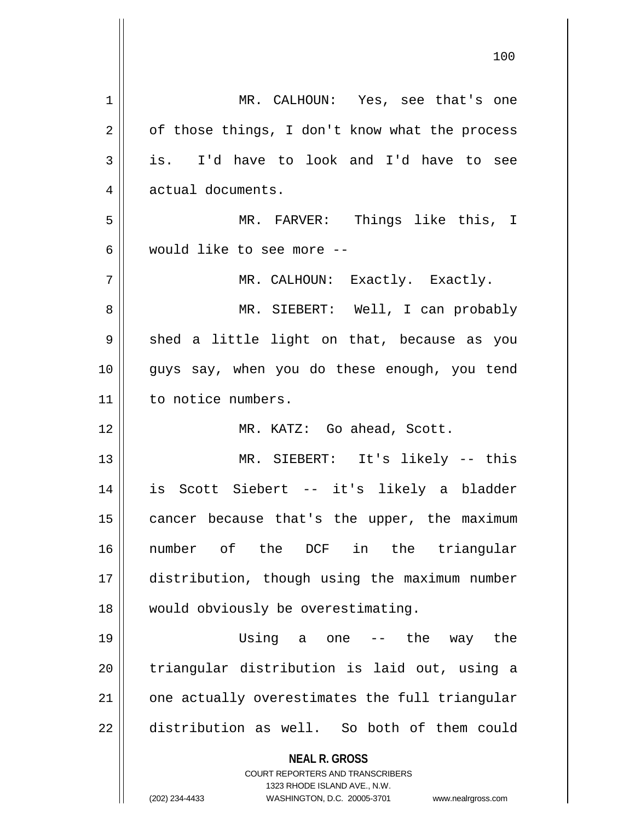| 1  | MR. CALHOUN: Yes, see that's one                                        |
|----|-------------------------------------------------------------------------|
| 2  | of those things, I don't know what the process                          |
| 3  | is. I'd have to look and I'd have to see                                |
| 4  | actual documents.                                                       |
| 5  | MR. FARVER: Things like this, I                                         |
| 6  | would like to see more --                                               |
| 7  | MR. CALHOUN: Exactly. Exactly.                                          |
| 8  | MR. SIEBERT: Well, I can probably                                       |
| 9  | shed a little light on that, because as you                             |
| 10 | guys say, when you do these enough, you tend                            |
| 11 | to notice numbers.                                                      |
| 12 | MR. KATZ: Go ahead, Scott.                                              |
| 13 | MR. SIEBERT: It's likely -- this                                        |
| 14 | is Scott Siebert -- it's likely a bladder                               |
|    |                                                                         |
| 15 | cancer because that's the upper, the maximum                            |
| 16 | number of the DCF in the triangular                                     |
| 17 | distribution, though using the maximum number                           |
| 18 | would obviously be overestimating.                                      |
| 19 | Using a one<br>the<br>way the<br>$- -$                                  |
| 20 | triangular distribution is laid out, using a                            |
| 21 | one actually overestimates the full triangular                          |
| 22 | distribution as well. So both of them could                             |
|    | <b>NEAL R. GROSS</b>                                                    |
|    | <b>COURT REPORTERS AND TRANSCRIBERS</b><br>1323 RHODE ISLAND AVE., N.W. |
|    | (202) 234-4433<br>WASHINGTON, D.C. 20005-3701<br>www.nealrgross.com     |

 $\overline{\phantom{a}}$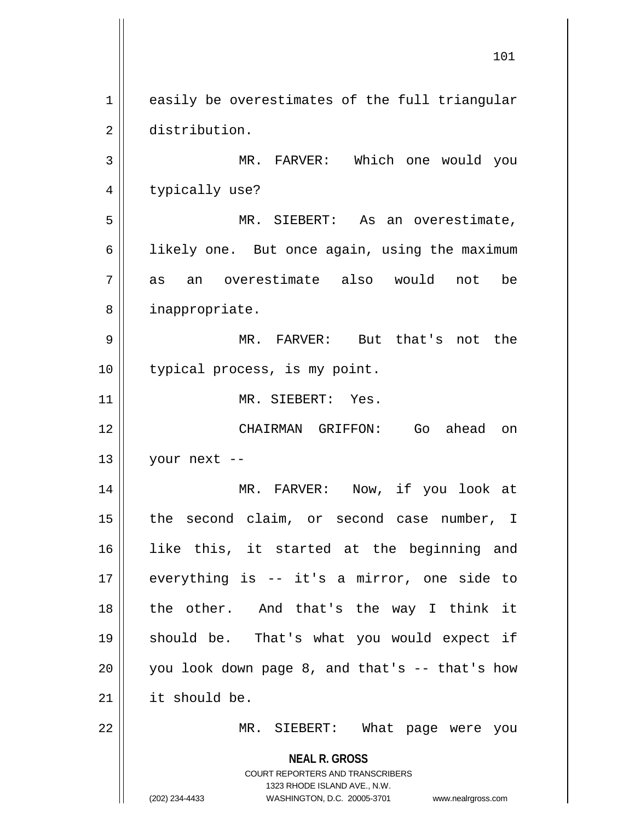**NEAL R. GROSS** COURT REPORTERS AND TRANSCRIBERS 1323 RHODE ISLAND AVE., N.W. (202) 234-4433 WASHINGTON, D.C. 20005-3701 www.nealrgross.com 1 easily be overestimates of the full triangular 2 distribution. 3 MR. FARVER: Which one would you 4 || typically use? 5 MR. SIEBERT: As an overestimate, 6 | likely one. But once again, using the maximum 7 as an overestimate also would not be 8 || inappropriate. 9 MR. FARVER: But that's not the 10 || typical process, is my point. 11 MR. SIEBERT: Yes. 12 CHAIRMAN GRIFFON: Go ahead on  $13$  | your next --14 MR. FARVER: Now, if you look at 15 || the second claim, or second case number, I 16 like this, it started at the beginning and 17 everything is -- it's a mirror, one side to 18 the other. And that's the way I think it 19 should be. That's what you would expect if  $20$  | you look down page 8, and that's -- that's how 21 it should be. 22 || MR. SIEBERT: What page were you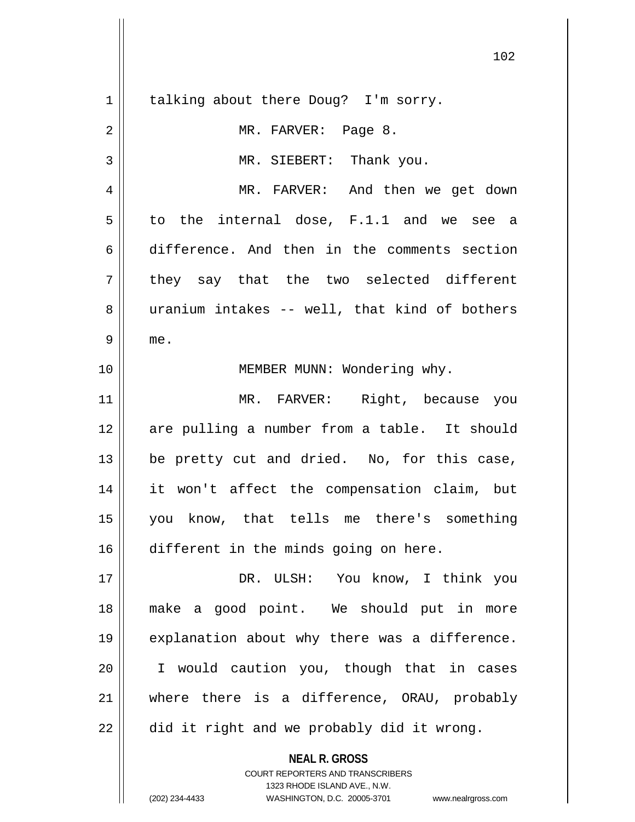**NEAL R. GROSS** 1 || talking about there Doug? I'm sorry. 2 MR. FARVER: Page 8. 3 || MR. SIEBERT: Thank you. 4 MR. FARVER: And then we get down  $5 \parallel$  to the internal dose, F.1.1 and we see a 6 difference. And then in the comments section  $7 \parallel$  they say that the two selected different 8 uranium intakes -- well, that kind of bothers  $9 \parallel me.$ 10 || **MEMBER MUNN: Wondering why.** 11 || MR. FARVER: Right, because you 12 are pulling a number from a table. It should  $13$  | be pretty cut and dried. No, for this case, 14 it won't affect the compensation claim, but 15 you know, that tells me there's something 16 different in the minds going on here. 17 DR. ULSH: You know, I think you 18 make a good point. We should put in more 19 || explanation about why there was a difference. 20 I would caution you, though that in cases 21 where there is a difference, ORAU, probably  $22 \parallel$  did it right and we probably did it wrong.

> COURT REPORTERS AND TRANSCRIBERS 1323 RHODE ISLAND AVE., N.W.

(202) 234-4433 WASHINGTON, D.C. 20005-3701 www.nealrgross.com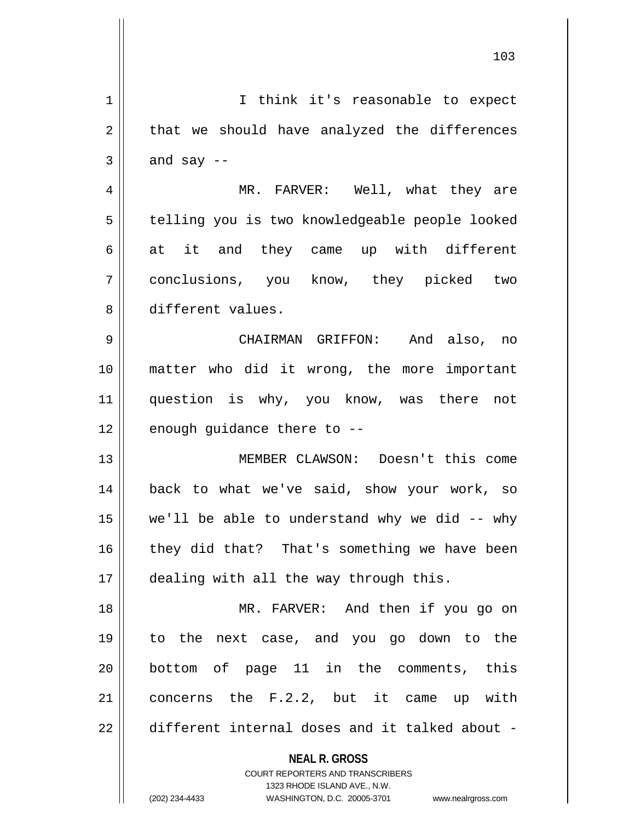| 1  | I think it's reasonable to expect                                                                   |
|----|-----------------------------------------------------------------------------------------------------|
| 2  | that we should have analyzed the differences                                                        |
| 3  | and say $-$                                                                                         |
| 4  | MR. FARVER: Well, what they are                                                                     |
| 5  | telling you is two knowledgeable people looked                                                      |
| 6  | at it and they came up with different                                                               |
| 7  | conclusions, you know, they picked two                                                              |
| 8  | different values.                                                                                   |
| 9  | CHAIRMAN GRIFFON: And also, no                                                                      |
| 10 | matter who did it wrong, the more important                                                         |
| 11 | question is why, you know, was there not                                                            |
| 12 | enough guidance there to --                                                                         |
| 13 | MEMBER CLAWSON: Doesn't this come                                                                   |
| 14 | back to what we've said, show your work, so                                                         |
| 15 | we'll be able to understand why we did -- why                                                       |
| 16 | they did that? That's something we have been                                                        |
| 17 | dealing with all the way through this.                                                              |
| 18 | MR. FARVER: And then if you go on                                                                   |
| 19 | to the next case, and you go down to the                                                            |
| 20 | bottom of page 11 in the comments, this                                                             |
| 21 | concerns the F.2.2, but it came up with                                                             |
| 22 | different internal doses and it talked about -                                                      |
|    | <b>NEAL R. GROSS</b>                                                                                |
|    | <b>COURT REPORTERS AND TRANSCRIBERS</b>                                                             |
|    | 1323 RHODE ISLAND AVE., N.W.<br>(202) 234-4433<br>WASHINGTON, D.C. 20005-3701<br>www.nealrgross.com |
|    |                                                                                                     |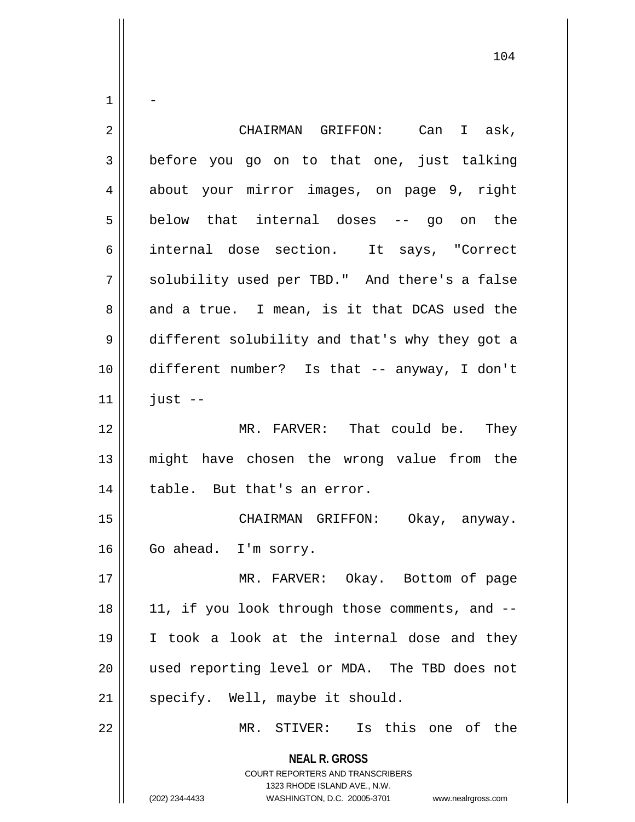| $\mathbf 1$    |                                                                                                                                                                        |
|----------------|------------------------------------------------------------------------------------------------------------------------------------------------------------------------|
| 2              | CHAIRMAN GRIFFON: Can I ask,                                                                                                                                           |
| $\mathfrak{Z}$ | before you go on to that one, just talking                                                                                                                             |
| 4              | about your mirror images, on page 9, right                                                                                                                             |
| 5              | below that internal doses -- go on the                                                                                                                                 |
| 6              | internal dose section. It says, "Correct                                                                                                                               |
| 7              | solubility used per TBD." And there's a false                                                                                                                          |
| 8              | and a true. I mean, is it that DCAS used the                                                                                                                           |
| $\mathsf 9$    | different solubility and that's why they got a                                                                                                                         |
| 10             | different number? Is that -- anyway, I don't                                                                                                                           |
| 11             | just $--$                                                                                                                                                              |
| 12             | MR. FARVER: That could be. They                                                                                                                                        |
| 13             | might have chosen the wrong value from the                                                                                                                             |
| 14             | table. But that's an error.                                                                                                                                            |
| 15             | CHAIRMAN GRIFFON:<br>Okay, anyway.                                                                                                                                     |
| 16             | Go ahead. I'm sorry.                                                                                                                                                   |
| 17             | MR. FARVER: Okay. Bottom of page                                                                                                                                       |
| 18             | 11, if you look through those comments, and --                                                                                                                         |
| 19             | I took a look at the internal dose and they                                                                                                                            |
| 20             | used reporting level or MDA. The TBD does not                                                                                                                          |
| 21             | specify. Well, maybe it should.                                                                                                                                        |
| 22             | MR. STIVER: Is this one of the                                                                                                                                         |
|                | <b>NEAL R. GROSS</b><br><b>COURT REPORTERS AND TRANSCRIBERS</b><br>1323 RHODE ISLAND AVE., N.W.<br>(202) 234-4433<br>WASHINGTON, D.C. 20005-3701<br>www.nealrgross.com |

 $\mathsf{I}$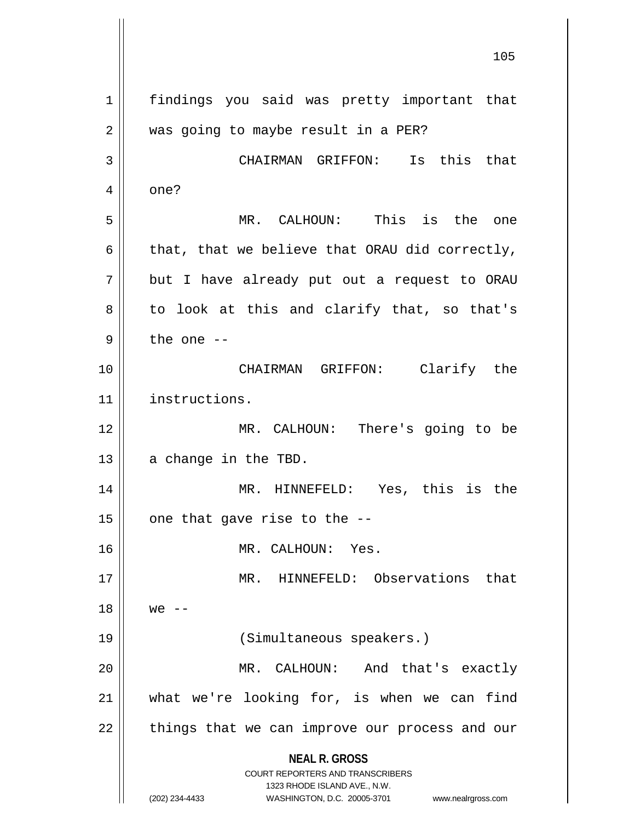**NEAL R. GROSS** COURT REPORTERS AND TRANSCRIBERS 1323 RHODE ISLAND AVE., N.W. (202) 234-4433 WASHINGTON, D.C. 20005-3701 www.nealrgross.com 105 1 || findings you said was pretty important that 2 | was going to maybe result in a PER? 3 CHAIRMAN GRIFFON: Is this that  $4 \parallel$  one? 5 MR. CALHOUN: This is the one 6 | that, that we believe that ORAU did correctly,  $7$  || but I have already put out a request to ORAU  $8 \parallel$  to look at this and clarify that, so that's  $9 \parallel$  the one  $-$ 10 CHAIRMAN GRIFFON: Clarify the 11 instructions. 12 MR. CALHOUN: There's going to be  $13$  | a change in the TBD. 14 MR. HINNEFELD: Yes, this is the  $15$  | one that gave rise to the  $-$ -16 || MR. CALHOUN: Yes. 17 || MR. HINNEFELD: Observations that  $18 \parallel$  we  $-$ 19 (Simultaneous speakers.) 20 MR. CALHOUN: And that's exactly 21 What we're looking for, is when we can find  $22$  || things that we can improve our process and our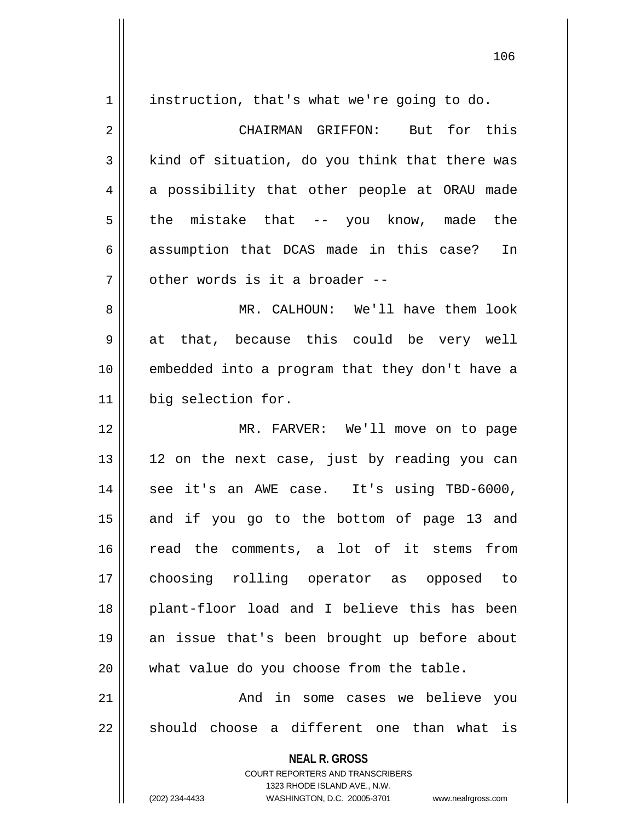**NEAL R. GROSS** 1 | instruction, that's what we're going to do. 2 CHAIRMAN GRIFFON: But for this  $3 \parallel$  kind of situation, do you think that there was  $4 \parallel$  a possibility that other people at ORAU made  $5 \parallel$  the mistake that -- you know, made the 6 assumption that DCAS made in this case? In 7 | other words is it a broader --8 MR. CALHOUN: We'll have them look  $9 \parallel$  at that, because this could be very well 10 embedded into a program that they don't have a 11 big selection for. 12 MR. FARVER: We'll move on to page  $13 \parallel$  12 on the next case, just by reading you can 14 || see it's an AWE case. It's using TBD-6000, 15 || and if you go to the bottom of page 13 and 16 || read the comments, a lot of it stems from 17 choosing rolling operator as opposed to 18 plant-floor load and I believe this has been 19 an issue that's been brought up before about 20 || what value do you choose from the table. 21 And in some cases we believe you  $22$   $\parallel$  should choose a different one than what is

> COURT REPORTERS AND TRANSCRIBERS 1323 RHODE ISLAND AVE., N.W.

(202) 234-4433 WASHINGTON, D.C. 20005-3701 www.nealrgross.com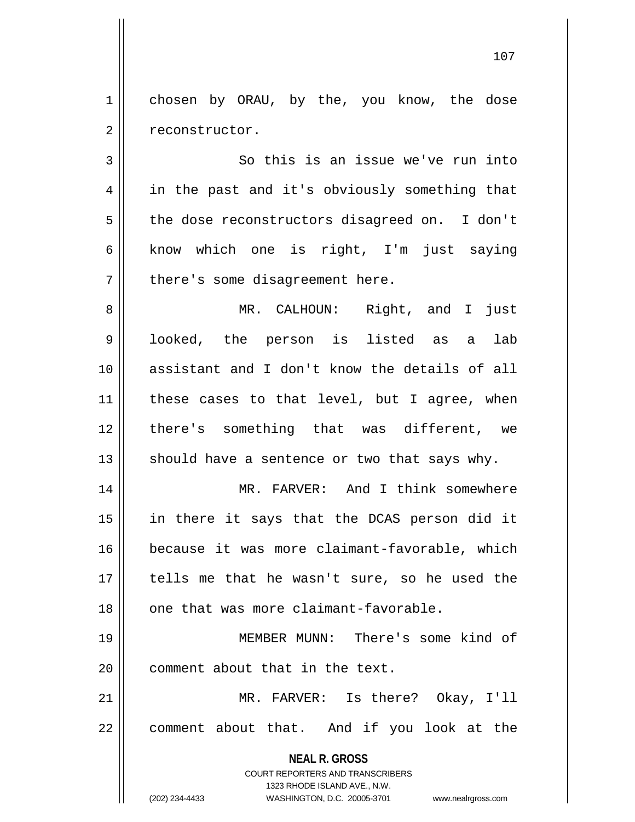1 chosen by ORAU, by the, you know, the dose 2 | reconstructor.

 $3 \parallel$  So this is an issue we've run into 4 || in the past and it's obviously something that 5 the dose reconstructors disagreed on. I don't  $6$  know which one is right, I'm just saying  $7$  || there's some disagreement here.

 MR. CALHOUN: Right, and I just looked, the person is listed as a lab assistant and I don't know the details of all | these cases to that level, but I agree, when there's something that was different, we  $\parallel$  should have a sentence or two that says why.

 MR. FARVER: And I think somewhere in there it says that the DCAS person did it because it was more claimant-favorable, which tells me that he wasn't sure, so he used the 18 || one that was more claimant-favorable.

19 MEMBER MUNN: There's some kind of  $20$   $\parallel$  comment about that in the text.

21 MR. FARVER: Is there? Okay, I'll 22 || comment about that. And if you look at the

> **NEAL R. GROSS** COURT REPORTERS AND TRANSCRIBERS

> > 1323 RHODE ISLAND AVE., N.W.

(202) 234-4433 WASHINGTON, D.C. 20005-3701 www.nealrgross.com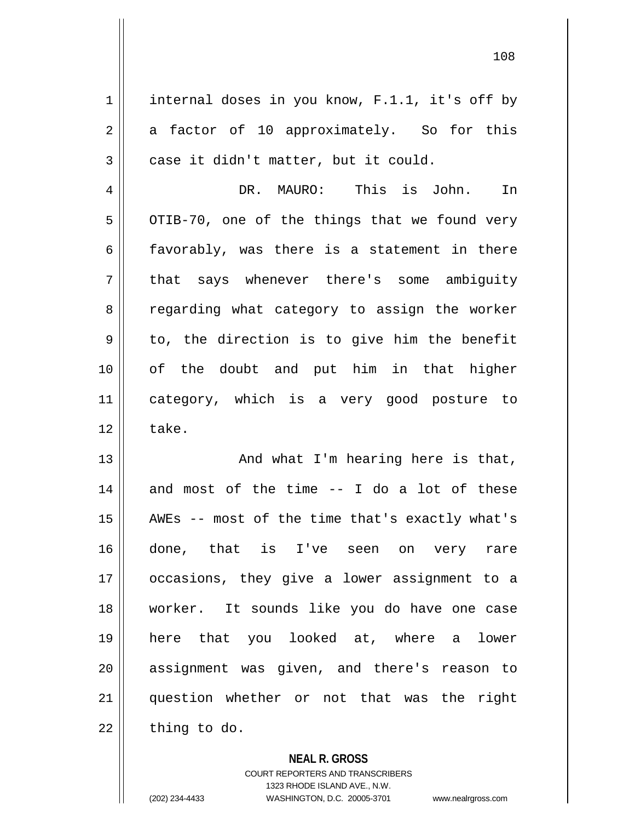$1 \parallel$  internal doses in you know, F.1.1, it's off by  $2 \parallel$  a factor of 10 approximately. So for this  $3 \parallel$  case it didn't matter, but it could. 4 DR. MAURO: This is John. In  $5 \parallel$  OTIB-70, one of the things that we found very  $6 \parallel$  favorably, was there is a statement in there 7 || that says whenever there's some ambiguity 8 Tegarding what category to assign the worker  $9 \parallel$  to, the direction is to give him the benefit 10 of the doubt and put him in that higher 11 category, which is a very good posture to  $12 \parallel$  take. 13 || And what I'm hearing here is that,  $14$  and most of the time  $-$  I do a lot of these 15 AWEs -- most of the time that's exactly what's 16 done, that is I've seen on very rare 17 occasions, they give a lower assignment to a 18 worker. It sounds like you do have one case 19 here that you looked at, where a lower 20 || assignment was given, and there's reason to 21 question whether or not that was the right  $22$  | thing to do.

> **NEAL R. GROSS** COURT REPORTERS AND TRANSCRIBERS

1323 RHODE ISLAND AVE., N.W. (202) 234-4433 WASHINGTON, D.C. 20005-3701 www.nealrgross.com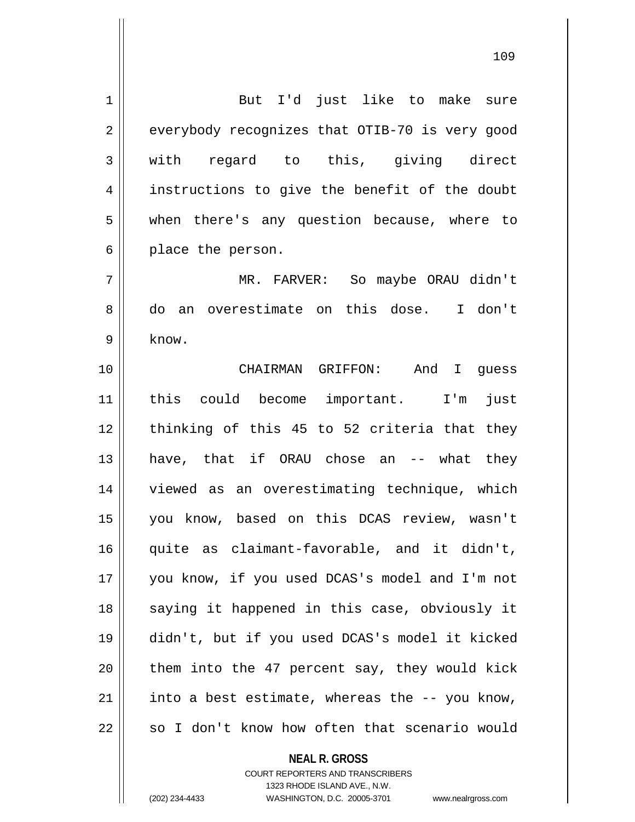| 1              | But I'd just like to make sure                 |
|----------------|------------------------------------------------|
| $\overline{2}$ | everybody recognizes that OTIB-70 is very good |
| 3              | with regard to this, giving direct             |
| 4              | instructions to give the benefit of the doubt  |
| 5              | when there's any question because, where to    |
| 6              | place the person.                              |
| 7              | MR. FARVER: So maybe ORAU didn't               |
| 8              | do an overestimate on this dose. I don't       |
| 9              | know.                                          |
| 10             | CHAIRMAN GRIFFON: And I guess                  |
| 11             | this could become important. I'm<br>just       |
| 12             | thinking of this 45 to 52 criteria that they   |
| 13             | have, that if ORAU chose an -- what they       |
| 14             | viewed as an overestimating technique, which   |
| 15             | you know, based on this DCAS review, wasn't    |
| 16             | quite as claimant-favorable, and it didn't,    |
| 17             | you know, if you used DCAS's model and I'm not |
| 18             | saying it happened in this case, obviously it  |
| 19             | didn't, but if you used DCAS's model it kicked |
| 20             | them into the 47 percent say, they would kick  |
| 21             | into a best estimate, whereas the -- you know, |
| 22             | so I don't know how often that scenario would  |

COURT REPORTERS AND TRANSCRIBERS 1323 RHODE ISLAND AVE., N.W.

**NEAL R. GROSS**

 $\mathsf{I}$ 

(202) 234-4433 WASHINGTON, D.C. 20005-3701 www.nealrgross.com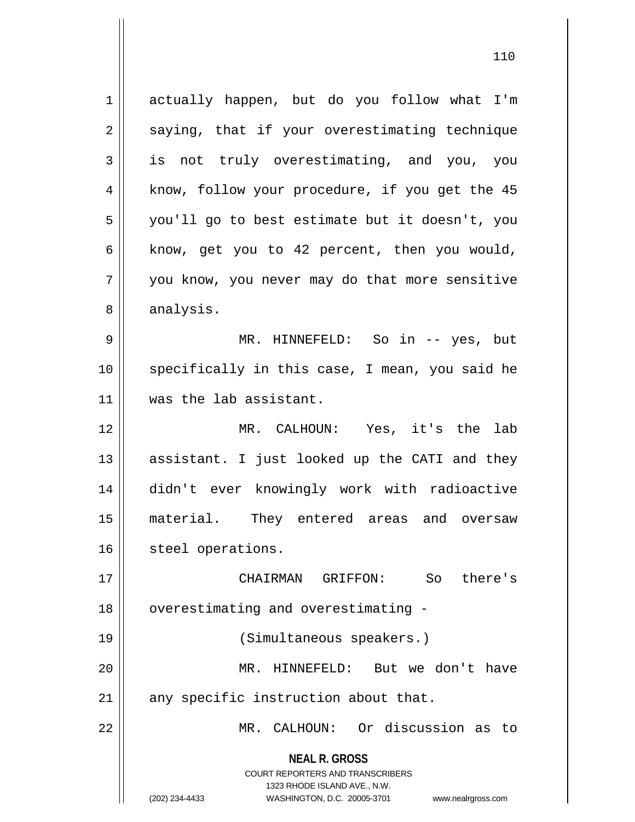1 actually happen, but do you follow what I'm  $2 \parallel$  saying, that if your overestimating technique 3 is not truly overestimating, and you, you 4 || know, follow your procedure, if you get the 45 5 you'll go to best estimate but it doesn't, you 6 | know, get you to 42 percent, then you would, 7 || you know, you never may do that more sensitive 8 | analysis. 9 MR. HINNEFELD: So in -- yes, but 10 specifically in this case, I mean, you said he 11 || was the lab assistant. 12 MR. CALHOUN: Yes, it's the lab 13 || assistant. I just looked up the CATI and they 14 didn't ever knowingly work with radioactive 15 material. They entered areas and oversaw 16 | steel operations. 17 CHAIRMAN GRIFFON: So there's 18 | overestimating and overestimating -19 (Simultaneous speakers.) 20 MR. HINNEFELD: But we don't have  $21$  any specific instruction about that.

22 MR. CALHOUN: Or discussion as to

**NEAL R. GROSS** COURT REPORTERS AND TRANSCRIBERS

1323 RHODE ISLAND AVE., N.W.

<sup>(202) 234-4433</sup> WASHINGTON, D.C. 20005-3701 www.nealrgross.com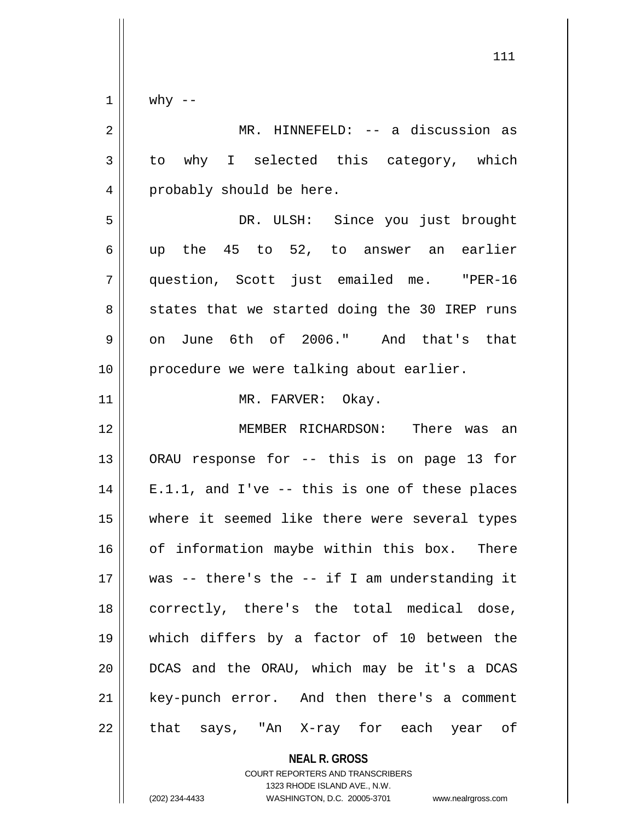$1 \parallel$  why --

| $\overline{2}$ | MR. HINNEFELD: -- a discussion as                 |
|----------------|---------------------------------------------------|
| 3              | to why I selected this category, which            |
| 4              | probably should be here.                          |
| 5              | DR. ULSH: Since you just brought                  |
| 6              | up the 45 to 52, to answer an earlier             |
| 7              | question, Scott just emailed me. "PER-16          |
| 8              | states that we started doing the 30 IREP runs     |
| $\mathsf 9$    | on June 6th of 2006." And that's that             |
| 10             | procedure we were talking about earlier.          |
| 11             | MR. FARVER: Okay.                                 |
| 12             | MEMBER RICHARDSON: There was an                   |
| 13             | ORAU response for -- this is on page 13 for       |
| 14             | $E.1.1$ , and I've -- this is one of these places |
| 15             | where it seemed like there were several types     |
| 16             | of information maybe within this box. There       |
| 17             | was -- there's the -- if I am understanding it    |
| 18             | correctly, there's the total medical dose,        |
| 19             | which differs by a factor of 10 between the       |
| 20             | DCAS and the ORAU, which may be it's a DCAS       |
| 21             | key-punch error. And then there's a comment       |
| 22             | that says, "An X-ray for each year of             |

**NEAL R. GROSS** COURT REPORTERS AND TRANSCRIBERS

1323 RHODE ISLAND AVE., N.W.

(202) 234-4433 WASHINGTON, D.C. 20005-3701 www.nealrgross.com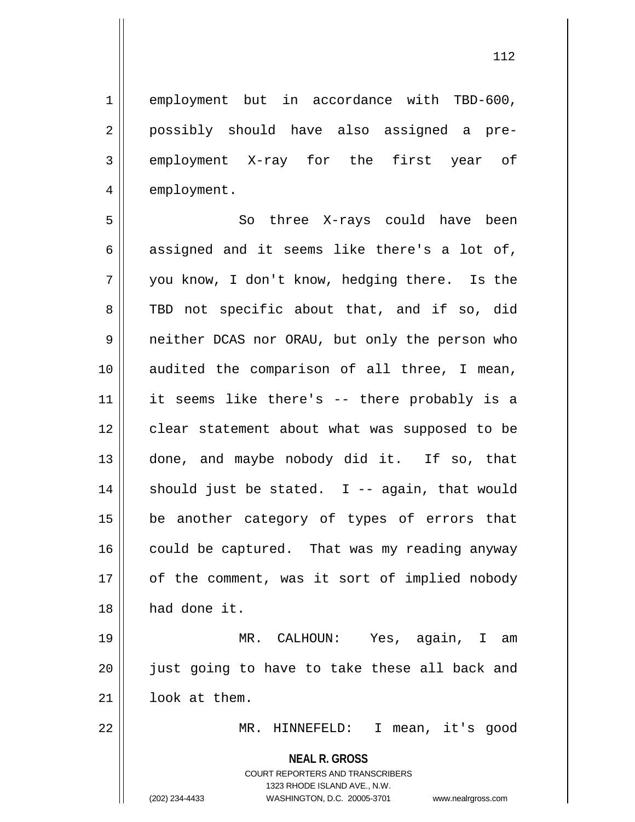1 || employment but in accordance with TBD-600, 2 || possibly should have also assigned a pre-3 employment X-ray for the first year of 4 | employment.

5 So three X-rays could have been  $6 \parallel$  assigned and it seems like there's a lot of, 7 you know, I don't know, hedging there. Is the 8 TBD not specific about that, and if so, did 9 || neither DCAS nor ORAU, but only the person who 10 || audited the comparison of all three, I mean, 11 it seems like there's -- there probably is a 12 || clear statement about what was supposed to be 13 done, and maybe nobody did it. If so, that 14  $\parallel$  should just be stated. I -- again, that would 15 be another category of types of errors that 16  $\parallel$  could be captured. That was my reading anyway 17 || of the comment, was it sort of implied nobody 18 | had done it.

19 MR. CALHOUN: Yes, again, I am 20 || just going to have to take these all back and 21 | look at them.

22 MR. HINNEFELD: I mean, it's good

**NEAL R. GROSS**

COURT REPORTERS AND TRANSCRIBERS 1323 RHODE ISLAND AVE., N.W. (202) 234-4433 WASHINGTON, D.C. 20005-3701 www.nealrgross.com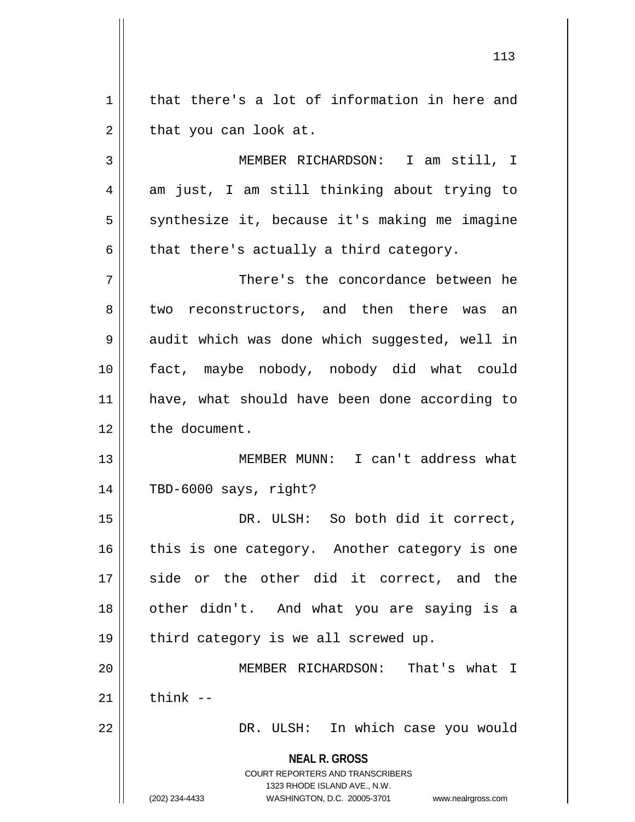$1 \parallel$  that there's a lot of information in here and  $2 \parallel$  that you can look at. 3 MEMBER RICHARDSON: I am still, I

 $4 \parallel$  am just, I am still thinking about trying to 5 | synthesize it, because it's making me imagine  $6 \parallel$  that there's actually a third category.

7 There's the concordance between he 8 two reconstructors, and then there was an 9 audit which was done which suggested, well in 10 fact, maybe nobody, nobody did what could 11 || have, what should have been done according to 12 | the document.

13 MEMBER MUNN: I can't address what 14 TBD-6000 says, right?

15 || DR. ULSH: So both did it correct,  $16$  this is one category. Another category is one 17 side or the other did it correct, and the 18 || other didn't. And what you are saying is a  $19$  || third category is we all screwed up.

20 MEMBER RICHARDSON: That's what I  $21$  think  $-$ 

22 DR. ULSH: In which case you would

**NEAL R. GROSS**

COURT REPORTERS AND TRANSCRIBERS 1323 RHODE ISLAND AVE., N.W. (202) 234-4433 WASHINGTON, D.C. 20005-3701 www.nealrgross.com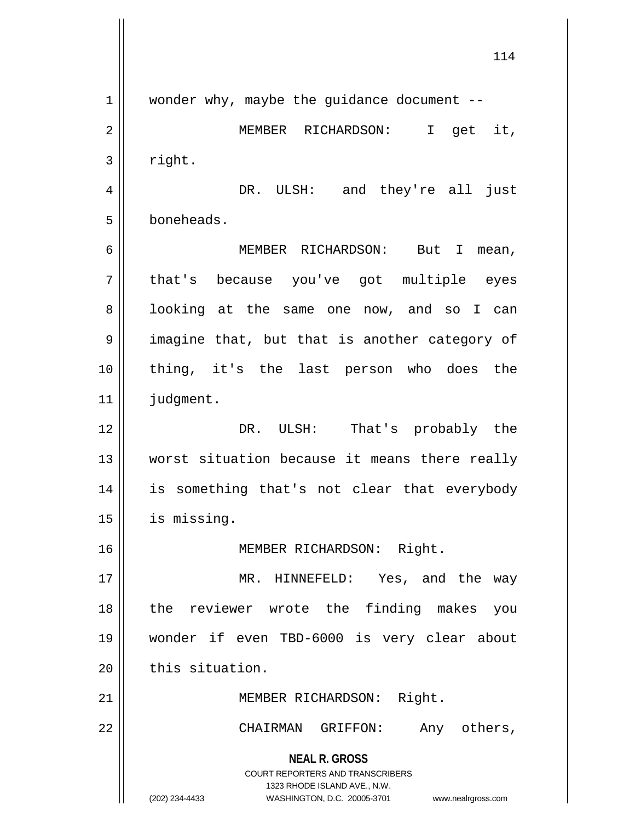**NEAL R. GROSS** COURT REPORTERS AND TRANSCRIBERS 1323 RHODE ISLAND AVE., N.W. (202) 234-4433 WASHINGTON, D.C. 20005-3701 www.nealrgross.com 1 || wonder why, maybe the guidance document --2 MEMBER RICHARDSON: I get it,  $3 \parallel$  right. 4 DR. ULSH: and they're all just 5 boneheads. 6 MEMBER RICHARDSON: But I mean, 7 || that's because you've got multiple eyes 8 || looking at the same one now, and so I can 9 || imagine that, but that is another category of 10 thing, it's the last person who does the 11 | judgment. 12 DR. ULSH: That's probably the 13 worst situation because it means there really 14 || is something that's not clear that everybody 15 | is missing. 16 || MEMBER RICHARDSON: Right. 17 || MR. HINNEFELD: Yes, and the way 18 the reviewer wrote the finding makes you 19 wonder if even TBD-6000 is very clear about  $20$  | this situation. 21 || MEMBER RICHARDSON: Right. 22 CHAIRMAN GRIFFON: Any others,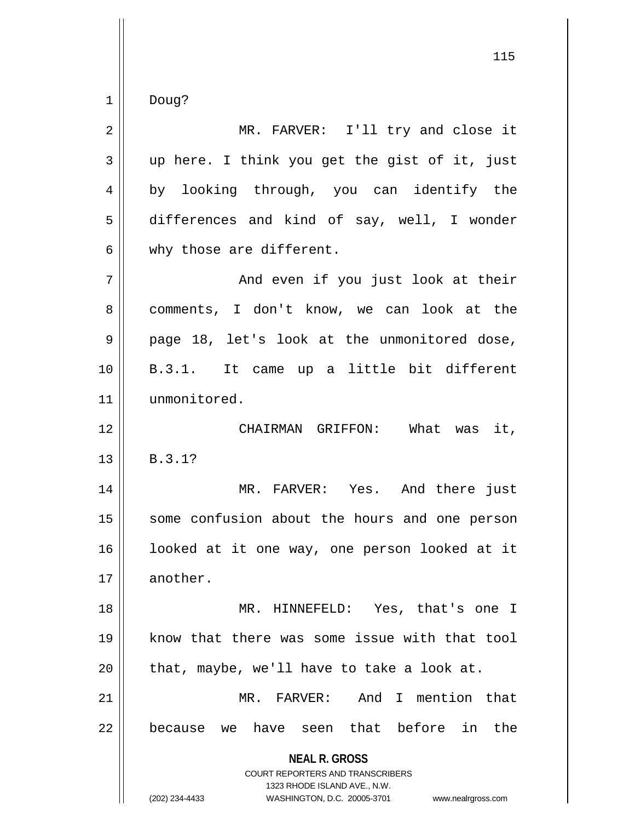$1 \parallel$  Doug?

| $\overline{2}$ | MR. FARVER: I'll try and close it                                                                                                                                   |
|----------------|---------------------------------------------------------------------------------------------------------------------------------------------------------------------|
| 3              | up here. I think you get the gist of it, just                                                                                                                       |
| 4              | by looking through, you can identify the                                                                                                                            |
| 5              | differences and kind of say, well, I wonder                                                                                                                         |
| 6              | why those are different.                                                                                                                                            |
| 7              | And even if you just look at their                                                                                                                                  |
| 8              | comments, I don't know, we can look at the                                                                                                                          |
| 9              | page 18, let's look at the unmonitored dose,                                                                                                                        |
| 10             | B.3.1. It came up a little bit different                                                                                                                            |
| 11             | unmonitored.                                                                                                                                                        |
| 12             | CHAIRMAN GRIFFON: What was it,                                                                                                                                      |
| 13             | B.3.1?                                                                                                                                                              |
| 14             | MR. FARVER: Yes. And there just                                                                                                                                     |
| 15             | some confusion about the hours and one person                                                                                                                       |
| 16             | looked at it one way, one person looked at it                                                                                                                       |
| 17             | another.                                                                                                                                                            |
| 18             | MR. HINNEFELD: Yes, that's one I                                                                                                                                    |
| 19             | know that there was some issue with that tool                                                                                                                       |
| 20             | that, maybe, we'll have to take a look at.                                                                                                                          |
| 21             | MR. FARVER: And I mention that                                                                                                                                      |
| 22             | because we have seen that before in the                                                                                                                             |
|                | <b>NEAL R. GROSS</b><br><b>COURT REPORTERS AND TRANSCRIBERS</b><br>1323 RHODE ISLAND AVE., N.W.<br>(202) 234-4433<br>WASHINGTON, D.C. 20005-3701 www.nealrgross.com |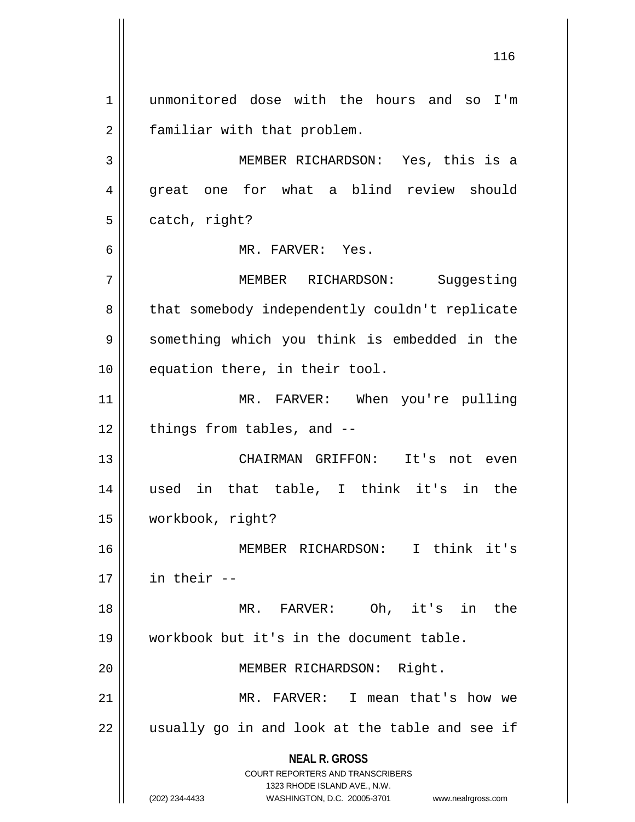**NEAL R. GROSS** COURT REPORTERS AND TRANSCRIBERS 1323 RHODE ISLAND AVE., N.W. (202) 234-4433 WASHINGTON, D.C. 20005-3701 www.nealrgross.com 1 unmonitored dose with the hours and so I'm 2 | familiar with that problem. 3 MEMBER RICHARDSON: Yes, this is a 4 great one for what a blind review should  $5 \parallel$  catch, right? 6 MR. FARVER: Yes. 7 MEMBER RICHARDSON: Suggesting 8 | that somebody independently couldn't replicate 9 || something which you think is embedded in the 10 || equation there, in their tool. 11 || MR. FARVER: When you're pulling  $12$  | things from tables, and  $-$ 13 CHAIRMAN GRIFFON: It's not even 14 used in that table, I think it's in the 15 workbook, right? 16 MEMBER RICHARDSON: I think it's  $17$   $\parallel$  in their  $-$ 18 MR. FARVER: Oh, it's in the 19 workbook but it's in the document table. 20 || MEMBER RICHARDSON: Right. 21 MR. FARVER: I mean that's how we  $22$  || usually go in and look at the table and see if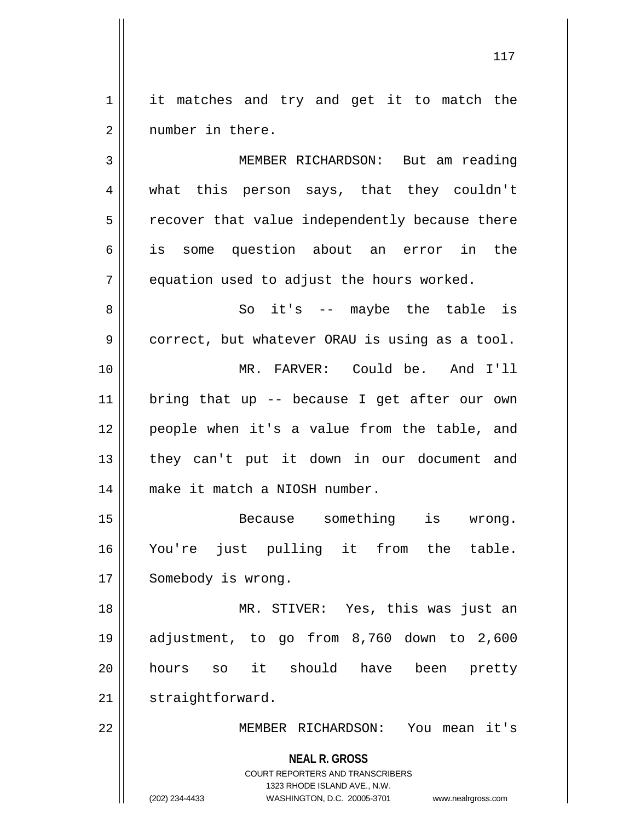1 | it matches and try and get it to match the 2 || number in there.

3 MEMBER RICHARDSON: But am reading 4 || what this person says, that they couldn't  $5 \parallel$  recover that value independently because there 6 is some question about an error in the  $7$  || equation used to adjust the hours worked.

 So it's -- maybe the table is  $9 \parallel$  correct, but whatever ORAU is using as a tool. MR. FARVER: Could be. And I'll bring that up -- because I get after our own people when it's a value from the table, and 13 || they can't put it down in our document and make it match a NIOSH number.

15 || Because something is wrong. 16 You're just pulling it from the table. 17 | Somebody is wrong.

 MR. STIVER: Yes, this was just an adjustment, to go from 8,760 down to 2,600 hours so it should have been pretty 21 | straightforward.

22 MEMBER RICHARDSON: You mean it's

**NEAL R. GROSS** COURT REPORTERS AND TRANSCRIBERS

1323 RHODE ISLAND AVE., N.W.

(202) 234-4433 WASHINGTON, D.C. 20005-3701 www.nealrgross.com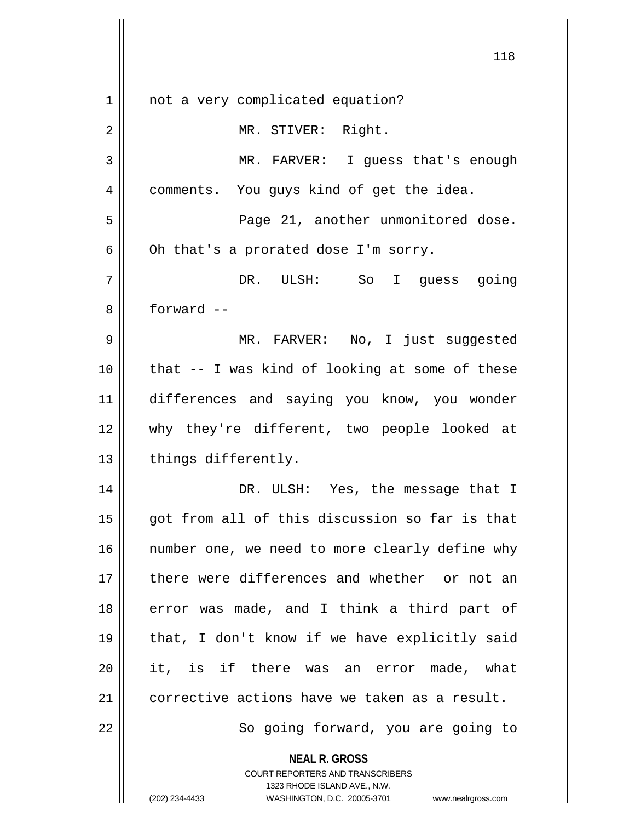| $\mathbf 1$ | not a very complicated equation?                                                                 |
|-------------|--------------------------------------------------------------------------------------------------|
| $\mathbf 2$ | MR. STIVER: Right.                                                                               |
| 3           | MR. FARVER: I guess that's enough                                                                |
| 4           | comments. You guys kind of get the idea.                                                         |
| 5           | Page 21, another unmonitored dose.                                                               |
| 6           | Oh that's a prorated dose I'm sorry.                                                             |
| 7           | DR. ULSH: So I guess going                                                                       |
| 8           | forward --                                                                                       |
| 9           | MR. FARVER: No, I just suggested                                                                 |
| 10          | that -- I was kind of looking at some of these                                                   |
| 11          | differences and saying you know, you wonder                                                      |
| 12          | why they're different, two people looked at                                                      |
| 13          | things differently.                                                                              |
| 14          | DR. ULSH: Yes, the message that I                                                                |
| 15          | got from all of this discussion so far is that                                                   |
| 16          | number one, we need to more clearly define why                                                   |
| 17          | there were differences and whether or not an                                                     |
| 18          | error was made, and I think a third part of                                                      |
| 19          | that, I don't know if we have explicitly said                                                    |
| 20          | it, is if there was an error made, what                                                          |
| 21          | corrective actions have we taken as a result.                                                    |
| 22          | So going forward, you are going to                                                               |
|             | <b>NEAL R. GROSS</b>                                                                             |
|             | <b>COURT REPORTERS AND TRANSCRIBERS</b>                                                          |
|             | 1323 RHODE ISLAND AVE., N.W.<br>(202) 234-4433<br>WASHINGTON, D.C. 20005-3701 www.nealrgross.com |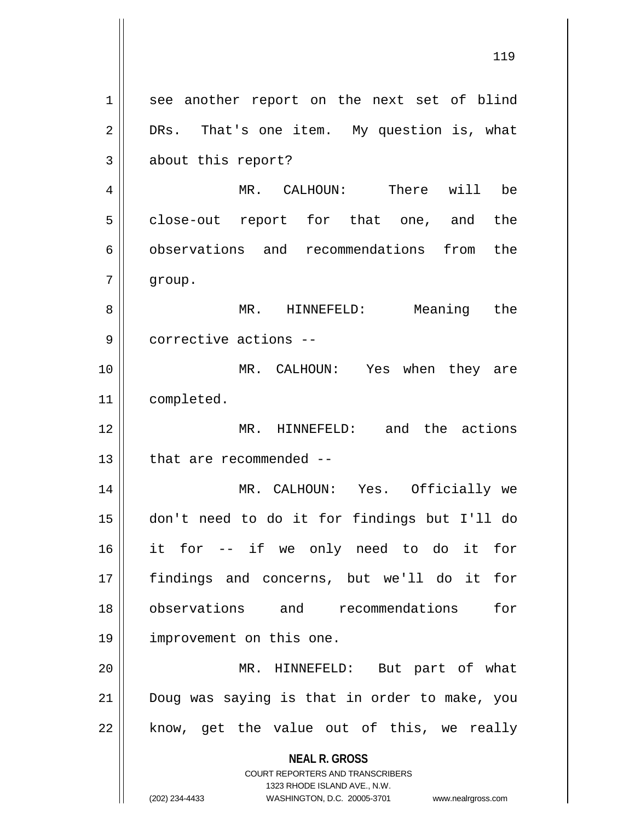**NEAL R. GROSS** COURT REPORTERS AND TRANSCRIBERS 1323 RHODE ISLAND AVE., N.W. 1 || see another report on the next set of blind  $2 \parallel$  DRs. That's one item. My question is, what 3 about this report? MR. CALHOUN: There will be 5 || close-out report for that one, and the 6 observations and recommendations from the group. 8 || MR. HINNEFELD: Meaning the corrective actions -- MR. CALHOUN: Yes when they are completed. MR. HINNEFELD: and the actions || that are recommended -- MR. CALHOUN: Yes. Officially we don't need to do it for findings but I'll do it for -- if we only need to do it for findings and concerns, but we'll do it for observations and recommendations for improvement on this one. MR. HINNEFELD: But part of what Doug was saying is that in order to make, you || know, get the value out of this, we really

<sup>(202) 234-4433</sup> WASHINGTON, D.C. 20005-3701 www.nealrgross.com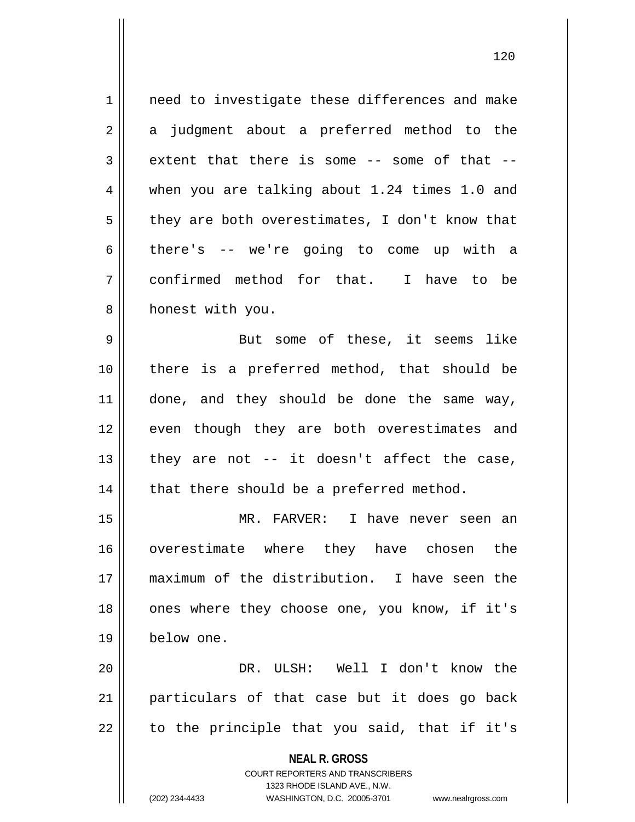**NEAL R. GROSS** COURT REPORTERS AND TRANSCRIBERS 1323 RHODE ISLAND AVE., N.W. 1 | need to investigate these differences and make  $2 \parallel$  a judgment about a preferred method to the  $3 \parallel$  extent that there is some -- some of that --4 when you are talking about 1.24 times 1.0 and  $5 \parallel$  they are both overestimates, I don't know that  $6 \parallel$  there's -- we're going to come up with a 7 confirmed method for that. I have to be 8 | honest with you. 9 || But some of these, it seems like 10 there is a preferred method, that should be 11 || done, and they should be done the same way, 12 || even though they are both overestimates and 13  $\parallel$  they are not -- it doesn't affect the case,  $14$  | that there should be a preferred method. 15 MR. FARVER: I have never seen an 16 || overestimate where they have chosen the 17 maximum of the distribution. I have seen the 18 || ones where they choose one, you know, if it's 19 below one. 20 DR. ULSH: Well I don't know the 21 particulars of that case but it does go back  $22$  || to the principle that you said, that if it's

(202) 234-4433 WASHINGTON, D.C. 20005-3701 www.nealrgross.com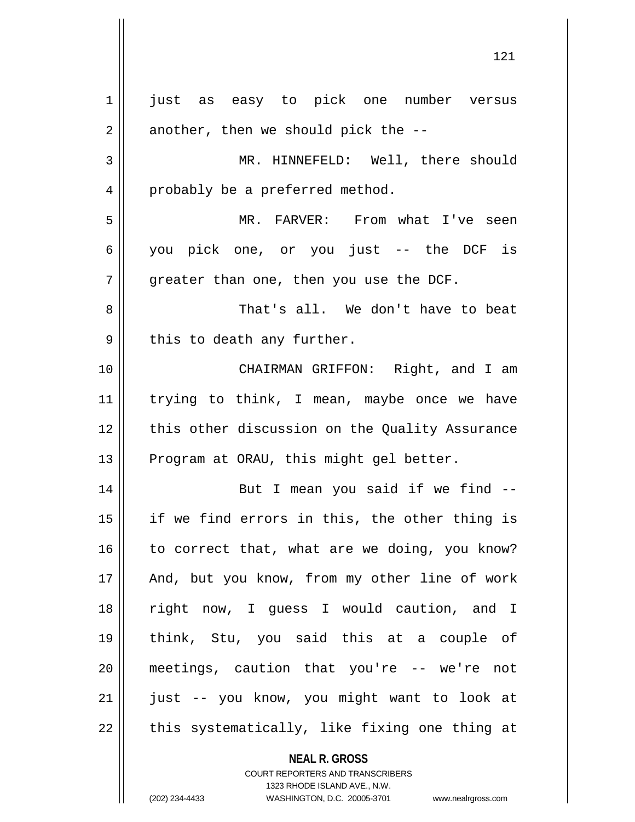**NEAL R. GROSS** COURT REPORTERS AND TRANSCRIBERS 1323 RHODE ISLAND AVE., N.W. 1 || just as easy to pick one number versus  $2 \parallel$  another, then we should pick the --3 || MR. HINNEFELD: Well, there should 4 | probably be a preferred method. 5 MR. FARVER: From what I've seen 6 you pick one, or you just -- the DCF is  $7$  | qreater than one, then you use the DCF. 8 That's all. We don't have to beat  $9 \parallel$  this to death any further. 10 CHAIRMAN GRIFFON: Right, and I am 11 || trying to think, I mean, maybe once we have 12 || this other discussion on the Quality Assurance 13 | Program at ORAU, this might gel better. 14 || But I mean you said if we find --15 if we find errors in this, the other thing is  $16$  to correct that, what are we doing, you know? 17 || And, but you know, from my other line of work 18 right now, I guess I would caution, and I 19 think, Stu, you said this at a couple of 20 meetings, caution that you're -- we're not 21 || just -- you know, you might want to look at  $22$  || this systematically, like fixing one thing at

(202) 234-4433 WASHINGTON, D.C. 20005-3701 www.nealrgross.com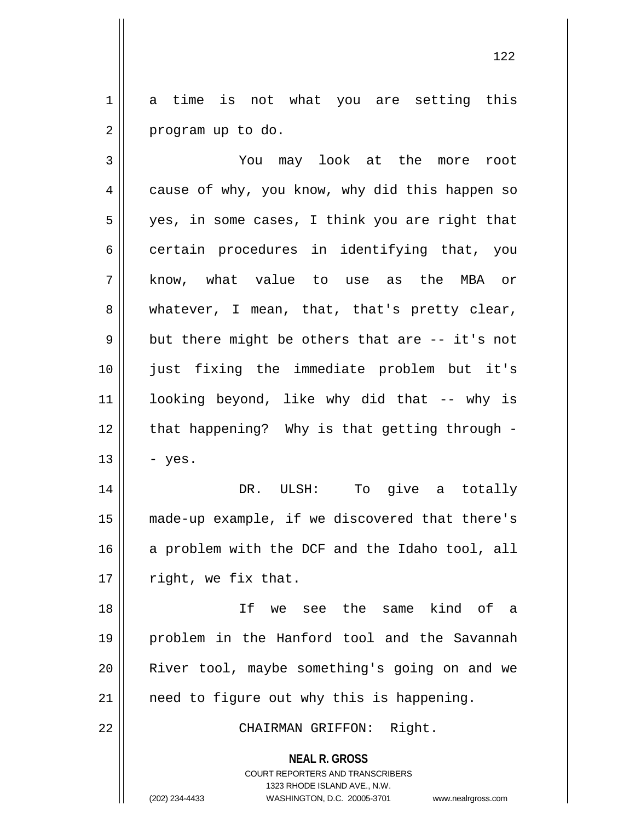1 a time is not what you are setting this  $2 \parallel$  program up to do.

3 You may look at the more root 4 || cause of why, you know, why did this happen so 5 || yes, in some cases, I think you are right that  $6 \parallel$  certain procedures in identifying that, you 7 know, what value to use as the MBA or 8 whatever, I mean, that, that's pretty clear,  $9 \parallel$  but there might be others that are -- it's not 10 just fixing the immediate problem but it's 11 looking beyond, like why did that -- why is  $12$  | that happening? Why is that getting through - $13 \parallel - \text{yes}.$ 14 DR. ULSH: To give a totally 15 made-up example, if we discovered that there's

16 || a problem with the DCF and the Idaho tool, all  $17$  | right, we fix that.

 If we see the same kind of a problem in the Hanford tool and the Savannah River tool, maybe something's going on and we | need to figure out why this is happening.

22 || CHAIRMAN GRIFFON: Right.

**NEAL R. GROSS** COURT REPORTERS AND TRANSCRIBERS

1323 RHODE ISLAND AVE., N.W.

(202) 234-4433 WASHINGTON, D.C. 20005-3701 www.nealrgross.com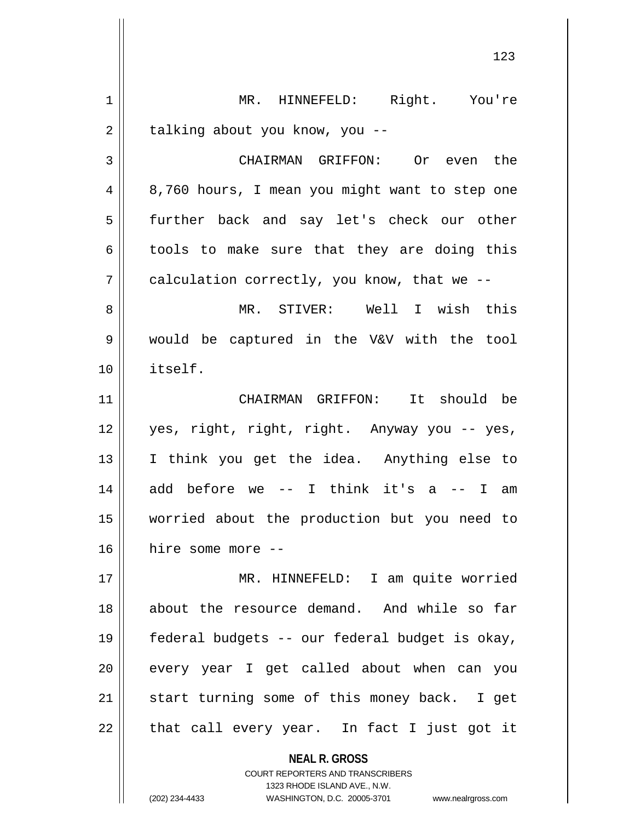**NEAL R. GROSS** COURT REPORTERS AND TRANSCRIBERS 1 || MR. HINNEFELD: Right. You're 2 | talking about you know, you --3 CHAIRMAN GRIFFON: Or even the 4 || 8,760 hours, I mean you might want to step one 5 || further back and say let's check our other  $6 \parallel$  tools to make sure that they are doing this  $7 \parallel$  calculation correctly, you know, that we --8 MR. STIVER: Well I wish this 9 would be captured in the V&V with the tool 10 itself. 11 CHAIRMAN GRIFFON: It should be 12 yes, right, right, right. Anyway you -- yes, 13 I think you get the idea. Anything else to  $14$  add before we -- I think it's a -- I am 15 worried about the production but you need to 16 hire some more -- 17 MR. HINNEFELD: I am quite worried 18 about the resource demand. And while so far 19 federal budgets -- our federal budget is okay, 20 || every year I get called about when can you  $21$  start turning some of this money back. I get  $22$  || that call every year. In fact I just got it

1323 RHODE ISLAND AVE., N.W.

(202) 234-4433 WASHINGTON, D.C. 20005-3701 www.nealrgross.com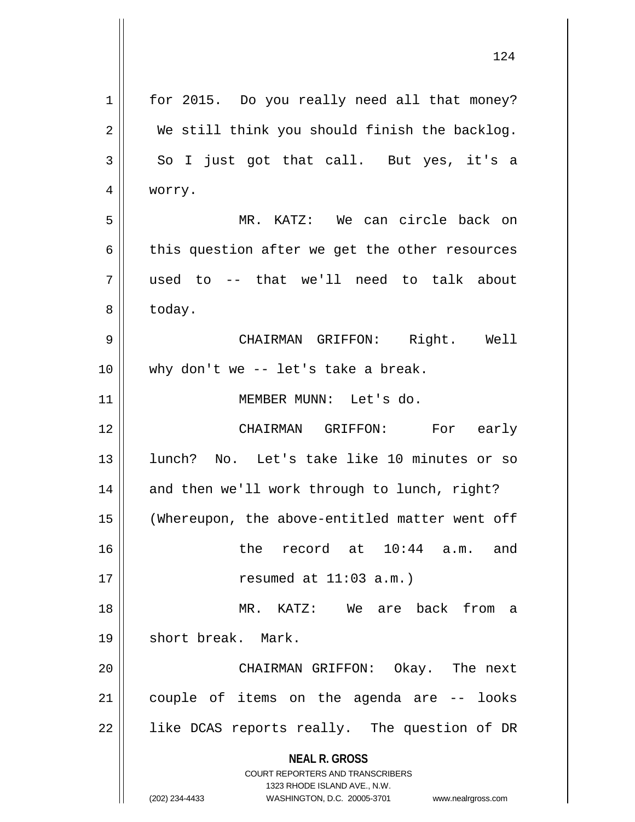| 1  | for 2015. Do you really need all that money?                        |
|----|---------------------------------------------------------------------|
| 2  | We still think you should finish the backlog.                       |
| 3  | So I just got that call. But yes, it's a                            |
| 4  | worry.                                                              |
| 5  | MR. KATZ: We can circle back on                                     |
| 6  | this question after we get the other resources                      |
| 7  | used to -- that we'll need to talk about                            |
| 8  | today.                                                              |
| 9  | CHAIRMAN GRIFFON: Right. Well                                       |
| 10 | why don't we -- let's take a break.                                 |
| 11 | MEMBER MUNN: Let's do.                                              |
| 12 | CHAIRMAN GRIFFON: For early                                         |
| 13 | lunch? No. Let's take like 10 minutes or so                         |
| 14 | and then we'll work through to lunch, right?                        |
| 15 | (Whereupon, the above-entitled matter went off                      |
| 16 | the record at 10:44 a.m.<br>and                                     |
| 17 | resumed at $11:03$ a.m.)                                            |
| 18 | MR. KATZ: We are back from a                                        |
| 19 | short break. Mark.                                                  |
| 20 | CHAIRMAN GRIFFON: Okay. The next                                    |
| 21 | couple of items on the agenda are -- looks                          |
| 22 | like DCAS reports really. The question of DR                        |
|    |                                                                     |
|    | <b>NEAL R. GROSS</b><br><b>COURT REPORTERS AND TRANSCRIBERS</b>     |
|    | 1323 RHODE ISLAND AVE., N.W.                                        |
|    | (202) 234-4433<br>WASHINGTON, D.C. 20005-3701<br>www.nealrgross.com |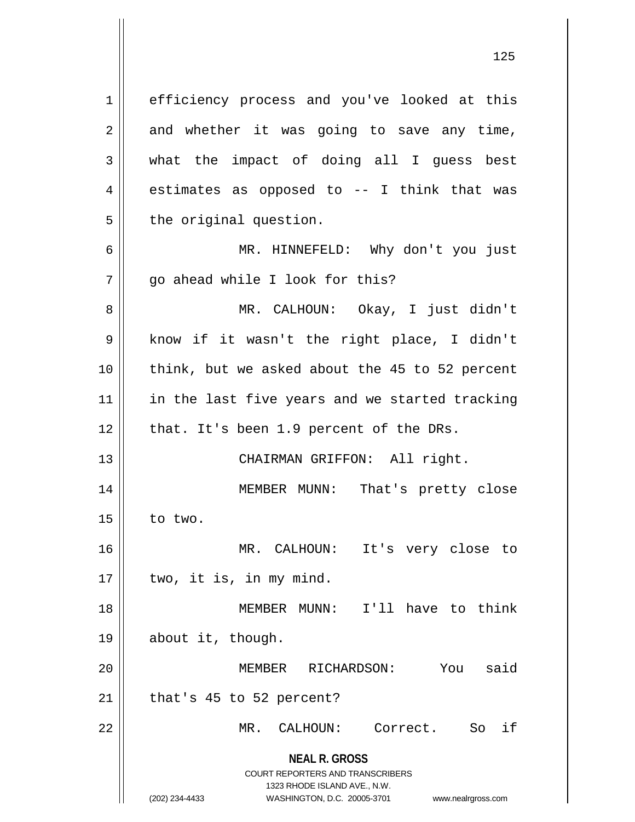**NEAL R. GROSS** COURT REPORTERS AND TRANSCRIBERS 1323 RHODE ISLAND AVE., N.W. (202) 234-4433 WASHINGTON, D.C. 20005-3701 www.nealrgross.com 1 efficiency process and you've looked at this  $2 \parallel$  and whether it was going to save any time,  $3 \parallel$  what the impact of doing all I quess best  $4 \parallel$  estimates as opposed to -- I think that was  $5$  | the original question. 6 MR. HINNEFELD: Why don't you just  $7 \parallel$  go ahead while I look for this? 8 MR. CALHOUN: Okay, I just didn't 9 || know if it wasn't the right place, I didn't 10 || think, but we asked about the 45 to 52 percent 11 || in the last five years and we started tracking  $12$  || that. It's been 1.9 percent of the DRs. 13 || CHAIRMAN GRIFFON: All right. 14 MEMBER MUNN: That's pretty close  $15$  to two. 16 MR. CALHOUN: It's very close to  $17$  || two, it is, in my mind. 18 MEMBER MUNN: I'll have to think 19 about it, though. 20 MEMBER RICHARDSON: You said  $21$  | that's 45 to 52 percent? 22 MR. CALHOUN: Correct. So if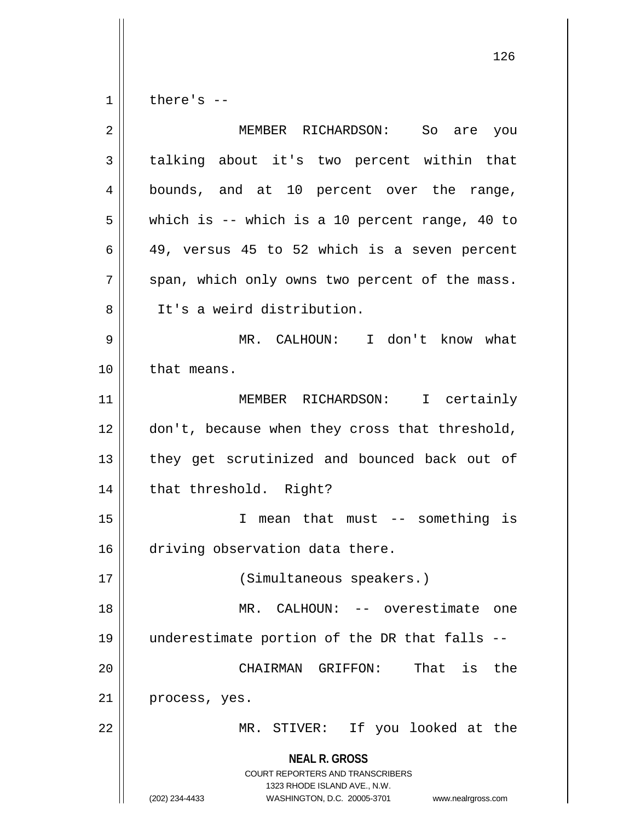$1 \parallel$  there's --

| $\overline{2}$ | MEMBER RICHARDSON: So are you                                                                                                                                          |
|----------------|------------------------------------------------------------------------------------------------------------------------------------------------------------------------|
| 3              | talking about it's two percent within that                                                                                                                             |
| 4              | bounds, and at 10 percent over the range,                                                                                                                              |
| 5              | which is $-$ which is a 10 percent range, 40 to                                                                                                                        |
| 6              | 49, versus 45 to 52 which is a seven percent                                                                                                                           |
| 7              | span, which only owns two percent of the mass.                                                                                                                         |
| 8              | It's a weird distribution.                                                                                                                                             |
| 9              | MR. CALHOUN: I don't know what                                                                                                                                         |
| 10             | that means.                                                                                                                                                            |
| 11             | MEMBER RICHARDSON: I certainly                                                                                                                                         |
| 12             | don't, because when they cross that threshold,                                                                                                                         |
| 13             | they get scrutinized and bounced back out of                                                                                                                           |
| 14             | that threshold. Right?                                                                                                                                                 |
| 15             | I mean that must -- something is                                                                                                                                       |
| 16             | driving observation data there.                                                                                                                                        |
| 17             | (Simultaneous speakers.)                                                                                                                                               |
| 18             | MR. CALHOUN: -- overestimate one                                                                                                                                       |
| 19             | underestimate portion of the DR that falls --                                                                                                                          |
| 20             | CHAIRMAN GRIFFON: That<br>is<br>the                                                                                                                                    |
| 21             | process, yes.                                                                                                                                                          |
| 22             | MR. STIVER: If you looked at the                                                                                                                                       |
|                | <b>NEAL R. GROSS</b><br><b>COURT REPORTERS AND TRANSCRIBERS</b><br>1323 RHODE ISLAND AVE., N.W.<br>(202) 234-4433<br>WASHINGTON, D.C. 20005-3701<br>www.nealrgross.com |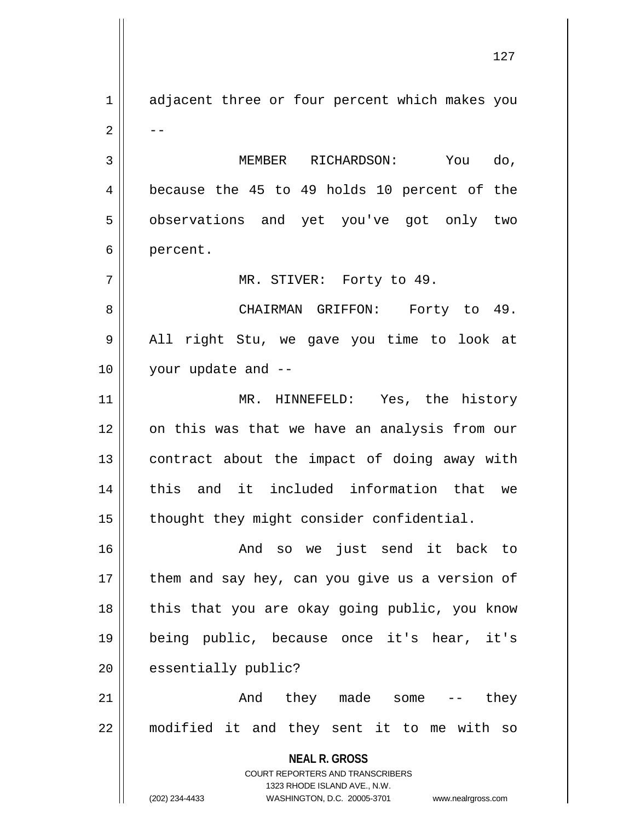**NEAL R. GROSS** COURT REPORTERS AND TRANSCRIBERS 1323 RHODE ISLAND AVE., N.W. 1 || adjacent three or four percent which makes you  $2 \parallel - -$ 3 MEMBER RICHARDSON: You do, 4 || because the 45 to 49 holds 10 percent of the 5 || observations and yet you've got only two 6 | percent. 7 MR. STIVER: Forty to 49. 8 CHAIRMAN GRIFFON: Forty to 49. 9 || All right Stu, we gave you time to look at 10 your update and -- 11 MR. HINNEFELD: Yes, the history 12 || on this was that we have an analysis from our 13 || contract about the impact of doing away with 14 || this and it included information that we 15 | thought they might consider confidential. 16 And so we just send it back to  $17$  | them and say hey, can you give us a version of 18 || this that you are okay going public, you know 19 being public, because once it's hear, it's  $20$  | essentially public? 21 And they made some -- they 22 modified it and they sent it to me with so

(202) 234-4433 WASHINGTON, D.C. 20005-3701 www.nealrgross.com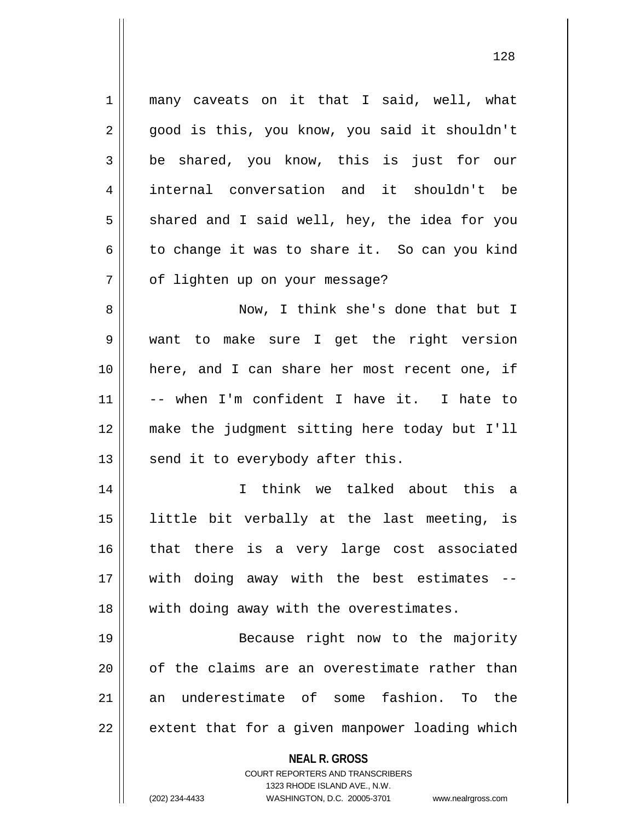1 || many caveats on it that I said, well, what 2 || good is this, you know, you said it shouldn't be shared, you know, this is just for our internal conversation and it shouldn't be  $5 \parallel$  shared and I said well, hey, the idea for you 6 to change it was to share it. So can you kind 7 | of lighten up on your message? Now, I think she's done that but I want to make sure I get the right version here, and I can share her most recent one, if -- when I'm confident I have it. I hate to make the judgment sitting here today but I'll | send it to everybody after this. I think we talked about this a little bit verbally at the last meeting, is 16 || that there is a very large cost associated with doing away with the best estimates -- 18 || with doing away with the overestimates. Because right now to the majority || of the claims are an overestimate rather than an underestimate of some fashion. To the  $\parallel$  extent that for a given manpower loading which

> **NEAL R. GROSS** COURT REPORTERS AND TRANSCRIBERS

1323 RHODE ISLAND AVE., N.W. (202) 234-4433 WASHINGTON, D.C. 20005-3701 www.nealrgross.com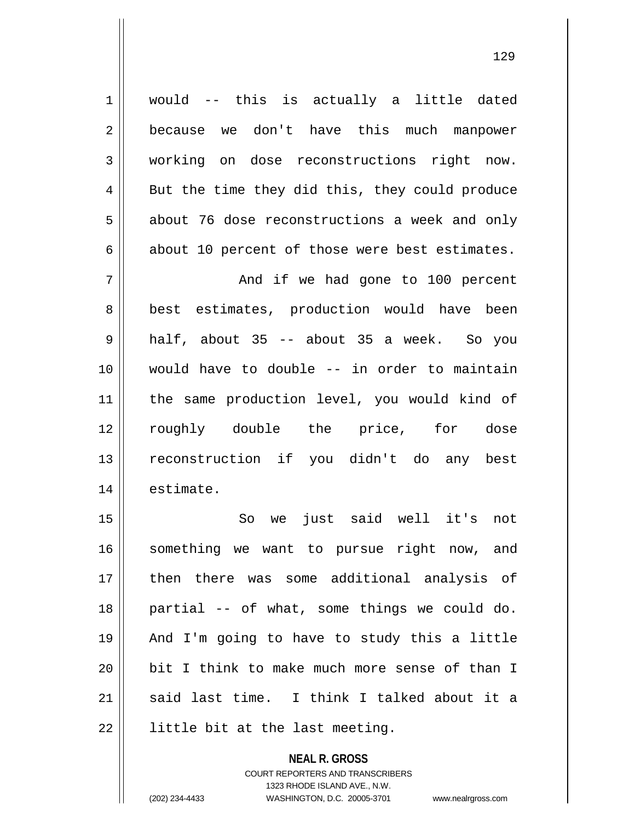1 || would -- this is actually a little dated 2 because we don't have this much manpower 3 working on dose reconstructions right now. 4 || But the time they did this, they could produce 5 about 76 dose reconstructions a week and only  $6 \parallel$  about 10 percent of those were best estimates.

 And if we had gone to 100 percent 8 || best estimates, production would have been half, about 35 -- about 35 a week. So you would have to double -- in order to maintain the same production level, you would kind of roughly double the price, for dose reconstruction if you didn't do any best estimate.

15 || So we just said well it's not 16 || something we want to pursue right now, and then there was some additional analysis of partial -- of what, some things we could do. And I'm going to have to study this a little 20 || bit I think to make much more sense of than I  $\parallel$  said last time. I think I talked about it a || little bit at the last meeting.

> **NEAL R. GROSS** COURT REPORTERS AND TRANSCRIBERS 1323 RHODE ISLAND AVE., N.W. (202) 234-4433 WASHINGTON, D.C. 20005-3701 www.nealrgross.com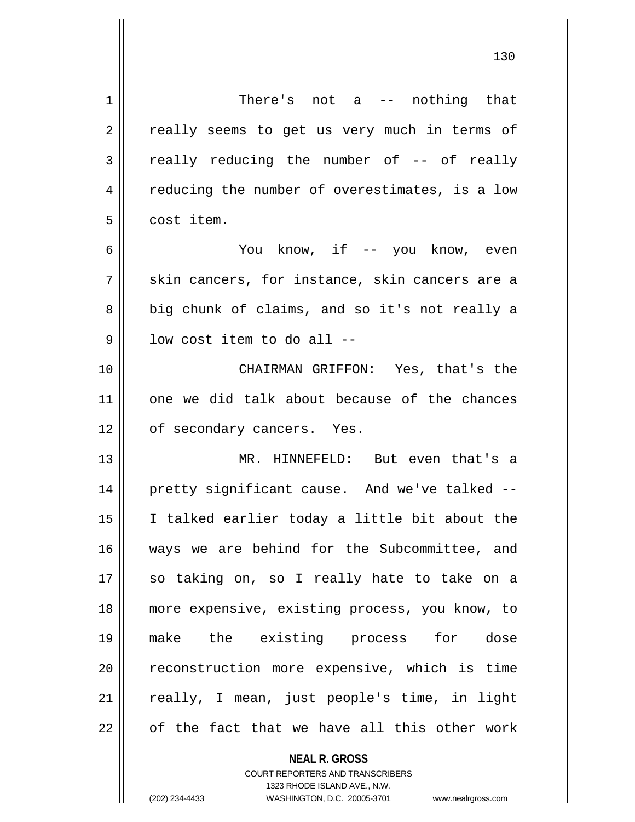| $\mathbf 1$ | There's not a $-$ nothing that                 |
|-------------|------------------------------------------------|
| 2           | really seems to get us very much in terms of   |
| 3           | really reducing the number of -- of really     |
| 4           | reducing the number of overestimates, is a low |
| 5           | cost item.                                     |
| 6           | You know, if -- you know, even                 |
| 7           | skin cancers, for instance, skin cancers are a |
| 8           | big chunk of claims, and so it's not really a  |
| 9           | low cost item to do all --                     |
| 10          | CHAIRMAN GRIFFON: Yes, that's the              |
| 11          | one we did talk about because of the chances   |
| 12          | of secondary cancers. Yes.                     |
| 13          | MR. HINNEFELD: But even that's a               |
| 14          | pretty significant cause. And we've talked --  |
| 15          | I talked earlier today a little bit about the  |
| 16          | ways we are behind for the Subcommittee, and   |
| 17          | so taking on, so I really hate to take on a    |
| 18          | more expensive, existing process, you know, to |
| 19          | make the existing process for dose             |
| 20          | reconstruction more expensive, which is time   |
| 21          | really, I mean, just people's time, in light   |
| 22          | of the fact that we have all this other work   |
|             | <b>NEAL R. GROSS</b>                           |

COURT REPORTERS AND TRANSCRIBERS 1323 RHODE ISLAND AVE., N.W.

 $\mathsf{I}$ 

(202) 234-4433 WASHINGTON, D.C. 20005-3701 www.nealrgross.com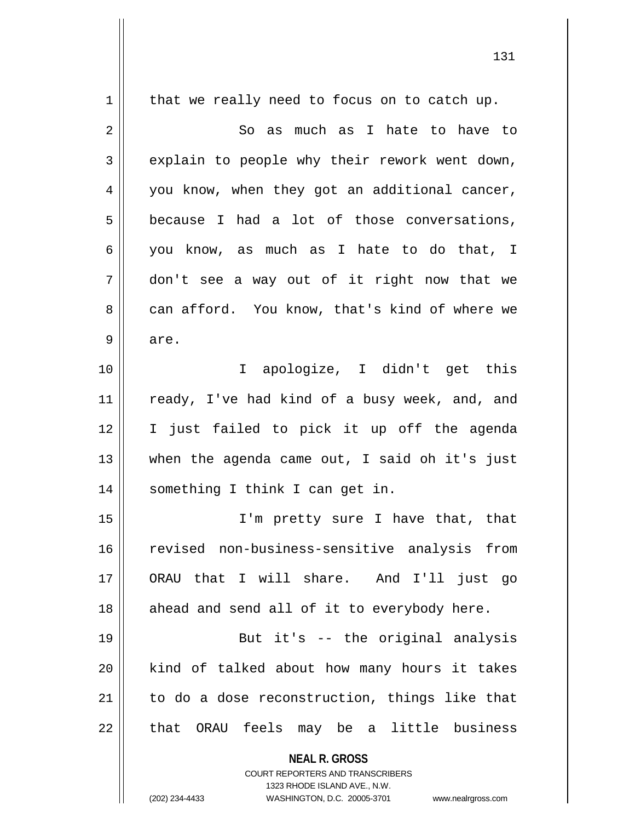**NEAL R. GROSS** COURT REPORTERS AND TRANSCRIBERS 1323 RHODE ISLAND AVE., N.W.  $1 \parallel$  that we really need to focus on to catch up.  $2 \parallel$  So as much as I hate to have to  $3 \parallel$  explain to people why their rework went down, 4 || you know, when they got an additional cancer,  $5 \parallel$  because I had a lot of those conversations, 6 you know, as much as I hate to do that, I 7 don't see a way out of it right now that we 8 can afford. You know, that's kind of where we  $9 \parallel$  are. 10 I apologize, I didn't get this 11 || ready, I've had kind of a busy week, and, and 12 I just failed to pick it up off the agenda 13 when the agenda came out, I said oh it's just 14 || something I think I can get in. 15 I'm pretty sure I have that, that 16 revised non-business-sensitive analysis from 17 ORAU that I will share. And I'll just go  $18$  || ahead and send all of it to everybody here. 19 But it's -- the original analysis 20 || kind of talked about how many hours it takes  $21$  to do a dose reconstruction, things like that  $22$  || that ORAU feels may be a little business

(202) 234-4433 WASHINGTON, D.C. 20005-3701 www.nealrgross.com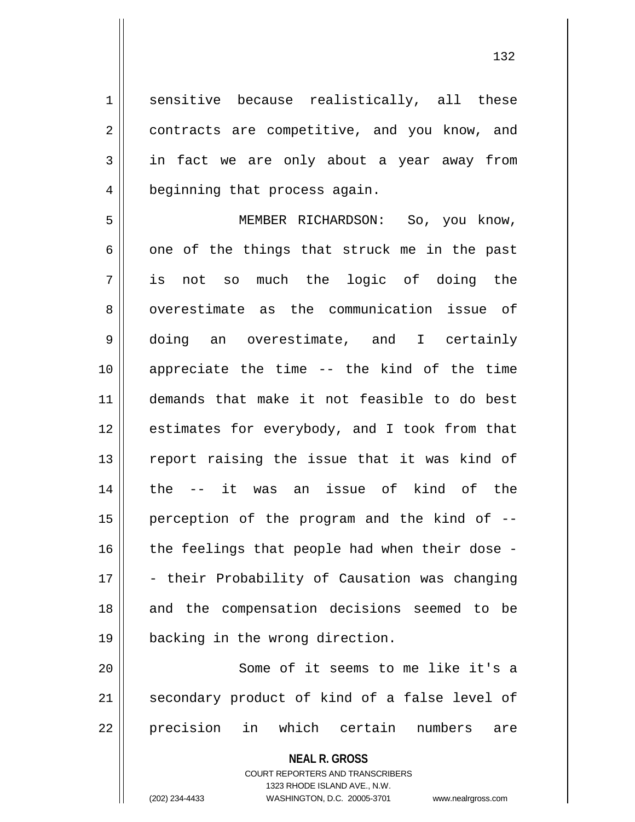1 sensitive because realistically, all these 2 | contracts are competitive, and you know, and 3 in fact we are only about a year away from 4 | beginning that process again.

5 MEMBER RICHARDSON: So, you know,  $6 \parallel$  one of the things that struck me in the past 7 is not so much the logic of doing the 8 || overestimate as the communication issue of 9 doing an overestimate, and I certainly 10 appreciate the time -- the kind of the time 11 demands that make it not feasible to do best 12 || estimates for everybody, and I took from that 13 || report raising the issue that it was kind of 14 the -- it was an issue of kind of the 15 || perception of the program and the kind of  $-$ - $16$  | the feelings that people had when their dose -17 - their Probability of Causation was changing 18 || and the compensation decisions seemed to be 19 backing in the wrong direction.

20 || Some of it seems to me like it's a 21 || secondary product of kind of a false level of 22 precision in which certain numbers are

> **NEAL R. GROSS** COURT REPORTERS AND TRANSCRIBERS 1323 RHODE ISLAND AVE., N.W.

(202) 234-4433 WASHINGTON, D.C. 20005-3701 www.nealrgross.com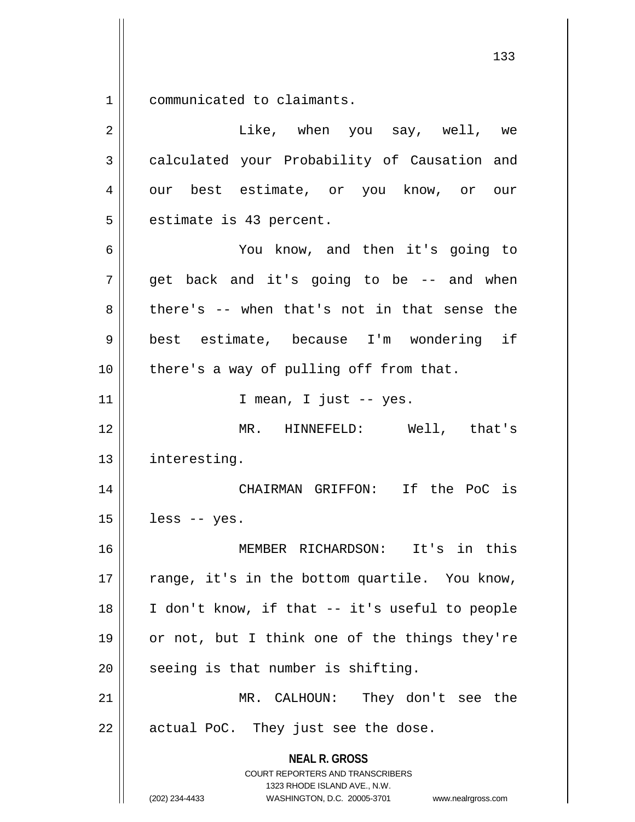1 communicated to claimants.

| $\overline{2}$ | Like, when you say, well, we                                                                                                                                           |
|----------------|------------------------------------------------------------------------------------------------------------------------------------------------------------------------|
| $\mathfrak{Z}$ | calculated your Probability of Causation and                                                                                                                           |
| 4              | our best estimate, or you know, or our                                                                                                                                 |
| 5              | estimate is 43 percent.                                                                                                                                                |
| 6              | You know, and then it's going to                                                                                                                                       |
| 7              | get back and it's going to be -- and when                                                                                                                              |
| 8              | there's -- when that's not in that sense the                                                                                                                           |
| 9              | best estimate, because I'm wondering if                                                                                                                                |
| 10             | there's a way of pulling off from that.                                                                                                                                |
| 11             | I mean, I just -- yes.                                                                                                                                                 |
| 12             | MR. HINNEFELD: Well, that's                                                                                                                                            |
| 13             | interesting.                                                                                                                                                           |
| 14             | CHAIRMAN GRIFFON: If the PoC is                                                                                                                                        |
| 15             | less -- yes.                                                                                                                                                           |
| 16             | MEMBER RICHARDSON: It's in this                                                                                                                                        |
| 17             | range, it's in the bottom quartile. You know,                                                                                                                          |
| 18             | I don't know, if that -- it's useful to people                                                                                                                         |
| 19             | or not, but I think one of the things they're                                                                                                                          |
| 20             | seeing is that number is shifting.                                                                                                                                     |
| 21             | MR. CALHOUN: They don't see the                                                                                                                                        |
| 22             | actual PoC. They just see the dose.                                                                                                                                    |
|                | <b>NEAL R. GROSS</b><br><b>COURT REPORTERS AND TRANSCRIBERS</b><br>1323 RHODE ISLAND AVE., N.W.<br>(202) 234-4433<br>WASHINGTON, D.C. 20005-3701<br>www.nealrgross.com |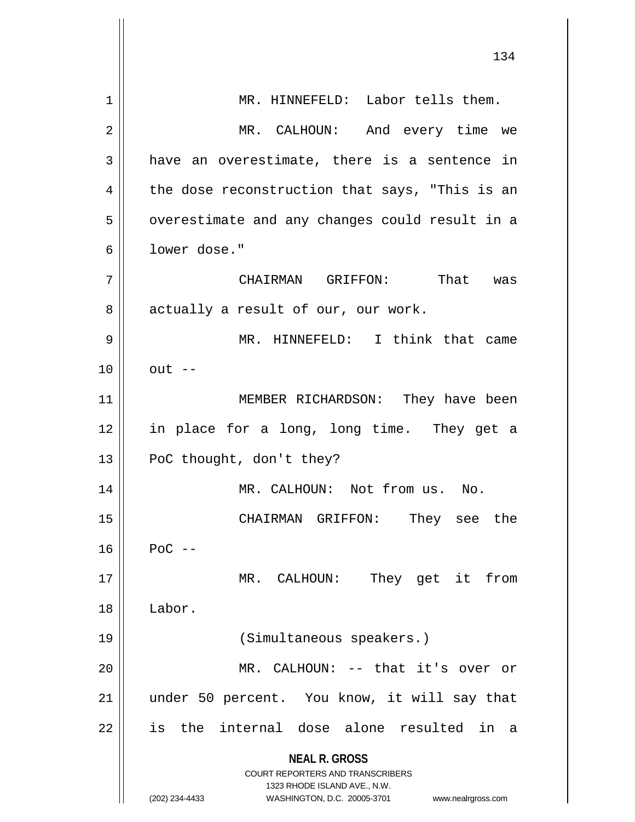|    | 134                                                                     |
|----|-------------------------------------------------------------------------|
| 1  | MR. HINNEFELD: Labor tells them.                                        |
| 2  | MR. CALHOUN: And every time we                                          |
| 3  | have an overestimate, there is a sentence in                            |
| 4  | the dose reconstruction that says, "This is an                          |
| 5  | overestimate and any changes could result in a                          |
| 6  | lower dose."                                                            |
| 7  | CHAIRMAN GRIFFON: That was                                              |
| 8  | actually a result of our, our work.                                     |
| 9  | MR. HINNEFELD: I think that came                                        |
| 10 | $out$ --                                                                |
| 11 | MEMBER RICHARDSON: They have been                                       |
| 12 | in place for a long, long time. They get a                              |
| 13 | PoC thought, don't they?                                                |
| 14 | MR. CALHOUN: Not from us. No.                                           |
| 15 | They see the<br>CHAIRMAN GRIFFON:                                       |
| 16 | $POC$ --                                                                |
| 17 | They get it from<br>MR. CALHOUN:                                        |
| 18 | Labor.                                                                  |
| 19 | (Simultaneous speakers.)                                                |
| 20 | MR. CALHOUN: -- that it's over or                                       |
| 21 | under 50 percent. You know, it will say that                            |
| 22 | the internal dose alone resulted in a<br>is                             |
|    | <b>NEAL R. GROSS</b>                                                    |
|    | <b>COURT REPORTERS AND TRANSCRIBERS</b><br>1323 RHODE ISLAND AVE., N.W. |
|    | (202) 234-4433<br>WASHINGTON, D.C. 20005-3701<br>www.nealrgross.com     |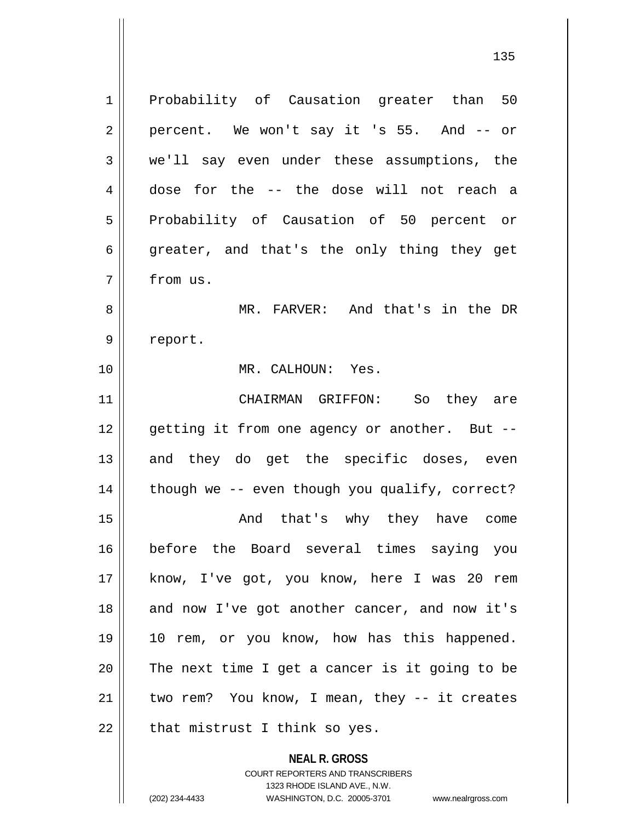**NEAL R. GROSS** 1 Probability of Causation greater than 50  $2 \parallel$  percent. We won't say it 's 55. And -- or 3 we'll say even under these assumptions, the 4 dose for the -- the dose will not reach a 5 || Probability of Causation of 50 percent or  $6 \parallel$  greater, and that's the only thing they get 7 from us. 8 || MR. FARVER: And that's in the DR 9 | report. 10 MR. CALHOUN: Yes. 11 CHAIRMAN GRIFFON: So they are 12 || getting it from one agency or another. But --13 || and they do get the specific doses, even 14 || though we -- even though you qualify, correct? 15 || The Commethion of that's why they have come 16 before the Board several times saying you 17 || know, I've got, you know, here I was 20 rem 18 || and now I've got another cancer, and now it's 19 10 rem, or you know, how has this happened.  $20$  | The next time I get a cancer is it going to be  $21$  | two rem? You know, I mean, they -- it creates  $22$  | that mistrust I think so yes.

> COURT REPORTERS AND TRANSCRIBERS 1323 RHODE ISLAND AVE., N.W.

(202) 234-4433 WASHINGTON, D.C. 20005-3701 www.nealrgross.com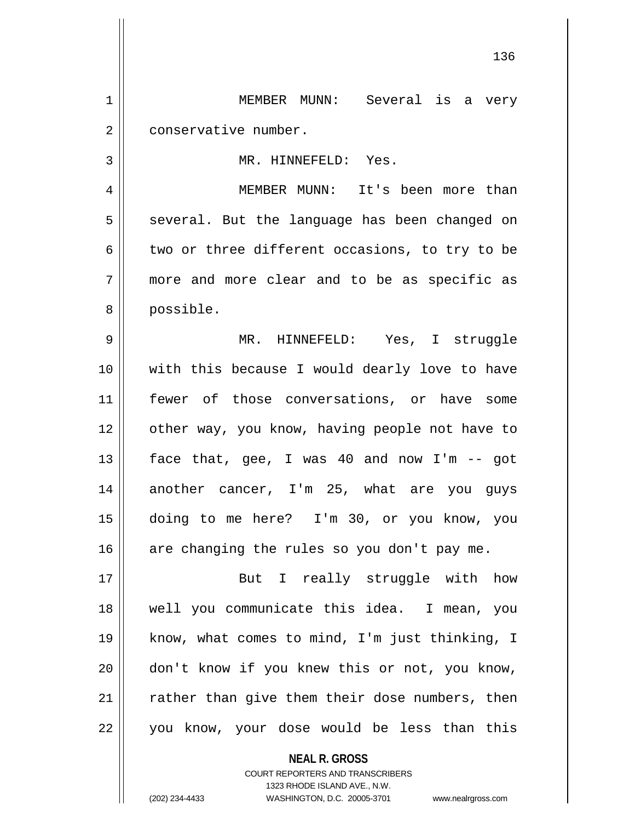1 MEMBER MUNN: Several is a very 2 | conservative number.

3 || MR. HINNEFELD: Yes.

4 MEMBER MUNN: It's been more than  $5 \parallel$  several. But the language has been changed on 6  $\parallel$  two or three different occasions, to try to be 7 more and more clear and to be as specific as 8 || possible.

 MR. HINNEFELD: Yes, I struggle with this because I would dearly love to have fewer of those conversations, or have some 12 || other way, you know, having people not have to  $\parallel$  face that, gee, I was 40 and now I'm -- got 14 || another cancer, I'm 25, what are you guys doing to me here? I'm 30, or you know, you  $\parallel$  are changing the rules so you don't pay me.

17 || But I really struggle with how 18 well you communicate this idea. I mean, you 19 || know, what comes to mind, I'm just thinking, I 20 don't know if you knew this or not, you know, 21 || rather than give them their dose numbers, then 22 || you know, your dose would be less than this

> **NEAL R. GROSS** COURT REPORTERS AND TRANSCRIBERS 1323 RHODE ISLAND AVE., N.W. (202) 234-4433 WASHINGTON, D.C. 20005-3701 www.nealrgross.com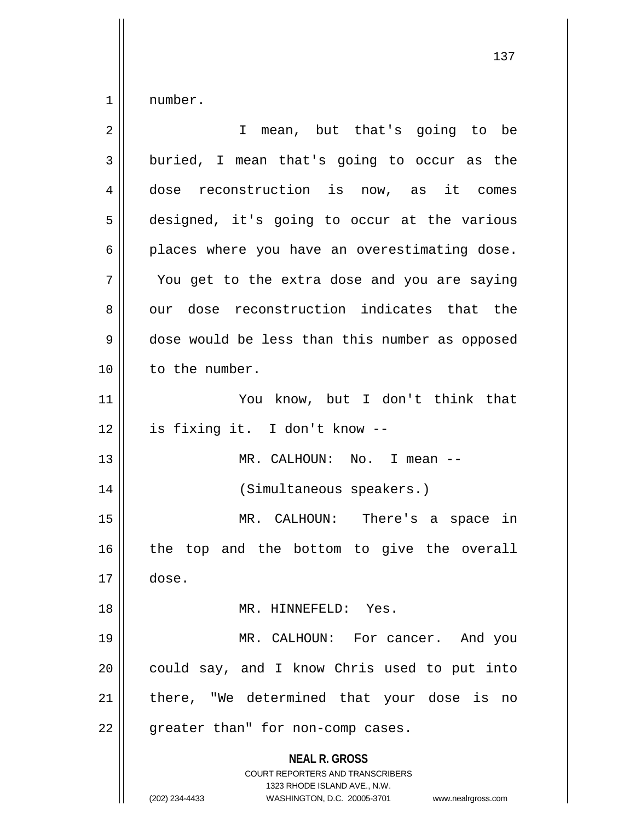$1 \parallel$  number.

| $\overline{2}$ | I mean, but that's going to be                                                                                                                                         |
|----------------|------------------------------------------------------------------------------------------------------------------------------------------------------------------------|
| 3              | buried, I mean that's going to occur as the                                                                                                                            |
| 4              | dose reconstruction is now, as it comes                                                                                                                                |
| 5              | designed, it's going to occur at the various                                                                                                                           |
| 6              | places where you have an overestimating dose.                                                                                                                          |
| 7              | You get to the extra dose and you are saying                                                                                                                           |
| 8              | our dose reconstruction indicates that the                                                                                                                             |
| 9              | dose would be less than this number as opposed                                                                                                                         |
| 10             | to the number.                                                                                                                                                         |
| 11             | You know, but I don't think that                                                                                                                                       |
| 12             | is fixing it. I don't know --                                                                                                                                          |
| 13             | MR. CALHOUN: No. I mean --                                                                                                                                             |
| 14             | (Simultaneous speakers.)                                                                                                                                               |
| 15             | MR. CALHOUN: There's a space in                                                                                                                                        |
| 16             | the top and the bottom to give the overall                                                                                                                             |
| 17             | dose.                                                                                                                                                                  |
| 18             | MR. HINNEFELD: Yes.                                                                                                                                                    |
| 19             | MR. CALHOUN: For cancer. And you                                                                                                                                       |
| 20             | could say, and I know Chris used to put into                                                                                                                           |
| 21             | there, "We determined that your dose is no                                                                                                                             |
| 22             | greater than" for non-comp cases.                                                                                                                                      |
|                | <b>NEAL R. GROSS</b><br><b>COURT REPORTERS AND TRANSCRIBERS</b><br>1323 RHODE ISLAND AVE., N.W.<br>(202) 234-4433<br>WASHINGTON, D.C. 20005-3701<br>www.nealrgross.com |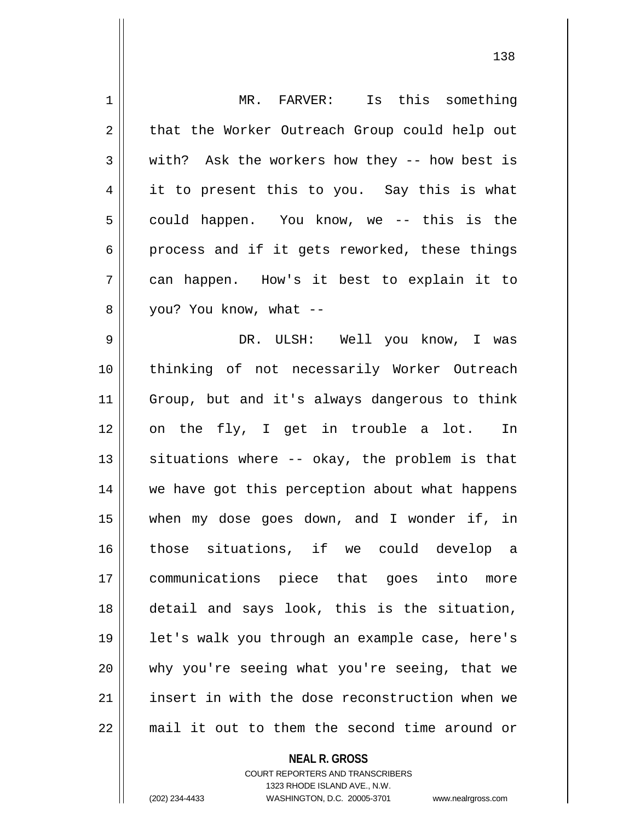| 1  | MR. FARVER: Is this something                  |
|----|------------------------------------------------|
| 2  | that the Worker Outreach Group could help out  |
| 3  | with? Ask the workers how they -- how best is  |
| 4  | it to present this to you. Say this is what    |
| 5  | could happen. You know, we -- this is the      |
| 6  | process and if it gets reworked, these things  |
| 7  | can happen. How's it best to explain it to     |
| 8  | you? You know, what --                         |
| 9  | DR. ULSH: Well you know, I was                 |
| 10 | thinking of not necessarily Worker Outreach    |
| 11 | Group, but and it's always dangerous to think  |
| 12 | on the fly, I get in trouble a lot. In         |
| 13 | situations where -- okay, the problem is that  |
| 14 | we have got this perception about what happens |
| 15 | when my dose goes down, and I wonder if, in    |
| 16 | those situations, if we could develop a        |
| 17 | communications piece that goes into<br>more    |
| 18 | detail and says look, this is the situation,   |
| 19 | let's walk you through an example case, here's |
| 20 | why you're seeing what you're seeing, that we  |
| 21 | insert in with the dose reconstruction when we |
| 22 | mail it out to them the second time around or  |
|    |                                                |

**NEAL R. GROSS** COURT REPORTERS AND TRANSCRIBERS

1323 RHODE ISLAND AVE., N.W.

(202) 234-4433 WASHINGTON, D.C. 20005-3701 www.nealrgross.com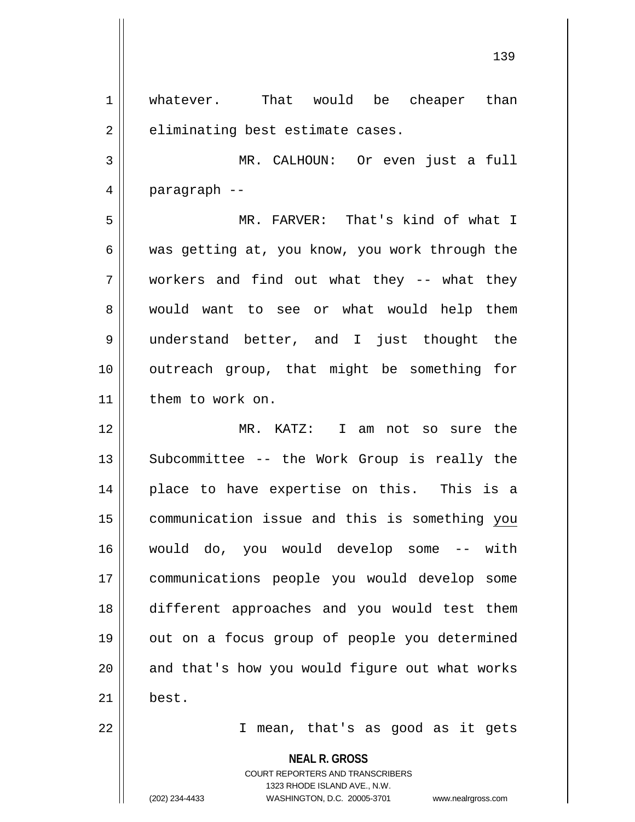1 whatever. That would be cheaper than  $2 \parallel$  eliminating best estimate cases.

3 MR. CALHOUN: Or even just a full 4 paragraph --

5 MR. FARVER: That's kind of what I 6 was getting at, you know, you work through the 7 workers and find out what they -- what they 8 || would want to see or what would help them 9 understand better, and I just thought the 10 outreach group, that might be something for 11 | them to work on.

12 MR. KATZ: I am not so sure the 13 || Subcommittee -- the Work Group is really the 14 || place to have expertise on this. This is a 15 communication issue and this is something you 16 would do, you would develop some -- with 17 communications people you would develop some 18 different approaches and you would test them 19 || out on a focus group of people you determined 20 || and that's how you would figure out what works  $21 \parallel$  best.

22 I mean, that's as good as it gets

**NEAL R. GROSS** COURT REPORTERS AND TRANSCRIBERS 1323 RHODE ISLAND AVE., N.W. (202) 234-4433 WASHINGTON, D.C. 20005-3701 www.nealrgross.com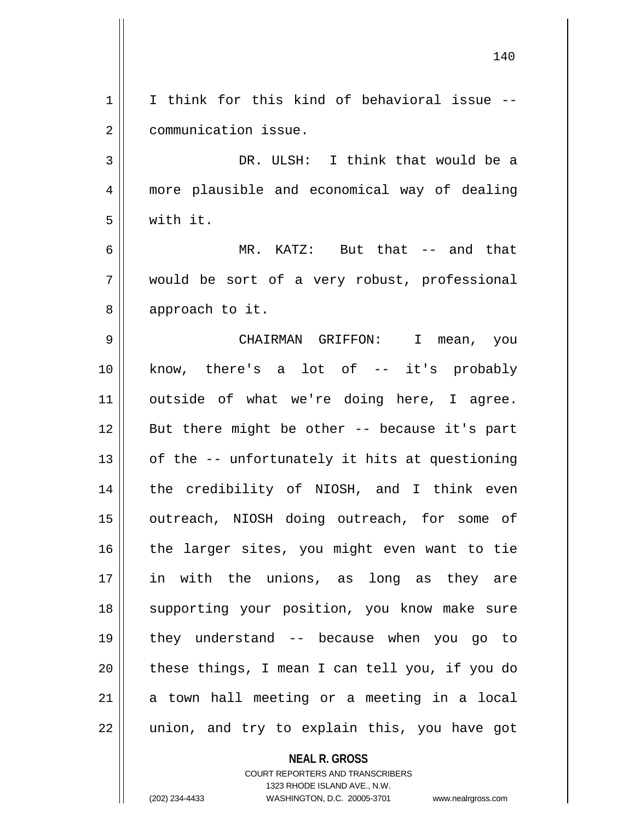|    | 140                                            |
|----|------------------------------------------------|
| 1  | I think for this kind of behavioral issue --   |
| 2  | communication issue.                           |
| 3  | DR. ULSH: I think that would be a              |
| 4  | more plausible and economical way of dealing   |
| 5  | with it.                                       |
| 6  | MR. KATZ: But that -- and that                 |
| 7  | would be sort of a very robust, professional   |
| 8  | approach to it.                                |
| 9  | CHAIRMAN GRIFFON: I mean, you                  |
| 10 | know, there's a lot of -- it's probably        |
| 11 | outside of what we're doing here, I agree.     |
| 12 | But there might be other -- because it's part  |
| 13 | of the -- unfortunately it hits at questioning |
| 14 | the credibility of NIOSH, and I think even     |
| 15 | outreach, NIOSH doing outreach, for some of    |
| 16 | the larger sites, you might even want to tie   |
| 17 | in with the unions, as long as they are        |
| 18 | supporting your position, you know make sure   |
| 19 | they understand -- because when you go to      |
| 20 | these things, I mean I can tell you, if you do |
| 21 | a town hall meeting or a meeting in a local    |
| 22 | union, and try to explain this, you have got   |
|    | <b>NEAL R. GROSS</b>                           |

COURT REPORTERS AND TRANSCRIBERS 1323 RHODE ISLAND AVE., N.W.

 $\mathsf{II}$ 

 $\mathsf{I}$ 

(202) 234-4433 WASHINGTON, D.C. 20005-3701 www.nealrgross.com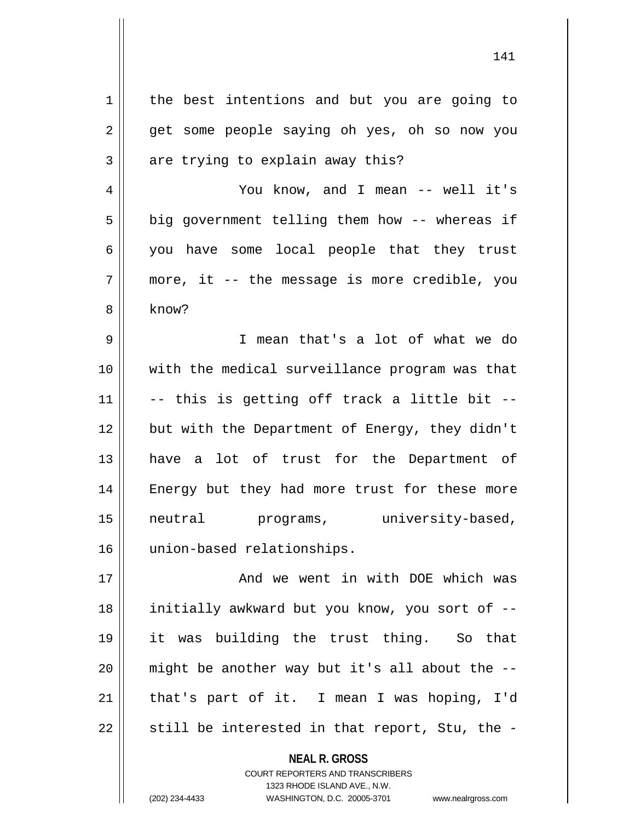| 1      | the best intentions and but you are going to   |
|--------|------------------------------------------------|
| 2      | get some people saying oh yes, oh so now you   |
| 3      | are trying to explain away this?               |
| 4      | You know, and I mean -- well it's              |
| 5      | big government telling them how -- whereas if  |
| 6      | you have some local people that they trust     |
| 7      | more, it -- the message is more credible, you  |
| 8      | know?                                          |
| 9      | I mean that's a lot of what we do              |
| 10     | with the medical surveillance program was that |
| 11     | -- this is getting off track a little bit --   |
| 12     | but with the Department of Energy, they didn't |
| 13     | have a lot of trust for the Department of      |
| 14     | Energy but they had more trust for these more  |
| 15     | university-based,<br>neutral<br>programs,      |
| 16     | union-based relationships.                     |
| 17     | And we went in with DOE which was              |
| $18\,$ | initially awkward but you know, you sort of -- |
| 19     | it was building the trust thing. So that       |
| 20     | might be another way but it's all about the -- |
| 21     | that's part of it. I mean I was hoping, I'd    |
| 22     | still be interested in that report, Stu, the - |
|        |                                                |

**NEAL R. GROSS** COURT REPORTERS AND TRANSCRIBERS 1323 RHODE ISLAND AVE., N.W.

(202) 234-4433 WASHINGTON, D.C. 20005-3701 www.nealrgross.com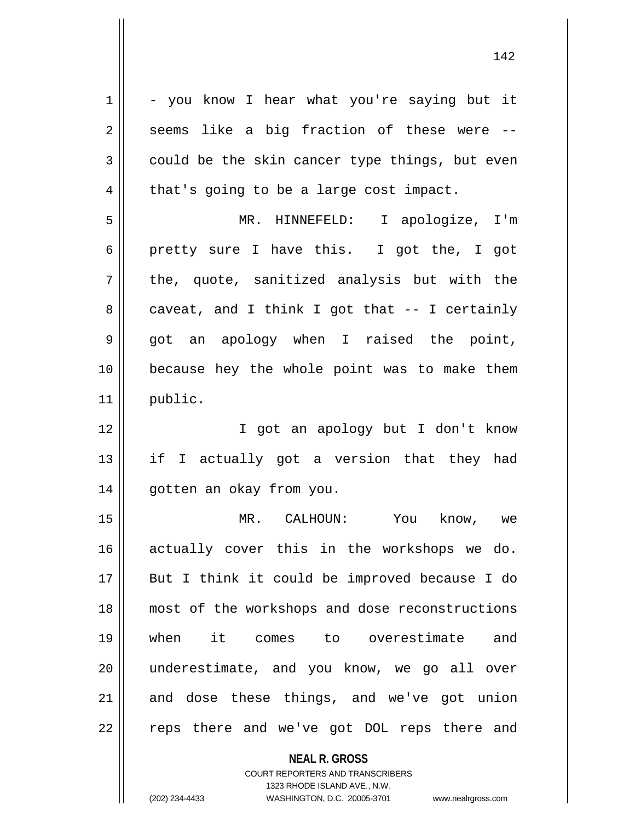**NEAL R. GROSS**  $1 \parallel -$  you know I hear what you're saying but it  $2 \parallel$  seems like a big fraction of these were -- $3 \parallel$  could be the skin cancer type things, but even  $4 \parallel$  that's going to be a large cost impact. 5 MR. HINNEFELD: I apologize, I'm 6 pretty sure I have this. I got the, I got  $7 \parallel$  the, quote, sanitized analysis but with the  $8 \parallel$  caveat, and I think I got that -- I certainly 9 got an apology when I raised the point, 10 because hey the whole point was to make them 11 public. 12 || T got an apology but I don't know 13 || if I actually got a version that they had 14 gotten an okay from you. 15 MR. CALHOUN: You know, we 16 actually cover this in the workshops we do. 17 || But I think it could be improved because I do 18 most of the workshops and dose reconstructions 19 when it comes to overestimate and 20 underestimate, and you know, we go all over  $21$  and dose these things, and we've got union 22 || reps there and we've got DOL reps there and

> COURT REPORTERS AND TRANSCRIBERS 1323 RHODE ISLAND AVE., N.W.

(202) 234-4433 WASHINGTON, D.C. 20005-3701 www.nealrgross.com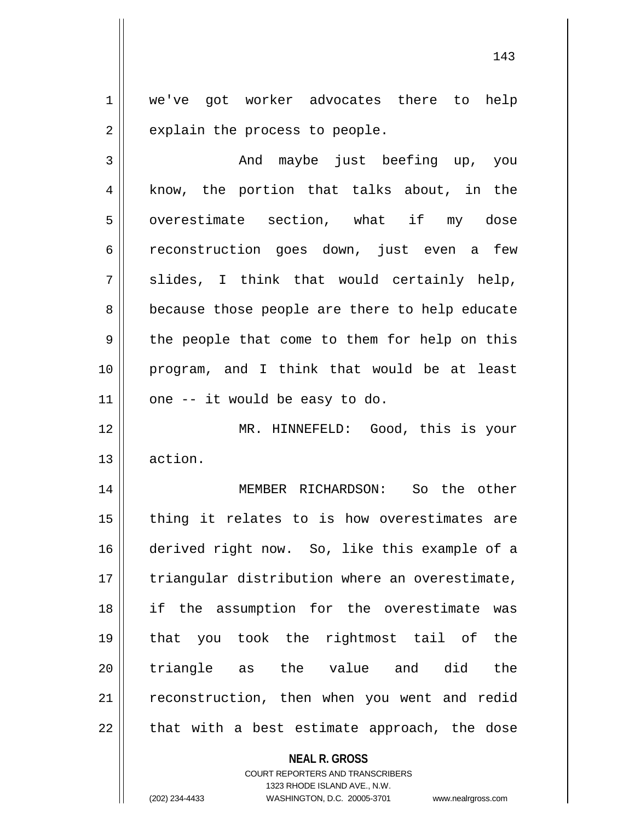1 | we've got worker advocates there to help  $2 \parallel$  explain the process to people.

| 3  | And maybe just beefing up, you                 |
|----|------------------------------------------------|
| 4  | know, the portion that talks about, in the     |
| 5  | overestimate section, what if my dose          |
| 6  | reconstruction goes down, just even a few      |
| 7  | slides, I think that would certainly help,     |
| 8  | because those people are there to help educate |
| 9  | the people that come to them for help on this  |
| 10 | program, and I think that would be at least    |
| 11 | one -- it would be easy to do.                 |
| 12 | MR. HINNEFELD: Good, this is your              |
| 13 | action.                                        |
| 14 | MEMBER RICHARDSON: So the other                |
| 15 | thing it relates to is how overestimates are   |
| 16 | derived right now. So, like this example of a  |
| 17 | triangular distribution where an overestimate, |
| 18 | if the assumption for the overestimate was     |
| 19 | that you took the rightmost tail of the        |
| 20 | triangle as the value and did<br>the           |
| 21 | reconstruction, then when you went and redid   |
| 22 | that with a best estimate approach, the dose   |

**NEAL R. GROSS**

COURT REPORTERS AND TRANSCRIBERS 1323 RHODE ISLAND AVE., N.W. (202) 234-4433 WASHINGTON, D.C. 20005-3701 www.nealrgross.com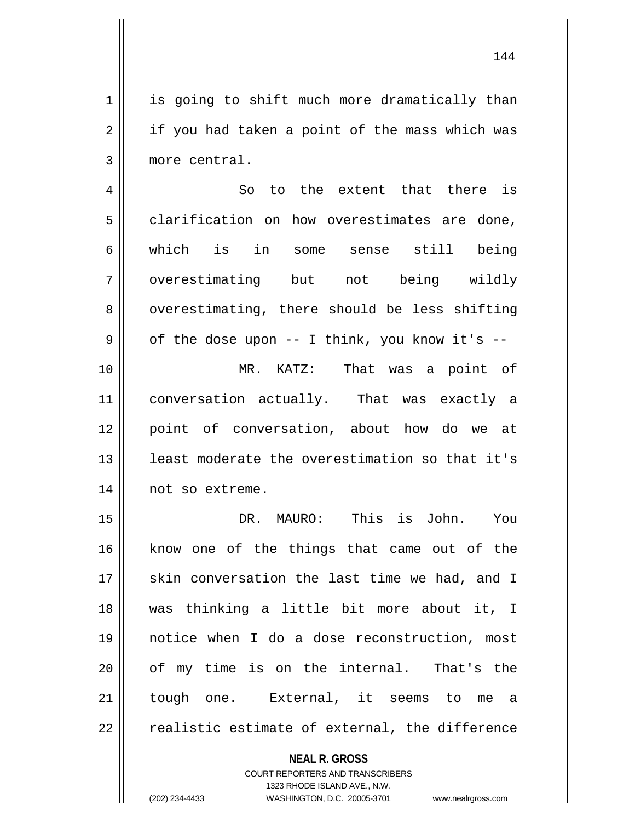1 || is going to shift much more dramatically than  $2 \parallel$  if you had taken a point of the mass which was 3 more central.

4 || So to the extent that there is  $5$  clarification on how overestimates are done, 6 which is in some sense still being 7 || overestimating but not being wildly  $8 \parallel$  overestimating, there should be less shifting  $9 \parallel$  of the dose upon -- I think, you know it's --10 MR. KATZ: That was a point of 11 conversation actually. That was exactly a 12 point of conversation, about how do we at 13 || least moderate the overestimation so that it's 14 | not so extreme.

 DR. MAURO: This is John. You 16 || know one of the things that came out of the 17 || skin conversation the last time we had, and I was thinking a little bit more about it, I notice when I do a dose reconstruction, most 20 || of my time is on the internal. That's the tough one. External, it seems to me a  $\parallel$  realistic estimate of external, the difference

## **NEAL R. GROSS** COURT REPORTERS AND TRANSCRIBERS 1323 RHODE ISLAND AVE., N.W.

(202) 234-4433 WASHINGTON, D.C. 20005-3701 www.nealrgross.com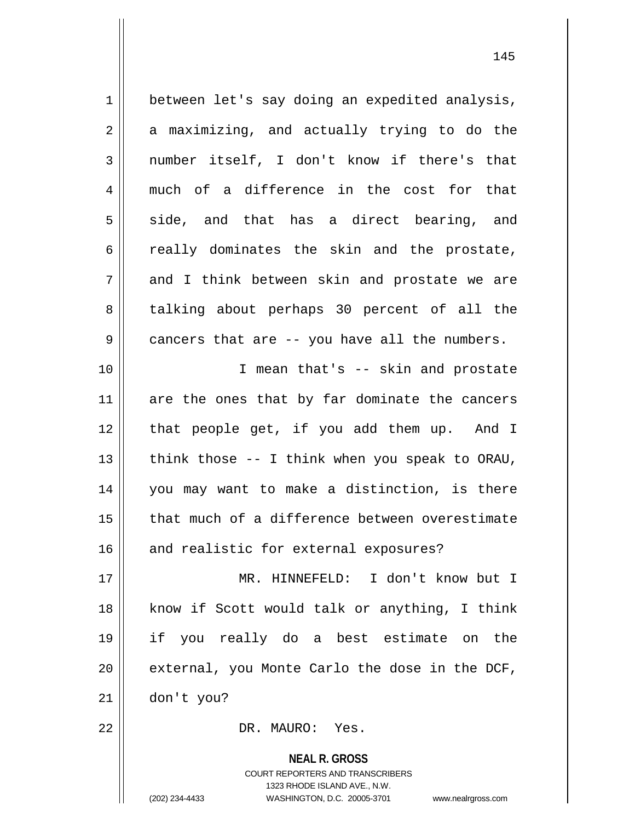| $\mathbf 1$    | between let's say doing an expedited analysis, |
|----------------|------------------------------------------------|
| $\overline{2}$ | a maximizing, and actually trying to do the    |
| $\mathfrak{Z}$ | number itself, I don't know if there's that    |
| 4              | much of a difference in the cost for that      |
| 5              | side, and that has a direct bearing, and       |
| 6              | really dominates the skin and the prostate,    |
| 7              | and I think between skin and prostate we are   |
| 8              | talking about perhaps 30 percent of all the    |
| $\mathsf 9$    | cancers that are -- you have all the numbers.  |
| 10             | I mean that's -- skin and prostate             |
| 11             | are the ones that by far dominate the cancers  |
| 12             | that people get, if you add them up. And I     |
| 13             | think those -- I think when you speak to ORAU, |
| 14             | you may want to make a distinction, is there   |
| 15             | that much of a difference between overestimate |
| 16             | and realistic for external exposures?          |
| 17             | MR. HINNEFELD: I don't know but I              |
| 18             | know if Scott would talk or anything, I think  |
| 19             | if you really do a best estimate on the        |
| 20             | external, you Monte Carlo the dose in the DCF, |
| 21             | don't you?                                     |
| 22             | DR. MAURO: Yes.                                |
|                | <b>NEAL R. GROSS</b>                           |

COURT REPORTERS AND TRANSCRIBERS 1323 RHODE ISLAND AVE., N.W. (202) 234-4433 WASHINGTON, D.C. 20005-3701 www.nealrgross.com

 $\mathsf{II}$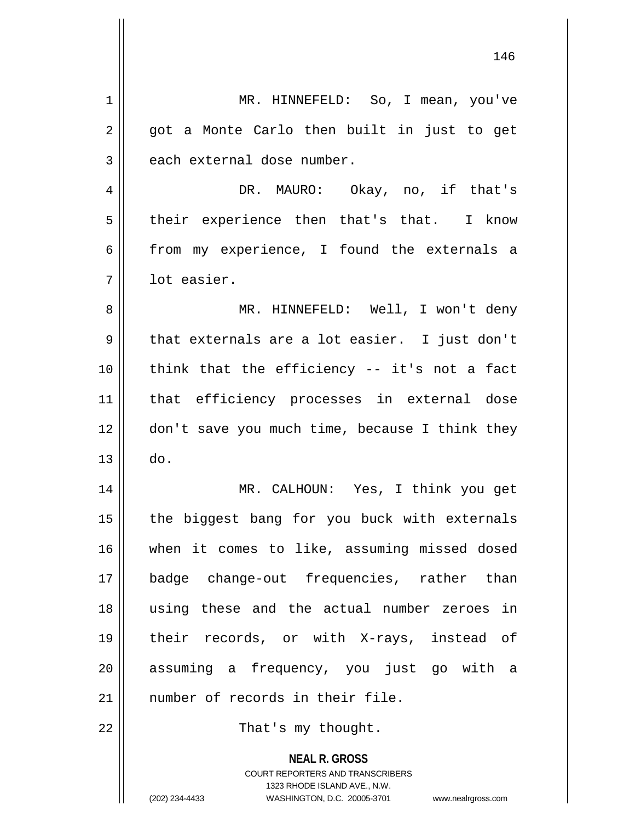| $\mathbf 1$    | MR. HINNEFELD: So, I mean, you've                                                                                                                                      |  |  |  |  |  |  |
|----------------|------------------------------------------------------------------------------------------------------------------------------------------------------------------------|--|--|--|--|--|--|
| $\overline{2}$ | got a Monte Carlo then built in just to get                                                                                                                            |  |  |  |  |  |  |
| $\mathfrak{Z}$ | each external dose number.                                                                                                                                             |  |  |  |  |  |  |
| 4              | DR. MAURO: Okay, no, if that's                                                                                                                                         |  |  |  |  |  |  |
| 5              | their experience then that's that. I know                                                                                                                              |  |  |  |  |  |  |
| 6              | from my experience, I found the externals a                                                                                                                            |  |  |  |  |  |  |
| 7              | lot easier.                                                                                                                                                            |  |  |  |  |  |  |
| 8              | MR. HINNEFELD: Well, I won't deny                                                                                                                                      |  |  |  |  |  |  |
| 9              | that externals are a lot easier. I just don't                                                                                                                          |  |  |  |  |  |  |
| 10             | think that the efficiency -- it's not a fact                                                                                                                           |  |  |  |  |  |  |
| 11             | that efficiency processes in external dose                                                                                                                             |  |  |  |  |  |  |
| 12             | don't save you much time, because I think they                                                                                                                         |  |  |  |  |  |  |
| 13             | do.                                                                                                                                                                    |  |  |  |  |  |  |
| 14             | MR. CALHOUN: Yes, I think you get                                                                                                                                      |  |  |  |  |  |  |
| 15             | the biggest bang for you buck with externals                                                                                                                           |  |  |  |  |  |  |
| 16             | when it comes to like, assuming missed dosed                                                                                                                           |  |  |  |  |  |  |
| 17             | badge change-out frequencies, rather than                                                                                                                              |  |  |  |  |  |  |
| 18             | using these and the actual number zeroes in                                                                                                                            |  |  |  |  |  |  |
| 19             | their records, or with X-rays, instead of                                                                                                                              |  |  |  |  |  |  |
| 20             | assuming a frequency, you just go with a                                                                                                                               |  |  |  |  |  |  |
| 21             | number of records in their file.                                                                                                                                       |  |  |  |  |  |  |
| 22             | That's my thought.                                                                                                                                                     |  |  |  |  |  |  |
|                | <b>NEAL R. GROSS</b><br><b>COURT REPORTERS AND TRANSCRIBERS</b><br>1323 RHODE ISLAND AVE., N.W.<br>(202) 234-4433<br>WASHINGTON, D.C. 20005-3701<br>www.nealrgross.com |  |  |  |  |  |  |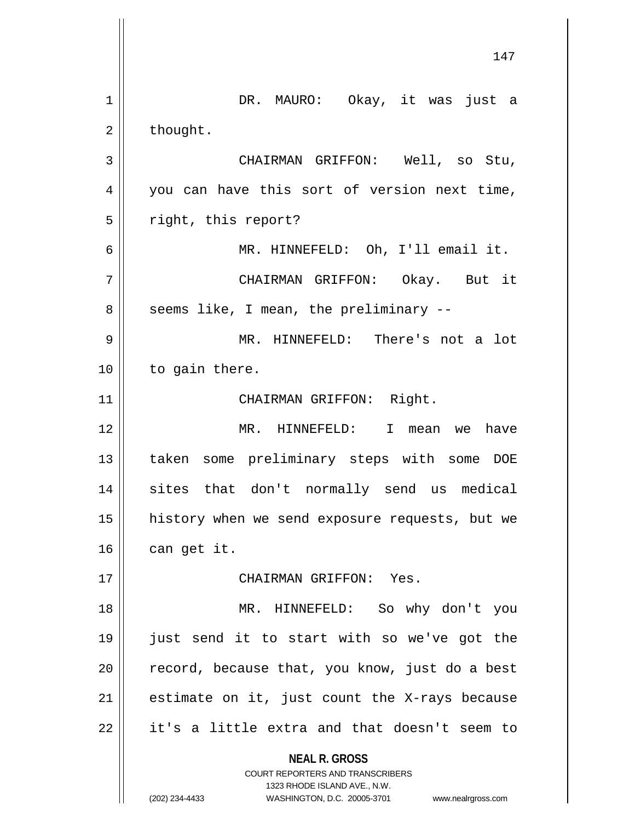**NEAL R. GROSS** COURT REPORTERS AND TRANSCRIBERS 1323 RHODE ISLAND AVE., N.W. 1 || DR. MAURO: Okay, it was just a  $2 \parallel$  thought. 3 CHAIRMAN GRIFFON: Well, so Stu, 4 || you can have this sort of version next time, 5 | right, this report? 6 MR. HINNEFELD: Oh, I'll email it. 7 CHAIRMAN GRIFFON: Okay. But it 8 || seems like, I mean, the preliminary --9 MR. HINNEFELD: There's not a lot 10 | to gain there. 11 || CHAIRMAN GRIFFON: Right. 12 MR. HINNEFELD: I mean we have 13 taken some preliminary steps with some DOE 14 || sites that don't normally send us medical 15 history when we send exposure requests, but we  $16$  can get it. 17 CHAIRMAN GRIFFON: Yes. 18 MR. HINNEFELD: So why don't you 19 just send it to start with so we've got the  $20$  | record, because that, you know, just do a best  $21$  estimate on it, just count the X-rays because  $22$  || it's a little extra and that doesn't seem to

(202) 234-4433 WASHINGTON, D.C. 20005-3701 www.nealrgross.com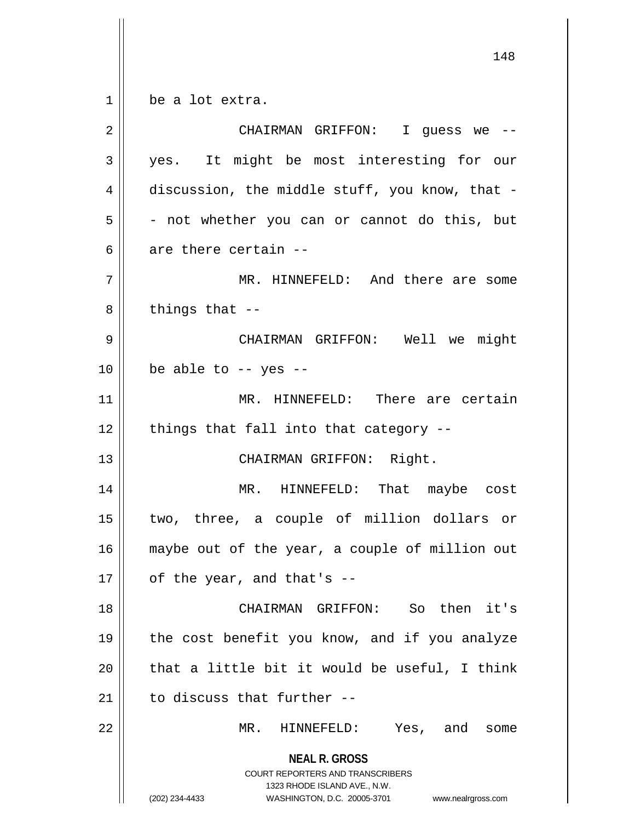$1 \parallel$  be a lot extra.

| $\overline{2}$ | CHAIRMAN GRIFFON: I guess we --                                                                                                                                        |
|----------------|------------------------------------------------------------------------------------------------------------------------------------------------------------------------|
| 3              | yes. It might be most interesting for our                                                                                                                              |
| 4              | discussion, the middle stuff, you know, that -                                                                                                                         |
| 5              | - not whether you can or cannot do this, but                                                                                                                           |
| 6              | are there certain --                                                                                                                                                   |
| 7              | MR. HINNEFELD: And there are some                                                                                                                                      |
| 8              | things that --                                                                                                                                                         |
| 9              | CHAIRMAN GRIFFON: Well we might                                                                                                                                        |
| 10             | be able to $-$ yes $-$                                                                                                                                                 |
| 11             | MR. HINNEFELD: There are certain                                                                                                                                       |
| 12             | things that fall into that category --                                                                                                                                 |
| 13             | CHAIRMAN GRIFFON: Right.                                                                                                                                               |
| 14             | MR. HINNEFELD: That maybe cost                                                                                                                                         |
| 15             | two, three, a couple of million dollars or                                                                                                                             |
| 16             | maybe out of the year, a couple of million out                                                                                                                         |
| 17             | of the year, and that's --                                                                                                                                             |
| 18             | CHAIRMAN GRIFFON: So then it's                                                                                                                                         |
| 19             | the cost benefit you know, and if you analyze                                                                                                                          |
| 20             | that a little bit it would be useful, I think                                                                                                                          |
| 21             | to discuss that further --                                                                                                                                             |
| 22             | MR.<br>HINNEFELD: Yes, and<br>some                                                                                                                                     |
|                | <b>NEAL R. GROSS</b><br><b>COURT REPORTERS AND TRANSCRIBERS</b><br>1323 RHODE ISLAND AVE., N.W.<br>(202) 234-4433<br>WASHINGTON, D.C. 20005-3701<br>www.nealrgross.com |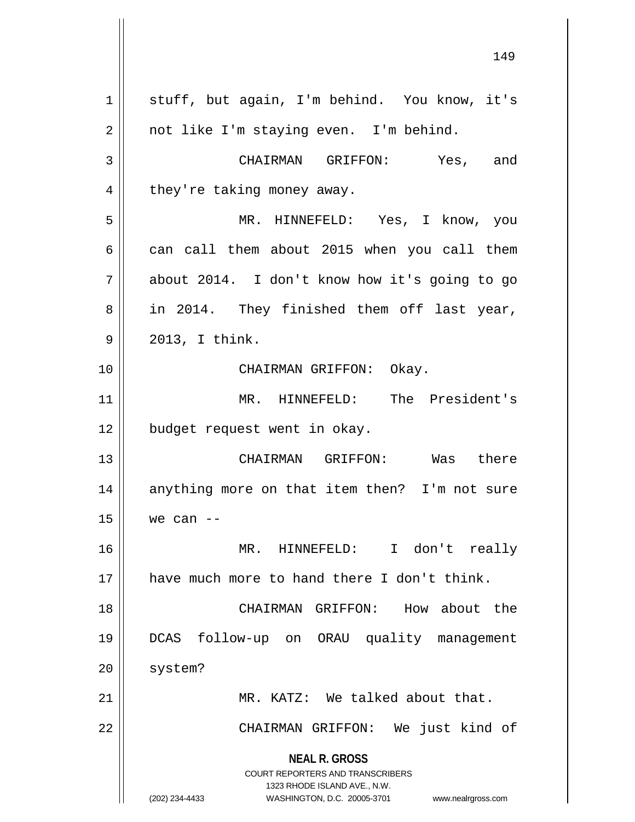**NEAL R. GROSS** COURT REPORTERS AND TRANSCRIBERS 1323 RHODE ISLAND AVE., N.W. (202) 234-4433 WASHINGTON, D.C. 20005-3701 www.nealrgross.com 1 || stuff, but again, I'm behind. You know, it's 2 | not like I'm staying even. I'm behind. 3 CHAIRMAN GRIFFON: Yes, and  $4 \parallel$  they're taking money away. 5 MR. HINNEFELD: Yes, I know, you  $6 \parallel$  can call them about 2015 when you call them  $7 \parallel$  about 2014. I don't know how it's going to go 8 || in 2014. They finished them off last year,  $9 \parallel 2013, I think.$ 10 CHAIRMAN GRIFFON: Okay. 11 MR. HINNEFELD: The President's 12 | budget request went in okay. 13 CHAIRMAN GRIFFON: Was there 14 || anything more on that item then? I'm not sure  $15$  we can  $-$ 16 MR. HINNEFELD: I don't really 17 || have much more to hand there I don't think. 18 CHAIRMAN GRIFFON: How about the 19 DCAS follow-up on ORAU quality management 20 | system? 21 MR. KATZ: We talked about that. 22 || CHAIRMAN GRIFFON: We just kind of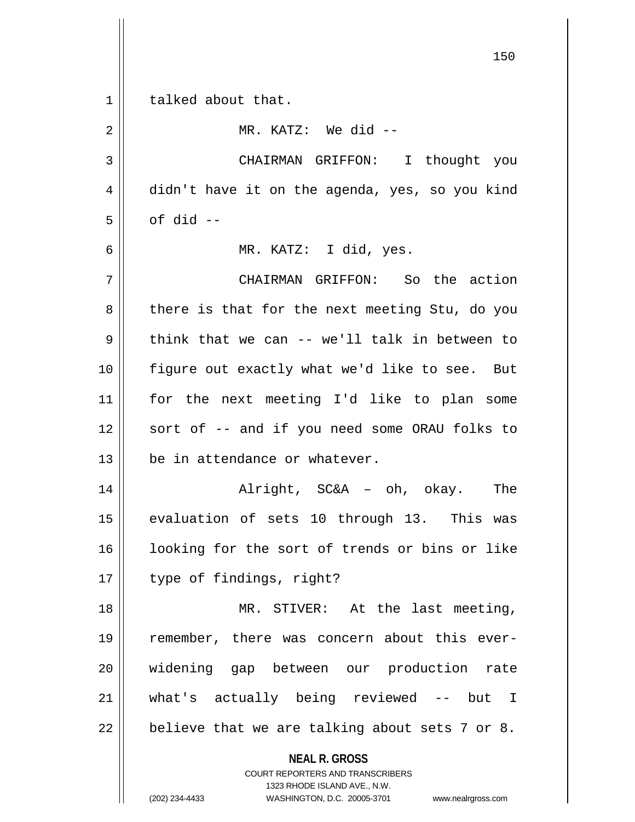**NEAL R. GROSS** COURT REPORTERS AND TRANSCRIBERS 1323 RHODE ISLAND AVE., N.W. 150 1 | talked about that. 2 MR. KATZ: We did -- 3 CHAIRMAN GRIFFON: I thought you 4 didn't have it on the agenda, yes, so you kind  $5 \parallel$  of did  $-$ 6 MR. KATZ: I did, yes. 7 CHAIRMAN GRIFFON: So the action  $8$  | there is that for the next meeting Stu, do you  $9 \parallel$  think that we can -- we'll talk in between to 10 || figure out exactly what we'd like to see. But 11 for the next meeting I'd like to plan some 12 || sort of -- and if you need some ORAU folks to 13 De in attendance or whatever. 14 Alright, SC&A – oh, okay. The 15 || evaluation of sets 10 through 13. This was 16 || looking for the sort of trends or bins or like 17 || type of findings, right? 18 || MR. STIVER: At the last meeting, 19 remember, there was concern about this ever-20 widening gap between our production rate 21 what's actually being reviewed -- but I  $22 \parallel$  believe that we are talking about sets 7 or 8.

(202) 234-4433 WASHINGTON, D.C. 20005-3701 www.nealrgross.com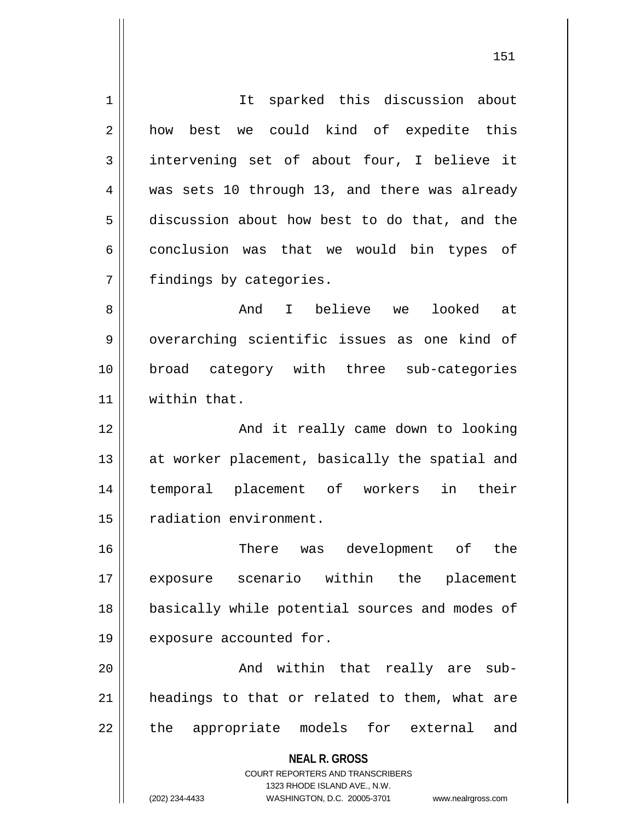**NEAL R. GROSS** COURT REPORTERS AND TRANSCRIBERS 1323 RHODE ISLAND AVE., N.W. (202) 234-4433 WASHINGTON, D.C. 20005-3701 www.nealrgross.com 1 | It sparked this discussion about 2 || how best we could kind of expedite this  $3 \parallel$  intervening set of about four, I believe it 4 was sets 10 through 13, and there was already 5 discussion about how best to do that, and the  $6 \parallel$  conclusion was that we would bin types of 7 | findings by categories. 8 And I believe we looked at 9 || overarching scientific issues as one kind of 10 broad category with three sub-categories 11 within that. 12 || The Mand it really came down to looking 13 || at worker placement, basically the spatial and 14 temporal placement of workers in their 15 | radiation environment. 16 There was development of the 17 exposure scenario within the placement 18 || basically while potential sources and modes of 19 | exposure accounted for. 20 And within that really are sub-21 || headings to that or related to them, what are 22 || the appropriate models for external and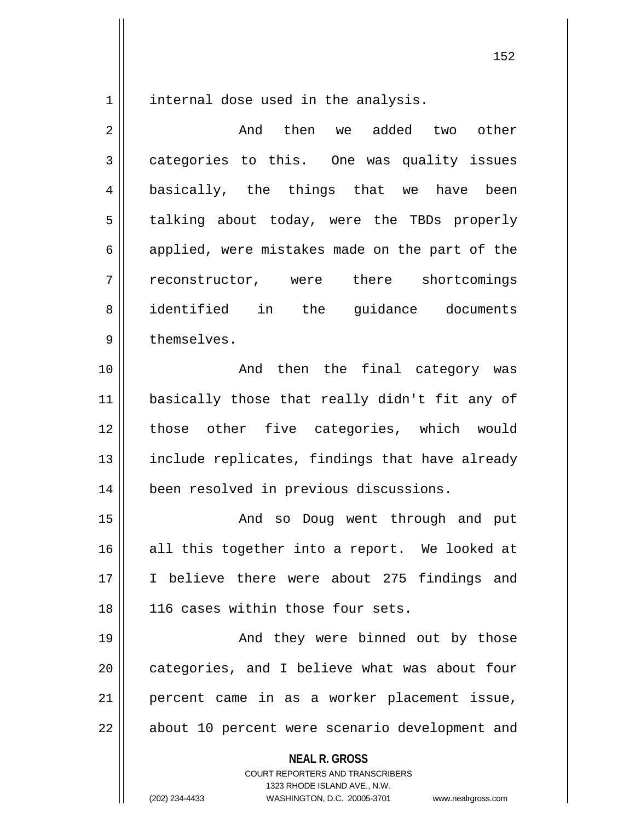1 | internal dose used in the analysis.

2 and then we added two other 3 categories to this. One was quality issues 4 || basically, the things that we have been 5 | talking about today, were the TBDs properly  $6 \parallel$  applied, were mistakes made on the part of the 7 || reconstructor, were there shortcomings 8 dentified in the quidance documents 9 l themselves. 10 || The Rand then the final category was

 basically those that really didn't fit any of those other five categories, which would 13 || include replicates, findings that have already been resolved in previous discussions.

15 And so Doug went through and put 16 || all this together into a report. We looked at 17 I believe there were about 275 findings and 18 || 116 cases within those four sets.

19 And they were binned out by those 20 || categories, and I believe what was about four 21 percent came in as a worker placement issue, 22 || about 10 percent were scenario development and

**NEAL R. GROSS**

COURT REPORTERS AND TRANSCRIBERS 1323 RHODE ISLAND AVE., N.W. (202) 234-4433 WASHINGTON, D.C. 20005-3701 www.nealrgross.com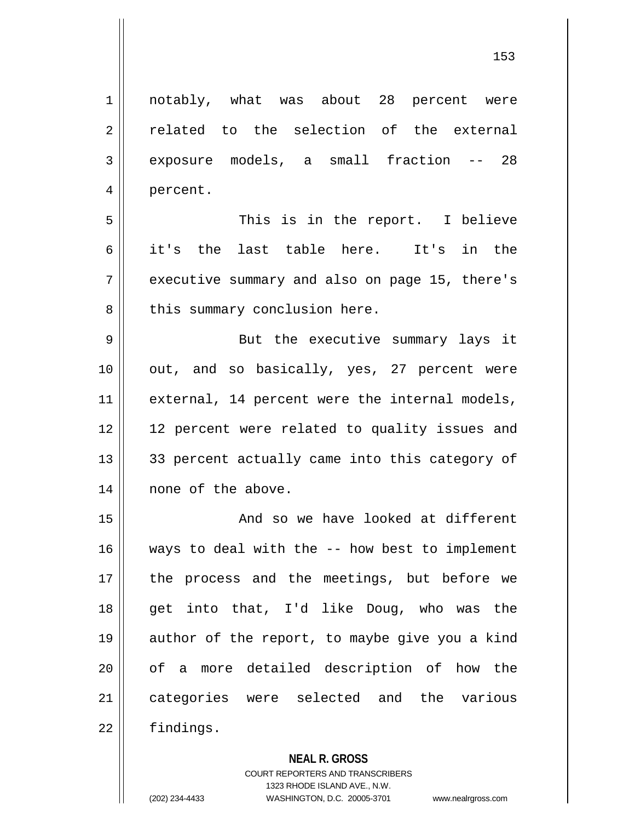1 || notably, what was about 28 percent were 2 related to the selection of the external 3 exposure models, a small fraction -- 28 4 || percent. 5 This is in the report. I believe 6 it's the last table here. It's in the 7 || executive summary and also on page 15, there's 8 | this summary conclusion here. 9 || But the executive summary lays it 10 || out, and so basically, yes, 27 percent were 11 || external, 14 percent were the internal models, 12 12 percent were related to quality issues and  $13$  33 percent actually came into this category of 14 || none of the above. 15 || And so we have looked at different 16 ways to deal with the -- how best to implement 17 || the process and the meetings, but before we 18 get into that, I'd like Doug, who was the 19 || author of the report, to maybe give you a kind 20 || of a more detailed description of how the

21 || categories were selected and the various

22 | findings.

**NEAL R. GROSS**

COURT REPORTERS AND TRANSCRIBERS 1323 RHODE ISLAND AVE., N.W. (202) 234-4433 WASHINGTON, D.C. 20005-3701 www.nealrgross.com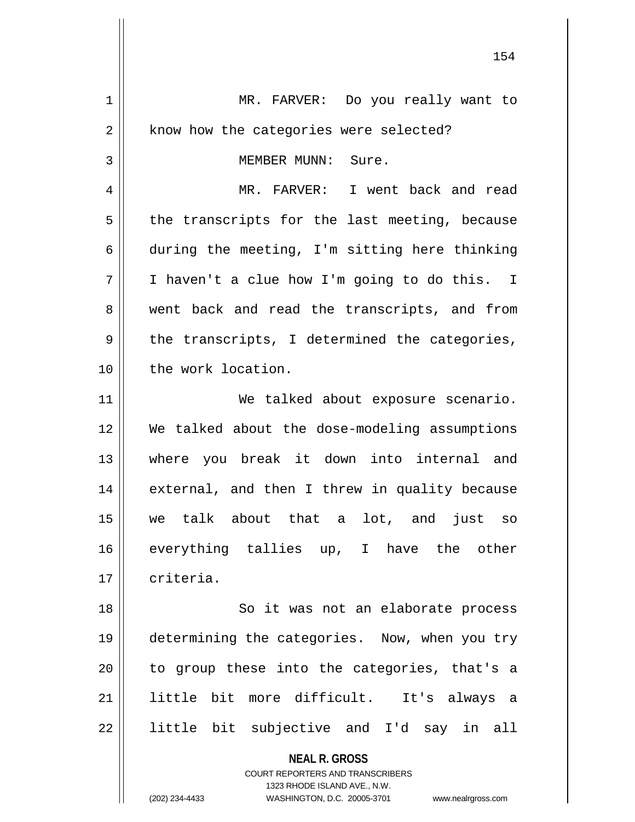**NEAL R. GROSS** 1 | MR. FARVER: Do you really want to 2 | know how the categories were selected? 3 | MEMBER MUNN: Sure. 4 MR. FARVER: I went back and read  $5$  | the transcripts for the last meeting, because 6 during the meeting, I'm sitting here thinking 7 I haven't a clue how I'm going to do this. I 8 went back and read the transcripts, and from  $9 \parallel$  the transcripts, I determined the categories, 10 || the work location. 11 || We talked about exposure scenario. 12 We talked about the dose-modeling assumptions 13 where you break it down into internal and 14 || external, and then I threw in quality because 15 we talk about that a lot, and just so 16 everything tallies up, I have the other 17 | criteria. 18 || So it was not an elaborate process 19 determining the categories. Now, when you try  $20$  || to group these into the categories, that's a 21 little bit more difficult. It's always a 22 || little bit subjective and I'd say in all

> COURT REPORTERS AND TRANSCRIBERS 1323 RHODE ISLAND AVE., N.W.

(202) 234-4433 WASHINGTON, D.C. 20005-3701 www.nealrgross.com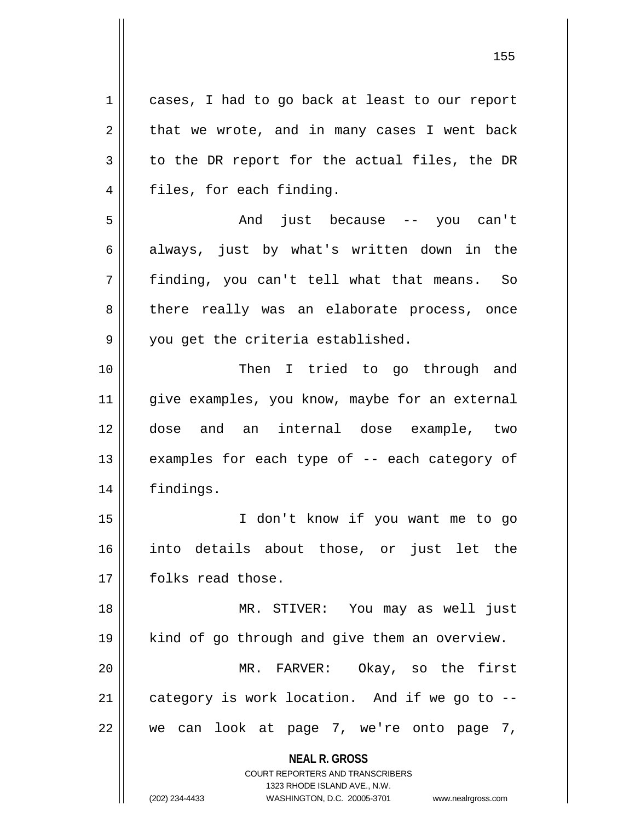**NEAL R. GROSS** COURT REPORTERS AND TRANSCRIBERS 1 cases, I had to go back at least to our report  $2 \parallel$  that we wrote, and in many cases I went back  $3 \parallel$  to the DR report for the actual files, the DR 4 || files, for each finding. 5 And just because -- you can't 6 always, just by what's written down in the 7 finding, you can't tell what that means. So 8 || there really was an elaborate process, once  $9 \parallel$  you get the criteria established. 10 || Then I tried to go through and 11 || give examples, you know, maybe for an external 12 dose and an internal dose example, two 13 || examples for each type of -- each category of 14 | findings. 15 I don't know if you want me to go 16 into details about those, or just let the 17 || folks read those. 18 || MR. STIVER: You may as well just 19 kind of go through and give them an overview. 20 MR. FARVER: Okay, so the first  $21$  || category is work location. And if we go to -- $22 \parallel$  we can look at page 7, we're onto page 7,

1323 RHODE ISLAND AVE., N.W.

(202) 234-4433 WASHINGTON, D.C. 20005-3701 www.nealrgross.com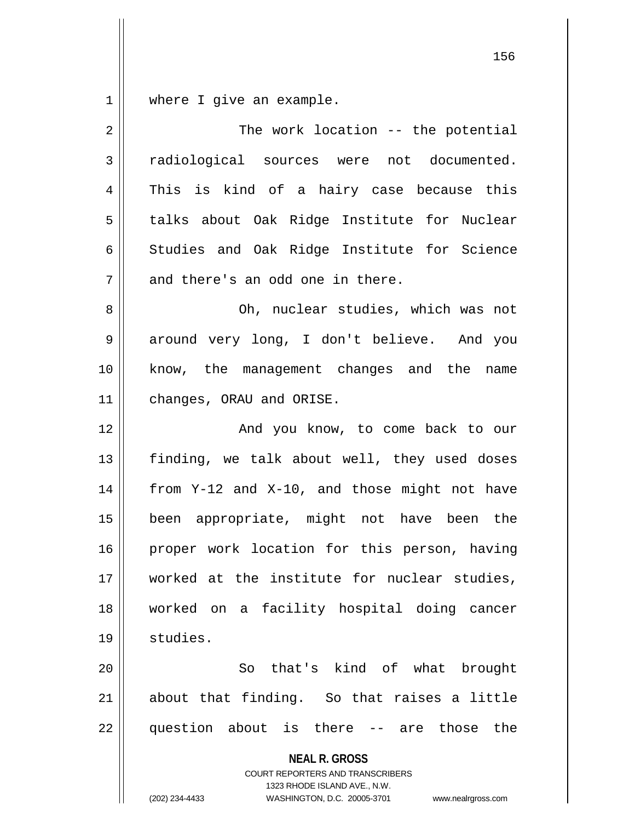$1 \parallel$  where I give an example.

| 2  | The work location -- the potential                                                                                                                              |  |  |  |  |  |
|----|-----------------------------------------------------------------------------------------------------------------------------------------------------------------|--|--|--|--|--|
| 3  | radiological sources were not documented.                                                                                                                       |  |  |  |  |  |
| 4  | This is kind of a hairy case because this                                                                                                                       |  |  |  |  |  |
| 5  | talks about Oak Ridge Institute for Nuclear                                                                                                                     |  |  |  |  |  |
| 6  | Studies and Oak Ridge Institute for Science                                                                                                                     |  |  |  |  |  |
| 7  | and there's an odd one in there.                                                                                                                                |  |  |  |  |  |
| 8  | Oh, nuclear studies, which was not                                                                                                                              |  |  |  |  |  |
| 9  | around very long, I don't believe. And you                                                                                                                      |  |  |  |  |  |
| 10 | know, the management changes and the name                                                                                                                       |  |  |  |  |  |
| 11 | changes, ORAU and ORISE.                                                                                                                                        |  |  |  |  |  |
| 12 | And you know, to come back to our                                                                                                                               |  |  |  |  |  |
| 13 | finding, we talk about well, they used doses                                                                                                                    |  |  |  |  |  |
| 14 | from Y-12 and X-10, and those might not have                                                                                                                    |  |  |  |  |  |
| 15 | been appropriate, might not have been the                                                                                                                       |  |  |  |  |  |
| 16 | proper work location for this person, having                                                                                                                    |  |  |  |  |  |
| 17 | worked at the institute for nuclear studies,                                                                                                                    |  |  |  |  |  |
| 18 | worked on a facility hospital doing cancer                                                                                                                      |  |  |  |  |  |
| 19 | studies.                                                                                                                                                        |  |  |  |  |  |
| 20 | So that's kind of what<br>brought                                                                                                                               |  |  |  |  |  |
| 21 | about that finding. So that raises a little                                                                                                                     |  |  |  |  |  |
| 22 | question about is there -- are<br>those<br>the                                                                                                                  |  |  |  |  |  |
|    | <b>NEAL R. GROSS</b><br>COURT REPORTERS AND TRANSCRIBERS<br>1323 RHODE ISLAND AVE., N.W.<br>(202) 234-4433<br>WASHINGTON, D.C. 20005-3701<br>www.nealrgross.com |  |  |  |  |  |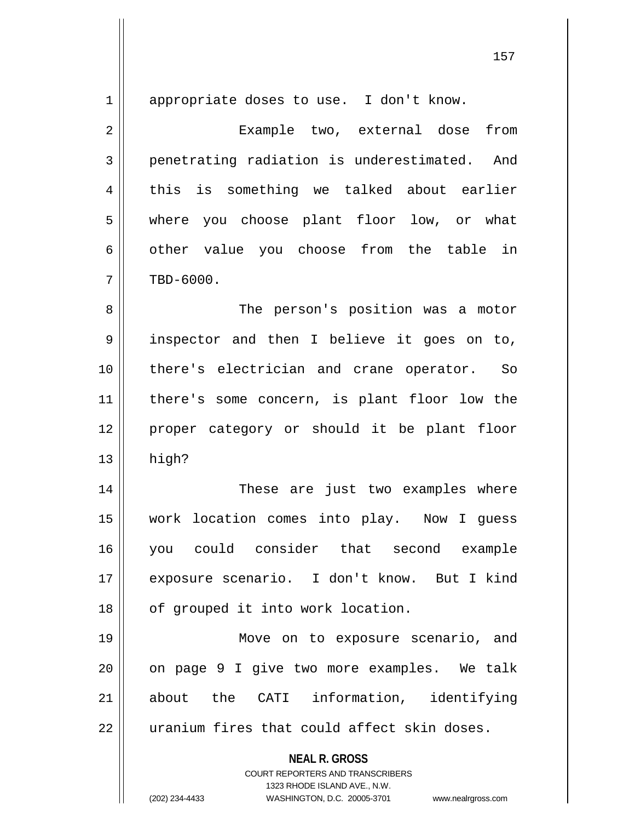**NEAL R. GROSS** COURT REPORTERS AND TRANSCRIBERS 1 appropriate doses to use. I don't know. 2 Example two, external dose from 3 penetrating radiation is underestimated. And 4 || this is something we talked about earlier 5 where you choose plant floor low, or what  $6 \parallel$  other value you choose from the table in  $7 \parallel$  TBD-6000. 8 || The person's position was a motor 9 || inspector and then I believe it goes on to, 10 there's electrician and crane operator. So 11 there's some concern, is plant floor low the 12 || proper category or should it be plant floor  $13$  || high? 14 These are just two examples where 15 work location comes into play. Now I guess 16 you could consider that second example 17 exposure scenario. I don't know. But I kind 18 || of grouped it into work location. 19 || Move on to exposure scenario, and  $20$  || on page 9 I give two more examples. We talk 21 about the CATI information, identifying 22 || uranium fires that could affect skin doses.

1323 RHODE ISLAND AVE., N.W.

(202) 234-4433 WASHINGTON, D.C. 20005-3701 www.nealrgross.com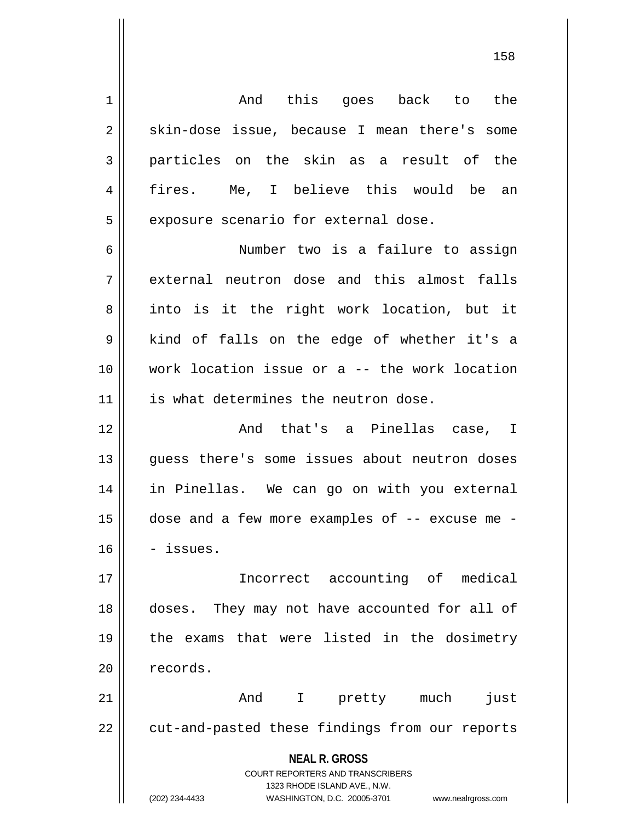1 || Communisation and this goes back to the  $2 \parallel$  skin-dose issue, because I mean there's some 3 particles on the skin as a result of the 4 fires. Me, I believe this would be an  $5$  | exposure scenario for external dose. 6 Number two is a failure to assign 7 acternal neutron dose and this almost falls  $8 \parallel$  into is it the right work location, but it  $9 \parallel$  kind of falls on the edge of whether it's a 10 work location issue or a -- the work location 11 || is what determines the neutron dose. 12 And that's a Pinellas case, I 13 quess there's some issues about neutron doses 14 in Pinellas. We can go on with you external  $15$  | dose and a few more examples of  $-$  excuse me  $16$   $-$  issues. 17 Incorrect accounting of medical 18 doses. They may not have accounted for all of 19 the exams that were listed in the dosimetry 20 | records. 21 And I pretty much just 22 || cut-and-pasted these findings from our reports

> **NEAL R. GROSS** COURT REPORTERS AND TRANSCRIBERS 1323 RHODE ISLAND AVE., N.W.

(202) 234-4433 WASHINGTON, D.C. 20005-3701 www.nealrgross.com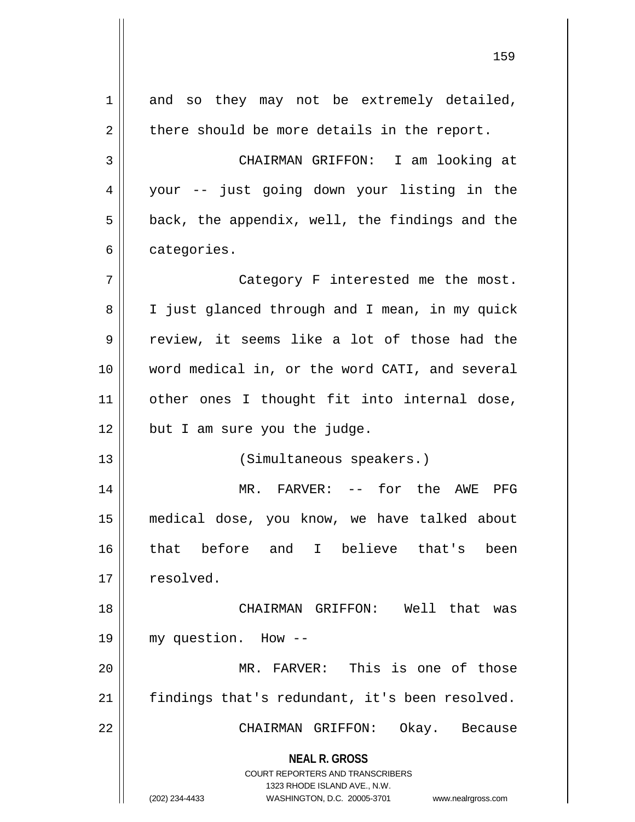**NEAL R. GROSS** COURT REPORTERS AND TRANSCRIBERS 1323 RHODE ISLAND AVE., N.W. (202) 234-4433 WASHINGTON, D.C. 20005-3701 www.nealrgross.com 1 || and so they may not be extremely detailed,  $2 \parallel$  there should be more details in the report. 3 CHAIRMAN GRIFFON: I am looking at 4 your -- just going down your listing in the  $5 \parallel$  back, the appendix, well, the findings and the  $6 \parallel$  categories. 7 || Category F interested me the most. 8 | I just glanced through and I mean, in my quick 9 || review, it seems like a lot of those had the 10 word medical in, or the word CATI, and several 11 || other ones I thought fit into internal dose,  $12$  | but I am sure you the judge. 13 || (Simultaneous speakers.) 14 MR. FARVER: -- for the AWE PFG 15 medical dose, you know, we have talked about 16 that before and I believe that's been  $17 \parallel$  resolved. 18 CHAIRMAN GRIFFON: Well that was 19 my question. How -- 20 || MR. FARVER: This is one of those 21 findings that's redundant, it's been resolved. 22 CHAIRMAN GRIFFON: Okay. Because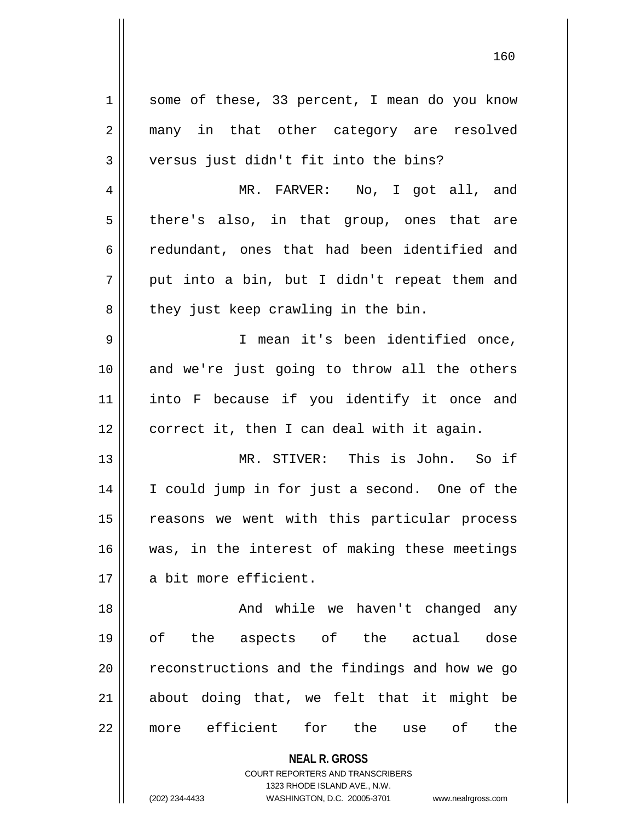**NEAL R. GROSS** COURT REPORTERS AND TRANSCRIBERS 1 || some of these, 33 percent, I mean do you know 2 many in that other category are resolved 3 versus just didn't fit into the bins? 4 MR. FARVER: No, I got all, and  $5 \parallel$  there's also, in that group, ones that are 6 redundant, ones that had been identified and  $7 \parallel$  put into a bin, but I didn't repeat them and  $8 \parallel$  they just keep crawling in the bin. 9 I mean it's been identified once, 10 and we're just going to throw all the others 11 into F because if you identify it once and 12 | correct it, then I can deal with it again. 13 MR. STIVER: This is John. So if 14 I could jump in for just a second. One of the 15 || reasons we went with this particular process 16 was, in the interest of making these meetings 17 || a bit more efficient. 18 And while we haven't changed any 19 of the aspects of the actual dose  $20$   $\parallel$  reconstructions and the findings and how we go  $21$  about doing that, we felt that it might be 22 more efficient for the use of the

1323 RHODE ISLAND AVE., N.W.

(202) 234-4433 WASHINGTON, D.C. 20005-3701 www.nealrgross.com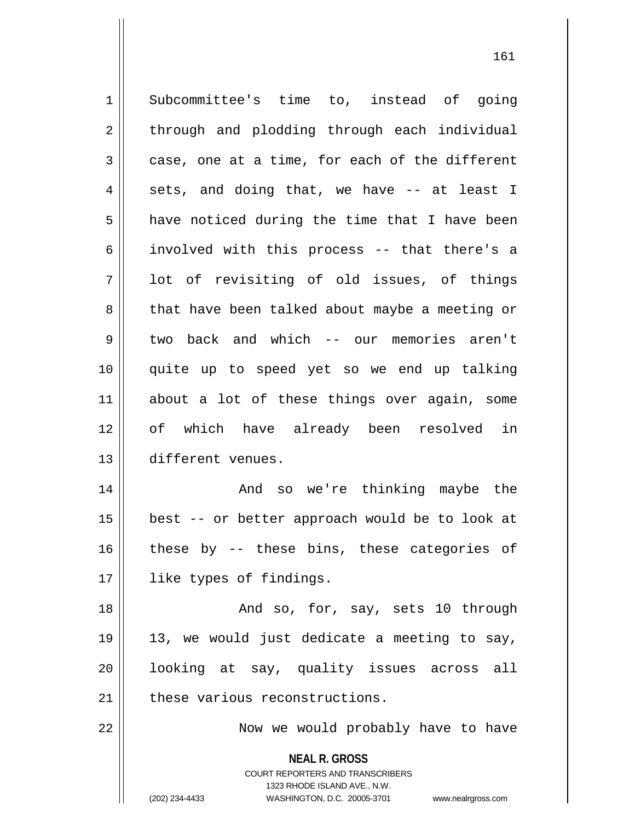**NEAL R. GROSS** COURT REPORTERS AND TRANSCRIBERS 1323 RHODE ISLAND AVE., N.W. 1 Subcommittee's time to, instead of going 2 || through and plodding through each individual  $3 \parallel$  case, one at a time, for each of the different  $4 \parallel$  sets, and doing that, we have -- at least I  $5 \parallel$  have noticed during the time that I have been 6 || involved with this process -- that there's a  $7 \parallel$  lot of revisiting of old issues, of things 8 that have been talked about maybe a meeting or 9 two back and which -- our memories aren't 10 quite up to speed yet so we end up talking 11 about a lot of these things over again, some 12 of which have already been resolved in 13 different venues. 14 And so we're thinking maybe the 15  $\parallel$  best -- or better approach would be to look at  $16$  these by  $-$  these bins, these categories of 17 || like types of findings. 18 || And so, for, say, sets 10 through  $19 \parallel 13$ , we would just dedicate a meeting to say, 20 looking at say, quality issues across all  $21$  these various reconstructions. 22 || Now we would probably have to have

(202) 234-4433 WASHINGTON, D.C. 20005-3701 www.nealrgross.com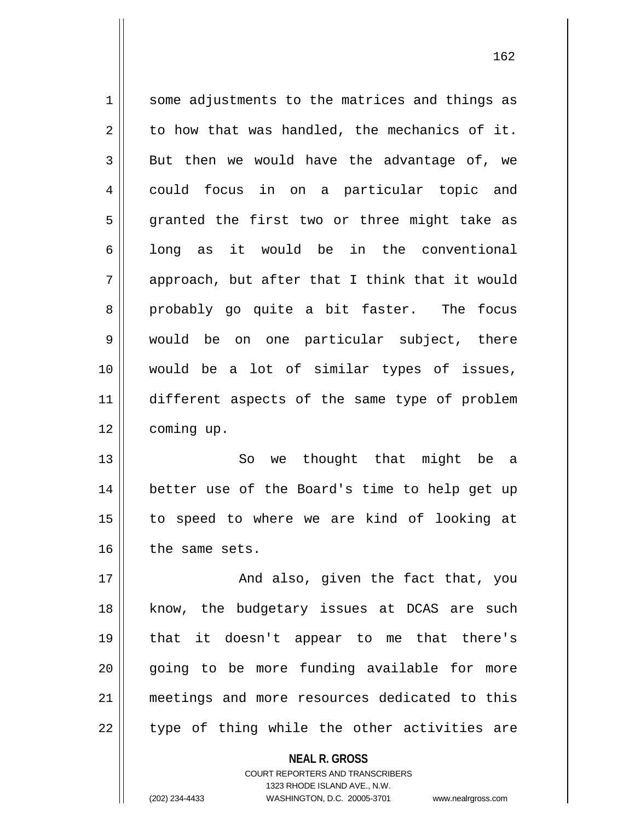1 || some adjustments to the matrices and things as  $2 \parallel$  to how that was handled, the mechanics of it.  $3 \parallel$  But then we would have the advantage of, we 4 could focus in on a particular topic and  $5 \parallel$  granted the first two or three might take as  $6 \parallel$  long as it would be in the conventional  $7 \parallel$  approach, but after that I think that it would 8 || probably go quite a bit faster. The focus 9 || would be on one particular subject, there 10 would be a lot of similar types of issues, 11 different aspects of the same type of problem 12 | coming up. 13 So we thought that might be a

14 better use of the Board's time to help get up 15 to speed to where we are kind of looking at  $16$  | the same sets.

17 || And also, given the fact that, you 18 || know, the budgetary issues at DCAS are such 19 that it doesn't appear to me that there's 20 || qoing to be more funding available for more 21 meetings and more resources dedicated to this  $22$  || type of thing while the other activities are

> **NEAL R. GROSS** COURT REPORTERS AND TRANSCRIBERS 1323 RHODE ISLAND AVE., N.W. (202) 234-4433 WASHINGTON, D.C. 20005-3701 www.nealrgross.com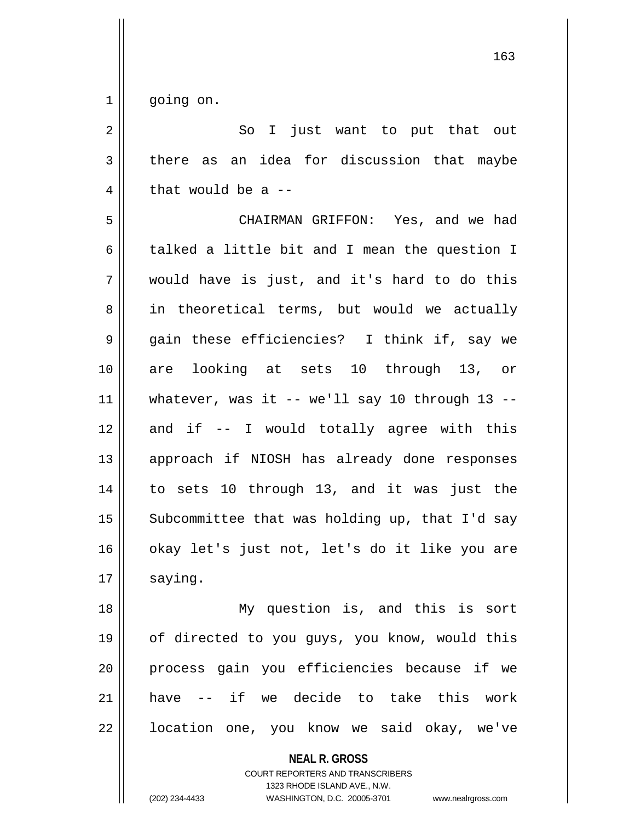1 || going on.

| $2 \parallel$ |                                                          |  | So I just want to put that out |  |  |  |
|---------------|----------------------------------------------------------|--|--------------------------------|--|--|--|
|               | $3 \parallel$ there as an idea for discussion that maybe |  |                                |  |  |  |
|               | 4   that would be a $-$                                  |  |                                |  |  |  |

5 CHAIRMAN GRIFFON: Yes, and we had 6  $\parallel$  talked a little bit and I mean the question I 7 would have is just, and it's hard to do this 8 || in theoretical terms, but would we actually 9 || gain these efficiencies? I think if, say we 10 are looking at sets 10 through 13, or 11 || whatever, was it  $-$  we'll say 10 through 13  $12$  and if  $-$  I would totally agree with this 13 approach if NIOSH has already done responses 14 || to sets 10 through 13, and it was just the 15  $\parallel$  Subcommittee that was holding up, that I'd say 16 || okay let's just not, let's do it like you are  $17$  saying.

 My question is, and this is sort of directed to you guys, you know, would this process gain you efficiencies because if we have -- if we decide to take this work 22 | location one, you know we said okay, we've

> **NEAL R. GROSS** COURT REPORTERS AND TRANSCRIBERS 1323 RHODE ISLAND AVE., N.W. (202) 234-4433 WASHINGTON, D.C. 20005-3701 www.nealrgross.com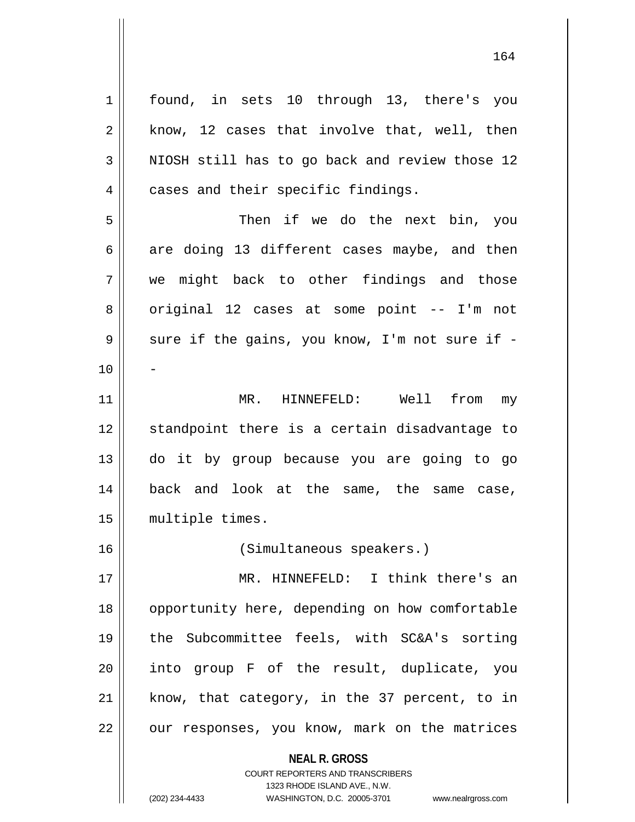**NEAL R. GROSS** COURT REPORTERS AND TRANSCRIBERS 1 || found, in sets 10 through 13, there's you  $2 \parallel$  know, 12 cases that involve that, well, then  $3$  NIOSH still has to go back and review those 12 4 | cases and their specific findings. 5 Then if we do the next bin, you  $6 \parallel$  are doing 13 different cases maybe, and then 7 we might back to other findings and those 8 || original 12 cases at some point -- I'm not  $9 \parallel$  sure if the gains, you know, I'm not sure if - $10$ 11 MR. HINNEFELD: Well from my 12 || standpoint there is a certain disadvantage to 13 do it by group because you are going to go 14 back and look at the same, the same case, 15 || multiple times. 16 (Simultaneous speakers.) 17 || MR. HINNEFELD: I think there's an 18 || opportunity here, depending on how comfortable 19 the Subcommittee feels, with SC&A's sorting 20 into group F of the result, duplicate, you  $21$  know, that category, in the 37 percent, to in  $22$  | our responses, you know, mark on the matrices

1323 RHODE ISLAND AVE., N.W.

164

(202) 234-4433 WASHINGTON, D.C. 20005-3701 www.nealrgross.com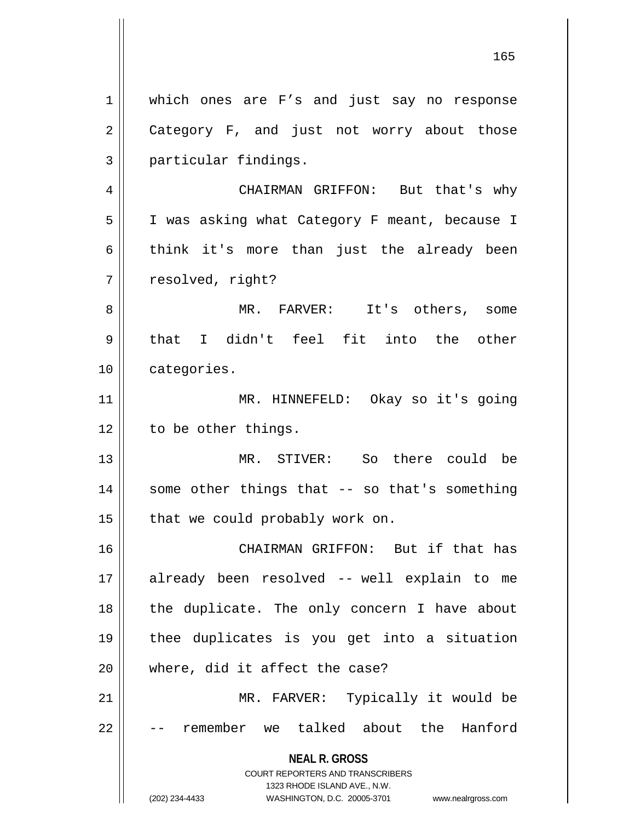**NEAL R. GROSS** COURT REPORTERS AND TRANSCRIBERS 1323 RHODE ISLAND AVE., N.W. 1 || which ones are F's and just say no response 2 Category F, and just not worry about those 3 || particular findings. 4 CHAIRMAN GRIFFON: But that's why 5 | I was asking what Category F meant, because I  $6 \parallel$  think it's more than just the already been 7 | resolved, right? 8 || MR. FARVER: It's others, some  $9 \parallel$  that I didn't feel fit into the other 10 | categories. 11 MR. HINNEFELD: Okay so it's going  $12$  | to be other things. 13 MR. STIVER: So there could be  $14$  || some other things that -- so that's something  $15$  | that we could probably work on. 16 || CHAIRMAN GRIFFON: But if that has 17 already been resolved -- well explain to me  $18$  || the duplicate. The only concern I have about 19 thee duplicates is you get into a situation 20 where, did it affect the case? 21 || MR. FARVER: Typically it would be 22 | -- remember we talked about the Hanford

(202) 234-4433 WASHINGTON, D.C. 20005-3701 www.nealrgross.com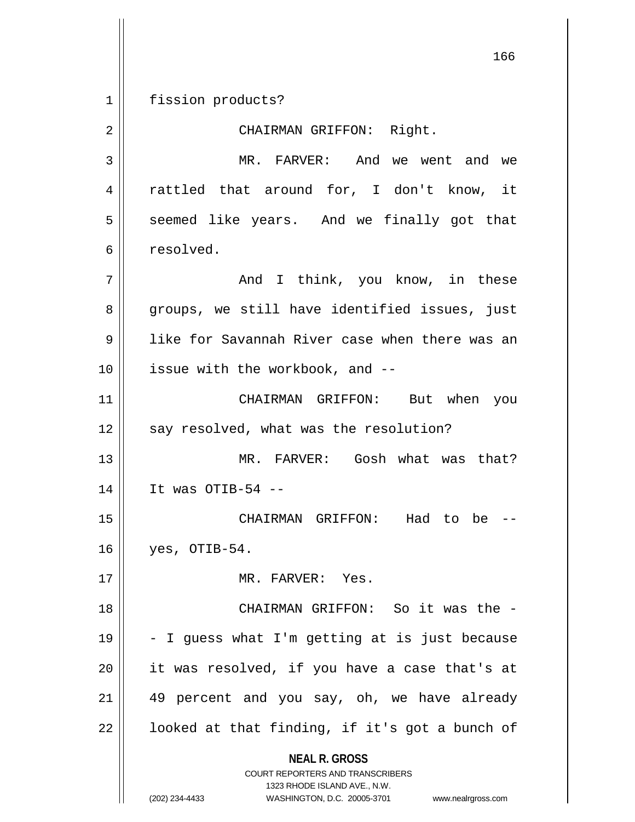1 || fission products?

2 || CHAIRMAN GRIFFON: Right.

3 MR. FARVER: And we went and we 4 || rattled that around for, I don't know, it 5 || seemed like years. And we finally got that 6 || resolved.

 And I think, you know, in these 8 groups, we still have identified issues, just like for Savannah River case when there was an | issue with the workbook, and  $-$ 

11 CHAIRMAN GRIFFON: But when you  $12$  | say resolved, what was the resolution?

13 MR. FARVER: Gosh what was that? 14 It was OTIB-54 --

15 CHAIRMAN GRIFFON: Had to be --  $16 \parallel$  yes, OTIB-54.

17 MR. FARVER: Yes.

18 || CHAIRMAN GRIFFON: So it was the - $19 \parallel -I$  guess what I'm getting at is just because 20 it was resolved, if you have a case that's at  $21$  || 49 percent and you say, oh, we have already  $22$  |  $\blacksquare$  looked at that finding, if it's got a bunch of

> **NEAL R. GROSS** COURT REPORTERS AND TRANSCRIBERS

> > 1323 RHODE ISLAND AVE., N.W.

(202) 234-4433 WASHINGTON, D.C. 20005-3701 www.nealrgross.com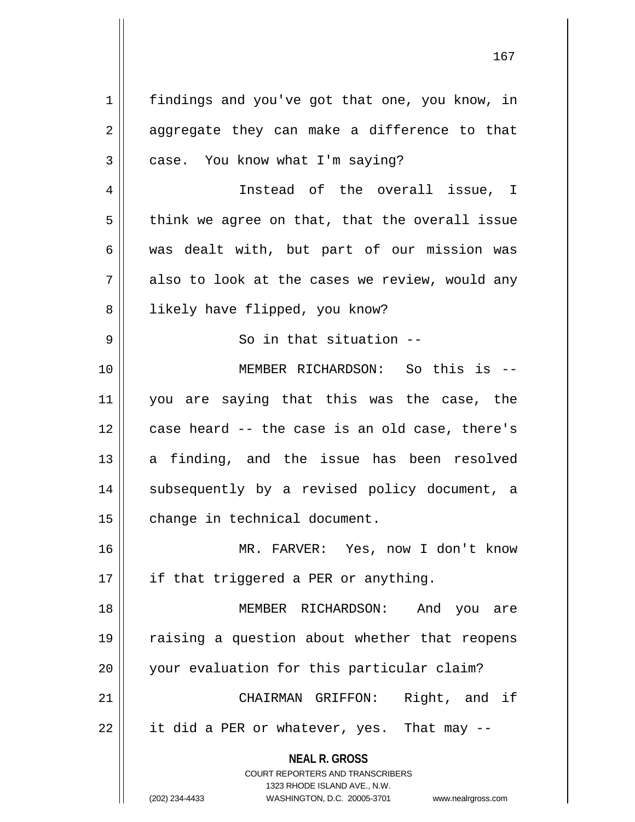**NEAL R. GROSS** COURT REPORTERS AND TRANSCRIBERS 1 | findings and you've got that one, you know, in  $2 \parallel$  aggregate they can make a difference to that  $3 \parallel$  case. You know what I'm saying? 4 Instead of the overall issue, I  $5 \parallel$  think we agree on that, that the overall issue 6 was dealt with, but part of our mission was  $7 \parallel$  also to look at the cases we review, would any 8 | likely have flipped, you know? 9 || So in that situation --10 MEMBER RICHARDSON: So this is -- 11 you are saying that this was the case, the 12 case heard -- the case is an old case, there's 13 a finding, and the issue has been resolved 14 || subsequently by a revised policy document, a 15 | change in technical document. 16 MR. FARVER: Yes, now I don't know  $17$  || if that triggered a PER or anything. 18 MEMBER RICHARDSON: And you are 19 || raising a question about whether that reopens 20 || your evaluation for this particular claim? 21 || CHAIRMAN GRIFFON: Right, and if  $22$  || it did a PER or whatever, yes. That may  $-$ 

1323 RHODE ISLAND AVE., N.W.

(202) 234-4433 WASHINGTON, D.C. 20005-3701 www.nealrgross.com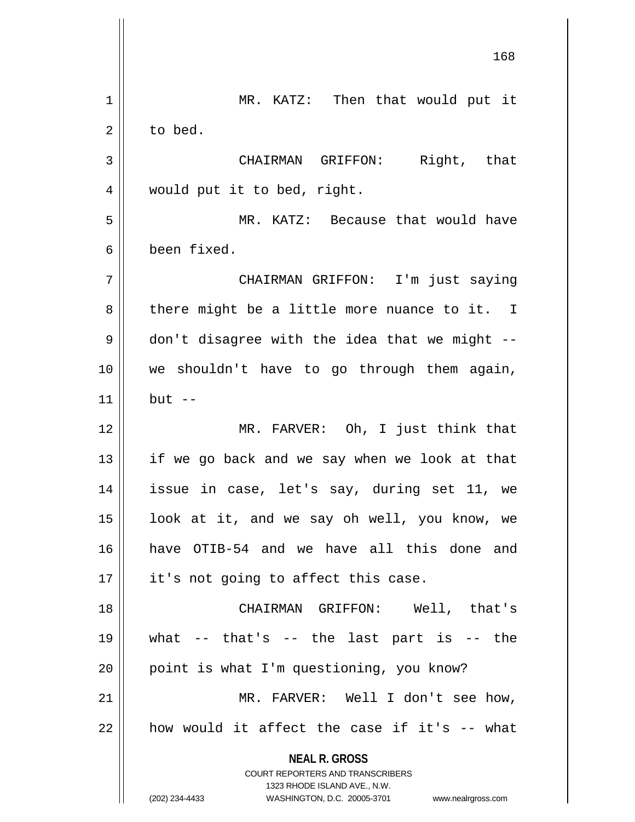**NEAL R. GROSS** COURT REPORTERS AND TRANSCRIBERS 1323 RHODE ISLAND AVE., N.W. (202) 234-4433 WASHINGTON, D.C. 20005-3701 www.nealrgross.com 1 || MR. KATZ: Then that would put it 2 l to bed. CHAIRMAN GRIFFON: Right, that 4 || would put it to bed, right. MR. KATZ: Because that would have been fixed. CHAIRMAN GRIFFON: I'm just saying | there might be a little more nuance to it. I  $9 \parallel$  don't disagree with the idea that we might -- we shouldn't have to go through them again, but  $-$ 12 || MR. FARVER: Oh, I just think that || if we go back and we say when we look at that issue in case, let's say, during set 11, we | look at it, and we say oh well, you know, we have OTIB-54 and we have all this done and || it's not going to affect this case. CHAIRMAN GRIFFON: Well, that's  $19 \parallel$  what -- that's -- the last part is -- the | point is what I'm questioning, you know? MR. FARVER: Well I don't see how,  $\parallel$  how would it affect the case if it's  $-$ - what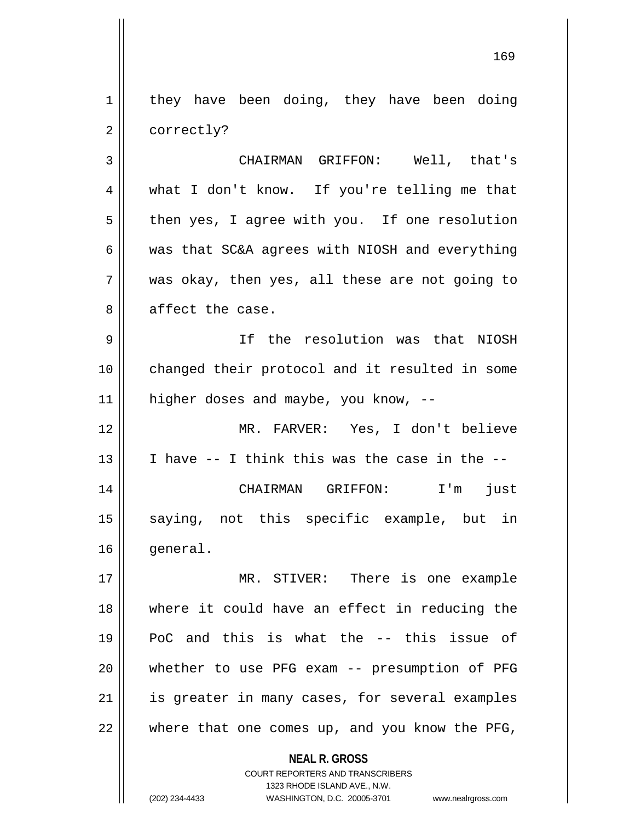$1 \parallel$  they have been doing, they have been doing 2 | correctly?

3 CHAIRMAN GRIFFON: Well, that's 4 what I don't know. If you're telling me that  $5 \parallel$  then yes, I agree with you. If one resolution  $6 \parallel$  was that SC&A agrees with NIOSH and everything  $7$  || was okay, then yes, all these are not going to 8 affect the case.

9 If the resolution was that NIOSH 10 changed their protocol and it resulted in some 11 || higher doses and maybe, you know, --

12 MR. FARVER: Yes, I don't believe 13  $\parallel$  I have -- I think this was the case in the --14 CHAIRMAN GRIFFON: I'm just 15 || saying, not this specific example, but in 16 | qeneral.

 MR. STIVER: There is one example where it could have an effect in reducing the PoC and this is what the -- this issue of whether to use PFG exam -- presumption of PFG | is greater in many cases, for several examples | where that one comes up, and you know the PFG,

**NEAL R. GROSS**

COURT REPORTERS AND TRANSCRIBERS 1323 RHODE ISLAND AVE., N.W. (202) 234-4433 WASHINGTON, D.C. 20005-3701 www.nealrgross.com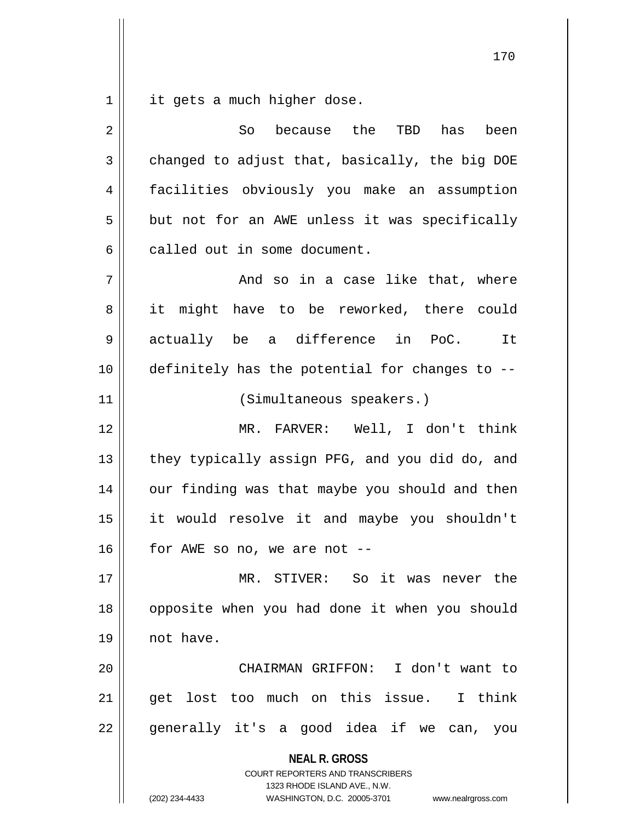it gets a much higher dose.

| 2  | because the<br>So<br>TBD<br>has<br>been                                                                                                                                |  |  |  |  |
|----|------------------------------------------------------------------------------------------------------------------------------------------------------------------------|--|--|--|--|
| 3  | changed to adjust that, basically, the big DOE                                                                                                                         |  |  |  |  |
| 4  | facilities obviously you make an assumption                                                                                                                            |  |  |  |  |
| 5  | but not for an AWE unless it was specifically                                                                                                                          |  |  |  |  |
| 6  | called out in some document.                                                                                                                                           |  |  |  |  |
| 7  | And so in a case like that, where                                                                                                                                      |  |  |  |  |
| 8  | it might have to be reworked, there could                                                                                                                              |  |  |  |  |
| 9  | actually be a difference in PoC.<br><b>It</b>                                                                                                                          |  |  |  |  |
| 10 | definitely has the potential for changes to --                                                                                                                         |  |  |  |  |
| 11 | (Simultaneous speakers.)                                                                                                                                               |  |  |  |  |
| 12 | MR. FARVER: Well, I don't think                                                                                                                                        |  |  |  |  |
| 13 | they typically assign PFG, and you did do, and                                                                                                                         |  |  |  |  |
| 14 | our finding was that maybe you should and then                                                                                                                         |  |  |  |  |
| 15 | it would resolve it and maybe you shouldn't                                                                                                                            |  |  |  |  |
| 16 | for AWE so no, we are not --                                                                                                                                           |  |  |  |  |
| 17 | MR. STIVER: So it was never the                                                                                                                                        |  |  |  |  |
| 18 | opposite when you had done it when you should                                                                                                                          |  |  |  |  |
| 19 | not have.                                                                                                                                                              |  |  |  |  |
| 20 | CHAIRMAN GRIFFON: I don't want to                                                                                                                                      |  |  |  |  |
| 21 | get lost too much on this issue. I think                                                                                                                               |  |  |  |  |
| 22 | generally it's a good idea if we can,<br>you                                                                                                                           |  |  |  |  |
|    | <b>NEAL R. GROSS</b><br><b>COURT REPORTERS AND TRANSCRIBERS</b><br>1323 RHODE ISLAND AVE., N.W.<br>(202) 234-4433<br>WASHINGTON, D.C. 20005-3701<br>www.nealrgross.com |  |  |  |  |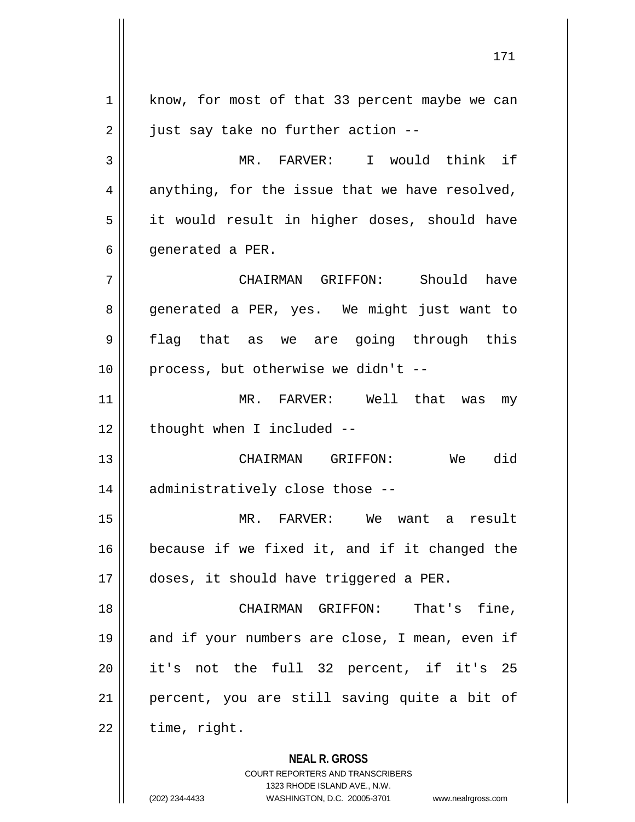**NEAL R. GROSS** COURT REPORTERS AND TRANSCRIBERS 1 | know, for most of that 33 percent maybe we can  $2 \parallel$  just say take no further action --3 MR. FARVER: I would think if  $4 \parallel$  anything, for the issue that we have resolved, 5 | it would result in higher doses, should have 6 | qenerated a PER. 7 CHAIRMAN GRIFFON: Should have 8 generated a PER, yes. We might just want to 9 flag that as we are going through this 10 || process, but otherwise we didn't --11 MR. FARVER: Well that was my  $12$  | thought when I included  $-$ 13 CHAIRMAN GRIFFON: We did 14 || administratively close those --15 MR. FARVER: We want a result 16 because if we fixed it, and if it changed the 17 doses, it should have triggered a PER. 18 CHAIRMAN GRIFFON: That's fine, 19 || and if your numbers are close, I mean, even if 20 it's not the full 32 percent, if it's 25 21 percent, you are still saving quite a bit of  $22$  | time, right.

1323 RHODE ISLAND AVE., N.W.

(202) 234-4433 WASHINGTON, D.C. 20005-3701 www.nealrgross.com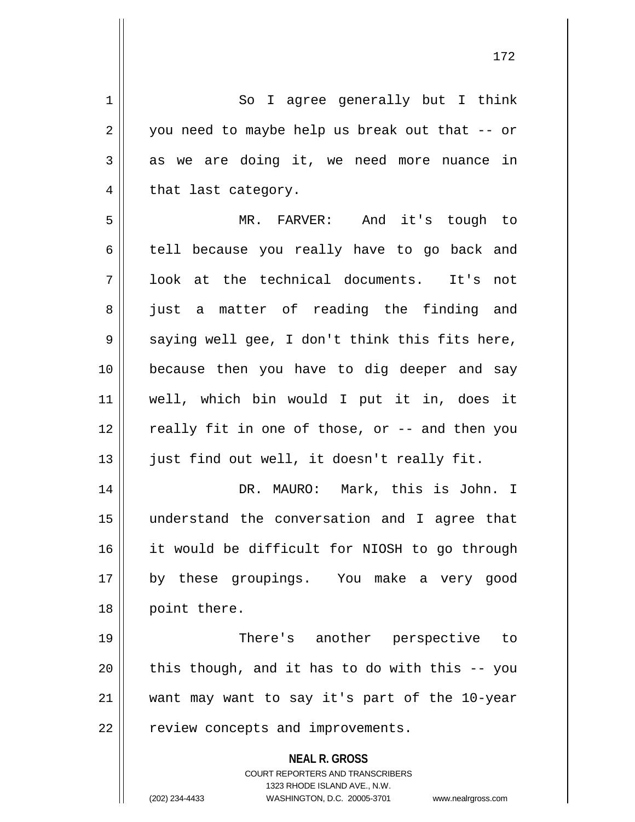**NEAL R. GROSS** COURT REPORTERS AND TRANSCRIBERS 1323 RHODE ISLAND AVE., N.W. (202) 234-4433 WASHINGTON, D.C. 20005-3701 www.nealrgross.com 1 || So I agree generally but I think  $2 \parallel$  you need to maybe help us break out that  $-$  or  $3 \parallel$  as we are doing it, we need more nuance in  $4 \parallel$  that last category. 5 MR. FARVER: And it's tough to 6 tell because you really have to go back and 7 || look at the technical documents. It's not 8 || just a matter of reading the finding and  $9 \parallel$  saying well gee, I don't think this fits here, 10 because then you have to dig deeper and say 11 well, which bin would I put it in, does it 12 || really fit in one of those, or -- and then you 13 || just find out well, it doesn't really fit. 14 DR. MAURO: Mark, this is John. I 15 understand the conversation and I agree that 16 it would be difficult for NIOSH to go through 17 || by these groupings. You make a very good 18 || point there. 19 There's another perspective to  $20$  || this though, and it has to do with this  $-$  you 21 want may want to say it's part of the 10-year 22 | review concepts and improvements.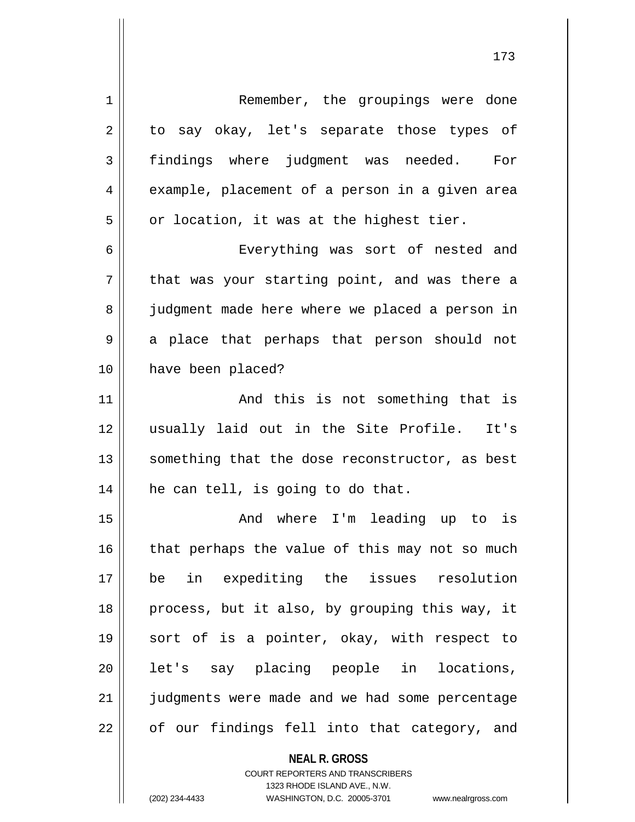| $\mathbf 1$ | Remember, the groupings were done              |
|-------------|------------------------------------------------|
| 2           | to say okay, let's separate those types of     |
| 3           | findings where judgment was needed. For        |
| 4           | example, placement of a person in a given area |
| 5           | or location, it was at the highest tier.       |
| 6           | Everything was sort of nested and              |
| 7           | that was your starting point, and was there a  |
| 8           | judgment made here where we placed a person in |
| 9           | a place that perhaps that person should not    |
| 10          | have been placed?                              |
| 11          | And this is not something that is              |
| 12          | usually laid out in the Site Profile. It's     |
| 13          | something that the dose reconstructor, as best |
| 14          | he can tell, is going to do that.              |
| 15          | And where I'm leading up to is                 |
| 16          | that perhaps the value of this may not so much |
| 17          | in expediting the issues resolution<br>be      |
| 18          | process, but it also, by grouping this way, it |
| 19          | sort of is a pointer, okay, with respect to    |
| 20          | let's say placing people in<br>locations,      |
| 21          | judgments were made and we had some percentage |
| 22          | of our findings fell into that category, and   |
|             | <b>NEAL R. GROSS</b>                           |

COURT REPORTERS AND TRANSCRIBERS 1323 RHODE ISLAND AVE., N.W.

 $\mathsf{II}$ 

(202) 234-4433 WASHINGTON, D.C. 20005-3701 www.nealrgross.com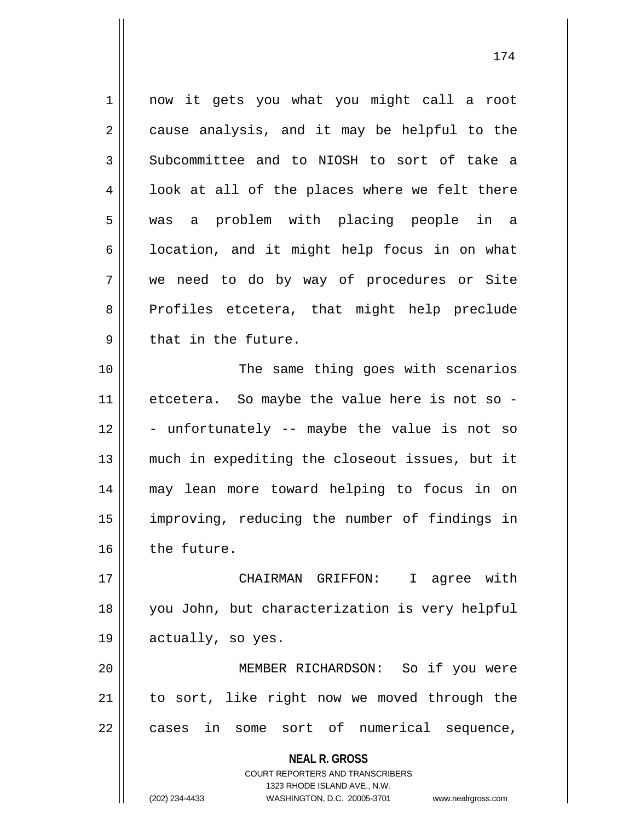1 || now it gets you what you might call a root  $2 \parallel$  cause analysis, and it may be helpful to the 3 Subcommittee and to NIOSH to sort of take a  $4 \parallel$  look at all of the places where we felt there 5 was a problem with placing people in a  $6 \parallel$  location, and it might help focus in on what 7 we need to do by way of procedures or Site 8 Profiles etcetera, that might help preclude  $9 \parallel$  that in the future. 10 || The same thing goes with scenarios 11 || etcetera. So maybe the value here is not so - $12$   $\vert$  - unfortunately -- maybe the value is not so 13 much in expediting the closeout issues, but it 14 may lean more toward helping to focus in on 15 improving, reducing the number of findings in 16 the future. 17 CHAIRMAN GRIFFON: I agree with 18 you John, but characterization is very helpful 19 | actually, so yes. 20 MEMBER RICHARDSON: So if you were

21 to sort, like right now we moved through the 22 || cases in some sort of numerical sequence,

> **NEAL R. GROSS** COURT REPORTERS AND TRANSCRIBERS 1323 RHODE ISLAND AVE., N.W. (202) 234-4433 WASHINGTON, D.C. 20005-3701 www.nealrgross.com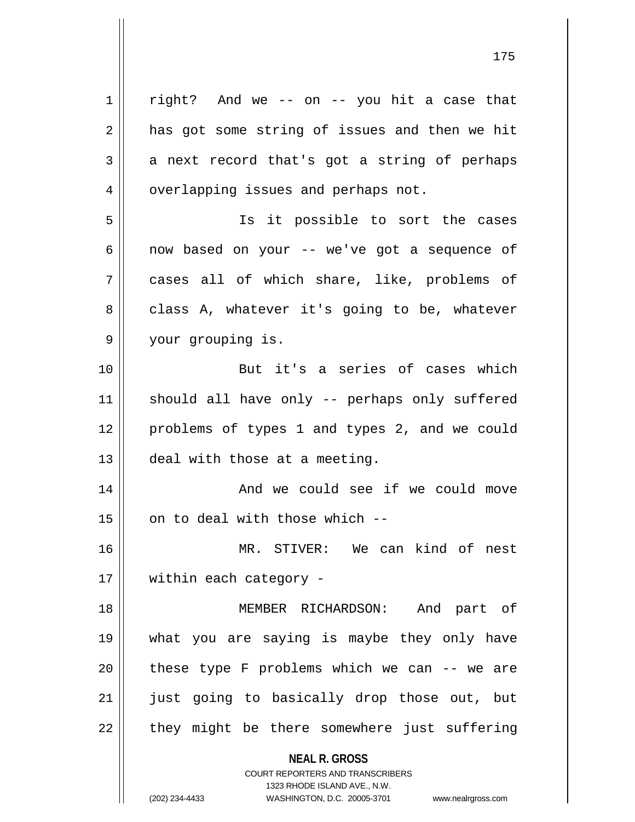**NEAL R. GROSS** COURT REPORTERS AND TRANSCRIBERS 1323 RHODE ISLAND AVE., N.W.  $1 \parallel$  right? And we -- on -- you hit a case that  $2 \parallel$  has got some string of issues and then we hit  $3 \parallel$  a next record that's got a string of perhaps 4 | overlapping issues and perhaps not. 5 || Is it possible to sort the cases  $6 \parallel$  now based on your -- we've got a sequence of 7 cases all of which share, like, problems of 8 class A, whatever it's going to be, whatever 9 your grouping is. 10 But it's a series of cases which 11 || should all have only -- perhaps only suffered 12 problems of types 1 and types 2, and we could 13 deal with those at a meeting. 14 And we could see if we could move  $15$  | on to deal with those which  $-$ 16 MR. STIVER: We can kind of nest 17 || within each category -18 MEMBER RICHARDSON: And part of 19 what you are saying is maybe they only have  $20$  || these type F problems which we can  $-$  we are 21 || just going to basically drop those out, but  $22$  || they might be there somewhere just suffering

(202) 234-4433 WASHINGTON, D.C. 20005-3701 www.nealrgross.com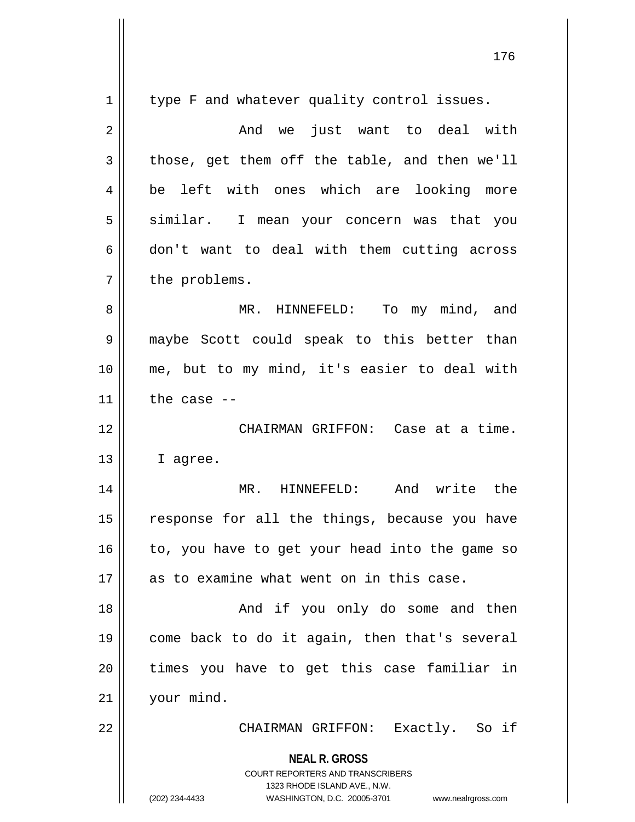| $\mathbf{1}$   | type F and whatever quality control issues.                                                                                                                            |  |  |  |  |  |
|----------------|------------------------------------------------------------------------------------------------------------------------------------------------------------------------|--|--|--|--|--|
| $\overline{2}$ | And we just want to deal with                                                                                                                                          |  |  |  |  |  |
| 3              | those, get them off the table, and then we'll                                                                                                                          |  |  |  |  |  |
| 4              | be left with ones which are looking more                                                                                                                               |  |  |  |  |  |
| 5              | similar. I mean your concern was that you                                                                                                                              |  |  |  |  |  |
| 6              | don't want to deal with them cutting across                                                                                                                            |  |  |  |  |  |
| 7              | the problems.                                                                                                                                                          |  |  |  |  |  |
| 8              | MR. HINNEFELD: To my mind, and                                                                                                                                         |  |  |  |  |  |
| 9              | maybe Scott could speak to this better than                                                                                                                            |  |  |  |  |  |
| 10             | me, but to my mind, it's easier to deal with                                                                                                                           |  |  |  |  |  |
| 11             | the case $-$                                                                                                                                                           |  |  |  |  |  |
| 12             | CHAIRMAN GRIFFON: Case at a time.                                                                                                                                      |  |  |  |  |  |
| 13             | I agree.                                                                                                                                                               |  |  |  |  |  |
| 14             | MR. HINNEFELD: And write the                                                                                                                                           |  |  |  |  |  |
| 15             | response for all the things, because you have                                                                                                                          |  |  |  |  |  |
| 16             | to, you have to get your head into the game so                                                                                                                         |  |  |  |  |  |
| 17             | as to examine what went on in this case.                                                                                                                               |  |  |  |  |  |
| 18             | And if you only do some and then                                                                                                                                       |  |  |  |  |  |
| 19             | come back to do it again, then that's several                                                                                                                          |  |  |  |  |  |
| 20             | times you have to get this case familiar in                                                                                                                            |  |  |  |  |  |
| 21             | your mind.                                                                                                                                                             |  |  |  |  |  |
| 22             | CHAIRMAN GRIFFON: Exactly. So if                                                                                                                                       |  |  |  |  |  |
|                | <b>NEAL R. GROSS</b><br><b>COURT REPORTERS AND TRANSCRIBERS</b><br>1323 RHODE ISLAND AVE., N.W.<br>WASHINGTON, D.C. 20005-3701<br>(202) 234-4433<br>www.nealrgross.com |  |  |  |  |  |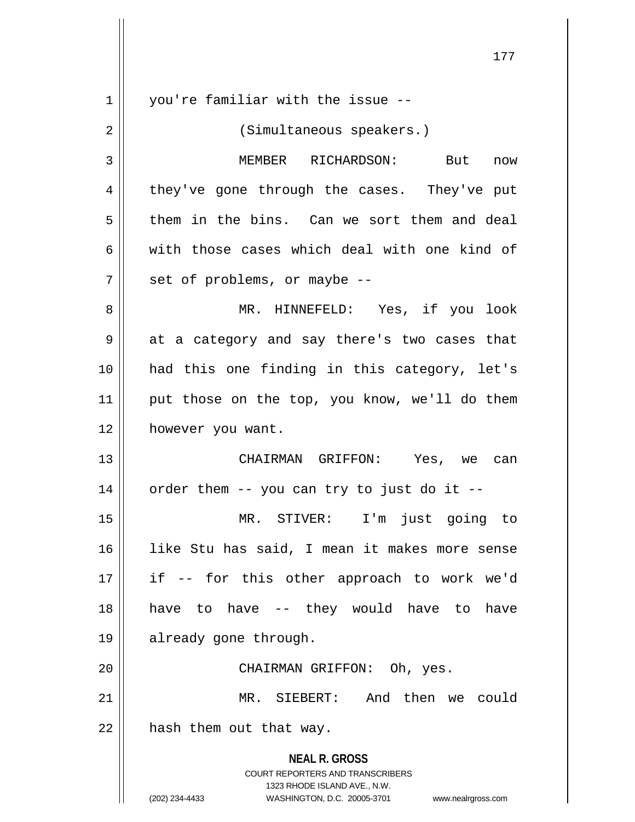**NEAL R. GROSS** COURT REPORTERS AND TRANSCRIBERS 1323 RHODE ISLAND AVE., N.W. (202) 234-4433 WASHINGTON, D.C. 20005-3701 www.nealrgross.com 1 || vou're familiar with the issue --2 || (Simultaneous speakers.) 3 | MEMBER RICHARDSON: But now 4 || they've gone through the cases. They've put  $5 \parallel$  them in the bins. Can we sort them and deal 6 with those cases which deal with one kind of  $7 \parallel$  set of problems, or maybe  $-$ 8 MR. HINNEFELD: Yes, if you look  $9 \parallel$  at a category and say there's two cases that 10 had this one finding in this category, let's 11 || put those on the top, you know, we'll do them 12 | however you want. 13 CHAIRMAN GRIFFON: Yes, we can  $14$  || order them -- you can try to just do it --15 MR. STIVER: I'm just going to 16 like Stu has said, I mean it makes more sense 17 if -- for this other approach to work we'd 18 || have to have -- they would have to have 19 || already gone through. 20 CHAIRMAN GRIFFON: Oh, yes. 21 MR. SIEBERT: And then we could  $22$  || hash them out that way.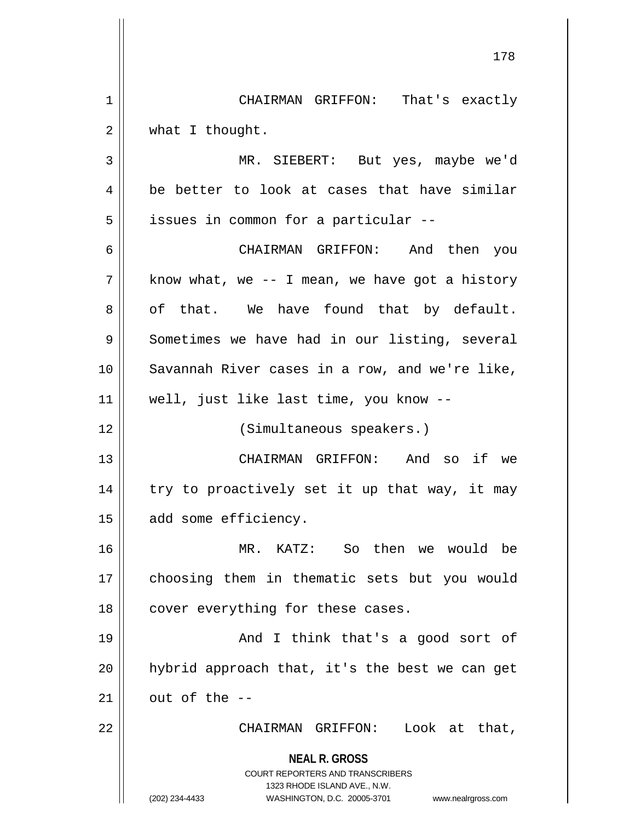**NEAL R. GROSS** COURT REPORTERS AND TRANSCRIBERS 1323 RHODE ISLAND AVE., N.W. (202) 234-4433 WASHINGTON, D.C. 20005-3701 www.nealrgross.com 1 CHAIRMAN GRIFFON: That's exactly 2 | what I thought. 3 MR. SIEBERT: But yes, maybe we'd  $4 \parallel$  be better to look at cases that have similar 5 | issues in common for a particular --6 CHAIRMAN GRIFFON: And then you  $7 \parallel$  know what, we -- I mean, we have got a history  $8 \parallel$  of that. We have found that by default.  $9 \parallel$  Sometimes we have had in our listing, several 10 || Savannah River cases in a row, and we're like, 11 well, just like last time, you know -- 12 || (Simultaneous speakers.) 13 CHAIRMAN GRIFFON: And so if we 14 || try to proactively set it up that way, it may 15 | add some efficiency. 16 MR. KATZ: So then we would be 17 || choosing them in thematic sets but you would 18 || cover everything for these cases. 19 || And I think that's a good sort of  $20$  || hybrid approach that, it's the best we can get  $21$   $\parallel$  out of the --22 CHAIRMAN GRIFFON: Look at that,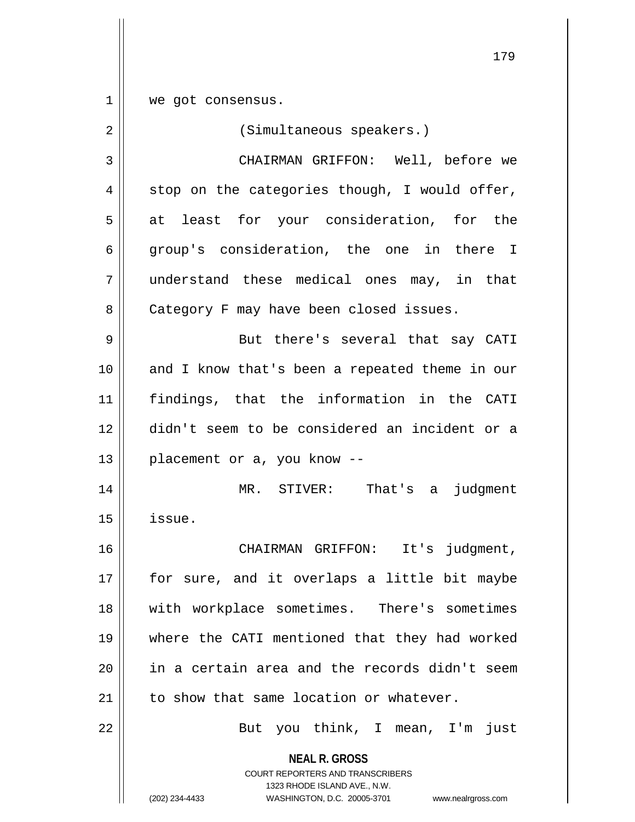1 | we got consensus.

| $\overline{2}$ | (Simultaneous speakers.)                                                                                                                                               |
|----------------|------------------------------------------------------------------------------------------------------------------------------------------------------------------------|
| 3              | CHAIRMAN GRIFFON: Well, before we                                                                                                                                      |
| 4              | stop on the categories though, I would offer,                                                                                                                          |
| 5              | at least for your consideration, for the                                                                                                                               |
| 6              | group's consideration, the one in there I                                                                                                                              |
| 7              | understand these medical ones may, in that                                                                                                                             |
| 8              | Category F may have been closed issues.                                                                                                                                |
| 9              | But there's several that say CATI                                                                                                                                      |
| 10             | and I know that's been a repeated theme in our                                                                                                                         |
| 11             | findings, that the information in the CATI                                                                                                                             |
| 12             | didn't seem to be considered an incident or a                                                                                                                          |
| 13             | placement or a, you know --                                                                                                                                            |
| 14             | MR. STIVER: That's a judgment                                                                                                                                          |
| 15             | issue.                                                                                                                                                                 |
| 16             | CHAIRMAN GRIFFON: It's judgment,                                                                                                                                       |
| 17             | for sure, and it overlaps a little bit maybe                                                                                                                           |
| 18             | with workplace sometimes. There's sometimes                                                                                                                            |
| 19             | where the CATI mentioned that they had worked                                                                                                                          |
| 20             | in a certain area and the records didn't seem                                                                                                                          |
| 21             | to show that same location or whatever.                                                                                                                                |
| 22             | But you think, I mean, I'm<br>just                                                                                                                                     |
|                | <b>NEAL R. GROSS</b><br><b>COURT REPORTERS AND TRANSCRIBERS</b><br>1323 RHODE ISLAND AVE., N.W.<br>(202) 234-4433<br>WASHINGTON, D.C. 20005-3701<br>www.nealrgross.com |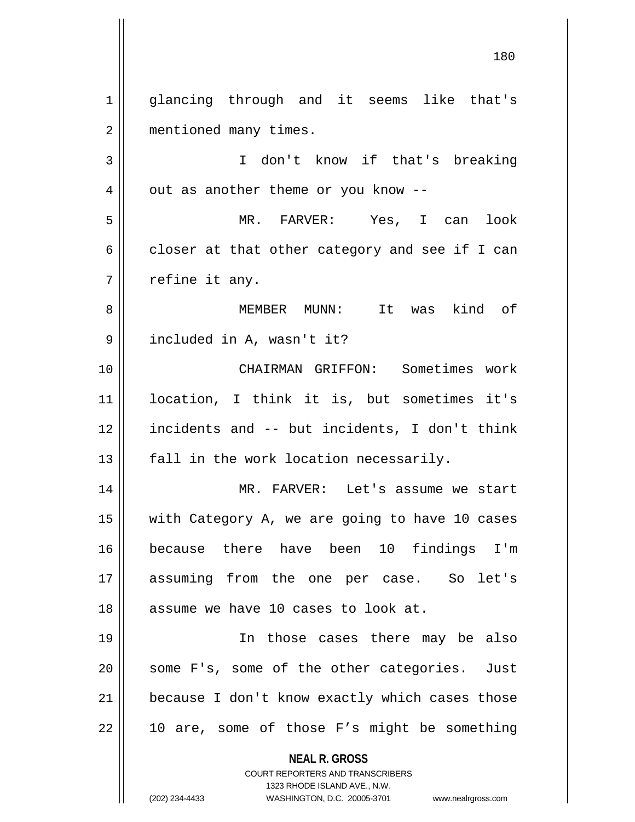**NEAL R. GROSS** COURT REPORTERS AND TRANSCRIBERS 1323 RHODE ISLAND AVE., N.W. (202) 234-4433 WASHINGTON, D.C. 20005-3701 www.nealrgross.com 1 || glancing through and it seems like that's 2 | mentioned many times. 3 || I don't know if that's breaking  $4 \parallel$  out as another theme or you know --5 MR. FARVER: Yes, I can look  $6 \parallel$  closer at that other category and see if I can  $7 \parallel$  refine it any. 8 MEMBER MUNN: It was kind of 9 || included in A, wasn't it? 10 CHAIRMAN GRIFFON: Sometimes work 11 location, I think it is, but sometimes it's 12 incidents and -- but incidents, I don't think  $13$  || fall in the work location necessarily. 14 MR. FARVER: Let's assume we start 15 with Category A, we are going to have 10 cases 16 because there have been 10 findings I'm 17 assuming from the one per case. So let's 18 || assume we have 10 cases to look at. 19 In those cases there may be also  $20$  || some F's, some of the other categories. Just 21 | because I don't know exactly which cases those  $22 \parallel$  10 are, some of those F's might be something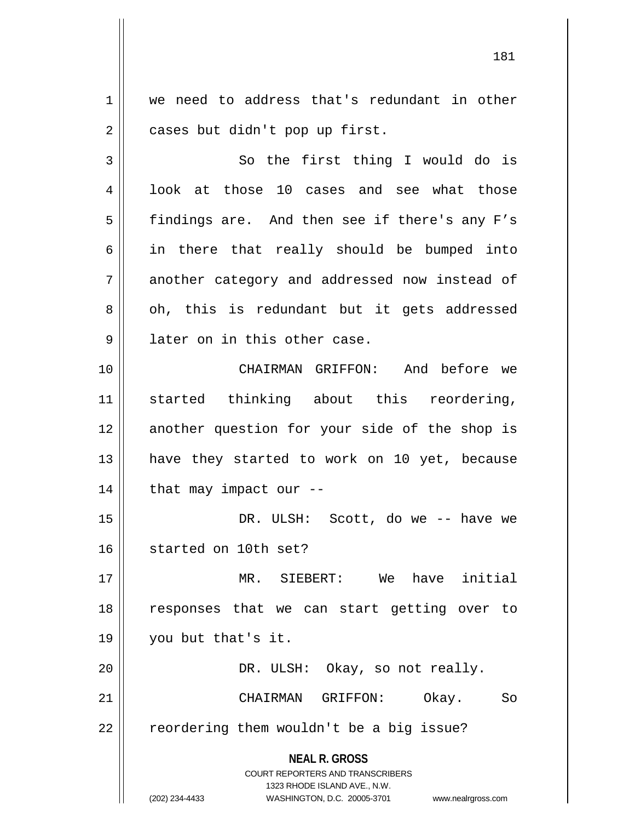1 we need to address that's redundant in other 2 | cases but didn't pop up first.

3 || So the first thing I would do is 4 || look at those 10 cases and see what those 5 | findings are. And then see if there's any F's  $6 \parallel$  in there that really should be bumped into 7 another category and addressed now instead of 8 || oh, this is redundant but it gets addressed 9 || later on in this other case. 10 CHAIRMAN GRIFFON: And before we

11 started thinking about this reordering, 12 || another question for your side of the shop is 13 || have they started to work on 10 yet, because  $14$  | that may impact our  $-$ 

15 DR. ULSH: Scott, do we -- have we 16 started on 10th set?

 MR. SIEBERT: We have initial responses that we can start getting over to you but that's it. 20 || DR. ULSH: Okay, so not really.

21 CHAIRMAN GRIFFON: Okay. So 22 | reordering them wouldn't be a big issue?

**NEAL R. GROSS**

COURT REPORTERS AND TRANSCRIBERS 1323 RHODE ISLAND AVE., N.W.

(202) 234-4433 WASHINGTON, D.C. 20005-3701 www.nealrgross.com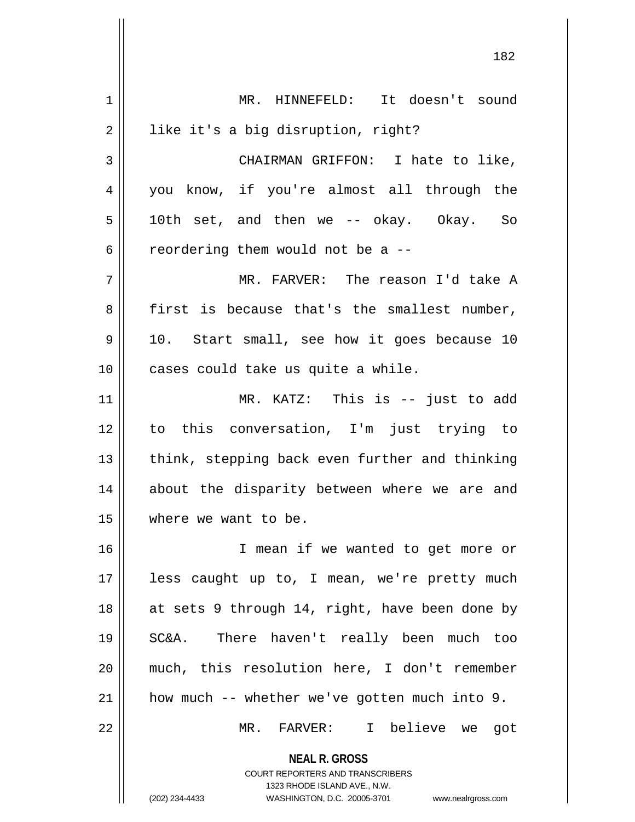**NEAL R. GROSS** COURT REPORTERS AND TRANSCRIBERS 1323 RHODE ISLAND AVE., N.W. (202) 234-4433 WASHINGTON, D.C. 20005-3701 www.nealrgross.com 1 MR. HINNEFELD: It doesn't sound 2 | like it's a big disruption, right? 3 || CHAIRMAN GRIFFON: I hate to like, 4 you know, if you're almost all through the  $5 \parallel$  10th set, and then we -- okay. Okay. So 6  $\parallel$  reordering them would not be a  $-$ 7 MR. FARVER: The reason I'd take A  $8 \parallel$  first is because that's the smallest number,  $9 \parallel 10$ . Start small, see how it goes because 10 10 || cases could take us quite a while. 11 || MR. KATZ: This is -- just to add 12 to this conversation, I'm just trying to 13 || think, stepping back even further and thinking 14 || about the disparity between where we are and 15 | where we want to be. 16 I mean if we wanted to get more or 17 || less caught up to, I mean, we're pretty much 18 || at sets 9 through 14, right, have been done by 19 SC&A. There haven't really been much too 20 much, this resolution here, I don't remember 21 how much -- whether we've gotten much into 9. 22 MR. FARVER: I believe we got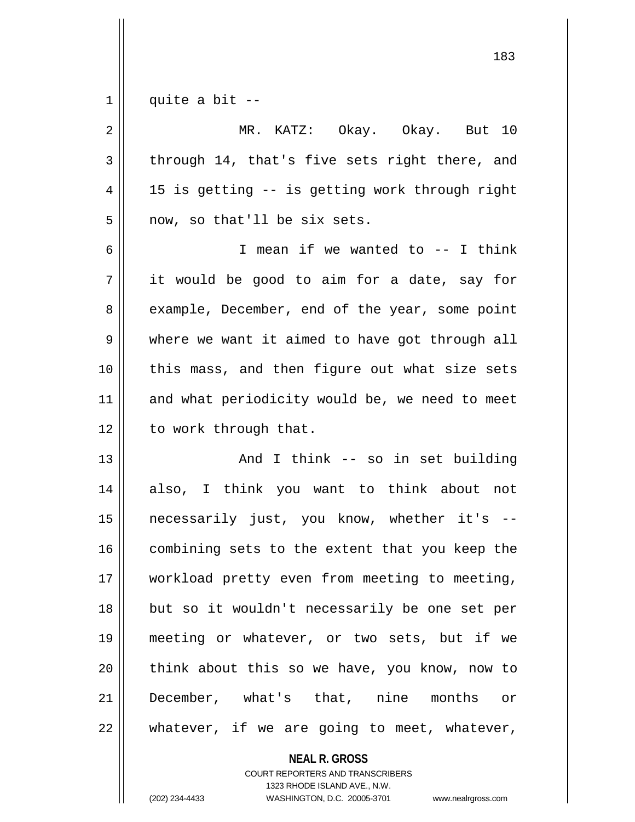$1 \parallel$  quite a bit --

| $\sqrt{2}$     | MR. KATZ: Okay. Okay. But 10                   |
|----------------|------------------------------------------------|
| $\mathfrak{Z}$ | through 14, that's five sets right there, and  |
| 4              | 15 is getting -- is getting work through right |
| 5              | now, so that'll be six sets.                   |
| 6              | I mean if we wanted to -- I think              |
| 7              | it would be good to aim for a date, say for    |
| 8              | example, December, end of the year, some point |
| 9              | where we want it aimed to have got through all |
| 10             | this mass, and then figure out what size sets  |
| 11             | and what periodicity would be, we need to meet |
| 12             | to work through that.                          |
| 13             | And I think -- so in set building              |
| 14             | also, I think you want to think about not      |
| 15             | necessarily just, you know, whether it's --    |
| 16             | combining sets to the extent that you keep the |
| 17             | workload pretty even from meeting to meeting,  |
| 18             | but so it wouldn't necessarily be one set per  |
| 19             | meeting or whatever, or two sets, but if we    |
| 20             | think about this so we have, you know, now to  |
| 21             | December, what's that, nine months or          |
| 22             | whatever, if we are going to meet, whatever,   |

**NEAL R. GROSS** COURT REPORTERS AND TRANSCRIBERS

1323 RHODE ISLAND AVE., N.W. (202) 234-4433 WASHINGTON, D.C. 20005-3701 www.nealrgross.com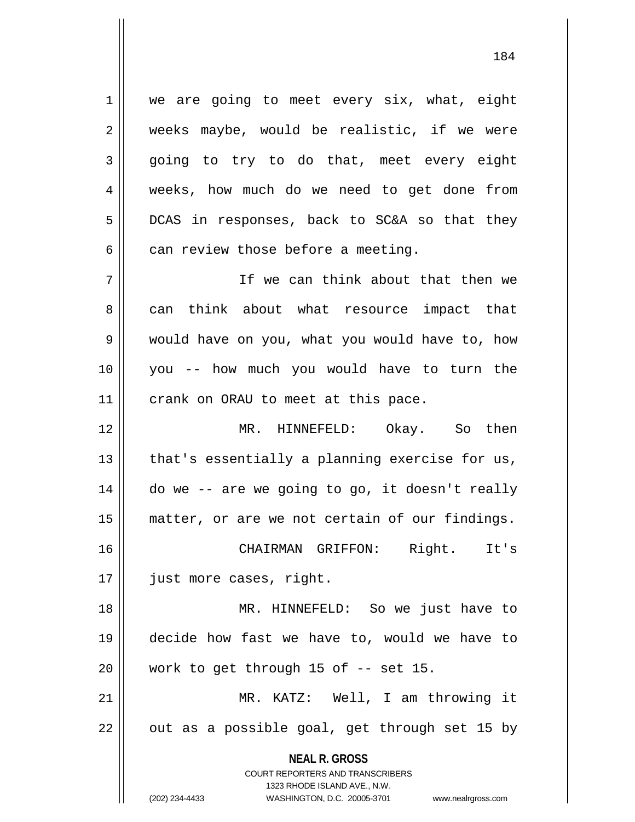1 || we are going to meet every six, what, eight  $2 \parallel$  weeks maybe, would be realistic, if we were  $3 \parallel$  going to try to do that, meet every eight 4 weeks, how much do we need to get done from  $5 \parallel$  DCAS in responses, back to SC&A so that they  $6 \parallel$  can review those before a meeting.

7 If we can think about that then we 8 can think about what resource impact that 9 would have on you, what you would have to, how 10 you -- how much you would have to turn the 11 || crank on ORAU to meet at this pace.

 MR. HINNEFELD: Okay. So then | that's essentially a planning exercise for us, | do we -- are we going to go, it doesn't really 15 || matter, or are we not certain of our findings. CHAIRMAN GRIFFON: Right. It's

17 just more cases, right.

18 MR. HINNEFELD: So we just have to 19 decide how fast we have to, would we have to  $20$  | work to get through 15 of  $-$  set 15.

21 MR. KATZ: Well, I am throwing it  $22$  || out as a possible goal, get through set 15 by

> **NEAL R. GROSS** COURT REPORTERS AND TRANSCRIBERS

> > 1323 RHODE ISLAND AVE., N.W.

(202) 234-4433 WASHINGTON, D.C. 20005-3701 www.nealrgross.com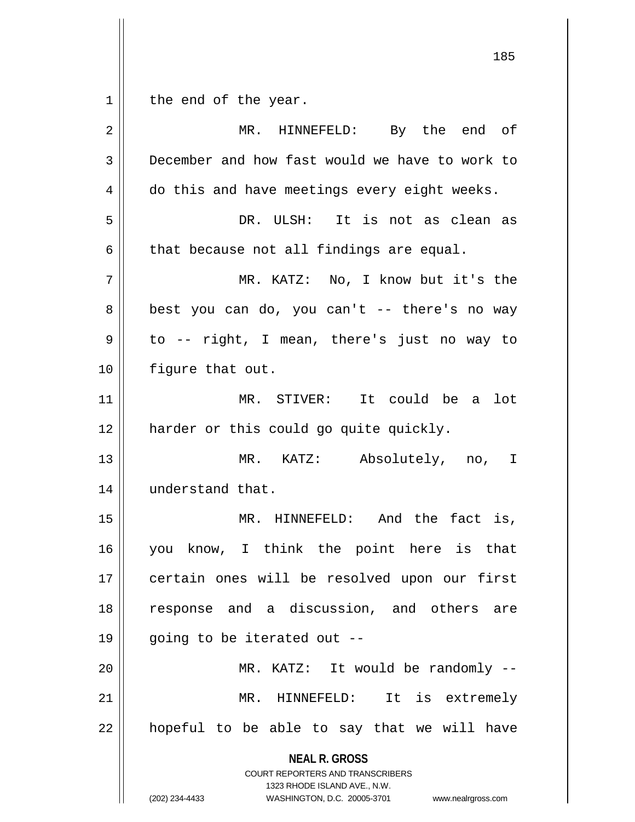the end of the year.

| $\overline{2}$ | HINNEFELD: By the end of<br>MR.                                                                                                                                        |
|----------------|------------------------------------------------------------------------------------------------------------------------------------------------------------------------|
| $\mathbf{3}$   | December and how fast would we have to work to                                                                                                                         |
| 4              | do this and have meetings every eight weeks.                                                                                                                           |
| 5              | DR. ULSH: It is not as clean as                                                                                                                                        |
| 6              | that because not all findings are equal.                                                                                                                               |
| 7              | MR. KATZ: No, I know but it's the                                                                                                                                      |
| 8              | best you can do, you can't -- there's no way                                                                                                                           |
| 9              | to -- right, I mean, there's just no way to                                                                                                                            |
| 10             | figure that out.                                                                                                                                                       |
| 11             | MR. STIVER: It could be a<br>lot                                                                                                                                       |
| 12             | harder or this could go quite quickly.                                                                                                                                 |
| 13             | MR. KATZ: Absolutely, no, I                                                                                                                                            |
| 14             | understand that.                                                                                                                                                       |
| 15             | MR. HINNEFELD: And the fact is,                                                                                                                                        |
| 16             | you know, I think the point here is that                                                                                                                               |
| 17             | certain ones will be resolved upon our first                                                                                                                           |
| 18             | response and a discussion, and others are                                                                                                                              |
| 19             | going to be iterated out --                                                                                                                                            |
| 20             | MR. KATZ: It would be randomly --                                                                                                                                      |
| 21             | HINNEFELD:<br>is extremely<br>MR.<br>It                                                                                                                                |
| 22             | hopeful to be able to say that we will have                                                                                                                            |
|                | <b>NEAL R. GROSS</b><br><b>COURT REPORTERS AND TRANSCRIBERS</b><br>1323 RHODE ISLAND AVE., N.W.<br>(202) 234-4433<br>WASHINGTON, D.C. 20005-3701<br>www.nealrgross.com |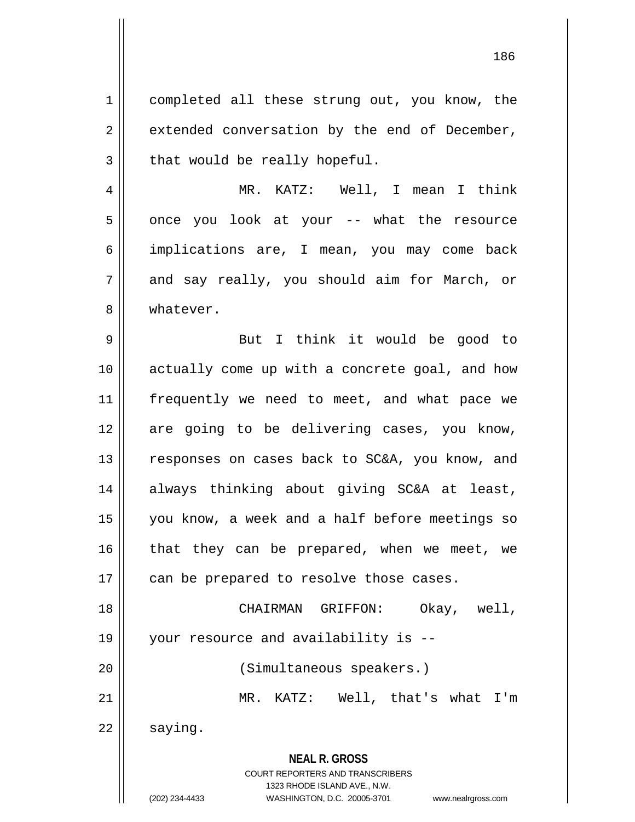1 | completed all these strung out, you know, the  $2 \parallel$  extended conversation by the end of December,  $3 \parallel$  that would be really hopeful.

4 MR. KATZ: Well, I mean I think 5 || once you look at your -- what the resource 6 implications are, I mean, you may come back  $7 \parallel$  and say really, you should aim for March, or 8 Whatever.

9 || But I think it would be good to 10 actually come up with a concrete goal, and how 11 || frequently we need to meet, and what pace we 12 are going to be delivering cases, you know, 13 || responses on cases back to SC&A, you know, and 14 always thinking about giving SC&A at least, 15 you know, a week and a half before meetings so  $16$  that they can be prepared, when we meet, we  $17$  | can be prepared to resolve those cases. 18 CHAIRMAN GRIFFON: Okay, well,

19 your resource and availability is -- 20 (Simultaneous speakers.)

21 MR. KATZ: Well, that's what I'm

 $22 \parallel$  saying.

**NEAL R. GROSS** COURT REPORTERS AND TRANSCRIBERS

1323 RHODE ISLAND AVE., N.W.

(202) 234-4433 WASHINGTON, D.C. 20005-3701 www.nealrgross.com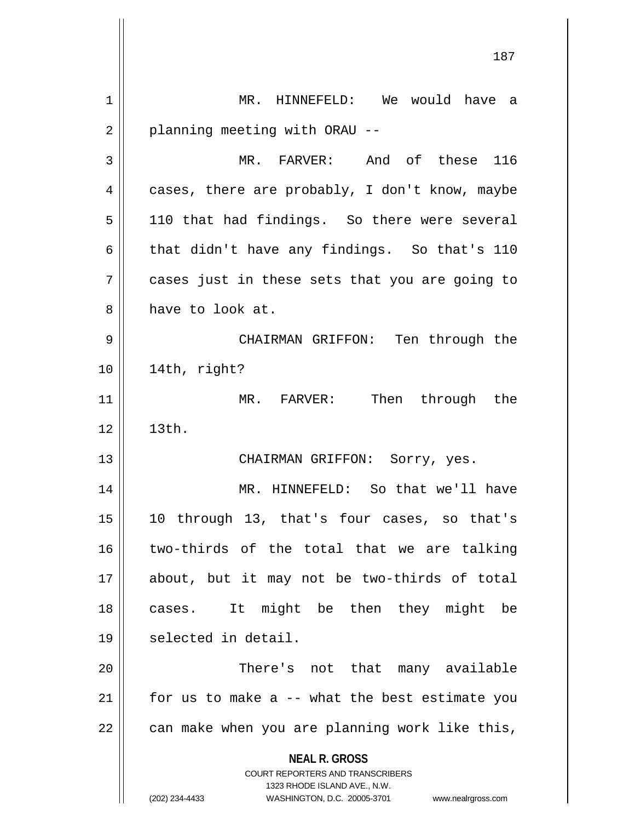| 1  | MR. HINNEFELD: We would have a                                      |
|----|---------------------------------------------------------------------|
| 2  | planning meeting with ORAU --                                       |
| 3  | MR. FARVER: And of these 116                                        |
| 4  | cases, there are probably, I don't know, maybe                      |
| 5  | 110 that had findings. So there were several                        |
| 6  | that didn't have any findings. So that's 110                        |
| 7  | cases just in these sets that you are going to                      |
| 8  | have to look at.                                                    |
| 9  | CHAIRMAN GRIFFON: Ten through the                                   |
| 10 | 14th, right?                                                        |
| 11 | MR. FARVER: Then through the                                        |
| 12 | 13th.                                                               |
| 13 | CHAIRMAN GRIFFON: Sorry, yes.                                       |
| 14 | MR. HINNEFELD: So that we'll have                                   |
| 15 | 10 through 13, that's four cases, so that's                         |
| 16 | two-thirds of the total that we are talking                         |
| 17 | about, but it may not be two-thirds of total                        |
| 18 | It might be then they might be<br>cases.                            |
| 19 | selected in detail.                                                 |
| 20 | There's not that many available                                     |
| 21 | for us to make a -- what the best estimate you                      |
| 22 | can make when you are planning work like this,                      |
|    | <b>NEAL R. GROSS</b><br><b>COURT REPORTERS AND TRANSCRIBERS</b>     |
|    | 1323 RHODE ISLAND AVE., N.W.                                        |
|    | (202) 234-4433<br>WASHINGTON, D.C. 20005-3701<br>www.nealrgross.com |

H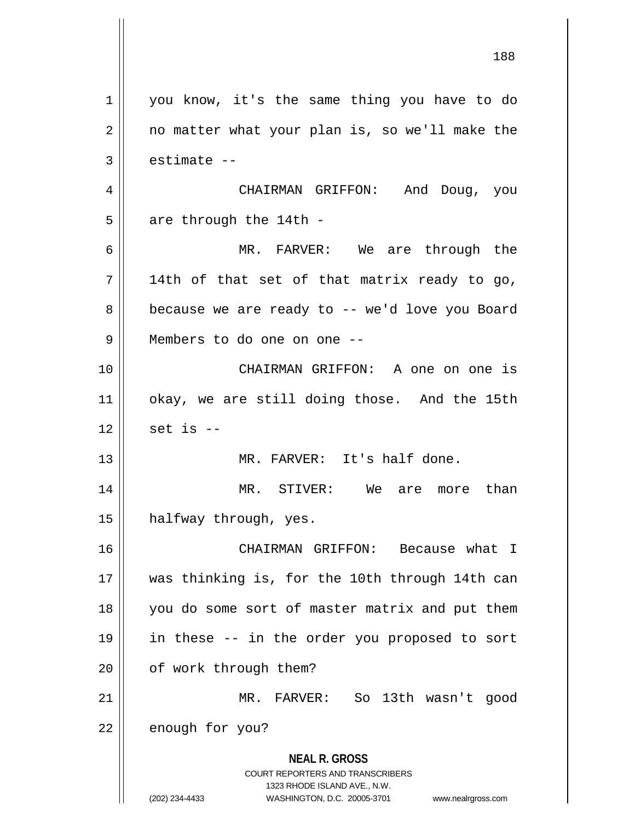**NEAL R. GROSS** COURT REPORTERS AND TRANSCRIBERS 1323 RHODE ISLAND AVE., N.W. (202) 234-4433 WASHINGTON, D.C. 20005-3701 www.nealrgross.com 188 1 | you know, it's the same thing you have to do  $2 \parallel$  no matter what your plan is, so we'll make the  $3 \parallel$  estimate  $-$ 4 CHAIRMAN GRIFFON: And Doug, you  $5$  | are through the 14th -6 MR. FARVER: We are through the  $7 \parallel$  14th of that set of that matrix ready to go,  $8 \parallel$  because we are ready to -- we'd love you Board 9 Members to do one on one -- 10 CHAIRMAN GRIFFON: A one on one is 11 || okay, we are still doing those. And the 15th  $12$  | set is --13 MR. FARVER: It's half done. 14 MR. STIVER: We are more than 15 | halfway through, yes. 16 CHAIRMAN GRIFFON: Because what I 17 was thinking is, for the 10th through 14th can 18 you do some sort of master matrix and put them 19 in these -- in the order you proposed to sort 20 | of work through them? 21 MR. FARVER: So 13th wasn't good 22 | enough for you?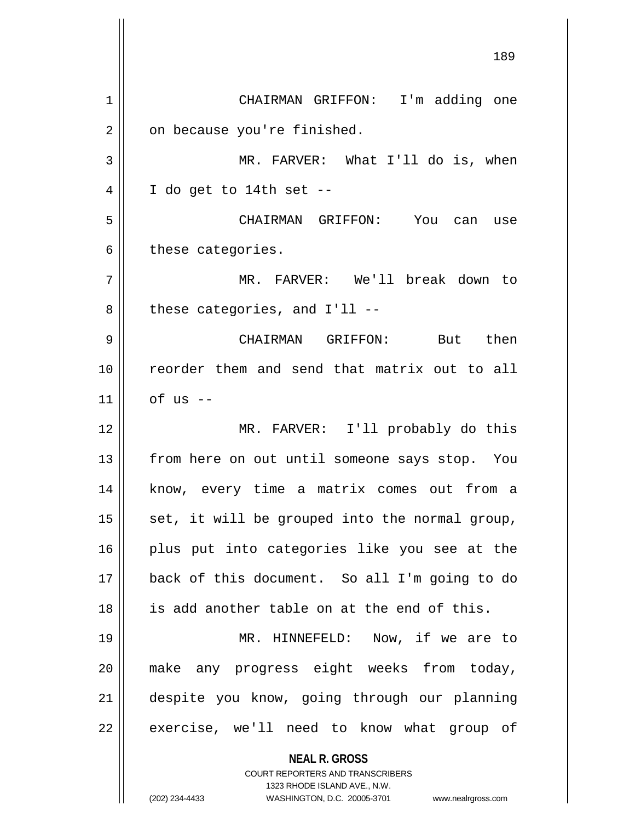**NEAL R. GROSS** COURT REPORTERS AND TRANSCRIBERS 1323 RHODE ISLAND AVE., N.W. 189 1 CHAIRMAN GRIFFON: I'm adding one  $2 \parallel$  on because you're finished. 3 MR. FARVER: What I'll do is, when  $4 \parallel$  I do get to 14th set --5 CHAIRMAN GRIFFON: You can use  $6 \parallel$  these categories. 7 MR. FARVER: We'll break down to  $8 \parallel$  these categories, and I'll --9 CHAIRMAN GRIFFON: But then 10 || reorder them and send that matrix out to all  $11$  of us  $-$ 12 MR. FARVER: I'll probably do this 13 || from here on out until someone says stop. You 14 || know, every time a matrix comes out from a  $15$  set, it will be grouped into the normal group, 16 || plus put into categories like you see at the 17 back of this document. So all I'm going to do 18 is add another table on at the end of this. 19 MR. HINNEFELD: Now, if we are to 20 || make any progress eight weeks from today, 21 despite you know, going through our planning  $22$  | exercise, we'll need to know what group of

(202) 234-4433 WASHINGTON, D.C. 20005-3701 www.nealrgross.com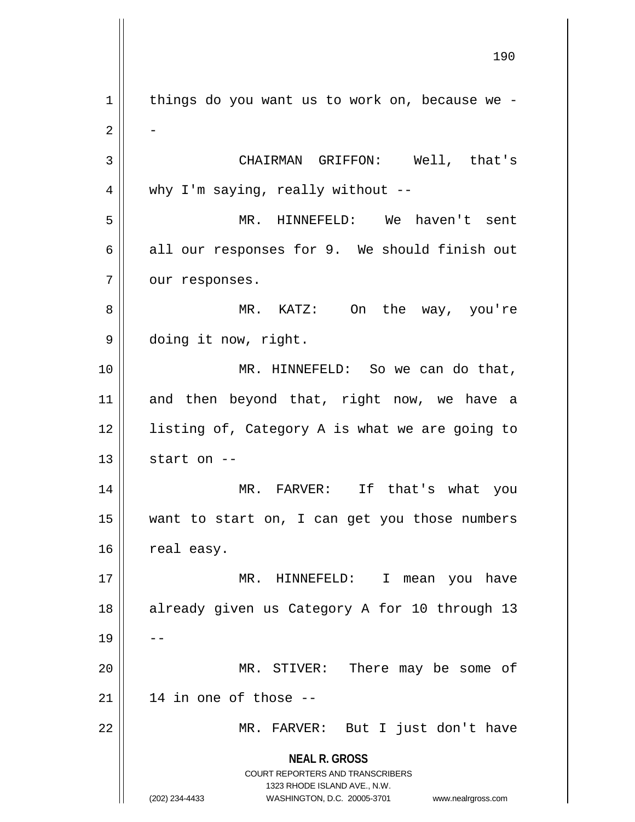**NEAL R. GROSS** COURT REPORTERS AND TRANSCRIBERS 1323 RHODE ISLAND AVE., N.W. (202) 234-4433 WASHINGTON, D.C. 20005-3701 www.nealrgross.com  $1$  | things do you want us to work on, because we - $\overline{2}$ 3 || CHAIRMAN GRIFFON: Well, that's  $4 \parallel$  why I'm saying, really without --5 MR. HINNEFELD: We haven't sent  $6 \parallel$  all our responses for 9. We should finish out  $7$  || our responses. 8 MR. KATZ: On the way, you're 9 doing it now, right. 10 MR. HINNEFELD: So we can do that, 11 and then beyond that, right now, we have a 12 || listing of, Category A is what we are going to  $13$   $\parallel$  start on --14 MR. FARVER: If that's what you 15 want to start on, I can get you those numbers  $16$  real easy. 17 || MR. HINNEFELD: I mean you have 18 || already given us Category A for 10 through 13  $19 \parallel -$ 20 || MR. STIVER: There may be some of  $21$  | 14 in one of those --22 MR. FARVER: But I just don't have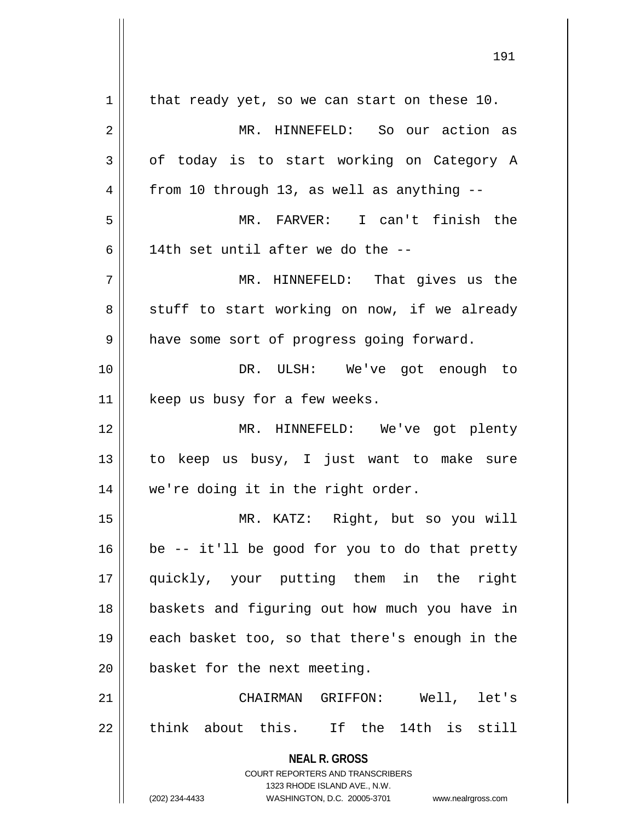| 1  | that ready yet, so we can start on these 10.                        |
|----|---------------------------------------------------------------------|
| 2  | MR. HINNEFELD: So our action as                                     |
| 3  | of today is to start working on Category A                          |
| 4  | from 10 through 13, as well as anything --                          |
| 5  | MR. FARVER: I can't finish the                                      |
| 6  | 14th set until after we do the --                                   |
| 7  | MR. HINNEFELD: That gives us the                                    |
| 8  | stuff to start working on now, if we already                        |
| 9  | have some sort of progress going forward.                           |
| 10 | DR. ULSH: We've got enough to                                       |
| 11 | keep us busy for a few weeks.                                       |
| 12 | MR. HINNEFELD: We've got plenty                                     |
| 13 | to keep us busy, I just want to make sure                           |
| 14 | we're doing it in the right order.                                  |
| 15 | MR. KATZ: Right, but so you will                                    |
| 16 | be -- it'll be good for you to do that pretty                       |
| 17 | quickly, your putting them in the right                             |
| 18 | baskets and figuring out how much you have in                       |
| 19 | each basket too, so that there's enough in the                      |
| 20 | basket for the next meeting.                                        |
| 21 | CHAIRMAN GRIFFON: Well, let's                                       |
| 22 | think about this. If the 14th is still                              |
|    |                                                                     |
|    | <b>NEAL R. GROSS</b><br><b>COURT REPORTERS AND TRANSCRIBERS</b>     |
|    | 1323 RHODE ISLAND AVE., N.W.                                        |
|    | (202) 234-4433<br>WASHINGTON, D.C. 20005-3701<br>www.nealrgross.com |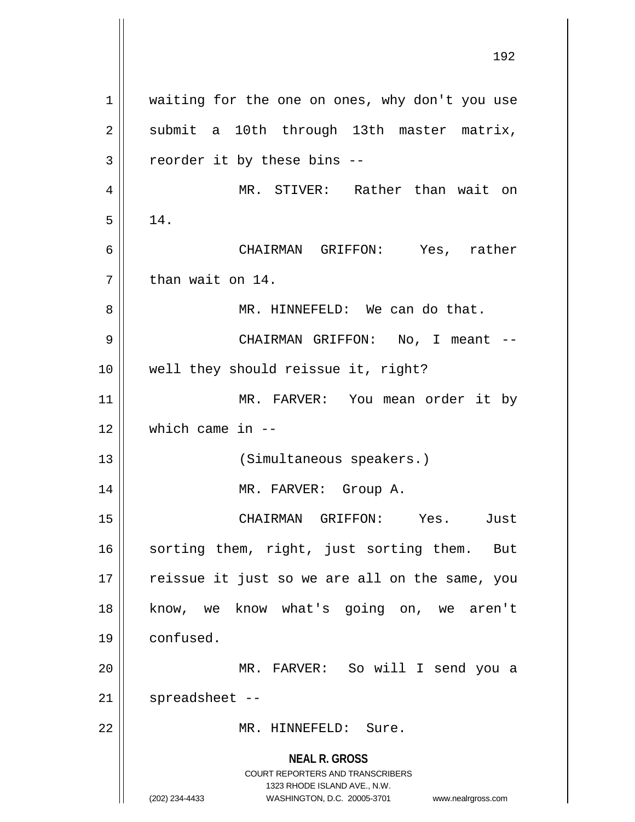**NEAL R. GROSS** COURT REPORTERS AND TRANSCRIBERS 1323 RHODE ISLAND AVE., N.W. (202) 234-4433 WASHINGTON, D.C. 20005-3701 www.nealrgross.com 192 1 | waiting for the one on ones, why don't you use  $2 \parallel$  submit a 10th through 13th master matrix,  $3 \parallel$  reorder it by these bins --4 MR. STIVER: Rather than wait on  $5 \parallel 14.$ 6 CHAIRMAN GRIFFON: Yes, rather  $7 \parallel$  than wait on 14. 8 MR. HINNEFELD: We can do that. 9 CHAIRMAN GRIFFON: No, I meant -- 10 well they should reissue it, right? 11 || MR. FARVER: You mean order it by 12 which came in -- 13 || (Simultaneous speakers.) 14 MR. FARVER: Group A. 15 CHAIRMAN GRIFFON: Yes. Just 16 || sorting them, right, just sorting them. But  $17$  | reissue it just so we are all on the same, you 18 || know, we know what's going on, we aren't 19 confused. 20 MR. FARVER: So will I send you a  $21$  | spreadsheet --22 MR. HINNEFELD: Sure.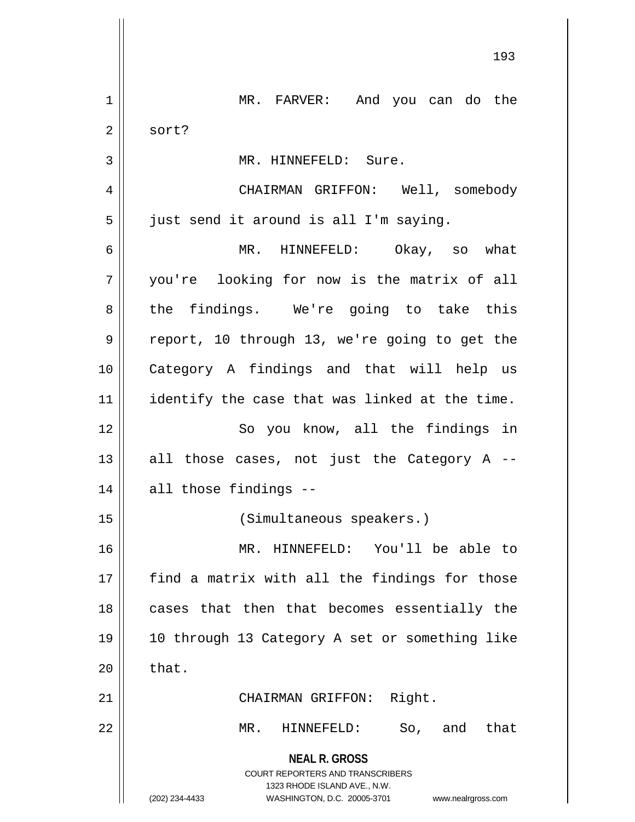**NEAL R. GROSS** COURT REPORTERS AND TRANSCRIBERS 1323 RHODE ISLAND AVE., N.W. (202) 234-4433 WASHINGTON, D.C. 20005-3701 www.nealrgross.com 1 || MR. FARVER: And you can do the  $2 \parallel$  sort? 3 | MR. HINNEFELD: Sure. 4 CHAIRMAN GRIFFON: Well, somebody  $5 \parallel$  just send it around is all I'm saying. 6 MR. HINNEFELD: Okay, so what 7 you're looking for now is the matrix of all 8 the findings. We're going to take this 9 || report, 10 through 13, we're going to get the 10 Category A findings and that will help us 11 || identify the case that was linked at the time. 12 || So you know, all the findings in 13  $\parallel$  all those cases, not just the Category A --14 || all those findings --15 (Simultaneous speakers.) 16 MR. HINNEFELD: You'll be able to  $17$  || find a matrix with all the findings for those 18 || cases that then that becomes essentially the 19 10 through 13 Category A set or something like  $20$   $\parallel$  that. 21 || CHAIRMAN GRIFFON: Right. 22 MR. HINNEFELD: So, and that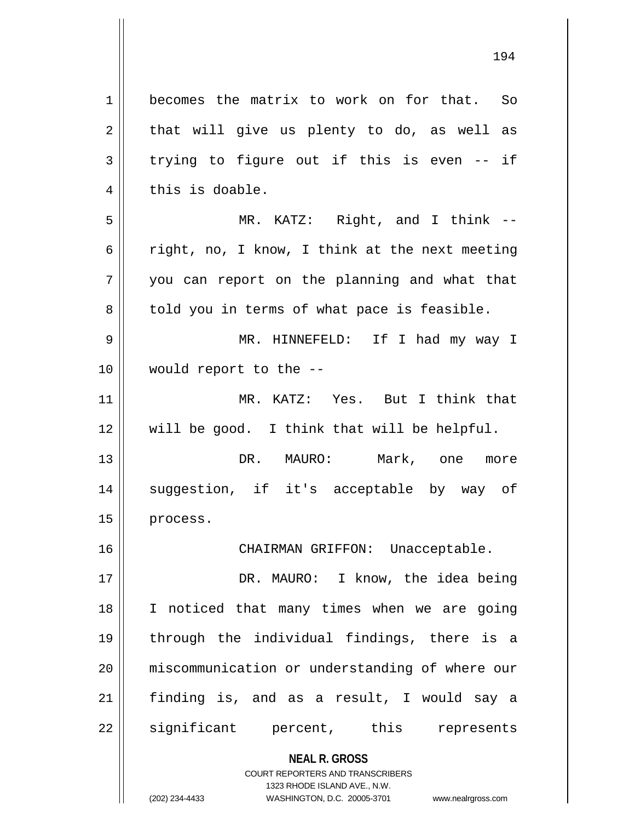**NEAL R. GROSS** COURT REPORTERS AND TRANSCRIBERS 1 becomes the matrix to work on for that. So  $2 \parallel$  that will give us plenty to do, as well as  $3 \parallel$  trying to figure out if this is even -- if 4 | this is doable. 5 MR. KATZ: Right, and I think -- 6 |  $\epsilon$  right, no, I know, I think at the next meeting 7 you can report on the planning and what that  $8 \parallel$  told you in terms of what pace is feasible. 9 MR. HINNEFELD: If I had my way I 10 would report to the -- 11 MR. KATZ: Yes. But I think that 12 will be good. I think that will be helpful. 13 DR. MAURO: Mark, one more 14 || suggestion, if it's acceptable by way of 15 | process. 16 CHAIRMAN GRIFFON: Unacceptable. 17 DR. MAURO: I know, the idea being 18 I noticed that many times when we are going 19 through the individual findings, there is a 20 miscommunication or understanding of where our 21 finding is, and as a result, I would say a 22 || significant percent, this represents

1323 RHODE ISLAND AVE., N.W.

(202) 234-4433 WASHINGTON, D.C. 20005-3701 www.nealrgross.com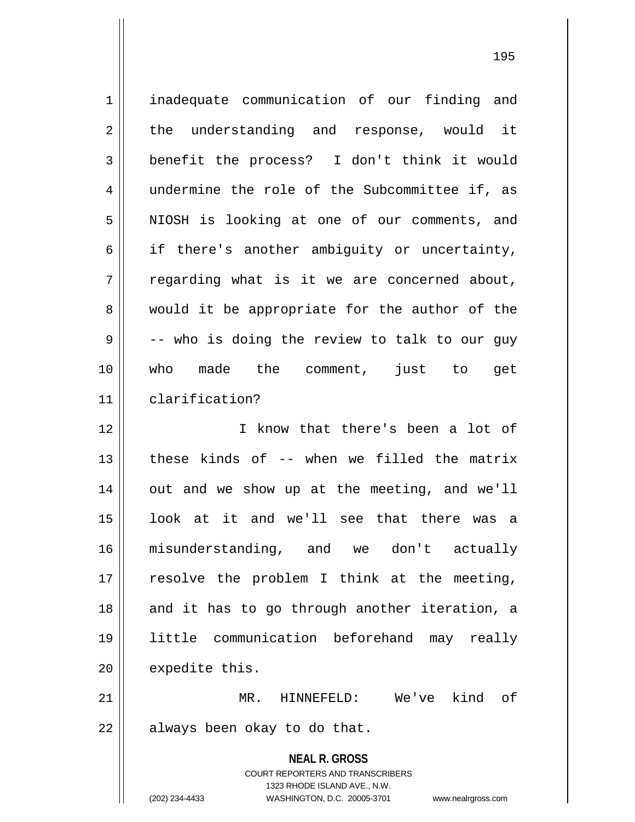| $\mathbf 1$    | inadequate communication of our finding and                                                                                                                            |
|----------------|------------------------------------------------------------------------------------------------------------------------------------------------------------------------|
| $\sqrt{2}$     | the understanding and response, would it                                                                                                                               |
| 3              | benefit the process? I don't think it would                                                                                                                            |
| $\overline{4}$ | undermine the role of the Subcommittee if, as                                                                                                                          |
| 5              | NIOSH is looking at one of our comments, and                                                                                                                           |
| $\epsilon$     | if there's another ambiguity or uncertainty,                                                                                                                           |
| 7              | regarding what is it we are concerned about,                                                                                                                           |
| 8              | would it be appropriate for the author of the                                                                                                                          |
| 9              | -- who is doing the review to talk to our guy                                                                                                                          |
| 10             | who made the comment, just to get                                                                                                                                      |
| 11             | clarification?                                                                                                                                                         |
| 12             | I know that there's been a lot of                                                                                                                                      |
| 13             | these kinds of -- when we filled the matrix                                                                                                                            |
| 14             | out and we show up at the meeting, and we'll                                                                                                                           |
| 15             | look at it and we'll see that there was a                                                                                                                              |
| 16             | misunderstanding, and we don't actually                                                                                                                                |
| 17             | resolve the problem I think at the meeting,                                                                                                                            |
| 18             | and it has to go through another iteration, a                                                                                                                          |
| 19             | little communication beforehand may really                                                                                                                             |
| 20             | expedite this.                                                                                                                                                         |
| 21             | MR.<br>We've<br>kind of<br>HINNEFELD:                                                                                                                                  |
| 22             | always been okay to do that.                                                                                                                                           |
|                | <b>NEAL R. GROSS</b><br><b>COURT REPORTERS AND TRANSCRIBERS</b><br>1323 RHODE ISLAND AVE., N.W.<br>(202) 234-4433<br>WASHINGTON, D.C. 20005-3701<br>www.nealrgross.com |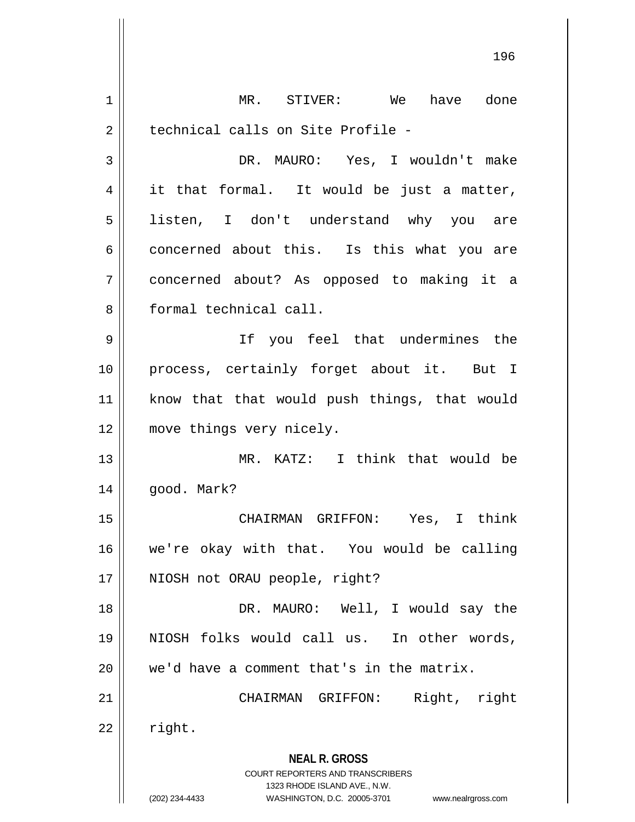**NEAL R. GROSS** COURT REPORTERS AND TRANSCRIBERS 1323 RHODE ISLAND AVE., N.W. (202) 234-4433 WASHINGTON, D.C. 20005-3701 www.nealrgross.com 1 || MR. STIVER: We have done 2 | technical calls on Site Profile -3 DR. MAURO: Yes, I wouldn't make  $4 \parallel$  it that formal. It would be just a matter, 5 || listen, I don't understand why you are  $6 \parallel$  concerned about this. Is this what you are 7 concerned about? As opposed to making it a 8 formal technical call. 9 If you feel that undermines the 10 process, certainly forget about it. But I 11 || know that that would push things, that would 12 || move things very nicely. 13 MR. KATZ: I think that would be 14 good. Mark? 15 CHAIRMAN GRIFFON: Yes, I think 16 we're okay with that. You would be calling 17 || NIOSH not ORAU people, right? 18 DR. MAURO: Well, I would say the 19 NIOSH folks would call us. In other words,  $20$  | we'd have a comment that's in the matrix. 21 || CHAIRMAN GRIFFON: Right, right  $22$  right.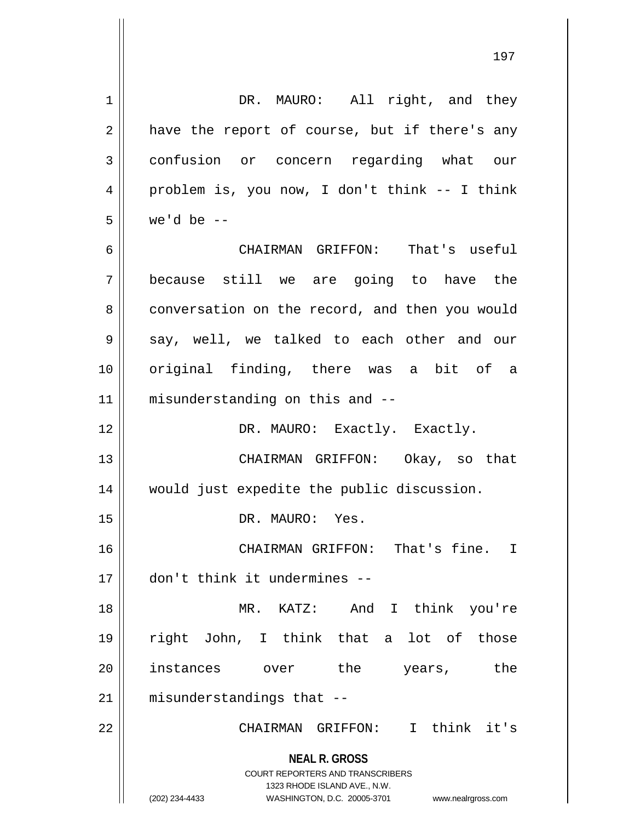**NEAL R. GROSS** COURT REPORTERS AND TRANSCRIBERS 1323 RHODE ISLAND AVE., N.W. 1 || DR. MAURO: All right, and they  $2 \parallel$  have the report of course, but if there's any 3 confusion or concern regarding what our 4 problem is, you now, I don't think -- I think  $5 \parallel$  we'd be  $-$ 6 CHAIRMAN GRIFFON: That's useful 7 because still we are going to have the 8 | conversation on the record, and then you would 9 || say, well, we talked to each other and our 10 original finding, there was a bit of a 11 || misunderstanding on this and --12 || DR. MAURO: Exactly. Exactly. 13 CHAIRMAN GRIFFON: Okay, so that 14 would just expedite the public discussion. 15 || DR. MAURO: Yes. 16 CHAIRMAN GRIFFON: That's fine. I 17 don't think it undermines -- 18 MR. KATZ: And I think you're 19 right John, I think that a lot of those 20 instances over the years, the 21 || misunderstandings that --22 CHAIRMAN GRIFFON: I think it's

<sup>(202) 234-4433</sup> WASHINGTON, D.C. 20005-3701 www.nealrgross.com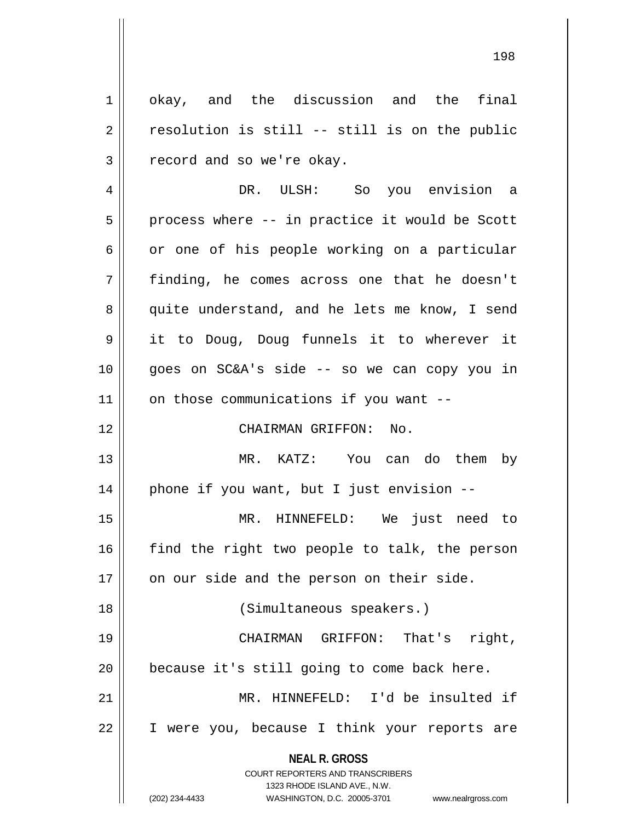1 | okay, and the discussion and the final  $2 \parallel$  resolution is still -- still is on the public  $3 \parallel$  record and so we're okay.

 DR. ULSH: So you envision a  $5 \parallel$  process where -- in practice it would be Scott  $6 \parallel$  or one of his people working on a particular finding, he comes across one that he doesn't 8 || quite understand, and he lets me know, I send it to Doug, Doug funnels it to wherever it goes on SC&A's side -- so we can copy you in on those communications if you want  $-$ CHAIRMAN GRIFFON: No.

 MR. KATZ: You can do them by || phone if you want, but I just envision  $-$ 

 MR. HINNEFELD: We just need to find the right two people to talk, the person | on our side and the person on their side.

 CHAIRMAN GRIFFON: That's right, | because it's still going to come back here. MR. HINNEFELD: I'd be insulted if I were you, because I think your reports are

(Simultaneous speakers.)

**NEAL R. GROSS** COURT REPORTERS AND TRANSCRIBERS

1323 RHODE ISLAND AVE., N.W.

(202) 234-4433 WASHINGTON, D.C. 20005-3701 www.nealrgross.com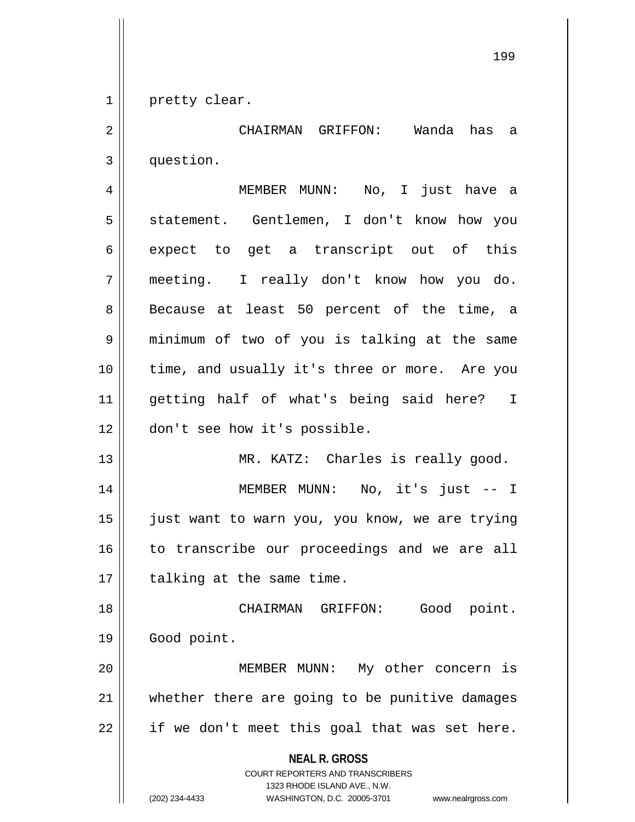1 || pretty clear.

2 CHAIRMAN GRIFFON: Wanda has a 3 | question.

 MEMBER MUNN: No, I just have a 5 || statement. Gentlemen, I don't know how you 6 expect to get a transcript out of this meeting. I really don't know how you do. 8 || Because at least 50 percent of the time, a minimum of two of you is talking at the same time, and usually it's three or more. Are you getting half of what's being said here? I don't see how it's possible.

14 MEMBER MUNN: No, it's just -- I 15 || just want to warn you, you know, we are trying 16 || to transcribe our proceedings and we are all  $17$  | talking at the same time.

13 || MR. KATZ: Charles is really good.

18 CHAIRMAN GRIFFON: Good point. 19 | Good point.

20 MEMBER MUNN: My other concern is 21 || whether there are going to be punitive damages  $22$  | if we don't meet this goal that was set here.

**NEAL R. GROSS**

COURT REPORTERS AND TRANSCRIBERS 1323 RHODE ISLAND AVE., N.W. (202) 234-4433 WASHINGTON, D.C. 20005-3701 www.nealrgross.com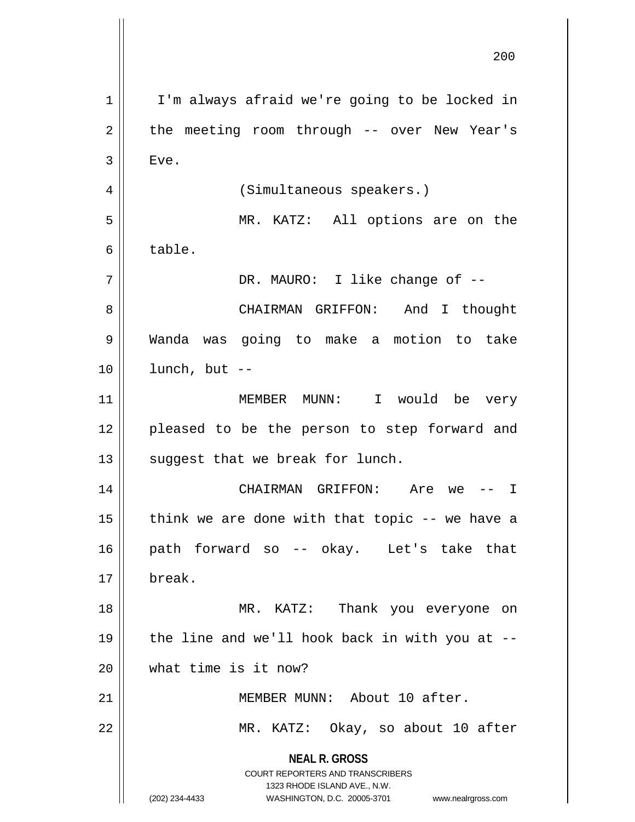**NEAL R. GROSS** COURT REPORTERS AND TRANSCRIBERS 1323 RHODE ISLAND AVE., N.W. (202) 234-4433 WASHINGTON, D.C. 20005-3701 www.nealrgross.com 1 | I'm always afraid we're going to be locked in  $2 \parallel$  the meeting room through -- over New Year's  $3 \parallel$  Eve. 4 | (Simultaneous speakers.) 5 MR. KATZ: All options are on the  $6 \parallel$  table. 7 DR. MAURO: I like change of -- 8 CHAIRMAN GRIFFON: And I thought 9 Wanda was going to make a motion to take  $10$  | lunch, but  $-$ 11 MEMBER MUNN: I would be very 12 || pleased to be the person to step forward and  $13$  || suggest that we break for lunch. 14 CHAIRMAN GRIFFON: Are we -- I 15  $\parallel$  think we are done with that topic -- we have a 16 path forward so -- okay. Let's take that 17 break. 18 MR. KATZ: Thank you everyone on 19  $\parallel$  the line and we'll hook back in with you at --20 what time is it now? 21 || MEMBER MUNN: About 10 after. 22 || MR. KATZ: Okay, so about 10 after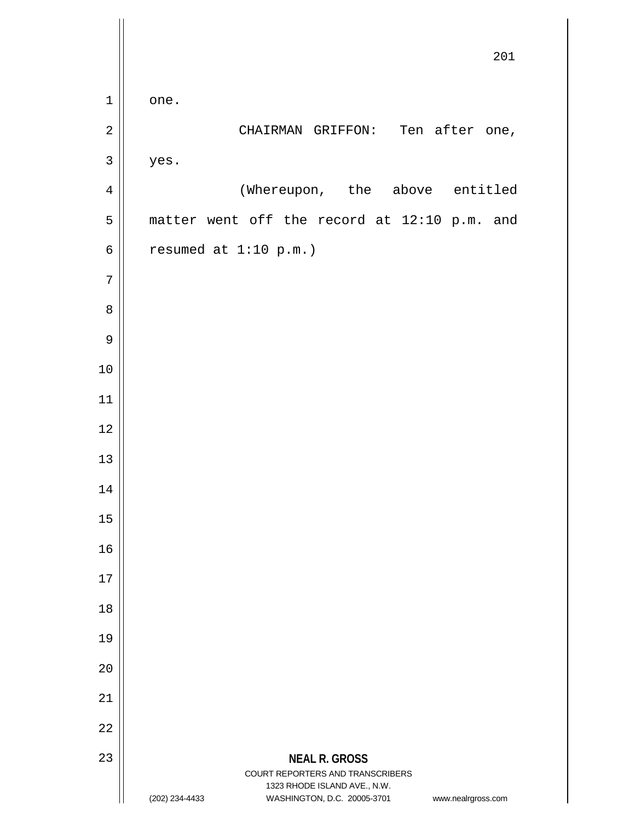|                | 201                                                                                                                                     |
|----------------|-----------------------------------------------------------------------------------------------------------------------------------------|
| $\mathbf 1$    | one.                                                                                                                                    |
| $\sqrt{2}$     | CHAIRMAN GRIFFON: Ten after one,                                                                                                        |
| $\mathsf{3}$   | yes.                                                                                                                                    |
| $\overline{4}$ | (Whereupon, the above entitled                                                                                                          |
| 5              | matter went off the record at 12:10 p.m. and                                                                                            |
| $\epsilon$     | resumed at $1:10$ p.m.)                                                                                                                 |
| $\overline{7}$ |                                                                                                                                         |
| 8              |                                                                                                                                         |
| $\mathsf 9$    |                                                                                                                                         |
| 10             |                                                                                                                                         |
| 11             |                                                                                                                                         |
| 12             |                                                                                                                                         |
| 13             |                                                                                                                                         |
| 14             |                                                                                                                                         |
| 15             |                                                                                                                                         |
| 16             |                                                                                                                                         |
| 17             |                                                                                                                                         |
| 18             |                                                                                                                                         |
| 19             |                                                                                                                                         |
| 20             |                                                                                                                                         |
| 21             |                                                                                                                                         |
| 22             |                                                                                                                                         |
| 23             | <b>NEAL R. GROSS</b>                                                                                                                    |
|                | COURT REPORTERS AND TRANSCRIBERS<br>1323 RHODE ISLAND AVE., N.W.<br>(202) 234-4433<br>WASHINGTON, D.C. 20005-3701<br>www.nealrgross.com |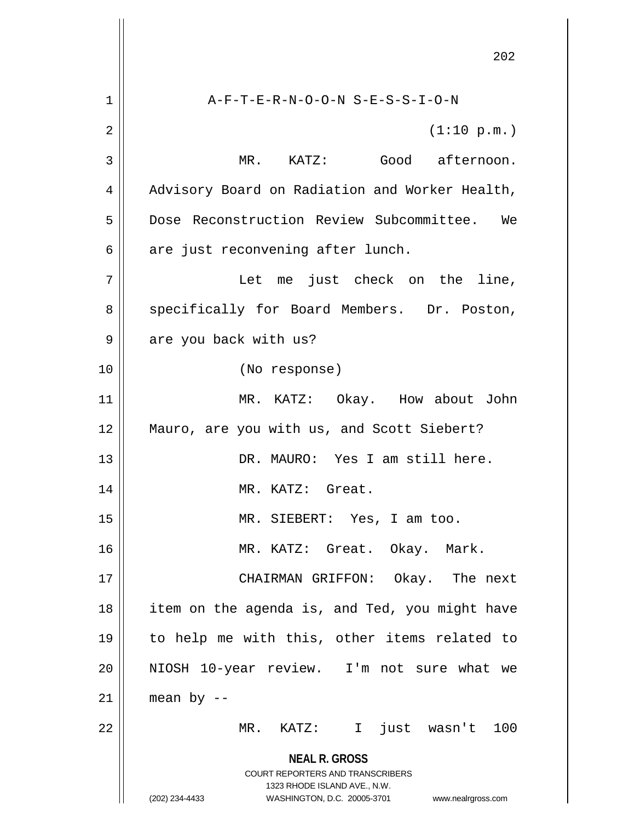**NEAL R. GROSS** COURT REPORTERS AND TRANSCRIBERS 1323 RHODE ISLAND AVE., N.W. (202) 234-4433 WASHINGTON, D.C. 20005-3701 www.nealrgross.com 1 A-F-T-E-R-N-O-O-N S-E-S-S-I-O-N  $2 \parallel$  (1:10 p.m.) 3 MR. KATZ: Good afternoon. 4 | Advisory Board on Radiation and Worker Health, 5 Dose Reconstruction Review Subcommittee. We  $6 \parallel$  are just reconvening after lunch. 7 Let me just check on the line, 8 || specifically for Board Members. Dr. Poston,  $9 \parallel$  are you back with us? 10 (No response) 11 MR. KATZ: Okay. How about John 12 Mauro, are you with us, and Scott Siebert? 13 DR. MAURO: Yes I am still here. 14 || MR. KATZ: Great. 15 MR. SIEBERT: Yes, I am too. 16 MR. KATZ: Great. Okay. Mark. 17 CHAIRMAN GRIFFON: Okay. The next 18 || item on the agenda is, and Ted, you might have 19 to help me with this, other items related to 20 NIOSH 10-year review. I'm not sure what we  $21$  | mean by --22 MR. KATZ: I just wasn't 100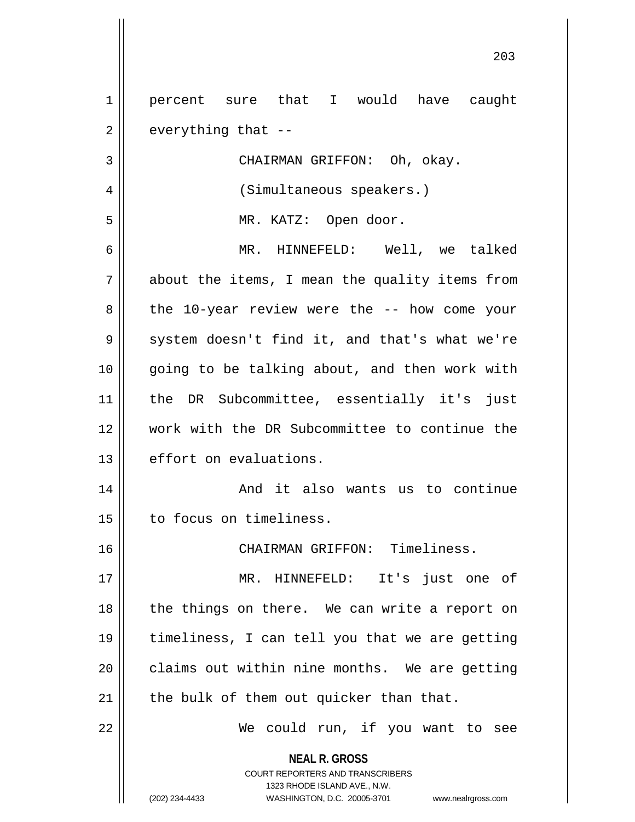**NEAL R. GROSS** COURT REPORTERS AND TRANSCRIBERS 1323 RHODE ISLAND AVE., N.W. 1 || percent sure that I would have caught  $2 \parallel$  everything that --3 || CHAIRMAN GRIFFON: Oh, okay. 4 | (Simultaneous speakers.) 5 MR. KATZ: Open door. 6 MR. HINNEFELD: Well, we talked 7 || about the items, I mean the quality items from  $8 \parallel$  the 10-year review were the -- how come your 9 System doesn't find it, and that's what we're 10 || going to be talking about, and then work with 11 the DR Subcommittee, essentially it's just 12 work with the DR Subcommittee to continue the 13 effort on evaluations. 14 And it also wants us to continue 15 | to focus on timeliness. 16 CHAIRMAN GRIFFON: Timeliness. 17 MR. HINNEFELD: It's just one of 18 || the things on there. We can write a report on 19 timeliness, I can tell you that we are getting  $20$  | claims out within nine months. We are getting  $21$  | the bulk of them out quicker than that. 22 || We could run, if you want to see

(202) 234-4433 WASHINGTON, D.C. 20005-3701 www.nealrgross.com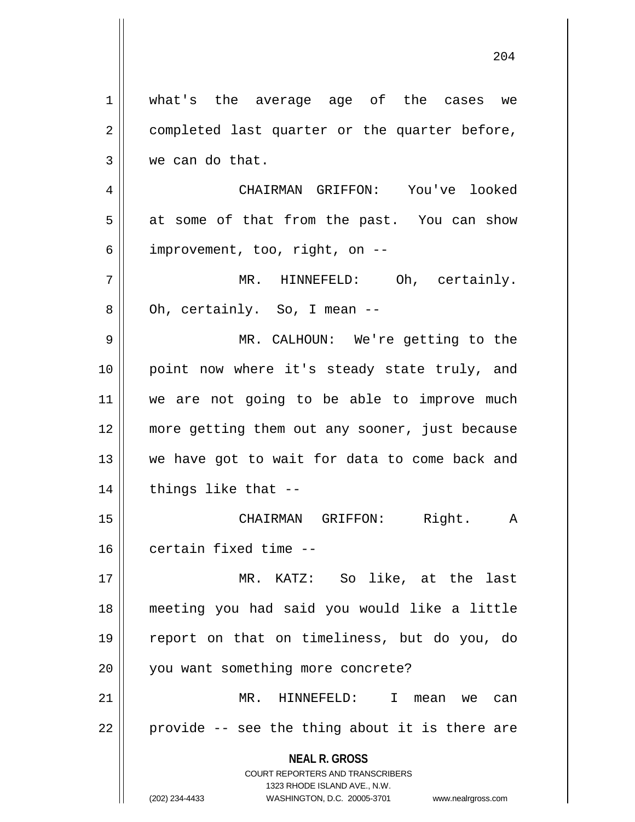**NEAL R. GROSS** COURT REPORTERS AND TRANSCRIBERS 1323 RHODE ISLAND AVE., N.W. (202) 234-4433 WASHINGTON, D.C. 20005-3701 www.nealrgross.com what's the average age of the cases we  $2 \parallel$  completed last quarter or the quarter before, we can do that. CHAIRMAN GRIFFON: You've looked  $5 \parallel$  at some of that from the past. You can show | improvement, too, right, on  $-$  MR. HINNEFELD: Oh, certainly.  $8 \parallel$  Oh, certainly. So, I mean  $-$  MR. CALHOUN: We're getting to the point now where it's steady state truly, and we are not going to be able to improve much more getting them out any sooner, just because 13 || we have got to wait for data to come back and | things like that  $-$  CHAIRMAN GRIFFON: Right. A certain fixed time -- MR. KATZ: So like, at the last meeting you had said you would like a little report on that on timeliness, but do you, do 20 || you want something more concrete? MR. HINNEFELD: I mean we can  $22 \parallel$  provide -- see the thing about it is there are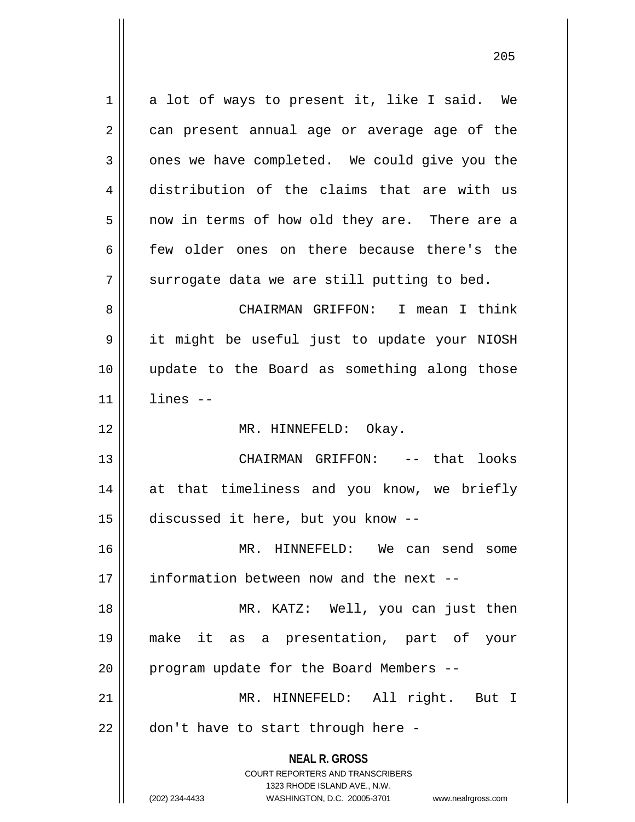**NEAL R. GROSS** COURT REPORTERS AND TRANSCRIBERS 1323 RHODE ISLAND AVE., N.W. (202) 234-4433 WASHINGTON, D.C. 20005-3701 www.nealrgross.com 1 || a lot of ways to present it, like I said. We  $2 \parallel$  can present annual age or average age of the  $3 \parallel$  ones we have completed. We could give you the 4 distribution of the claims that are with us 5 || now in terms of how old they are. There are a 6 few older ones on there because there's the  $7$   $\parallel$  surrogate data we are still putting to bed. 8 CHAIRMAN GRIFFON: I mean I think 9 it might be useful just to update your NIOSH 10 update to the Board as something along those  $11$   $\parallel$   $1$  ines  $-$ 12 || MR. HINNEFELD: Okay. 13 CHAIRMAN GRIFFON: -- that looks 14 at that timeliness and you know, we briefly 15 discussed it here, but you know -- 16 MR. HINNEFELD: We can send some 17 || information between now and the next --18 MR. KATZ: Well, you can just then 19 make it as a presentation, part of your 20  $\parallel$  program update for the Board Members --21 MR. HINNEFELD: All right. But I 22 || don't have to start through here -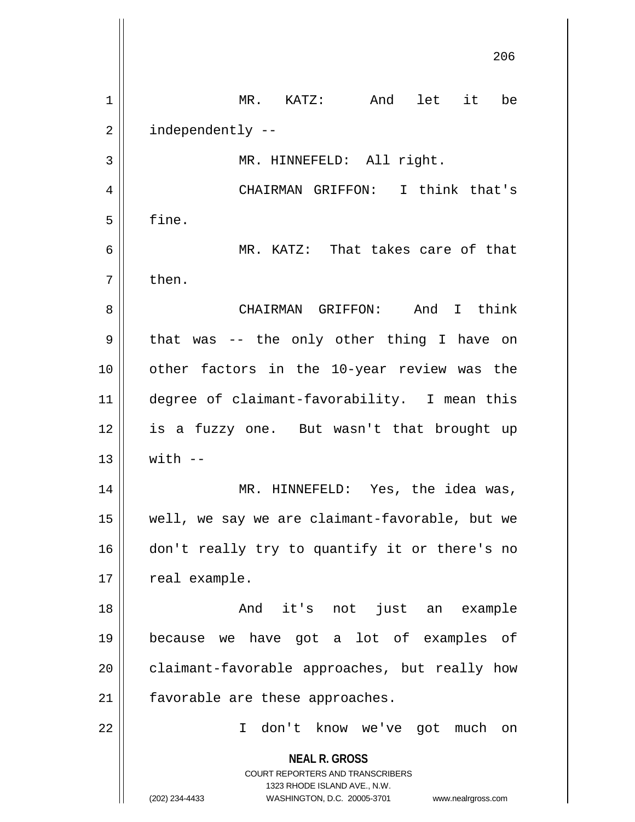**NEAL R. GROSS** COURT REPORTERS AND TRANSCRIBERS 1323 RHODE ISLAND AVE., N.W. (202) 234-4433 WASHINGTON, D.C. 20005-3701 www.nealrgross.com 206 1 MR. KATZ: And let it be  $2 \parallel$  independently --3 || MR. HINNEFELD: All right. 4 CHAIRMAN GRIFFON: I think that's  $5 \parallel$  fine. 6 MR. KATZ: That takes care of that  $7 \parallel$  then. 8 CHAIRMAN GRIFFON: And I think  $9 \parallel$  that was -- the only other thing I have on 10 other factors in the 10-year review was the 11 degree of claimant-favorability. I mean this 12 is a fuzzy one. But wasn't that brought up  $13 \parallel$  with  $-$ 14 MR. HINNEFELD: Yes, the idea was, 15 well, we say we are claimant-favorable, but we 16 || don't really try to quantify it or there's no  $17 \parallel$  real example. 18 And it's not just an example 19 because we have got a lot of examples of  $20$  | claimant-favorable approaches, but really how 21 | favorable are these approaches. 22 I don't know we've got much on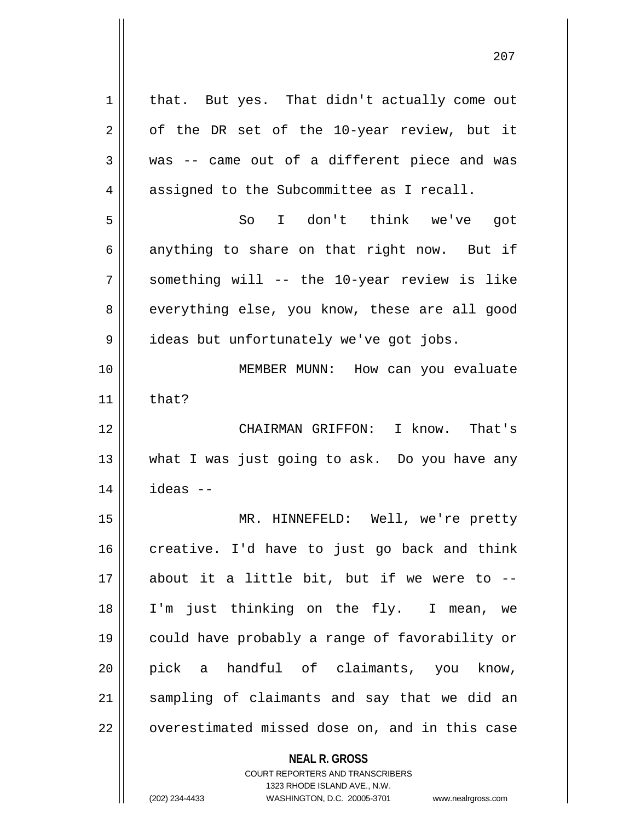| 1  | that. But yes. That didn't actually come out                        |
|----|---------------------------------------------------------------------|
| 2  | of the DR set of the 10-year review, but it                         |
| 3  | was -- came out of a different piece and was                        |
| 4  | assigned to the Subcommittee as I recall.                           |
| 5  | I don't think we've got<br>So                                       |
| 6  | anything to share on that right now. But if                         |
| 7  | something will -- the 10-year review is like                        |
| 8  | everything else, you know, these are all good                       |
| 9  | ideas but unfortunately we've got jobs.                             |
| 10 | MEMBER MUNN: How can you evaluate                                   |
| 11 | that?                                                               |
| 12 | CHAIRMAN GRIFFON: I know. That's                                    |
| 13 | what I was just going to ask. Do you have any                       |
| 14 | ideas --                                                            |
| 15 | MR. HINNEFELD: Well, we're pretty                                   |
| 16 | creative. I'd have to just go back and think                        |
| 17 | about it a little bit, but if we were to --                         |
| 18 | I'm just thinking on the fly. I mean, we                            |
| 19 | could have probably a range of favorability or                      |
| 20 | pick a handful of claimants, you know,                              |
| 21 | sampling of claimants and say that we did an                        |
| 22 | overestimated missed dose on, and in this case                      |
|    |                                                                     |
|    | <b>NEAL R. GROSS</b>                                                |
|    | COURT REPORTERS AND TRANSCRIBERS                                    |
|    | 1323 RHODE ISLAND AVE., N.W.                                        |
|    | (202) 234-4433<br>WASHINGTON, D.C. 20005-3701<br>www.nealrgross.com |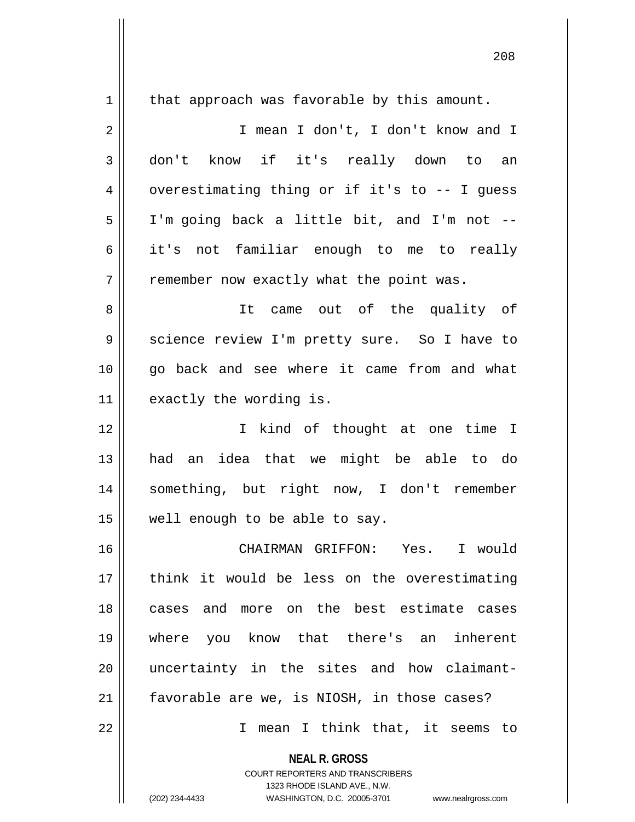| $\mathbf 1$ | that approach was favorable by this amount.                             |
|-------------|-------------------------------------------------------------------------|
| 2           | I mean I don't, I don't know and I                                      |
| 3           | don't know if it's really down to an                                    |
| 4           | overestimating thing or if it's to -- I guess                           |
| 5           | I'm going back a little bit, and I'm not --                             |
| 6           | it's not familiar enough to me to really                                |
| 7           | remember now exactly what the point was.                                |
| 8           | came out of the quality of<br>It                                        |
| 9           | science review I'm pretty sure. So I have to                            |
| 10          | go back and see where it came from and what                             |
| 11          | exactly the wording is.                                                 |
| 12          | I kind of thought at one time I                                         |
| 13          | an idea that we might be able to do<br>had                              |
| 14          | something, but right now, I don't remember                              |
| 15          | well enough to be able to say.                                          |
| 16          | CHAIRMAN GRIFFON: Yes. I would                                          |
| 17          | think it would be less on the overestimating                            |
| 18          | cases and more on the best estimate cases                               |
| 19          | you know that there's an inherent<br>where                              |
| 20          | uncertainty in the sites and how claimant-                              |
| 21          | favorable are we, is NIOSH, in those cases?                             |
| 22          | mean I think that, it seems to<br>I.                                    |
|             | <b>NEAL R. GROSS</b>                                                    |
|             | <b>COURT REPORTERS AND TRANSCRIBERS</b><br>1323 RHODE ISLAND AVE., N.W. |
|             | (202) 234-4433<br>WASHINGTON, D.C. 20005-3701<br>www.nealrgross.com     |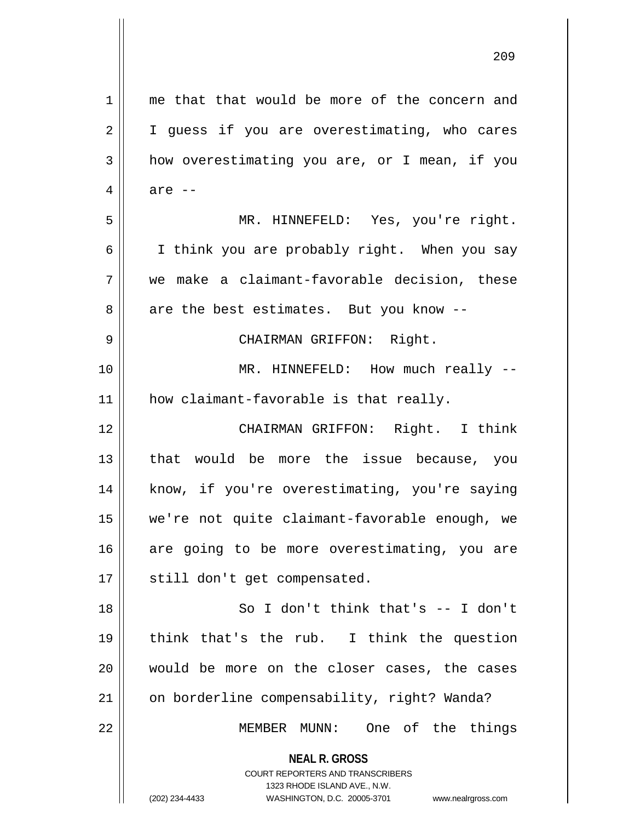| $\mathbf 1$    | me that that would be more of the concern and                                                                                                                          |
|----------------|------------------------------------------------------------------------------------------------------------------------------------------------------------------------|
| $\overline{2}$ | I guess if you are overestimating, who cares                                                                                                                           |
| 3              | how overestimating you are, or I mean, if you                                                                                                                          |
| 4              | are $--$                                                                                                                                                               |
| 5              | MR. HINNEFELD: Yes, you're right.                                                                                                                                      |
| 6              | I think you are probably right. When you say                                                                                                                           |
| 7              | we make a claimant-favorable decision, these                                                                                                                           |
| 8              | are the best estimates. But you know --                                                                                                                                |
| 9              | CHAIRMAN GRIFFON: Right.                                                                                                                                               |
| 10             | MR. HINNEFELD: How much really --                                                                                                                                      |
| 11             | how claimant-favorable is that really.                                                                                                                                 |
| 12             | CHAIRMAN GRIFFON: Right. I think                                                                                                                                       |
| 13             | that would be more the issue because, you                                                                                                                              |
| 14             | know, if you're overestimating, you're saying                                                                                                                          |
| 15             | we're not quite claimant-favorable enough, we                                                                                                                          |
| 16             | are going to be more overestimating, you are                                                                                                                           |
| 17             | still don't get compensated.                                                                                                                                           |
| 18             | So I don't think that's $--$ I don't                                                                                                                                   |
| 19             | think that's the rub. I think the question                                                                                                                             |
| 20             | would be more on the closer cases, the cases                                                                                                                           |
| 21             | on borderline compensability, right? Wanda?                                                                                                                            |
| 22             | One of the things<br>MEMBER MUNN:                                                                                                                                      |
|                | <b>NEAL R. GROSS</b><br><b>COURT REPORTERS AND TRANSCRIBERS</b><br>1323 RHODE ISLAND AVE., N.W.<br>(202) 234-4433<br>WASHINGTON, D.C. 20005-3701<br>www.nealrgross.com |

 $\overline{\phantom{a}}$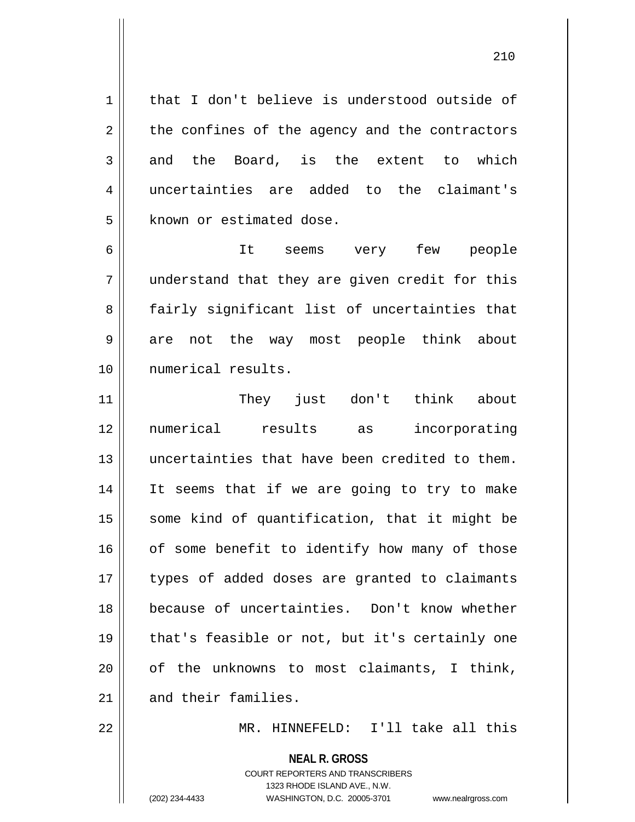1 | that I don't believe is understood outside of  $2 \parallel$  the confines of the agency and the contractors  $3 \parallel$  and the Board, is the extent to which 4 uncertainties are added to the claimant's 5 | known or estimated dose.

6 It seems very few people 7 understand that they are given credit for this 8 || fairly significant list of uncertainties that 9 are not the way most people think about 10 numerical results.

 They just don't think about numerical results as incorporating uncertainties that have been credited to them. 14 || It seems that if we are going to try to make some kind of quantification, that it might be of some benefit to identify how many of those 17 || types of added doses are granted to claimants because of uncertainties. Don't know whether 19 || that's feasible or not, but it's certainly one | of the unknowns to most claimants, I think, and their families.

22 || MR. HINNEFELD: I'll take all this

**NEAL R. GROSS**

COURT REPORTERS AND TRANSCRIBERS 1323 RHODE ISLAND AVE., N.W. (202) 234-4433 WASHINGTON, D.C. 20005-3701 www.nealrgross.com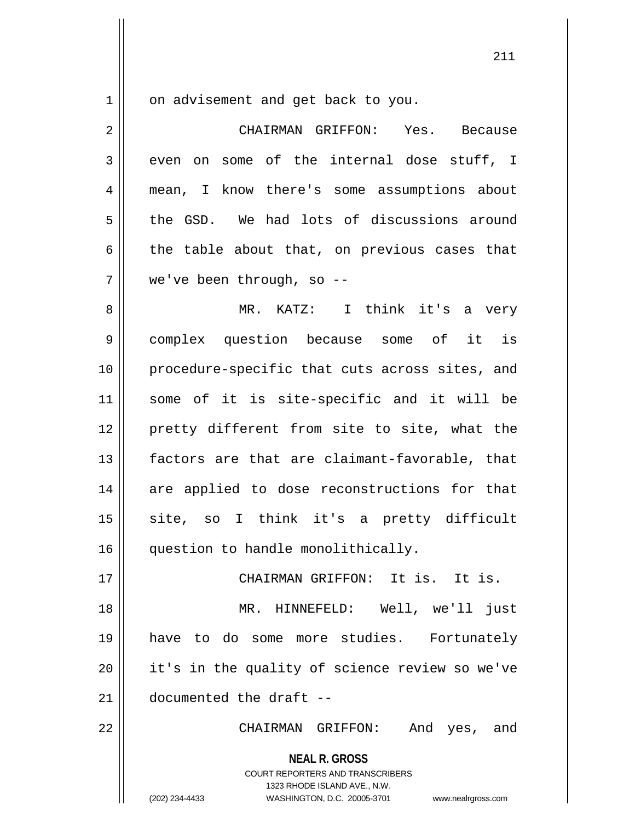1 | on advisement and get back to you.

| $\overline{2}$ | CHAIRMAN GRIFFON: Yes. Because                                                                                                                                  |
|----------------|-----------------------------------------------------------------------------------------------------------------------------------------------------------------|
| 3              | even on some of the internal dose stuff, I                                                                                                                      |
| $\overline{4}$ | mean, I know there's some assumptions about                                                                                                                     |
| 5              | the GSD. We had lots of discussions around                                                                                                                      |
| 6              | the table about that, on previous cases that                                                                                                                    |
| 7              | we've been through, so --                                                                                                                                       |
| 8              | MR. KATZ: I think it's a very                                                                                                                                   |
| $\mathsf 9$    | complex question because some of it is                                                                                                                          |
| 10             | procedure-specific that cuts across sites, and                                                                                                                  |
| 11             | some of it is site-specific and it will be                                                                                                                      |
| 12             | pretty different from site to site, what the                                                                                                                    |
| 13             | factors are that are claimant-favorable, that                                                                                                                   |
| 14             | are applied to dose reconstructions for that                                                                                                                    |
| 15             | site, so I think it's a pretty difficult                                                                                                                        |
| 16             | question to handle monolithically.                                                                                                                              |
| 17             | CHAIRMAN GRIFFON: It is. It is.                                                                                                                                 |
| 18             | MR. HINNEFELD: Well, we'll just                                                                                                                                 |
| 19             | have to do some more studies. Fortunately                                                                                                                       |
| 20             | it's in the quality of science review so we've                                                                                                                  |
| 21             | documented the draft --                                                                                                                                         |
| 22             | CHAIRMAN GRIFFON: And yes, and                                                                                                                                  |
|                | <b>NEAL R. GROSS</b><br>COURT REPORTERS AND TRANSCRIBERS<br>1323 RHODE ISLAND AVE., N.W.<br>(202) 234-4433<br>WASHINGTON, D.C. 20005-3701<br>www.nealrgross.com |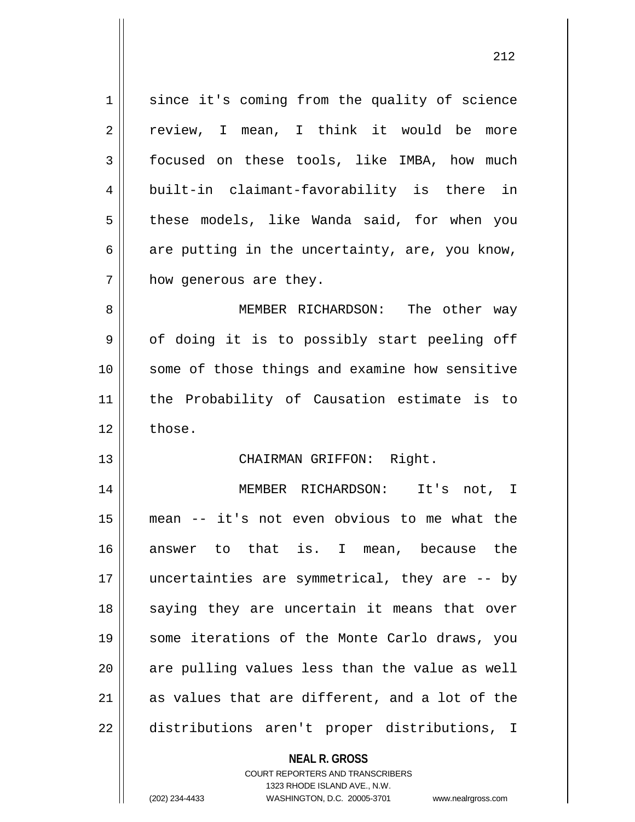| 1  | since it's coming from the quality of science            |
|----|----------------------------------------------------------|
| 2  | review, I mean, I think it would be more                 |
| 3  | focused on these tools, like IMBA, how much              |
| 4  | built-in claimant-favorability is there in               |
| 5  | these models, like Wanda said, for when you              |
| 6  | are putting in the uncertainty, are, you know,           |
| 7  | how generous are they.                                   |
| 8  | MEMBER RICHARDSON: The other way                         |
| 9  | of doing it is to possibly start peeling off             |
| 10 | some of those things and examine how sensitive           |
| 11 | the Probability of Causation estimate is to              |
| 12 | those.                                                   |
| 13 | CHAIRMAN GRIFFON: Right.                                 |
| 14 | MEMBER RICHARDSON: It's not, I                           |
| 15 | mean -- it's not even obvious to me what the             |
| 16 | answer to that is. I mean, because the                   |
| 17 | uncertainties are symmetrical, they are -- by            |
| 18 | saying they are uncertain it means that over             |
| 19 | some iterations of the Monte Carlo draws, you            |
| 20 | are pulling values less than the value as well           |
| 21 | as values that are different, and a lot of the           |
| 22 | distributions aren't proper distributions, I             |
|    | <b>NEAL R. GROSS</b><br>COURT REPORTERS AND TRANSCRIBERS |

1323 RHODE ISLAND AVE., N.W.

 $\mathop{\text{||}}$ 

(202) 234-4433 WASHINGTON, D.C. 20005-3701 www.nealrgross.com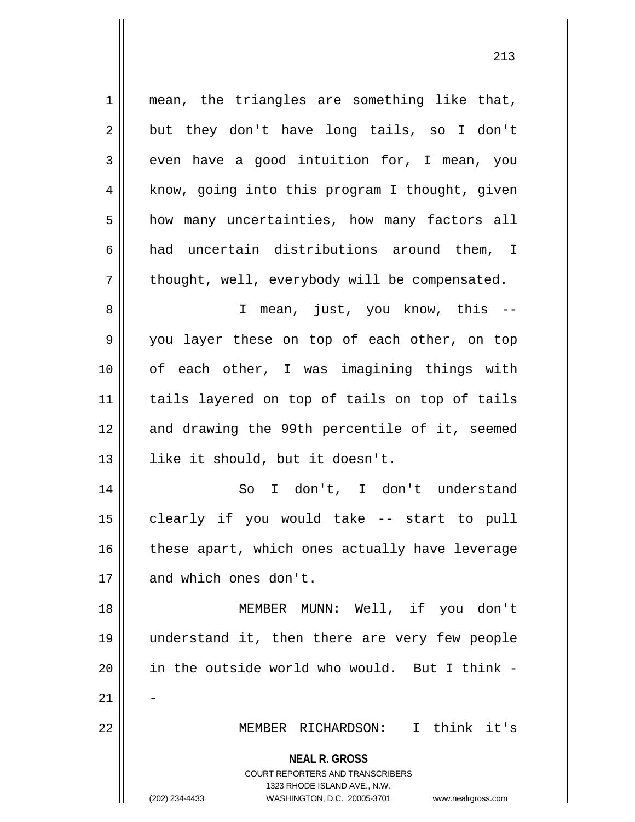**NEAL R. GROSS** COURT REPORTERS AND TRANSCRIBERS 1323 RHODE ISLAND AVE., N.W. (202) 234-4433 WASHINGTON, D.C. 20005-3701 www.nealrgross.com 1 || mean, the triangles are something like that,  $2 \parallel$  but they don't have long tails, so I don't  $3 \parallel$  even have a good intuition for, I mean, you  $4 \parallel$  know, going into this program I thought, given 5 | how many uncertainties, how many factors all 6  $\parallel$  had uncertain distributions around them, I  $7 \parallel$  thought, well, everybody will be compensated. 8 || I mean, just, you know, this --9 you layer these on top of each other, on top 10 || of each other, I was imagining things with 11 tails layered on top of tails on top of tails 12 and drawing the 99th percentile of it, seemed 13 || like it should, but it doesn't. 14 So I don't, I don't understand 15 clearly if you would take -- start to pull  $16$  | these apart, which ones actually have leverage 17 || and which ones don't. 18 MEMBER MUNN: Well, if you don't 19 understand it, then there are very few people 20 || in the outside world who would. But I think - $21$ 22 MEMBER RICHARDSON: I think it's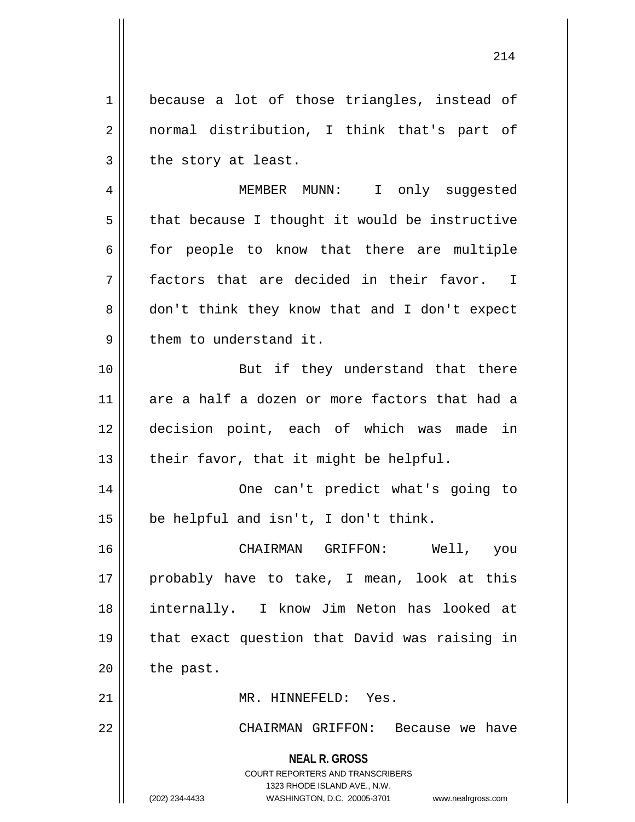1 | because a lot of those triangles, instead of 2 || normal distribution, I think that's part of  $3$  | the story at least.

4 MEMBER MUNN: I only suggested  $5 \parallel$  that because I thought it would be instructive  $6 \parallel$  for people to know that there are multiple  $7 \parallel$  factors that are decided in their favor. I 8 don't think they know that and I don't expect  $9 \parallel$  them to understand it.

10 || But if they understand that there 11 are a half a dozen or more factors that had a 12 decision point, each of which was made in 13  $\parallel$  their favor, that it might be helpful.

14 || One can't predict what's going to  $15$  | be helpful and isn't, I don't think.

 CHAIRMAN GRIFFON: Well, you 17 || probably have to take, I mean, look at this internally. I know Jim Neton has looked at that exact question that David was raising in | the past.

21 MR. HINNEFELD: Yes.

22 CHAIRMAN GRIFFON: Because we have

**NEAL R. GROSS** COURT REPORTERS AND TRANSCRIBERS 1323 RHODE ISLAND AVE., N.W. (202) 234-4433 WASHINGTON, D.C. 20005-3701 www.nealrgross.com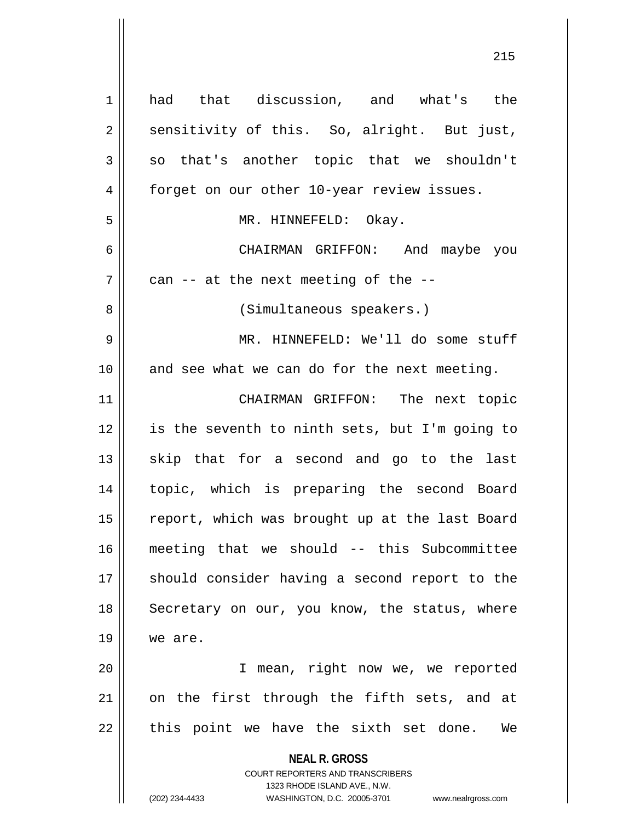**NEAL R. GROSS** COURT REPORTERS AND TRANSCRIBERS 1323 RHODE ISLAND AVE., N.W. (202) 234-4433 WASHINGTON, D.C. 20005-3701 www.nealrgross.com 1 | had that discussion, and what's the  $2 \parallel$  sensitivity of this. So, alright. But just,  $3 \parallel$  so that's another topic that we shouldn't 4 | forget on our other 10-year review issues. 5 MR. HINNEFELD: Okay. 6 CHAIRMAN GRIFFON: And maybe you  $7 \parallel$  can -- at the next meeting of the --8 || (Simultaneous speakers.) 9 MR. HINNEFELD: We'll do some stuff  $10$  and see what we can do for the next meeting. 11 || CHAIRMAN GRIFFON: The next topic 12 || is the seventh to ninth sets, but I'm going to  $13$  skip that for a second and go to the last 14 topic, which is preparing the second Board 15 || report, which was brought up at the last Board 16 meeting that we should -- this Subcommittee 17 || should consider having a second report to the 18 || Secretary on our, you know, the status, where 19 | we are. 20 I mean, right now we, we reported  $21$  on the first through the fifth sets, and at  $22$  || this point we have the sixth set done. We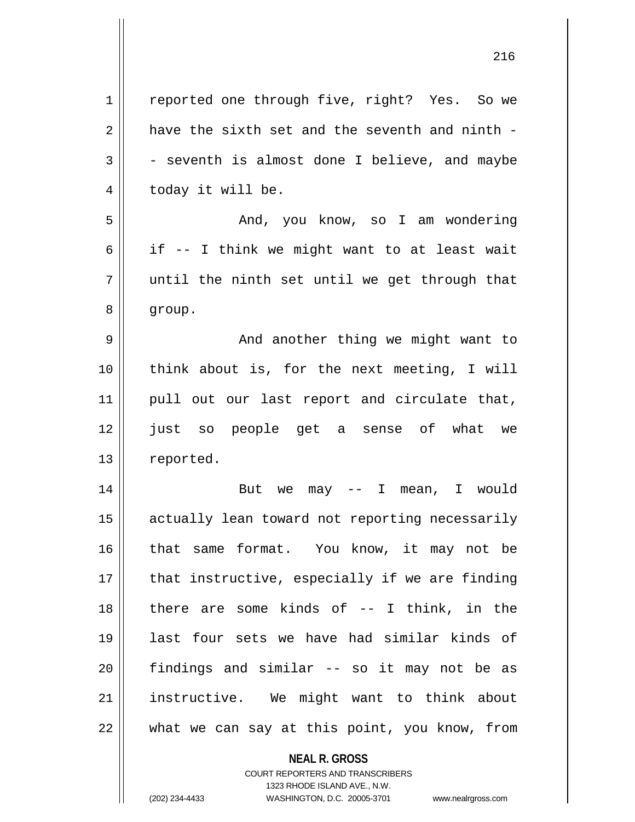| 1              | reported one through five, right? Yes. So we   |
|----------------|------------------------------------------------|
| $\overline{2}$ | have the sixth set and the seventh and ninth - |
| 3              | - seventh is almost done I believe, and maybe  |
| 4              | today it will be.                              |
| 5              | And, you know, so I am wondering               |
| 6              | if -- I think we might want to at least wait   |
| 7              | until the ninth set until we get through that  |
| 8              | group.                                         |
| 9              | And another thing we might want to             |
| 10             | think about is, for the next meeting, I will   |
| 11             | pull out our last report and circulate that,   |
| 12             | just so people get a sense of what we          |
| 13             | reported.                                      |
|                |                                                |
| 14             | But we may $--$ I mean, I would                |
| 15             | actually lean toward not reporting necessarily |
| 16             | that same format. You know, it may not be      |
| 17             | that instructive, especially if we are finding |
| 18             | there are some kinds of $-$ - I think, in the  |
| 19             | last four sets we have had similar kinds of    |
| 20             | findings and similar -- so it may not be as    |
| 21             | instructive. We might want to think about      |

**NEAL R. GROSS** COURT REPORTERS AND TRANSCRIBERS 1323 RHODE ISLAND AVE., N.W.

(202) 234-4433 WASHINGTON, D.C. 20005-3701 www.nealrgross.com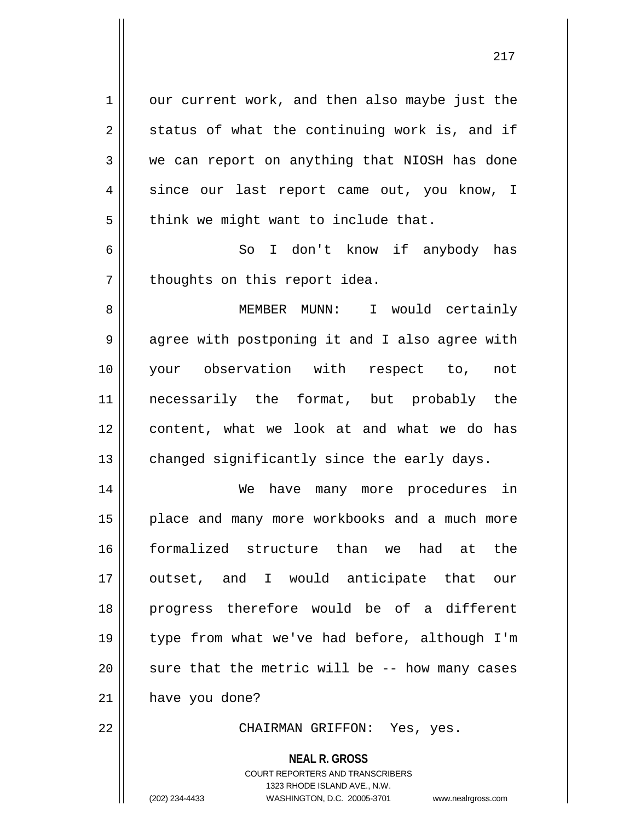1 | our current work, and then also maybe just the  $2 \parallel$  status of what the continuing work is, and if  $3 \parallel$  we can report on anything that NIOSH has done 4 since our last report came out, you know, I  $5$  || think we might want to include that.

6 So I don't know if anybody has  $7$  || thoughts on this report idea.

 MEMBER MUNN: I would certainly 9 || agree with postponing it and I also agree with your observation with respect to, not necessarily the format, but probably the content, what we look at and what we do has changed significantly since the early days.

 We have many more procedures in 15 || place and many more workbooks and a much more formalized structure than we had at the 17 || outset, and I would anticipate that our progress therefore would be of a different type from what we've had before, although I'm  $\parallel$  sure that the metric will be -- how many cases have you done?

22 CHAIRMAN GRIFFON: Yes, yes.

**NEAL R. GROSS**

COURT REPORTERS AND TRANSCRIBERS 1323 RHODE ISLAND AVE., N.W. (202) 234-4433 WASHINGTON, D.C. 20005-3701 www.nealrgross.com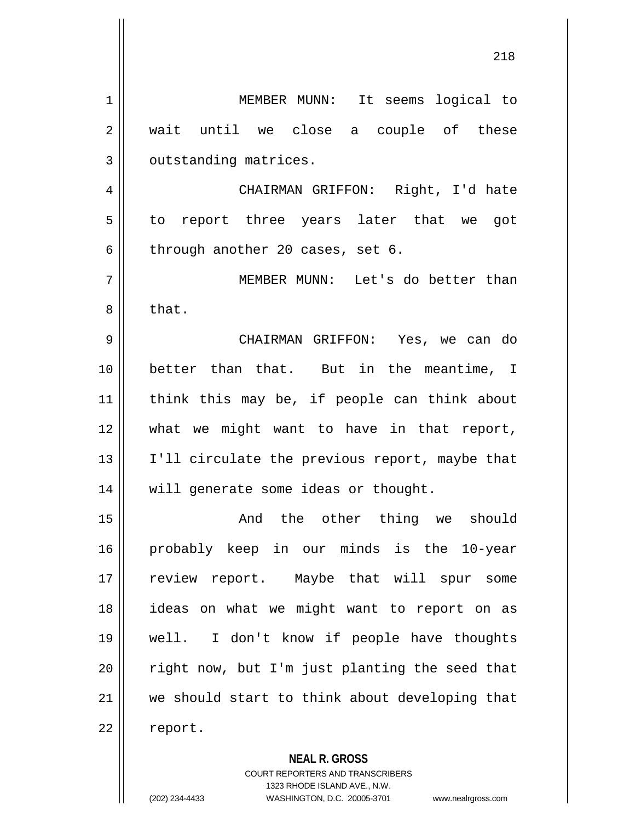| 1  | MEMBER MUNN: It seems logical to               |
|----|------------------------------------------------|
| 2  | wait until we close a couple of these          |
| 3  | outstanding matrices.                          |
| 4  | CHAIRMAN GRIFFON: Right, I'd hate              |
| 5  | to report three years later that we got        |
| 6  | through another 20 cases, set 6.               |
| 7  | MEMBER MUNN: Let's do better than              |
| 8  | that.                                          |
| 9  | CHAIRMAN GRIFFON: Yes, we can do               |
| 10 | better than that. But in the meantime, I       |
| 11 | think this may be, if people can think about   |
| 12 | what we might want to have in that report,     |
| 13 | I'll circulate the previous report, maybe that |
| 14 | will generate some ideas or thought.           |
| 15 | And the other thing we should                  |
| 16 | probably keep in our minds is the 10-year      |
| 17 | review report. Maybe that will spur some       |
| 18 | ideas on what we might want to report on as    |
| 19 | well. I don't know if people have thoughts     |
| 20 | right now, but I'm just planting the seed that |
| 21 | we should start to think about developing that |
| 22 | report.                                        |
|    |                                                |

**NEAL R. GROSS** COURT REPORTERS AND TRANSCRIBERS 1323 RHODE ISLAND AVE., N.W. (202) 234-4433 WASHINGTON, D.C. 20005-3701 www.nealrgross.com

 $\mathbf{I}$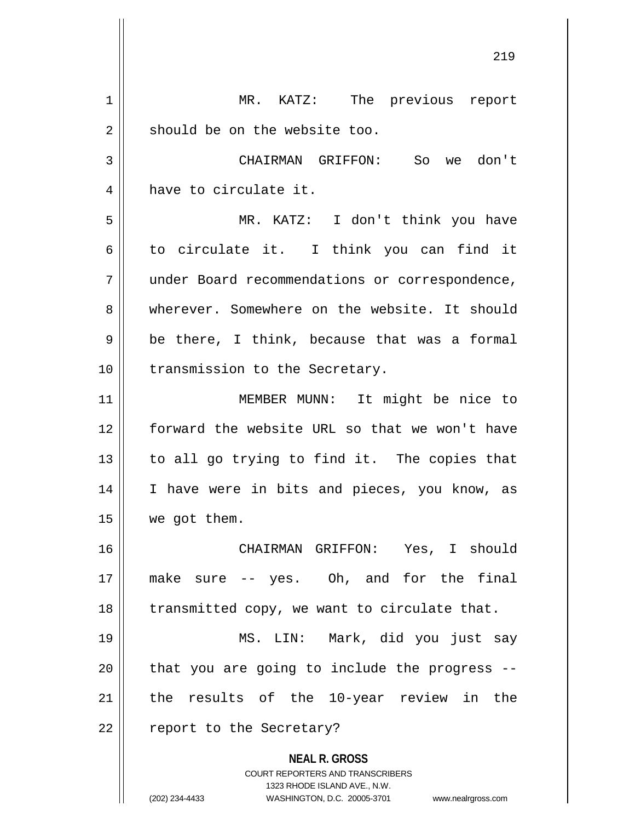**NEAL R. GROSS** COURT REPORTERS AND TRANSCRIBERS 1323 RHODE ISLAND AVE., N.W. (202) 234-4433 WASHINGTON, D.C. 20005-3701 www.nealrgross.com 1 || MR. KATZ: The previous report  $2 \parallel$  should be on the website too. 3 CHAIRMAN GRIFFON: So we don't 4 have to circulate it. 5 MR. KATZ: I don't think you have  $6 \parallel$  to circulate it. I think you can find it 7 under Board recommendations or correspondence, 8 Werever. Somewhere on the website. It should  $9 \parallel$  be there, I think, because that was a formal 10 || transmission to the Secretary. 11 || MEMBER MUNN: It might be nice to 12 forward the website URL so that we won't have  $13$  to all go trying to find it. The copies that 14 || I have were in bits and pieces, you know, as 15 | we got them. 16 CHAIRMAN GRIFFON: Yes, I should 17 make sure -- yes. Oh, and for the final 18 || transmitted copy, we want to circulate that. 19 MS. LIN: Mark, did you just say  $20$  || that you are going to include the progress --21 the results of the 10-year review in the 22 || report to the Secretary?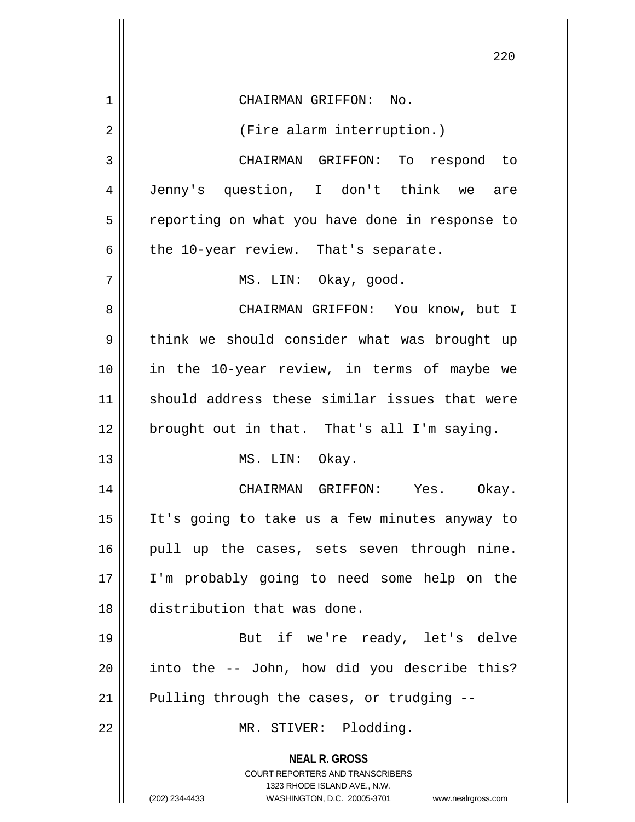|                | 220                                                                                                                                                                    |
|----------------|------------------------------------------------------------------------------------------------------------------------------------------------------------------------|
| $\mathbf 1$    | CHAIRMAN GRIFFON: No.                                                                                                                                                  |
| $\overline{2}$ | (Fire alarm interruption.)                                                                                                                                             |
| 3              | CHAIRMAN GRIFFON: To respond to                                                                                                                                        |
| 4              | Jenny's question, I don't think we are                                                                                                                                 |
| 5              | reporting on what you have done in response to                                                                                                                         |
| 6              | the 10-year review. That's separate.                                                                                                                                   |
| 7              | MS. LIN: Okay, good.                                                                                                                                                   |
| 8              | CHAIRMAN GRIFFON: You know, but I                                                                                                                                      |
| 9              | think we should consider what was brought up                                                                                                                           |
| 10             | in the 10-year review, in terms of maybe we                                                                                                                            |
| 11             | should address these similar issues that were                                                                                                                          |
| 12             | brought out in that. That's all I'm saying.                                                                                                                            |
| 13             | MS. LIN: Okay.                                                                                                                                                         |
| 14             | CHAIRMAN GRIFFON: Yes. Okay.                                                                                                                                           |
| 15             | It's going to take us a few minutes anyway to                                                                                                                          |
| 16             | pull up the cases, sets seven through nine.                                                                                                                            |
| 17             | I'm probably going to need some help on the                                                                                                                            |
| 18             | distribution that was done.                                                                                                                                            |
| 19             | But if we're ready, let's delve                                                                                                                                        |
| 20             | into the -- John, how did you describe this?                                                                                                                           |
| 21             | Pulling through the cases, or trudging --                                                                                                                              |
| 22             | MR. STIVER: Plodding.                                                                                                                                                  |
|                | <b>NEAL R. GROSS</b><br><b>COURT REPORTERS AND TRANSCRIBERS</b><br>1323 RHODE ISLAND AVE., N.W.<br>(202) 234-4433<br>WASHINGTON, D.C. 20005-3701<br>www.nealrgross.com |

 $\overline{\phantom{a}}$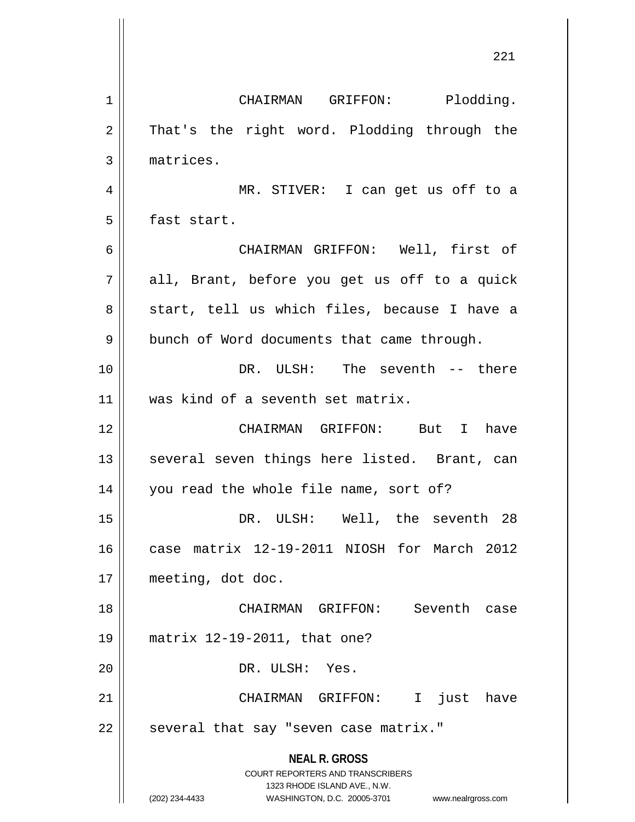**NEAL R. GROSS** COURT REPORTERS AND TRANSCRIBERS 1323 RHODE ISLAND AVE., N.W. (202) 234-4433 WASHINGTON, D.C. 20005-3701 www.nealrgross.com 1 | CHAIRMAN GRIFFON: Plodding. 2 || That's the right word. Plodding through the 3 | matrices. 4 MR. STIVER: I can get us off to a 5 **fast start.** 6 CHAIRMAN GRIFFON: Well, first of  $7||$  all, Brant, before you get us off to a quick 8 || start, tell us which files, because I have a 9 | bunch of Word documents that came through. 10 DR. ULSH: The seventh -- there 11 || was kind of a seventh set matrix. 12 CHAIRMAN GRIFFON: But I have 13 || several seven things here listed. Brant, can 14 you read the whole file name, sort of? 15 DR. ULSH: Well, the seventh 28 16 case matrix 12-19-2011 NIOSH for March 2012 17 meeting, dot doc. 18 CHAIRMAN GRIFFON: Seventh case 19 matrix 12-19-2011, that one? 20 || DR. ULSH: Yes. 21 CHAIRMAN GRIFFON: I just have 22 | several that say "seven case matrix."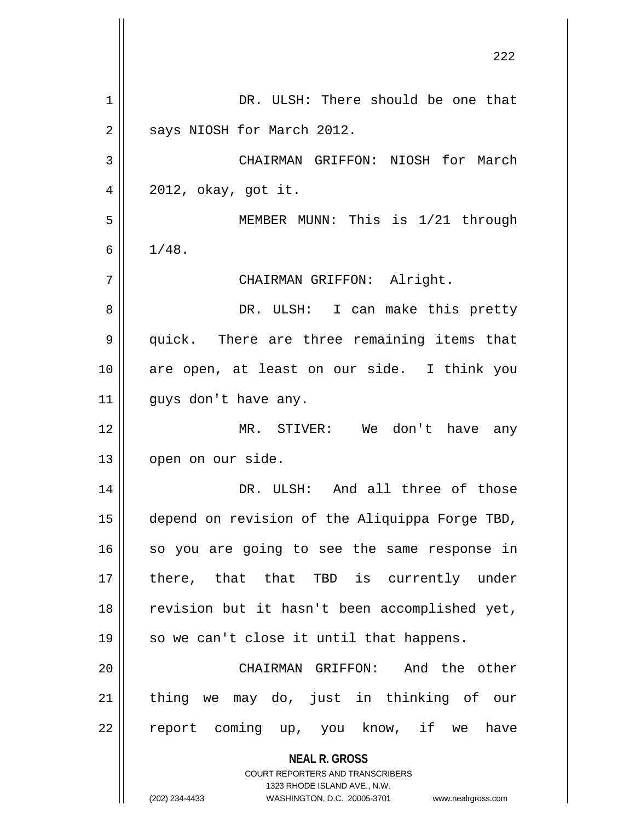|    | 444                                                                     |
|----|-------------------------------------------------------------------------|
| 1  | DR. ULSH: There should be one that                                      |
| 2  | says NIOSH for March 2012.                                              |
| 3  | CHAIRMAN GRIFFON: NIOSH for March                                       |
| 4  | $2012$ , okay, got it.                                                  |
| 5  | MEMBER MUNN: This is 1/21 through                                       |
| 6  | 1/48.                                                                   |
| 7  | CHAIRMAN GRIFFON: Alright.                                              |
| 8  | DR. ULSH: I can make this pretty                                        |
| 9  | quick. There are three remaining items that                             |
| 10 | are open, at least on our side. I think you                             |
| 11 | guys don't have any.                                                    |
| 12 | MR. STIVER:<br>We don't have any                                        |
| 13 | open on our side.                                                       |
| 14 | DR. ULSH: And all three of those                                        |
| 15 | depend on revision of the Aliquippa Forge TBD,                          |
| 16 | so you are going to see the same response in                            |
| 17 | there, that that TBD is currently under                                 |
| 18 | revision but it hasn't been accomplished yet,                           |
| 19 | so we can't close it until that happens.                                |
| 20 | CHAIRMAN GRIFFON: And the other                                         |
| 21 | thing we may do, just in thinking of our                                |
| 22 | report coming up, you know, if we have                                  |
|    | <b>NEAL R. GROSS</b>                                                    |
|    | <b>COURT REPORTERS AND TRANSCRIBERS</b><br>1323 RHODE ISLAND AVE., N.W. |
|    | (202) 234-4433<br>WASHINGTON, D.C. 20005-3701<br>www.nealrgross.com     |

 $\mathsf{I}$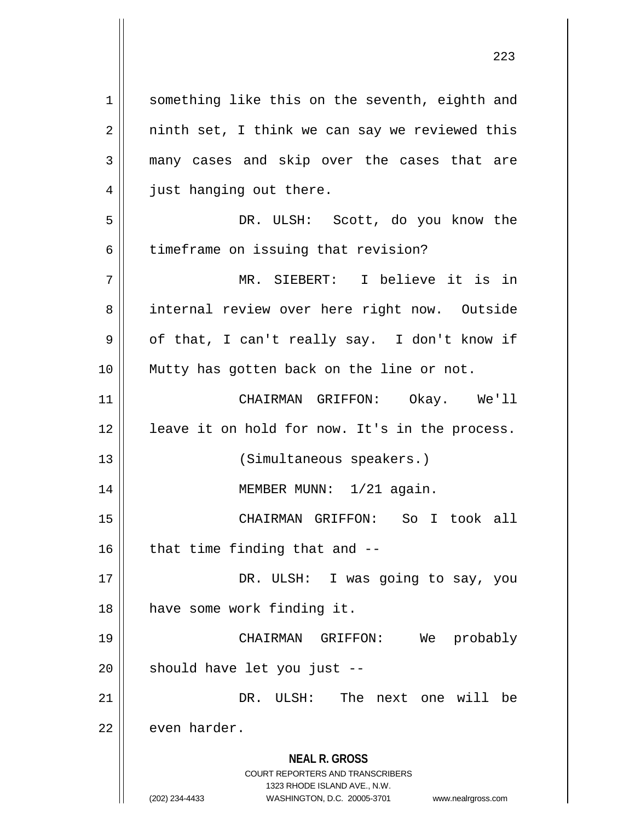**NEAL R. GROSS** COURT REPORTERS AND TRANSCRIBERS 1323 RHODE ISLAND AVE., N.W. (202) 234-4433 WASHINGTON, D.C. 20005-3701 www.nealrgross.com 1 || something like this on the seventh, eighth and  $2 \parallel$  ninth set, I think we can say we reviewed this 3 many cases and skip over the cases that are 4 | just hanging out there. 5 DR. ULSH: Scott, do you know the 6 | timeframe on issuing that revision? 7 MR. SIEBERT: I believe it is in 8 || internal review over here right now. Outside  $9 \parallel$  of that, I can't really say. I don't know if 10 Mutty has gotten back on the line or not. 11 CHAIRMAN GRIFFON: Okay. We'll 12 || leave it on hold for now. It's in the process. 13 || (Simultaneous speakers.) 14 || MEMBER MUNN: 1/21 again. 15 CHAIRMAN GRIFFON: So I took all  $16$  | that time finding that and  $-$ 17 || DR. ULSH: I was going to say, you 18 || have some work finding it. 19 CHAIRMAN GRIFFON: We probably  $20$  | should have let you just  $-$ 21 DR. ULSH: The next one will be  $22$   $\parallel$  even harder.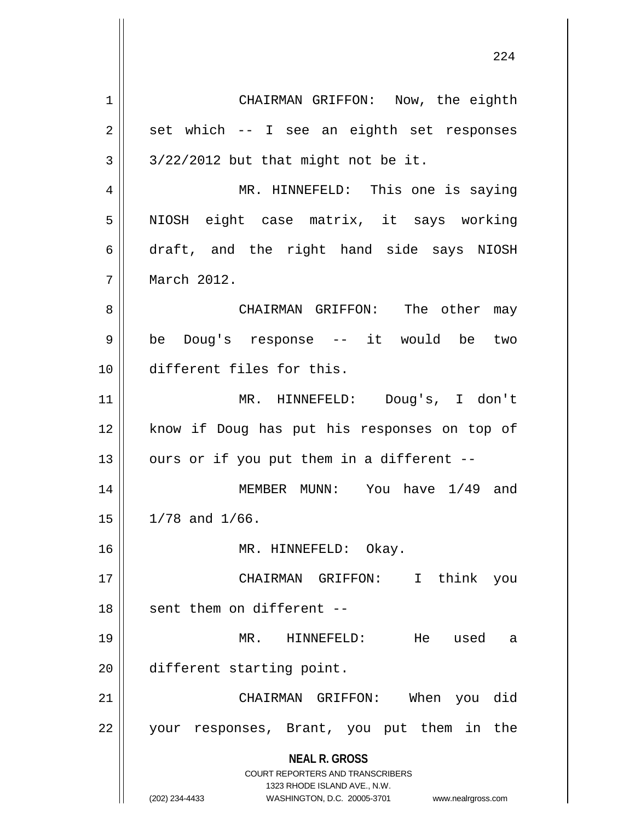**NEAL R. GROSS** COURT REPORTERS AND TRANSCRIBERS 1323 RHODE ISLAND AVE., N.W. (202) 234-4433 WASHINGTON, D.C. 20005-3701 www.nealrgross.com 1 | CHAIRMAN GRIFFON: Now, the eighth  $2 \parallel$  set which -- I see an eighth set responses  $3 \parallel 3/22/2012$  but that might not be it. 4 MR. HINNEFELD: This one is saying 5 || NIOSH eight case matrix, it says working 6 draft, and the right hand side says NIOSH 7 March 2012. 8 CHAIRMAN GRIFFON: The other may 9 be Doug's response -- it would be two 10 different files for this. 11 MR. HINNEFELD: Doug's, I don't 12 || know if Doug has put his responses on top of  $13$  || ours or if you put them in a different --14 || MEMBER MUNN: You have 1/49 and  $15 \parallel 1/78$  and  $1/66$ . 16 MR. HINNEFELD: Okay. 17 CHAIRMAN GRIFFON: I think you  $18$   $\parallel$  sent them on different --19 MR. HINNEFELD: He used a 20 different starting point. 21 CHAIRMAN GRIFFON: When you did 22 || your responses, Brant, you put them in the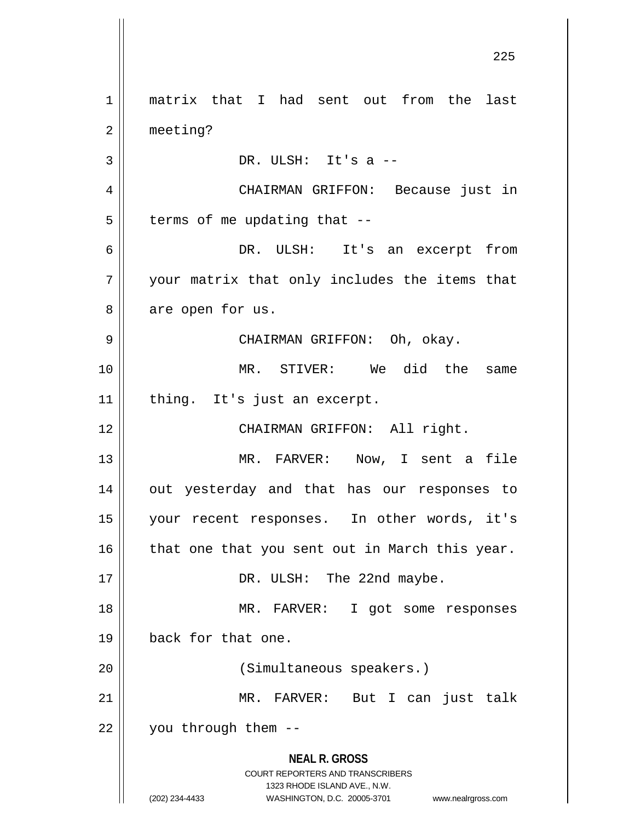**NEAL R. GROSS** COURT REPORTERS AND TRANSCRIBERS 1323 RHODE ISLAND AVE., N.W. (202) 234-4433 WASHINGTON, D.C. 20005-3701 www.nealrgross.com 1 || matrix that I had sent out from the last 2 meeting?  $3 \parallel$  DR. ULSH: It's a  $-$ 4 CHAIRMAN GRIFFON: Because just in  $5$  | terms of me updating that  $-$ 6 DR. ULSH: It's an excerpt from 7 || your matrix that only includes the items that 8 || are open for us. 9 CHAIRMAN GRIFFON: Oh, okay. 10 MR. STIVER: We did the same 11 || thing. It's just an excerpt. 12 || CHAIRMAN GRIFFON: All right. 13 MR. FARVER: Now, I sent a file 14 out yesterday and that has our responses to 15 your recent responses. In other words, it's  $16$  | that one that you sent out in March this year. 17 || DR. ULSH: The 22nd maybe. 18 MR. FARVER: I got some responses 19 back for that one. 20 || (Simultaneous speakers.) 21 MR. FARVER: But I can just talk 22 | you through them --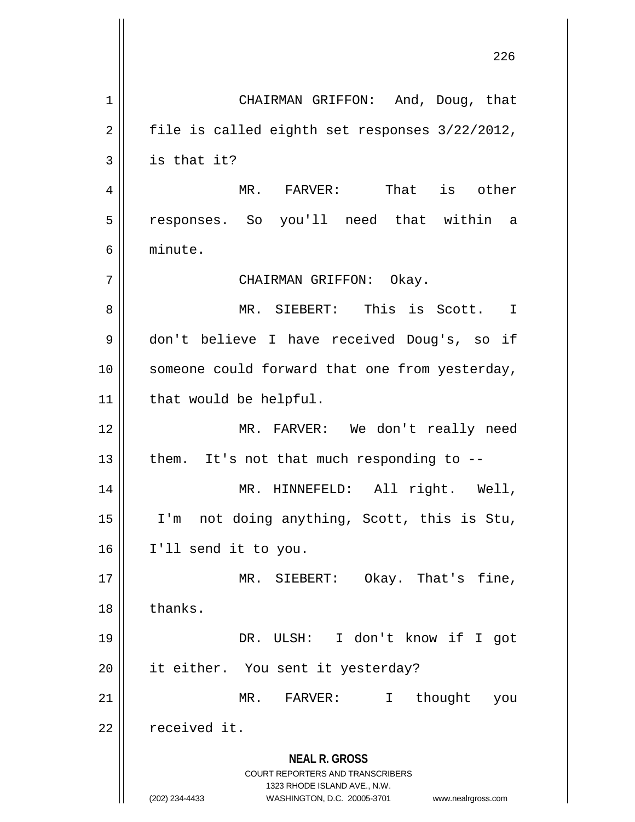**NEAL R. GROSS** COURT REPORTERS AND TRANSCRIBERS 1323 RHODE ISLAND AVE., N.W. (202) 234-4433 WASHINGTON, D.C. 20005-3701 www.nealrgross.com 1 CHAIRMAN GRIFFON: And, Doug, that  $2 \parallel$  file is called eighth set responses  $3/22/2012$ ,  $3 \parallel$  is that it? 4 MR. FARVER: That is other 5 responses. So you'll need that within a 6 minute. 7 CHAIRMAN GRIFFON: Okay. 8 MR. SIEBERT: This is Scott. I 9 don't believe I have received Doug's, so if 10 || someone could forward that one from yesterday, 11 | that would be helpful. 12 MR. FARVER: We don't really need 13  $\parallel$  them. It's not that much responding to --14 || MR. HINNEFELD: All right. Well, 15 I'm not doing anything, Scott, this is Stu, 16 I'll send it to you. 17 || MR. SIEBERT: Okay. That's fine, 18 | thanks. 19 DR. ULSH: I don't know if I got 20 || it either. You sent it yesterday? 21 MR. FARVER: I thought you  $22$  | received it.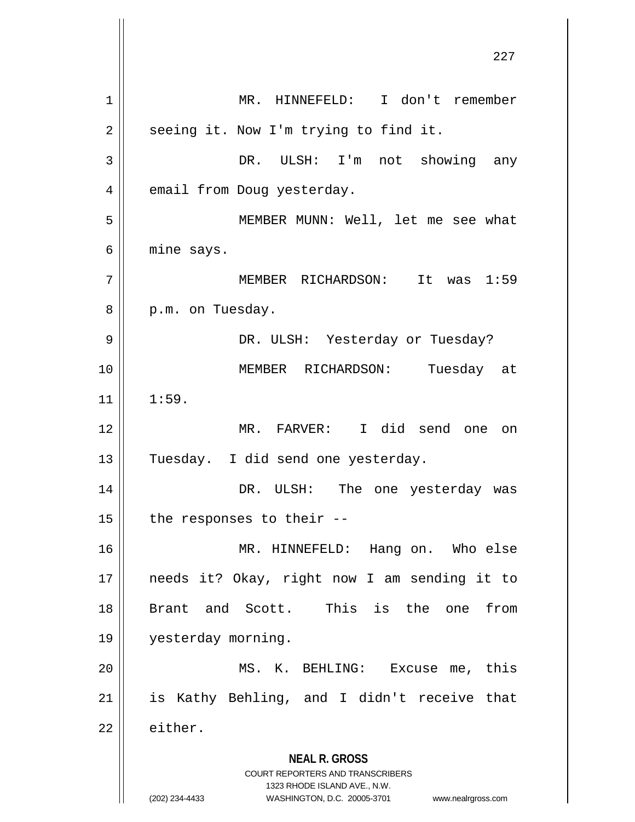**NEAL R. GROSS** COURT REPORTERS AND TRANSCRIBERS 1323 RHODE ISLAND AVE., N.W. (202) 234-4433 WASHINGTON, D.C. 20005-3701 www.nealrgross.com 1 MR. HINNEFELD: I don't remember  $2 \parallel$  seeing it. Now I'm trying to find it. 3 DR. ULSH: I'm not showing any 4 | email from Doug yesterday. 5 MEMBER MUNN: Well, let me see what  $6 \parallel$  mine says. 7 MEMBER RICHARDSON: It was 1:59 8 || p.m. on Tuesday. 9 DR. ULSH: Yesterday or Tuesday? 10 MEMBER RICHARDSON: Tuesday at  $11 \parallel 1:59$ . 12 MR. FARVER: I did send one on 13 || Tuesday. I did send one yesterday. 14 DR. ULSH: The one yesterday was 15  $\parallel$  the responses to their --16 MR. HINNEFELD: Hang on. Who else 17 needs it? Okay, right now I am sending it to 18 Brant and Scott. This is the one from 19 yesterday morning. 20 || MS. K. BEHLING: Excuse me, this  $21$  is Kathy Behling, and I didn't receive that  $22 \parallel$  either.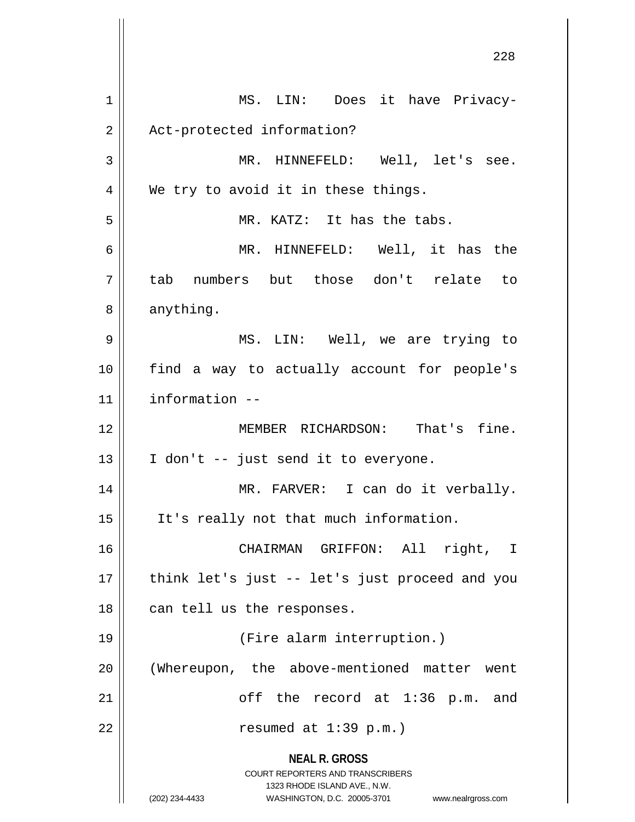**NEAL R. GROSS** COURT REPORTERS AND TRANSCRIBERS 1323 RHODE ISLAND AVE., N.W. (202) 234-4433 WASHINGTON, D.C. 20005-3701 www.nealrgross.com 1 || MS. LIN: Does it have Privacy-2 | Act-protected information? 3 MR. HINNEFELD: Well, let's see.  $4 \parallel$  We try to avoid it in these things. 5 MR. KATZ: It has the tabs. 6 MR. HINNEFELD: Well, it has the 7 tab numbers but those don't relate to 8 | anything. 9 MS. LIN: Well, we are trying to 10 find a way to actually account for people's 11 information -- 12 MEMBER RICHARDSON: That's fine.  $13 \parallel$  I don't -- just send it to everyone. 14 || MR. FARVER: I can do it verbally. 15 It's really not that much information. 16 CHAIRMAN GRIFFON: All right, I 17 || think let's just -- let's just proceed and you 18 || can tell us the responses. 19 (Fire alarm interruption.) 20 (Whereupon, the above-mentioned matter went  $21$  ||  $\qquad \qquad$  off the record at 1:36 p.m. and  $22$  || resumed at  $1:39$  p.m.)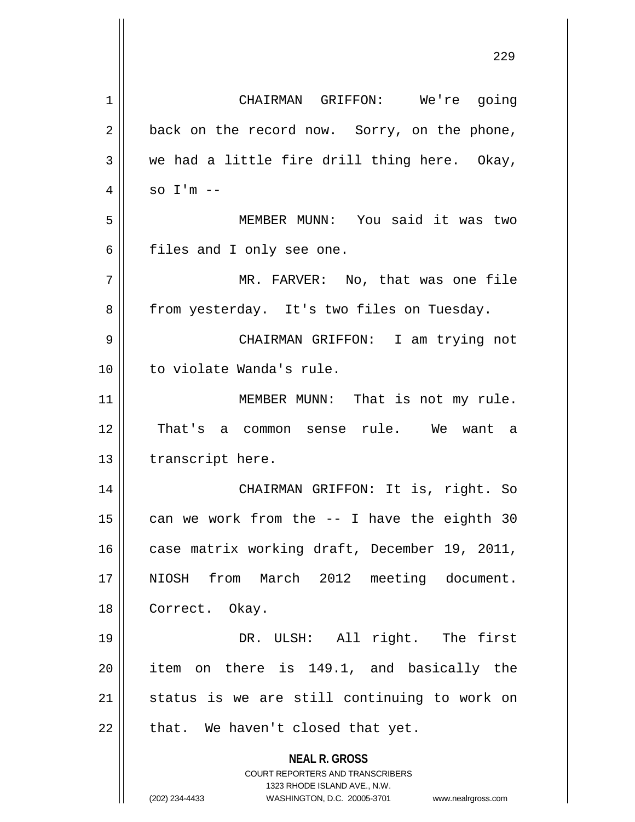**NEAL R. GROSS** COURT REPORTERS AND TRANSCRIBERS 1323 RHODE ISLAND AVE., N.W. (202) 234-4433 WASHINGTON, D.C. 20005-3701 www.nealrgross.com 1 CHAIRMAN GRIFFON: We're going  $2 \parallel$  back on the record now. Sorry, on the phone,  $3 \parallel$  we had a little fire drill thing here. Okay,  $4 \parallel$  so I'm  $-$ 5 MEMBER MUNN: You said it was two 6 || files and I only see one. 7 MR. FARVER: No, that was one file 8 | from yesterday. It's two files on Tuesday. 9 CHAIRMAN GRIFFON: I am trying not 10 || to violate Wanda's rule. 11 || MEMBER MUNN: That is not my rule. 12 That's a common sense rule. We want a 13 | transcript here. 14 CHAIRMAN GRIFFON: It is, right. So 15  $\parallel$  can we work from the  $-$  I have the eighth 30 16 | case matrix working draft, December 19, 2011, 17 || NIOSH from March 2012 meeting document. 18 || Correct. Okay. 19 || DR. ULSH: All right. The first 20 || item on there is 149.1, and basically the 21 || status is we are still continuing to work on  $22$  | that. We haven't closed that yet.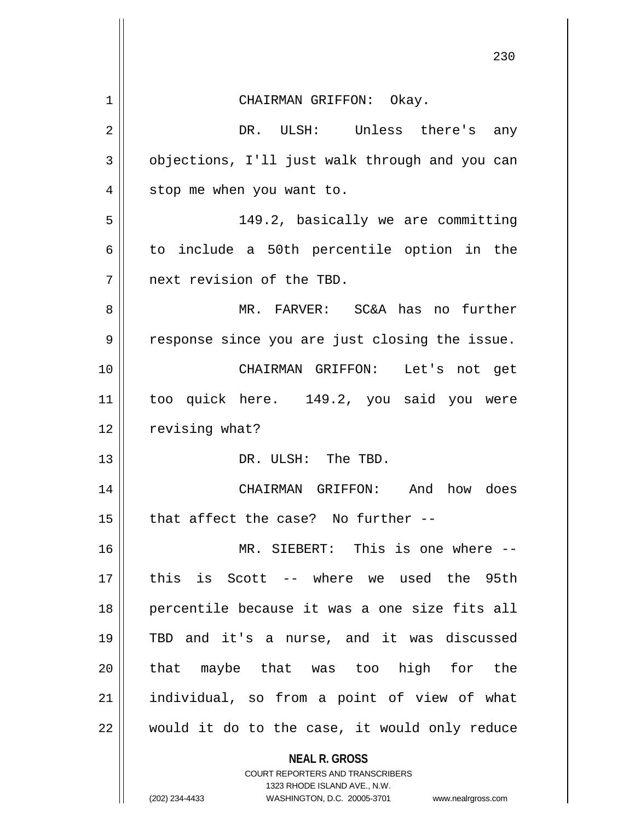|    | 230                                            |
|----|------------------------------------------------|
| 1  | CHAIRMAN GRIFFON: Okay.                        |
| 2  | DR. ULSH: Unless there's any                   |
| 3  | objections, I'll just walk through and you can |
| 4  | stop me when you want to.                      |
| 5  | 149.2, basically we are committing             |
| 6  | to include a 50th percentile option in the     |
| 7  | next revision of the TBD.                      |
| 8  | MR. FARVER: SC&A has no further                |
| 9  | response since you are just closing the issue. |
| 10 | CHAIRMAN GRIFFON: Let's not get                |
| 11 | too quick here. 149.2, you said you were       |
| 12 | revising what?                                 |
| 13 | DR. ULSH: The TBD.                             |
| 14 | CHAIRMAN GRIFFON: And how does                 |
| 15 | that affect the case? No further --            |
| 16 | MR. SIEBERT: This is one where --              |
| 17 | this is Scott -- where we used the 95th        |
| 18 | percentile because it was a one size fits all  |
| 19 | TBD and it's a nurse, and it was discussed     |
| 20 | that maybe that was too high for the           |
| 21 | individual, so from a point of view of what    |
| 22 | would it do to the case, it would only reduce  |
|    | <b>NEAL R. GROSS</b>                           |

COURT REPORTERS AND TRANSCRIBERS 1323 RHODE ISLAND AVE., N.W.

 $\prod$ 

(202) 234-4433 WASHINGTON, D.C. 20005-3701 www.nealrgross.com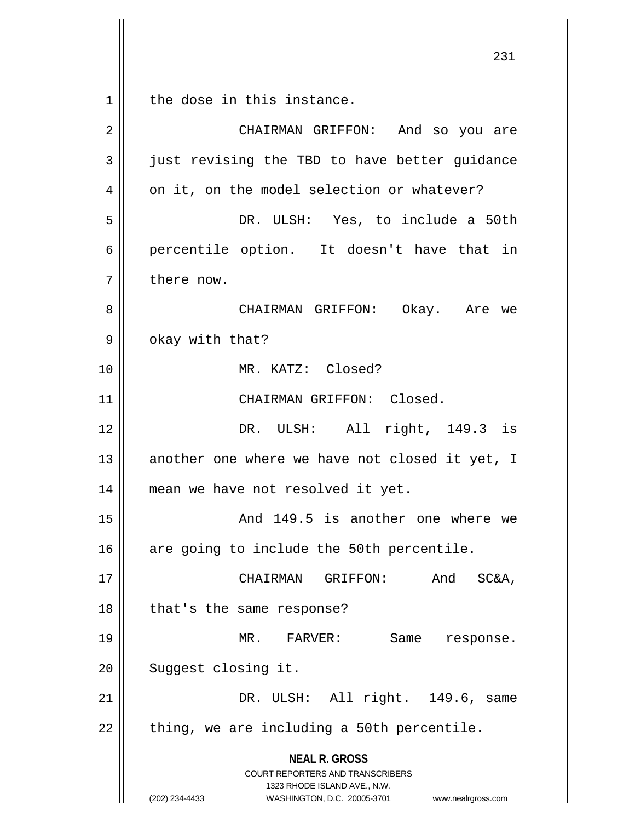$1 \parallel$  the dose in this instance.

| $\overline{2}$ | CHAIRMAN GRIFFON: And so you are                                                                                                                                       |
|----------------|------------------------------------------------------------------------------------------------------------------------------------------------------------------------|
|                |                                                                                                                                                                        |
| 3              | just revising the TBD to have better guidance                                                                                                                          |
| 4              | on it, on the model selection or whatever?                                                                                                                             |
| 5              | DR. ULSH: Yes, to include a 50th                                                                                                                                       |
| 6              | percentile option. It doesn't have that in                                                                                                                             |
| 7              | there now.                                                                                                                                                             |
| 8              | CHAIRMAN GRIFFON: Okay. Are we                                                                                                                                         |
| 9              | okay with that?                                                                                                                                                        |
| 10             | MR. KATZ: Closed?                                                                                                                                                      |
| 11             | CHAIRMAN GRIFFON: Closed.                                                                                                                                              |
| 12             | DR. ULSH: All right, 149.3 is                                                                                                                                          |
| 13             | another one where we have not closed it yet, I                                                                                                                         |
| 14             | mean we have not resolved it yet.                                                                                                                                      |
| 15             | And 149.5 is another one where we                                                                                                                                      |
| 16             | are going to include the 50th percentile.                                                                                                                              |
| 17             | CHAIRMAN GRIFFON: And SC&A,                                                                                                                                            |
| 18             | that's the same response?                                                                                                                                              |
| 19             | MR. FARVER:<br>Same response.                                                                                                                                          |
| 20             | Suggest closing it.                                                                                                                                                    |
| 21             | DR. ULSH: All right. 149.6, same                                                                                                                                       |
| 22             | thing, we are including a 50th percentile.                                                                                                                             |
|                | <b>NEAL R. GROSS</b><br><b>COURT REPORTERS AND TRANSCRIBERS</b><br>1323 RHODE ISLAND AVE., N.W.<br>(202) 234-4433<br>WASHINGTON, D.C. 20005-3701<br>www.nealrgross.com |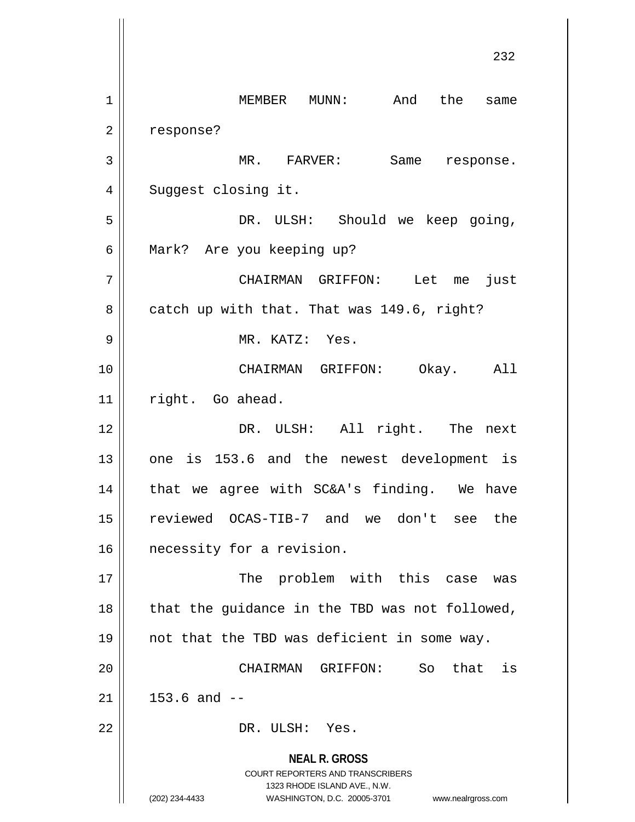**NEAL R. GROSS** COURT REPORTERS AND TRANSCRIBERS 1323 RHODE ISLAND AVE., N.W. (202) 234-4433 WASHINGTON, D.C. 20005-3701 www.nealrgross.com 232 1 | MEMBER MUNN: And the same 2 | response? 3 MR. FARVER: Same response. 4 | Suggest closing it. 5 DR. ULSH: Should we keep going, 6 || Mark? Are you keeping up? 7 CHAIRMAN GRIFFON: Let me just  $8 \parallel$  catch up with that. That was 149.6, right? 9 MR. KATZ: Yes. 10 CHAIRMAN GRIFFON: Okay. All 11 | right. Go ahead. 12 || DR. ULSH: All right. The next  $13$  || one is 153.6 and the newest development is  $14$  | that we agree with SC&A's finding. We have 15 reviewed OCAS-TIB-7 and we don't see the 16 | necessity for a revision. 17 || The problem with this case was  $18$  || that the guidance in the TBD was not followed, 19  $\parallel$  not that the TBD was deficient in some way. 20 CHAIRMAN GRIFFON: So that is  $21 \parallel 153.6 \text{ and } -$ 22 || DR. ULSH: Yes.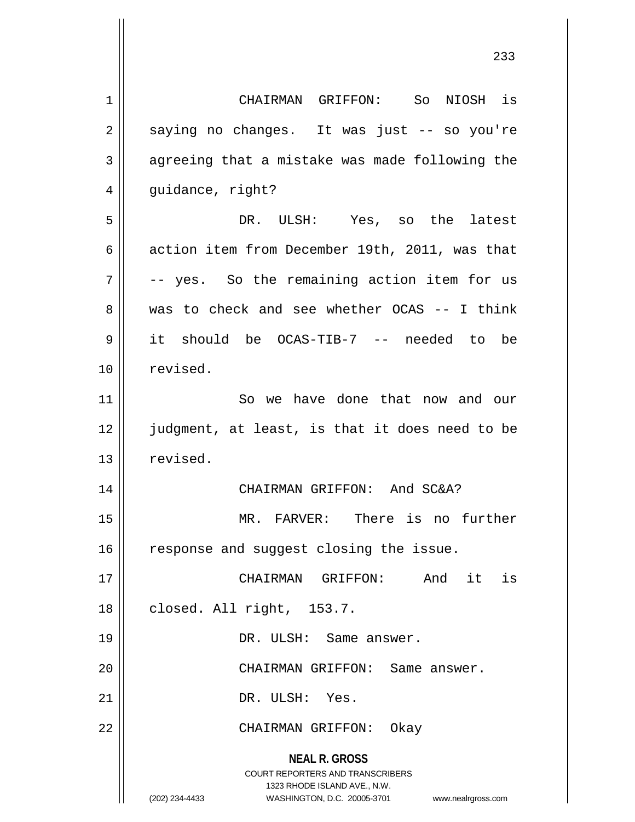**NEAL R. GROSS** COURT REPORTERS AND TRANSCRIBERS 1323 RHODE ISLAND AVE., N.W. (202) 234-4433 WASHINGTON, D.C. 20005-3701 www.nealrgross.com 1 CHAIRMAN GRIFFON: So NIOSH is  $2 \parallel$  saying no changes. It was just -- so you're  $3 \parallel$  agreeing that a mistake was made following the 4 | guidance, right? 5 DR. ULSH: Yes, so the latest 6 action item from December 19th, 2011, was that  $7 \parallel$  -- yes. So the remaining action item for us 8 was to check and see whether OCAS -- I think 9 it should be OCAS-TIB-7 -- needed to be 10 | revised. 11 || So we have done that now and our 12 || judgment, at least, is that it does need to be  $13$  revised. 14 || CHAIRMAN GRIFFON: And SC&A? 15 MR. FARVER: There is no further 16 | response and suggest closing the issue. 17 CHAIRMAN GRIFFON: And it is 18 || closed. All right, 153.7. 19 || DR. ULSH: Same answer. 20 || CHAIRMAN GRIFFON: Same answer. 21 || DR. ULSH: Yes. 22 CHAIRMAN GRIFFON: Okay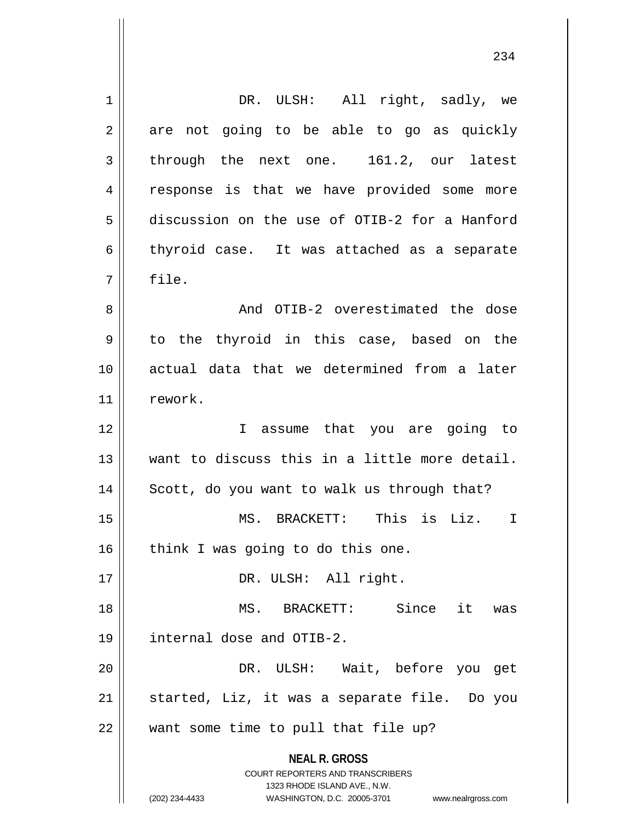**NEAL R. GROSS** COURT REPORTERS AND TRANSCRIBERS 1323 RHODE ISLAND AVE., N.W. (202) 234-4433 WASHINGTON, D.C. 20005-3701 www.nealrgross.com 1 || DR. ULSH: All right, sadly, we  $2 \parallel$  are not going to be able to go as quickly  $3 \parallel$  through the next one. 161.2, our latest 4 || response is that we have provided some more 5 discussion on the use of OTIB-2 for a Hanford  $6 \parallel$  thyroid case. It was attached as a separate  $7 \parallel$  file. 8 And OTIB-2 overestimated the dose 9 to the thyroid in this case, based on the 10 actual data that we determined from a later 11 | rework. 12 I assume that you are going to 13 want to discuss this in a little more detail.  $14$  Scott, do you want to walk us through that? 15 MS. BRACKETT: This is Liz. I  $16$  think I was going to do this one. 17 || DR. ULSH: All right. 18 MS. BRACKETT: Since it was 19 internal dose and OTIB-2. 20 DR. ULSH: Wait, before you get  $21$  started, Liz, it was a separate file. Do you  $22$  || want some time to pull that file up?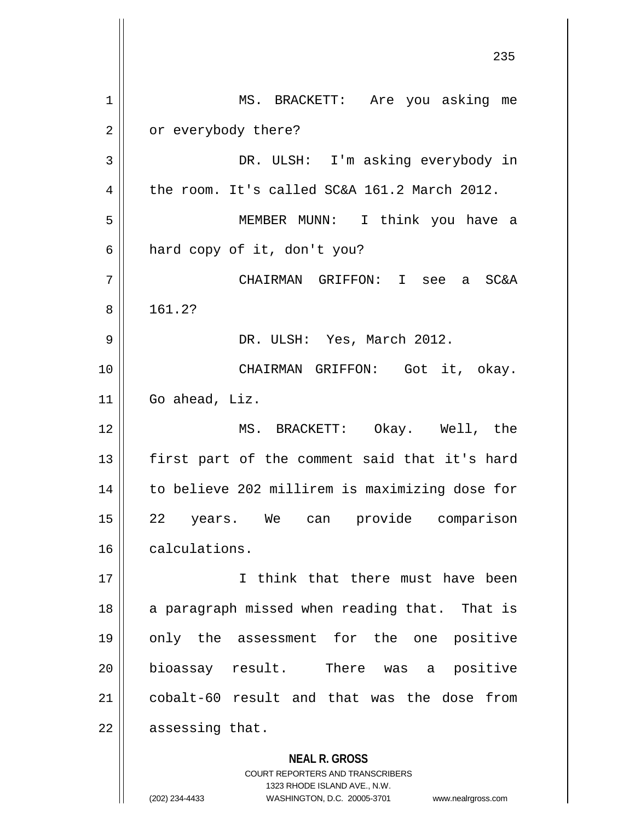**NEAL R. GROSS** COURT REPORTERS AND TRANSCRIBERS 1323 RHODE ISLAND AVE., N.W. 1 || MS. BRACKETT: Are you asking me 2 | or everybody there? DR. ULSH: I'm asking everybody in 4 the room. It's called SC&A 161.2 March 2012. MEMBER MUNN: I think you have a  $6 \parallel$  hard copy of it, don't you? CHAIRMAN GRIFFON: I see a SC&A 8 || 161.2? DR. ULSH: Yes, March 2012. 10 || CHAIRMAN GRIFFON: Got it, okay. Go ahead, Liz. MS. BRACKETT: Okay. Well, the || first part of the comment said that it's hard to believe 202 millirem is maximizing dose for 22 years. We can provide comparison calculations. I think that there must have been || a paragraph missed when reading that. That is only the assessment for the one positive bioassay result. There was a positive cobalt-60 result and that was the dose from || assessing that.

(202) 234-4433 WASHINGTON, D.C. 20005-3701 www.nealrgross.com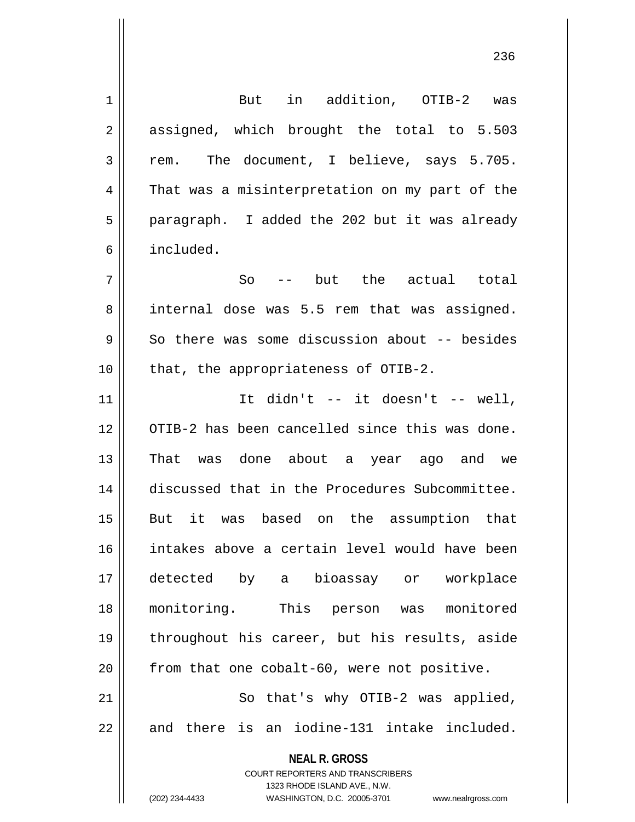**NEAL R. GROSS** COURT REPORTERS AND TRANSCRIBERS 1323 RHODE ISLAND AVE., N.W. (202) 234-4433 WASHINGTON, D.C. 20005-3701 www.nealrgross.com 1 But in addition, OTIB-2 was 2 || assigned, which brought the total to 5.503  $3 \parallel$  rem. The document, I believe, says 5.705. 4 That was a misinterpretation on my part of the 5 || paragraph. I added the 202 but it was already 6 included.  $7 \parallel$  So -- but the actual total 8 internal dose was 5.5 rem that was assigned.  $9 \parallel$  So there was some discussion about -- besides 10 || that, the appropriateness of OTIB-2.  $11$  ||  $11$  ||  $11$  ||  $11$  ||  $11$  ||  $11$  ||  $11$  ||  $11$  ||  $11$  ||  $11$  ||  $11$  ||  $11$  ||  $11$  ||  $11$  ||  $11$  ||  $11$  ||  $11$  ||  $11$  ||  $11$  ||  $11$  ||  $11$  ||  $11$  ||  $11$  ||  $11$  ||  $11$  ||  $11$  ||  $11$  ||  $11$  12 || OTIB-2 has been cancelled since this was done. 13 That was done about a year ago and we 14 discussed that in the Procedures Subcommittee. 15 But it was based on the assumption that 16 intakes above a certain level would have been 17 detected by a bioassay or workplace 18 monitoring. This person was monitored 19 throughout his career, but his results, aside  $20$  from that one cobalt-60, were not positive. 21 || So that's why OTIB-2 was applied,  $22$   $\parallel$  and there is an iodine-131 intake included.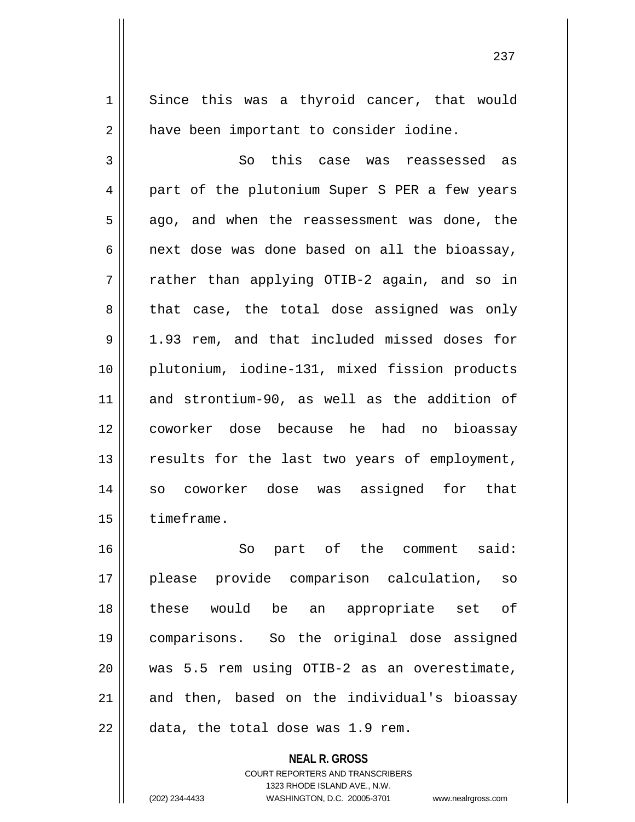**NEAL R. GROSS** 1 || Since this was a thyroid cancer, that would 2 | have been important to consider iodine. 3 || So this case was reassessed as 4 || part of the plutonium Super S PER a few years  $5 \parallel$  ago, and when the reassessment was done, the  $6 \parallel$  next dose was done based on all the bioassay, 7 rather than applying OTIB-2 again, and so in  $8 \parallel$  that case, the total dose assigned was only 9 1.93 rem, and that included missed doses for 10 plutonium, iodine-131, mixed fission products 11 and strontium-90, as well as the addition of 12 coworker dose because he had no bioassay 13 || results for the last two years of employment, 14 so coworker dose was assigned for that 15 | timeframe. 16 So part of the comment said: 17 please provide comparison calculation, so 18 these would be an appropriate set of 19 comparisons. So the original dose assigned 20 was 5.5 rem using OTIB-2 as an overestimate,  $21$  and then, based on the individual's bioassay  $22$  | data, the total dose was 1.9 rem.

> COURT REPORTERS AND TRANSCRIBERS 1323 RHODE ISLAND AVE., N.W.

(202) 234-4433 WASHINGTON, D.C. 20005-3701 www.nealrgross.com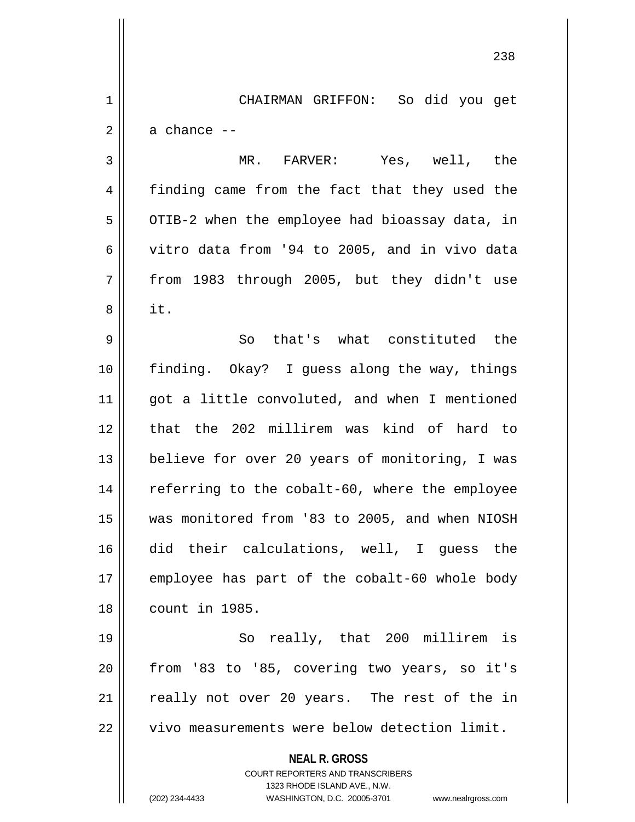1 CHAIRMAN GRIFFON: So did you get  $2 \parallel$  a chance  $-$ 

3 MR. FARVER: Yes, well, the 4 finding came from the fact that they used the  $5 \parallel$  OTIB-2 when the employee had bioassay data, in 6  $\vert$  vitro data from '94 to 2005, and in vivo data  $7 \parallel$  from 1983 through 2005, but they didn't use  $8 \parallel$  it.

9 So that's what constituted the 10 finding. Okay? I guess along the way, things 11 || got a little convoluted, and when I mentioned 12 that the 202 millirem was kind of hard to 13 || believe for over 20 years of monitoring, I was 14 || referring to the cobalt-60, where the employee 15 was monitored from '83 to 2005, and when NIOSH 16 did their calculations, well, I guess the 17 || employee has part of the cobalt-60 whole body 18 count in 1985.

19 || So really, that 200 millirem is  $20$  | from '83 to '85, covering two years, so it's  $21$  really not over 20 years. The rest of the in 22 | vivo measurements were below detection limit.

**NEAL R. GROSS**

COURT REPORTERS AND TRANSCRIBERS 1323 RHODE ISLAND AVE., N.W. (202) 234-4433 WASHINGTON, D.C. 20005-3701 www.nealrgross.com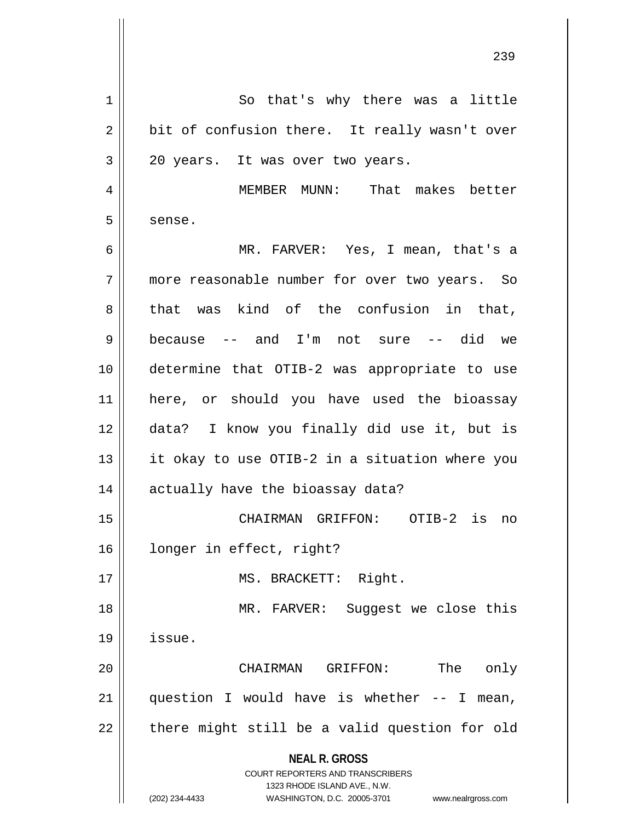**NEAL R. GROSS** COURT REPORTERS AND TRANSCRIBERS 1323 RHODE ISLAND AVE., N.W. (202) 234-4433 WASHINGTON, D.C. 20005-3701 www.nealrgross.com 1 || So that's why there was a little  $2 \parallel$  bit of confusion there. It really wasn't over  $3 \parallel 20 \text{ years.}$  It was over two years. 4 MEMBER MUNN: That makes better  $5 \parallel$  sense. 6 MR. FARVER: Yes, I mean, that's a 7 more reasonable number for over two years. So  $8 \parallel$  that was kind of the confusion in that, 9 because -- and I'm not sure -- did we 10 determine that OTIB-2 was appropriate to use 11 here, or should you have used the bioassay 12 data? I know you finally did use it, but is  $13$  || it okay to use OTIB-2 in a situation where you 14 || actually have the bioassay data? 15 CHAIRMAN GRIFFON: OTIB-2 is no 16 longer in effect, right? 17 || MS. BRACKETT: Right. 18 MR. FARVER: Suggest we close this 19 issue. 20 CHAIRMAN GRIFFON: The only 21  $\parallel$  question I would have is whether -- I mean,  $22$  || there might still be a valid question for old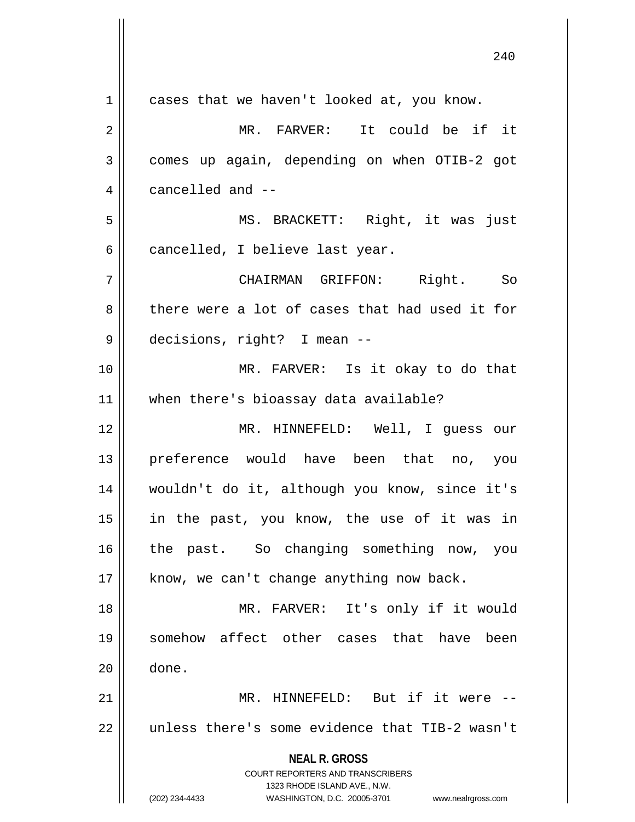**NEAL R. GROSS** COURT REPORTERS AND TRANSCRIBERS 1323 RHODE ISLAND AVE., N.W. (202) 234-4433 WASHINGTON, D.C. 20005-3701 www.nealrgross.com 1 || cases that we haven't looked at, you know. MR. FARVER: It could be if it comes up again, depending on when OTIB-2 got 4 || cancelled and -- MS. BRACKETT: Right, it was just  $6 \parallel$  cancelled, I believe last year. CHAIRMAN GRIFFON: Right. So 8 there were a lot of cases that had used it for decisions, right? I mean -- MR. FARVER: Is it okay to do that when there's bioassay data available? MR. HINNEFELD: Well, I guess our preference would have been that no, you wouldn't do it, although you know, since it's in the past, you know, the use of it was in 16 || the past. So changing something now, you | know, we can't change anything now back. MR. FARVER: It's only if it would somehow affect other cases that have been done. MR. HINNEFELD: But if it were -- 22 || unless there's some evidence that TIB-2 wasn't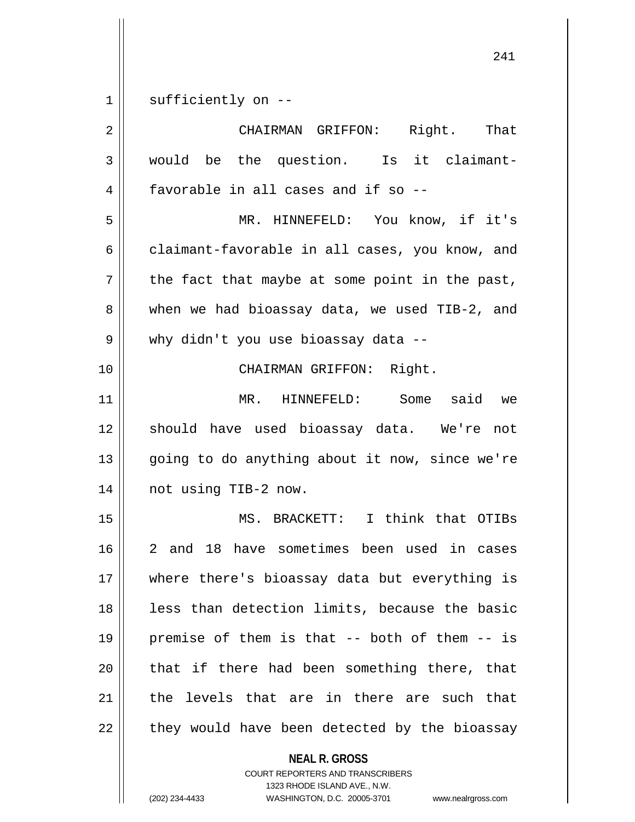sufficiently on --

| $\overline{2}$ | CHAIRMAN GRIFFON: Right. That                  |
|----------------|------------------------------------------------|
| 3              | would be the question. Is it claimant-         |
| 4              | favorable in all cases and if so --            |
| 5              | MR. HINNEFELD: You know, if it's               |
| 6              | claimant-favorable in all cases, you know, and |
| 7              | the fact that maybe at some point in the past, |
| 8              | when we had bioassay data, we used TIB-2, and  |
| 9              | why didn't you use bioassay data --            |
| 10             | CHAIRMAN GRIFFON: Right.                       |
| 11             | MR. HINNEFELD: Some said<br>we                 |
| 12             | should have used bioassay data. We're not      |
| 13             | going to do anything about it now, since we're |
| 14             | not using TIB-2 now.                           |
| 15             | MS. BRACKETT: I think that OTIBs               |
| 16             | 2 and 18 have sometimes been used in cases     |
| $17$           | where there's bioassay data but everything is  |
| 18             | less than detection limits, because the basic  |
| 19             | premise of them is that -- both of them -- is  |
| 20             | that if there had been something there, that   |
| 21             | the levels that are in there are such that     |
| 22             | they would have been detected by the bioassay  |
|                | <b>NEAL R. GROSS</b>                           |

COURT REPORTERS AND TRANSCRIBERS 1323 RHODE ISLAND AVE., N.W.

(202) 234-4433 WASHINGTON, D.C. 20005-3701 www.nealrgross.com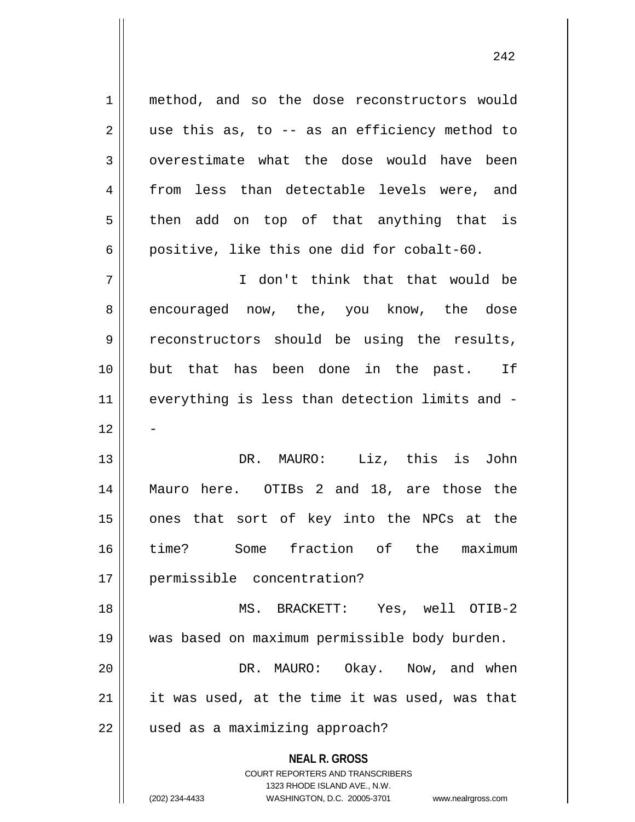**NEAL R. GROSS** COURT REPORTERS AND TRANSCRIBERS 1323 RHODE ISLAND AVE., N.W. (202) 234-4433 WASHINGTON, D.C. 20005-3701 www.nealrgross.com 1 || method, and so the dose reconstructors would  $2 \parallel$  use this as, to -- as an efficiency method to 3 || overestimate what the dose would have been 4 from less than detectable levels were, and  $5 \parallel$  then add on top of that anything that is 6 positive, like this one did for cobalt-60. 7 I don't think that that would be 8 encouraged now, the, you know, the dose 9 reconstructors should be using the results, 10 but that has been done in the past. If 11 everything is less than detection limits and -  $12$ 13 DR. MAURO: Liz, this is John 14 Mauro here. OTIBs 2 and 18, are those the 15 || ones that sort of key into the NPCs at the 16 time? Some fraction of the maximum 17 permissible concentration? 18 MS. BRACKETT: Yes, well OTIB-2 19 was based on maximum permissible body burden. 20 DR. MAURO: Okay. Now, and when  $21$  | it was used, at the time it was used, was that 22 || used as a maximizing approach?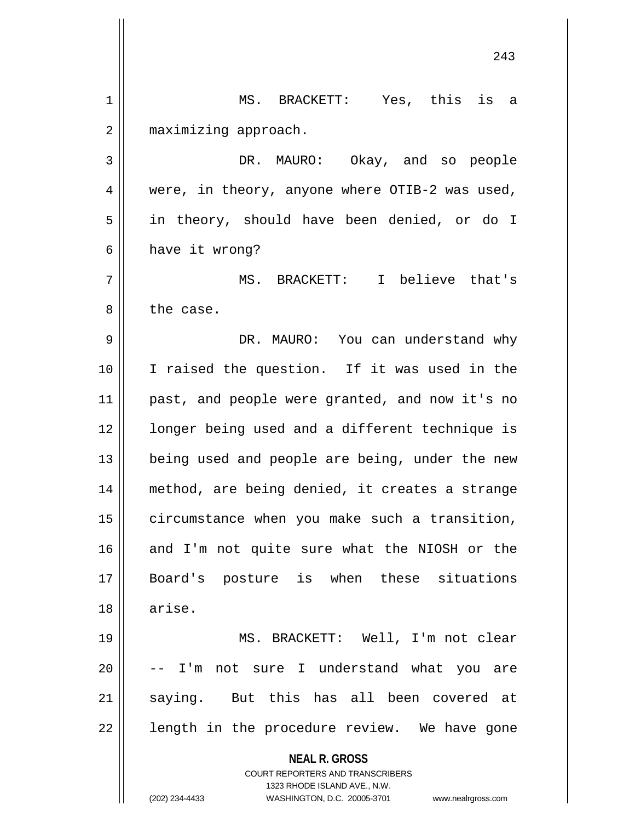**NEAL R. GROSS** COURT REPORTERS AND TRANSCRIBERS 1323 RHODE ISLAND AVE., N.W. (202) 234-4433 WASHINGTON, D.C. 20005-3701 www.nealrgross.com 243 1 MS. BRACKETT: Yes, this is a 2 | maximizing approach. 3 DR. MAURO: Okay, and so people 4 || were, in theory, anyone where OTIB-2 was used, 5 || in theory, should have been denied, or do I  $6 \parallel$  have it wrong? 7 MS. BRACKETT: I believe that's 8 l the case. 9 DR. MAURO: You can understand why 10 I raised the question. If it was used in the 11 past, and people were granted, and now it's no 12 || longer being used and a different technique is 13 || being used and people are being, under the new 14 method, are being denied, it creates a strange 15 | circumstance when you make such a transition,  $16$  and I'm not quite sure what the NIOSH or the 17 Board's posture is when these situations 18 arise. 19 MS. BRACKETT: Well, I'm not clear  $20$   $\vert$  -- I'm not sure I understand what you are 21 saying. But this has all been covered at  $22$  || length in the procedure review. We have gone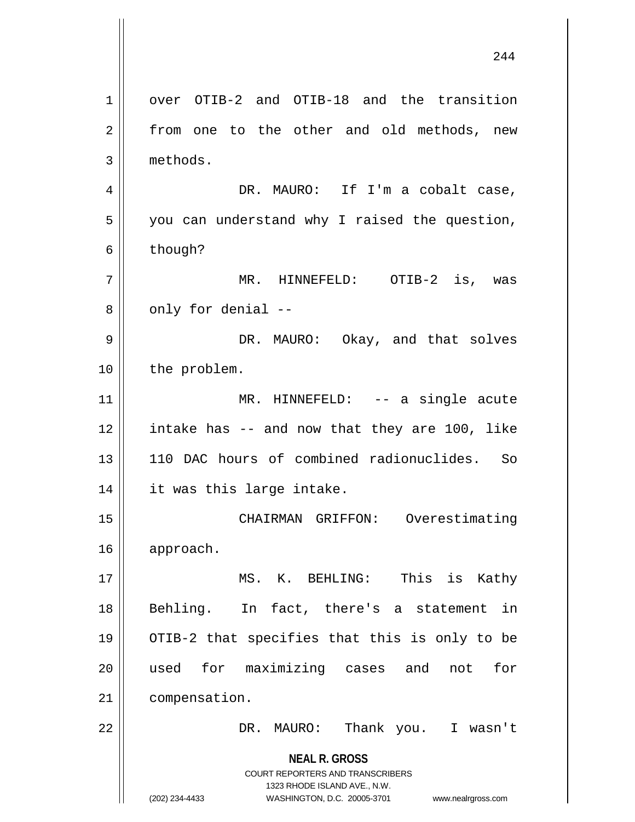**NEAL R. GROSS** COURT REPORTERS AND TRANSCRIBERS 1323 RHODE ISLAND AVE., N.W. (202) 234-4433 WASHINGTON, D.C. 20005-3701 www.nealrgross.com 1 over OTIB-2 and OTIB-18 and the transition 2 || from one to the other and old methods, new 3 methods. 4 DR. MAURO: If I'm a cobalt case,  $5 \parallel$  you can understand why I raised the question,  $6 \parallel$  though? 7 MR. HINNEFELD: OTIB-2 is, was  $8 \parallel$  only for denial  $-$ 9 DR. MAURO: Okay, and that solves 10 | the problem. 11 || MR. HINNEFELD: -- a single acute 12 intake has -- and now that they are 100, like 13 110 DAC hours of combined radionuclides. So 14 || it was this large intake. 15 || CHAIRMAN GRIFFON: Overestimating 16 approach. 17 || MS. K. BEHLING: This is Kathy 18 || Behling. In fact, there's a statement in 19 OTIB-2 that specifies that this is only to be 20 used for maximizing cases and not for 21 compensation. 22 DR. MAURO: Thank you. I wasn't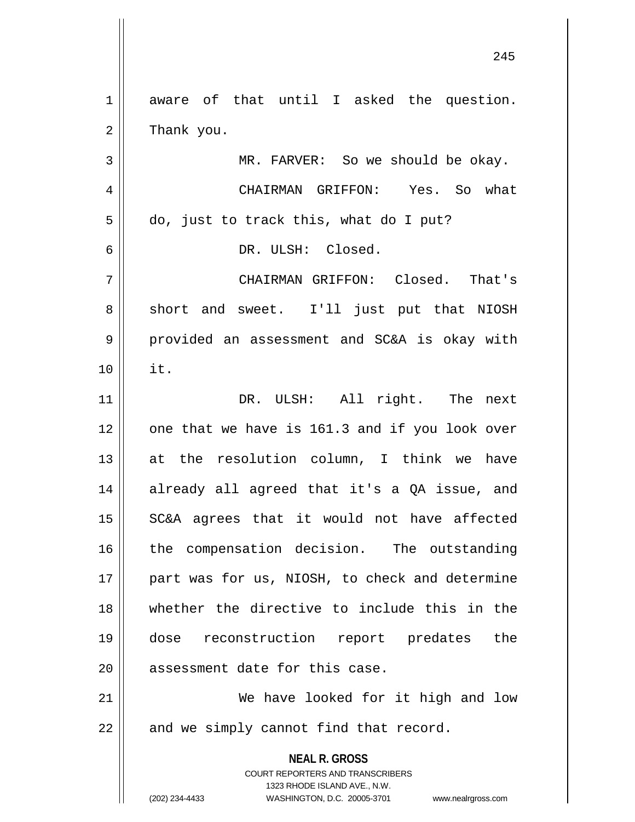**NEAL R. GROSS** COURT REPORTERS AND TRANSCRIBERS 1323 RHODE ISLAND AVE., N.W. (202) 234-4433 WASHINGTON, D.C. 20005-3701 www.nealrgross.com 1 aware of that until I asked the question.  $2 \parallel$  Thank you. 3 MR. FARVER: So we should be okay. 4 CHAIRMAN GRIFFON: Yes. So what  $5 \parallel$  do, just to track this, what do I put? 6 DR. ULSH: Closed. 7 CHAIRMAN GRIFFON: Closed. That's 8 || short and sweet. I'll just put that NIOSH 9 || provided an assessment and SC&A is okay with 10 it. 11 DR. ULSH: All right. The next  $12$  | one that we have is 161.3 and if you look over 13  $\parallel$  at the resolution column, I think we have 14 || already all agreed that it's a QA issue, and 15 || SC&A agrees that it would not have affected 16 || the compensation decision. The outstanding 17 part was for us, NIOSH, to check and determine 18 whether the directive to include this in the 19 dose reconstruction report predates the 20 || assessment date for this case. 21 || We have looked for it high and low  $22$  | and we simply cannot find that record.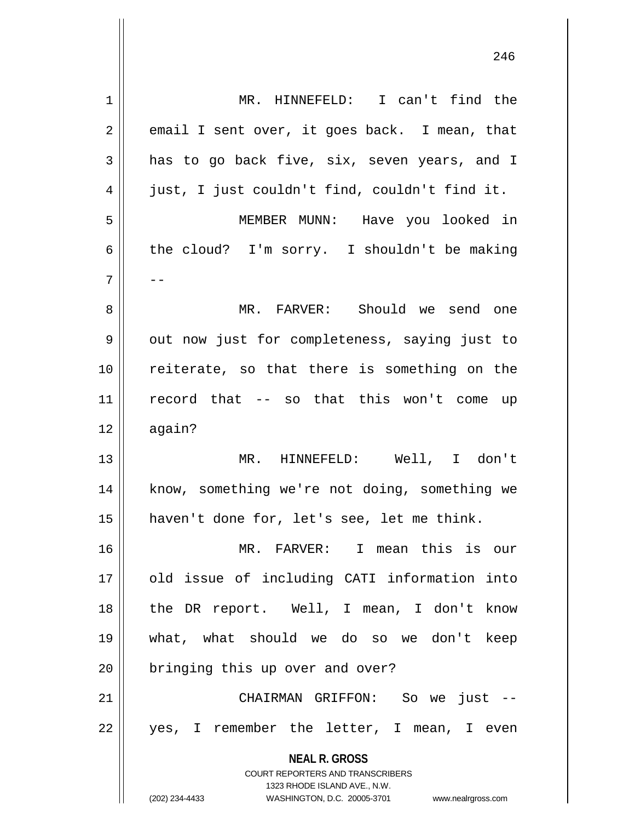| 1  | MR. HINNEFELD: I can't find the                                                                     |
|----|-----------------------------------------------------------------------------------------------------|
| 2  | email I sent over, it goes back. I mean, that                                                       |
| 3  | has to go back five, six, seven years, and I                                                        |
| 4  | just, I just couldn't find, couldn't find it.                                                       |
| 5  | MEMBER MUNN: Have you looked in                                                                     |
| 6  | the cloud? I'm sorry. I shouldn't be making                                                         |
| 7  | $- -$                                                                                               |
| 8  | MR. FARVER: Should we send one                                                                      |
| 9  | out now just for completeness, saying just to                                                       |
| 10 | reiterate, so that there is something on the                                                        |
| 11 | record that -- so that this won't come up                                                           |
| 12 | again?                                                                                              |
| 13 | MR. HINNEFELD: Well, I don't                                                                        |
| 14 | know, something we're not doing, something we                                                       |
| 15 | haven't done for, let's see, let me think.                                                          |
| 16 | MR. FARVER: I mean this is our                                                                      |
| 17 | old issue of including CATI information into                                                        |
| 18 | the DR report. Well, I mean, I don't know                                                           |
| 19 | what, what should we do so we don't keep                                                            |
| 20 | bringing this up over and over?                                                                     |
| 21 | CHAIRMAN GRIFFON: So we just --                                                                     |
| 22 | yes, I remember the letter, I mean, I even                                                          |
|    |                                                                                                     |
|    | <b>NEAL R. GROSS</b>                                                                                |
|    | <b>COURT REPORTERS AND TRANSCRIBERS</b>                                                             |
|    | 1323 RHODE ISLAND AVE., N.W.<br>(202) 234-4433<br>WASHINGTON, D.C. 20005-3701<br>www.nealrgross.com |
|    |                                                                                                     |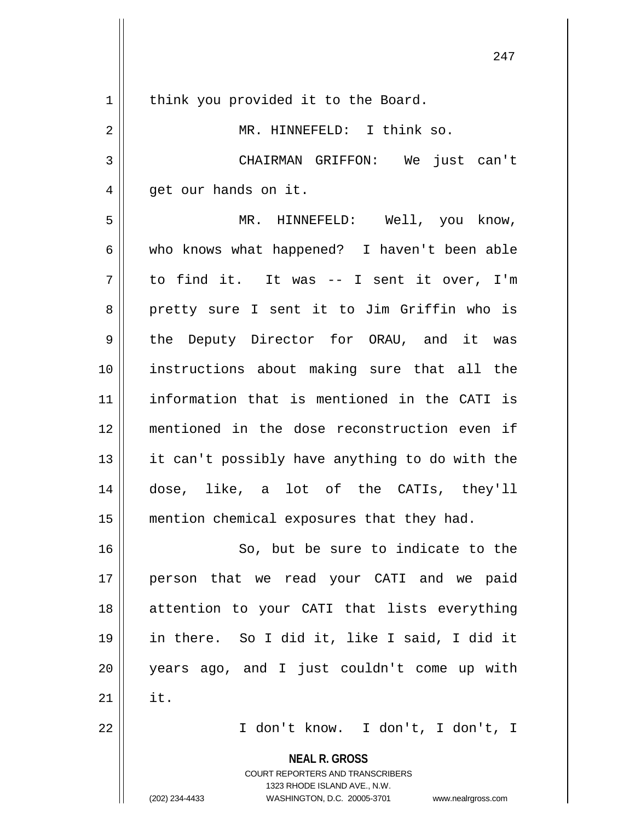**NEAL R. GROSS** COURT REPORTERS AND TRANSCRIBERS 1323 RHODE ISLAND AVE., N.W. 1 | think you provided it to the Board. 2 || MR. HINNEFELD: I think so. CHAIRMAN GRIFFON: We just can't  $4 \parallel$  get our hands on it. MR. HINNEFELD: Well, you know, who knows what happened? I haven't been able to find it. It was -- I sent it over, I'm 8 || pretty sure I sent it to Jim Griffin who is 9 the Deputy Director for ORAU, and it was instructions about making sure that all the information that is mentioned in the CATI is mentioned in the dose reconstruction even if || it can't possibly have anything to do with the dose, like, a lot of the CATIs, they'll mention chemical exposures that they had. 16 || So, but be sure to indicate to the person that we read your CATI and we paid attention to your CATI that lists everything in there. So I did it, like I said, I did it years ago, and I just couldn't come up with  $\parallel$  it. I don't know. I don't, I don't, I

(202) 234-4433 WASHINGTON, D.C. 20005-3701 www.nealrgross.com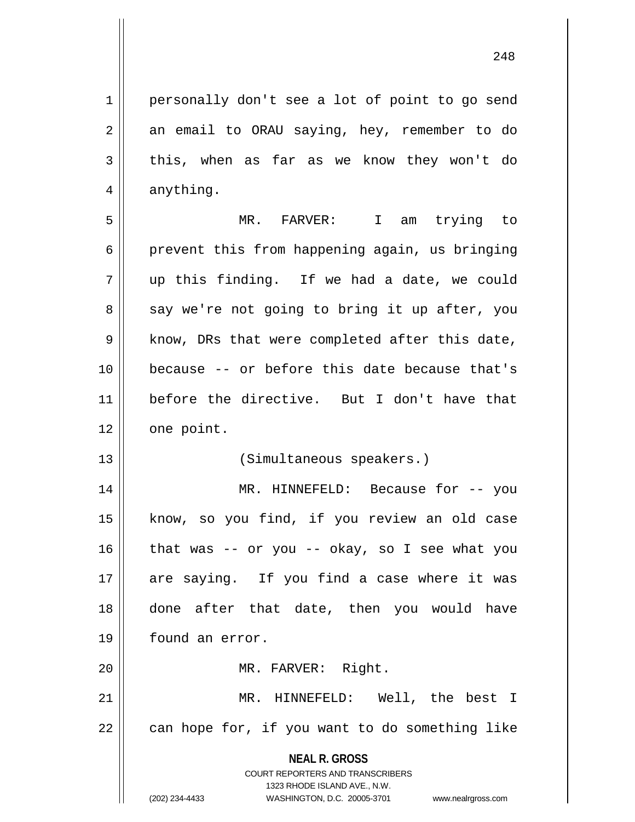1 | personally don't see a lot of point to go send  $2 \parallel$  an email to ORAU saying, hey, remember to do

 $3 \parallel$  this, when as far as we know they won't do  $4 \parallel$  anything. 5 MR. FARVER: I am trying to  $6 \parallel$  prevent this from happening again, us bringing  $7 \parallel$  up this finding. If we had a date, we could  $8 \parallel$  say we're not going to bring it up after, you  $9 \parallel$  know, DRs that were completed after this date, 10 because -- or before this date because that's 11 before the directive. But I don't have that  $12$  | one point. 13 || (Simultaneous speakers.) 14 MR. HINNEFELD: Because for -- you 15 || know, so you find, if you review an old case 16  $\parallel$  that was -- or you -- okay, so I see what you 17 are saying. If you find a case where it was 18 done after that date, then you would have 19 | found an error. 20 || MR. FARVER: Right. 21 || MR. HINNEFELD: Well, the best I  $22$  | can hope for, if you want to do something like

> **NEAL R. GROSS** COURT REPORTERS AND TRANSCRIBERS 1323 RHODE ISLAND AVE., N.W.

(202) 234-4433 WASHINGTON, D.C. 20005-3701 www.nealrgross.com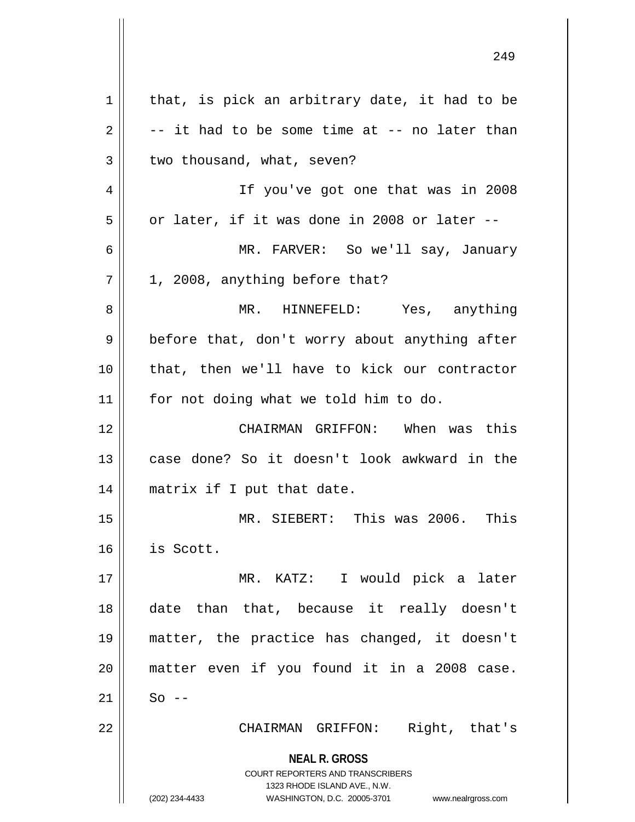| $\mathbf 1$ | that, is pick an arbitrary date, it had to be                                                   |
|-------------|-------------------------------------------------------------------------------------------------|
| 2           | -- it had to be some time at -- no later than                                                   |
| 3           | two thousand, what, seven?                                                                      |
| 4           | If you've got one that was in 2008                                                              |
| 5           | or later, if it was done in 2008 or later --                                                    |
| 6           | MR. FARVER: So we'll say, January                                                               |
| 7           | 1, 2008, anything before that?                                                                  |
| 8           | MR. HINNEFELD: Yes, anything                                                                    |
| 9           | before that, don't worry about anything after                                                   |
| 10          | that, then we'll have to kick our contractor                                                    |
| 11          | for not doing what we told him to do.                                                           |
| 12          | CHAIRMAN GRIFFON: When was this                                                                 |
| 13          | case done? So it doesn't look awkward in the                                                    |
| 14          | matrix if I put that date.                                                                      |
| 15          | MR. SIEBERT: This was 2006. This                                                                |
| 16          | is Scott.                                                                                       |
| 17          | MR. KATZ: I would pick a later                                                                  |
| 18          | date than that, because it really doesn't                                                       |
| 19          | matter, the practice has changed, it doesn't                                                    |
| 20          | matter even if you found it in a 2008 case.                                                     |
| 21          | $So$ --                                                                                         |
| 22          | Right, that's<br>CHAIRMAN GRIFFON:                                                              |
|             | <b>NEAL R. GROSS</b><br><b>COURT REPORTERS AND TRANSCRIBERS</b><br>1323 RHODE ISLAND AVE., N.W. |
|             | WASHINGTON, D.C. 20005-3701<br>(202) 234-4433<br>www.nealrgross.com                             |

 $\mathsf{I}$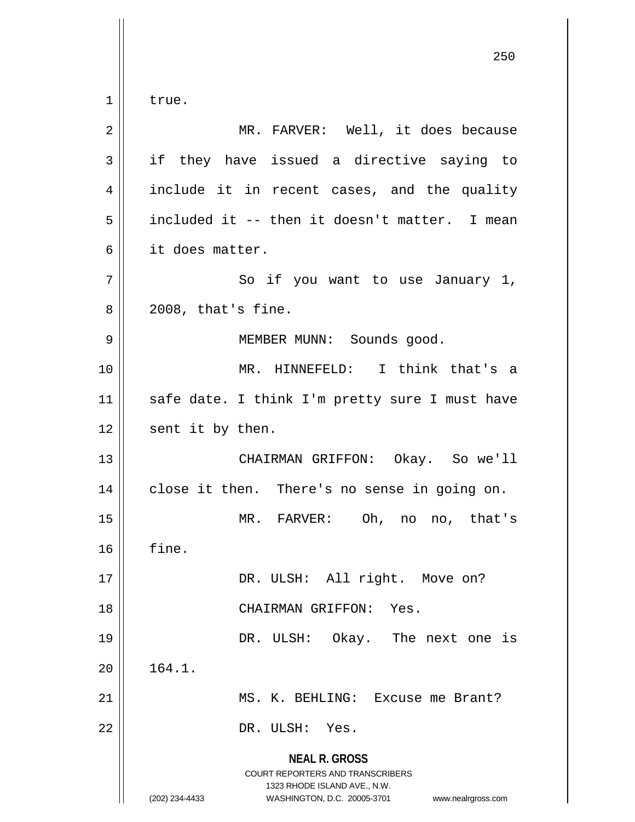**NEAL R. GROSS** COURT REPORTERS AND TRANSCRIBERS 1323 RHODE ISLAND AVE., N.W. (202) 234-4433 WASHINGTON, D.C. 20005-3701 www.nealrgross.com  $1 \parallel$  true. 2 MR. FARVER: Well, it does because  $3 \parallel$  if they have issued a directive saying to 4 || include it in recent cases, and the quality 5 included it -- then it doesn't matter. I mean 6 it does matter. 7 || So if you want to use January 1,  $8 \parallel 2008$ , that's fine. 9 || MEMBER MUNN: Sounds good. 10 MR. HINNEFELD: I think that's a 11 || safe date. I think I'm pretty sure I must have  $12$  | sent it by then. 13 CHAIRMAN GRIFFON: Okay. So we'll 14 || close it then. There's no sense in going on. 15 MR. FARVER: Oh, no no, that's  $16$  | fine. 17 || DR. ULSH: All right. Move on? 18 CHAIRMAN GRIFFON: Yes. 19 DR. ULSH: Okay. The next one is  $20 \parallel 164.1.$ 21 MS. K. BEHLING: Excuse me Brant? 22 || DR. ULSH: Yes.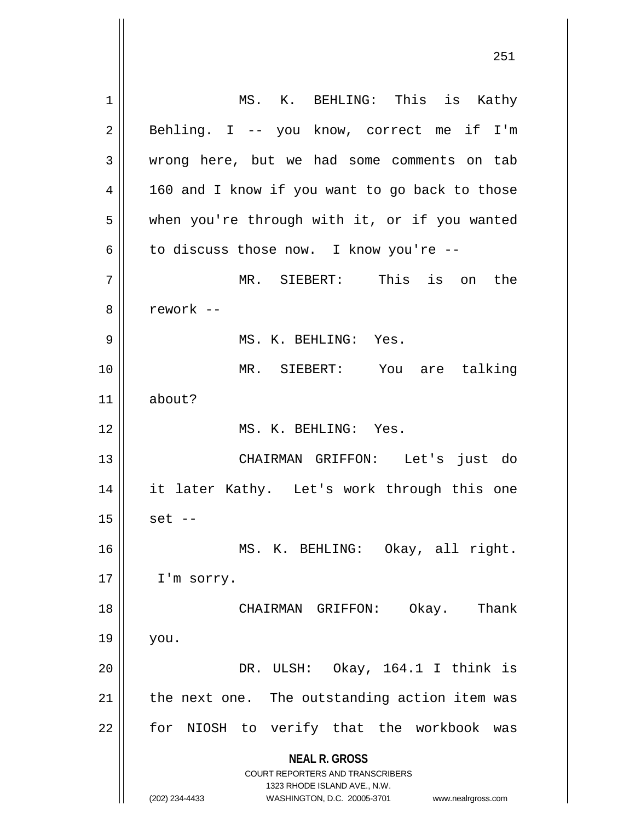**NEAL R. GROSS** COURT REPORTERS AND TRANSCRIBERS 1323 RHODE ISLAND AVE., N.W. (202) 234-4433 WASHINGTON, D.C. 20005-3701 www.nealrgross.com 1 || MS. K. BEHLING: This is Kathy 2 || Behling. I -- you know, correct me if I'm 3 wrong here, but we had some comments on tab  $4 \parallel$  160 and I know if you want to go back to those 5 | when you're through with it, or if you wanted  $6 \parallel$  to discuss those now. I know you're --7 MR. SIEBERT: This is on the 8 ll rework --9 || MS. K. BEHLING: Yes. 10 MR. SIEBERT: You are talking 11 about? 12 MS. K. BEHLING: Yes. 13 CHAIRMAN GRIFFON: Let's just do 14 it later Kathy. Let's work through this one  $15 \parallel$  set --16 MS. K. BEHLING: Okay, all right. 17 | I'm sorry. 18 CHAIRMAN GRIFFON: Okay. Thank  $19 \parallel$  you. 20 DR. ULSH: Okay, 164.1 I think is  $21$  | the next one. The outstanding action item was  $22$  || for NIOSH to verify that the workbook was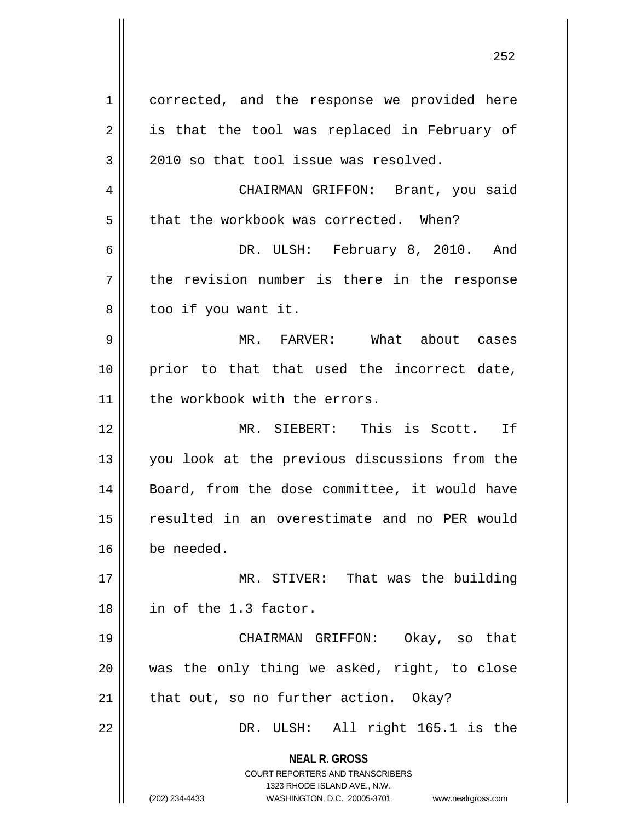**NEAL R. GROSS** COURT REPORTERS AND TRANSCRIBERS 1323 RHODE ISLAND AVE., N.W. (202) 234-4433 WASHINGTON, D.C. 20005-3701 www.nealrgross.com 1 | corrected, and the response we provided here  $2 \parallel$  is that the tool was replaced in February of  $3 \parallel$  2010 so that tool issue was resolved. 4 CHAIRMAN GRIFFON: Brant, you said  $5$  || that the workbook was corrected. When? 6 DR. ULSH: February 8, 2010. And  $7 \parallel$  the revision number is there in the response  $8 \parallel$  too if you want it. 9 MR. FARVER: What about cases 10 || prior to that that used the incorrect date, 11 | the workbook with the errors. 12 MR. SIEBERT: This is Scott. If 13 you look at the previous discussions from the 14 || Board, from the dose committee, it would have 15 resulted in an overestimate and no PER would 16 be needed. 17 MR. STIVER: That was the building 18 in of the 1.3 factor. 19 CHAIRMAN GRIFFON: Okay, so that  $20$  || was the only thing we asked, right, to close  $21$  | that out, so no further action. Okay? 22 || DR. ULSH: All right 165.1 is the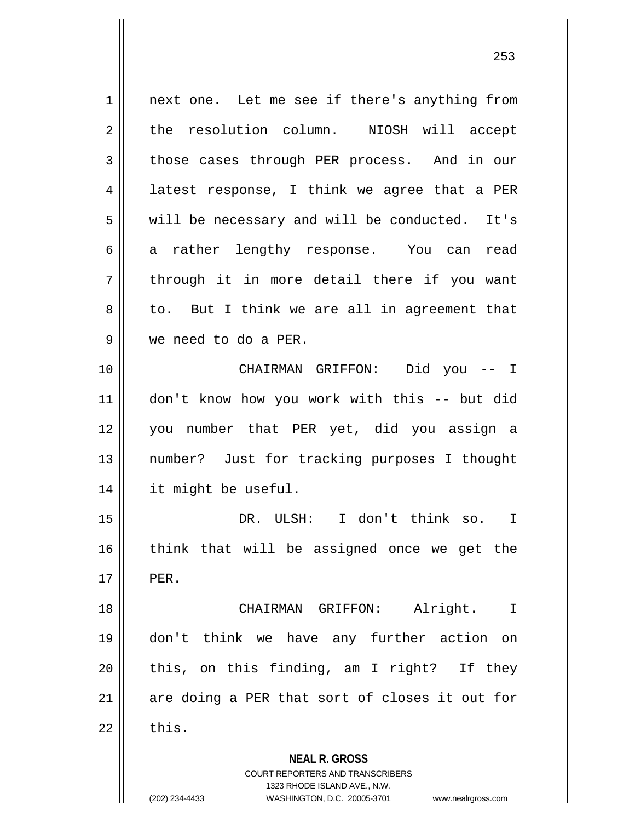**NEAL R. GROSS** COURT REPORTERS AND TRANSCRIBERS 1323 RHODE ISLAND AVE., N.W. 1 || next one. Let me see if there's anything from 2 the resolution column. NIOSH will accept 3 those cases through PER process. And in our 4 || latest response, I think we agree that a PER  $5 \parallel$  will be necessary and will be conducted. It's 6 a rather lengthy response. You can read  $7 \parallel$  through it in more detail there if you want  $8 \parallel$  to. But I think we are all in agreement that 9 we need to do a PER. 10 CHAIRMAN GRIFFON: Did you -- I 11 don't know how you work with this -- but did 12 you number that PER yet, did you assign a 13 number? Just for tracking purposes I thought 14 it might be useful. 15 DR. ULSH: I don't think so. I 16 think that will be assigned once we get the  $17$  || PER. 18 CHAIRMAN GRIFFON: Alright. I 19 don't think we have any further action on  $20$  || this, on this finding, am I right? If they  $21$  are doing a PER that sort of closes it out for  $22 \parallel$  this.

<sup>(202) 234-4433</sup> WASHINGTON, D.C. 20005-3701 www.nealrgross.com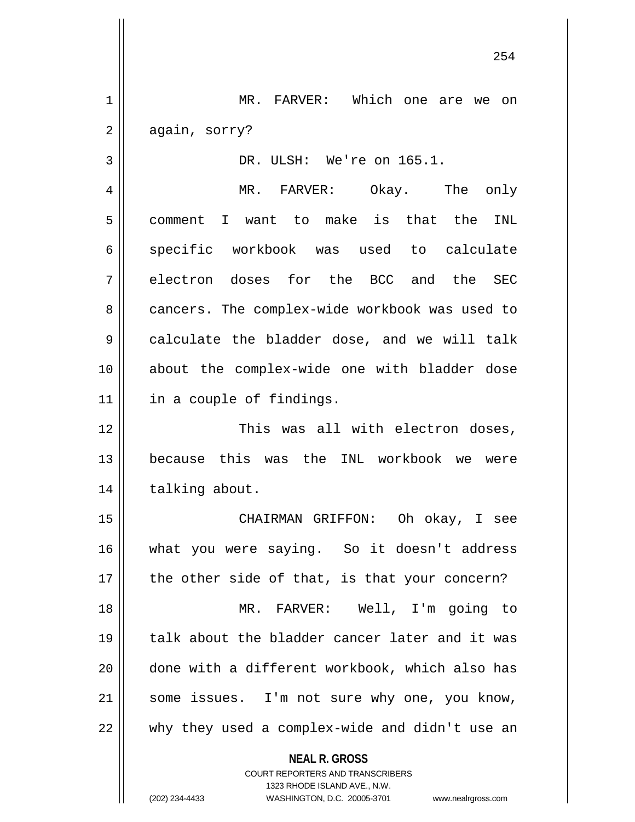1 MR. FARVER: Which one are we on  $2 \parallel$  again, sorry?

3 DR. ULSH: We're on 165.1.

4 MR. FARVER: Okay. The only 5 || comment I want to make is that the INL 6 specific workbook was used to calculate  $7 \parallel$  electron doses for the BCC and the SEC 8 cancers. The complex-wide workbook was used to 9 calculate the bladder dose, and we will talk 10 about the complex-wide one with bladder dose 11 || in a couple of findings.

12 This was all with electron doses, 13 because this was the INL workbook we were 14 | talking about.

 CHAIRMAN GRIFFON: Oh okay, I see what you were saying. So it doesn't address || the other side of that, is that your concern? MR. FARVER: Well, I'm going to 19 || talk about the bladder cancer later and it was done with a different workbook, which also has 21 || some issues. I'm not sure why one, you know,  $\parallel$  why they used a complex-wide and didn't use an

**NEAL R. GROSS**

COURT REPORTERS AND TRANSCRIBERS 1323 RHODE ISLAND AVE., N.W. (202) 234-4433 WASHINGTON, D.C. 20005-3701 www.nealrgross.com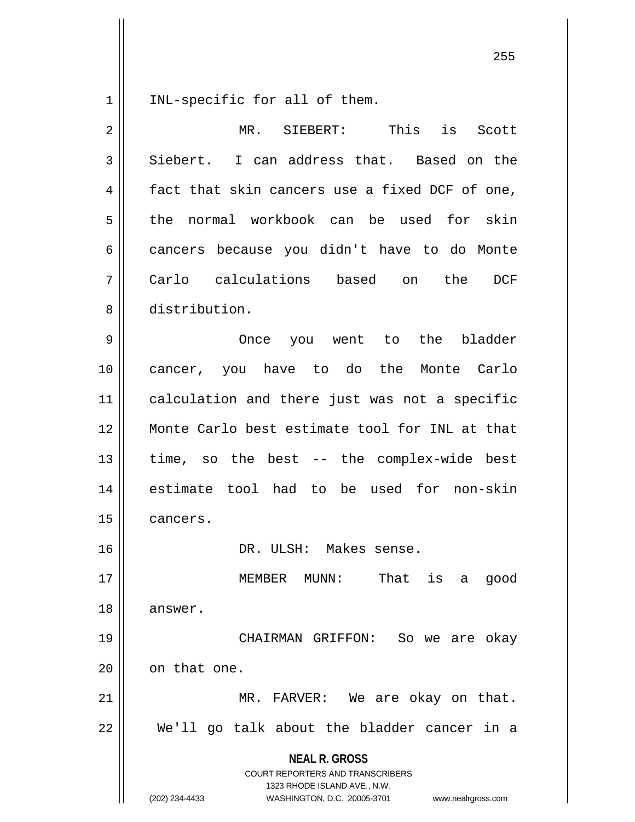| INL-specific for all of them.

| $\overline{2}$ | is<br>This<br>MR. SIEBERT:<br>Scott                                                                                                                                    |
|----------------|------------------------------------------------------------------------------------------------------------------------------------------------------------------------|
| 3              | I can address that. Based on the<br>Siebert.                                                                                                                           |
| 4              | fact that skin cancers use a fixed DCF of one,                                                                                                                         |
| 5              | the normal workbook can be used for skin                                                                                                                               |
| 6              | cancers because you didn't have to do Monte                                                                                                                            |
| 7              | Carlo calculations based<br>the<br>DCF<br>on                                                                                                                           |
| 8              | distribution.                                                                                                                                                          |
| 9              | the<br>bladder<br>you went to<br>Once                                                                                                                                  |
| 10             | cancer, you have to do the Monte Carlo                                                                                                                                 |
| 11             | calculation and there just was not a specific                                                                                                                          |
| 12             | Monte Carlo best estimate tool for INL at that                                                                                                                         |
| 13             | time, so the best -- the complex-wide best                                                                                                                             |
| 14             | estimate tool had to be used for non-skin                                                                                                                              |
| 15             | cancers.                                                                                                                                                               |
| 16             | DR. ULSH: Makes sense.                                                                                                                                                 |
| 17             | That is a good<br>MEMBER MUNN:                                                                                                                                         |
| 18             | answer.                                                                                                                                                                |
| 19             | CHAIRMAN GRIFFON: So we are okay                                                                                                                                       |
| 20             | on that one.                                                                                                                                                           |
| 21             | MR. FARVER: We are okay on that.                                                                                                                                       |
| 22             | We'll go talk about the bladder cancer in a                                                                                                                            |
|                | <b>NEAL R. GROSS</b><br><b>COURT REPORTERS AND TRANSCRIBERS</b><br>1323 RHODE ISLAND AVE., N.W.<br>(202) 234-4433<br>WASHINGTON, D.C. 20005-3701<br>www.nealrgross.com |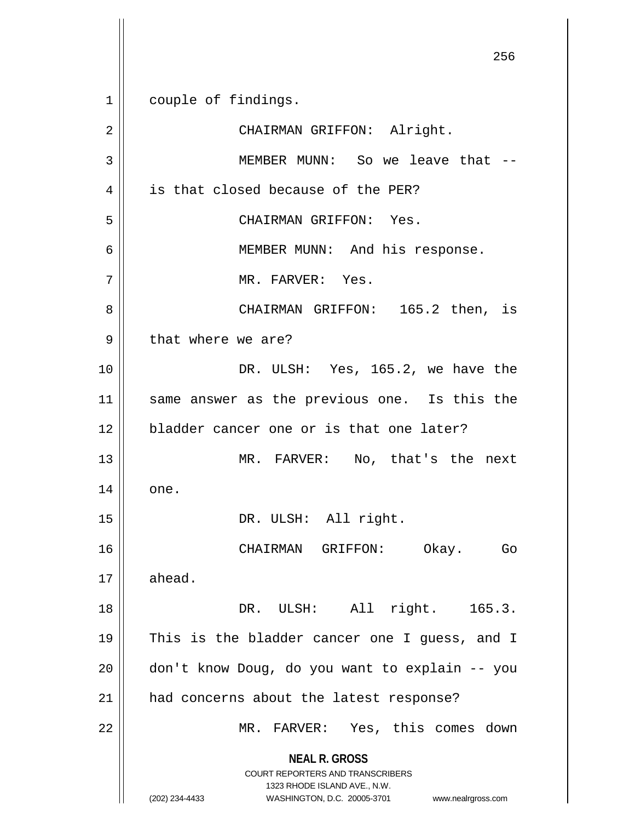**NEAL R. GROSS** COURT REPORTERS AND TRANSCRIBERS 1323 RHODE ISLAND AVE., N.W. (202) 234-4433 WASHINGTON, D.C. 20005-3701 www.nealrgross.com 256 1 couple of findings. 2 || CHAIRMAN GRIFFON: Alright. 3 MEMBER MUNN: So we leave that -- 4 | is that closed because of the PER? 5 CHAIRMAN GRIFFON: Yes. 6 MEMBER MUNN: And his response. 7 MR. FARVER: Yes. 8 CHAIRMAN GRIFFON: 165.2 then, is 9 || that where we are? 10 || DR. ULSH: Yes, 165.2, we have the 11 || same answer as the previous one. Is this the 12 bladder cancer one or is that one later? 13 MR. FARVER: No, that's the next  $14 \parallel$  one. 15 || DR. ULSH: All right. 16 CHAIRMAN GRIFFON: Okay. Go  $17 \parallel$  ahead. 18 || DR. ULSH: All right. 165.3. 19 This is the bladder cancer one I guess, and I 20 || don't know Doug, do you want to explain -- you 21 | had concerns about the latest response? 22 MR. FARVER: Yes, this comes down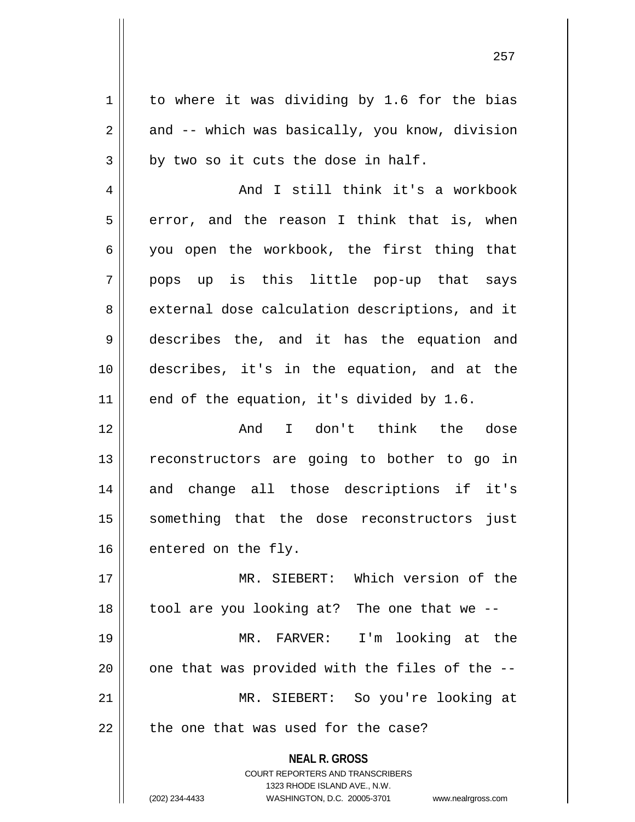**NEAL R. GROSS** COURT REPORTERS AND TRANSCRIBERS 1323 RHODE ISLAND AVE., N.W.  $1 \parallel$  to where it was dividing by 1.6 for the bias  $2 \parallel$  and -- which was basically, you know, division  $3 \parallel$  by two so it cuts the dose in half. 4 || And I still think it's a workbook  $5 \parallel$  error, and the reason I think that is, when 6 you open the workbook, the first thing that 7 pops up is this little pop-up that says 8 external dose calculation descriptions, and it 9 describes the, and it has the equation and 10 describes, it's in the equation, and at the  $11$  end of the equation, it's divided by 1.6. 12 And I don't think the dose 13 || reconstructors are going to bother to go in 14 and change all those descriptions if it's 15 something that the dose reconstructors just 16 entered on the fly. 17 MR. SIEBERT: Which version of the 18 tool are you looking at? The one that we -- 19 MR. FARVER: I'm looking at the  $20$  | one that was provided with the files of the  $-$ -21 MR. SIEBERT: So you're looking at  $22$   $\parallel$  the one that was used for the case?

(202) 234-4433 WASHINGTON, D.C. 20005-3701 www.nealrgross.com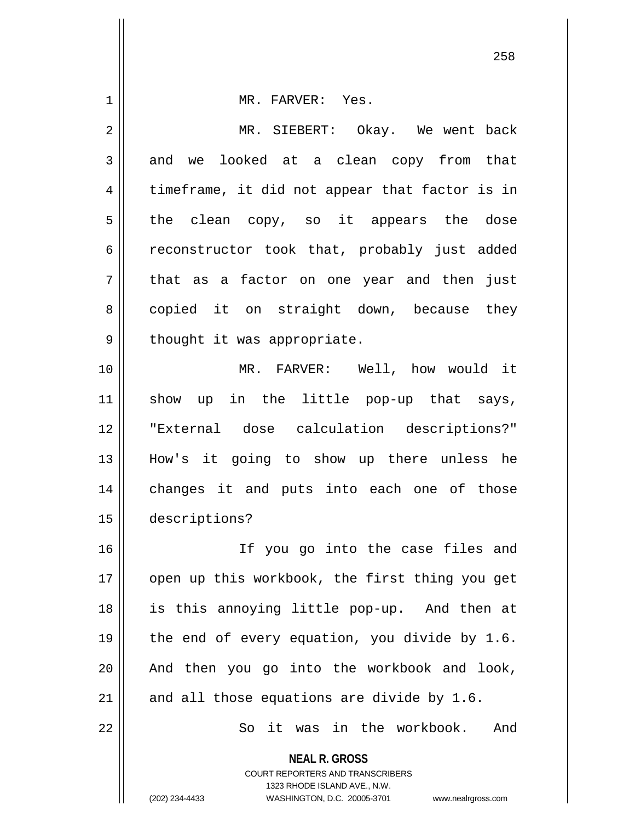| $\mathbf 1$    | MR. FARVER: Yes.                                                                                |
|----------------|-------------------------------------------------------------------------------------------------|
| $\overline{2}$ | MR. SIEBERT: Okay. We went back                                                                 |
| 3              | and we looked at a clean copy from that                                                         |
| 4              | timeframe, it did not appear that factor is in                                                  |
| 5              | the clean copy, so it appears the dose                                                          |
| 6              | reconstructor took that, probably just added                                                    |
| 7              | that as a factor on one year and then just                                                      |
| 8              | copied it on straight down, because they                                                        |
| 9              | thought it was appropriate.                                                                     |
| 10             | MR. FARVER: Well, how would it                                                                  |
| 11             | show up in the little pop-up that says,                                                         |
| 12             | "External dose calculation descriptions?"                                                       |
| 13             | How's it going to show up there unless he                                                       |
| 14             | changes it and puts into each one of those                                                      |
| 15             | descriptions?                                                                                   |
| 16             | If you go into the case files and                                                               |
| 17             | open up this workbook, the first thing you get                                                  |
| 18             | is this annoying little pop-up. And then at                                                     |
| 19             | the end of every equation, you divide by 1.6.                                                   |
| 20             | And then you go into the workbook and look,                                                     |
| 21             | and all those equations are divide by 1.6.                                                      |
| 22             | it was in the workbook.<br>And<br>So                                                            |
|                | <b>NEAL R. GROSS</b><br><b>COURT REPORTERS AND TRANSCRIBERS</b><br>1323 RHODE ISLAND AVE., N.W. |
|                | WASHINGTON, D.C. 20005-3701<br>(202) 234-4433<br>www.nealrgross.com                             |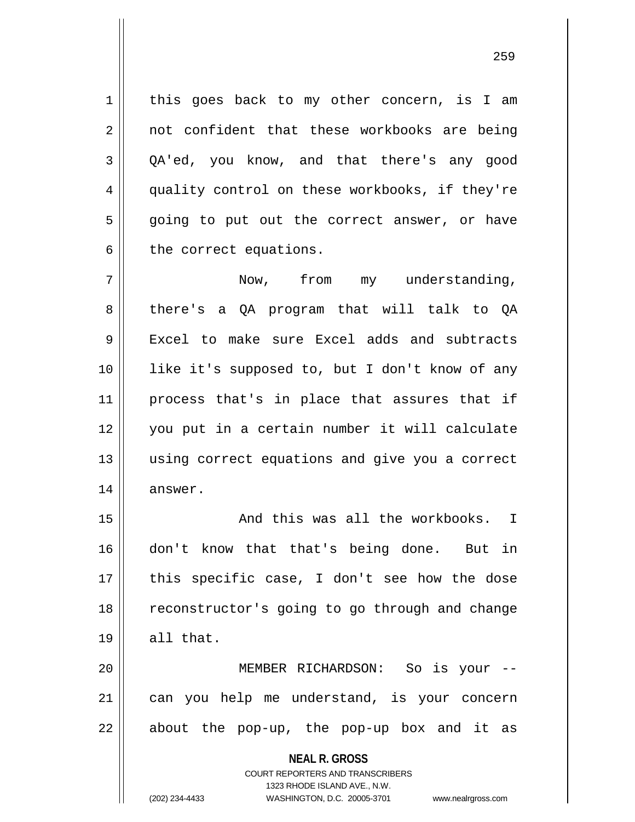1 | this goes back to my other concern, is I am 2 || not confident that these workbooks are being  $3 \parallel$  OA'ed, you know, and that there's any good 4 quality control on these workbooks, if they're  $5 \parallel$  going to put out the correct answer, or have  $6 \parallel$  the correct equations.

 Now, from my understanding, 8 || there's a QA program that will talk to QA 9 Excel to make sure Excel adds and subtracts like it's supposed to, but I don't know of any 11 || process that's in place that assures that if you put in a certain number it will calculate using correct equations and give you a correct || answer.

15 || And this was all the workbooks. I 16 don't know that that's being done. But in 17 || this specific case, I don't see how the dose 18 || reconstructor's going to go through and change  $19 \parallel$  all that.

20 MEMBER RICHARDSON: So is your -- 21 can you help me understand, is your concern  $22$  || about the pop-up, the pop-up box and it as

> **NEAL R. GROSS** COURT REPORTERS AND TRANSCRIBERS 1323 RHODE ISLAND AVE., N.W.

(202) 234-4433 WASHINGTON, D.C. 20005-3701 www.nealrgross.com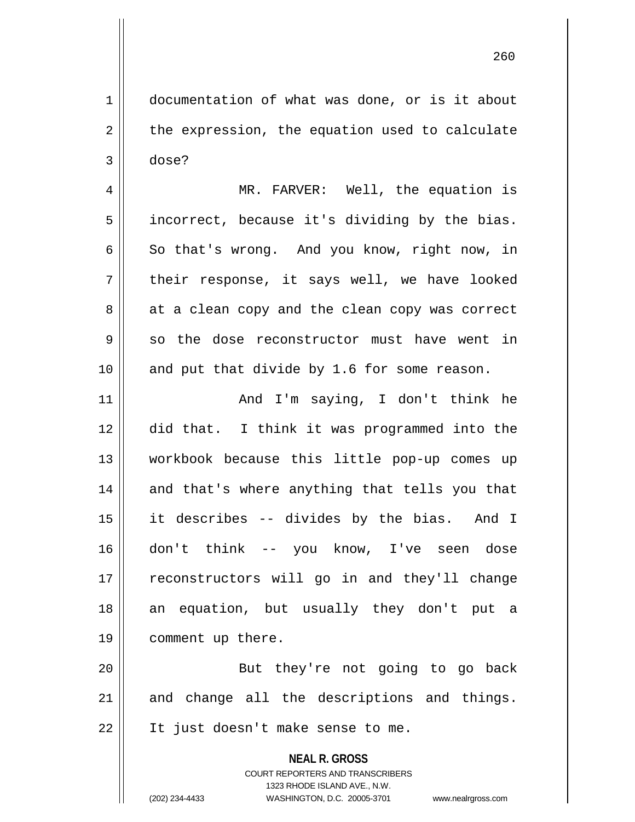1 documentation of what was done, or is it about  $2 \parallel$  the expression, the equation used to calculate  $3 \parallel$  dose?

4 || MR. FARVER: Well, the equation is  $5 \parallel$  incorrect, because it's dividing by the bias.  $6 \parallel$  So that's wrong. And you know, right now, in  $7 \parallel$  their response, it says well, we have looked  $8 \parallel$  at a clean copy and the clean copy was correct  $9 \parallel$  so the dose reconstructor must have went in 10 || and put that divide by 1.6 for some reason.

 And I'm saying, I don't think he did that. I think it was programmed into the workbook because this little pop-up comes up 14 || and that's where anything that tells you that it describes -- divides by the bias. And I don't think -- you know, I've seen dose 17 || reconstructors will go in and they'll change an equation, but usually they don't put a comment up there.

20 || But they're not going to go back  $21$  and change all the descriptions and things. 22 || It just doesn't make sense to me.

> **NEAL R. GROSS** COURT REPORTERS AND TRANSCRIBERS 1323 RHODE ISLAND AVE., N.W. (202) 234-4433 WASHINGTON, D.C. 20005-3701 www.nealrgross.com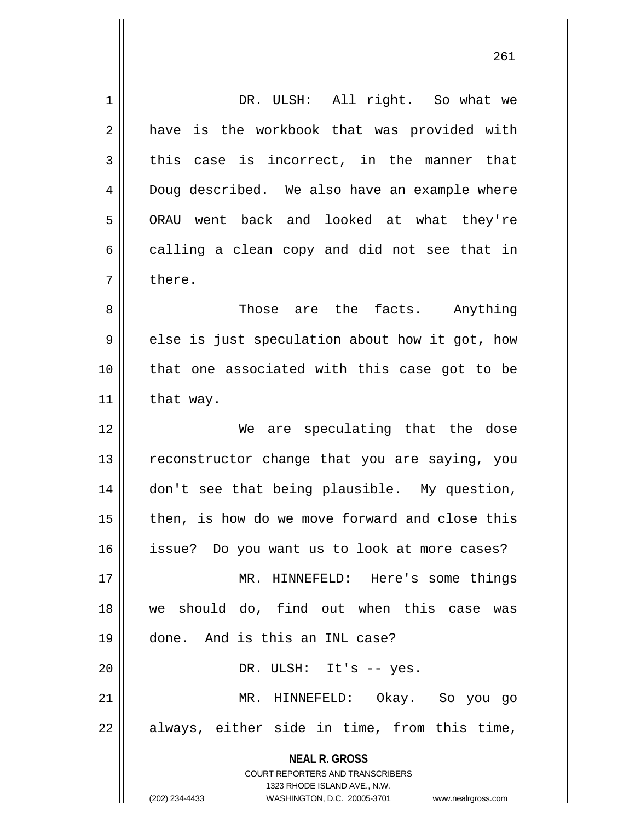| 1              | DR. ULSH: All right. So what we                                     |
|----------------|---------------------------------------------------------------------|
| $\overline{2}$ | have is the workbook that was provided with                         |
| 3              | this case is incorrect, in the manner that                          |
| 4              | Doug described. We also have an example where                       |
| 5              | ORAU went back and looked at what they're                           |
| 6              | calling a clean copy and did not see that in                        |
| 7              | there.                                                              |
| 8              | Those are the facts. Anything                                       |
| 9              | else is just speculation about how it got, how                      |
| 10             | that one associated with this case got to be                        |
| 11             | that way.                                                           |
| 12             | We are speculating that the dose                                    |
| 13             | reconstructor change that you are saying, you                       |
| 14             | don't see that being plausible. My question,                        |
| 15             | then, is how do we move forward and close this                      |
| 16             | issue? Do you want us to look at more cases?                        |
| 17             | MR. HINNEFELD: Here's some things                                   |
| 18             | we should do, find out when this case was                           |
| 19             | done. And is this an INL case?                                      |
| 20             | DR. ULSH: It's -- yes.                                              |
| 21             | MR. HINNEFELD: Okay. So you go                                      |
| 22             | always, either side in time, from this time,                        |
|                | <b>NEAL R. GROSS</b>                                                |
|                | COURT REPORTERS AND TRANSCRIBERS                                    |
|                | 1323 RHODE ISLAND AVE., N.W.                                        |
|                | (202) 234-4433<br>WASHINGTON, D.C. 20005-3701<br>www.nealrgross.com |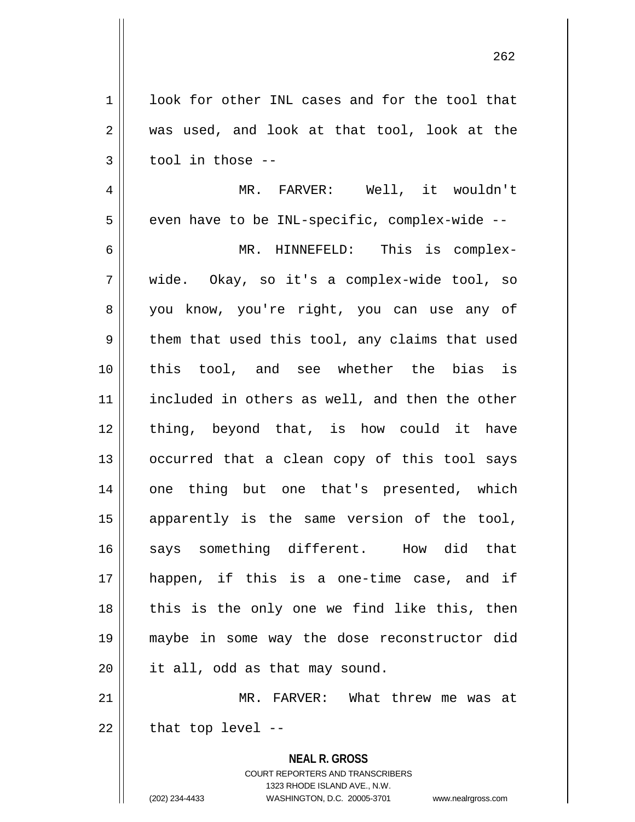1 || look for other INL cases and for the tool that 2 was used, and look at that tool, look at the  $3 \parallel$  tool in those --

 MR. FARVER: Well, it wouldn't | even have to be INL-specific, complex-wide -- MR. HINNEFELD: This is complex- wide. Okay, so it's a complex-wide tool, so 8 you know, you're right, you can use any of  $9 \parallel$  them that used this tool, any claims that used this tool, and see whether the bias is included in others as well, and then the other 12 || thing, beyond that, is how could it have || occurred that a clean copy of this tool says 14 || one thing but one that's presented, which apparently is the same version of the tool, 16 Says something different. How did that happen, if this is a one-time case, and if || this is the only one we find like this, then maybe in some way the dose reconstructor did 20 || it all, odd as that may sound.

21 MR. FARVER: What threw me was at  $22$  | that top level --

> **NEAL R. GROSS** COURT REPORTERS AND TRANSCRIBERS 1323 RHODE ISLAND AVE., N.W. (202) 234-4433 WASHINGTON, D.C. 20005-3701 www.nealrgross.com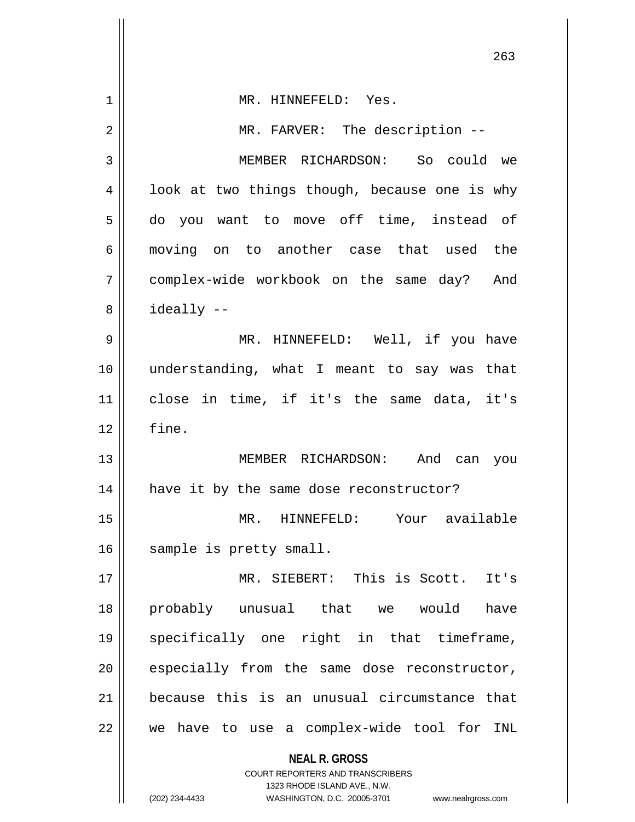|    | 263                                                      |
|----|----------------------------------------------------------|
| 1  | MR. HINNEFELD: Yes.                                      |
| 2  | MR. FARVER: The description --                           |
| 3  | MEMBER RICHARDSON: So could we                           |
| 4  | look at two things though, because one is why            |
| 5  | do you want to move off time, instead of                 |
| 6  | moving on to another case that used the                  |
| 7  | complex-wide workbook on the same day? And               |
| 8  | ideally --                                               |
| 9  | MR. HINNEFELD: Well, if you have                         |
| 10 | understanding, what I meant to say was that              |
| 11 | close in time, if it's the same data, it's               |
| 12 | fine.                                                    |
| 13 | MEMBER RICHARDSON: And can you                           |
| 14 | have it by the same dose reconstructor?                  |
| 15 | Your available<br>MR. HINNEFELD:                         |
| 16 | sample is pretty small.                                  |
| 17 | MR. SIEBERT: This is Scott. It's                         |
| 18 | probably unusual that we would<br>have                   |
| 19 | specifically one right in that timeframe,                |
| 20 | especially from the same dose reconstructor,             |
| 21 | because this is an unusual circumstance that             |
| 22 | we have to use a complex-wide tool for INL               |
|    | <b>NEAL R. GROSS</b><br>COURT REPORTERS AND TRANSCRIBERS |

1323 RHODE ISLAND AVE., N.W.

 $\begin{array}{c} \hline \end{array}$ 

 $\mathsf{l}$ 

(202) 234-4433 WASHINGTON, D.C. 20005-3701 www.nealrgross.com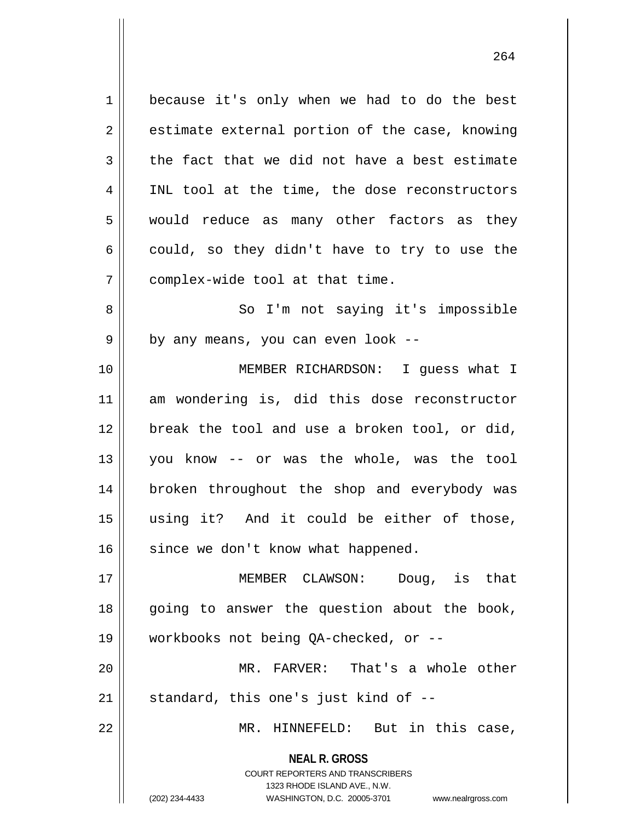1 because it's only when we had to do the best  $2 \parallel$  estimate external portion of the case, knowing  $3 \parallel$  the fact that we did not have a best estimate 4 || INL tool at the time, the dose reconstructors 5 || would reduce as many other factors as they  $6 \parallel$  could, so they didn't have to try to use the 7 | complex-wide tool at that time. 8 || So I'm not saying it's impossible  $9 \parallel$  by any means, you can even look --10 MEMBER RICHARDSON: I guess what I 11 am wondering is, did this dose reconstructor 12 || break the tool and use a broken tool, or did, 13 you know -- or was the whole, was the tool 14 || broken throughout the shop and everybody was 15 using it? And it could be either of those,  $16$  since we don't know what happened. 17 MEMBER CLAWSON: Doug, is that  $18$  going to answer the question about the book, 19 workbooks not being QA-checked, or -- 20 MR. FARVER: That's a whole other  $21$  || standard, this one's just kind of  $-$ 22 MR. HINNEFELD: But in this case,

> **NEAL R. GROSS** COURT REPORTERS AND TRANSCRIBERS 1323 RHODE ISLAND AVE., N.W.

(202) 234-4433 WASHINGTON, D.C. 20005-3701 www.nealrgross.com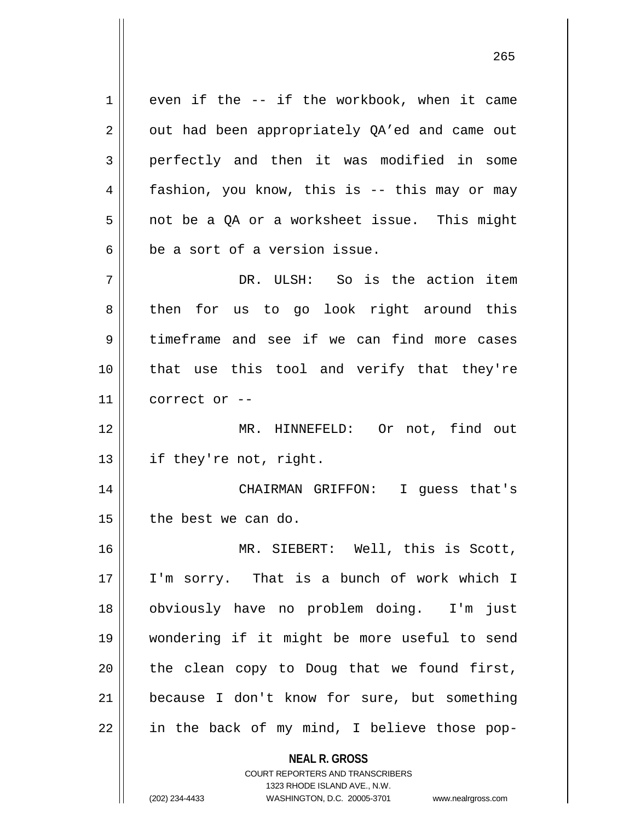**NEAL R. GROSS** COURT REPORTERS AND TRANSCRIBERS  $1 \parallel$  even if the -- if the workbook, when it came  $2 \parallel$  out had been appropriately QA'ed and came out 3 perfectly and then it was modified in some 4 fashion, you know, this is -- this may or may 5 not be a QA or a worksheet issue. This might  $6 \parallel$  be a sort of a version issue. 7 DR. ULSH: So is the action item 8 then for us to go look right around this 9 timeframe and see if we can find more cases 10 || that use this tool and verify that they're  $11$  | correct or --12 MR. HINNEFELD: Or not, find out 13 || if they're not, right. 14 CHAIRMAN GRIFFON: I guess that's  $15$  | the best we can do. 16 || MR. SIEBERT: Well, this is Scott, 17 I'm sorry. That is a bunch of work which I 18 obviously have no problem doing. I'm just 19 wondering if it might be more useful to send  $20$  || the clean copy to Doug that we found first, 21 because I don't know for sure, but something  $22$  || in the back of my mind, I believe those pop-

1323 RHODE ISLAND AVE., N.W.

(202) 234-4433 WASHINGTON, D.C. 20005-3701 www.nealrgross.com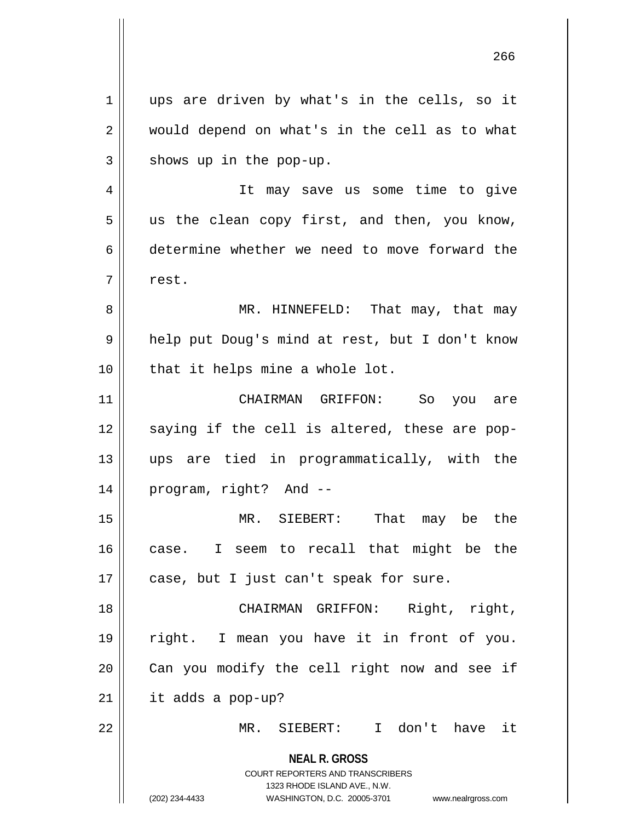**NEAL R. GROSS** COURT REPORTERS AND TRANSCRIBERS 1323 RHODE ISLAND AVE., N.W. (202) 234-4433 WASHINGTON, D.C. 20005-3701 www.nealrgross.com 1 || ups are driven by what's in the cells, so it 2 || would depend on what's in the cell as to what  $3 \parallel$  shows up in the pop-up. 4 || It may save us some time to give  $5 \parallel$  us the clean copy first, and then, you know, 6 determine whether we need to move forward the 7 | rest. 8 MR. HINNEFELD: That may, that may 9 || help put Doug's mind at rest, but I don't know  $10$  | that it helps mine a whole lot. 11 CHAIRMAN GRIFFON: So you are  $12$  saying if the cell is altered, these are pop-13 ups are tied in programmatically, with the 14 program, right? And -- 15 MR. SIEBERT: That may be the 16 case. I seem to recall that might be the  $17$  || case, but I just can't speak for sure. 18 CHAIRMAN GRIFFON: Right, right, 19 right. I mean you have it in front of you.  $20$  | Can you modify the cell right now and see if 21 it adds a pop-up? 22 MR. SIEBERT: I don't have it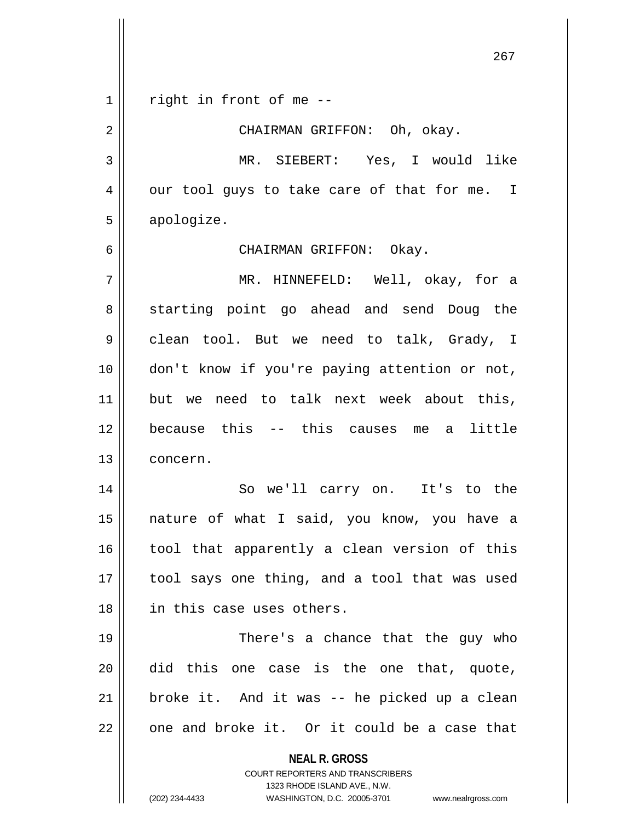**NEAL R. GROSS** COURT REPORTERS AND TRANSCRIBERS 1323 RHODE ISLAND AVE., N.W. (202) 234-4433 WASHINGTON, D.C. 20005-3701 www.nealrgross.com  $1 \parallel$  right in front of me --2 CHAIRMAN GRIFFON: Oh, okay. 3 MR. SIEBERT: Yes, I would like  $4 \parallel$  our tool guys to take care of that for me. I 5 | apologize. 6 CHAIRMAN GRIFFON: Okay. 7 MR. HINNEFELD: Well, okay, for a 8 Starting point go ahead and send Doug the  $9 \parallel$  clean tool. But we need to talk, Grady, I 10 || don't know if you're paying attention or not, 11 but we need to talk next week about this, 12 because this -- this causes me a little 13 concern. 14 || So we'll carry on. It's to the 15 nature of what I said, you know, you have a 16 || tool that apparently a clean version of this 17 || tool says one thing, and a tool that was used 18 in this case uses others. 19 There's a chance that the guy who 20 did this one case is the one that, quote,  $21$  | broke it. And it was -- he picked up a clean  $22$  | one and broke it. Or it could be a case that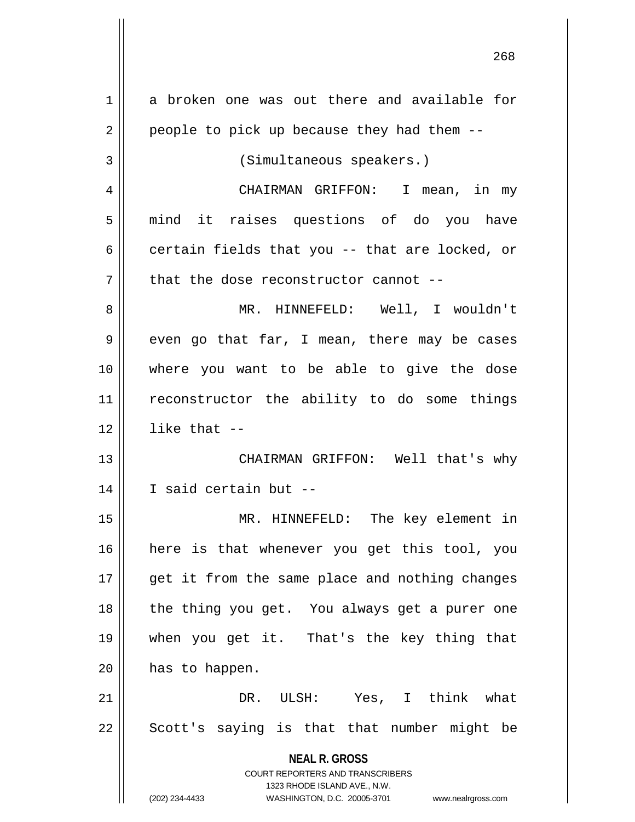| 1  | a broken one was out there and available for                        |
|----|---------------------------------------------------------------------|
| 2  | people to pick up because they had them --                          |
| 3  | (Simultaneous speakers.)                                            |
| 4  | CHAIRMAN GRIFFON: I mean, in my                                     |
| 5  | mind it raises questions of do you have                             |
| 6  | certain fields that you -- that are locked, or                      |
| 7  | that the dose reconstructor cannot --                               |
| 8  | MR. HINNEFELD: Well, I wouldn't                                     |
| 9  | even go that far, I mean, there may be cases                        |
| 10 | where you want to be able to give the dose                          |
| 11 | reconstructor the ability to do some things                         |
| 12 | like that $-$                                                       |
| 13 | CHAIRMAN GRIFFON: Well that's why                                   |
| 14 | I said certain but --                                               |
| 15 | MR. HINNEFELD: The key element in                                   |
| 16 | here is that whenever you get this tool, you                        |
| 17 | get it from the same place and nothing changes                      |
| 18 | the thing you get. You always get a purer one                       |
| 19 | when you get it. That's the key thing that                          |
| 20 | has to happen.                                                      |
| 21 | DR. ULSH: Yes, I think what                                         |
| 22 | Scott's saying is that that number might be                         |
|    |                                                                     |
|    | <b>NEAL R. GROSS</b><br><b>COURT REPORTERS AND TRANSCRIBERS</b>     |
|    | 1323 RHODE ISLAND AVE., N.W.                                        |
|    | (202) 234-4433<br>WASHINGTON, D.C. 20005-3701<br>www.nealrgross.com |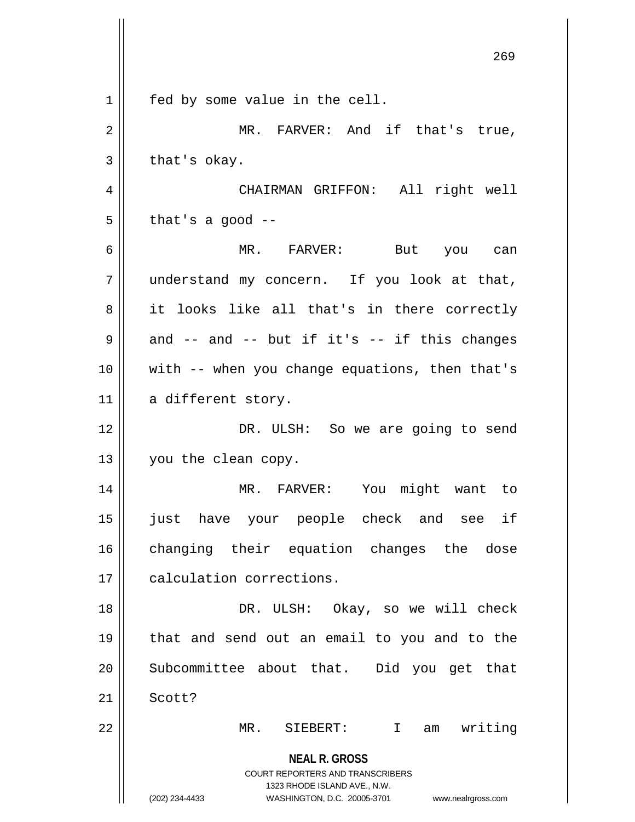|                | ムロン                                                                                             |
|----------------|-------------------------------------------------------------------------------------------------|
| $\mathbf 1$    | fed by some value in the cell.                                                                  |
| $\overline{2}$ | MR. FARVER: And if that's true,                                                                 |
| $\mathbf{3}$   | that's okay.                                                                                    |
| 4              | CHAIRMAN GRIFFON: All right well                                                                |
| 5              | that's a good $-$                                                                               |
| 6              | MR. FARVER: But you can                                                                         |
| 7              | understand my concern. If you look at that,                                                     |
| 8              | it looks like all that's in there correctly                                                     |
| 9              | and $--$ and $--$ but if it's $--$ if this changes                                              |
| 10             | with -- when you change equations, then that's                                                  |
| 11             | a different story.                                                                              |
| 12             | DR. ULSH: So we are going to send                                                               |
| 13             | you the clean copy.                                                                             |
| 14             | MR. FARVER: You might want to                                                                   |
| 15             | just have your people check and see if                                                          |
| 16             | changing their equation changes the<br>dose                                                     |
| 17             | calculation corrections.                                                                        |
| 18             | DR. ULSH: Okay, so we will check                                                                |
| 19             | that and send out an email to you and to the                                                    |
| 20             | Subcommittee about that. Did you get that                                                       |
| 21             | Scott?                                                                                          |
| 22             | writing<br>MR.<br>SIEBERT:<br>$\mathbf I$<br>am                                                 |
|                | <b>NEAL R. GROSS</b><br><b>COURT REPORTERS AND TRANSCRIBERS</b><br>1323 RHODE ISLAND AVE., N.W. |
|                | (202) 234-4433<br>WASHINGTON, D.C. 20005-3701<br>www.nealrgross.com                             |

 $\mathsf{I}$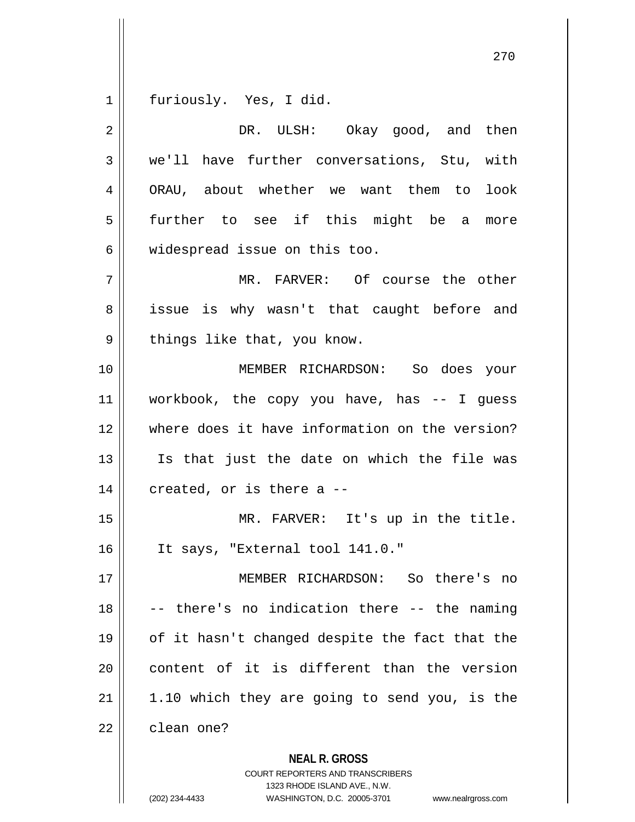furiously. Yes, I did.

| $\overline{2}$ | DR. ULSH: Okay good, and then                  |
|----------------|------------------------------------------------|
| 3              | we'll have further conversations, Stu, with    |
| 4              | ORAU, about whether we want them to<br>look    |
| 5              | further to see if this might be a<br>more      |
| 6              | widespread issue on this too.                  |
| 7              | MR. FARVER: Of course the other                |
| 8              | issue is why wasn't that caught before and     |
| 9              | things like that, you know.                    |
| 10             | MEMBER RICHARDSON: So does your                |
| 11             | workbook, the copy you have, has -- I guess    |
| 12             | where does it have information on the version? |
| 13             | Is that just the date on which the file was    |
| 14             | created, or is there a --                      |
| 15             | MR. FARVER: It's up in the title.              |
| 16             | It says, "External tool 141.0."                |
| 17             | MEMBER RICHARDSON: So there's no               |
| 18             | there's no indication there -- the naming      |
| 19             | of it hasn't changed despite the fact that the |
| 20             | content of it is different than the version    |
| 21             | 1.10 which they are going to send you, is the  |
| 22             | clean one?                                     |
|                | <b>NEAL R. GROSS</b>                           |

COURT REPORTERS AND TRANSCRIBERS 1323 RHODE ISLAND AVE., N.W.

(202) 234-4433 WASHINGTON, D.C. 20005-3701 www.nealrgross.com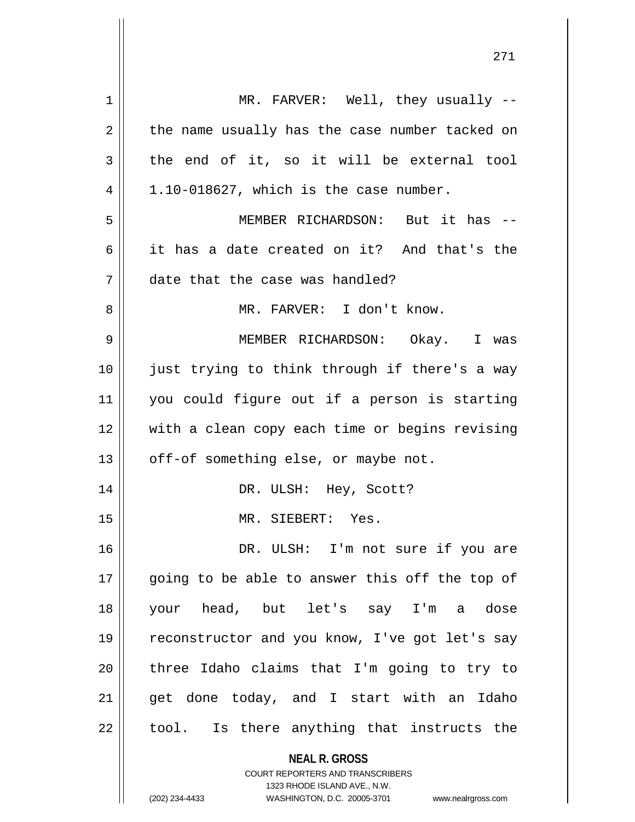| 1  | MR. FARVER: Well, they usually --                                                                                                                                      |
|----|------------------------------------------------------------------------------------------------------------------------------------------------------------------------|
| 2  | the name usually has the case number tacked on                                                                                                                         |
| 3  | the end of it, so it will be external tool                                                                                                                             |
| 4  | 1.10-018627, which is the case number.                                                                                                                                 |
| 5  | MEMBER RICHARDSON: But it has --                                                                                                                                       |
| 6  | it has a date created on it? And that's the                                                                                                                            |
| 7  | date that the case was handled?                                                                                                                                        |
| 8  | MR. FARVER: I don't know.                                                                                                                                              |
| 9  | MEMBER RICHARDSON: Okay. I was                                                                                                                                         |
| 10 | just trying to think through if there's a way                                                                                                                          |
| 11 | you could figure out if a person is starting                                                                                                                           |
| 12 | with a clean copy each time or begins revising                                                                                                                         |
| 13 | off-of something else, or maybe not.                                                                                                                                   |
| 14 | DR. ULSH: Hey, Scott?                                                                                                                                                  |
| 15 | MR. SIEBERT: Yes.                                                                                                                                                      |
| 16 | DR. ULSH: I'm not sure if you are                                                                                                                                      |
| 17 | going to be able to answer this off the top of                                                                                                                         |
| 18 | your head, but let's say I'm a dose                                                                                                                                    |
| 19 | reconstructor and you know, I've got let's say                                                                                                                         |
| 20 | three Idaho claims that I'm going to try to                                                                                                                            |
| 21 | get done today, and I start with an Idaho                                                                                                                              |
| 22 | tool. Is there anything that instructs the                                                                                                                             |
|    | <b>NEAL R. GROSS</b><br><b>COURT REPORTERS AND TRANSCRIBERS</b><br>1323 RHODE ISLAND AVE., N.W.<br>(202) 234-4433<br>WASHINGTON, D.C. 20005-3701<br>www.nealrgross.com |
|    |                                                                                                                                                                        |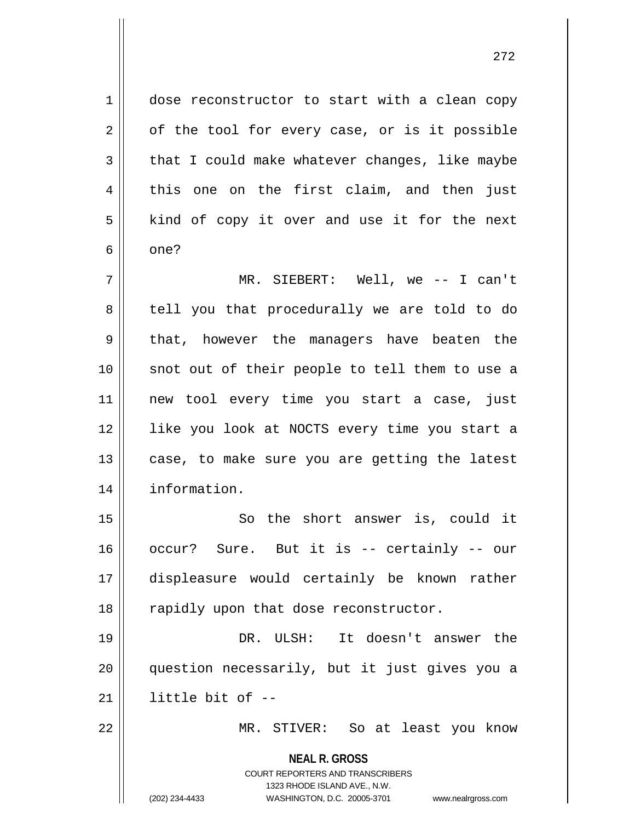**NEAL R. GROSS** COURT REPORTERS AND TRANSCRIBERS 1323 RHODE ISLAND AVE., N.W. (202) 234-4433 WASHINGTON, D.C. 20005-3701 www.nealrgross.com 1 dose reconstructor to start with a clean copy  $2 \parallel$  of the tool for every case, or is it possible  $3 \parallel$  that I could make whatever changes, like maybe  $4 \parallel$  this one on the first claim, and then just  $5 \parallel$  kind of copy it over and use it for the next  $6 \parallel$  one? 7 MR. SIEBERT: Well, we -- I can't 8 || tell you that procedurally we are told to do 9 || that, however the managers have beaten the 10 || snot out of their people to tell them to use a 11 new tool every time you start a case, just 12 like you look at NOCTS every time you start a  $13$  case, to make sure you are getting the latest 14 information. 15 || So the short answer is, could it 16 occur? Sure. But it is -- certainly -- our 17 displeasure would certainly be known rather 18 || rapidly upon that dose reconstructor. 19 DR. ULSH: It doesn't answer the 20 question necessarily, but it just gives you a  $21$  || little bit of  $-$ 22 MR. STIVER: So at least you know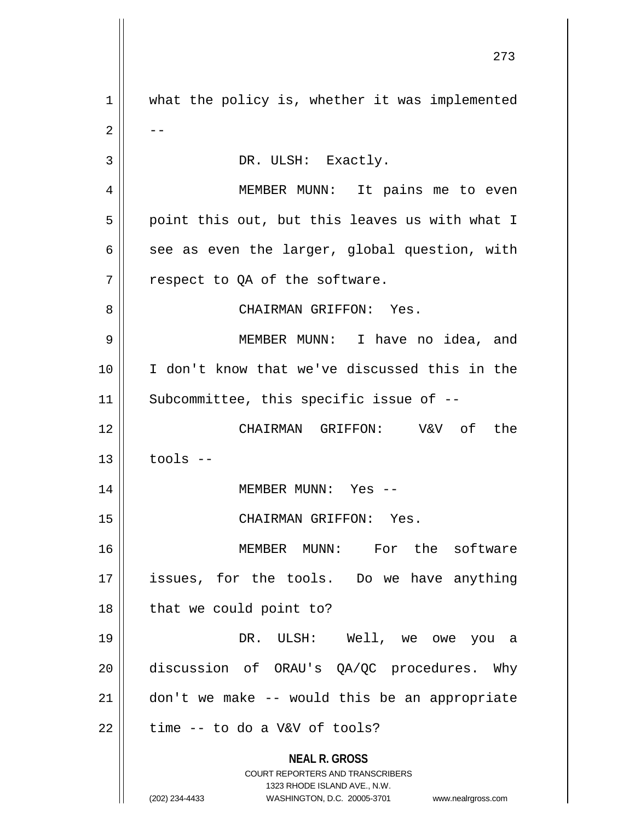**NEAL R. GROSS** COURT REPORTERS AND TRANSCRIBERS 1323 RHODE ISLAND AVE., N.W. (202) 234-4433 WASHINGTON, D.C. 20005-3701 www.nealrgross.com 1 || what the policy is, whether it was implemented  $2 \parallel - -$ 3 | DR. ULSH: Exactly. MEMBER MUNN: It pains me to even  $5 \parallel$  point this out, but this leaves us with what I  $\parallel$  see as even the larger, global question, with | respect to QA of the software. CHAIRMAN GRIFFON: Yes. MEMBER MUNN: I have no idea, and I don't know that we've discussed this in the 11 || Subcommittee, this specific issue of -- CHAIRMAN GRIFFON: V&V of the | tools  $-$  MEMBER MUNN: Yes -- CHAIRMAN GRIFFON: Yes. MEMBER MUNN: For the software 17 || issues, for the tools. Do we have anything || that we could point to? DR. ULSH: Well, we owe you a discussion of ORAU's QA/QC procedures. Why | don't we make -- would this be an appropriate | time -- to do a V&V of tools?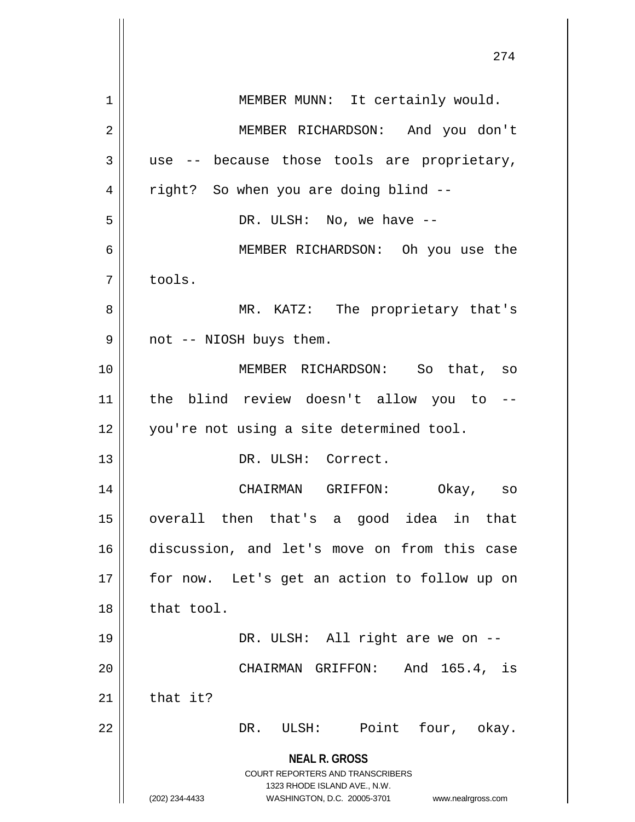|    | 21 T                                                                                                                                                                   |
|----|------------------------------------------------------------------------------------------------------------------------------------------------------------------------|
| 1  | MEMBER MUNN: It certainly would.                                                                                                                                       |
| 2  | MEMBER RICHARDSON: And you don't                                                                                                                                       |
| 3  | use -- because those tools are proprietary,                                                                                                                            |
| 4  | right? So when you are doing blind --                                                                                                                                  |
| 5  | DR. ULSH: No, we have --                                                                                                                                               |
| 6  | MEMBER RICHARDSON: Oh you use the                                                                                                                                      |
| 7  | tools.                                                                                                                                                                 |
| 8  | MR. KATZ: The proprietary that's                                                                                                                                       |
| 9  | not -- NIOSH buys them.                                                                                                                                                |
| 10 | MEMBER RICHARDSON: So that, so                                                                                                                                         |
| 11 | the blind review doesn't allow you to --                                                                                                                               |
| 12 | you're not using a site determined tool.                                                                                                                               |
| 13 | DR. ULSH: Correct.                                                                                                                                                     |
| 14 | CHAIRMAN GRIFFON: Okay, so                                                                                                                                             |
| 15 | then that's a good idea in<br>overall<br>that                                                                                                                          |
| 16 | discussion, and let's move on from this case                                                                                                                           |
| 17 | for now. Let's get an action to follow up on                                                                                                                           |
| 18 | that tool.                                                                                                                                                             |
| 19 | DR. ULSH: All right are we on --                                                                                                                                       |
| 20 | CHAIRMAN GRIFFON: And 165.4, is                                                                                                                                        |
| 21 | that it?                                                                                                                                                               |
| 22 | Point four, okay.<br>DR. ULSH:                                                                                                                                         |
|    | <b>NEAL R. GROSS</b><br><b>COURT REPORTERS AND TRANSCRIBERS</b><br>1323 RHODE ISLAND AVE., N.W.<br>(202) 234-4433<br>WASHINGTON, D.C. 20005-3701<br>www.nealrgross.com |

 $\mathbf{\mathbf{\mathsf{I}}}\mathbf{\mathsf{I}}$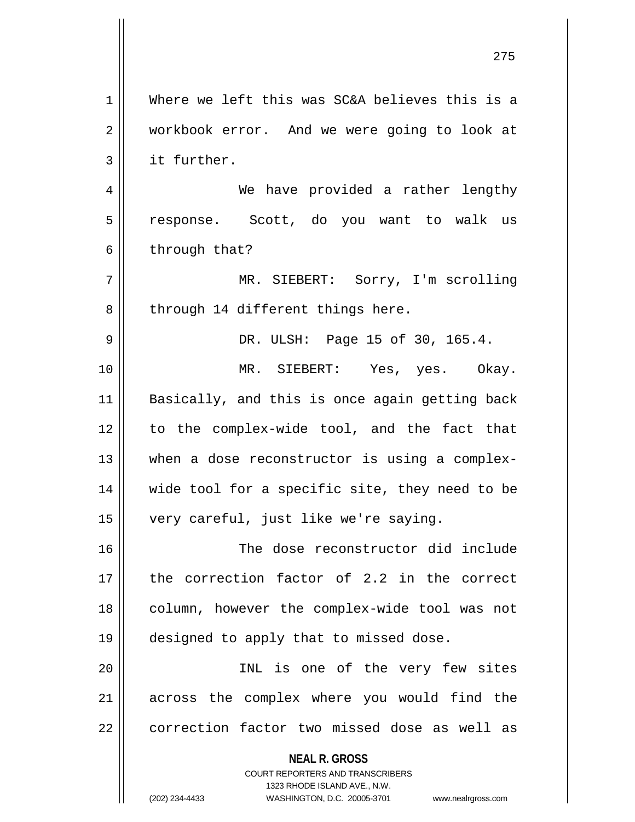**NEAL R. GROSS** COURT REPORTERS AND TRANSCRIBERS 1323 RHODE ISLAND AVE., N.W. 1 Where we left this was SC&A believes this is a 2 workbook error. And we were going to look at 3 | it further. 4 We have provided a rather lengthy 5 || response. Scott, do you want to walk us  $6 \parallel$  through that? 7 MR. SIEBERT: Sorry, I'm scrolling 8 || through 14 different things here. 9 DR. ULSH: Page 15 of 30, 165.4. 10 MR. SIEBERT: Yes, yes. Okay. 11 || Basically, and this is once again getting back 12 to the complex-wide tool, and the fact that 13 || when a dose reconstructor is using a complex-14 || wide tool for a specific site, they need to be 15 very careful, just like we're saying. 16 The dose reconstructor did include 17 the correction factor of 2.2 in the correct 18 || column, however the complex-wide tool was not 19 designed to apply that to missed dose. 20 INL is one of the very few sites 21 || across the complex where you would find the 22 | correction factor two missed dose as well as

(202) 234-4433 WASHINGTON, D.C. 20005-3701 www.nealrgross.com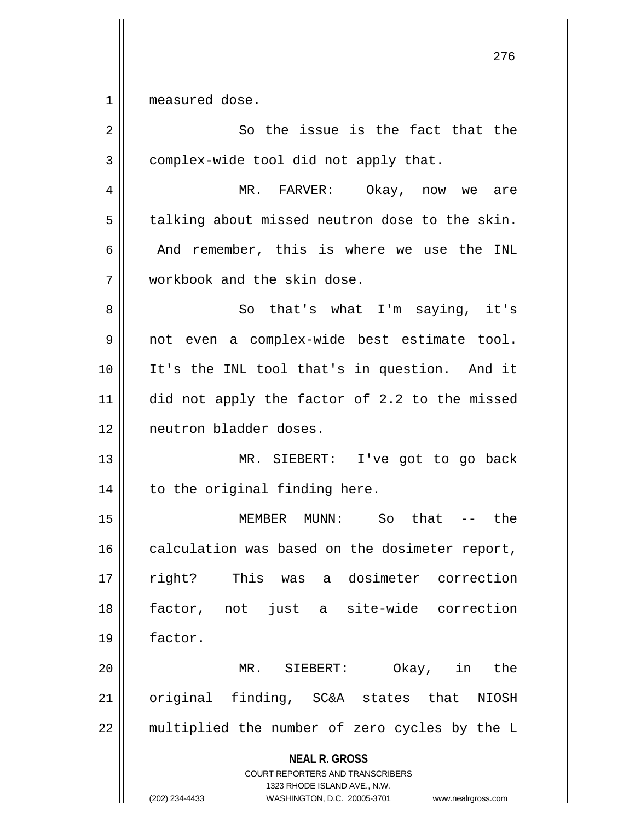1 || measured dose.

| 2  | So the issue is the fact that the                                                                                                                                      |
|----|------------------------------------------------------------------------------------------------------------------------------------------------------------------------|
| 3  | complex-wide tool did not apply that.                                                                                                                                  |
| 4  | MR. FARVER:<br>Okay, now we<br>are                                                                                                                                     |
| 5  | talking about missed neutron dose to the skin.                                                                                                                         |
| 6  | And remember, this is where we use the INL                                                                                                                             |
| 7  | workbook and the skin dose.                                                                                                                                            |
| 8  | So that's what I'm saying, it's                                                                                                                                        |
| 9  | not even a complex-wide best estimate tool.                                                                                                                            |
| 10 | It's the INL tool that's in question. And it                                                                                                                           |
| 11 | did not apply the factor of 2.2 to the missed                                                                                                                          |
| 12 | neutron bladder doses.                                                                                                                                                 |
| 13 | MR. SIEBERT: I've got to go back                                                                                                                                       |
| 14 | to the original finding here.                                                                                                                                          |
| 15 | So $that$ -- $the$<br>MEMBER MUNN:                                                                                                                                     |
| 16 | calculation was based on the dosimeter report,                                                                                                                         |
| 17 | This<br>dosimeter correction<br>right?<br>was<br>a                                                                                                                     |
| 18 | factor, not just a site-wide correction                                                                                                                                |
| 19 | factor.                                                                                                                                                                |
| 20 | MR. SIEBERT:<br>Okay, in the                                                                                                                                           |
| 21 | original finding, SC&A states that<br><b>NIOSH</b>                                                                                                                     |
| 22 | multiplied the number of zero cycles by the L                                                                                                                          |
|    | <b>NEAL R. GROSS</b><br><b>COURT REPORTERS AND TRANSCRIBERS</b><br>1323 RHODE ISLAND AVE., N.W.<br>(202) 234-4433<br>WASHINGTON, D.C. 20005-3701<br>www.nealrgross.com |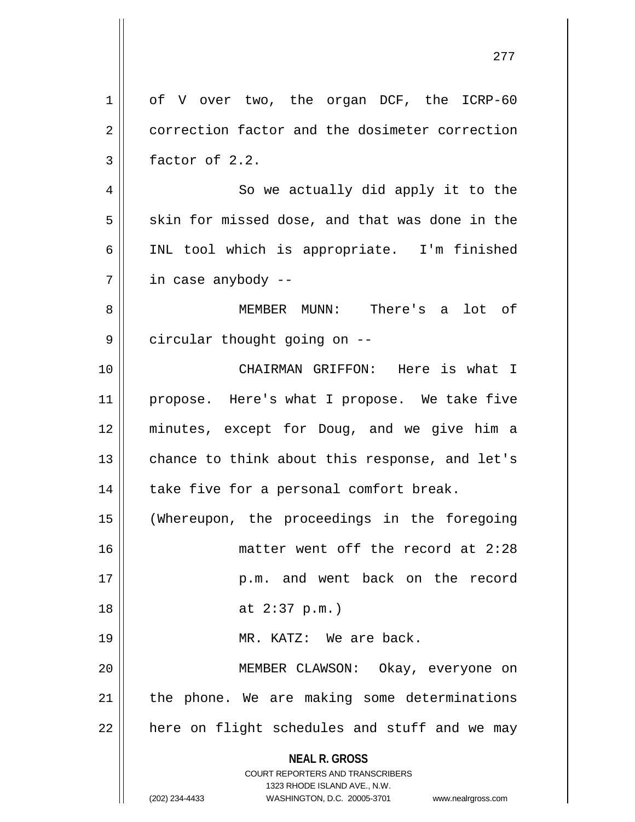**NEAL R. GROSS** COURT REPORTERS AND TRANSCRIBERS 1323 RHODE ISLAND AVE., N.W. (202) 234-4433 WASHINGTON, D.C. 20005-3701 www.nealrgross.com 1 | of V over two, the organ DCF, the ICRP-60 2 correction factor and the dosimeter correction  $3 \parallel$  factor of 2.2. 4 || So we actually did apply it to the  $5 \parallel$  skin for missed dose, and that was done in the 6 || INL tool which is appropriate. I'm finished 7 in case anybody -- 8 MEMBER MUNN: There's a lot of 9 | circular thought going on --10 CHAIRMAN GRIFFON: Here is what I 11 || propose. Here's what I propose. We take five 12 minutes, except for Doug, and we give him a 13 || chance to think about this response, and let's  $14$  | take five for a personal comfort break. 15 (Whereupon, the proceedings in the foregoing 16 matter went off the record at 2:28 17 || p.m. and went back on the record 18 at 2:37 p.m.) 19 || MR. KATZ: We are back. 20 MEMBER CLAWSON: Okay, everyone on  $21$  | the phone. We are making some determinations  $22$  || here on flight schedules and stuff and we may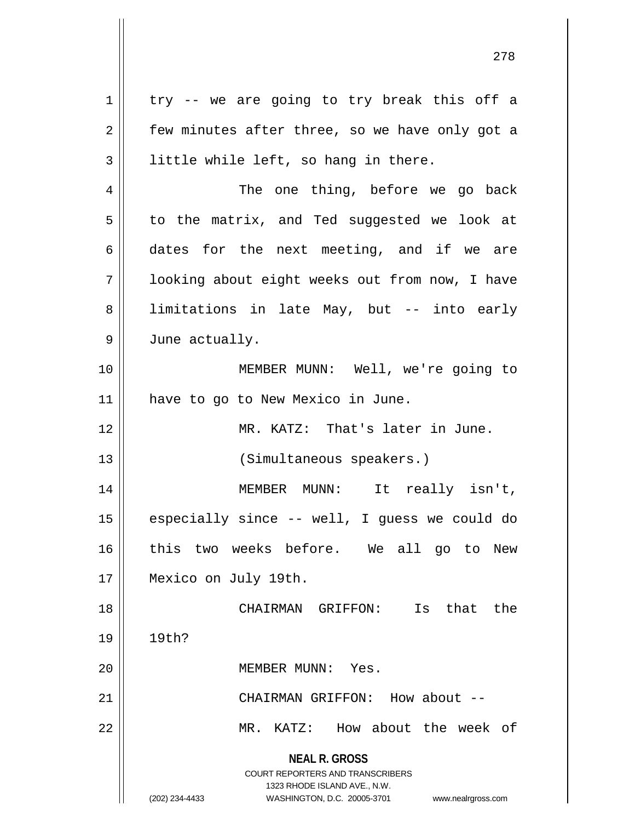**NEAL R. GROSS** COURT REPORTERS AND TRANSCRIBERS 1323 RHODE ISLAND AVE., N.W. (202) 234-4433 WASHINGTON, D.C. 20005-3701 www.nealrgross.com  $1 \parallel$  try -- we are going to try break this off a  $2 \parallel$  few minutes after three, so we have only got a  $3 \parallel$  little while left, so hang in there. 4 || The one thing, before we go back  $5 \parallel$  to the matrix, and Ted suggested we look at  $6 \parallel$  dates for the next meeting, and if we are 7 looking about eight weeks out from now, I have 8 || limitations in late May, but -- into early 9 | June actually. 10 MEMBER MUNN: Well, we're going to 11 || have to go to New Mexico in June. 12 MR. KATZ: That's later in June. 13 || (Simultaneous speakers.) 14 MEMBER MUNN: It really isn't, 15  $\parallel$  especially since -- well, I guess we could do 16 this two weeks before. We all go to New 17 Mexico on July 19th. 18 CHAIRMAN GRIFFON: Is that the 19 19th? 20 MEMBER MUNN: Yes. 21 || CHAIRMAN GRIFFON: How about --22 MR. KATZ: How about the week of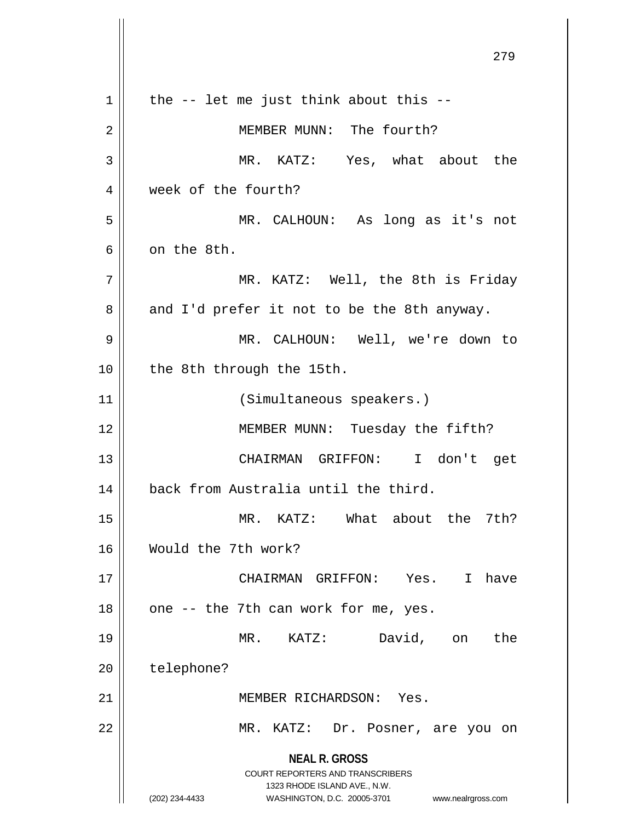**NEAL R. GROSS** COURT REPORTERS AND TRANSCRIBERS 1323 RHODE ISLAND AVE., N.W. (202) 234-4433 WASHINGTON, D.C. 20005-3701 www.nealrgross.com 279  $1 \parallel$  the -- let me just think about this --2 MEMBER MUNN: The fourth? 3 MR. KATZ: Yes, what about the 4 | week of the fourth? 5 MR. CALHOUN: As long as it's not 6 | on the 8th. 7 MR. KATZ: Well, the 8th is Friday  $8 \parallel$  and I'd prefer it not to be the 8th anyway. 9 MR. CALHOUN: Well, we're down to 10 || the 8th through the 15th. 11 || (Simultaneous speakers.) 12 || MEMBER MUNN: Tuesday the fifth? 13 CHAIRMAN GRIFFON: I don't get 14 || back from Australia until the third. 15 MR. KATZ: What about the 7th? 16 Would the 7th work? 17 CHAIRMAN GRIFFON: Yes. I have  $18$  || one -- the 7th can work for me, yes. 19 MR. KATZ: David, on the 20 | telephone? 21 MEMBER RICHARDSON: Yes. 22 MR. KATZ: Dr. Posner, are you on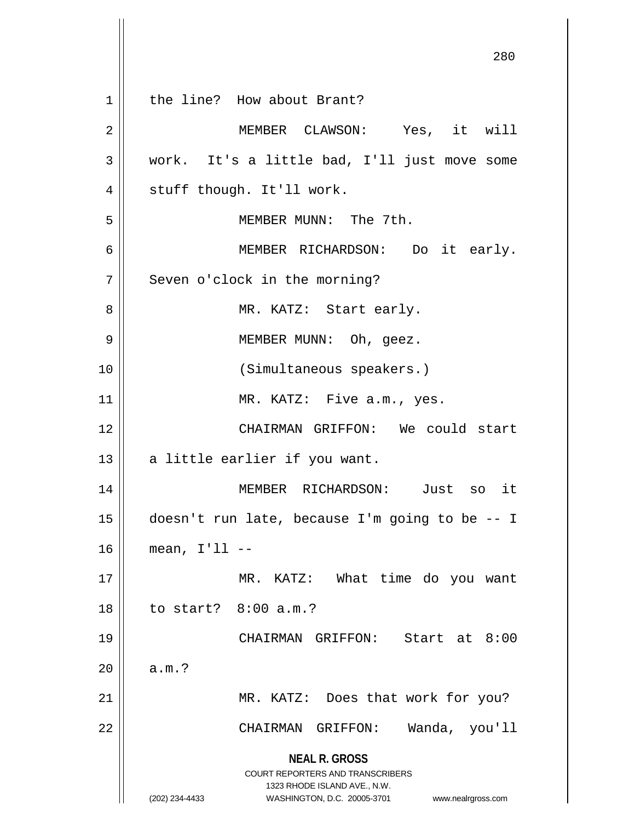**NEAL R. GROSS** COURT REPORTERS AND TRANSCRIBERS 1323 RHODE ISLAND AVE., N.W. (202) 234-4433 WASHINGTON, D.C. 20005-3701 www.nealrgross.com 280 1 || the line? How about Brant? 2 MEMBER CLAWSON: Yes, it will 3 work. It's a little bad, I'll just move some 4 || stuff though. It'll work. 5 || MEMBER MUNN: The 7th. 6 MEMBER RICHARDSON: Do it early. 7 || Seven o'clock in the morning? 8 MR. KATZ: Start early. 9 MEMBER MUNN: Oh, geez. 10 (Simultaneous speakers.) 11 || MR. KATZ: Five a.m., yes. 12 CHAIRMAN GRIFFON: We could start  $13 \parallel$  a little earlier if you want. 14 MEMBER RICHARDSON: Just so it 15 doesn't run late, because I'm going to be -- I 16 mean, I'll -- 17 || MR. KATZ: What time do you want 18 to start? 8:00 a.m.? 19 CHAIRMAN GRIFFON: Start at 8:00  $20$  |  $a.m.$ ? 21 || MR. KATZ: Does that work for you? 22 || CHAIRMAN GRIFFON: Wanda, you'll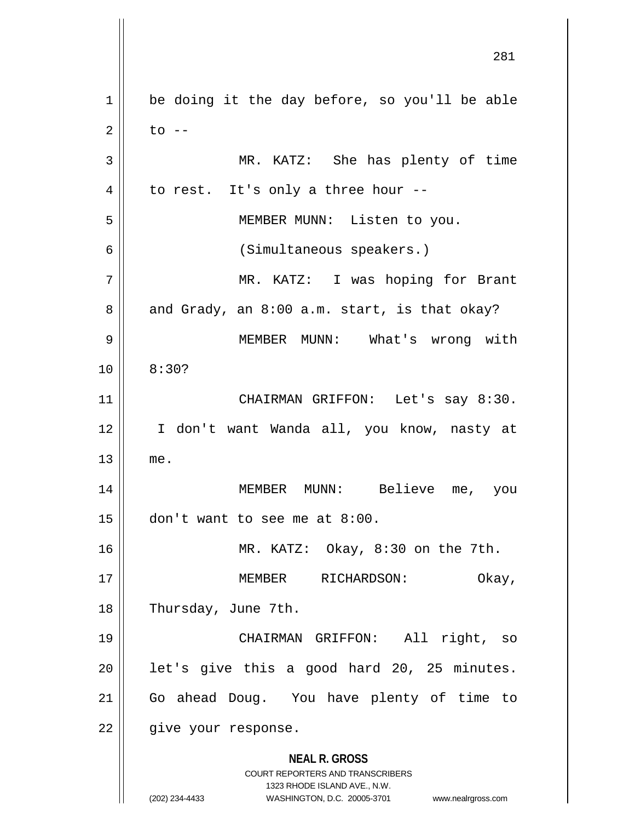**NEAL R. GROSS** COURT REPORTERS AND TRANSCRIBERS 1323 RHODE ISLAND AVE., N.W. (202) 234-4433 WASHINGTON, D.C. 20005-3701 www.nealrgross.com  $1 \parallel$  be doing it the day before, so you'll be able  $2 \parallel$  to  $-$ 3 MR. KATZ: She has plenty of time  $4 \parallel$  to rest. It's only a three hour --5 MEMBER MUNN: Listen to you. 6 (Simultaneous speakers.) 7 MR. KATZ: I was hoping for Brant  $8 \parallel$  and Grady, an  $8:00$  a.m. start, is that okay? 9 MEMBER MUNN: What's wrong with  $10 \parallel 8:30?$ 11 || CHAIRMAN GRIFFON: Let's say 8:30. 12 I don't want Wanda all, you know, nasty at 13 me. 14 MEMBER MUNN: Believe me, you  $15$  | don't want to see me at 8:00. 16 MR. KATZ: Okay, 8:30 on the 7th. 17 MEMBER RICHARDSON: Okay, 18 | Thursday, June 7th. 19 CHAIRMAN GRIFFON: All right, so  $20$  || let's give this a good hard 20, 25 minutes. 21 Go ahead Doug. You have plenty of time to 22 || give your response.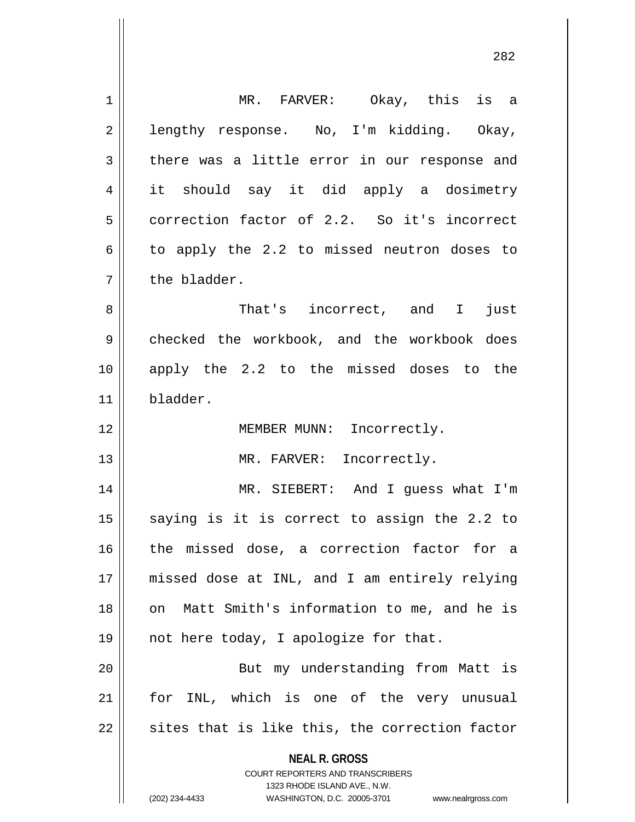| $\mathbf 1$ | MR. FARVER: Okay, this is a                                                                         |
|-------------|-----------------------------------------------------------------------------------------------------|
| 2           | lengthy response. No, I'm kidding. Okay,                                                            |
| 3           | there was a little error in our response and                                                        |
| 4           | it should say it did apply a dosimetry                                                              |
| 5           | correction factor of 2.2. So it's incorrect                                                         |
| 6           | to apply the 2.2 to missed neutron doses to                                                         |
| 7           | the bladder.                                                                                        |
| 8           | That's incorrect, and I<br>just                                                                     |
| 9           | checked the workbook, and the workbook does                                                         |
| 10          | apply the 2.2 to the missed doses to the                                                            |
| 11          | bladder.                                                                                            |
| 12          | MEMBER MUNN: Incorrectly.                                                                           |
| 13          | MR. FARVER: Incorrectly.                                                                            |
| 14          | MR. SIEBERT: And I guess what I'm                                                                   |
| 15          | saying is it is correct to assign the 2.2 to                                                        |
| 16          | the missed dose, a correction factor for a                                                          |
| 17          | missed dose at INL, and I am entirely relying                                                       |
| 18          | on Matt Smith's information to me, and he is                                                        |
| 19          | not here today, I apologize for that.                                                               |
| 20          | But my understanding from Matt is                                                                   |
| 21          | for INL, which is one of the very unusual                                                           |
| 22          | sites that is like this, the correction factor                                                      |
|             | <b>NEAL R. GROSS</b>                                                                                |
|             | <b>COURT REPORTERS AND TRANSCRIBERS</b>                                                             |
|             | 1323 RHODE ISLAND AVE., N.W.<br>(202) 234-4433<br>WASHINGTON, D.C. 20005-3701<br>www.nealrgross.com |
|             |                                                                                                     |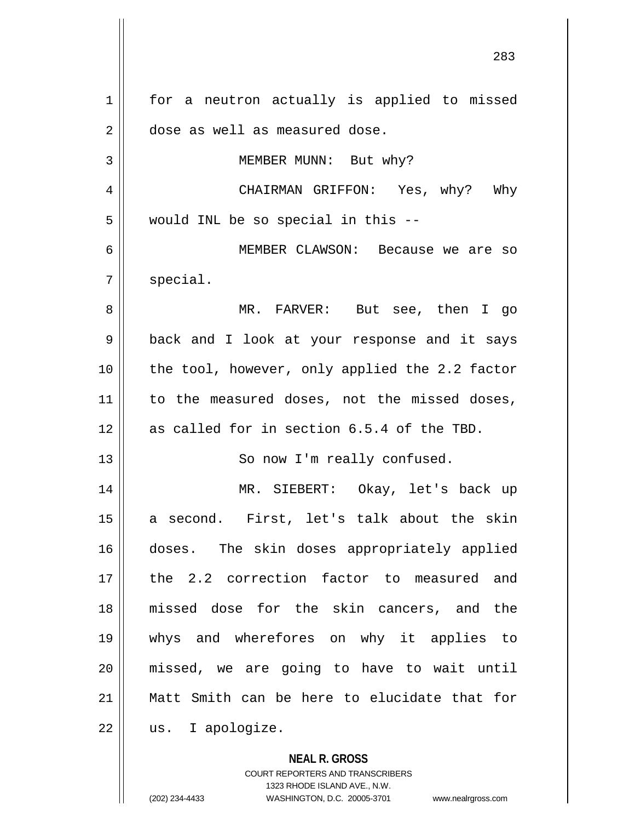**NEAL R. GROSS** 283 1 || for a neutron actually is applied to missed 2 | dose as well as measured dose. 3 || MEMBER MUNN: But why? 4 CHAIRMAN GRIFFON: Yes, why? Why  $5$  | would INL be so special in this --6 MEMBER CLAWSON: Because we are so  $7 \parallel$  special. 8 MR. FARVER: But see, then I go 9 || back and I look at your response and it says 10 || the tool, however, only applied the 2.2 factor 11 || to the measured doses, not the missed doses,  $12$  | as called for in section 6.5.4 of the TBD. 13 || So now I'm really confused. 14 MR. SIEBERT: Okay, let's back up 15 || a second. First, let's talk about the skin 16 doses. The skin doses appropriately applied 17 the 2.2 correction factor to measured and 18 missed dose for the skin cancers, and the 19 whys and wherefores on why it applies to 20 missed, we are going to have to wait until 21 Matt Smith can be here to elucidate that for 22 || us. I apologize.

COURT REPORTERS AND TRANSCRIBERS

1323 RHODE ISLAND AVE., N.W. (202) 234-4433 WASHINGTON, D.C. 20005-3701 www.nealrgross.com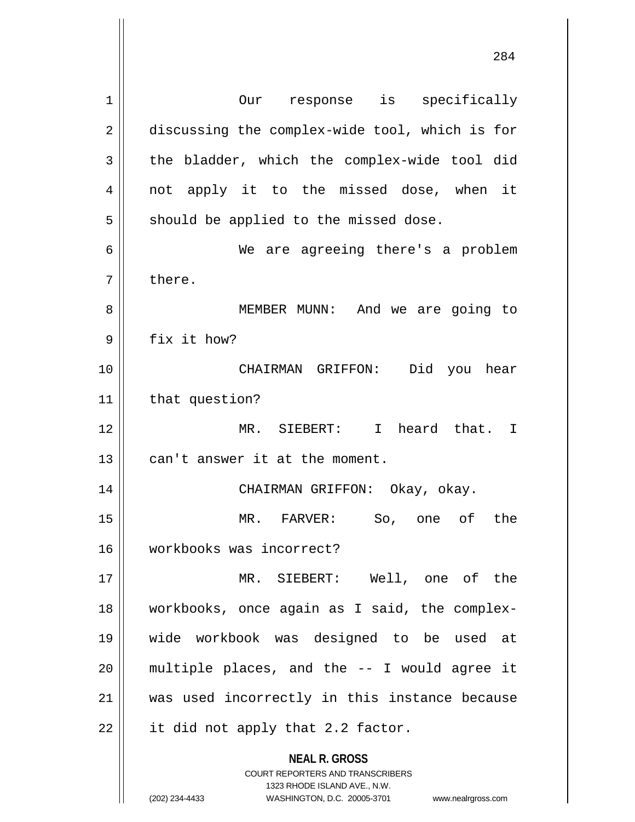**NEAL R. GROSS** COURT REPORTERS AND TRANSCRIBERS 1323 RHODE ISLAND AVE., N.W. 1 || Our response is specifically 2 discussing the complex-wide tool, which is for  $3 \parallel$  the bladder, which the complex-wide tool did 4 || not apply it to the missed dose, when it  $5 \parallel$  should be applied to the missed dose. 6 We are agreeing there's a problem  $7 \parallel$  there. 8 MEMBER MUNN: And we are going to  $9 \parallel$  fix it how? 10 CHAIRMAN GRIFFON: Did you hear 11 | that question? 12 MR. SIEBERT: I heard that. I  $13$  | can't answer it at the moment. 14 CHAIRMAN GRIFFON: Okay, okay. 15 MR. FARVER: So, one of the 16 workbooks was incorrect? 17 MR. SIEBERT: Well, one of the 18 workbooks, once again as I said, the complex-19 wide workbook was designed to be used at  $20$  || multiple places, and the  $-$ - I would agree it 21 was used incorrectly in this instance because  $22$  || it did not apply that 2.2 factor.

(202) 234-4433 WASHINGTON, D.C. 20005-3701 www.nealrgross.com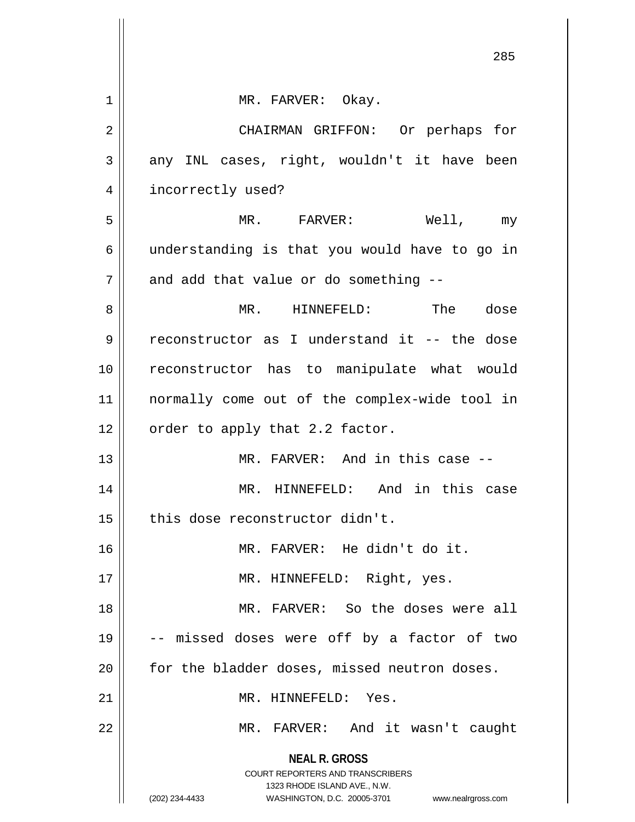|    | 285                                                                                                                                                                    |
|----|------------------------------------------------------------------------------------------------------------------------------------------------------------------------|
| 1  | MR. FARVER: Okay.                                                                                                                                                      |
| 2  | CHAIRMAN GRIFFON: Or perhaps for                                                                                                                                       |
| 3  | any INL cases, right, wouldn't it have been                                                                                                                            |
| 4  | incorrectly used?                                                                                                                                                      |
| 5  | Well, my<br>MR. FARVER:                                                                                                                                                |
| 6  | understanding is that you would have to go in                                                                                                                          |
| 7  | and add that value or do something --                                                                                                                                  |
| 8  | MR. HINNEFELD: The dose                                                                                                                                                |
| 9  | reconstructor as I understand it -- the dose                                                                                                                           |
| 10 | reconstructor has to manipulate what would                                                                                                                             |
| 11 | normally come out of the complex-wide tool in                                                                                                                          |
| 12 | order to apply that 2.2 factor.                                                                                                                                        |
| 13 | MR. FARVER: And in this case --                                                                                                                                        |
| 14 | And in this case<br>MR. HINNEFELD:                                                                                                                                     |
| 15 | this dose reconstructor didn't.                                                                                                                                        |
| 16 | MR. FARVER: He didn't do it.                                                                                                                                           |
| 17 | MR. HINNEFELD: Right, yes.                                                                                                                                             |
| 18 | MR. FARVER: So the doses were all                                                                                                                                      |
| 19 | -- missed doses were off by a factor of two                                                                                                                            |
| 20 | for the bladder doses, missed neutron doses.                                                                                                                           |
| 21 | MR. HINNEFELD: Yes.                                                                                                                                                    |
| 22 | MR. FARVER: And it wasn't caught                                                                                                                                       |
|    | <b>NEAL R. GROSS</b><br><b>COURT REPORTERS AND TRANSCRIBERS</b><br>1323 RHODE ISLAND AVE., N.W.<br>(202) 234-4433<br>WASHINGTON, D.C. 20005-3701<br>www.nealrgross.com |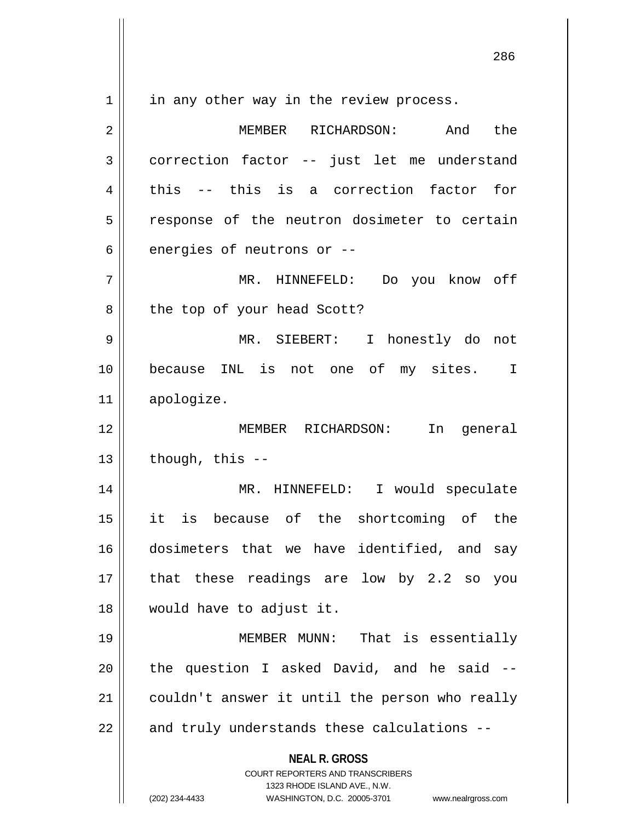$1 \parallel$  in any other way in the review process.

**NEAL R. GROSS** COURT REPORTERS AND TRANSCRIBERS 1323 RHODE ISLAND AVE., N.W. (202) 234-4433 WASHINGTON, D.C. 20005-3701 www.nealrgross.com 2 MEMBER RICHARDSON: And the 3 correction factor -- just let me understand  $4 \parallel$  this -- this is a correction factor for  $5 \parallel$  response of the neutron dosimeter to certain  $6$  || energies of neutrons or  $-$ 7 MR. HINNEFELD: Do you know off 8 || the top of your head Scott? 9 MR. SIEBERT: I honestly do not 10 || because INL is not one of my sites. I 11 apologize. 12 MEMBER RICHARDSON: In general  $13$  | though, this  $-$ 14 MR. HINNEFELD: I would speculate 15 it is because of the shortcoming of the 16 dosimeters that we have identified, and say 17 || that these readings are low by 2.2 so you 18 would have to adjust it. 19 MEMBER MUNN: That is essentially  $20$  || the question I asked David, and he said  $-$ 21 | couldn't answer it until the person who really  $22$  || and truly understands these calculations --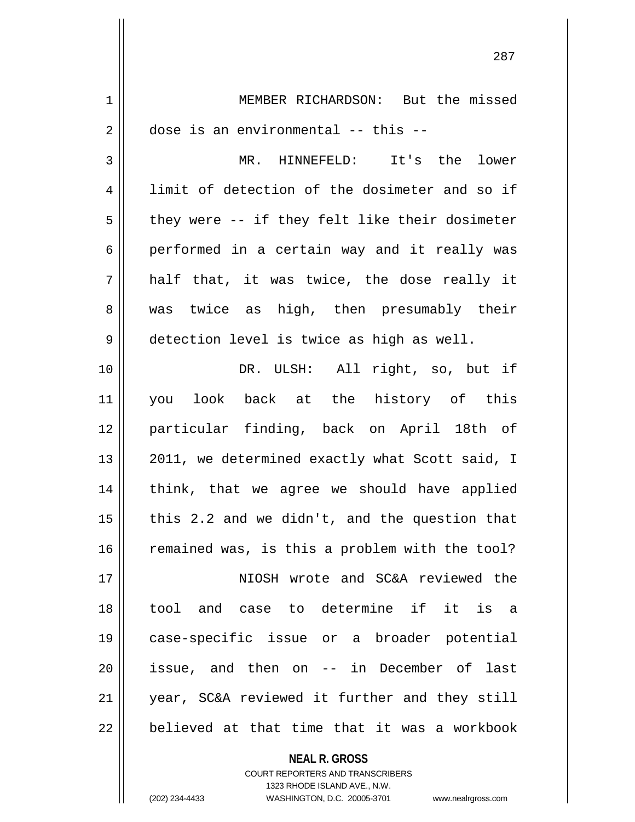| 1  | MEMBER RICHARDSON: But the missed              |
|----|------------------------------------------------|
| 2  | dose is an environmental -- this --            |
| 3  | MR. HINNEFELD: It's the lower                  |
| 4  | limit of detection of the dosimeter and so if  |
| 5  | they were -- if they felt like their dosimeter |
| 6  | performed in a certain way and it really was   |
| 7  | half that, it was twice, the dose really it    |
| 8  | was twice as high, then presumably their       |
| 9  | detection level is twice as high as well.      |
| 10 | DR. ULSH: All right, so, but if                |
| 11 | you look back at the history of this           |
| 12 | particular finding, back on April 18th of      |
| 13 | 2011, we determined exactly what Scott said, I |
| 14 | think, that we agree we should have applied    |
| 15 | this 2.2 and we didn't, and the question that  |
| 16 | remained was, is this a problem with the tool? |
| 17 | NIOSH wrote and SC&A reviewed the              |
| 18 | tool and case to determine if it is a          |
| 19 | case-specific issue or a broader potential     |
| 20 | issue, and then on -- in December of last      |
| 21 | year, SC&A reviewed it further and they still  |
| 22 | believed at that time that it was a workbook   |

COURT REPORTERS AND TRANSCRIBERS 1323 RHODE ISLAND AVE., N.W. (202) 234-4433 WASHINGTON, D.C. 20005-3701 www.nealrgross.com

**NEAL R. GROSS**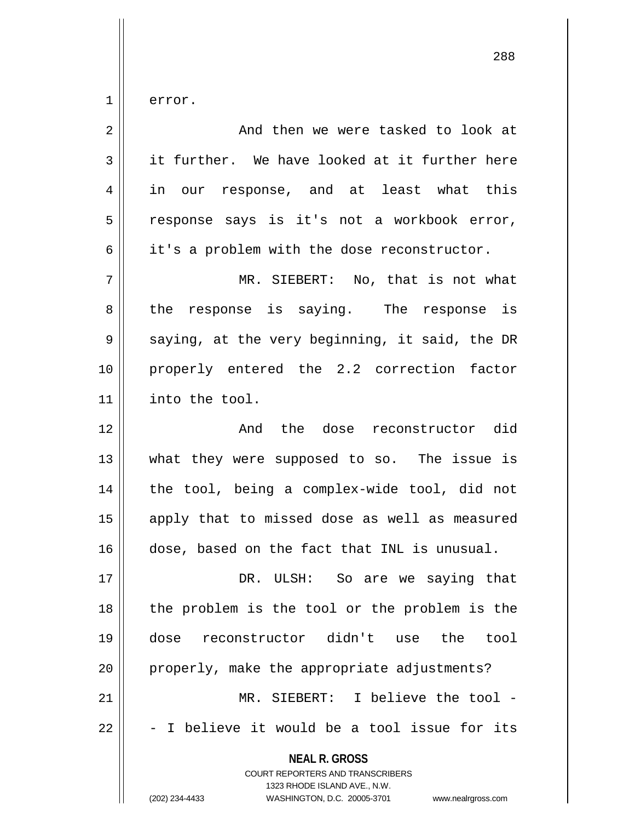$1 \parallel$  error.

| 2              | And then we were tasked to look at                                                                                                                                     |
|----------------|------------------------------------------------------------------------------------------------------------------------------------------------------------------------|
| 3              | it further. We have looked at it further here                                                                                                                          |
| $\overline{4}$ | in our response, and at least what this                                                                                                                                |
| 5              | response says is it's not a workbook error,                                                                                                                            |
| 6              | it's a problem with the dose reconstructor.                                                                                                                            |
| 7              | MR. SIEBERT: No, that is not what                                                                                                                                      |
| 8              | the response is saying. The response is                                                                                                                                |
| 9              | saying, at the very beginning, it said, the DR                                                                                                                         |
| 10             | properly entered the 2.2 correction factor                                                                                                                             |
| 11             | into the tool.                                                                                                                                                         |
| 12             | And the dose reconstructor did                                                                                                                                         |
| 13             | what they were supposed to so. The issue is                                                                                                                            |
| 14             | the tool, being a complex-wide tool, did not                                                                                                                           |
| 15             | apply that to missed dose as well as measured                                                                                                                          |
| 16             | dose, based on the fact that INL is unusual.                                                                                                                           |
| 17             | DR. ULSH: So are we saying that                                                                                                                                        |
| 18             | the problem is the tool or the problem is the                                                                                                                          |
| 19             | dose reconstructor didn't use<br>the<br>tool                                                                                                                           |
| 20             | properly, make the appropriate adjustments?                                                                                                                            |
| 21             | MR. SIEBERT: I believe the tool -                                                                                                                                      |
| 22             | - I believe it would be a tool issue for its                                                                                                                           |
|                | <b>NEAL R. GROSS</b><br><b>COURT REPORTERS AND TRANSCRIBERS</b><br>1323 RHODE ISLAND AVE., N.W.<br>(202) 234-4433<br>WASHINGTON, D.C. 20005-3701<br>www.nealrgross.com |
|                |                                                                                                                                                                        |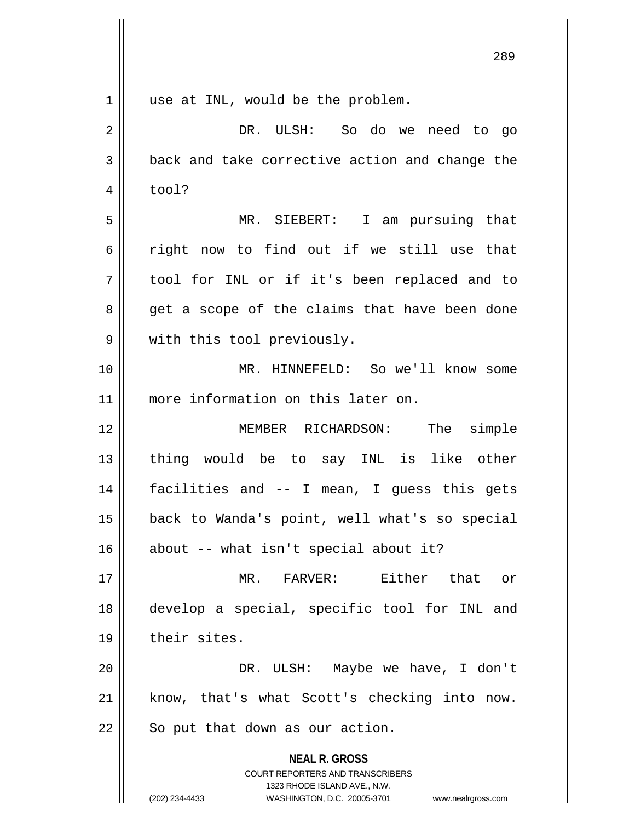| $\mathbf 1$ | use at INL, would be the problem.                                                                                                                                      |
|-------------|------------------------------------------------------------------------------------------------------------------------------------------------------------------------|
| 2           | DR. ULSH: So do we need to go                                                                                                                                          |
| 3           | back and take corrective action and change the                                                                                                                         |
| 4           | tool?                                                                                                                                                                  |
| 5           | MR. SIEBERT: I am pursuing that                                                                                                                                        |
| 6           | right now to find out if we still use that                                                                                                                             |
| 7           | tool for INL or if it's been replaced and to                                                                                                                           |
| 8           | get a scope of the claims that have been done                                                                                                                          |
| 9           | with this tool previously.                                                                                                                                             |
| 10          | MR. HINNEFELD: So we'll know some                                                                                                                                      |
| 11          | more information on this later on.                                                                                                                                     |
| 12          | MEMBER RICHARDSON: The simple                                                                                                                                          |
| 13          | thing would be to say INL is like other                                                                                                                                |
| 14          | facilities and -- I mean, I guess this gets                                                                                                                            |
| 15          | back to Wanda's point, well what's so special                                                                                                                          |
| 16          | about -- what isn't special about it?                                                                                                                                  |
| 17          | MR. FARVER: Either that or                                                                                                                                             |
| 18          | develop a special, specific tool for INL and                                                                                                                           |
| 19          | their sites.                                                                                                                                                           |
| 20          | DR. ULSH: Maybe we have, I don't                                                                                                                                       |
| 21          | know, that's what Scott's checking into now.                                                                                                                           |
| 22          | So put that down as our action.                                                                                                                                        |
|             | <b>NEAL R. GROSS</b><br><b>COURT REPORTERS AND TRANSCRIBERS</b><br>1323 RHODE ISLAND AVE., N.W.<br>(202) 234-4433<br>WASHINGTON, D.C. 20005-3701<br>www.nealrgross.com |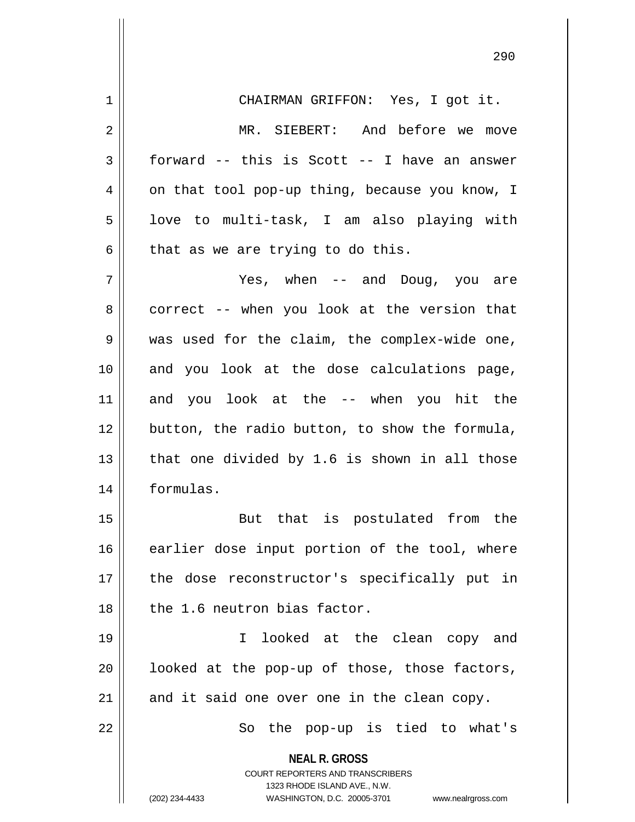**NEAL R. GROSS** COURT REPORTERS AND TRANSCRIBERS 1323 RHODE ISLAND AVE., N.W. 1 CHAIRMAN GRIFFON: Yes, I got it. 2 || MR. SIEBERT: And before we move  $3 \parallel$  forward -- this is Scott -- I have an answer  $4 \parallel$  on that tool pop-up thing, because you know, I  $5 \parallel$  love to multi-task, I am also playing with  $6 \parallel$  that as we are trying to do this. 7 Yes, when -- and Doug, you are  $8$  | correct -- when you look at the version that 9 || was used for the claim, the complex-wide one, 10 and you look at the dose calculations page, 11 and you look at the -- when you hit the 12 button, the radio button, to show the formula, 13  $\parallel$  that one divided by 1.6 is shown in all those 14 formulas. 15 || But that is postulated from the 16 earlier dose input portion of the tool, where 17 || the dose reconstructor's specifically put in  $18$  || the 1.6 neutron bias factor. 19 I looked at the clean copy and  $20$  || looked at the pop-up of those, those factors,  $21$  and it said one over one in the clean copy. 22 || So the pop-up is tied to what's

(202) 234-4433 WASHINGTON, D.C. 20005-3701 www.nealrgross.com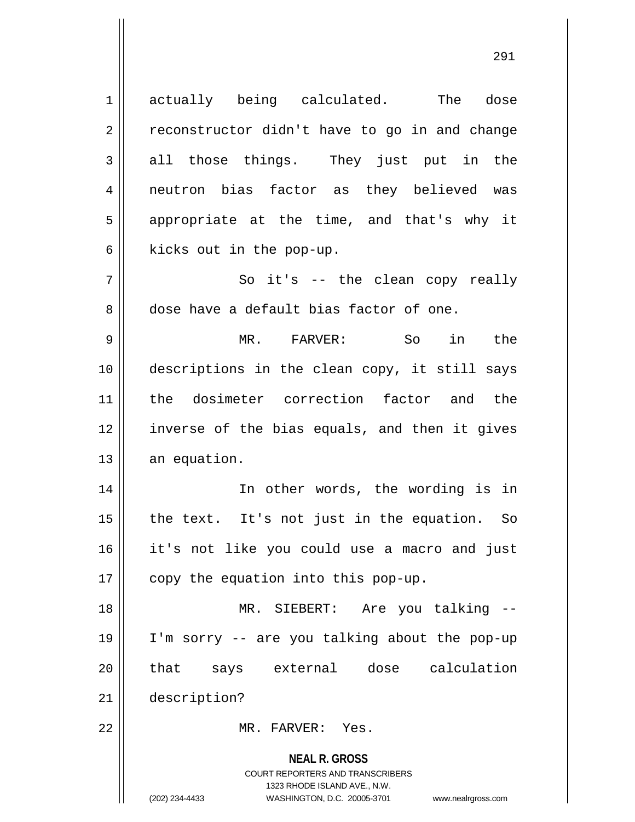**NEAL R. GROSS** COURT REPORTERS AND TRANSCRIBERS 1323 RHODE ISLAND AVE., N.W. (202) 234-4433 WASHINGTON, D.C. 20005-3701 www.nealrgross.com 1 actually being calculated. The dose  $2 \parallel$  reconstructor didn't have to go in and change  $3 \parallel$  all those things. They just put in the 4 || neutron bias factor as they believed was  $5 \parallel$  appropriate at the time, and that's why it  $6$  | kicks out in the pop-up.  $7 \parallel$  So it's -- the clean copy really 8 dose have a default bias factor of one. 9 MR. FARVER: So in the 10 descriptions in the clean copy, it still says 11 the dosimeter correction factor and the 12 inverse of the bias equals, and then it gives  $13$  an equation. 14 || In other words, the wording is in  $15$  | the text. It's not just in the equation. So 16 it's not like you could use a macro and just 17  $\parallel$  copy the equation into this pop-up. 18 MR. SIEBERT: Are you talking -- 19 I'm sorry -- are you talking about the pop-up 20 || that says external dose calculation 21 description? 22 MR. FARVER: Yes.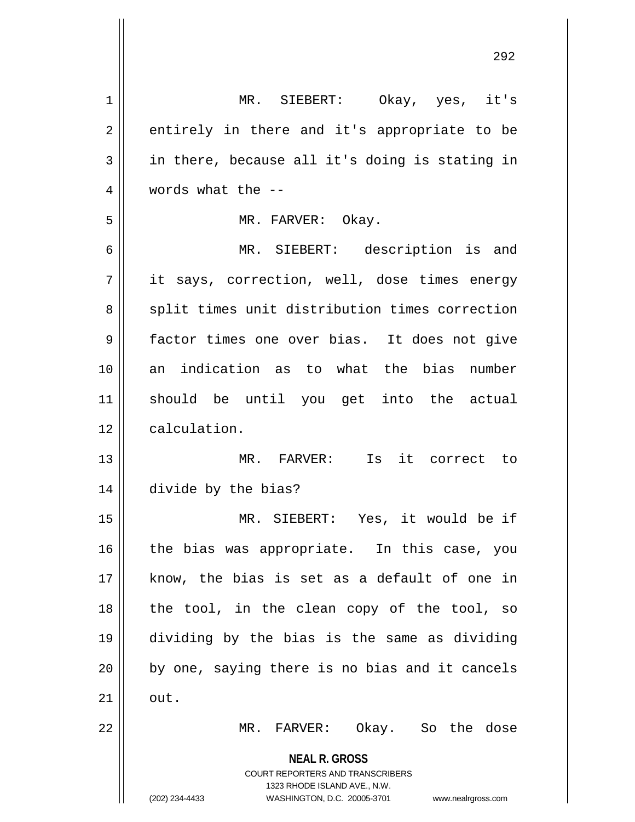**NEAL R. GROSS** COURT REPORTERS AND TRANSCRIBERS 1323 RHODE ISLAND AVE., N.W. (202) 234-4433 WASHINGTON, D.C. 20005-3701 www.nealrgross.com MR. SIEBERT: Okay, yes, it's  $2 \parallel$  entirely in there and it's appropriate to be  $3 \parallel$  in there, because all it's doing is stating in 4 | words what the  $-$ - MR. FARVER: Okay. MR. SIEBERT: description is and 7 || it says, correction, well, dose times energy 8 || split times unit distribution times correction factor times one over bias. It does not give an indication as to what the bias number should be until you get into the actual 12 | calculation. MR. FARVER: Is it correct to divide by the bias? MR. SIEBERT: Yes, it would be if the bias was appropriate. In this case, you know, the bias is set as a default of one in || the tool, in the clean copy of the tool, so dividing by the bias is the same as dividing || by one, saying there is no bias and it cancels  $\parallel$  out. MR. FARVER: Okay. So the dose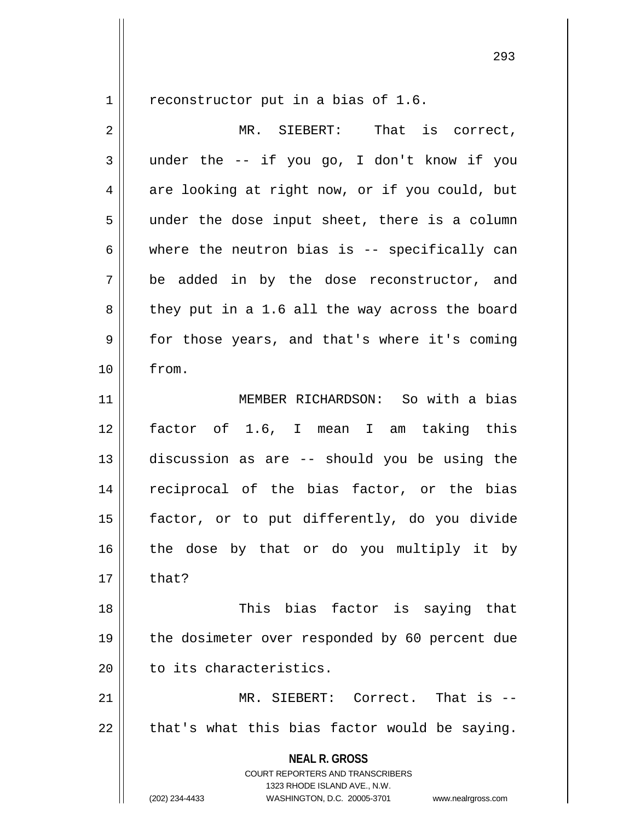$1 \parallel$  reconstructor put in a bias of 1.6.

| 2  | That is correct,<br>MR. SIEBERT:                                                                                                                                       |
|----|------------------------------------------------------------------------------------------------------------------------------------------------------------------------|
| 3  | under the -- if you go, I don't know if you                                                                                                                            |
| 4  | are looking at right now, or if you could, but                                                                                                                         |
| 5  | under the dose input sheet, there is a column                                                                                                                          |
| 6  | where the neutron bias is -- specifically can                                                                                                                          |
| 7  | be added in by the dose reconstructor, and                                                                                                                             |
| 8  | they put in a 1.6 all the way across the board                                                                                                                         |
| 9  | for those years, and that's where it's coming                                                                                                                          |
| 10 | from.                                                                                                                                                                  |
| 11 | MEMBER RICHARDSON: So with a bias                                                                                                                                      |
| 12 | factor of 1.6, I mean I am taking this                                                                                                                                 |
| 13 | discussion as are -- should you be using the                                                                                                                           |
| 14 | reciprocal of the bias factor, or the bias                                                                                                                             |
| 15 | factor, or to put differently, do you divide                                                                                                                           |
| 16 | the dose by that or do you multiply it by                                                                                                                              |
| 17 | that?                                                                                                                                                                  |
| 18 | This bias factor is saying that                                                                                                                                        |
| 19 | the dosimeter over responded by 60 percent due                                                                                                                         |
| 20 | to its characteristics.                                                                                                                                                |
| 21 | MR. SIEBERT: Correct. That is --                                                                                                                                       |
| 22 | that's what this bias factor would be saying.                                                                                                                          |
|    | <b>NEAL R. GROSS</b><br><b>COURT REPORTERS AND TRANSCRIBERS</b><br>1323 RHODE ISLAND AVE., N.W.<br>(202) 234-4433<br>WASHINGTON, D.C. 20005-3701<br>www.nealrgross.com |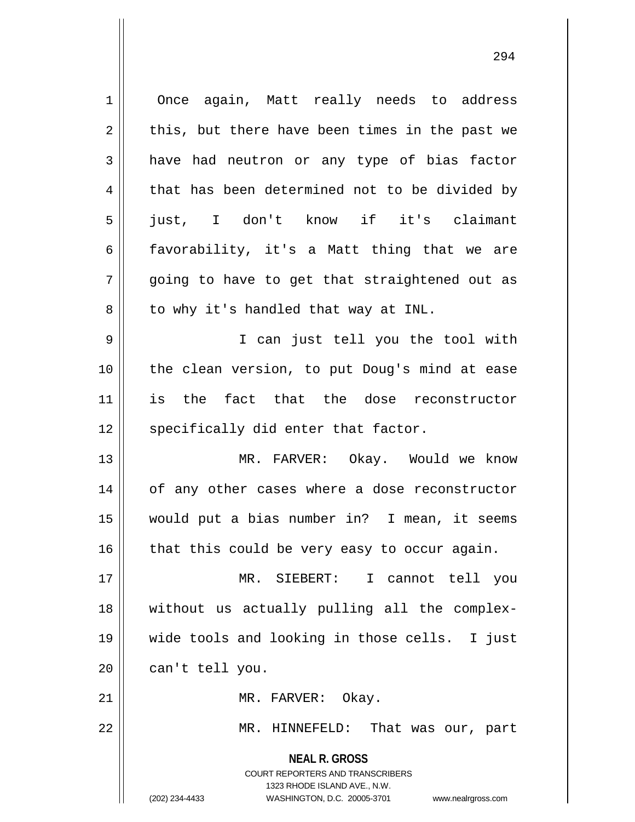**NEAL R. GROSS** COURT REPORTERS AND TRANSCRIBERS 1323 RHODE ISLAND AVE., N.W. 1 | Once again, Matt really needs to address  $2 \parallel$  this, but there have been times in the past we  $3 \parallel$  have had neutron or any type of bias factor  $4 \parallel$  that has been determined not to be divided by 5 just, I don't know if it's claimant 6  $\parallel$  favorability, it's a Matt thing that we are  $7 \parallel$  going to have to get that straightened out as  $8 \parallel$  to why it's handled that way at INL. 9 I can just tell you the tool with 10 the clean version, to put Doug's mind at ease 11 is the fact that the dose reconstructor  $12$  specifically did enter that factor. 13 MR. FARVER: Okay. Would we know 14 || of any other cases where a dose reconstructor 15 would put a bias number in? I mean, it seems  $16$  | that this could be very easy to occur again. 17 MR. SIEBERT: I cannot tell you 18 without us actually pulling all the complex-19 wide tools and looking in those cells. I just  $20$  || can't tell you. 21 | MR. FARVER: Okay. 22 MR. HINNEFELD: That was our, part

(202) 234-4433 WASHINGTON, D.C. 20005-3701 www.nealrgross.com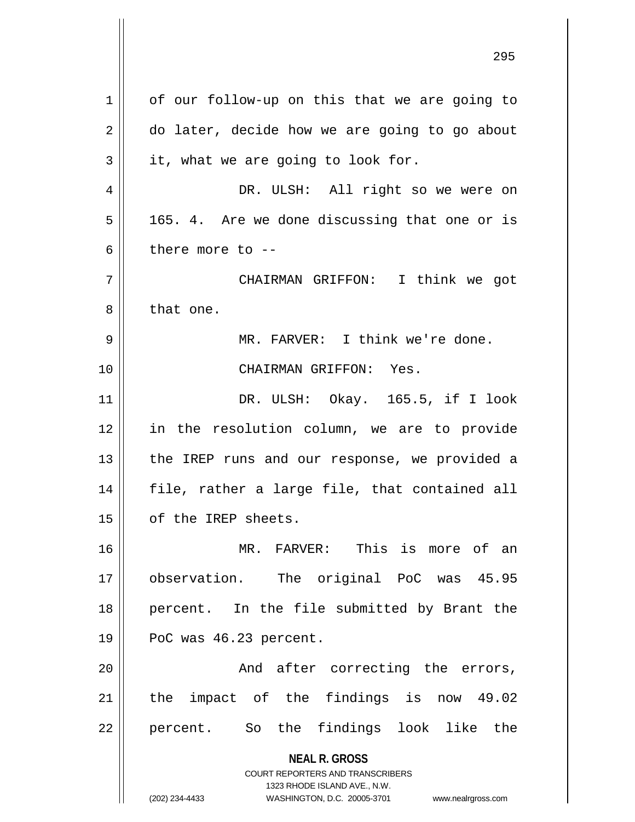**NEAL R. GROSS** COURT REPORTERS AND TRANSCRIBERS 1323 RHODE ISLAND AVE., N.W. (202) 234-4433 WASHINGTON, D.C. 20005-3701 www.nealrgross.com  $1 \parallel$  of our follow-up on this that we are going to  $2 \parallel$  do later, decide how we are going to go about  $3 \parallel$  it, what we are going to look for. 4 DR. ULSH: All right so we were on  $5 \parallel$  165. 4. Are we done discussing that one or is 6  $\parallel$  there more to  $-$ 7 CHAIRMAN GRIFFON: I think we got 8 l that one. 9 MR. FARVER: I think we're done. 10 CHAIRMAN GRIFFON: Yes. 11 DR. ULSH: Okay. 165.5, if I look 12 in the resolution column, we are to provide 13 || the IREP runs and our response, we provided a 14 || file, rather a large file, that contained all 15 | of the IREP sheets. 16 MR. FARVER: This is more of an 17 observation. The original PoC was 45.95 18 || percent. In the file submitted by Brant the 19 || PoC was 46.23 percent. 20 || And after correcting the errors, 21 || the impact of the findings is now 49.02 22 || percent. So the findings look like the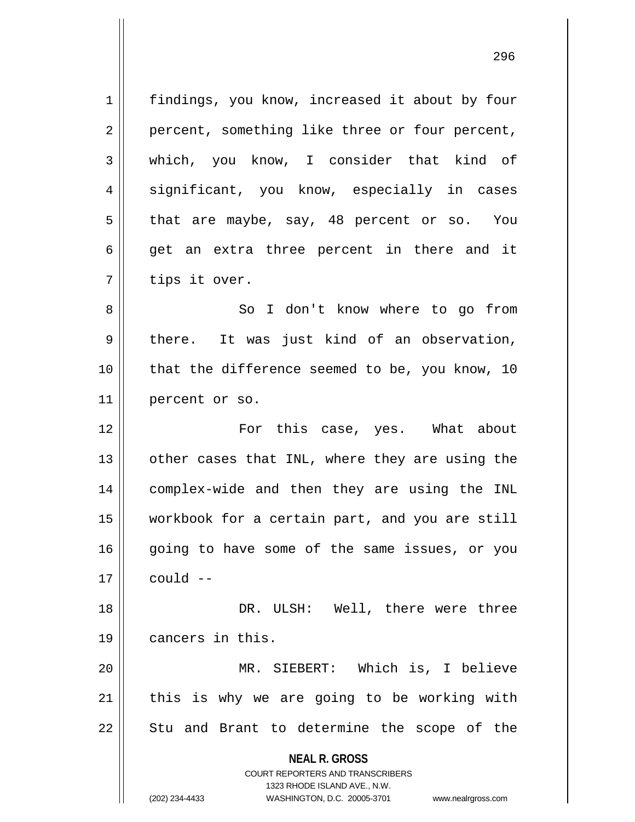**NEAL R. GROSS** COURT REPORTERS AND TRANSCRIBERS 1323 RHODE ISLAND AVE., N.W. (202) 234-4433 WASHINGTON, D.C. 20005-3701 www.nealrgross.com 1 | findings, you know, increased it about by four 2 || percent, something like three or four percent, 3 || which, you know, I consider that kind of 4 significant, you know, especially in cases  $5 \parallel$  that are maybe, say, 48 percent or so. You  $6 \parallel$  get an extra three percent in there and it  $7 \parallel$  tips it over. 8 || So I don't know where to go from  $9 \parallel$  there. It was just kind of an observation, 10 || that the difference seemed to be, you know, 10 11 percent or so. 12 For this case, yes. What about  $13$  | other cases that INL, where they are using the 14 complex-wide and then they are using the INL 15 workbook for a certain part, and you are still 16 || going to have some of the same issues, or you  $17 \parallel$  could  $-$ 18 DR. ULSH: Well, there were three 19 | cancers in this. 20 MR. SIEBERT: Which is, I believe  $21$  this is why we are going to be working with  $22$  || Stu and Brant to determine the scope of the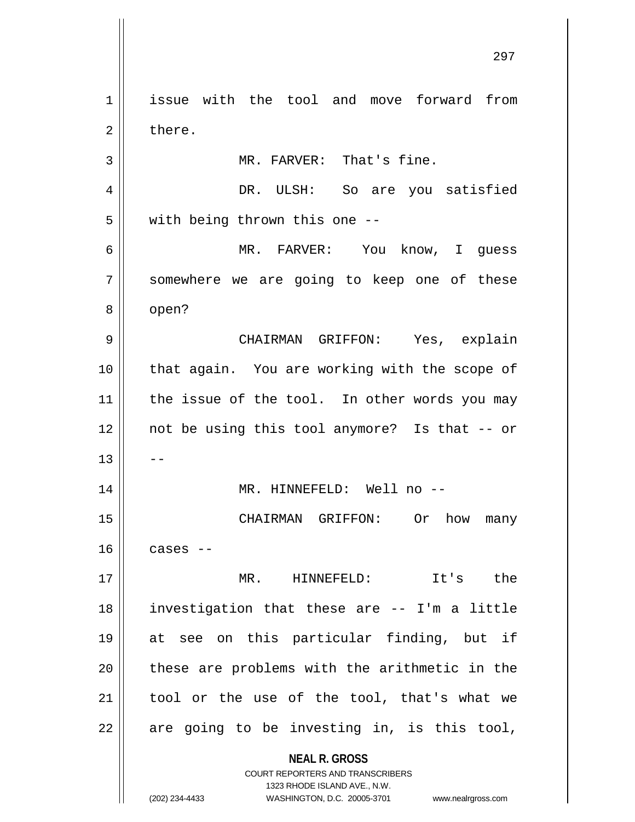**NEAL R. GROSS** COURT REPORTERS AND TRANSCRIBERS 1323 RHODE ISLAND AVE., N.W. (202) 234-4433 WASHINGTON, D.C. 20005-3701 www.nealrgross.com 1 | issue with the tool and move forward from 2 l there. 3 || MR. FARVER: That's fine. 4 DR. ULSH: So are you satisfied 5 | with being thrown this one --6 MR. FARVER: You know, I guess 7 || somewhere we are going to keep one of these 8 | open? 9 CHAIRMAN GRIFFON: Yes, explain 10 that again. You are working with the scope of  $11$  | the issue of the tool. In other words you may 12 not be using this tool anymore? Is that -- or  $13$   $\parallel$   $-$ 14 MR. HINNEFELD: Well no -- 15 CHAIRMAN GRIFFON: Or how many  $16$  cases  $-$ 17 MR. HINNEFELD: It's the 18 investigation that these are -- I'm a little 19 at see on this particular finding, but if 20 || these are problems with the arithmetic in the  $21$  tool or the use of the tool, that's what we  $22$  || are going to be investing in, is this tool,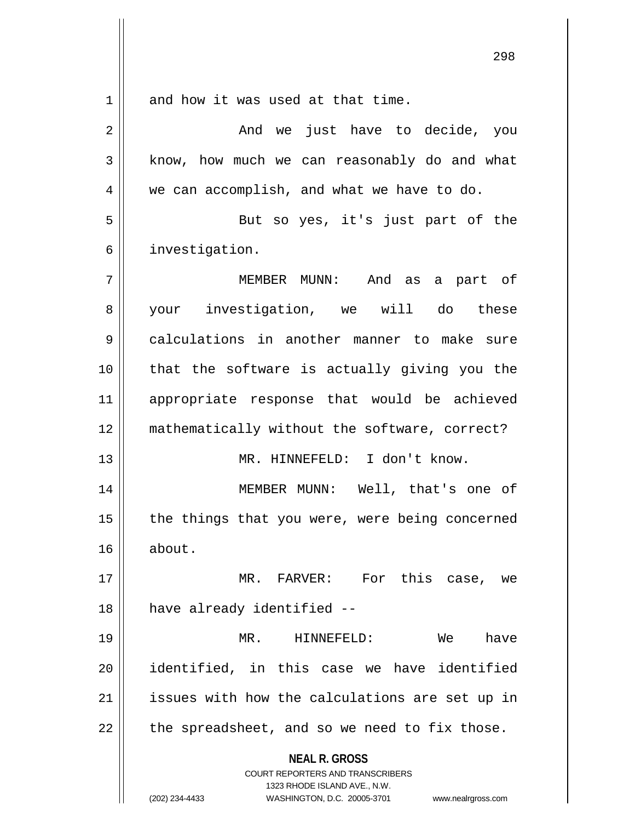**NEAL R. GROSS** COURT REPORTERS AND TRANSCRIBERS 1323 RHODE ISLAND AVE., N.W. 1 and how it was used at that time. 2 And we just have to decide, you 3 | know, how much we can reasonably do and what 4 we can accomplish, and what we have to do. 5 || But so yes, it's just part of the 6 | investigation. 7 MEMBER MUNN: And as a part of 8 your investigation, we will do these 9 calculations in another manner to make sure 10 that the software is actually giving you the 11 appropriate response that would be achieved 12 mathematically without the software, correct? 13 MR. HINNEFELD: I don't know. 14 MEMBER MUNN: Well, that's one of  $15$  | the things that you were, were being concerned 16 about. 17 || MR. FARVER: For this case, we 18 || have already identified --19 MR. HINNEFELD: We have 20 identified, in this case we have identified 21 || issues with how the calculations are set up in  $22$  || the spreadsheet, and so we need to fix those.

(202) 234-4433 WASHINGTON, D.C. 20005-3701 www.nealrgross.com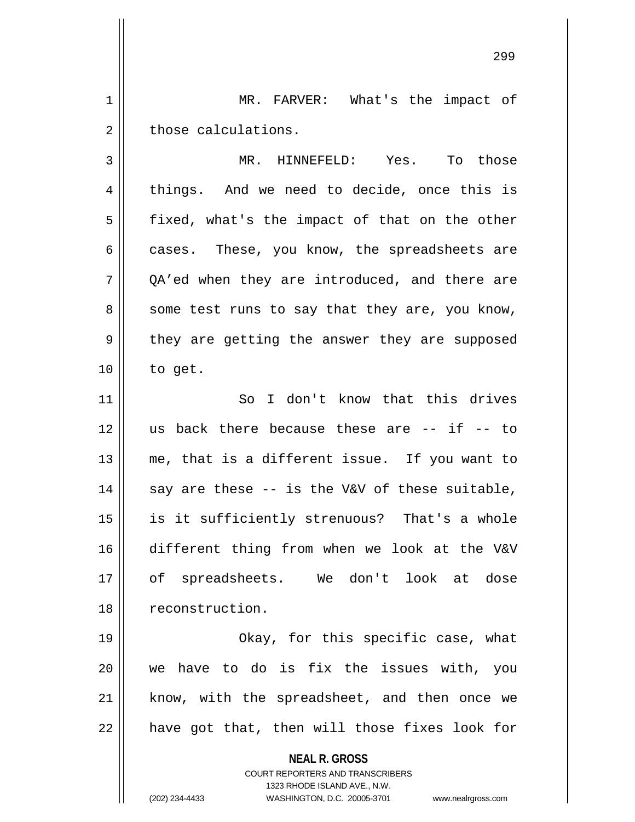1 || MR. FARVER: What's the impact of  $2 \parallel$  those calculations.

3 MR. HINNEFELD: Yes. To those 4 || things. And we need to decide, once this is  $5 \parallel$  fixed, what's the impact of that on the other  $6 \parallel$  cases. These, you know, the spreadsheets are  $7 \parallel$  OA'ed when they are introduced, and there are  $8 \parallel$  some test runs to say that they are, you know, 9 || they are getting the answer they are supposed  $10$  | to get.

11 || So I don't know that this drives || us back there because these are  $-$ - if  $-$ - to me, that is a different issue. If you want to || say are these -- is the V&V of these suitable, is it sufficiently strenuous? That's a whole different thing from when we look at the V&V of spreadsheets. We don't look at dose 18 | reconstruction.

 Okay, for this specific case, what we have to do is fix the issues with, you know, with the spreadsheet, and then once we | have got that, then will those fixes look for

**NEAL R. GROSS**

COURT REPORTERS AND TRANSCRIBERS 1323 RHODE ISLAND AVE., N.W. (202) 234-4433 WASHINGTON, D.C. 20005-3701 www.nealrgross.com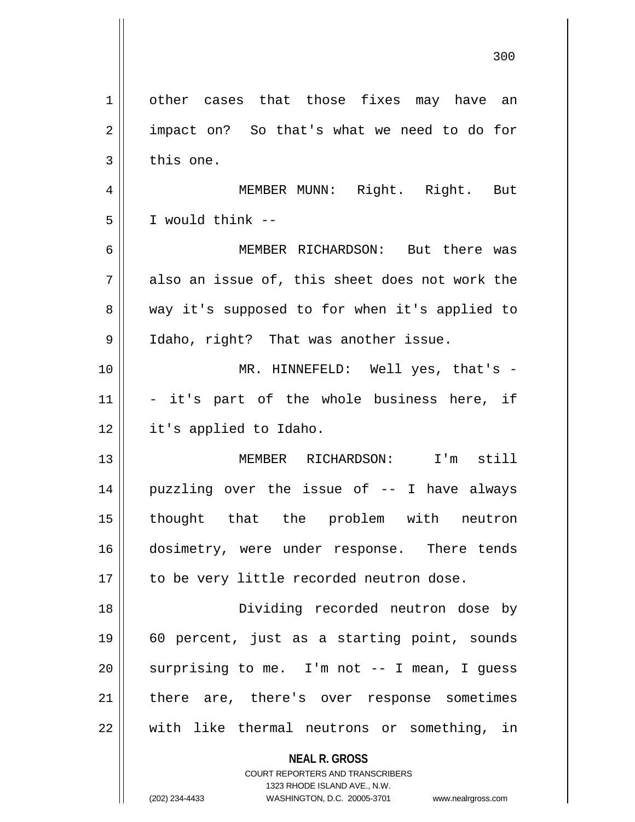|             | 300                                                                                                 |
|-------------|-----------------------------------------------------------------------------------------------------|
| $\mathbf 1$ | other cases that those fixes may have an                                                            |
| 2           | impact on? So that's what we need to do for                                                         |
| 3           | this one.                                                                                           |
| 4           | MEMBER MUNN: Right. Right. But                                                                      |
| 5           | I would think --                                                                                    |
| 6           | MEMBER RICHARDSON: But there was                                                                    |
| 7           | also an issue of, this sheet does not work the                                                      |
| 8           | way it's supposed to for when it's applied to                                                       |
| 9           | Idaho, right? That was another issue.                                                               |
| 10          | MR. HINNEFELD: Well yes, that's -                                                                   |
| 11          | - it's part of the whole business here, if                                                          |
| 12          | it's applied to Idaho.                                                                              |
| 13          | MEMBER RICHARDSON: I'm still                                                                        |
| 14          | puzzling over the issue of -- I have always                                                         |
| 15          | thought that the problem with neutron                                                               |
| 16          | dosimetry, were under response. There tends                                                         |
| 17          | to be very little recorded neutron dose.                                                            |
| 18          | Dividing recorded neutron dose by                                                                   |
| 19          | 60 percent, just as a starting point, sounds                                                        |
| 20          | surprising to me. I'm not -- I mean, I guess                                                        |
| 21          | there are, there's over response sometimes                                                          |
| 22          | with like thermal neutrons or something, in                                                         |
|             | <b>NEAL R. GROSS</b><br>COURT REPORTERS AND TRANSCRIBERS                                            |
|             | 1323 RHODE ISLAND AVE., N.W.<br>(202) 234-4433<br>WASHINGTON, D.C. 20005-3701<br>www.nealrgross.com |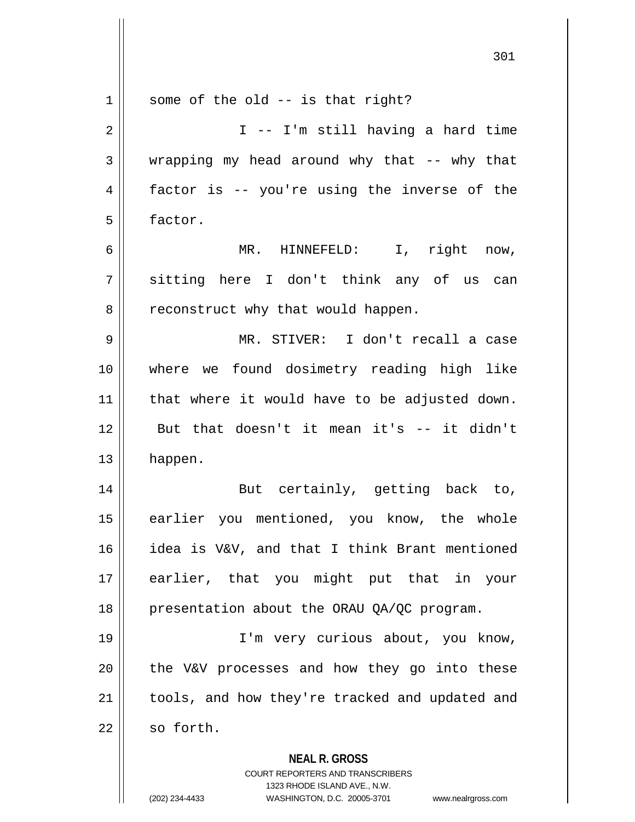| $\mathbf 1$    | some of the old $-$ is that right?                                                                  |
|----------------|-----------------------------------------------------------------------------------------------------|
| $\overline{2}$ | I -- I'm still having a hard time                                                                   |
| 3              | wrapping my head around why that -- why that                                                        |
| 4              | factor is -- you're using the inverse of the                                                        |
| 5              | factor.                                                                                             |
| 6              | MR. HINNEFELD: I, right now,                                                                        |
| 7              | sitting here I don't think any of us can                                                            |
| 8              | reconstruct why that would happen.                                                                  |
| 9              | MR. STIVER: I don't recall a case                                                                   |
| 10             | where we found dosimetry reading high like                                                          |
| 11             | that where it would have to be adjusted down.                                                       |
| 12             | But that doesn't it mean it's -- it didn't                                                          |
| 13             | happen.                                                                                             |
| 14             | But certainly, getting back to,                                                                     |
| 15             | earlier you mentioned, you know, the whole                                                          |
| 16             | idea is V&V, and that I think Brant mentioned                                                       |
| 17             | earlier, that you might put that in your                                                            |
| 18             | presentation about the ORAU QA/QC program.                                                          |
| 19             | I'm very curious about, you know,                                                                   |
| 20             | the V&V processes and how they go into these                                                        |
| 21             | tools, and how they're tracked and updated and                                                      |
| 22             | so forth.                                                                                           |
|                | <b>NEAL R. GROSS</b>                                                                                |
|                | <b>COURT REPORTERS AND TRANSCRIBERS</b>                                                             |
|                | 1323 RHODE ISLAND AVE., N.W.<br>(202) 234-4433<br>WASHINGTON, D.C. 20005-3701<br>www.nealrgross.com |
|                |                                                                                                     |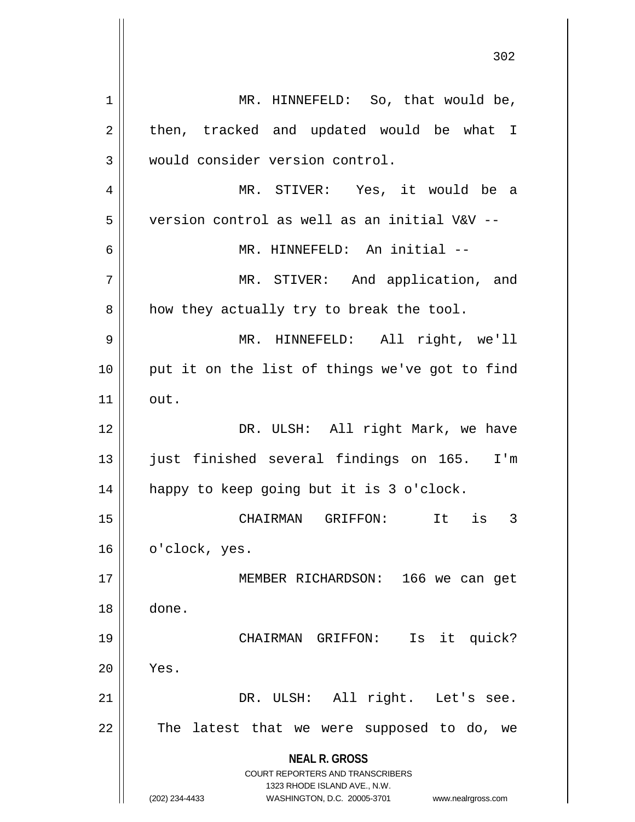**NEAL R. GROSS** COURT REPORTERS AND TRANSCRIBERS 1323 RHODE ISLAND AVE., N.W. (202) 234-4433 WASHINGTON, D.C. 20005-3701 www.nealrgross.com 1 || MR. HINNEFELD: So, that would be,  $2 \parallel$  then, tracked and updated would be what I 3 | would consider version control. 4 MR. STIVER: Yes, it would be a 5 version control as well as an initial V&V -- 6 || MR. HINNEFELD: An initial --7 || MR. STIVER: And application, and  $8 \parallel$  how they actually try to break the tool. 9 MR. HINNEFELD: All right, we'll 10 || put it on the list of things we've got to find  $11$  out. 12 DR. ULSH: All right Mark, we have 13 just finished several findings on 165. I'm 14 happy to keep going but it is 3 o'clock. 15 CHAIRMAN GRIFFON: It is 3 16 | o'clock, yes. 17 || MEMBER RICHARDSON: 166 we can get 18 done. 19 CHAIRMAN GRIFFON: Is it quick?  $20$  || Yes. 21 DR. ULSH: All right. Let's see. 22 || The latest that we were supposed to do, we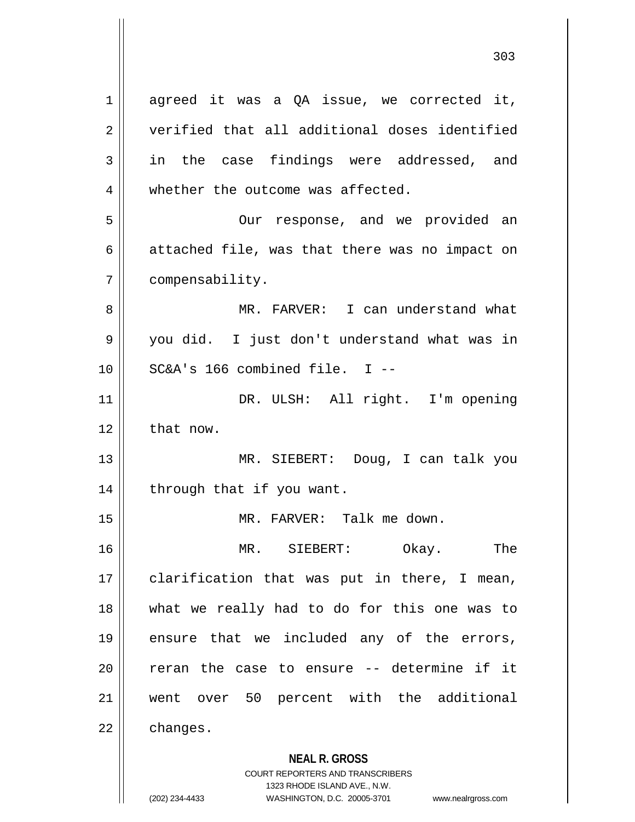**NEAL R. GROSS** COURT REPORTERS AND TRANSCRIBERS 1323 RHODE ISLAND AVE., N.W.  $1 \parallel$  agreed it was a QA issue, we corrected it, 2 verified that all additional doses identified  $3 \parallel$  in the case findings were addressed, and 4 whether the outcome was affected. 5 Our response, and we provided an  $6 \parallel$  attached file, was that there was no impact on 7 compensability. 8 MR. FARVER: I can understand what 9 || you did. I just don't understand what was in  $10$  || SC&A's 166 combined file. I --11 || DR. ULSH: All right. I'm opening  $12 \parallel$  that now. 13 MR. SIEBERT: Doug, I can talk you 14 || through that if you want. 15 MR. FARVER: Talk me down. 16 MR. SIEBERT: Okay. The  $17$  | clarification that was put in there, I mean, 18 what we really had to do for this one was to 19 ensure that we included any of the errors,  $20$  || reran the case to ensure  $-$ - determine if it 21 went over 50 percent with the additional  $22 \parallel$  changes.

<sup>(202) 234-4433</sup> WASHINGTON, D.C. 20005-3701 www.nealrgross.com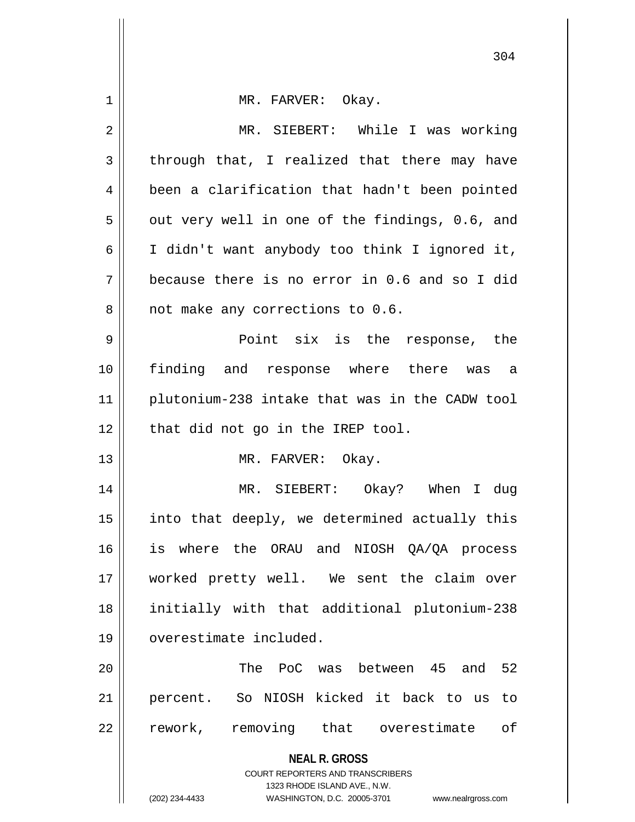| 1  | MR. FARVER: Okay.                                                   |
|----|---------------------------------------------------------------------|
| 2  | MR. SIEBERT: While I was working                                    |
| 3  | through that, I realized that there may have                        |
| 4  | been a clarification that hadn't been pointed                       |
| 5  | out very well in one of the findings, 0.6, and                      |
| 6  | I didn't want anybody too think I ignored it,                       |
| 7  | because there is no error in 0.6 and so I did                       |
| 8  | not make any corrections to 0.6.                                    |
| 9  | Point six is the response, the                                      |
| 10 | finding and response where there was a                              |
| 11 | plutonium-238 intake that was in the CADW tool                      |
| 12 | that did not go in the IREP tool.                                   |
| 13 | MR. FARVER: Okay.                                                   |
| 14 | MR. SIEBERT: Okay? When I dug                                       |
| 15 | into that deeply, we determined actually this                       |
| 16 | is where the ORAU and NIOSH QA/QA process                           |
| 17 | worked pretty well. We sent the claim over                          |
| 18 | initially with that additional plutonium-238                        |
| 19 | overestimate included.                                              |
| 20 | The PoC was between 45 and 52                                       |
| 21 | percent. So NIOSH kicked it back to us to                           |
| 22 | rework, removing that overestimate<br>оf                            |
|    | <b>NEAL R. GROSS</b>                                                |
|    | COURT REPORTERS AND TRANSCRIBERS<br>1323 RHODE ISLAND AVE., N.W.    |
|    | (202) 234-4433<br>WASHINGTON, D.C. 20005-3701<br>www.nealrgross.com |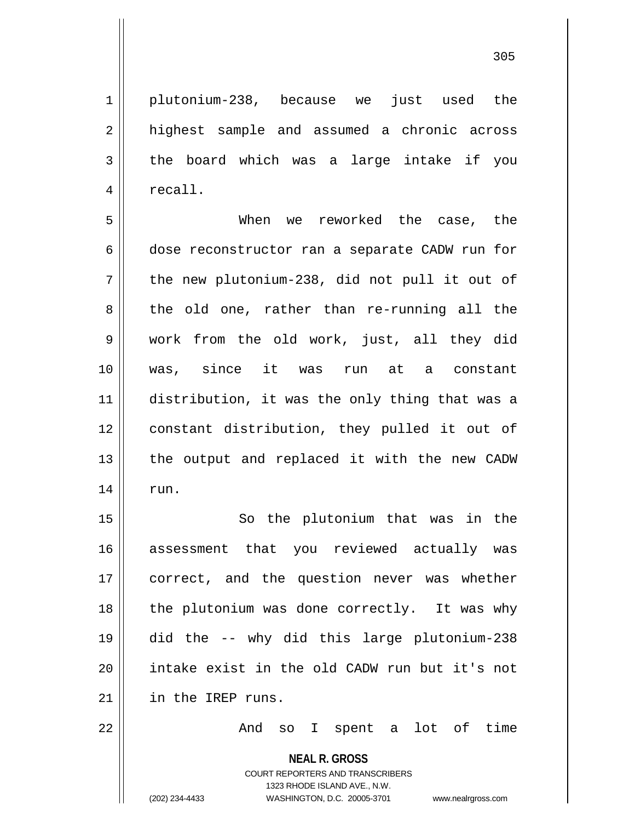1 plutonium-238, because we just used the 2 || highest sample and assumed a chronic across  $3 \parallel$  the board which was a large intake if you 4 | recall.

5 When we reworked the case, the 6 dose reconstructor ran a separate CADW run for  $7 \parallel$  the new plutonium-238, did not pull it out of  $8 \parallel$  the old one, rather than re-running all the 9 work from the old work, just, all they did 10 was, since it was run at a constant 11 distribution, it was the only thing that was a 12 constant distribution, they pulled it out of  $13$  | the output and replaced it with the new CADW  $14 \parallel$  run.

15 || So the plutonium that was in the 16 assessment that you reviewed actually was 17 || correct, and the question never was whether 18 || the plutonium was done correctly. It was why 19 did the -- why did this large plutonium-238 20 intake exist in the old CADW run but it's not 21 in the IREP runs.

22 And so I spent a lot of time

**NEAL R. GROSS** COURT REPORTERS AND TRANSCRIBERS 1323 RHODE ISLAND AVE., N.W.

(202) 234-4433 WASHINGTON, D.C. 20005-3701 www.nealrgross.com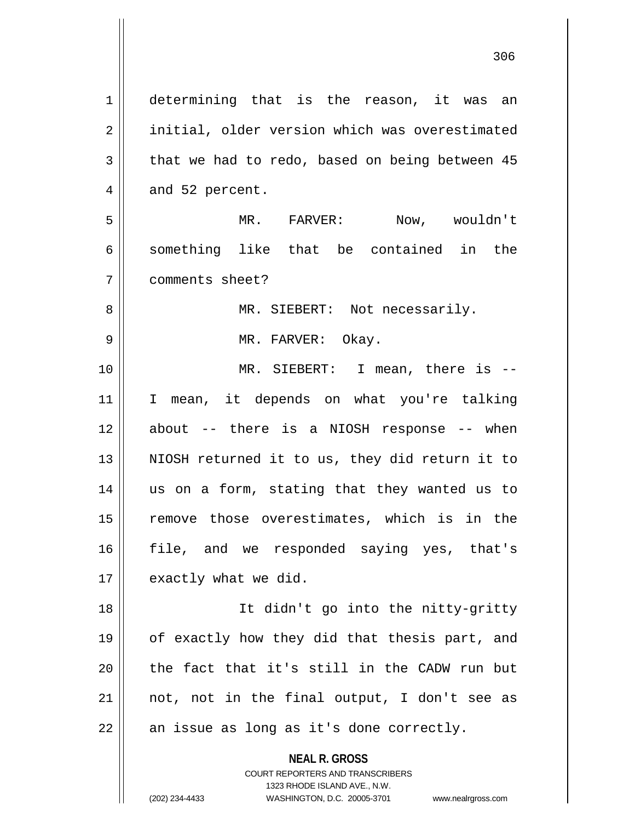**NEAL R. GROSS** COURT REPORTERS AND TRANSCRIBERS 1 determining that is the reason, it was an 2 | initial, older version which was overestimated  $3 \parallel$  that we had to redo, based on being between 45  $4 \parallel$  and 52 percent. 5 || MR. FARVER: Now, wouldn't 6 something like that be contained in the 7 comments sheet? 8 MR. SIEBERT: Not necessarily. 9 MR. FARVER: Okay. 10 MR. SIEBERT: I mean, there is -- 11 I mean, it depends on what you're talking 12 about -- there is a NIOSH response -- when 13 || NIOSH returned it to us, they did return it to 14 us on a form, stating that they wanted us to 15 || remove those overestimates, which is in the 16 file, and we responded saying yes, that's  $17$  | exactly what we did. 18 It didn't go into the nitty-gritty 19 of exactly how they did that thesis part, and  $20$  || the fact that it's still in the CADW run but  $21$  || not, not in the final output, I don't see as  $22 \parallel$  an issue as long as it's done correctly.

1323 RHODE ISLAND AVE., N.W.

(202) 234-4433 WASHINGTON, D.C. 20005-3701 www.nealrgross.com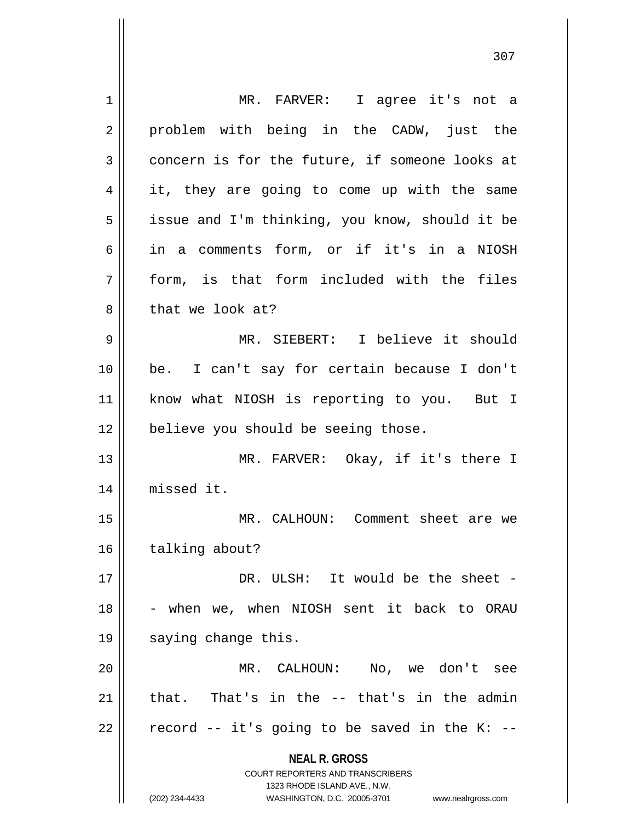**NEAL R. GROSS** COURT REPORTERS AND TRANSCRIBERS 1323 RHODE ISLAND AVE., N.W. (202) 234-4433 WASHINGTON, D.C. 20005-3701 www.nealrgross.com 1 || MR. FARVER: I agree it's not a 2 || problem with being in the CADW, just the  $3 \parallel$  concern is for the future, if someone looks at 4 || it, they are going to come up with the same 5 | issue and I'm thinking, you know, should it be 6 in a comments form, or if it's in a NIOSH  $7$  || form, is that form included with the files 8 || that we look at? 9 MR. SIEBERT: I believe it should 10 be. I can't say for certain because I don't 11 || know what NIOSH is reporting to you. But I 12 || believe you should be seeing those. 13 MR. FARVER: Okay, if it's there I 14 missed it. 15 MR. CALHOUN: Comment sheet are we 16 | talking about? 17 DR. ULSH: It would be the sheet -  $18$  - when we, when NIOSH sent it back to ORAU 19 || saying change this. 20 MR. CALHOUN: No, we don't see 21  $\parallel$  that. That's in the  $-$  that's in the admin 22  $\parallel$  record -- it's going to be saved in the K: --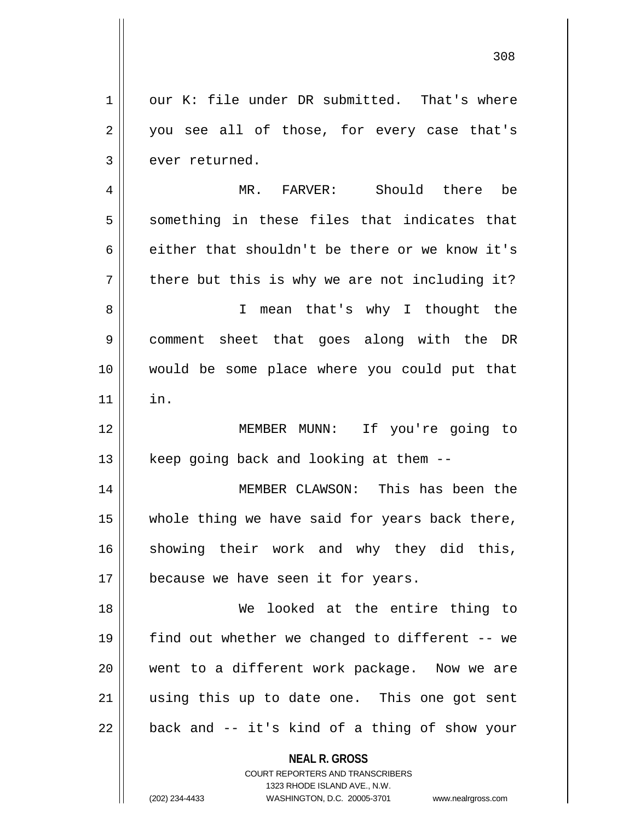**NEAL R. GROSS** 1 our K: file under DR submitted. That's where 2 || you see all of those, for every case that's  $3 \parallel$  ever returned. 4 MR. FARVER: Should there be  $5 \parallel$  something in these files that indicates that 6 either that shouldn't be there or we know it's  $7 \parallel$  there but this is why we are not including it? 8 || I mean that's why I thought the 9 comment sheet that goes along with the DR 10 would be some place where you could put that  $11$   $\parallel$  in. 12 MEMBER MUNN: If you're going to  $13$  | keep going back and looking at them  $-$ -14 MEMBER CLAWSON: This has been the  $15$  || whole thing we have said for years back there, 16 showing their work and why they did this, 17 | because we have seen it for years. 18 We looked at the entire thing to 19  $\parallel$  find out whether we changed to different -- we 20 went to a different work package. Now we are 21 || using this up to date one. This one got sent  $22$  | back and -- it's kind of a thing of show your

> COURT REPORTERS AND TRANSCRIBERS 1323 RHODE ISLAND AVE., N.W.

(202) 234-4433 WASHINGTON, D.C. 20005-3701 www.nealrgross.com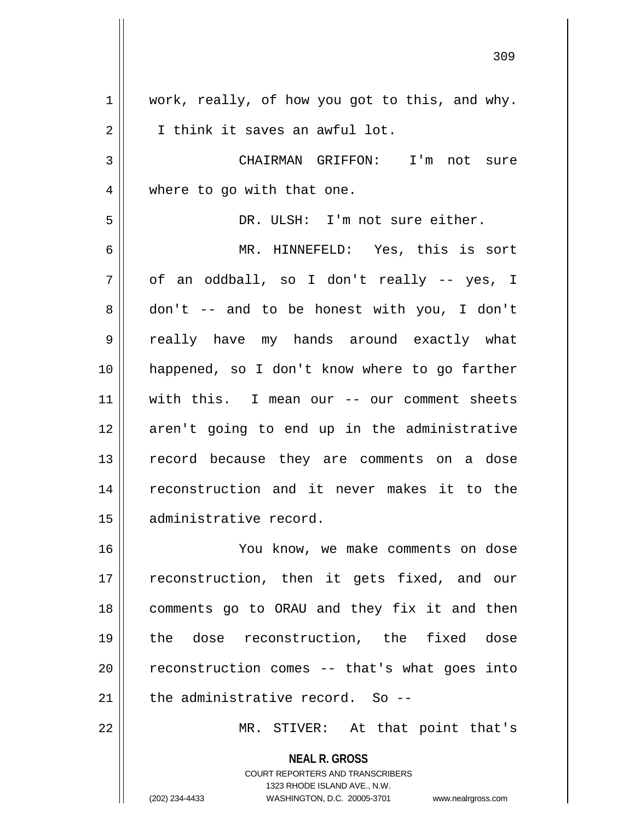$1 \parallel$  work, really, of how you got to this, and why. 2 | T think it saves an awful lot. 3 CHAIRMAN GRIFFON: I'm not sure 4 || where to go with that one. 5 DR. ULSH: I'm not sure either. 6 MR. HINNEFELD: Yes, this is sort  $7 \parallel$  of an oddball, so I don't really -- yes, I  $8 \parallel$  don't -- and to be honest with you, I don't 9 really have my hands around exactly what 10 happened, so I don't know where to go farther 11 with this. I mean our -- our comment sheets 12 aren't going to end up in the administrative 13 || record because they are comments on a dose 14 || reconstruction and it never makes it to the 15 administrative record. 16 You know, we make comments on dose 17 || reconstruction, then it gets fixed, and our 18 comments go to ORAU and they fix it and then 19 the dose reconstruction, the fixed dose  $20$  || reconstruction comes  $-$  that's what goes into  $21$  | the administrative record. So --22 || MR. STIVER: At that point that's

> **NEAL R. GROSS** COURT REPORTERS AND TRANSCRIBERS 1323 RHODE ISLAND AVE., N.W.

(202) 234-4433 WASHINGTON, D.C. 20005-3701 www.nealrgross.com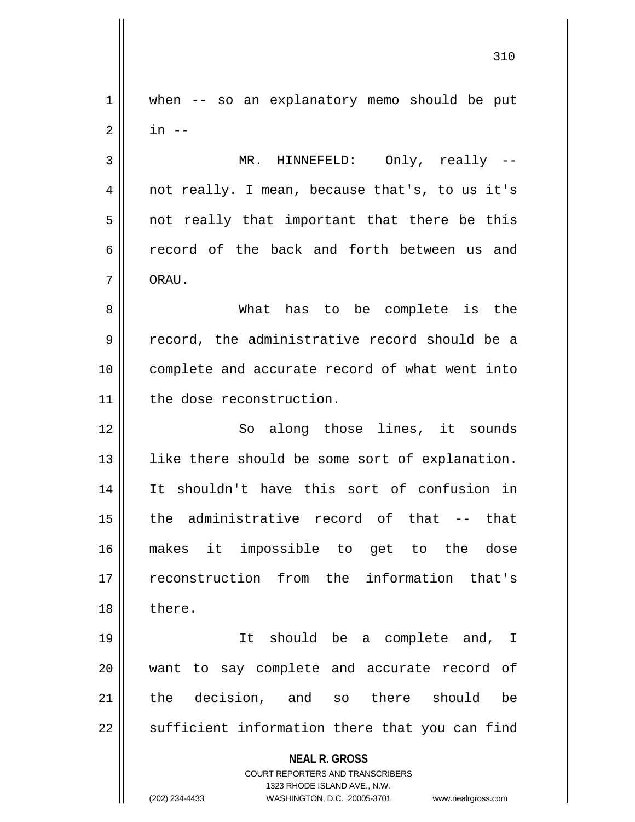**NEAL R. GROSS** COURT REPORTERS AND TRANSCRIBERS 1323 RHODE ISLAND AVE., N.W. (202) 234-4433 WASHINGTON, D.C. 20005-3701 www.nealrgross.com 1 when -- so an explanatory memo should be put  $2 \parallel$  in  $-$ 3 MR. HINNEFELD: Only, really -- 4 || not really. I mean, because that's, to us it's  $5 \parallel$  not really that important that there be this 6 record of the back and forth between us and 7 ORAU. 8 What has to be complete is the 9 cecord, the administrative record should be a 10 complete and accurate record of what went into 11 the dose reconstruction. 12 || So along those lines, it sounds 13 || like there should be some sort of explanation. 14 It shouldn't have this sort of confusion in  $15$  || the administrative record of that -- that 16 makes it impossible to get to the dose 17 reconstruction from the information that's 18 l there. 19 It should be a complete and, I 20 || want to say complete and accurate record of 21 the decision, and so there should be  $22$   $\parallel$  sufficient information there that you can find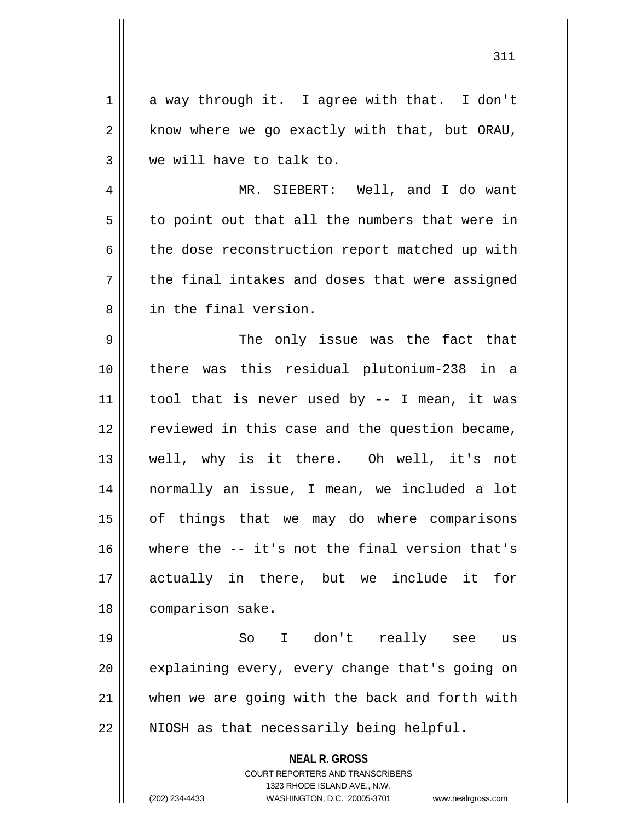$1 \parallel$  a way through it. I agree with that. I don't  $2 \parallel$  know where we go exactly with that, but ORAU,  $3 \parallel$  we will have to talk to. 4 MR. SIEBERT: Well, and I do want  $5 \parallel$  to point out that all the numbers that were in  $6 \parallel$  the dose reconstruction report matched up with  $7 \parallel$  the final intakes and doses that were assigned 8 || in the final version. 9 The only issue was the fact that 10 there was this residual plutonium-238 in a 11 || tool that is never used by  $-$  I mean, it was 12 || reviewed in this case and the question became, 13 well, why is it there. Oh well, it's not 14 normally an issue, I mean, we included a lot 15 || of things that we may do where comparisons 16 where the -- it's not the final version that's 17 actually in there, but we include it for 18 | comparison sake. 19 So I don't really see us  $20$  | explaining every, every change that's going on

22 || NIOSH as that necessarily being helpful.

 $21$  when we are going with the back and forth with

**NEAL R. GROSS** COURT REPORTERS AND TRANSCRIBERS

1323 RHODE ISLAND AVE., N.W.

(202) 234-4433 WASHINGTON, D.C. 20005-3701 www.nealrgross.com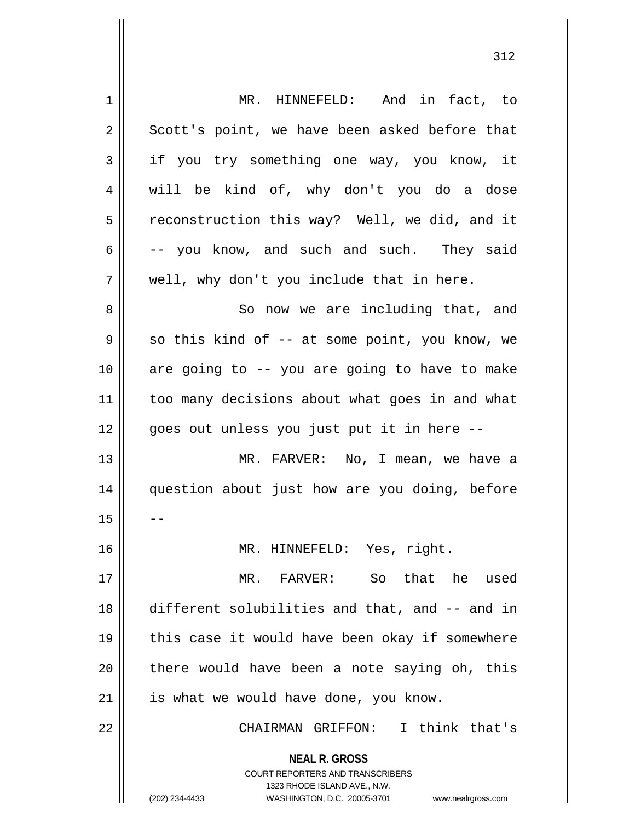| $\mathbf 1$ | MR. HINNEFELD: And in fact, to                                                                                                                                         |
|-------------|------------------------------------------------------------------------------------------------------------------------------------------------------------------------|
| 2           | Scott's point, we have been asked before that                                                                                                                          |
| 3           | if you try something one way, you know, it                                                                                                                             |
| 4           | will be kind of, why don't you do a dose                                                                                                                               |
| 5           | reconstruction this way? Well, we did, and it                                                                                                                          |
| 6           | -- you know, and such and such. They said                                                                                                                              |
| 7           | well, why don't you include that in here.                                                                                                                              |
| 8           | So now we are including that, and                                                                                                                                      |
| 9           | so this kind of -- at some point, you know, we                                                                                                                         |
| 10          | are going to -- you are going to have to make                                                                                                                          |
| 11          | too many decisions about what goes in and what                                                                                                                         |
| 12          | goes out unless you just put it in here --                                                                                                                             |
| 13          | MR. FARVER: No, I mean, we have a                                                                                                                                      |
| 14          | question about just how are you doing, before                                                                                                                          |
| 15          |                                                                                                                                                                        |
| 16          | MR. HINNEFELD: Yes, right.                                                                                                                                             |
| 17          | So that he used<br>MR. FARVER:                                                                                                                                         |
| 18          | different solubilities and that, and -- and in                                                                                                                         |
| 19          | this case it would have been okay if somewhere                                                                                                                         |
| 20          | there would have been a note saying oh, this                                                                                                                           |
| 21          | is what we would have done, you know.                                                                                                                                  |
| 22          | CHAIRMAN GRIFFON: I think that's                                                                                                                                       |
|             | <b>NEAL R. GROSS</b><br><b>COURT REPORTERS AND TRANSCRIBERS</b><br>1323 RHODE ISLAND AVE., N.W.<br>(202) 234-4433<br>WASHINGTON, D.C. 20005-3701<br>www.nealrgross.com |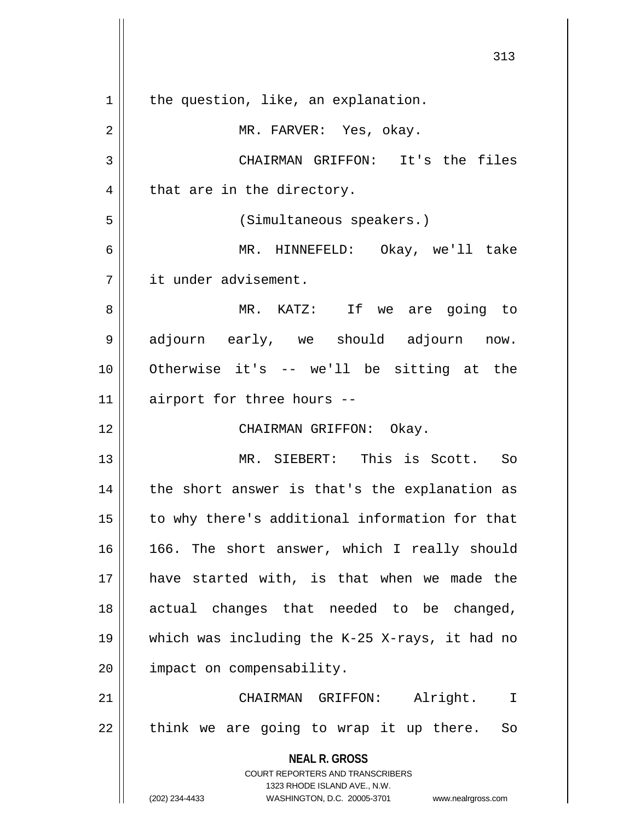**NEAL R. GROSS** COURT REPORTERS AND TRANSCRIBERS 1323 RHODE ISLAND AVE., N.W. (202) 234-4433 WASHINGTON, D.C. 20005-3701 www.nealrgross.com  $1 \parallel$  the question, like, an explanation. 2 MR. FARVER: Yes, okay. 3 CHAIRMAN GRIFFON: It's the files  $4 \parallel$  that are in the directory. 5 (Simultaneous speakers.) 6 MR. HINNEFELD: Okay, we'll take 7 | it under advisement. 8 MR. KATZ: If we are going to 9 adjourn early, we should adjourn now. 10 Otherwise it's -- we'll be sitting at the  $11$  airport for three hours --12 || CHAIRMAN GRIFFON: Okay. 13 MR. SIEBERT: This is Scott. So  $14$  | the short answer is that's the explanation as 15 || to why there's additional information for that 16 || 166. The short answer, which I really should 17 have started with, is that when we made the 18 || actual changes that needed to be changed, 19 which was including the K-25 X-rays, it had no 20 | impact on compensability. 21 CHAIRMAN GRIFFON: Alright. I  $22$  || think we are going to wrap it up there. So